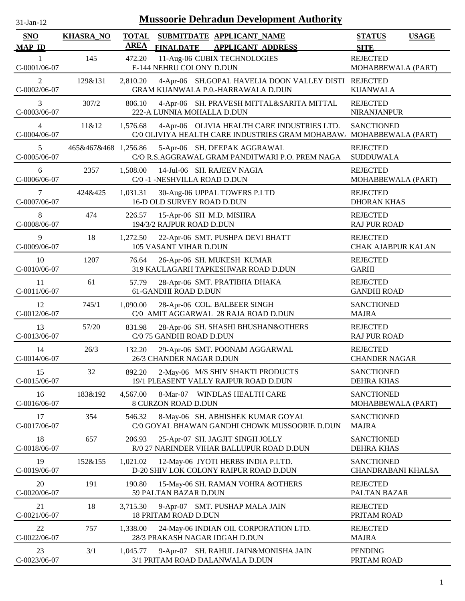| $31$ -Jan-12                   |                      |                             |                              | <b>Mussoorie Dehradun Development Authority</b>                                                 |                                              |              |
|--------------------------------|----------------------|-----------------------------|------------------------------|-------------------------------------------------------------------------------------------------|----------------------------------------------|--------------|
| SNO<br><b>MAP ID</b>           | <b>KHASRA_NO</b>     | <b>TOTAL</b><br><b>AREA</b> | <b>FINALDATE</b>             | SUBMITDATE APPLICANT_NAME<br><b>APPLICANT ADDRESS</b>                                           | <b>STATUS</b><br><b>SITE</b>                 | <b>USAGE</b> |
| C-0001/06-07                   | 145                  | 472.20                      | E-144 NEHRU COLONY D.DUN     | 11-Aug-06 CUBIX TECHNOLOGIES                                                                    | <b>REJECTED</b><br>MOHABBEWALA (PART)        |              |
| $\overline{2}$<br>C-0002/06-07 | 129&131              | 2,810.20                    |                              | 4-Apr-06 SH.GOPAL HAVELIA DOON VALLEY DISTI REJECTED<br>GRAM KUANWALA P.0.-HARRAWALA D.DUN      | <b>KUANWALA</b>                              |              |
| 3<br>C-0003/06-07              | 307/2                | 806.10                      | 222-A LUNNIA MOHALLA D.DUN   | 4-Apr-06 SH. PRAVESH MITTAL&SARITA MITTAL                                                       | <b>REJECTED</b><br><b>NIRANJANPUR</b>        |              |
| $\overline{4}$<br>C-0004/06-07 | 11&12                | 1,576.68                    |                              | 4-Apr-06 OLIVIA HEALTH CARE INDUSTRIES LTD.<br>C/0 OLIVIYA HEALTH CARE INDUSTRIES GRAM MOHABAW. | <b>SANCTIONED</b><br>MOHABBEWALA (PART)      |              |
| 5<br>C-0005/06-07              | 465&467&468 1,256.86 |                             |                              | 5-Apr-06 SH. DEEPAK AGGRAWAL<br>C/O R.S.AGGRAWAL GRAM PANDITWARI P.O. PREM NAGA                 | <b>REJECTED</b><br><b>SUDDUWALA</b>          |              |
| 6<br>C-0006/06-07              | 2357                 | 1,508.00                    | C/0 -1 -NESHVILLA ROAD D.DUN | 14-Jul-06 SH. RAJEEV NAGIA                                                                      | <b>REJECTED</b><br>MOHABBEWALA (PART)        |              |
| 7<br>C-0007/06-07              | 424&425              | 1,031.31                    | 16-D OLD SURVEY ROAD D.DUN   | 30-Aug-06 UPPAL TOWERS P.LTD                                                                    | <b>REJECTED</b><br><b>DHORAN KHAS</b>        |              |
| 8<br>C-0008/06-07              | 474                  | 226.57                      | 194/3/2 RAJPUR ROAD D.DUN    | 15-Apr-06 SH M.D. MISHRA                                                                        | <b>REJECTED</b><br><b>RAJ PUR ROAD</b>       |              |
| 9<br>C-0009/06-07              | 18                   | 1,272.50                    | 105 VASANT VIHAR D.DUN       | 22-Apr-06 SMT. PUSHPA DEVI BHATT                                                                | <b>REJECTED</b><br><b>CHAK AJABPUR KALAN</b> |              |
| 10<br>C-0010/06-07             | 1207                 | 76.64                       |                              | 26-Apr-06 SH. MUKESH KUMAR<br>319 KAULAGARH TAPKESHWAR ROAD D.DUN                               | <b>REJECTED</b><br><b>GARHI</b>              |              |
| 11<br>$C-0011/06-07$           | 61                   | 57.79                       | 61-GANDHI ROAD D.DUN         | 28-Apr-06 SMT. PRATIBHA DHAKA                                                                   | <b>REJECTED</b><br><b>GANDHI ROAD</b>        |              |
| 12<br>C-0012/06-07             | 745/1                | 1,090.00                    |                              | 28-Apr-06 COL. BALBEER SINGH<br>C/0 AMIT AGGARWAL 28 RAJA ROAD D.DUN                            | <b>SANCTIONED</b><br><b>MAJRA</b>            |              |
| 13<br>C-0013/06-07             | 57/20                | 831.98                      | C/0 75 GANDHI ROAD D.DUN     | 28-Apr-06 SH. SHASHI BHUSHAN&OTHERS                                                             | <b>REJECTED</b><br><b>RAJ PUR ROAD</b>       |              |
| 14<br>C-0014/06-07             | 26/3                 | 132.20                      | 26/3 CHANDER NAGAR D.DUN     | 29-Apr-06 SMT. POONAM AGGARWAL                                                                  | <b>REJECTED</b><br><b>CHANDER NAGAR</b>      |              |
| 15<br>C-0015/06-07             | 32                   | 892.20                      |                              | 2-May-06 M/S SHIV SHAKTI PRODUCTS<br>19/1 PLEASENT VALLY RAJPUR ROAD D.DUN                      | <b>SANCTIONED</b><br><b>DEHRA KHAS</b>       |              |
| 16<br>C-0016/06-07             | 183&192              | 4,567.00                    | 8 CURZON ROAD D.DUN          | 8-Mar-07 WINDLAS HEALTH CARE                                                                    | <b>SANCTIONED</b><br>MOHABBEWALA (PART)      |              |
| 17<br>C-0017/06-07             | 354                  | 546.32                      |                              | 8-May-06 SH. ABHISHEK KUMAR GOYAL<br>C/0 GOYAL BHAWAN GANDHI CHOWK MUSSOORIE D.DUN              | <b>SANCTIONED</b><br><b>MAJRA</b>            |              |
| 18<br>C-0018/06-07             | 657                  | 206.93                      |                              | 25-Apr-07 SH. JAGJIT SINGH JOLLY<br>R/0 27 NARINDER VIHAR BALLUPUR ROAD D.DUN                   | <b>SANCTIONED</b><br><b>DEHRA KHAS</b>       |              |
| 19<br>C-0019/06-07             | 152&155              | 1,021.02                    |                              | 12-May-06 JYOTI HERBS INDIA P.LTD.<br>D-20 SHIV LOK COLONY RAIPUR ROAD D.DUN                    | <b>SANCTIONED</b><br>CHANDRABANI KHALSA      |              |
| 20<br>C-0020/06-07             | 191                  | 190.80                      | 59 PALTAN BAZAR D.DUN        | 15-May-06 SH. RAMAN VOHRA &OTHERS                                                               | <b>REJECTED</b><br>PALTAN BAZAR              |              |
| 21<br>$C-0021/06-07$           | 18                   | 3,715.30                    | 18 PRITAM ROAD D.DUN         | 9-Apr-07 SMT. PUSHAP MALA JAIN                                                                  | <b>REJECTED</b><br>PRITAM ROAD               |              |
| 22<br>$C-0022/06-07$           | 757                  | 1,338.00                    |                              | 24-May-06 INDIAN OIL CORPORATION LTD.<br>28/3 PRAKASH NAGAR IDGAH D.DUN                         | <b>REJECTED</b><br><b>MAJRA</b>              |              |
| 23<br>C-0023/06-07             | 3/1                  | 1,045.77                    |                              | 9-Apr-07 SH. RAHUL JAIN&MONISHA JAIN<br>3/1 PRITAM ROAD DALANWALA D.DUN                         | <b>PENDING</b><br>PRITAM ROAD                |              |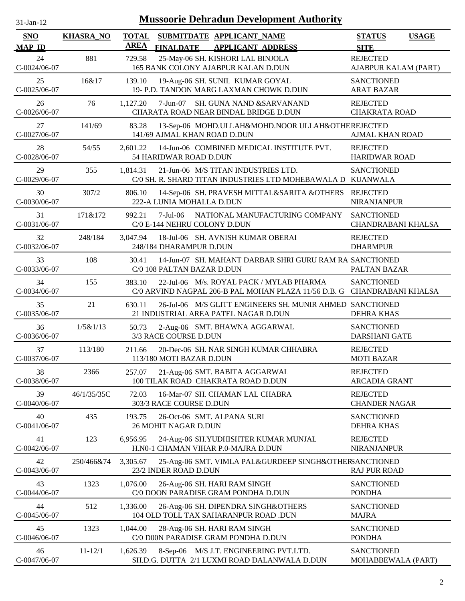| $31$ -Jan-12 |  |
|--------------|--|

| <b>SNO</b>           | <b>KHASRA NO</b> | <b>TOTAL</b><br><b>AREA</b> |                                          | SUBMITDATE APPLICANT_NAME                                                                          | <b>STATUS</b><br><b>USAGE</b>                  |
|----------------------|------------------|-----------------------------|------------------------------------------|----------------------------------------------------------------------------------------------------|------------------------------------------------|
| <b>MAP ID</b>        |                  |                             | <b>FINALDATE</b>                         | <b>APPLICANT ADDRESS</b>                                                                           | <b>SITE</b>                                    |
| 24<br>$C-0024/06-07$ | 881              | 729.58                      |                                          | 25-May-06 SH. KISHORI LAL BINJOLA<br>165 BANK COLONY AJABPUR KALAN D.DUN                           | <b>REJECTED</b><br>AJABPUR KALAM (PART)        |
| 25<br>$C-0025/06-07$ | 16&17            | 139.10                      |                                          | 19-Aug-06 SH. SUNIL KUMAR GOYAL<br>19- P.D. TANDON MARG LAXMAN CHOWK D.DUN                         | <b>SANCTIONED</b><br><b>ARAT BAZAR</b>         |
| 26<br>$C-0026/06-07$ | 76               | 1,127.20                    |                                          | 7-Jun-07 SH. GUNA NAND &SARVANAND<br>CHARATA ROAD NEAR BINDAL BRIDGE D.DUN                         | <b>REJECTED</b><br><b>CHAKRATA ROAD</b>        |
| 27<br>C-0027/06-07   | 141/69           | 83.28                       | 141/69 AJMAL KHAN ROAD D.DUN             | 13-Sep-06 MOHD.ULLAH&MOHD.NOOR ULLAH&OTHEREJECTED                                                  | <b>AJMAL KHAN ROAD</b>                         |
| 28<br>C-0028/06-07   | 54/55            | 2,601.22                    | 54 HARIDWAR ROAD D.DUN                   | 14-Jun-06 COMBINED MEDICAL INSTITUTE PVT.                                                          | <b>REJECTED</b><br><b>HARIDWAR ROAD</b>        |
| 29<br>C-0029/06-07   | 355              | 1,814.31                    |                                          | 21-Jun-06 M/S TITAN INDUSTRIES LTD.<br>C/0 SH. R. SHARD TITAN INDUSTRIES LTD MOHEBAWALA D KUANWALA | <b>SANCTIONED</b>                              |
| 30<br>C-0030/06-07   | 307/2            | 806.10                      | 222-A LUNIA MOHALLA D.DUN                | 14-Sep-06 SH. PRAVESH MITTAL&SARITA &OTHERS REJECTED                                               | <b>NIRANJANPUR</b>                             |
| 31<br>$C-0031/06-07$ | 171&172          | 992.21                      | 7-Jul-06<br>C/0 E-144 NEHRU COLONY D.DUN | NATIONAL MANUFACTURING COMPANY                                                                     | <b>SANCTIONED</b><br><b>CHANDRABANI KHALSA</b> |
| 32<br>C-0032/06-07   | 248/184          | 3,047.94                    | 248/184 DHARAMPUR D.DUN                  | 18-Jul-06 SH. AVNISH KUMAR OBERAI                                                                  | <b>REJECTED</b><br><b>DHARMPUR</b>             |
| 33<br>C-0033/06-07   | 108              | 30.41                       | C/0 108 PALTAN BAZAR D.DUN               | 14-Jun-07 SH. MAHANT DARBAR SHRI GURU RAM RA SANCTIONED                                            | PALTAN BAZAR                                   |
| 34<br>C-0034/06-07   | 155              | 383.10                      |                                          | 22-Jul-06 M/s. ROYAL PACK / MYLAB PHARMA<br>C/0 ARVIND NAGPAL 206-B PAL MOHAN PLAZA 11/56 D.B. G   | <b>SANCTIONED</b><br>CHANDRABANI KHALSA        |
| 35<br>$C-0035/06-07$ | 21               | 630.11                      |                                          | 26-Jul-06 M/S GLITT ENGINEERS SH. MUNIR AHMED SANCTIONED<br>21 INDUSTRIAL AREA PATEL NAGAR D.DUN   | <b>DEHRA KHAS</b>                              |
| 36<br>C-0036/06-07   | 1/5&1/13         | 50.73                       | 3/3 RACE COURSE D.DUN                    | 2-Aug-06 SMT. BHAWNA AGGARWAL                                                                      | <b>SANCTIONED</b><br><b>DARSHANI GATE</b>      |
| 37<br>C-0037/06-07   | 113/180          | 211.66                      | 113/180 MOTI BAZAR D.DUN                 | 20-Dec-06 SH. NAR SINGH KUMAR CHHABRA                                                              | <b>REJECTED</b><br><b>MOTI BAZAR</b>           |
| 38<br>C-0038/06-07   | 2366             | 257.07                      |                                          | 21-Aug-06 SMT. BABITA AGGARWAL<br>100 TILAK ROAD CHAKRATA ROAD D.DUN                               | <b>REJECTED</b><br><b>ARCADIA GRANT</b>        |
| 39<br>C-0040/06-07   | 46/1/35/35C      | 72.03                       | 303/3 RACE COURSE D.DUN                  | 16-Mar-07 SH. CHAMAN LAL CHABRA                                                                    | <b>REJECTED</b><br><b>CHANDER NAGAR</b>        |
| 40<br>$C-0041/06-07$ | 435              | 193.75                      | 26 MOHIT NAGAR D.DUN                     | 26-Oct-06 SMT. ALPANA SURI                                                                         | <b>SANCTIONED</b><br><b>DEHRA KHAS</b>         |
| 41<br>C-0042/06-07   | 123              | 6,956.95                    |                                          | 24-Aug-06 SH.YUDHISHTER KUMAR MUNJAL<br>H.N0-1 CHAMAN VIHAR P.0-MAJRA D.DUN                        | <b>REJECTED</b><br>NIRANJANPUR                 |
| 42<br>$C-0043/06-07$ | 250/466&74       | 3,305.67                    | 23/2 INDER ROAD D.DUN                    | 25-Aug-06 SMT. VIMLA PAL&GURDEEP SINGH&OTHERSANCTIONED                                             | <b>RAJ PUR ROAD</b>                            |
| 43<br>C-0044/06-07   | 1323             | 1,076.00                    |                                          | 26-Aug-06 SH. HARI RAM SINGH<br>C/0 DOON PARADISE GRAM PONDHA D.DUN                                | <b>SANCTIONED</b><br><b>PONDHA</b>             |
| 44<br>C-0045/06-07   | 512              | 1,336.00                    |                                          | 26-Aug-06 SH. DIPENDRA SINGH&OTHERS<br>104 OLD TOLL TAX SAHARANPUR ROAD .DUN                       | <b>SANCTIONED</b><br><b>MAJRA</b>              |
| 45<br>C-0046/06-07   | 1323             | 1,044.00                    |                                          | 28-Aug-06 SH. HARI RAM SINGH<br>C/0 D00N PARADISE GRAM PONDHA D.DUN                                | <b>SANCTIONED</b><br><b>PONDHA</b>             |
| 46<br>C-0047/06-07   | $11 - 12/1$      | 1,626.39                    |                                          | 8-Sep-06 M/S J.T. ENGINEERING PVT.LTD.<br>SH.D.G. DUTTA 2/1 LUXMI ROAD DALANWALA D.DUN             | <b>SANCTIONED</b><br>MOHABBEWALA (PART)        |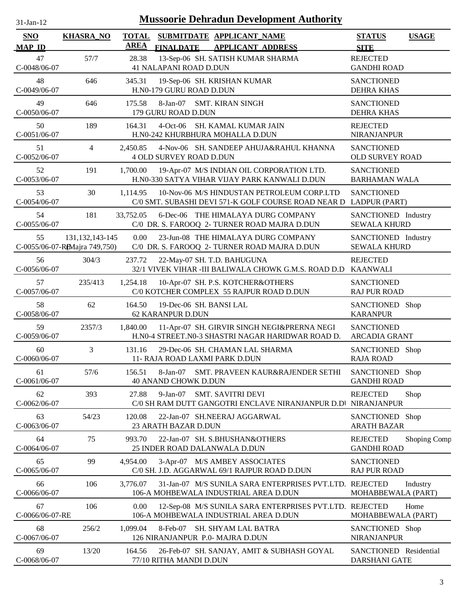| $31$ -Jan-12                        |                   |                             | <b>Mussoorie Dehradun Development Authority</b>                                                                 |                                             |              |
|-------------------------------------|-------------------|-----------------------------|-----------------------------------------------------------------------------------------------------------------|---------------------------------------------|--------------|
| SNO<br><b>MAP ID</b>                | <b>KHASRA_NO</b>  | <b>TOTAL</b><br><b>AREA</b> | SUBMITDATE APPLICANT_NAME<br><b>FINALDATE</b><br><b>APPLICANT ADDRESS</b>                                       | <b>STATUS</b><br><b>SITE</b>                | <b>USAGE</b> |
| 47<br>C-0048/06-07                  | 57/7              | 28.38                       | 13-Sep-06 SH. SATISH KUMAR SHARMA<br>41 NALAPANI ROAD D.DUN                                                     | <b>REJECTED</b><br><b>GANDHI ROAD</b>       |              |
| 48<br>C-0049/06-07                  | 646               | 345.31                      | 19-Sep-06 SH. KRISHAN KUMAR<br>H.N0-179 GURU ROAD D.DUN                                                         | <b>SANCTIONED</b><br><b>DEHRA KHAS</b>      |              |
| 49<br>C-0050/06-07                  | 646               | 175.58                      | 8-Jan-07 SMT. KIRAN SINGH<br>179 GURU ROAD D.DUN                                                                | <b>SANCTIONED</b><br><b>DEHRA KHAS</b>      |              |
| 50<br>$C-0051/06-07$                | 189               | 164.31                      | 4-Oct-06 SH. KAMAL KUMAR JAIN<br>H.N0-242 KHURBHURA MOHALLA D.DUN                                               | <b>REJECTED</b><br><b>NIRANJANPUR</b>       |              |
| 51<br>C-0052/06-07                  | 4                 | 2,450.85                    | 4-Nov-06 SH. SANDEEP AHUJA&RAHUL KHANNA<br><b>4 OLD SURVEY ROAD D.DUN</b>                                       | <b>SANCTIONED</b><br><b>OLD SURVEY ROAD</b> |              |
| 52<br>$C-0053/06-07$                | 191               | 1,700.00                    | 19-Apr-07 M/S INDIAN OIL CORPORATION LTD.<br>H.N0-330 SATYA VIHAR VIJAY PARK KANWALI D.DUN                      | <b>SANCTIONED</b><br><b>BARHAMAN WALA</b>   |              |
| 53<br>C-0054/06-07                  | 30                | 1.114.95                    | 10-Nov-06 M/S HINDUSTAN PETROLEUM CORP.LTD<br>C/0 SMT. SUBASHI DEVI 571-K GOLF COURSE ROAD NEAR D LADPUR (PART) | <b>SANCTIONED</b>                           |              |
| 54<br>$C-0055/06-07$                | 181               | 33,752.05                   | 6-Dec-06 THE HIMALAYA DURG COMPANY<br>C/0 DR. S. FAROOQ 2- TURNER ROAD MAJRA D.DUN                              | SANCTIONED Industry<br><b>SEWALA KHURD</b>  |              |
| 55<br>C-0055/06-07-RAMajra 749,750) | 131, 132, 143-145 | 0.00                        | 23-Jun-08 THE HIMALAYA DURG COMPANY<br>C/0 DR. S. FAROOQ 2- TURNER ROAD MAJRA D.DUN                             | SANCTIONED Industry<br><b>SEWALA KHURD</b>  |              |
| 56<br>C-0056/06-07                  | 304/3             | 237.72                      | 22-May-07 SH. T.D. BAHUGUNA<br>32/1 VIVEK VIHAR -III BALIWALA CHOWK G.M.S. ROAD D.D                             | <b>REJECTED</b><br><b>KAANWALI</b>          |              |
| 57<br>C-0057/06-07                  | 235/413           | 1,254.18                    | 10-Apr-07 SH. P.S. KOTCHER&OTHERS<br>C/0 KOTCHER COMPLEX 55 RAJPUR ROAD D.DUN                                   | <b>SANCTIONED</b><br><b>RAJ PUR ROAD</b>    |              |
| 58<br>C-0058/06-07                  | 62                | 164.50                      | 19-Dec-06 SH. BANSI LAL<br>62 KARANPUR D.DUN                                                                    | SANCTIONED Shop<br><b>KARANPUR</b>          |              |
| 59<br>C-0059/06-07                  | 2357/3            | 1,840.00                    | 11-Apr-07 SH. GIRVIR SINGH NEGI&PRERNA NEGI<br>H.N0-4 STREET.N0-3 SHASTRI NAGAR HARIDWAR ROAD D.                | <b>SANCTIONED</b><br><b>ARCADIA GRANT</b>   |              |
| 60<br>C-0060/06-07                  | 3                 | 131.16                      | 29-Dec-06 SH. CHAMAN LAL SHARMA<br>11- RAJA ROAD LAXMI PARK D.DUN                                               | SANCTIONED Shop<br><b>RAJA ROAD</b>         |              |
| 61<br>C-0061/06-07                  | 57/6              | 156.51                      | SMT. PRAVEEN KAUR&RAJENDER SETHI<br>$8-Jan-07$<br>40 ANAND CHOWK D.DUN                                          | SANCTIONED Shop<br><b>GANDHI ROAD</b>       |              |
| 62<br>$C-0062/06-07$                | 393               | 27.88                       | $9-Jan-07$<br><b>SMT. SAVITRI DEVI</b><br>C/0 SH RAM DUTT GANGOTRI ENCLAVE NIRANJANPUR D.D NIRANJANPUR          | <b>REJECTED</b>                             | Shop         |
| 63<br>$C-0063/06-07$                | 54/23             | 120.08                      | 22-Jan-07 SH.NEERAJ AGGARWAL<br>23 ARATH BAZAR D.DUN                                                            | SANCTIONED Shop<br><b>ARATH BAZAR</b>       |              |
| 64<br>$C-0064/06-07$                | 75                | 993.70                      | 22-Jan-07 SH. S.BHUSHAN&OTHERS<br>25 INDER ROAD DALANWALA D.DUN                                                 | <b>REJECTED</b><br><b>GANDHI ROAD</b>       | Shoping Comp |
| 65<br>$C-0065/06-07$                | 99                | 4,954.00                    | 3-Apr-07 M/S AMBEY ASSOCIATES<br>C/0 SH. J.D. AGGARWAL 69/1 RAJPUR ROAD D.DUN                                   | <b>SANCTIONED</b><br><b>RAJ PUR ROAD</b>    |              |
| 66<br>C-0066/06-07                  | 106               | 3,776.07                    | 31-Jan-07 M/S SUNILA SARA ENTERPRISES PVT.LTD. REJECTED<br>106-A MOHBEWALA INDUSTRIAL AREA D.DUN                | MOHABBEWALA (PART)                          | Industry     |
| 67<br>C-0066/06-07-RE               | 106               | 0.00                        | 12-Sep-08 M/S SUNILA SARA ENTERPRISES PVT.LTD. REJECTED<br>106-A MOHBEWALA INDUSTRIAL AREA D.DUN                | MOHABBEWALA (PART)                          | Home         |
| 68<br>C-0067/06-07                  | 256/2             | 1,099.04                    | 8-Feb-07<br>SH. SHYAM LAL BATRA<br>126 NIRANJANPUR P.0- MAJRA D.DUN                                             | SANCTIONED Shop<br><b>NIRANJANPUR</b>       |              |
| 69<br>C-0068/06-07                  | 13/20             | 164.56                      | 26-Feb-07 SH. SANJAY, AMIT & SUBHASH GOYAL<br>77/10 RITHA MANDI D.DUN                                           | SANCTIONED Residential<br>DARSHANI GATE     |              |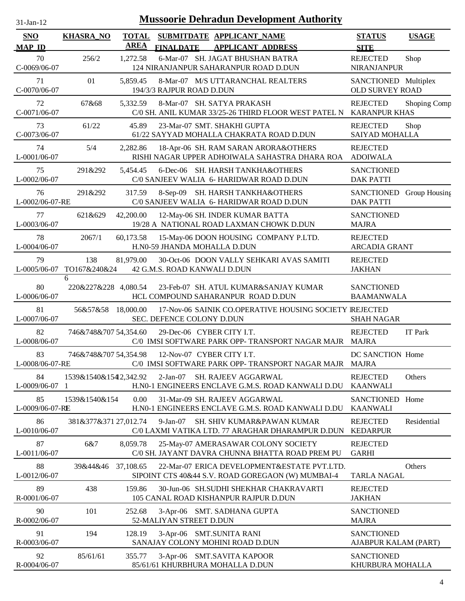| $31$ -Jan-12 |  |
|--------------|--|

| SNO                                 | <b>KHASRA_NO</b>          | <b>TOTAL</b><br>AREA |                              | SUBMITDATE APPLICANT NAME                                                                             | <b>STATUS</b>                                        | <b>USAGE</b> |
|-------------------------------------|---------------------------|----------------------|------------------------------|-------------------------------------------------------------------------------------------------------|------------------------------------------------------|--------------|
| <b>MAP ID</b><br>70<br>C-0069/06-07 | 256/2                     | 1,272.58             | <b>FINALDATE</b>             | <b>APPLICANT ADDRESS</b><br>6-Mar-07 SH. JAGAT BHUSHAN BATRA<br>124 NIRANJANPUR SAHARANPUR ROAD D.DUN | <b>SITE</b><br><b>REJECTED</b><br><b>NIRANJANPUR</b> | Shop         |
| 71<br>C-0070/06-07                  | 01                        | 5,859.45             | 194/3/3 RAJPUR ROAD D.DUN    | 8-Mar-07 M/S UTTARANCHAL REALTERS                                                                     | SANCTIONED Multiplex<br><b>OLD SURVEY ROAD</b>       |              |
| 72<br>C-0071/06-07                  | 67&68                     | 5,332.59             |                              | 8-Mar-07 SH. SATYA PRAKASH<br>C/0 SH. ANIL KUMAR 33/25-26 THIRD FLOOR WEST PATEL N                    | <b>REJECTED</b><br><b>KARANPUR KHAS</b>              | Shoping Comp |
| 73<br>C-0073/06-07                  | 61/22                     | 45.89                |                              | 23-Mar-07 SMT. SHAKHI GUPTA<br>61/22 SAYYAD MOHALLA CHAKRATA ROAD D.DUN                               | <b>REJECTED</b><br>SAIYAD MOHALLA                    | Shop         |
| 74<br>L-0001/06-07                  | 5/4                       | 2,282.86             |                              | 18-Apr-06 SH. RAM SARAN ARORA&OTHERS<br>RISHI NAGAR UPPER ADHOIWALA SAHASTRA DHARA ROA                | <b>REJECTED</b><br><b>ADOIWALA</b>                   |              |
| 75<br>L-0002/06-07                  | 291&292                   | 5,454.45             |                              | 6-Dec-06 SH. HARSH TANKHA&OTHERS<br>C/0 SANJEEV WALIA 6- HARIDWAR ROAD D.DUN                          | <b>SANCTIONED</b><br><b>DAK PATTI</b>                |              |
| 76<br>L-0002/06-07-RE               | 291&292                   | 317.59               |                              | 8-Sep-09 SH. HARSH TANKHA&OTHERS<br>C/0 SANJEEV WALIA 6- HARIDWAR ROAD D.DUN                          | SANCTIONED Group Housing<br><b>DAK PATTI</b>         |              |
| 77<br>L-0003/06-07                  | 621&629                   | 42,200.00            |                              | 12-May-06 SH. INDER KUMAR BATTA<br>19/28 A NATIONAL ROAD LAXMAN CHOWK D.DUN                           | <b>SANCTIONED</b><br><b>MAJRA</b>                    |              |
| 78<br>L-0004/06-07                  | 2067/1                    | 60,173.58            | H.N0-59 JHANDA MOHALLA D.DUN | 15-May-06 DOON HOUSING COMPANY P.LTD.                                                                 | <b>REJECTED</b><br><b>ARCADIA GRANT</b>              |              |
| 79<br>L-0005/06-07                  | 138<br>TO167&240&24       | 81,979.00            | 42 G.M.S. ROAD KANWALI D.DUN | 30-Oct-06 DOON VALLY SEHKARI AVAS SAMITI                                                              | <b>REJECTED</b><br><b>JAKHAN</b>                     |              |
| 80<br>L-0006/06-07                  | 6<br>220&227&228 4,080.54 |                      |                              | 23-Feb-07 SH. ATUL KUMAR&SANJAY KUMAR<br>HCL COMPOUND SAHARANPUR ROAD D.DUN                           | <b>SANCTIONED</b><br><b>BAAMANWALA</b>               |              |
| 81<br>L-0007/06-07                  | 56&57&58                  | 18,000.00            | SEC. DEFENCE COLONY D.DUN    | 17-Nov-06 SAINIK CO.OPERATIVE HOUSING SOCIETY IREJECTED                                               | <b>SHAH NAGAR</b>                                    |              |
| 82<br>L-0008/06-07                  | 746&748&707 54,354.60     |                      | 29-Dec-06 CYBER CITY I.T.    | C/0 IMSI SOFTWARE PARK OPP- TRANSPORT NAGAR MAJR MAJRA                                                | <b>REJECTED</b>                                      | IT Park      |
| 83<br>L-0008/06-07-RE               | 746&748&707 54,354.98     |                      | 12-Nov-07 CYBER CITY I.T.    | C/0 IMSI SOFTWARE PARK OPP- TRANSPORT NAGAR MAJR                                                      | DC SANCTION Home<br><b>MAJRA</b>                     |              |
| 84<br>L-0009/06-07                  | 1539&1540&15412,342.92    |                      | $2-Jan-07$                   | <b>SH. RAJEEV AGGARWAL</b><br>H.N0-1 ENGINEERS ENCLAVE G.M.S. ROAD KANWALI D.DU                       | <b>REJECTED</b><br><b>KAANWALI</b>                   | Others       |
| 85<br>L-0009/06-07-RE               | 1539&1540&154             | 0.00                 |                              | 31-Mar-09 SH. RAJEEV AGGARWAL<br>H.N0-1 ENGINEERS ENCLAVE G.M.S. ROAD KANWALI D.DU                    | SANCTIONED Home<br><b>KAANWALI</b>                   |              |
| 86<br>L-0010/06-07                  | 381&377&371 27,012.74     |                      | $9-Jan-07$                   | SH. SHIV KUMAR&PAWAN KUMAR<br>C/0 LAXMI VATIKA LTD. 77 ARAGHAR DHARAMPUR D.DUN                        | <b>REJECTED</b><br><b>KEDARPUR</b>                   | Residential  |
| 87<br>L-0011/06-07                  | 6&7                       | 8,059.78             |                              | 25-May-07 AMERASAWAR COLONY SOCIETY<br>C/0 SH. JAYANT DAVRA CHUNNA BHATTA ROAD PREM PU                | <b>REJECTED</b><br><b>GARHI</b>                      |              |
| 88<br>L-0012/06-07                  | 39&44&46                  | 37,108.65            |                              | 22-Mar-07 ERICA DEVELOPMENT& ESTATE PVT.LTD.<br>SIPOINT CTS 40&44 S.V. ROAD GOREGAON (W) MUMBAI-4     | <b>TARLA NAGAL</b>                                   | Others       |
| 89<br>R-0001/06-07                  | 438                       | 159.86               |                              | 30-Jun-06 SH.SUDHI SHEKHAR CHAKRAVARTI<br>105 CANAL ROAD KISHANPUR RAJPUR D.DUN                       | <b>REJECTED</b><br><b>JAKHAN</b>                     |              |
| 90<br>R-0002/06-07                  | 101                       | 252.68               | 52-MALIYAN STREET D.DUN      | 3-Apr-06 SMT. SADHANA GUPTA                                                                           | <b>SANCTIONED</b><br><b>MAJRA</b>                    |              |
| 91<br>R-0003/06-07                  | 194                       | 128.19               | 3-Apr-06 SMT.SUNITA RANI     | SANAJAY COLONY MOHINI ROAD D.DUN                                                                      | <b>SANCTIONED</b><br>AJABPUR KALAM (PART)            |              |
| 92<br>R-0004/06-07                  | 85/61/61                  | 355.77               |                              | 3-Apr-06 SMT.SAVITA KAPOOR<br>85/61/61 KHURBHURA MOHALLA D.DUN                                        | <b>SANCTIONED</b><br>KHURBURA MOHALLA                |              |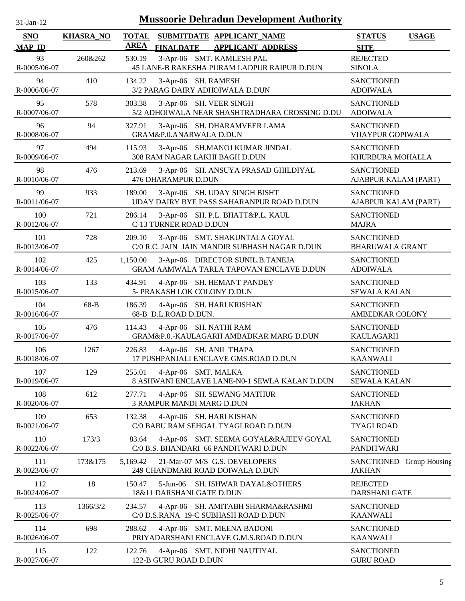| $31$ -Jan-12                |                  | <b>Mussoorie Dehradun Development Authority</b>                                                          |                                              |
|-----------------------------|------------------|----------------------------------------------------------------------------------------------------------|----------------------------------------------|
| <b>SNO</b><br><b>MAP ID</b> | <b>KHASRA_NO</b> | <b>TOTAL</b><br>SUBMITDATE APPLICANT_NAME<br><b>AREA</b><br><b>FINALDATE</b><br><b>APPLICANT ADDRESS</b> | <b>STATUS</b><br><b>USAGE</b><br><b>SITE</b> |
| 93<br>R-0005/06-07          | 260&262          | 3-Apr-06 SMT. KAMLESH PAL<br>530.19<br>45 LANE-B RAKESHA PURAM LADPUR RAIPUR D.DUN                       | <b>REJECTED</b><br><b>SINOLA</b>             |
| 94<br>R-0006/06-07          | 410              | 134.22<br>3-Apr-06 SH. RAMESH<br>3/2 PARAG DAIRY ADHOIWALA D.DUN                                         | <b>SANCTIONED</b><br><b>ADOIWALA</b>         |
| 95<br>R-0007/06-07          | 578              | 3-Apr-06 SH. VEER SINGH<br>303.38<br>5/2 ADHOIWALA NEAR SHASHTRADHARA CROSSING D.DU                      | <b>SANCTIONED</b><br><b>ADOIWALA</b>         |
| 96<br>R-0008/06-07          | 94               | 327.91<br>3-Apr-06 SH. DHARAMVEER LAMA<br>GRAM&P.0.ANARWALA D.DUN                                        | <b>SANCTIONED</b><br>VIJAYPUR GOPIWALA       |
| 97<br>R-0009/06-07          | 494              | 115.93<br>3-Apr-06 SH.MANOJ KUMAR JINDAL<br>308 RAM NAGAR LAKHI BAGH D.DUN                               | <b>SANCTIONED</b><br>KHURBURA MOHALLA        |
| 98<br>R-0010/06-07          | 476              | 213.69<br>3-Apr-06 SH. ANSUYA PRASAD GHILDIYAL<br>476 DHARAMPUR D.DUN                                    | <b>SANCTIONED</b><br>AJABPUR KALAM (PART)    |
| 99<br>R-0011/06-07          | 933              | 189.00<br>3-Apr-06 SH. UDAY SINGH BISHT<br>UDAY DAIRY BYE PASS SAHARANPUR ROAD D.DUN                     | <b>SANCTIONED</b><br>AJABPUR KALAM (PART)    |
| 100<br>R-0012/06-07         | 721              | 286.14<br>3-Apr-06 SH. P.L. BHATT&P.L. KAUL<br>C-13 TURNER ROAD D.DUN                                    | <b>SANCTIONED</b><br><b>MAJRA</b>            |
| 101<br>R-0013/06-07         | 728              | 3-Apr-06 SMT. SHAKUNTALA GOYAL<br>209.10<br>C/0 R.C. JAIN JAIN MANDIR SUBHASH NAGAR D.DUN                | <b>SANCTIONED</b><br><b>BHARUWALA GRANT</b>  |
| 102<br>R-0014/06-07         | 425              | 1,150.00<br>3-Apr-06 DIRECTOR SUNIL.B.TANEJA<br>GRAM AAMWALA TARLA TAPOVAN ENCLAVE D.DUN                 | <b>SANCTIONED</b><br><b>ADOIWALA</b>         |
| 103<br>R-0015/06-07         | 133              | 434.91<br>4-Apr-06 SH. HEMANT PANDEY<br>5- PRAKASH LOK COLONY D.DUN                                      | <b>SANCTIONED</b><br><b>SEWALA KALAN</b>     |
| 104<br>R-0016/06-07         | 68-B             | 4-Apr-06 SH. HARI KRISHAN<br>186.39<br>68-B D.L.ROAD D.DUN.                                              | <b>SANCTIONED</b><br>AMBEDKAR COLONY         |
| 105<br>R-0017/06-07         | 476              | 114.43<br>4-Apr-06 SH. NATHI RAM<br>GRAM&P.0.-KAULAGARH AMBADKAR MARG D.DUN                              | <b>SANCTIONED</b><br><b>KAULAGARH</b>        |
| 106<br>R-0018/06-07         | 1267             | 226.83<br>4-Apr-06 SH. ANIL THAPA<br>17 PUSHPANJALI ENCLAVE GMS.ROAD D.DUN                               | <b>SANCTIONED</b><br><b>KAANWALI</b>         |
| 107<br>R-0019/06-07         | 129              | 4-Apr-06 SMT. MALKA<br>255.01<br>8 ASHWANI ENCLAVE LANE-N0-1 SEWLA KALAN D.DUN                           | <b>SANCTIONED</b><br><b>SEWALA KALAN</b>     |
| 108<br>R-0020/06-07         | 612              | 277.71<br>4-Apr-06 SH. SEWANG MATHUR<br>3 RAMPUR MANDI MARG D.DUN                                        | <b>SANCTIONED</b><br><b>JAKHAN</b>           |
| 109<br>R-0021/06-07         | 653              | 132.38<br>4-Apr-06 SH. HARI KISHAN<br>C/0 BABU RAM SEHGAL TYAGI ROAD D.DUN                               | <b>SANCTIONED</b><br><b>TYAGI ROAD</b>       |
| 110<br>R-0022/06-07         | 173/3            | 83.64<br>4-Apr-06 SMT. SEEMA GOYAL&RAJEEV GOYAL<br>C/0 B.S. BHANDARI 66 PANDITWARI D.DUN                 | <b>SANCTIONED</b><br><b>PANDITWARI</b>       |
| 111<br>R-0023/06-07         | 173&175          | 5,169.42<br>21-Mar-07 M/S G.S. DEVELOPERS<br>249 CHANDMARI ROAD DOIWALA D.DUN                            | SANCTIONED Group Housing<br><b>JAKHAN</b>    |
| 112<br>R-0024/06-07         | 18               | $5-Jun-06$<br>150.47<br>SH. ISHWAR DAYAL&OTHERS<br>18&11 DARSHANI GATE D.DUN                             | <b>REJECTED</b><br><b>DARSHANI GATE</b>      |
| 113<br>R-0025/06-07         | 1366/3/2         | 234.57<br>4-Apr-06 SH. AMITABH SHARMA&RASHMI<br>C/0 D.S.RANA 19-C SUBHASH ROAD D.DUN                     | <b>SANCTIONED</b><br><b>KAANWALI</b>         |
| 114<br>R-0026/06-07         | 698              | 288.62<br>4-Apr-06 SMT. MEENA BADONI<br>PRIYADARSHANI ENCLAVE G.M.S.ROAD D.DUN                           | <b>SANCTIONED</b><br><b>KAANWALI</b>         |
| 115<br>R-0027/06-07         | 122              | 122.76<br>4-Apr-06 SMT. NIDHI NAUTIYAL<br>122-B GURU ROAD D.DUN                                          | <b>SANCTIONED</b><br><b>GURU ROAD</b>        |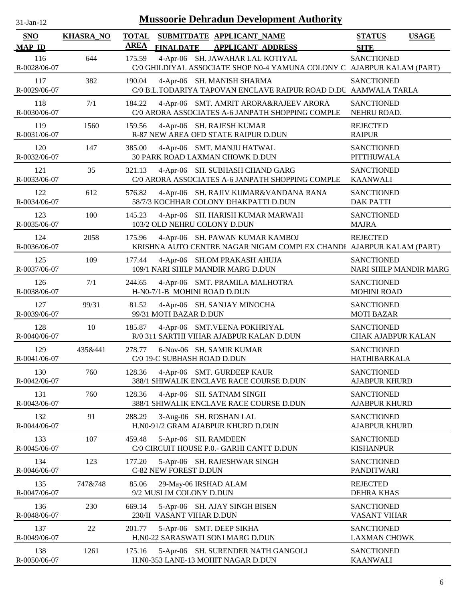| 31-Jan-12           |                  |              | <b>Mussoorie Dehradun Development Authority</b>                                                            |                                                |              |
|---------------------|------------------|--------------|------------------------------------------------------------------------------------------------------------|------------------------------------------------|--------------|
| <b>SNO</b>          | <b>KHASRA_NO</b> | <b>TOTAL</b> | SUBMITDATE APPLICANT NAME                                                                                  | <b>STATUS</b>                                  | <b>USAGE</b> |
| <b>MAP ID</b>       |                  | <b>AREA</b>  | <b>FINALDATE</b><br><b>APPLICANT ADDRESS</b>                                                               | <b>SITE</b>                                    |              |
| 116<br>R-0028/06-07 | 644              | 175.59       | 4-Apr-06 SH. JAWAHAR LAL KOTIYAL<br>C/0 GHILDIYAL ASSOCIATE SHOP N0-4 YAMUNA COLONY C AJABPUR KALAM (PART) | <b>SANCTIONED</b>                              |              |
| 117<br>R-0029/06-07 | 382              | 190.04       | 4-Apr-06 SH. MANISH SHARMA<br>C/0 B.L.TODARIYA TAPOVAN ENCLAVE RAIPUR ROAD D.DU AAMWALA TARLA              | <b>SANCTIONED</b>                              |              |
| 118<br>R-0030/06-07 | 7/1              | 184.22       | 4-Apr-06 SMT. AMRIT ARORA&RAJEEV ARORA<br>C/0 ARORA ASSOCIATES A-6 JANPATH SHOPPING COMPLE                 | <b>SANCTIONED</b><br>NEHRU ROAD.               |              |
| 119<br>R-0031/06-07 | 1560             | 159.56       | 4-Apr-06 SH. RAJESH KUMAR<br>R-87 NEW AREA OFD STATE RAIPUR D.DUN                                          | <b>REJECTED</b><br><b>RAIPUR</b>               |              |
| 120<br>R-0032/06-07 | 147              | 385.00       | 4-Apr-06 SMT. MANJU HATWAL<br>30 PARK ROAD LAXMAN CHOWK D.DUN                                              | <b>SANCTIONED</b><br><b>PITTHUWALA</b>         |              |
| 121<br>R-0033/06-07 | 35               | 321.13       | 4-Apr-06 SH. SUBHASH CHAND GARG<br>C/0 ARORA ASSOCIATES A-6 JANPATH SHOPPING COMPLE                        | <b>SANCTIONED</b><br><b>KAANWALI</b>           |              |
| 122<br>R-0034/06-07 | 612              | 576.82       | 4-Apr-06 SH. RAJIV KUMAR&VANDANA RANA<br>58/7/3 KOCHHAR COLONY DHAKPATTI D.DUN                             | <b>SANCTIONED</b><br><b>DAK PATTI</b>          |              |
| 123<br>R-0035/06-07 | 100              | 145.23       | 4-Apr-06 SH. HARISH KUMAR MARWAH<br>103/2 OLD NEHRU COLONY D.DUN                                           | <b>SANCTIONED</b><br><b>MAJRA</b>              |              |
| 124<br>R-0036/06-07 | 2058             | 175.96       | 4-Apr-06 SH. PAWAN KUMAR KAMBOJ<br>KRISHNA AUTO CENTRE NAGAR NIGAM COMPLEX CHANDI AJABPUR KALAM (PART)     | <b>REJECTED</b>                                |              |
| 125<br>R-0037/06-07 | 109              | 177.44       | 4-Apr-06 SH.OM PRAKASH AHUJA<br>109/1 NARI SHILP MANDIR MARG D.DUN                                         | <b>SANCTIONED</b><br>NARI SHILP MANDIR MARG    |              |
| 126<br>R-0038/06-07 | 7/1              | 244.65       | 4-Apr-06 SMT. PRAMILA MALHOTRA<br>H-N0-7/1-B MOHINI ROAD D.DUN                                             | <b>SANCTIONED</b><br><b>MOHINI ROAD</b>        |              |
| 127<br>R-0039/06-07 | 99/31            | 81.52        | 4-Apr-06 SH. SANJAY MINOCHA<br>99/31 MOTI BAZAR D.DUN                                                      | <b>SANCTIONED</b><br><b>MOTI BAZAR</b>         |              |
| 128<br>R-0040/06-07 | 10               | 185.87       | 4-Apr-06 SMT.VEENA POKHRIYAL<br>R/0 311 SARTHI VIHAR AJABPUR KALAN D.DUN                                   | <b>SANCTIONED</b><br><b>CHAK AJABPUR KALAN</b> |              |
| 129<br>R-0041/06-07 | 435&441          | 278.77       | 6-Nov-06 SH. SAMIR KUMAR<br>C/0 19-C SUBHASH ROAD D.DUN                                                    | <b>SANCTIONED</b><br><b>HATHIBARKALA</b>       |              |
| 130<br>R-0042/06-07 | 760              | 128.36       | 4-Apr-06 SMT. GURDEEP KAUR<br>388/1 SHIWALIK ENCLAVE RACE COURSE D.DUN                                     | <b>SANCTIONED</b><br><b>AJABPUR KHURD</b>      |              |
| 131<br>R-0043/06-07 | 760              | 128.36       | 4-Apr-06 SH. SATNAM SINGH<br>388/1 SHIWALIK ENCLAVE RACE COURSE D.DUN                                      | <b>SANCTIONED</b><br><b>AJABPUR KHURD</b>      |              |
| 132<br>R-0044/06-07 | 91               | 288.29       | 3-Aug-06 SH. ROSHAN LAL<br>H.N0-91/2 GRAM AJABPUR KHURD D.DUN                                              | <b>SANCTIONED</b><br><b>AJABPUR KHURD</b>      |              |
| 133<br>R-0045/06-07 | 107              | 459.48       | 5-Apr-06 SH. RAMDEEN<br>C/0 CIRCUIT HOUSE P.0.- GARHI CANTT D.DUN                                          | <b>SANCTIONED</b><br><b>KISHANPUR</b>          |              |
| 134<br>R-0046/06-07 | 123              | 177.20       | 5-Apr-06 SH. RAJESHWAR SINGH<br>C-82 NEW FOREST D.DUN                                                      | <b>SANCTIONED</b><br><b>PANDITWARI</b>         |              |
| 135<br>R-0047/06-07 | 747&748          | 85.06        | 29-May-06 IRSHAD ALAM<br>9/2 MUSLIM COLONY D.DUN                                                           | <b>REJECTED</b><br><b>DEHRA KHAS</b>           |              |
| 136<br>R-0048/06-07 | 230              | 669.14       | 5-Apr-06 SH. AJAY SINGH BISEN<br>230/II VASANT VIHAR D.DUN                                                 | <b>SANCTIONED</b><br><b>VASANT VIHAR</b>       |              |
| 137<br>R-0049/06-07 | 22               | 201.77       | 5-Apr-06 SMT. DEEP SIKHA<br>H.N0-22 SARASWATI SONI MARG D.DUN                                              | <b>SANCTIONED</b><br><b>LAXMAN CHOWK</b>       |              |
| 138<br>R-0050/06-07 | 1261             | 175.16       | 5-Apr-06 SH. SURENDER NATH GANGOLI<br>H.N0-353 LANE-13 MOHIT NAGAR D.DUN                                   | <b>SANCTIONED</b><br><b>KAANWALI</b>           |              |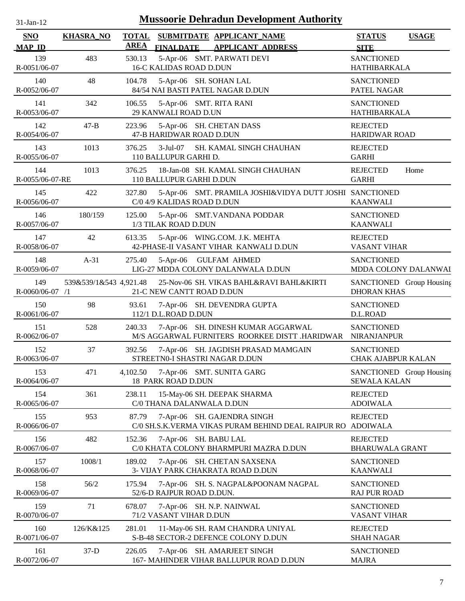| $31$ -Jan-12                |                        |                             | <b>Mussoorie Dehradun Development Authority</b>                                       |                                                 |              |
|-----------------------------|------------------------|-----------------------------|---------------------------------------------------------------------------------------|-------------------------------------------------|--------------|
| <b>SNO</b><br><b>MAP ID</b> | <b>KHASRA_NO</b>       | <b>TOTAL</b><br><b>AREA</b> | SUBMITDATE APPLICANT_NAME<br><b>FINALDATE</b><br><b>APPLICANT ADDRESS</b>             | <b>STATUS</b><br><b>SITE</b>                    | <b>USAGE</b> |
| 139<br>R-0051/06-07         | 483                    | 530.13                      | 5-Apr-06 SMT. PARWATI DEVI<br><b>16-C KALIDAS ROAD D.DUN</b>                          | <b>SANCTIONED</b><br><b>HATHIBARKALA</b>        |              |
| 140<br>R-0052/06-07         | 48                     | 104.78                      | 5-Apr-06 SH. SOHAN LAL<br>84/54 NAI BASTI PATEL NAGAR D.DUN                           | <b>SANCTIONED</b><br>PATEL NAGAR                |              |
| 141<br>R-0053/06-07         | 342                    | 106.55                      | 5-Apr-06 SMT. RITA RANI<br>29 KANWALI ROAD D.UN                                       | <b>SANCTIONED</b><br><b>HATHIBARKALA</b>        |              |
| 142<br>R-0054/06-07         | $47 - B$               | 223.96                      | 5-Apr-06 SH. CHETAN DASS<br>47-B HARIDWAR ROAD D.DUN                                  | <b>REJECTED</b><br><b>HARIDWAR ROAD</b>         |              |
| 143<br>R-0055/06-07         | 1013                   | 376.25                      | $3-Jul-07$<br>SH. KAMAL SINGH CHAUHAN<br>110 BALLUPUR GARHI D.                        | <b>REJECTED</b><br><b>GARHI</b>                 |              |
| 144<br>R-0055/06-07-RE      | 1013                   | 376.25                      | 18-Jan-08 SH. KAMAL SINGH CHAUHAN<br>110 BALLUPUR GARHI D.DUN                         | <b>REJECTED</b><br><b>GARHI</b>                 | Home         |
| 145<br>R-0056/06-07         | 422                    | 327.80                      | 5-Apr-06 SMT. PRAMILA JOSHI&VIDYA DUTT JOSHI SANCTIONED<br>C/0 4/9 KALIDAS ROAD D.DUN | <b>KAANWALI</b>                                 |              |
| 146<br>R-0057/06-07         | 180/159                | 125.00                      | 5-Apr-06 SMT.VANDANA PODDAR<br>1/3 TILAK ROAD D.DUN                                   | <b>SANCTIONED</b><br><b>KAANWALI</b>            |              |
| 147<br>R-0058/06-07         | 42                     | 613.35                      | 5-Apr-06 WING.COM. J.K. MEHTA<br>42-PHASE-II VASANT VIHAR KANWALI D.DUN               | <b>REJECTED</b><br><b>VASANT VIHAR</b>          |              |
| 148<br>R-0059/06-07         | $A-31$                 | 275.40                      | 5-Apr-06 GULFAM AHMED<br>LIG-27 MDDA COLONY DALANWALA D.DUN                           | <b>SANCTIONED</b><br>MDDA COLONY DALANWAI       |              |
| 149<br>R-0060/06-07 /1      | 539&539/1&543 4,921.48 |                             | 25-Nov-06 SH. VIKAS BAHL&RAVI BAHL&KIRTI<br>21-C NEW CANTT ROAD D.DUN                 | SANCTIONED Group Housing<br><b>DHORAN KHAS</b>  |              |
| 150<br>R-0061/06-07         | 98                     | 93.61                       | 7-Apr-06 SH. DEVENDRA GUPTA<br>112/1 D.L.ROAD D.DUN                                   | <b>SANCTIONED</b><br>D.L.ROAD                   |              |
| 151<br>R-0062/06-07         | 528                    | 240.33                      | 7-Apr-06 SH. DINESH KUMAR AGGARWAL<br>M/S AGGARWAL FURNITERS ROORKEE DISTT .HARIDWAR  | <b>SANCTIONED</b><br><b>NIRANJANPUR</b>         |              |
| 152<br>R-0063/06-07         | 37                     | 392.56                      | 7-Apr-06 SH. JAGDISH PRASAD MAMGAIN<br>STREETN0-I SHASTRI NAGAR D.DUN                 | <b>SANCTIONED</b><br><b>CHAK AJABPUR KALAN</b>  |              |
| 153<br>R-0064/06-07         | 471                    | 4,102.50                    | 7-Apr-06 SMT. SUNITA GARG<br>18 PARK ROAD D.DUN                                       | SANCTIONED Group Housing<br><b>SEWALA KALAN</b> |              |
| 154<br>R-0065/06-07         | 361                    | 238.11                      | 15-May-06 SH. DEEPAK SHARMA<br>C/0 THANA DALANWALA D.DUN                              | <b>REJECTED</b><br><b>ADOIWALA</b>              |              |
| 155<br>R-0066/06-07         | 953                    | 87.79                       | 7-Apr-06 SH. GAJENDRA SINGH<br>C/0 SH.S.K.VERMA VIKAS PURAM BEHIND DEAL RAIPUR RO     | <b>REJECTED</b><br><b>ADOIWALA</b>              |              |
| 156<br>R-0067/06-07         | 482                    | 152.36                      | 7-Apr-06 SH. BABU LAL<br>C/0 KHATA COLONY BHARMPURI MAZRA D.DUN                       | <b>REJECTED</b><br><b>BHARUWALA GRANT</b>       |              |
| 157<br>R-0068/06-07         | 1008/1                 | 189.02                      | 7-Apr-06 SH. CHETAN SAXSENA<br>3- VIJAY PARK CHAKRATA ROAD D.DUN                      | <b>SANCTIONED</b><br><b>KAANWALI</b>            |              |
| 158<br>R-0069/06-07         | 56/2                   | 175.94                      | 7-Apr-06 SH. S. NAGPAL&POONAM NAGPAL<br>52/6-D RAJPUR ROAD D.DUN.                     | <b>SANCTIONED</b><br><b>RAJ PUR ROAD</b>        |              |
| 159<br>R-0070/06-07         | 71                     | 678.07                      | 7-Apr-06 SH. N.P. NAINWAL<br>71/2 VASANT VIHAR D.DUN                                  | <b>SANCTIONED</b><br>VASANT VIHAR               |              |
| 160<br>R-0071/06-07         | 126/K&125              | 281.01                      | 11-May-06 SH. RAM CHANDRA UNIYAL<br>S-B-48 SECTOR-2 DEFENCE COLONY D.DUN              | <b>REJECTED</b><br><b>SHAH NAGAR</b>            |              |
| 161<br>R-0072/06-07         | $37-D$                 | 226.05                      | 7-Apr-06 SH. AMARJEET SINGH<br>167- MAHINDER VIHAR BALLUPUR ROAD D.DUN                | <b>SANCTIONED</b><br><b>MAJRA</b>               |              |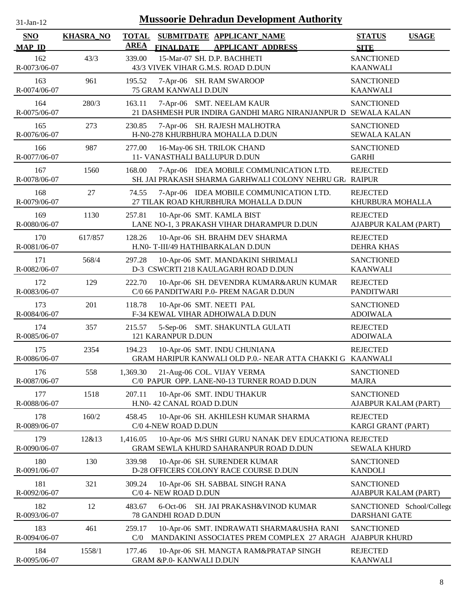| $31-Jan-12$                 |                  | <b>Mussoorie Dehradun Development Authority</b>                                                              |                                              |  |
|-----------------------------|------------------|--------------------------------------------------------------------------------------------------------------|----------------------------------------------|--|
| <b>SNO</b><br><b>MAP ID</b> | <b>KHASRA_NO</b> | <b>TOTAL</b><br>SUBMITDATE APPLICANT_NAME<br><b>AREA</b><br><b>FINALDATE</b><br><b>APPLICANT ADDRESS</b>     | <b>STATUS</b><br><b>USAGE</b><br><b>SITE</b> |  |
| 162<br>R-0073/06-07         | 43/3             | 15-Mar-07 SH. D.P. BACHHETI<br>339.00<br>43/3 VIVEK VIHAR G.M.S. ROAD D.DUN                                  | <b>SANCTIONED</b><br><b>KAANWALI</b>         |  |
| 163<br>R-0074/06-07         | 961              | 195.52<br>7-Apr-06 SH. RAM SWAROOP<br>75 GRAM KANWALI D.DUN                                                  | <b>SANCTIONED</b><br><b>KAANWALI</b>         |  |
| 164<br>R-0075/06-07         | 280/3            | 7-Apr-06 SMT. NEELAM KAUR<br>163.11<br>21 DASHMESH PUR INDIRA GANDHI MARG NIRANJANPUR D SEWALA KALAN         | <b>SANCTIONED</b>                            |  |
| 165<br>R-0076/06-07         | 273              | 230.85<br>7-Apr-06 SH. RAJESH MALHOTRA<br>H-N0-278 KHURBHURA MOHALLA D.DUN                                   | <b>SANCTIONED</b><br><b>SEWALA KALAN</b>     |  |
| 166<br>R-0077/06-07         | 987              | 277.00<br>16-May-06 SH. TRILOK CHAND<br>11- VANASTHALI BALLUPUR D.DUN                                        | <b>SANCTIONED</b><br><b>GARHI</b>            |  |
| 167<br>R-0078/06-07         | 1560             | 168.00<br>7-Apr-06 IDEA MOBILE COMMUNICATION LTD.<br>SH. JAI PRAKASH SHARMA GARHWALI COLONY NEHRU GR. RAIPUR | <b>REJECTED</b>                              |  |
| 168<br>R-0079/06-07         | 27               | 74.55<br>7-Apr-06 IDEA MOBILE COMMUNICATION LTD.<br>27 TILAK ROAD KHURBHURA MOHALLA D.DUN                    | <b>REJECTED</b><br>KHURBURA MOHALLA          |  |
| 169<br>R-0080/06-07         | 1130             | 10-Apr-06 SMT. KAMLA BIST<br>257.81<br>LANE NO-1, 3 PRAKASH VIHAR DHARAMPUR D.DUN                            | <b>REJECTED</b><br>AJABPUR KALAM (PART)      |  |
| 170<br>R-0081/06-07         | 617/857          | 128.26<br>10-Apr-06 SH. BRAHM DEV SHARMA<br>H.N0- T-III/49 HATHIBARKALAN D.DUN                               | <b>REJECTED</b><br><b>DEHRA KHAS</b>         |  |
| 171<br>R-0082/06-07         | 568/4            | 297.28<br>10-Apr-06 SMT. MANDAKINI SHRIMALI<br>D-3 CSWCRTI 218 KAULAGARH ROAD D.DUN                          | <b>SANCTIONED</b><br><b>KAANWALI</b>         |  |
| 172<br>R-0083/06-07         | 129              | 222.70<br>10-Apr-06 SH. DEVENDRA KUMAR&ARUN KUMAR<br>C/0 66 PANDITWARI P.0- PREM NAGAR D.DUN                 | <b>REJECTED</b><br>PANDITWARI                |  |
| 173<br>R-0084/06-07         | 201              | 10-Apr-06 SMT. NEETI PAL<br>118.78<br>F-34 KEWAL VIHAR ADHOIWALA D.DUN                                       | <b>SANCTIONED</b><br><b>ADOIWALA</b>         |  |
| 174<br>R-0085/06-07         | 357              | 5-Sep-06 SMT. SHAKUNTLA GULATI<br>215.57<br>121 KARANPUR D.DUN                                               | <b>REJECTED</b><br><b>ADOIWALA</b>           |  |
| 175<br>R-0086/06-07         | 2354             | 194.23<br>10-Apr-06 SMT. INDU CHUNIANA<br>GRAM HARIPUR KANWALI OLD P.0.- NEAR ATTA CHAKKI G KAANWALI         | <b>REJECTED</b>                              |  |
| 176<br>R-0087/06-07         | 558              | 21-Aug-06 COL. VIJAY VERMA<br>1,369.30<br>C/0 PAPUR OPP. LANE-N0-13 TURNER ROAD D.DUN                        | <b>SANCTIONED</b><br><b>MAJRA</b>            |  |
| 177<br>R-0088/06-07         | 1518             | 207.11<br>10-Apr-06 SMT. INDU THAKUR<br>H.N0- 42 CANAL ROAD D.DUN                                            | <b>SANCTIONED</b><br>AJABPUR KALAM (PART)    |  |
| 178<br>R-0089/06-07         | 160/2            | 458.45<br>10-Apr-06 SH. AKHILESH KUMAR SHARMA<br>C/0 4-NEW ROAD D.DUN                                        | <b>REJECTED</b><br>KARGI GRANT (PART)        |  |
| 179<br>R-0090/06-07         | 12&13            | 1,416.05<br>10-Apr-06 M/S SHRI GURU NANAK DEV EDUCATIONA REJECTED<br>GRAM SEWLA KHURD SAHARANPUR ROAD D.DUN  | <b>SEWALA KHURD</b>                          |  |
| 180<br>R-0091/06-07         | 130              | 339.98<br>10-Apr-06 SH. SURENDER KUMAR<br>D-28 OFFICERS COLONY RACE COURSE D.DUN                             | <b>SANCTIONED</b><br><b>KANDOLI</b>          |  |
| 181<br>R-0092/06-07         | 321              | 309.24<br>10-Apr-06 SH. SABBAL SINGH RANA<br>C/0 4- NEW ROAD D.DUN                                           | <b>SANCTIONED</b><br>AJABPUR KALAM (PART)    |  |
| 182<br>R-0093/06-07         | 12               | 483.67<br>SH. JAI PRAKASH&VINOD KUMAR<br>$6$ -Oct-06<br>78 GANDHI ROAD D.DUN                                 | SANCTIONED School/College<br>DARSHANI GATE   |  |
| 183<br>R-0094/06-07         | 461              | 259.17<br>10-Apr-06 SMT. INDRAWATI SHARMA&USHA RANI<br>C/0<br>MANDAKINI ASSOCIATES PREM COMPLEX 27 ARAGH     | <b>SANCTIONED</b><br><b>AJABPUR KHURD</b>    |  |
| 184<br>R-0095/06-07         | 1558/1           | 10-Apr-06 SH. MANGTA RAM&PRATAP SINGH<br>177.46<br><b>GRAM &amp;P.0- KANWALI D.DUN</b>                       | <b>REJECTED</b><br><b>KAANWALI</b>           |  |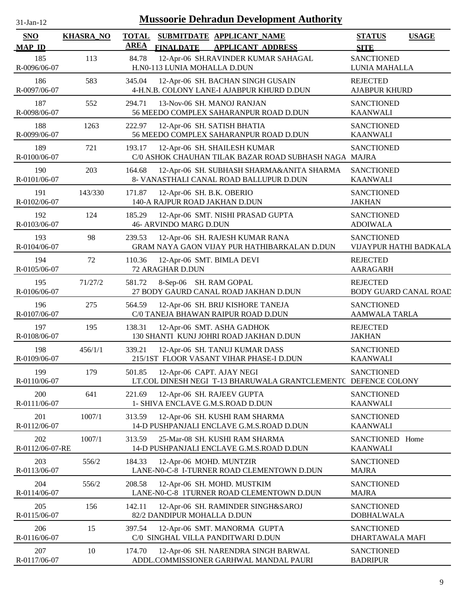| 1-Jan-1<br>$\mathbf{L}$ |  |
|-------------------------|--|
|                         |  |

| SNO                    | <b>KHASRA_NO</b> | <b>TOTAL</b> |                                                             | SUBMITDATE APPLICANT_NAME                                                                   | <b>STATUS</b>                             | <b>USAGE</b>           |
|------------------------|------------------|--------------|-------------------------------------------------------------|---------------------------------------------------------------------------------------------|-------------------------------------------|------------------------|
| <b>MAP ID</b>          |                  | <b>AREA</b>  | <b>FINALDATE</b>                                            | <b>APPLICANT ADDRESS</b>                                                                    | <b>SITE</b>                               |                        |
| 185<br>R-0096/06-07    | 113              | 84.78        | H.N0-113 LUNIA MOHALLA D.DUN                                | 12-Apr-06 SH.RAVINDER KUMAR SAHAGAL                                                         | <b>SANCTIONED</b><br>LUNIA MAHALLA        |                        |
| 186<br>R-0097/06-07    | 583              | 345.04       |                                                             | 12-Apr-06 SH. BACHAN SINGH GUSAIN<br>4-H.N.B. COLONY LANE-I AJABPUR KHURD D.DUN             | <b>REJECTED</b><br><b>AJABPUR KHURD</b>   |                        |
| 187<br>R-0098/06-07    | 552              | 294.71       |                                                             | 13-Nov-06 SH. MANOJ RANJAN<br>56 MEEDO COMPLEX SAHARANPUR ROAD D.DUN                        | <b>SANCTIONED</b><br><b>KAANWALI</b>      |                        |
| 188<br>R-0099/06-07    | 1263             | 222.97       |                                                             | 12-Apr-06 SH. SATISH BHATIA<br>56 MEEDO COMPLEX SAHARANPUR ROAD D.DUN                       | <b>SANCTIONED</b><br><b>KAANWALI</b>      |                        |
| 189<br>R-0100/06-07    | 721              | 193.17       |                                                             | 12-Apr-06 SH. SHAILESH KUMAR<br>C/0 ASHOK CHAUHAN TILAK BAZAR ROAD SUBHASH NAGA MAJRA       | <b>SANCTIONED</b>                         |                        |
| 190<br>R-0101/06-07    | 203              | 164.68       |                                                             | 12-Apr-06 SH. SUBHASH SHARMA&ANITA SHARMA<br>8- VANASTHALI CANAL ROAD BALLUPUR D.DUN        | <b>SANCTIONED</b><br><b>KAANWALI</b>      |                        |
| 191<br>R-0102/06-07    | 143/330          | 171.87       | 12-Apr-06 SH. B.K. OBERIO<br>140-A RAJPUR ROAD JAKHAN D.DUN |                                                                                             | <b>SANCTIONED</b><br><b>JAKHAN</b>        |                        |
| 192<br>R-0103/06-07    | 124              | 185.29       | <b>46- ARVINDO MARG D.DUN</b>                               | 12-Apr-06 SMT. NISHI PRASAD GUPTA                                                           | <b>SANCTIONED</b><br><b>ADOIWALA</b>      |                        |
| 193<br>R-0104/06-07    | 98               | 239.53       |                                                             | 12-Apr-06 SH. RAJESH KUMAR RANA<br>GRAM NAYA GAON VIJAY PUR HATHIBARKALAN D.DUN             | <b>SANCTIONED</b>                         | VIJAYPUR HATHI BADKALA |
| 194<br>R-0105/06-07    | 72               | 110.36       | 72 ARAGHAR D.DUN                                            | 12-Apr-06 SMT. BIMLA DEVI                                                                   | <b>REJECTED</b><br><b>AARAGARH</b>        |                        |
| 195<br>R-0106/06-07    | 71/27/2          | 581.72       | 8-Sep-06 SH. RAM GOPAL                                      | 27 BODY GAURD CANAL ROAD JAKHAN D.DUN                                                       | <b>REJECTED</b>                           | BODY GUARD CANAL ROAD  |
| 196<br>R-0107/06-07    | 275              | 564.59       |                                                             | 12-Apr-06 SH. BRIJ KISHORE TANEJA<br>C/0 TANEJA BHAWAN RAIPUR ROAD D.DUN                    | <b>SANCTIONED</b><br><b>AAMWALA TARLA</b> |                        |
| 197<br>R-0108/06-07    | 195              | 138.31       |                                                             | 12-Apr-06 SMT. ASHA GADHOK<br>130 SHANTI KUNJ JOHRI ROAD JAKHAN D.DUN                       | <b>REJECTED</b><br><b>JAKHAN</b>          |                        |
| 198<br>R-0109/06-07    | 456/1/1          | 339.21       |                                                             | 12-Apr-06 SH. TANUJ KUMAR DASS<br>215/1ST FLOOR VASANT VIHAR PHASE-I D.DUN                  | <b>SANCTIONED</b><br><b>KAANWALI</b>      |                        |
| 199<br>R-0110/06-07    | 179              | 501.85       |                                                             | 12-Apr-06 CAPT. AJAY NEGI<br>LT.COL DINESH NEGI T-13 BHARUWALA GRANTCLEMENTC DEFENCE COLONY | <b>SANCTIONED</b>                         |                        |
| 200<br>R-0111/06-07    | 641              | 221.69       |                                                             | 12-Apr-06 SH. RAJEEV GUPTA<br>1- SHIVA ENCLAVE G.M.S.ROAD D.DUN                             | <b>SANCTIONED</b><br><b>KAANWALI</b>      |                        |
| 201<br>R-0112/06-07    | 1007/1           | 313.59       |                                                             | 12-Apr-06 SH. KUSHI RAM SHARMA<br>14-D PUSHPANJALI ENCLAVE G.M.S.ROAD D.DUN                 | <b>SANCTIONED</b><br><b>KAANWALI</b>      |                        |
| 202<br>R-0112/06-07-RE | 1007/1           | 313.59       |                                                             | 25-Mar-08 SH. KUSHI RAM SHARMA<br>14-D PUSHPANJALI ENCLAVE G.M.S.ROAD D.DUN                 | SANCTIONED Home<br><b>KAANWALI</b>        |                        |
| 203<br>R-0113/06-07    | 556/2            | 184.33       | 12-Apr-06 MOHD. MUNTZIR                                     | LANE-N0-C-8 I-TURNER ROAD CLEMENTOWN D.DUN                                                  | <b>SANCTIONED</b><br><b>MAJRA</b>         |                        |
| 204<br>R-0114/06-07    | 556/2            | 208.58       |                                                             | 12-Apr-06 SH. MOHD. MUSTKIM<br>LANE-N0-C-8 1TURNER ROAD CLEMENTOWN D.DUN                    | <b>SANCTIONED</b><br><b>MAJRA</b>         |                        |
| 205<br>R-0115/06-07    | 156              | 142.11       | 82/2 DANDIPUR MOHALLA D.DUN                                 | 12-Apr-06 SH. RAMINDER SINGH&SAROJ                                                          | <b>SANCTIONED</b><br><b>DOBHALWALA</b>    |                        |
| 206<br>R-0116/06-07    | 15               | 397.54       |                                                             | 12-Apr-06 SMT. MANORMA GUPTA<br>C/0 SINGHAL VILLA PANDITWARI D.DUN                          | <b>SANCTIONED</b><br>DHARTAWALA MAFI      |                        |
| 207<br>R-0117/06-07    | 10               | 174.70       |                                                             | 12-Apr-06 SH. NARENDRA SINGH BARWAL<br>ADDL.COMMISSIONER GARHWAL MANDAL PAURI               | <b>SANCTIONED</b><br><b>BADRIPUR</b>      |                        |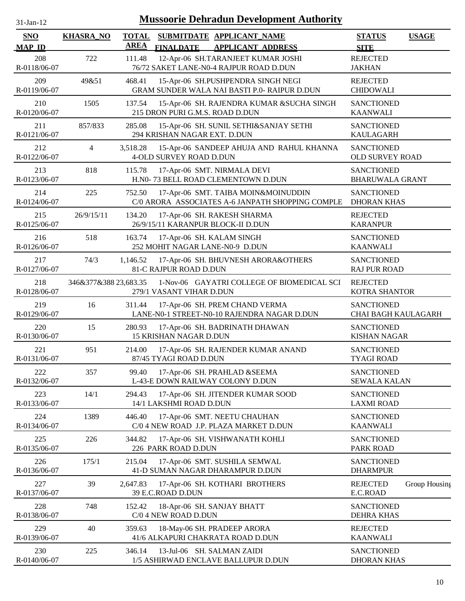| -Jan- |  |
|-------|--|
|       |  |

| SNO<br><b>MAP ID</b> | <b>KHASRA_NO</b>      | <b>TOTAL</b><br><b>AREA</b> | <b>FINALDATE</b>                                             | SUBMITDATE APPLICANT NAME<br><b>APPLICANT ADDRESS</b>                                   | <b>STATUS</b><br><b>SITE</b>                    | <b>USAGE</b>  |
|----------------------|-----------------------|-----------------------------|--------------------------------------------------------------|-----------------------------------------------------------------------------------------|-------------------------------------------------|---------------|
| 208<br>R-0118/06-07  | 722                   | 111.48                      |                                                              | 12-Apr-06 SH.TARANJEET KUMAR JOSHI<br>76/72 SAKET LANE-N0-4 RAJPUR ROAD D.DUN           | <b>REJECTED</b><br><b>JAKHAN</b>                |               |
| 209<br>R-0119/06-07  | 49&51                 | 468.41                      |                                                              | 15-Apr-06 SH.PUSHPENDRA SINGH NEGI<br>GRAM SUNDER WALA NAI BASTI P.0- RAIPUR D.DUN      | <b>REJECTED</b><br><b>CHIDOWALI</b>             |               |
| 210<br>R-0120/06-07  | 1505                  | 137.54                      | 215 DRON PURI G.M.S. ROAD D.DUN                              | 15-Apr-06 SH. RAJENDRA KUMAR &SUCHA SINGH                                               | <b>SANCTIONED</b><br><b>KAANWALI</b>            |               |
| 211<br>R-0121/06-07  | 857/833               | 285.08                      | 294 KRISHAN NAGAR EXT. D.DUN                                 | 15-Apr-06 SH. SUNIL SETHI&SANJAY SETHI                                                  | <b>SANCTIONED</b><br><b>KAULAGARH</b>           |               |
| 212<br>R-0122/06-07  | $\overline{4}$        | 3,518.28                    | <b>4-OLD SURVEY ROAD D.DUN</b>                               | 15-Apr-06 SANDEEP AHUJA AND RAHUL KHANNA                                                | <b>SANCTIONED</b><br><b>OLD SURVEY ROAD</b>     |               |
| 213<br>R-0123/06-07  | 818                   | 115.78                      |                                                              | 17-Apr-06 SMT. NIRMALA DEVI<br>H.N0-73 BELL ROAD CLEMENTOWN D.DUN                       | <b>SANCTIONED</b><br><b>BHARUWALA GRANT</b>     |               |
| 214<br>R-0124/06-07  | 225                   | 752.50                      |                                                              | 17-Apr-06 SMT. TAIBA MOIN&MOINUDDIN<br>C/0 ARORA ASSOCIATES A-6 JANPATH SHOPPING COMPLE | <b>SANCTIONED</b><br><b>DHORAN KHAS</b>         |               |
| 215<br>R-0125/06-07  | 26/9/15/11            | 134.20                      | 26/9/15/11 KARANPUR BLOCK-II D.DUN                           | 17-Apr-06 SH. RAKESH SHARMA                                                             | <b>REJECTED</b><br><b>KARANPUR</b>              |               |
| 216<br>R-0126/06-07  | 518                   | 163.74                      | 17-Apr-06 SH. KALAM SINGH<br>252 MOHIT NAGAR LANE-N0-9 D.DUN |                                                                                         | <b>SANCTIONED</b><br><b>KAANWALI</b>            |               |
| 217<br>R-0127/06-07  | 74/3                  | 1,146.52                    | 81-C RAJPUR ROAD D.DUN                                       | 17-Apr-06 SH. BHUVNESH ARORA&OTHERS                                                     | <b>SANCTIONED</b><br><b>RAJ PUR ROAD</b>        |               |
| 218<br>R-0128/06-07  | 346&377&388 23,683.35 |                             | 279/1 VASANT VIHAR D.DUN                                     | 1-Nov-06 GAYATRI COLLEGE OF BIOMEDICAL SCI                                              | <b>REJECTED</b><br>KOTRA SHANTOR                |               |
| 219<br>R-0129/06-07  | 16                    | 311.44                      |                                                              | 17-Apr-06 SH. PREM CHAND VERMA<br>LANE-N0-1 STREET-N0-10 RAJENDRA NAGAR D.DUN           | <b>SANCTIONED</b><br><b>CHAI BAGH KAULAGARH</b> |               |
| 220<br>R-0130/06-07  | 15                    | 280.93                      | <b>15 KRISHAN NAGAR D.DUN</b>                                | 17-Apr-06 SH. BADRINATH DHAWAN                                                          | <b>SANCTIONED</b><br><b>KISHAN NAGAR</b>        |               |
| 221<br>R-0131/06-07  | 951                   | 214.00                      | 87/45 TYAGI ROAD D.DUN                                       | 17-Apr-06 SH. RAJENDER KUMAR ANAND                                                      | <b>SANCTIONED</b><br><b>TYAGI ROAD</b>          |               |
| 222<br>R-0132/06-07  | 357                   | 99.40                       |                                                              | 17-Apr-06 SH. PRAHLAD &SEEMA<br>L-43-E DOWN RAILWAY COLONY D.DUN                        | <b>SANCTIONED</b><br><b>SEWALA KALAN</b>        |               |
| 223<br>R-0133/06-07  | 14/1                  | 294.43                      | 14/1 LAKSHMI ROAD D.DUN                                      | 17-Apr-06 SH. JITENDER KUMAR SOOD                                                       | <b>SANCTIONED</b><br><b>LAXMI ROAD</b>          |               |
| 224<br>R-0134/06-07  | 1389                  | 446.40                      |                                                              | 17-Apr-06 SMT. NEETU CHAUHAN<br>C/0 4 NEW ROAD J.P. PLAZA MARKET D.DUN                  | <b>SANCTIONED</b><br><b>KAANWALI</b>            |               |
| 225<br>R-0135/06-07  | 226                   | 344.82                      | 226 PARK ROAD D.DUN                                          | 17-Apr-06 SH. VISHWANATH KOHLI                                                          | <b>SANCTIONED</b><br>PARK ROAD                  |               |
| 226<br>R-0136/06-07  | 175/1                 | 215.04                      |                                                              | 17-Apr-06 SMT. SUSHILA SEMWAL<br>41-D SUMAN NAGAR DHARAMPUR D.DUN                       | <b>SANCTIONED</b><br><b>DHARMPUR</b>            |               |
| 227<br>R-0137/06-07  | 39                    | 2,647.83                    | 39 E.C.ROAD D.DUN                                            | 17-Apr-06 SH. KOTHARI BROTHERS                                                          | <b>REJECTED</b><br>E.C.ROAD                     | Group Housing |
| 228<br>R-0138/06-07  | 748                   | 152.42                      | C/0 4 NEW ROAD D.DUN                                         | 18-Apr-06 SH. SANJAY BHATT                                                              | <b>SANCTIONED</b><br><b>DEHRA KHAS</b>          |               |
| 229<br>R-0139/06-07  | 40                    | 359.63                      |                                                              | 18-May-06 SH. PRADEEP ARORA<br>41/6 ALKAPURI CHAKRATA ROAD D.DUN                        | <b>REJECTED</b><br><b>KAANWALI</b>              |               |
| 230<br>R-0140/06-07  | 225                   | 346.14                      | 13-Jul-06 SH. SALMAN ZAIDI                                   | 1/5 ASHIRWAD ENCLAVE BALLUPUR D.DUN                                                     | <b>SANCTIONED</b><br>DHORAN KHAS                |               |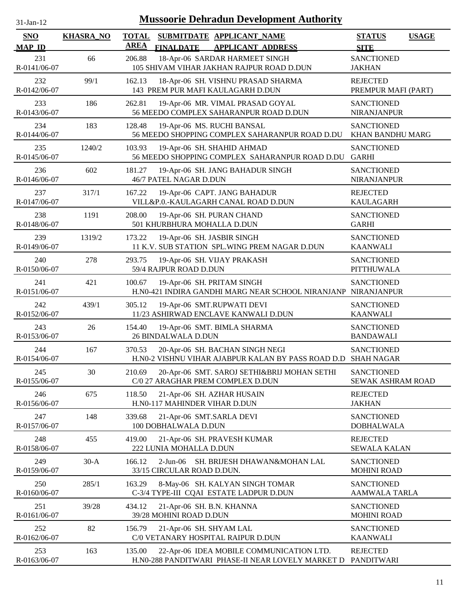| 31-Jan-12                   |                  |                             |                                                             | <b>Mussoorie Dehradun Development Authority</b>                                       |                                         |              |
|-----------------------------|------------------|-----------------------------|-------------------------------------------------------------|---------------------------------------------------------------------------------------|-----------------------------------------|--------------|
| <b>SNO</b><br><b>MAP ID</b> | <b>KHASRA_NO</b> | <b>TOTAL</b><br><b>AREA</b> | <b>FINALDATE</b>                                            | SUBMITDATE APPLICANT NAME<br><b>APPLICANT ADDRESS</b>                                 | <b>STATUS</b><br><b>SITE</b>            | <b>USAGE</b> |
| 231<br>R-0141/06-07         | 66               | 206.88                      |                                                             | 18-Apr-06 SARDAR HARMEET SINGH<br>105 SHIVAM VIHAR JAKHAN RAJPUR ROAD D.DUN           | <b>SANCTIONED</b><br><b>JAKHAN</b>      |              |
| 232<br>R-0142/06-07         | 99/1             | 162.13                      |                                                             | 18-Apr-06 SH. VISHNU PRASAD SHARMA<br>143 PREM PUR MAFI KAULAGARH D.DUN               | <b>REJECTED</b><br>PREMPUR MAFI (PART)  |              |
| 233<br>R-0143/06-07         | 186              | 262.81                      |                                                             | 19-Apr-06 MR. VIMAL PRASAD GOYAL<br>56 MEEDO COMPLEX SAHARANPUR ROAD D.DUN            | <b>SANCTIONED</b><br><b>NIRANJANPUR</b> |              |
| 234<br>R-0144/06-07         | 183              | 128.48                      |                                                             | 19-Apr-06 MS. RUCHI BANSAL<br>56 MEEDO SHOPPING COMPLEX SAHARANPUR ROAD D.DU          | <b>SANCTIONED</b><br>KHAN BANDHU MARG   |              |
| 235<br>R-0145/06-07         | 1240/2           | 103.93                      |                                                             | 19-Apr-06 SH. SHAHID AHMAD<br>56 MEEDO SHOPPING COMPLEX SAHARANPUR ROAD D.DU          | <b>SANCTIONED</b><br><b>GARHI</b>       |              |
| 236<br>R-0146/06-07         | 602              | 181.27                      | 46/7 PATEL NAGAR D.DUN                                      | 19-Apr-06 SH. JANG BAHADUR SINGH                                                      | <b>SANCTIONED</b><br>NIRANJANPUR        |              |
| 237<br>R-0147/06-07         | 317/1            | 167.22                      |                                                             | 19-Apr-06 CAPT. JANG BAHADUR<br>VILL&P.0.-KAULAGARH CANAL ROAD D.DUN                  | <b>REJECTED</b><br><b>KAULAGARH</b>     |              |
| 238<br>R-0148/06-07         | 1191             | 208.00                      | 19-Apr-06 SH. PURAN CHAND<br>501 KHURBHURA MOHALLA D.DUN    |                                                                                       | <b>SANCTIONED</b><br><b>GARHI</b>       |              |
| 239<br>R-0149/06-07         | 1319/2           | 173.22                      | 19-Apr-06 SH. JASBIR SINGH                                  | 11 K.V. SUB STATION SPL.WING PREM NAGAR D.DUN                                         | <b>SANCTIONED</b><br><b>KAANWALI</b>    |              |
| 240<br>R-0150/06-07         | 278              | 293.75                      | 59/4 RAJPUR ROAD D.DUN                                      | 19-Apr-06 SH. VIJAY PRAKASH                                                           | <b>SANCTIONED</b><br>PITTHUWALA         |              |
| 241<br>R-0151/06-07         | 421              | 100.67                      | 19-Apr-06 SH. PRITAM SINGH                                  | H.N0-421 INDIRA GANDHI MARG NEAR SCHOOL NIRANJANP                                     | <b>SANCTIONED</b><br><b>NIRANJANPUR</b> |              |
| 242<br>R-0152/06-07         | 439/1            | 305.12                      |                                                             | 19-Apr-06 SMT.RUPWATI DEVI<br>11/23 ASHIRWAD ENCLAVE KANWALI D.DUN                    | <b>SANCTIONED</b><br><b>KAANWALI</b>    |              |
| 243<br>R-0153/06-07         | 26               | 154.40                      | 26 BINDALWALA D.DUN                                         | 19-Apr-06 SMT. BIMLA SHARMA                                                           | <b>SANCTIONED</b><br><b>BANDAWALI</b>   |              |
| 244<br>R-0154/06-07         | 167              | 370.53                      |                                                             | 20-Apr-06 SH. BACHAN SINGH NEGI<br>H.N0-2 VISHNU VIHAR AJABPUR KALAN BY PASS ROAD D.D | <b>SANCTIONED</b><br><b>SHAH NAGAR</b>  |              |
| 245<br>R-0155/06-07         | 30               | 210.69                      |                                                             | 20-Apr-06 SMT. SAROJ SETHI&BRIJ MOHAN SETHI<br>C/0 27 ARAGHAR PREM COMPLEX D.DUN      | <b>SANCTIONED</b><br>SEWAK ASHRAM ROAD  |              |
| 246<br>R-0156/06-07         | 675              | 118.50                      | 21-Apr-06 SH. AZHAR HUSAIN<br>H.N0-117 MAHINDER VIHAR D.DUN |                                                                                       | <b>REJECTED</b><br><b>JAKHAN</b>        |              |
| 247<br>R-0157/06-07         | 148              | 339.68                      | 21-Apr-06 SMT.SARLA DEVI<br>100 DOBHALWALA D.DUN            |                                                                                       | <b>SANCTIONED</b><br><b>DOBHALWALA</b>  |              |
| 248<br>R-0158/06-07         | 455              | 419.00                      | 222 LUNIA MOHALLA D.DUN                                     | 21-Apr-06 SH. PRAVESH KUMAR                                                           | <b>REJECTED</b><br><b>SEWALA KALAN</b>  |              |
| 249<br>R-0159/06-07         | $30-A$           | 166.12                      | $2-Jun-06$<br>33/15 CIRCULAR ROAD D.DUN.                    | SH. BRIJESH DHAWAN&MOHAN LAL                                                          | <b>SANCTIONED</b><br><b>MOHINI ROAD</b> |              |
| 250<br>R-0160/06-07         | 285/1            | 163.29                      |                                                             | 8-May-06 SH. KALYAN SINGH TOMAR<br>C-3/4 TYPE-III CQAI ESTATE LADPUR D.DUN            | <b>SANCTIONED</b><br>AAMWALA TARLA      |              |
| 251<br>R-0161/06-07         | 39/28            | 434.12                      | 21-Apr-06 SH. B.N. KHANNA<br>39/28 MOHINI ROAD D.DUN        |                                                                                       | <b>SANCTIONED</b><br><b>MOHINI ROAD</b> |              |
| 252<br>R-0162/06-07         | 82               | 156.79                      | 21-Apr-06 SH. SHYAM LAL                                     | C/0 VETANARY HOSPITAL RAIPUR D.DUN                                                    | <b>SANCTIONED</b><br><b>KAANWALI</b>    |              |

163 135.00 22-Apr-06 IDEA MOBILE COMMUNICATION LTD. REJECTED

H.N0-288 PANDITWARI PHASE-II NEAR LOVELY MARKET D PANDITWARI

R-0163/06-07

253 135.00

11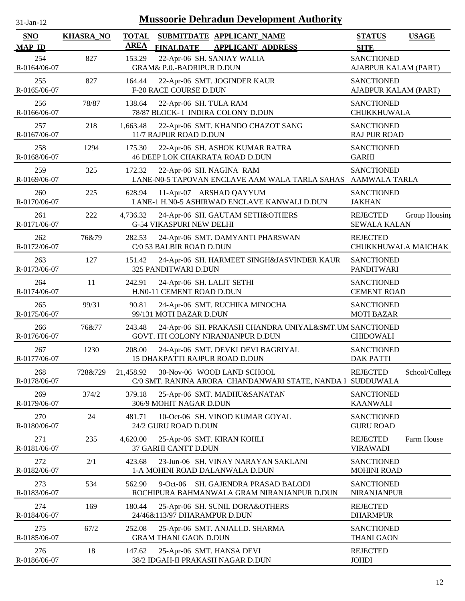| $31$ -Jan-12         |                  |                             |                                                        | <b>Mussoorie Dehradun Development Authority</b>                                              |                                           |                |
|----------------------|------------------|-----------------------------|--------------------------------------------------------|----------------------------------------------------------------------------------------------|-------------------------------------------|----------------|
| SNO<br><b>MAP ID</b> | <b>KHASRA_NO</b> | <b>TOTAL</b><br><b>AREA</b> | <b>FINALDATE</b>                                       | SUBMITDATE APPLICANT NAME<br><b>APPLICANT ADDRESS</b>                                        | <b>STATUS</b><br><b>SITE</b>              | <b>USAGE</b>   |
| 254<br>R-0164/06-07  | 827              | 153.29                      | <b>GRAM&amp; P.O.-BADRIPUR D.DUN</b>                   | 22-Apr-06 SH. SANJAY WALIA                                                                   | <b>SANCTIONED</b><br>AJABPUR KALAM (PART) |                |
| 255<br>R-0165/06-07  | 827              | 164.44                      | <b>F-20 RACE COURSE D.DUN</b>                          | 22-Apr-06 SMT. JOGINDER KAUR                                                                 | <b>SANCTIONED</b><br>AJABPUR KALAM (PART) |                |
| 256<br>R-0166/06-07  | 78/87            | 138.64                      | 22-Apr-06 SH. TULA RAM                                 | 78/87 BLOCK- I INDIRA COLONY D.DUN                                                           | <b>SANCTIONED</b><br>CHUKKHUWALA          |                |
| 257<br>R-0167/06-07  | 218              | 1,663.48                    | 11/7 RAJPUR ROAD D.DUN                                 | 22-Apr-06 SMT. KHANDO CHAZOT SANG                                                            | <b>SANCTIONED</b><br><b>RAJ PUR ROAD</b>  |                |
| 258<br>R-0168/06-07  | 1294             | 175.30                      |                                                        | 22-Apr-06 SH. ASHOK KUMAR RATRA<br>46 DEEP LOK CHAKRATA ROAD D.DUN                           | <b>SANCTIONED</b><br><b>GARHI</b>         |                |
| 259<br>R-0169/06-07  | 325              | 172.32                      | 22-Apr-06 SH. NAGINA RAM                               | LANE-N0-5 TAPOVAN ENCLAVE AAM WALA TARLA SAHAS                                               | <b>SANCTIONED</b><br><b>AAMWALA TARLA</b> |                |
| 260<br>R-0170/06-07  | 225              | 628.94                      |                                                        | 11-Apr-07 ARSHAD QAYYUM<br>LANE-1 H.N0-5 ASHIRWAD ENCLAVE KANWALI D.DUN                      | <b>SANCTIONED</b><br><b>JAKHAN</b>        |                |
| 261<br>R-0171/06-07  | 222              | 4,736.32                    | <b>G-54 VIKASPURI NEW DELHI</b>                        | 24-Apr-06 SH. GAUTAM SETH&OTHERS                                                             | <b>REJECTED</b><br><b>SEWALA KALAN</b>    | Group Housing  |
| 262<br>R-0172/06-07  | 76&79            | 282.53                      | C/0 53 BALBIR ROAD D.DUN                               | 24-Apr-06 SMT. DAMYANTI PHARSWAN                                                             | <b>REJECTED</b><br>CHUKKHUWALA MAICHAK    |                |
| 263<br>R-0173/06-07  | 127              | 151.42                      | 325 PANDITWARI D.DUN                                   | 24-Apr-06 SH. HARMEET SINGH&JASVINDER KAUR                                                   | <b>SANCTIONED</b><br><b>PANDITWARI</b>    |                |
| 264<br>R-0174/06-07  | 11               | 242.91                      | 24-Apr-06 SH. LALIT SETHI<br>H.N0-11 CEMENT ROAD D.DUN |                                                                                              | <b>SANCTIONED</b><br><b>CEMENT ROAD</b>   |                |
| 265<br>R-0175/06-07  | 99/31            | 90.81                       | 99/131 MOTI BAZAR D.DUN                                | 24-Apr-06 SMT. RUCHIKA MINOCHA                                                               | <b>SANCTIONED</b><br><b>MOTI BAZAR</b>    |                |
| 266<br>R-0176/06-07  | 76&77            | 243.48                      |                                                        | 24-Apr-06 SH. PRAKASH CHANDRA UNIYAL&SMT.UM SANCTIONED<br>GOVT. ITI COLONY NIRANJANPUR D.DUN | <b>CHIDOWALI</b>                          |                |
| 267<br>R-0177/06-07  | 1230             | 208.00                      | 15 DHAKPATTI RAJPUR ROAD D.DUN                         | 24-Apr-06 SMT. DEVKI DEVI BAGRIYAL                                                           | <b>SANCTIONED</b><br><b>DAK PATTI</b>     |                |
| 268<br>R-0178/06-07  | 728&729          | 21,458.92                   |                                                        | 30-Nov-06 WOOD LAND SCHOOL<br>C/0 SMT. RANJNA ARORA CHANDANWARI STATE, NANDA 1 SUDDUWALA     | <b>REJECTED</b>                           | School/College |
| 269<br>R-0179/06-07  | 374/2            | 379.18                      | 306/9 MOHIT NAGAR D.DUN                                | 25-Apr-06 SMT. MADHU&SANATAN                                                                 | <b>SANCTIONED</b><br><b>KAANWALI</b>      |                |
| 270<br>R-0180/06-07  | 24               | 481.71                      | 24/2 GURU ROAD D.DUN                                   | 10-Oct-06 SH. VINOD KUMAR GOYAL                                                              | <b>SANCTIONED</b><br><b>GURU ROAD</b>     |                |
| 271<br>R-0181/06-07  | 235              | 4,620.00                    | 37 GARHI CANTT D.DUN                                   | 25-Apr-06 SMT. KIRAN KOHLI                                                                   | <b>REJECTED</b><br><b>VIRAWADI</b>        | Farm House     |
| 272<br>R-0182/06-07  | 2/1              | 423.68                      |                                                        | 23-Jun-06 SH. VINAY NARAYAN SAKLANI<br>1-A MOHINI ROAD DALANWALA D.DUN                       | <b>SANCTIONED</b><br><b>MOHINI ROAD</b>   |                |
| 273<br>R-0183/06-07  | 534              | 562.90                      |                                                        | 9-Oct-06 SH. GAJENDRA PRASAD BALODI<br>ROCHIPURA BAHMANWALA GRAM NIRANJANPUR D.DUN           | <b>SANCTIONED</b><br><b>NIRANJANPUR</b>   |                |
| 274<br>R-0184/06-07  | 169              | 180.44                      | 24/46&113/97 DHARAMPUR D.DUN                           | 25-Apr-06 SH. SUNIL DORA&OTHERS                                                              | <b>REJECTED</b><br><b>DHARMPUR</b>        |                |
| 275<br>R-0185/06-07  | 67/2             | 252.08                      | <b>GRAM THANI GAON D.DUN</b>                           | 25-Apr-06 SMT. ANJALI.D. SHARMA                                                              | <b>SANCTIONED</b><br><b>THANI GAON</b>    |                |
| 276<br>R-0186/06-07  | 18               | 147.62                      |                                                        | 25-Apr-06 SMT. HANSA DEVI<br>38/2 IDGAH-II PRAKASH NAGAR D.DUN                               | <b>REJECTED</b><br><b>JOHDI</b>           |                |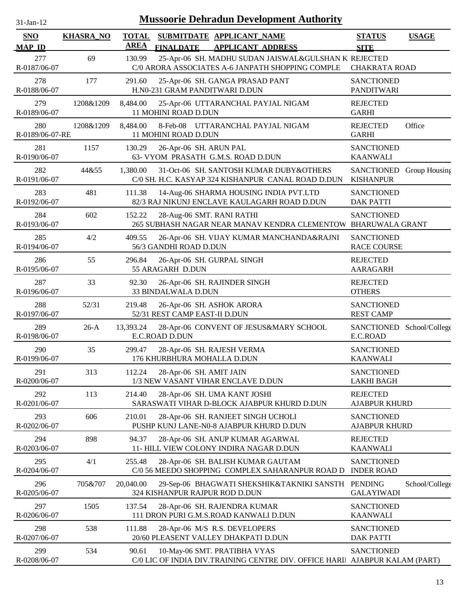| <b>Mussoorie Dehradun Development Authority</b><br>$31$ -Jan-12 |                  |                             |                                                                                                            |                                              |                |  |
|-----------------------------------------------------------------|------------------|-----------------------------|------------------------------------------------------------------------------------------------------------|----------------------------------------------|----------------|--|
| <b>SNO</b><br><b>MAP ID</b>                                     | <b>KHASRA_NO</b> | <b>TOTAL</b><br><b>AREA</b> | SUBMITDATE APPLICANT NAME<br><b>FINALDATE</b><br><b>APPLICANT ADDRESS</b>                                  | <b>STATUS</b><br><b>SITE</b>                 | <b>USAGE</b>   |  |
| 277<br>R-0187/06-07                                             | 69               | 130.99                      | 25-Apr-06 SH. MADHU SUDAN JAISWAL&GULSHAN K REJECTED<br>C/0 ARORA ASSOCIATES A-6 JANPATH SHOPPING COMPLE   | <b>CHAKRATA ROAD</b>                         |                |  |
| 278<br>R-0188/06-07                                             | 177              | 291.60                      | 25-Apr-06 SH. GANGA PRASAD PANT<br>H.N0-231 GRAM PANDITWARI D.DUN                                          | <b>SANCTIONED</b><br><b>PANDITWARI</b>       |                |  |
| 279<br>R-0189/06-07                                             | 1208&1209        | 8,484.00                    | 25-Apr-06 UTTARANCHAL PAYJAL NIGAM<br>11 MOHINI ROAD D.DUN                                                 | <b>REJECTED</b><br><b>GARHI</b>              |                |  |
| 280<br>R-0189/06-07-RE                                          | 1208&1209        | 8,484.00                    | 8-Feb-08 UTTARANCHAL PAYJAL NIGAM<br>11 MOHINI ROAD D.DUN                                                  | <b>REJECTED</b><br><b>GARHI</b>              | Office         |  |
| 281<br>R-0190/06-07                                             | 1157             | 130.29                      | 26-Apr-06 SH. ARUN PAL<br>63- VYOM PRASATH G.M.S. ROAD D.DUN                                               | <b>SANCTIONED</b><br><b>KAANWALI</b>         |                |  |
| 282<br>R-0191/06-07                                             | 44&55            | 1,380.00                    | 31-Oct-06 SH. SANTOSH KUMAR DUBY&OTHERS<br>C/0 SH. H.C. KASYAP 324 KISHANPUR CANAL ROAD D.DUN              | SANCTIONED Group Housing<br><b>KISHANPUR</b> |                |  |
| 283<br>R-0192/06-07                                             | 481              | 111.38                      | 14-Aug-06 SHARMA HOUSING INDIA PVT.LTD<br>82/3 RAJ NIKUNJ ENCLAVE KAULAGARH ROAD D.DUN                     | <b>SANCTIONED</b><br><b>DAK PATTI</b>        |                |  |
| 284<br>R-0193/06-07                                             | 602              | 152.22                      | 28-Aug-06 SMT. RANI RATHI<br>265 SUBHASH NAGAR NEAR MANAV KENDRA CLEMENTOW                                 | <b>SANCTIONED</b><br><b>BHARUWALA GRANT</b>  |                |  |
| 285<br>R-0194/06-07                                             | 4/2              | 409.55                      | 26-Apr-06 SH. VIJAY KUMAR MANCHANDA&RAJNI<br>56/3 GANDHI ROAD D.DUN                                        | <b>SANCTIONED</b><br><b>RACE COURSE</b>      |                |  |
| 286<br>R-0195/06-07                                             | 55               | 296.84                      | 26-Apr-06 SH. GURPAL SINGH<br>55 ARAGARH D.DUN                                                             | <b>REJECTED</b><br><b>AARAGARH</b>           |                |  |
| 287<br>R-0196/06-07                                             | 33               | 92.30                       | 26-Apr-06 SH. RAJINDER SINGH<br>33 BINDALWALA D.DUN                                                        | <b>REJECTED</b><br><b>OTHERS</b>             |                |  |
| 288<br>R-0197/06-07                                             | 52/31            | 219.48                      | 26-Apr-06 SH. ASHOK ARORA<br>52/31 REST CAMP EAST-II D.DUN                                                 | <b>SANCTIONED</b><br><b>REST CAMP</b>        |                |  |
| 289<br>R-0198/06-07                                             | $26-A$           | 13,393.24                   | 28-Apr-06 CONVENT OF JESUS&MARY SCHOOL<br>E.C.ROAD D.DUN                                                   | <b>SANCTIONED</b><br>E.C.ROAD                | School/College |  |
| 290<br>R-0199/06-07                                             | 35               | 299.47                      | 28-Apr-06 SH. RAJESH VERMA<br>176 KHURBHURA MOHALLA D.DUN                                                  | <b>SANCTIONED</b><br><b>KAANWALI</b>         |                |  |
| 291<br>R-0200/06-07                                             | 313              | 112.24                      | 28-Apr-06 SH. AMIT JAIN<br>1/3 NEW VASANT VIHAR ENCLAVE D.DUN                                              | <b>SANCTIONED</b><br><b>LAKHI BAGH</b>       |                |  |
| 292<br>R-0201/06-07                                             | 113              | 214.40                      | 28-Apr-06 SH. UMA KANT JOSHI<br>SARASWATI VIHAR D-BLOCK AJABPUR KHURD D.DUN                                | <b>REJECTED</b><br><b>AJABPUR KHURD</b>      |                |  |
| 293<br>R-0202/06-07                                             | 606              | 210.01                      | 28-Apr-06 SH. RANJEET SINGH UCHOLI<br>PUSHP KUNJ LANE-N0-8 AJABPUR KHURD D.DUN                             | <b>SANCTIONED</b><br><b>AJABPUR KHURD</b>    |                |  |
| 294<br>R-0203/06-07                                             | 898              | 94.37                       | 28-Apr-06 SH. ANUP KUMAR AGARWAL<br>11- HILL VIEW COLONY INDIRA NAGAR D.DUN                                | <b>REJECTED</b><br><b>KAANWALI</b>           |                |  |
| 295<br>R-0204/06-07                                             | 4/1              | 255.48                      | 28-Apr-06 SH. BALISH KUMAR GAUTAM<br>C/0 56 MEEDO SHOPPING COMPLEX SAHARANPUR ROAD D INDER ROAD            | <b>SANCTIONED</b>                            |                |  |
| 296<br>R-0205/06-07                                             | 705&707          | 20,040.00                   | 29-Sep-06 BHAGWATI SHEKSHIK&TAKNIKI SANSTH PENDING<br>324 KISHANPUR RAJPUR ROD D.DUN                       | <b>GALAYIWADI</b>                            | School/College |  |
| 297<br>R-0206/06-07                                             | 1505             | 137.54                      | 28-Apr-06 SH. RAJENDRA KUMAR<br>111 DRON PURI G.M.S.ROAD KANWALI D.DUN                                     | <b>SANCTIONED</b><br><b>KAANWALI</b>         |                |  |
| 298<br>R-0207/06-07                                             | 538              | 111.88                      | 28-Apr-06 M/S R.S. DEVELOPERS<br>20/60 PLEASENT VALLEY DHAKPATI D.DUN                                      | <b>SANCTIONED</b><br><b>DAK PATTI</b>        |                |  |
| 299<br>R-0208/06-07                                             | 534              | 90.61                       | 10-May-06 SMT. PRATIBHA VYAS<br>C/0 LIC OF INDIA DIV.TRAINING CENTRE DIV. OFFICE HARI AJABPUR KALAM (PART) | <b>SANCTIONED</b>                            |                |  |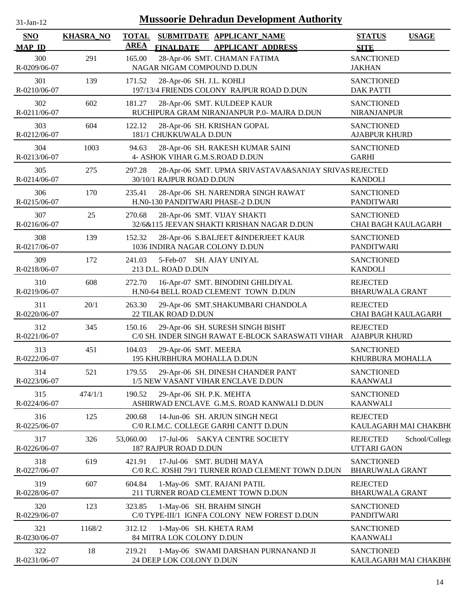| $31$ -Jan-12                |                  | <b>Mussoorie Dehradun Development Authority</b>                                                          |                                                         |
|-----------------------------|------------------|----------------------------------------------------------------------------------------------------------|---------------------------------------------------------|
| <b>SNO</b><br><b>MAP ID</b> | <b>KHASRA_NO</b> | <b>TOTAL</b><br>SUBMITDATE APPLICANT_NAME<br><b>AREA</b><br><b>FINALDATE</b><br><b>APPLICANT ADDRESS</b> | <b>USAGE</b><br><b>STATUS</b><br><b>SITE</b>            |
| 300<br>R-0209/06-07         | 291              | 28-Apr-06 SMT. CHAMAN FATIMA<br>165.00<br>NAGAR NIGAM COMPOUND D.DUN                                     | <b>SANCTIONED</b><br><b>JAKHAN</b>                      |
| 301<br>R-0210/06-07         | 139              | 171.52<br>28-Apr-06 SH. J.L. KOHLI<br>197/13/4 FRIENDS COLONY RAJPUR ROAD D.DUN                          | <b>SANCTIONED</b><br><b>DAK PATTI</b>                   |
| 302<br>R-0211/06-07         | 602              | 181.27<br>28-Apr-06 SMT. KULDEEP KAUR<br>RUCHIPURA GRAM NIRANJANPUR P.0- MAJRA D.DUN                     | <b>SANCTIONED</b><br>NIRANJANPUR                        |
| 303<br>R-0212/06-07         | 604              | 122.12<br>28-Apr-06 SH. KRISHAN GOPAL<br>181/1 CHUKKUWALA D.DUN                                          | <b>SANCTIONED</b><br><b>AJABPUR KHURD</b>               |
| 304<br>R-0213/06-07         | 1003             | 28-Apr-06 SH. RAKESH KUMAR SAINI<br>94.63<br>4- ASHOK VIHAR G.M.S.ROAD D.DUN                             | <b>SANCTIONED</b><br><b>GARHI</b>                       |
| 305<br>R-0214/06-07         | 275              | 297.28<br>28-Apr-06 SMT. UPMA SRIVASTAVA&SANJAY SRIVAS REJECTED<br>30/10/1 RAJPUR ROAD D.DUN             | <b>KANDOLI</b>                                          |
| 306<br>R-0215/06-07         | 170              | 28-Apr-06 SH. NARENDRA SINGH RAWAT<br>235.41<br>H.N0-130 PANDITWARI PHASE-2 D.DUN                        | <b>SANCTIONED</b><br><b>PANDITWARI</b>                  |
| 307<br>R-0216/06-07         | 25               | 270.68<br>28-Apr-06 SMT. VIJAY SHAKTI<br>32/6&115 JEEVAN SHAKTI KRISHAN NAGAR D.DUN                      | <b>SANCTIONED</b><br>CHAI BAGH KAULAGARH                |
| 308<br>R-0217/06-07         | 139              | 152.32<br>28-Apr-06 S.BALJEET &INDERJEET KAUR<br>1036 INDIRA NAGAR COLONY D.DUN                          | <b>SANCTIONED</b><br><b>PANDITWARI</b>                  |
| 309<br>R-0218/06-07         | 172              | 5-Feb-07 SH. AJAY UNIYAL<br>241.03<br>213 D.L. ROAD D.DUN                                                | <b>SANCTIONED</b><br><b>KANDOLI</b>                     |
| 310<br>R-0219/06-07         | 608              | 16-Apr-07 SMT. BINODINI GHILDIYAL<br>272.70<br>H.N0-64 BELL ROAD CLEMENT TOWN D.DUN                      | <b>REJECTED</b><br><b>BHARUWALA GRANT</b>               |
| 311<br>R-0220/06-07         | 20/1             | 263.30<br>29-Apr-06 SMT.SHAKUMBARI CHANDOLA<br>22 TILAK ROAD D.DUN                                       | <b>REJECTED</b><br>CHAI BAGH KAULAGARH                  |
| 312<br>R-0221/06-07         | 345              | 150.16<br>29-Apr-06 SH. SURESH SINGH BISHT<br>C/0 SH. INDER SINGH RAWAT E-BLOCK SARASWATI VIHAR          | <b>REJECTED</b><br><b>AJABPUR KHURD</b>                 |
| 313<br>R-0222/06-07         | 451              | 104.03<br>29-Apr-06 SMT. MEERA<br><b>195 KHURBHURA MOHALLA D.DUN</b>                                     | <b>SANCTIONED</b><br>KHURBURA MOHALLA                   |
| 314<br>R-0223/06-07         | 521              | 29-Apr-06 SH. DINESH CHANDER PANT<br>179.55<br>1/5 NEW VASANT VIHAR ENCLAVE D.DUN                        | <b>SANCTIONED</b><br><b>KAANWALI</b>                    |
| 315<br>R-0224/06-07         | 474/1/1          | 190.52<br>29-Apr-06 SH. P.K. MEHTA<br>ASHIRWAD ENCLAVE G.M.S. ROAD KANWALI D.DUN                         | <b>SANCTIONED</b><br><b>KAANWALI</b>                    |
| 316<br>R-0225/06-07         | 125              | 200.68<br>14-Jun-06 SH. ARJUN SINGH NEGI<br>C/0 R.I.M.C. COLLEGE GARHI CANTT D.DUN                       | <b>REJECTED</b><br>KAULAGARH MAI CHAKBH(                |
| 317<br>R-0226/06-07         | 326              | 53,060.00<br>17-Jul-06 SAKYA CENTRE SOCIETY<br>187 RAJPUR ROAD D.DUN                                     | <b>REJECTED</b><br>School/College<br><b>UTTARI GAON</b> |
| 318<br>R-0227/06-07         | 619              | 17-Jul-06 SMT. BUDHI MAYA<br>421.91<br>C/0 R.C. JOSHI 79/1 TURNER ROAD CLEMENT TOWN D.DUN                | <b>SANCTIONED</b><br><b>BHARUWALA GRANT</b>             |
| 319<br>R-0228/06-07         | 607              | 604.84<br>1-May-06 SMT. RAJANI PATIL<br>211 TURNER ROAD CLEMENT TOWN D.DUN                               | <b>REJECTED</b><br><b>BHARUWALA GRANT</b>               |
| 320<br>R-0229/06-07         | 123              | 323.85<br>1-May-06 SH. BRAHM SINGH<br>C/0 TYPE-III/1 IGNFA COLONY NEW FOREST D.DUN                       | <b>SANCTIONED</b><br><b>PANDITWARI</b>                  |
| 321<br>R-0230/06-07         | 1168/2           | 312.12<br>1-May-06 SH. KHETA RAM<br>84 MITRA LOK COLONY D.DUN                                            | <b>SANCTIONED</b><br><b>KAANWALI</b>                    |
| 322<br>R-0231/06-07         | 18               | 219.21<br>1-May-06 SWAMI DARSHAN PURNANAND JI<br>24 DEEP LOK COLONY D.DUN                                | <b>SANCTIONED</b><br>KAULAGARH MAI CHAKBH(              |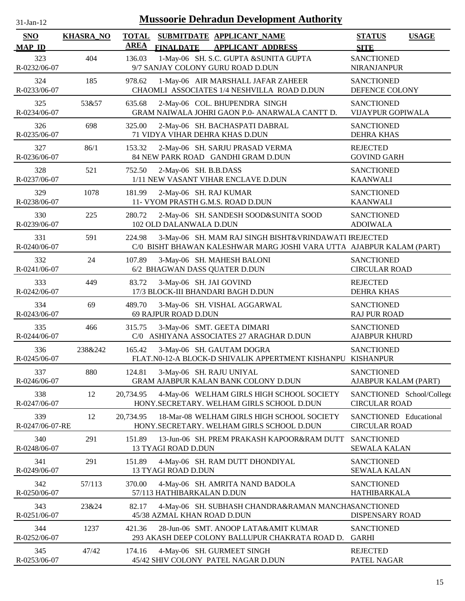| $31$ -Jan-12                |                  |                             | <b>Mussoorie Dehradun Development Authority</b>                                                                               |                                                   |              |
|-----------------------------|------------------|-----------------------------|-------------------------------------------------------------------------------------------------------------------------------|---------------------------------------------------|--------------|
| <b>SNO</b><br><b>MAP ID</b> | <b>KHASRA_NO</b> | <b>TOTAL</b><br><b>AREA</b> | SUBMITDATE APPLICANT_NAME<br><b>FINALDATE</b><br><b>APPLICANT ADDRESS</b>                                                     | <b>STATUS</b><br><b>SITE</b>                      | <b>USAGE</b> |
| 323<br>R-0232/06-07         | 404              | 136.03                      | 1-May-06 SH. S.C. GUPTA &SUNITA GUPTA<br>9/7 SANJAY COLONY GURU ROAD D.DUN                                                    | <b>SANCTIONED</b><br><b>NIRANJANPUR</b>           |              |
| 324<br>R-0233/06-07         | 185              | 978.62                      | 1-May-06 AIR MARSHALL JAFAR ZAHEER<br>CHAOMLI ASSOCIATES 1/4 NESHVILLA ROAD D.DUN                                             | <b>SANCTIONED</b><br>DEFENCE COLONY               |              |
| 325<br>R-0234/06-07         | 53&57            | 635.68                      | 2-May-06 COL. BHUPENDRA SINGH<br>GRAM NAIWALA JOHRI GAON P.0- ANARWALA CANTT D.                                               | <b>SANCTIONED</b><br><b>VIJAYPUR GOPIWALA</b>     |              |
| 326<br>R-0235/06-07         | 698              | 325.00                      | 2-May-06 SH. BACHASPATI DABRAL<br>71 VIDYA VIHAR DEHRA KHAS D.DUN                                                             | <b>SANCTIONED</b><br><b>DEHRA KHAS</b>            |              |
| 327<br>R-0236/06-07         | 86/1             | 153.32                      | 2-May-06 SH. SARJU PRASAD VERMA<br>84 NEW PARK ROAD GANDHI GRAM D.DUN                                                         | <b>REJECTED</b><br><b>GOVIND GARH</b>             |              |
| 328<br>R-0237/06-07         | 521              | 752.50                      | 2-May-06 SH. B.B.DASS<br>1/11 NEW VASANT VIHAR ENCLAVE D.DUN                                                                  | <b>SANCTIONED</b><br><b>KAANWALI</b>              |              |
| 329<br>R-0238/06-07         | 1078             | 181.99                      | 2-May-06 SH. RAJ KUMAR<br>11- VYOM PRASTH G.M.S. ROAD D.DUN                                                                   | <b>SANCTIONED</b><br><b>KAANWALI</b>              |              |
| 330<br>R-0239/06-07         | 225              | 280.72                      | 2-May-06 SH. SANDESH SOOD&SUNITA SOOD<br>102 OLD DALANWALA D.DUN                                                              | <b>SANCTIONED</b><br><b>ADOIWALA</b>              |              |
| 331<br>R-0240/06-07         | 591              | 224.98                      | 3-May-06 SH. MAM RAJ SINGH BISHT&VRINDAWATI IREJECTED<br>C/0 BISHT BHAWAN KALESHWAR MARG JOSHI VARA UTTA AJABPUR KALAM (PART) |                                                   |              |
| 332<br>R-0241/06-07         | 24               | 107.89                      | 3-May-06 SH. MAHESH BALONI<br>6/2 BHAGWAN DASS QUATER D.DUN                                                                   | <b>SANCTIONED</b><br><b>CIRCULAR ROAD</b>         |              |
| 333<br>R-0242/06-07         | 449              | 83.72                       | 3-May-06 SH. JAI GOVIND<br>17/3 BLOCK-III BHANDARI BAGH D.DUN                                                                 | <b>REJECTED</b><br><b>DEHRA KHAS</b>              |              |
| 334<br>R-0243/06-07         | 69               | 489.70                      | 3-May-06 SH. VISHAL AGGARWAL<br>69 RAJPUR ROAD D.DUN                                                                          | <b>SANCTIONED</b><br><b>RAJ PUR ROAD</b>          |              |
| 335<br>R-0244/06-07         | 466              | 315.75                      | 3-May-06 SMT. GEETA DIMARI<br>C/0 ASHIYANA ASSOCIATES 27 ARAGHAR D.DUN                                                        | <b>SANCTIONED</b><br><b>AJABPUR KHURD</b>         |              |
| 336<br>R-0245/06-07         | 238&242          | 165.42                      | 3-May-06 SH. GAUTAM DOGRA<br>FLAT.N0-12-A BLOCK-D SHIVALIK APPERTMENT KISHANPU KISHANPUR                                      | <b>SANCTIONED</b>                                 |              |
| 337<br>R-0246/06-07         | 880              | 124.81                      | 3-May-06 SH. RAJU UNIYAL<br>GRAM AJABPUR KALAN BANK COLONY D.DUN                                                              | <b>SANCTIONED</b><br>AJABPUR KALAM (PART)         |              |
| 338<br>R-0247/06-07         | 12               | 20,734.95                   | 4-May-06 WELHAM GIRLS HIGH SCHOOL SOCIETY<br>HONY.SECRETARY. WELHAM GIRLS SCHOOL D.DUN                                        | SANCTIONED School/College<br><b>CIRCULAR ROAD</b> |              |
| 339<br>R-0247/06-07-RE      | 12               | 20,734.95                   | 18-Mar-08 WELHAM GIRLS HIGH SCHOOL SOCIETY<br>HONY.SECRETARY. WELHAM GIRLS SCHOOL D.DUN                                       | SANCTIONED Educational<br><b>CIRCULAR ROAD</b>    |              |
| 340<br>R-0248/06-07         | 291              | 151.89                      | 13-Jun-06 SH. PREM PRAKASH KAPOOR&RAM DUTT<br>13 TYAGI ROAD D.DUN                                                             | <b>SANCTIONED</b><br><b>SEWALA KALAN</b>          |              |
| 341<br>R-0249/06-07         | 291              | 151.89                      | 4-May-06 SH. RAM DUTT DHONDIYAL<br>13 TYAGI ROAD D.DUN                                                                        | <b>SANCTIONED</b><br><b>SEWALA KALAN</b>          |              |
| 342<br>R-0250/06-07         | 57/113           | 370.00                      | 4-May-06 SH. AMRITA NAND BADOLA<br>57/113 HATHIBARKALAN D.DUN                                                                 | <b>SANCTIONED</b><br><b>HATHIBARKALA</b>          |              |
| 343<br>R-0251/06-07         | 23&24            | 82.17                       | 4-May-06 SH. SUBHASH CHANDRA&RAMAN MANCHASANCTIONED<br>45/38 AZMAL KHAN ROAD D.DUN                                            | DISPENSARY ROAD                                   |              |
| 344<br>R-0252/06-07         | 1237             | 421.36                      | 28-Jun-06 SMT. ANOOP LATA&AMIT KUMAR<br>293 AKASH DEEP COLONY BALLUPUR CHAKRATA ROAD D.                                       | <b>SANCTIONED</b><br><b>GARHI</b>                 |              |
| 345<br>R-0253/06-07         | 47/42            | 174.16                      | 4-May-06 SH. GURMEET SINGH<br>45/42 SHIV COLONY PATEL NAGAR D.DUN                                                             | <b>REJECTED</b><br>PATEL NAGAR                    |              |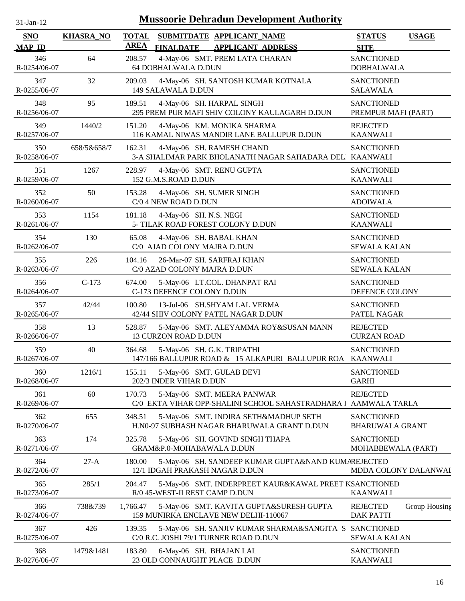| $31$ -Jan-12         |                  | <b>Mussoorie Dehradun Development Authority</b>                                                          |                                                      |
|----------------------|------------------|----------------------------------------------------------------------------------------------------------|------------------------------------------------------|
| SNO<br><b>MAP ID</b> | <b>KHASRA_NO</b> | <b>TOTAL</b><br>SUBMITDATE APPLICANT_NAME<br><b>AREA</b><br><b>FINALDATE</b><br><b>APPLICANT ADDRESS</b> | <b>STATUS</b><br><b>USAGE</b><br><b>SITE</b>         |
| 346<br>R-0254/06-07  | 64               | 4-May-06 SMT. PREM LATA CHARAN<br>208.57<br>64 DOBHALWALA D.DUN                                          | <b>SANCTIONED</b><br><b>DOBHALWALA</b>               |
| 347<br>R-0255/06-07  | 32               | 209.03<br>4-May-06 SH. SANTOSH KUMAR KOTNALA<br>149 SALAWALA D.DUN                                       | <b>SANCTIONED</b><br><b>SALAWALA</b>                 |
| 348<br>R-0256/06-07  | 95               | 4-May-06 SH. HARPAL SINGH<br>189.51<br>295 PREM PUR MAFI SHIV COLONY KAULAGARH D.DUN                     | <b>SANCTIONED</b><br>PREMPUR MAFI (PART)             |
| 349<br>R-0257/06-07  | 1440/2           | 151.20<br>4-May-06 KM. MONIKA SHARMA<br>116 KAMAL NIWAS MANDIR LANE BALLUPUR D.DUN                       | <b>REJECTED</b><br><b>KAANWALI</b>                   |
| 350<br>R-0258/06-07  | 658/5&658/7      | 162.31<br>4-May-06 SH. RAMESH CHAND<br>3-A SHALIMAR PARK BHOLANATH NAGAR SAHADARA DEL KAANWALI           | <b>SANCTIONED</b>                                    |
| 351<br>R-0259/06-07  | 1267             | 228.97<br>4-May-06 SMT. RENU GUPTA<br>152 G.M.S.ROAD D.DUN                                               | <b>SANCTIONED</b><br><b>KAANWALI</b>                 |
| 352<br>R-0260/06-07  | 50               | 4-May-06 SH. SUMER SINGH<br>153.28<br>C/0 4 NEW ROAD D.DUN                                               | <b>SANCTIONED</b><br><b>ADOIWALA</b>                 |
| 353<br>R-0261/06-07  | 1154             | 4-May-06 SH. N.S. NEGI<br>181.18<br>5- TILAK ROAD FOREST COLONY D.DUN                                    | <b>SANCTIONED</b><br><b>KAANWALI</b>                 |
| 354<br>R-0262/06-07  | 130              | 65.08<br>4-May-06 SH. BABAL KHAN<br>C/0 AJAD COLONY MAJRA D.DUN                                          | <b>SANCTIONED</b><br><b>SEWALA KALAN</b>             |
| 355<br>R-0263/06-07  | 226              | 26-Mar-07 SH. SARFRAJ KHAN<br>104.16<br>C/0 AZAD COLONY MAJRA D.DUN                                      | <b>SANCTIONED</b><br><b>SEWALA KALAN</b>             |
| 356<br>R-0264/06-07  | $C-173$          | 674.00<br>5-May-06 LT.COL. DHANPAT RAI<br>C-173 DEFENCE COLONY D.DUN                                     | <b>SANCTIONED</b><br>DEFENCE COLONY                  |
| 357<br>R-0265/06-07  | 42/44            | 100.80<br>13-Jul-06 SH.SHYAM LAL VERMA<br>42/44 SHIV COLONY PATEL NAGAR D.DUN                            | <b>SANCTIONED</b><br>PATEL NAGAR                     |
| 358<br>R-0266/06-07  | 13               | 528.87<br>5-May-06 SMT. ALEYAMMA ROY&SUSAN MANN<br>13 CURZON ROAD D.DUN                                  | <b>REJECTED</b><br><b>CURZAN ROAD</b>                |
| 359<br>R-0267/06-07  | 40               | 364.68<br>5-May-06 SH. G.K. TRIPATHI<br>147/166 BALLUPUR ROAD & 15 ALKAPURI BALLUPUR ROA KAANWALI        | <b>SANCTIONED</b>                                    |
| 360<br>R-0268/06-07  | 1216/1           | 5-May-06 SMT. GULAB DEVI<br>155.11<br>202/3 INDER VIHAR D.DUN                                            | <b>SANCTIONED</b><br><b>GARHI</b>                    |
| 361<br>R-0269/06-07  | 60               | 170.73<br>5-May-06 SMT. MEERA PANWAR<br>C/0 EKTA VIHAR OPP-SHALINI SCHOOL SAHASTRADHARA   AAMWALA TARLA  | <b>REJECTED</b>                                      |
| 362<br>R-0270/06-07  | 655              | 5-May-06 SMT. INDIRA SETH&MADHUP SETH<br>348.51<br>H.N0-97 SUBHASH NAGAR BHARUWALA GRANT D.DUN           | <b>SANCTIONED</b><br><b>BHARUWALA GRANT</b>          |
| 363<br>R-0271/06-07  | 174              | 325.78<br>5-May-06 SH. GOVIND SINGH THAPA<br>GRAM&P.0-MOHABAWALA D.DUN                                   | <b>SANCTIONED</b><br>MOHABBEWALA (PART)              |
| 364<br>R-0272/06-07  | $27-A$           | 180.00<br>5-May-06 SH. SANDEEP KUMAR GUPTA&NAND KUMAREJECTED<br>12/1 IDGAH PRAKASH NAGAR D.DUN           | MDDA COLONY DALANWAI                                 |
| 365<br>R-0273/06-07  | 285/1            | 204.47<br>5-May-06 SMT. INDERPREET KAUR&KAWAL PREET KSANCTIONED<br>R/0 45-WEST-II REST CAMP D.DUN        | <b>KAANWALI</b>                                      |
| 366<br>R-0274/06-07  | 738&739          | 1,766.47<br>5-May-06 SMT. KAVITA GUPTA&SURESH GUPTA<br>159 MUNIRKA ENCLAVE NEW DELHI-110067              | Group Housing<br><b>REJECTED</b><br><b>DAK PATTI</b> |
| 367<br>R-0275/06-07  | 426              | 139.35<br>5-May-06 SH. SANJIV KUMAR SHARMA&SANGITA S SANCTIONED<br>C/0 R.C. JOSHI 79/1 TURNER ROAD D.DUN | <b>SEWALA KALAN</b>                                  |
| 368<br>R-0276/06-07  | 1479&1481        | 183.80<br>6-May-06 SH. BHAJAN LAL<br>23 OLD CONNAUGHT PLACE D.DUN                                        | <b>SANCTIONED</b><br><b>KAANWALI</b>                 |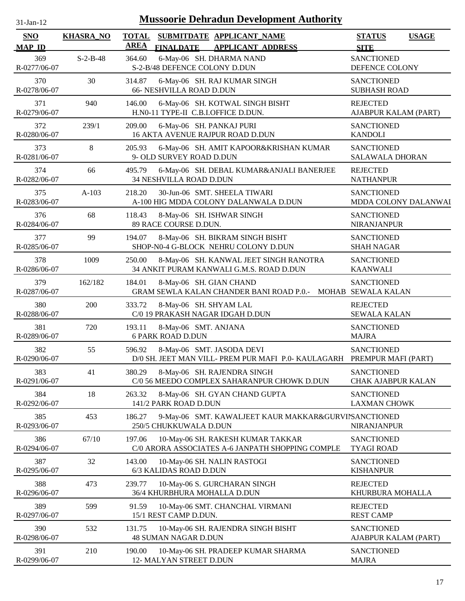| -Jan- |  |
|-------|--|
|       |  |

| <b>SNO</b>          | <b>KHASRA_NO</b> | <b>TOTAL</b><br><b>AREA</b> | SUBMITDATE APPLICANT_NAME                                                                            | <b>STATUS</b><br><b>USAGE</b>               |
|---------------------|------------------|-----------------------------|------------------------------------------------------------------------------------------------------|---------------------------------------------|
| <b>MAP ID</b>       |                  |                             | <b>FINALDATE</b><br><b>APPLICANT ADDRESS</b>                                                         | <b>SITE</b>                                 |
| 369<br>R-0277/06-07 | $S-2-B-48$       | 364.60                      | 6-May-06 SH. DHARMA NAND<br>S-2-B/48 DEFENCE COLONY D.DUN                                            | <b>SANCTIONED</b><br>DEFENCE COLONY         |
| 370<br>R-0278/06-07 | 30               | 314.87                      | 6-May-06 SH. RAJ KUMAR SINGH<br><b>66- NESHVILLA ROAD D.DUN</b>                                      | <b>SANCTIONED</b><br><b>SUBHASH ROAD</b>    |
| 371<br>R-0279/06-07 | 940              | 146.00                      | 6-May-06 SH. KOTWAL SINGH BISHT<br>H.N0-11 TYPE-II C.B.I.OFFICE D.DUN.                               | <b>REJECTED</b><br>AJABPUR KALAM (PART)     |
| 372<br>R-0280/06-07 | 239/1            | 209.00                      | 6-May-06 SH. PANKAJ PURI<br>16 AKTA AVENUE RAJPUR ROAD D.DUN                                         | <b>SANCTIONED</b><br><b>KANDOLI</b>         |
| 373<br>R-0281/06-07 | 8                | 205.93                      | 6-May-06 SH. AMIT KAPOOR&KRISHAN KUMAR<br>9- OLD SURVEY ROAD D.DUN                                   | <b>SANCTIONED</b><br><b>SALAWALA DHORAN</b> |
| 374<br>R-0282/06-07 | 66               | 495.79                      | 6-May-06 SH. DEBAL KUMAR&ANJALI BANERJEE<br>34 NESHVILLA ROAD D.DUN                                  | <b>REJECTED</b><br><b>NATHANPUR</b>         |
| 375<br>R-0283/06-07 | $A-103$          | 218.20                      | 30-Jun-06 SMT. SHEELA TIWARI<br>A-100 HIG MDDA COLONY DALANWALA D.DUN                                | <b>SANCTIONED</b><br>MDDA COLONY DALANWAI   |
| 376<br>R-0284/06-07 | 68               | 118.43                      | 8-May-06 SH. ISHWAR SINGH<br>89 RACE COURSE D.DUN.                                                   | <b>SANCTIONED</b><br><b>NIRANJANPUR</b>     |
| 377<br>R-0285/06-07 | 99               | 194.07                      | 8-May-06 SH. BIKRAM SINGH BISHT<br>SHOP-N0-4 G-BLOCK NEHRU COLONY D.DUN                              | <b>SANCTIONED</b><br><b>SHAH NAGAR</b>      |
| 378<br>R-0286/06-07 | 1009             | 250.00                      | 8-May-06 SH. KANWAL JEET SINGH RANOTRA<br>34 ANKIT PURAM KANWALI G.M.S. ROAD D.DUN                   | <b>SANCTIONED</b><br><b>KAANWALI</b>        |
| 379<br>R-0287/06-07 | 162/182          | 184.01                      | 8-May-06 SH. GIAN CHAND<br>GRAM SEWLA KALAN CHANDER BANI ROAD P.0.- MOHAB SEWALA KALAN               | <b>SANCTIONED</b>                           |
| 380<br>R-0288/06-07 | 200              | 333.72                      | 8-May-06 SH. SHYAM LAL<br>C/0 19 PRAKASH NAGAR IDGAH D.DUN                                           | <b>REJECTED</b><br><b>SEWALA KALAN</b>      |
| 381<br>R-0289/06-07 | 720              | 193.11                      | 8-May-06 SMT. ANJANA<br><b>6 PARK ROAD D.DUN</b>                                                     | <b>SANCTIONED</b><br><b>MAJRA</b>           |
| 382<br>R-0290/06-07 | 55               | 596.92                      | 8-May-06 SMT. JASODA DEVI<br>D/0 SH. JEET MAN VILL- PREM PUR MAFI P.0- KAULAGARH PREMPUR MAFI (PART) | <b>SANCTIONED</b>                           |
| 383<br>R-0291/06-07 | 41               | 380.29                      | 8-May-06 SH. RAJENDRA SINGH<br>C/0 56 MEEDO COMPLEX SAHARANPUR CHOWK D.DUN                           | <b>SANCTIONED</b><br>CHAK AJABPUR KALAN     |
| 384<br>R-0292/06-07 | 18               | 263.32                      | 8-May-06 SH. GYAN CHAND GUPTA<br>141/2 PARK ROAD D.DUN                                               | <b>SANCTIONED</b><br><b>LAXMAN CHOWK</b>    |
| 385<br>R-0293/06-07 | 453              | 186.27                      | 9-May-06 SMT. KAWALJEET KAUR MAKKAR&GURVINSANCTIONED<br>250/5 CHUKKUWALA D.DUN                       | <b>NIRANJANPUR</b>                          |
| 386<br>R-0294/06-07 | 67/10            | 197.06                      | 10-May-06 SH. RAKESH KUMAR TAKKAR<br>C/0 ARORA ASSOCIATES A-6 JANPATH SHOPPING COMPLE                | <b>SANCTIONED</b><br><b>TYAGI ROAD</b>      |
| 387<br>R-0295/06-07 | 32               | 143.00                      | 10-May-06 SH. NALIN RASTOGI<br>6/3 KALIDAS ROAD D.DUN                                                | <b>SANCTIONED</b><br><b>KISHANPUR</b>       |
| 388<br>R-0296/06-07 | 473              | 239.77                      | 10-May-06 S. GURCHARAN SINGH<br>36/4 KHURBHURA MOHALLA D.DUN                                         | <b>REJECTED</b><br>KHURBURA MOHALLA         |
| 389<br>R-0297/06-07 | 599              | 91.59                       | 10-May-06 SMT. CHANCHAL VIRMANI<br>15/1 REST CAMP D.DUN.                                             | <b>REJECTED</b><br><b>REST CAMP</b>         |
| 390<br>R-0298/06-07 | 532              | 131.75                      | 10-May-06 SH. RAJENDRA SINGH BISHT<br><b>48 SUMAN NAGAR D.DUN</b>                                    | <b>SANCTIONED</b><br>AJABPUR KALAM (PART)   |
| 391<br>R-0299/06-07 | 210              | 190.00                      | 10-May-06 SH. PRADEEP KUMAR SHARMA<br>12- MALYAN STREET D.DUN                                        | <b>SANCTIONED</b><br><b>MAJRA</b>           |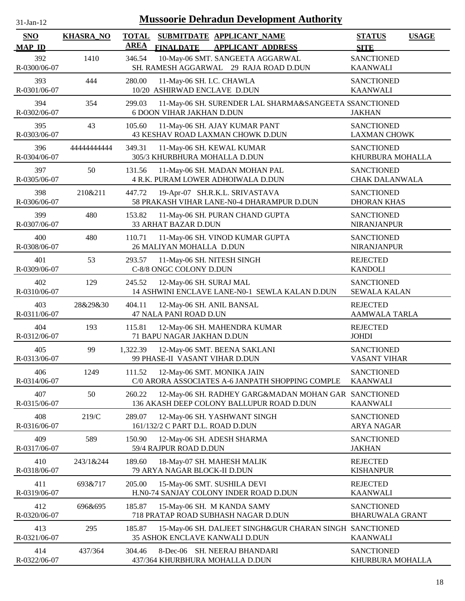| $31-Jan-12$          |                  | <b>Mussoorie Dehradun Development Authority</b>                                                             |                                             |              |
|----------------------|------------------|-------------------------------------------------------------------------------------------------------------|---------------------------------------------|--------------|
| SNO<br><b>MAP ID</b> | <b>KHASRA_NO</b> | <b>TOTAL</b><br>SUBMITDATE APPLICANT NAME<br><b>AREA</b><br><b>FINALDATE</b><br><b>APPLICANT ADDRESS</b>    | <b>STATUS</b><br><b>SITE</b>                | <b>USAGE</b> |
| 392<br>R-0300/06-07  | 1410             | 10-May-06 SMT. SANGEETA AGGARWAL<br>346.54<br>SH. RAMESH AGGARWAL 29 RAJA ROAD D.DUN                        | <b>SANCTIONED</b><br><b>KAANWALI</b>        |              |
| 393<br>R-0301/06-07  | 444              | 280.00<br>11-May-06 SH. I.C. CHAWLA<br>10/20 ASHIRWAD ENCLAVE D.DUN                                         | <b>SANCTIONED</b><br><b>KAANWALI</b>        |              |
| 394<br>R-0302/06-07  | 354              | 11-May-06 SH. SURENDER LAL SHARMA&SANGEETA SSANCTIONED<br>299.03<br><b>6 DOON VIHAR JAKHAN D.DUN</b>        | <b>JAKHAN</b>                               |              |
| 395<br>R-0303/06-07  | 43               | 105.60<br>11-May-06 SH. AJAY KUMAR PANT<br>43 KESHAV ROAD LAXMAN CHOWK D.DUN                                | <b>SANCTIONED</b><br><b>LAXMAN CHOWK</b>    |              |
| 396<br>R-0304/06-07  | 4444444444       | 349.31<br>11-May-06 SH. KEWAL KUMAR<br>305/3 KHURBHURA MOHALLA D.DUN                                        | <b>SANCTIONED</b><br>KHURBURA MOHALLA       |              |
| 397<br>R-0305/06-07  | 50               | 131.56<br>11-May-06 SH. MADAN MOHAN PAL<br>4 R.K. PURAM LOWER ADHOIWALA D.DUN                               | <b>SANCTIONED</b><br>CHAK DALANWALA         |              |
| 398<br>R-0306/06-07  | 210&211          | 19-Apr-07 SH.R.K.L. SRIVASTAVA<br>447.72<br>58 PRAKASH VIHAR LANE-N0-4 DHARAMPUR D.DUN                      | <b>SANCTIONED</b><br><b>DHORAN KHAS</b>     |              |
| 399<br>R-0307/06-07  | 480              | 153.82<br>11-May-06 SH. PURAN CHAND GUPTA<br>33 ARHAT BAZAR D.DUN                                           | <b>SANCTIONED</b><br><b>NIRANJANPUR</b>     |              |
| 400<br>R-0308/06-07  | 480              | 11-May-06 SH. VINOD KUMAR GUPTA<br>110.71<br>26 MALIYAN MOHALLA D.DUN                                       | <b>SANCTIONED</b><br><b>NIRANJANPUR</b>     |              |
| 401<br>R-0309/06-07  | 53               | 293.57<br>11-May-06 SH. NITESH SINGH<br>C-8/8 ONGC COLONY D.DUN                                             | <b>REJECTED</b><br><b>KANDOLI</b>           |              |
| 402<br>R-0310/06-07  | 129              | 245.52<br>12-May-06 SH. SURAJ MAL<br>14 ASHWINI ENCLAVE LANE-N0-1 SEWLA KALAN D.DUN                         | <b>SANCTIONED</b><br><b>SEWALA KALAN</b>    |              |
| 403<br>R-0311/06-07  | 28&29&30         | 404.11<br>12-May-06 SH. ANIL BANSAL<br>47 NALA PANI ROAD D.UN                                               | <b>REJECTED</b><br><b>AAMWALA TARLA</b>     |              |
| 404<br>R-0312/06-07  | 193              | 115.81<br>12-May-06 SH. MAHENDRA KUMAR<br>71 BAPU NAGAR JAKHAN D.DUN                                        | <b>REJECTED</b><br><b>JOHDI</b>             |              |
| 405<br>R-0313/06-07  | 99               | 1,322.39<br>12-May-06 SMT. BEENA SAKLANI<br>99 PHASE-II VASANT VIHAR D.DUN                                  | <b>SANCTIONED</b><br>VASANT VIHAR           |              |
| 406<br>R-0314/06-07  | 1249             | 12-May-06 SMT. MONIKA JAIN<br>111.52<br>C/0 ARORA ASSOCIATES A-6 JANPATH SHOPPING COMPLE                    | <b>SANCTIONED</b><br><b>KAANWALI</b>        |              |
| 407<br>R-0315/06-07  | 50               | 260.22<br>12-May-06 SH. RADHEY GARG&MADAN MOHAN GAR SANCTIONED<br>136 AKASH DEEP COLONY BALLUPUR ROAD D.DUN | <b>KAANWALI</b>                             |              |
| 408<br>R-0316/06-07  | 219/C            | 289.07<br>12-May-06 SH. YASHWANT SINGH<br>161/132/2 C PART D.L. ROAD D.DUN                                  | <b>SANCTIONED</b><br><b>ARYA NAGAR</b>      |              |
| 409<br>R-0317/06-07  | 589              | 150.90<br>12-May-06 SH. ADESH SHARMA<br>59/4 RAJPUR ROAD D.DUN                                              | <b>SANCTIONED</b><br><b>JAKHAN</b>          |              |
| 410<br>R-0318/06-07  | 243/1&244        | 18-May-07 SH. MAHESH MALIK<br>189.60<br>79 ARYA NAGAR BLOCK-II D.DUN                                        | <b>REJECTED</b><br><b>KISHANPUR</b>         |              |
| 411<br>R-0319/06-07  | 693&717          | 205.00<br>15-May-06 SMT. SUSHILA DEVI<br>H.N0-74 SANJAY COLONY INDER ROAD D.DUN                             | <b>REJECTED</b><br><b>KAANWALI</b>          |              |
| 412<br>R-0320/06-07  | 696&695          | 185.87<br>15-May-06 SH. M KANDA SAMY<br>718 PRATAP ROAD SUBHASH NAGAR D.DUN                                 | <b>SANCTIONED</b><br><b>BHARUWALA GRANT</b> |              |
| 413<br>R-0321/06-07  | 295              | 185.87<br>15-May-06 SH. DALJEET SINGH&GUR CHARAN SINGH SANCTIONED<br>35 ASHOK ENCLAVE KANWALI D.DUN         | <b>KAANWALI</b>                             |              |
| 414<br>R-0322/06-07  | 437/364          | 304.46<br>8-Dec-06 SH. NEERAJ BHANDARI<br>437/364 KHURBHURA MOHALLA D.DUN                                   | <b>SANCTIONED</b><br>KHURBURA MOHALLA       |              |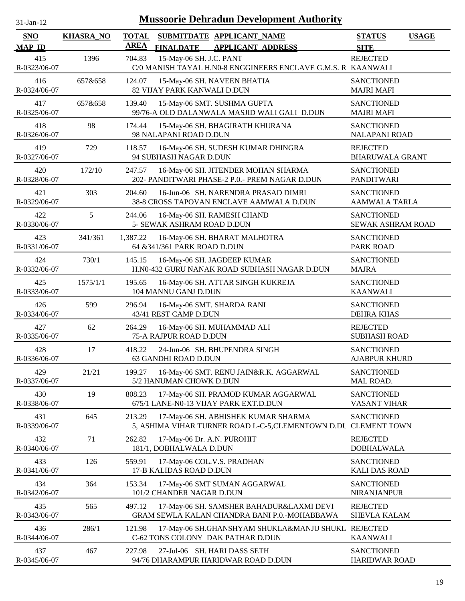| $31-Jan-12$                 | <b>Mussoorie Dehradun Development Authority</b> |                                                                                                          |                                              |  |  |  |  |
|-----------------------------|-------------------------------------------------|----------------------------------------------------------------------------------------------------------|----------------------------------------------|--|--|--|--|
| <b>SNO</b><br><b>MAP ID</b> | <b>KHASRA_NO</b>                                | <b>TOTAL</b><br>SUBMITDATE APPLICANT_NAME<br><b>AREA</b><br><b>APPLICANT ADDRESS</b><br><b>FINALDATE</b> | <b>STATUS</b><br><b>USAGE</b><br><b>SITE</b> |  |  |  |  |
| 415<br>R-0323/06-07         | 1396                                            | 15-May-06 SH. J.C. PANT<br>704.83<br>C/0 MANISH TAYAL H.N0-8 ENGGINEERS ENCLAVE G.M.S. R KAANWALI        | <b>REJECTED</b>                              |  |  |  |  |
| 416<br>R-0324/06-07         | 657&658                                         | 124.07<br>15-May-06 SH. NAVEEN BHATIA<br>82 VIJAY PARK KANWALI D.DUN                                     | <b>SANCTIONED</b><br><b>MAJRI MAFI</b>       |  |  |  |  |
| 417<br>R-0325/06-07         | 657&658                                         | 139.40<br>15-May-06 SMT. SUSHMA GUPTA<br>99/76-A OLD DALANWALA MASJID WALI GALI D.DUN                    | <b>SANCTIONED</b><br><b>MAJRI MAFI</b>       |  |  |  |  |
| 418<br>R-0326/06-07         | 98                                              | 174.44<br>15-May-06 SH. BHAGIRATH KHURANA<br>98 NALAPANI ROAD D.DUN                                      | <b>SANCTIONED</b><br><b>NALAPANI ROAD</b>    |  |  |  |  |
| 419<br>R-0327/06-07         | 729                                             | 16-May-06 SH. SUDESH KUMAR DHINGRA<br>118.57<br>94 SUBHASH NAGAR D.DUN                                   | <b>REJECTED</b><br><b>BHARUWALA GRANT</b>    |  |  |  |  |
| 420<br>R-0328/06-07         | 172/10                                          | 16-May-06 SH. JITENDER MOHAN SHARMA<br>247.57<br>202- PANDITWARI PHASE-2 P.0.- PREM NAGAR D.DUN          | <b>SANCTIONED</b><br><b>PANDITWARI</b>       |  |  |  |  |
| 421<br>R-0329/06-07         | 303                                             | 16-Jun-06 SH. NARENDRA PRASAD DIMRI<br>204.60<br>38-8 CROSS TAPOVAN ENCLAVE AAMWALA D.DUN                | <b>SANCTIONED</b><br><b>AAMWALA TARLA</b>    |  |  |  |  |
| 422<br>R-0330/06-07         | 5                                               | 244.06<br>16-May-06 SH. RAMESH CHAND<br>5- SEWAK ASHRAM ROAD D.DUN                                       | <b>SANCTIONED</b><br>SEWAK ASHRAM ROAD       |  |  |  |  |
| 423<br>R-0331/06-07         | 341/361                                         | 1,387.22<br>16-May-06 SH. BHARAT MALHOTRA<br>64 &341/361 PARK ROAD D.DUN                                 | <b>SANCTIONED</b><br>PARK ROAD               |  |  |  |  |
| 424<br>R-0332/06-07         | 730/1                                           | 145.15<br>16-May-06 SH. JAGDEEP KUMAR<br>H.N0-432 GURU NANAK ROAD SUBHASH NAGAR D.DUN                    | <b>SANCTIONED</b><br><b>MAJRA</b>            |  |  |  |  |
| 425<br>R-0333/06-07         | 1575/1/1                                        | 195.65<br>16-May-06 SH. ATTAR SINGH KUKREJA<br>104 MANNU GANJ D.DUN                                      | <b>SANCTIONED</b><br><b>KAANWALI</b>         |  |  |  |  |
| 426<br>R-0334/06-07         | 599                                             | 296.94<br>16-May-06 SMT. SHARDA RANI<br>43/41 REST CAMP D.DUN                                            | <b>SANCTIONED</b><br><b>DEHRA KHAS</b>       |  |  |  |  |
| 427<br>R-0335/06-07         | 62                                              | 264.29<br>16-May-06 SH. MUHAMMAD ALI<br>75-A RAJPUR ROAD D.DUN                                           | <b>REJECTED</b><br><b>SUBHASH ROAD</b>       |  |  |  |  |
| 428<br>R-0336/06-07         | 17                                              | 418.22<br>24-Jun-06 SH. BHUPENDRA SINGH<br>63 GANDHI ROAD D.DUN                                          | <b>SANCTIONED</b><br><b>AJABPUR KHURD</b>    |  |  |  |  |
| 429<br>R-0337/06-07         | 21/21                                           | 16-May-06 SMT. RENU JAIN&R.K. AGGARWAL<br>199.27<br>5/2 HANUMAN CHOWK D.DUN                              | <b>SANCTIONED</b><br>MAL ROAD.               |  |  |  |  |
| 430<br>R-0338/06-07         | 19                                              | 808.23<br>17-May-06 SH. PRAMOD KUMAR AGGARWAL<br>675/1 LANE-N0-13 VIJAY PARK EXT.D.DUN                   | <b>SANCTIONED</b><br><b>VASANT VIHAR</b>     |  |  |  |  |
| 431<br>R-0339/06-07         | 645                                             | 17-May-06 SH. ABHISHEK KUMAR SHARMA<br>213.29<br>5, ASHIMA VIHAR TURNER ROAD L-C-5, CLEMENTOWN D.DU      | <b>SANCTIONED</b><br><b>CLEMENT TOWN</b>     |  |  |  |  |
| 432<br>R-0340/06-07         | 71                                              | 262.82<br>17-May-06 Dr. A.N. PUROHIT<br>181/1, DOBHALWALA D.DUN                                          | <b>REJECTED</b><br><b>DOBHALWALA</b>         |  |  |  |  |
| 433<br>R-0341/06-07         | 126                                             | 559.91<br>17-May-06 COL.V.S. PRADHAN<br>17-B KALIDAS ROAD D.DUN                                          | <b>SANCTIONED</b><br><b>KALI DAS ROAD</b>    |  |  |  |  |
| 434<br>R-0342/06-07         | 364                                             | 17-May-06 SMT SUMAN AGGARWAL<br>153.34<br>101/2 CHANDER NAGAR D.DUN                                      | <b>SANCTIONED</b><br><b>NIRANJANPUR</b>      |  |  |  |  |
| 435<br>R-0343/06-07         | 565                                             | 497.12<br>17-May-06 SH. SAMSHER BAHADUR&LAXMI DEVI<br>GRAM SEWLA KALAN CHANDRA BANI P.0.-MOHABBAWA       | <b>REJECTED</b><br>SHEVLA KALAM              |  |  |  |  |
| 436<br>R-0344/06-07         | 286/1                                           | 121.98<br>17-May-06 SH.GHANSHYAM SHUKLA&MANJU SHUKL REJECTED<br>C-62 TONS COLONY DAK PATHAR D.DUN        | <b>KAANWALI</b>                              |  |  |  |  |
| 437<br>R-0345/06-07         | 467                                             | 227.98<br>27-Jul-06 SH. HARI DASS SETH<br>94/76 DHARAMPUR HARIDWAR ROAD D.DUN                            | <b>SANCTIONED</b><br>HARIDWAR ROAD           |  |  |  |  |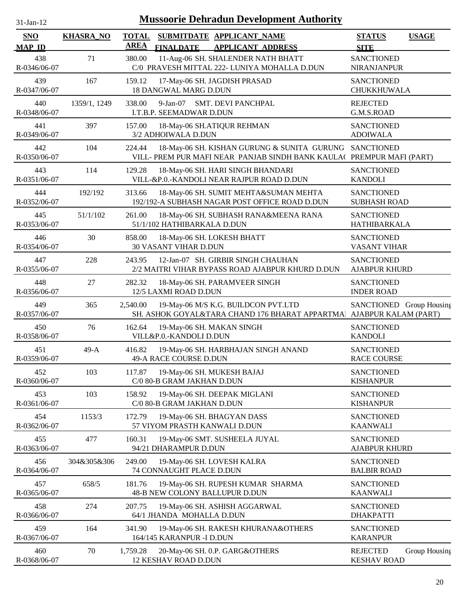| 31-Jan-12            |                  |                             | <b>Mussoorie Dehradun Development Authority</b>                                                                      |                                           |               |
|----------------------|------------------|-----------------------------|----------------------------------------------------------------------------------------------------------------------|-------------------------------------------|---------------|
| SNO<br><b>MAP ID</b> | <b>KHASRA_NO</b> | <b>TOTAL</b><br><b>AREA</b> | SUBMITDATE APPLICANT NAME<br><b>FINALDATE</b><br><b>APPLICANT ADDRESS</b>                                            | <b>STATUS</b><br><b>SITE</b>              | <b>USAGE</b>  |
| 438<br>R-0346/06-07  | 71               | 380.00                      | 11-Aug-06 SH. SHALENDER NATH BHATT<br>C/0 PRAVESH MITTAL 222- LUNIYA MOHALLA D.DUN                                   | <b>SANCTIONED</b><br><b>NIRANJANPUR</b>   |               |
| 439<br>R-0347/06-07  | 167              | 159.12                      | 17-May-06 SH. JAGDISH PRASAD<br><b>18 DANGWAL MARG D.DUN</b>                                                         | <b>SANCTIONED</b><br><b>CHUKKHUWALA</b>   |               |
| 440<br>R-0348/06-07  | 1359/1, 1249     | 338.00                      | $9-Jan-07$<br><b>SMT. DEVI PANCHPAL</b><br>I.T.B.P. SEEMADWAR D.DUN                                                  | <b>REJECTED</b><br>G.M.S.ROAD             |               |
| 441<br>R-0349/06-07  | 397              | 157.00                      | 18-May-06 SH.ATIQUR REHMAN<br>3/2 ADHOIWALA D.DUN                                                                    | <b>SANCTIONED</b><br><b>ADOIWALA</b>      |               |
| 442<br>R-0350/06-07  | 104              | 224.44                      | 18-May-06 SH. KISHAN GURUNG & SUNITA GURUNG<br>VILL- PREM PUR MAFI NEAR PANJAB SINDH BANK KAULA( PREMPUR MAFI (PART) | <b>SANCTIONED</b>                         |               |
| 443<br>R-0351/06-07  | 114              | 129.28                      | 18-May-06 SH. HARI SINGH BHANDARI<br>VILL-&P.0.-KANDOLI NEAR RAJPUR ROAD D.DUN                                       | <b>SANCTIONED</b><br><b>KANDOLI</b>       |               |
| 444<br>R-0352/06-07  | 192/192          | 313.66                      | 18-May-06 SH. SUMIT MEHTA&SUMAN MEHTA<br>192/192-A SUBHASH NAGAR POST OFFICE ROAD D.DUN                              | <b>SANCTIONED</b><br><b>SUBHASH ROAD</b>  |               |
| 445<br>R-0353/06-07  | 51/1/102         | 261.00                      | 18-May-06 SH. SUBHASH RANA&MEENA RANA<br>51/1/102 HATHIBARKALA D.DUN                                                 | <b>SANCTIONED</b><br><b>HATHIBARKALA</b>  |               |
| 446<br>R-0354/06-07  | 30               | 858.00                      | 18-May-06 SH. LOKESH BHATT<br><b>30 VASANT VIHAR D.DUN</b>                                                           | <b>SANCTIONED</b><br><b>VASANT VIHAR</b>  |               |
| 447<br>R-0355/06-07  | 228              | 243.95                      | 12-Jan-07 SH. GIRBIR SINGH CHAUHAN<br>2/2 MAITRI VIHAR BYPASS ROAD AJABPUR KHURD D.DUN                               | <b>SANCTIONED</b><br><b>AJABPUR KHURD</b> |               |
| 448<br>R-0356/06-07  | 27               | 282.32                      | 18-May-06 SH. PARAMVEER SINGH<br>12/5 LAXMI ROAD D.DUN                                                               | <b>SANCTIONED</b><br><b>INDER ROAD</b>    |               |
| 449<br>R-0357/06-07  | 365              | 2,540.00                    | 19-May-06 M/S K.G. BUILDCON PVT.LTD<br>SH. ASHOK GOYAL&TARA CHAND 176 BHARAT APPARTMA AJABPUR KALAM (PART)           | SANCTIONED Group Housing                  |               |
| 450<br>R-0358/06-07  | 76               | 162.64                      | 19-May-06 SH. MAKAN SINGH<br>VILL&P.0.-KANDOLI D.DUN                                                                 | <b>SANCTIONED</b><br><b>KANDOLI</b>       |               |
| 451<br>R-0359/06-07  | $49-A$           | 416.82                      | 19-May-06 SH. HARBHAJAN SINGH ANAND<br>49-A RACE COURSE D.DUN                                                        | <b>SANCTIONED</b><br><b>RACE COURSE</b>   |               |
| 452<br>R-0360/06-07  | 103              | 117.87                      | 19-May-06 SH. MUKESH BAJAJ<br>C/0 80-B GRAM JAKHAN D.DUN                                                             | <b>SANCTIONED</b><br><b>KISHANPUR</b>     |               |
| 453<br>R-0361/06-07  | 103              | 158.92                      | 19-May-06 SH. DEEPAK MIGLANI<br>C/0 80-B GRAM JAKHAN D.DUN                                                           | <b>SANCTIONED</b><br><b>KISHANPUR</b>     |               |
| 454<br>R-0362/06-07  | 1153/3           | 172.79                      | 19-May-06 SH. BHAGYAN DASS<br>57 VIYOM PRASTH KANWALI D.DUN                                                          | <b>SANCTIONED</b><br><b>KAANWALI</b>      |               |
| 455<br>R-0363/06-07  | 477              | 160.31                      | 19-May-06 SMT. SUSHEELA JUYAL<br>94/21 DHARAMPUR D.DUN                                                               | <b>SANCTIONED</b><br><b>AJABPUR KHURD</b> |               |
| 456<br>R-0364/06-07  | 304&305&306      | 249.00                      | 19-May-06 SH. LOVESH KALRA<br>74 CONNAUGHT PLACE D.DUN                                                               | <b>SANCTIONED</b><br><b>BALBIR ROAD</b>   |               |
| 457<br>R-0365/06-07  | 658/5            | 181.76                      | 19-May-06 SH. RUPESH KUMAR SHARMA<br>48-B NEW COLONY BALLUPUR D.DUN                                                  | <b>SANCTIONED</b><br><b>KAANWALI</b>      |               |
| 458<br>R-0366/06-07  | 274              | 207.75                      | 19-May-06 SH. ASHISH AGGARWAL<br>64/1 JHANDA MOHALLA D.DUN                                                           | <b>SANCTIONED</b><br><b>DHAKPATTI</b>     |               |
| 459<br>R-0367/06-07  | 164              | 341.90                      | 19-May-06 SH. RAKESH KHURANA&OTHERS<br>164/145 KARANPUR -I D.DUN                                                     | <b>SANCTIONED</b><br><b>KARANPUR</b>      |               |
| 460<br>R-0368/06-07  | 70               | 1,759.28                    | 20-May-06 SH. 0.P. GARG&OTHERS<br>12 KESHAV ROAD D.DUN                                                               | <b>REJECTED</b><br><b>KESHAV ROAD</b>     | Group Housing |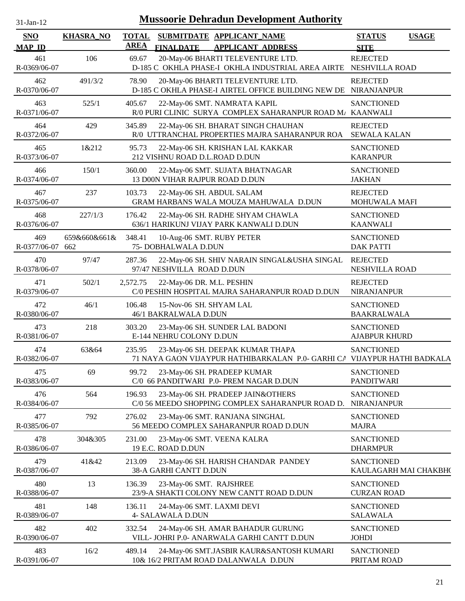| 1-jan-<br>$\mathbf{L}$ |  |
|------------------------|--|
|                        |  |

| <b>SNO</b>              | <b>KHASRA_NO</b> | <b>TOTAL</b> |                                                   | SUBMITDATE APPLICANT NAME                                                                                    | <b>STATUS</b>                              | <b>USAGE</b> |
|-------------------------|------------------|--------------|---------------------------------------------------|--------------------------------------------------------------------------------------------------------------|--------------------------------------------|--------------|
| <b>MAP ID</b>           |                  | <b>AREA</b>  | <b>FINALDATE</b>                                  | <b>APPLICANT ADDRESS</b>                                                                                     | <b>SITE</b>                                |              |
| 461<br>R-0369/06-07     | 106              | 69.67        |                                                   | 20-May-06 BHARTI TELEVENTURE LTD.<br>D-185 C OKHLA PHASE-I OKHLA INDUSTRIAL AREA AIRTE NESHVILLA ROAD        | <b>REJECTED</b>                            |              |
| 462<br>R-0370/06-07     | 491/3/2          | 78.90        |                                                   | 20-May-06 BHARTI TELEVENTURE LTD.<br>D-185 C OKHLA PHASE-I AIRTEL OFFICE BUILDING NEW DE NIRANJANPUR         | <b>REJECTED</b>                            |              |
| 463<br>R-0371/06-07     | 525/1            | 405.67       |                                                   | 22-May-06 SMT. NAMRATA KAPIL<br>R/0 PURI CLINIC SURYA COMPLEX SAHARANPUR ROAD M/ KAANWALI                    | <b>SANCTIONED</b>                          |              |
| 464<br>R-0372/06-07     | 429              | 345.89       |                                                   | 22-May-06 SH. BHARAT SINGH CHAUHAN<br>R/0 UTTRANCHAL PROPERTIES MAJRA SAHARANPUR ROA                         | <b>REJECTED</b><br><b>SEWALA KALAN</b>     |              |
| 465<br>R-0373/06-07     | 1&212            | 95.73        | 212 VISHNU ROAD D.L.ROAD D.DUN                    | 22-May-06 SH. KRISHAN LAL KAKKAR                                                                             | <b>SANCTIONED</b><br><b>KARANPUR</b>       |              |
| 466<br>R-0374/06-07     | 150/1            | 360.00       | 13 D00N VIHAR RAJPUR ROAD D.DUN                   | 22-May-06 SMT. SUJATA BHATNAGAR                                                                              | <b>SANCTIONED</b><br><b>JAKHAN</b>         |              |
| 467<br>R-0375/06-07     | 237              | 103.73       | 22-May-06 SH. ABDUL SALAM                         | GRAM HARBANS WALA MOUZA MAHUWALA D.DUN                                                                       | <b>REJECTED</b><br>MOHUWALA MAFI           |              |
| 468<br>R-0376/06-07     | 227/1/3          | 176.42       |                                                   | 22-May-06 SH. RADHE SHYAM CHAWLA<br>636/1 HARIKUNJ VIJAY PARK KANWALI D.DUN                                  | <b>SANCTIONED</b><br><b>KAANWALI</b>       |              |
| 469<br>R-0377/06-07 662 | 659&660&661&     | 348.41       | 10-Aug-06 SMT. RUBY PETER<br>75- DOBHALWALA D.DUN |                                                                                                              | <b>SANCTIONED</b><br><b>DAK PATTI</b>      |              |
| 470<br>R-0378/06-07     | 97/47            | 287.36       | 97/47 NESHVILLA ROAD D.DUN                        | 22-May-06 SH. SHIV NARAIN SINGAL&USHA SINGAL                                                                 | <b>REJECTED</b><br>NESHVILLA ROAD          |              |
| 471<br>R-0379/06-07     | 502/1            | 2,572.75     | 22-May-06 DR. M.L. PESHIN                         | C/0 PESHIN HOSPITAL MAJRA SAHARANPUR ROAD D.DUN                                                              | <b>REJECTED</b><br>NIRANJANPUR             |              |
| 472<br>R-0380/06-07     | 46/1             | 106.48       | 15-Nov-06 SH. SHYAM LAL<br>46/1 BAKRALWALA D.DUN  |                                                                                                              | <b>SANCTIONED</b><br><b>BAAKRALWALA</b>    |              |
| 473<br>R-0381/06-07     | 218              | 303.20       | E-144 NEHRU COLONY D.DUN                          | 23-May-06 SH. SUNDER LAL BADONI                                                                              | <b>SANCTIONED</b><br><b>AJABPUR KHURD</b>  |              |
| 474<br>R-0382/06-07     | 63&64            | 235.95       |                                                   | 23-May-06 SH. DEEPAK KUMAR THAPA<br>71 NAYA GAON VIJAYPUR HATHIBARKALAN P.0- GARHI CA VIJAYPUR HATHI BADKALA | <b>SANCTIONED</b>                          |              |
| 475<br>R-0383/06-07     | 69               | 99.72        |                                                   | 23-May-06 SH. PRADEEP KUMAR<br>C/0 66 PANDITWARI P.0- PREM NAGAR D.DUN                                       | <b>SANCTIONED</b><br><b>PANDITWARI</b>     |              |
| 476<br>R-0384/06-07     | 564              | 196.93       |                                                   | 23-May-06 SH. PRADEEP JAIN&OTHERS<br>C/0 56 MEEDO SHOPPING COMPLEX SAHARANPUR ROAD D.                        | <b>SANCTIONED</b><br><b>NIRANJANPUR</b>    |              |
| 477<br>R-0385/06-07     | 792              | 276.02       |                                                   | 23-May-06 SMT. RANJANA SINGHAL<br>56 MEEDO COMPLEX SAHARANPUR ROAD D.DUN                                     | <b>SANCTIONED</b><br><b>MAJRA</b>          |              |
| 478<br>R-0386/06-07     | 304&305          | 231.00       | 19 E.C. ROAD D.DUN                                | 23-May-06 SMT. VEENA KALRA                                                                                   | <b>SANCTIONED</b><br><b>DHARMPUR</b>       |              |
| 479<br>R-0387/06-07     | 41&42            | 213.09       | 38-A GARHI CANTT D.DUN                            | 23-May-06 SH. HARISH CHANDAR PANDEY                                                                          | <b>SANCTIONED</b><br>KAULAGARH MAI CHAKBH( |              |
| 480<br>R-0388/06-07     | 13               | 136.39       | 23-May-06 SMT. RAJSHREE                           | 23/9-A SHAKTI COLONY NEW CANTT ROAD D.DUN                                                                    | <b>SANCTIONED</b><br><b>CURZAN ROAD</b>    |              |
| 481<br>R-0389/06-07     | 148              | 136.11       | 24-May-06 SMT. LAXMI DEVI<br>4- SALAWALA D.DUN    |                                                                                                              | <b>SANCTIONED</b><br><b>SALAWALA</b>       |              |
| 482<br>R-0390/06-07     | 402              | 332.54       |                                                   | 24-May-06 SH. AMAR BAHADUR GURUNG<br>VILL- JOHRI P.0- ANARWALA GARHI CANTT D.DUN                             | <b>SANCTIONED</b><br><b>JOHDI</b>          |              |
| 483<br>R-0391/06-07     | 16/2             | 489.14       |                                                   | 24-May-06 SMT.JASBIR KAUR&SANTOSH KUMARI<br>10& 16/2 PRITAM ROAD DALANWALA D.DUN                             | <b>SANCTIONED</b><br>PRITAM ROAD           |              |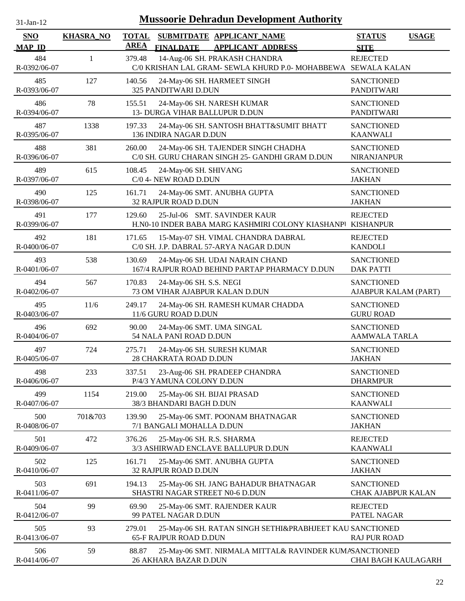| <b>Mussoorie Dehradun Development Authority</b><br>$31$ -Jan-12 |                  |              |                                                                                                |                                                |              |  |
|-----------------------------------------------------------------|------------------|--------------|------------------------------------------------------------------------------------------------|------------------------------------------------|--------------|--|
| <b>SNO</b>                                                      | <b>KHASRA_NO</b> | <b>TOTAL</b> | SUBMITDATE APPLICANT NAME                                                                      | <b>STATUS</b>                                  | <b>USAGE</b> |  |
| <b>MAP ID</b>                                                   |                  | <b>AREA</b>  | <b>FINALDATE</b><br><b>APPLICANT ADDRESS</b>                                                   | <b>SITE</b>                                    |              |  |
| 484<br>R-0392/06-07                                             | $\mathbf{1}$     | 379.48       | 14-Aug-06 SH. PRAKASH CHANDRA<br>C/0 KRISHAN LAL GRAM- SEWLA KHURD P.0- MOHABBEWA SEWALA KALAN | <b>REJECTED</b>                                |              |  |
| 485<br>R-0393/06-07                                             | 127              | 140.56       | 24-May-06 SH. HARMEET SINGH<br>325 PANDITWARI D.DUN                                            | <b>SANCTIONED</b><br><b>PANDITWARI</b>         |              |  |
| 486<br>R-0394/06-07                                             | 78               | 155.51       | 24-May-06 SH. NARESH KUMAR<br>13- DURGA VIHAR BALLUPUR D.DUN                                   | <b>SANCTIONED</b><br><b>PANDITWARI</b>         |              |  |
| 487<br>R-0395/06-07                                             | 1338             | 197.33       | 24-May-06 SH. SANTOSH BHATT&SUMIT BHATT<br>136 INDIRA NAGAR D.DUN                              | <b>SANCTIONED</b><br><b>KAANWALI</b>           |              |  |
| 488<br>R-0396/06-07                                             | 381              | 260.00       | 24-May-06 SH. TAJENDER SINGH CHADHA<br>C/0 SH. GURU CHARAN SINGH 25- GANDHI GRAM D.DUN         | <b>SANCTIONED</b><br>NIRANJANPUR               |              |  |
| 489<br>R-0397/06-07                                             | 615              | 108.45       | 24-May-06 SH. SHIVANG<br>C/0 4- NEW ROAD D.DUN                                                 | <b>SANCTIONED</b><br><b>JAKHAN</b>             |              |  |
| 490<br>R-0398/06-07                                             | 125              | 161.71       | 24-May-06 SMT. ANUBHA GUPTA<br>32 RAJPUR ROAD D.DUN                                            | <b>SANCTIONED</b><br><b>JAKHAN</b>             |              |  |
| 491<br>R-0399/06-07                                             | 177              | 129.60       | 25-Jul-06 SMT. SAVINDER KAUR<br>H.N0-10 INDER BABA MARG KASHMIRI COLONY KIASHANPI              | <b>REJECTED</b><br><b>KISHANPUR</b>            |              |  |
| 492<br>R-0400/06-07                                             | 181              | 171.65       | 15-May-07 SH. VIMAL CHANDRA DABRAL<br>C/0 SH. J.P. DABRAL 57-ARYA NAGAR D.DUN                  | <b>REJECTED</b><br><b>KANDOLI</b>              |              |  |
| 493<br>R-0401/06-07                                             | 538              | 130.69       | 24-May-06 SH. UDAI NARAIN CHAND<br>167/4 RAJPUR ROAD BEHIND PARTAP PHARMACY D.DUN              | <b>SANCTIONED</b><br><b>DAK PATTI</b>          |              |  |
| 494<br>R-0402/06-07                                             | 567              | 170.83       | 24-May-06 SH. S.S. NEGI<br>73 OM VIHAR AJABPUR KALAN D.DUN                                     | <b>SANCTIONED</b><br>AJABPUR KALAM (PART)      |              |  |
| 495<br>R-0403/06-07                                             | 11/6             | 249.17       | 24-May-06 SH. RAMESH KUMAR CHADDA<br>11/6 GURU ROAD D.DUN                                      | <b>SANCTIONED</b><br><b>GURU ROAD</b>          |              |  |
| 496<br>R-0404/06-07                                             | 692              | 90.00        | 24-May-06 SMT. UMA SINGAL<br>54 NALA PANI ROAD D.DUN                                           | <b>SANCTIONED</b><br><b>AAMWALA TARLA</b>      |              |  |
| 497<br>R-0405/06-07                                             | 724              | 275.71       | 24-May-06 SH. SURESH KUMAR<br>28 CHAKRATA ROAD D.DUN                                           | <b>SANCTIONED</b><br><b>JAKHAN</b>             |              |  |
| 498<br>R-0406/06-07                                             | 233              | 337.51       | 23-Aug-06 SH. PRADEEP CHANDRA<br>P/4/3 YAMUNA COLONY D.DUN                                     | <b>SANCTIONED</b><br><b>DHARMPUR</b>           |              |  |
| 499<br>R-0407/06-07                                             | 1154             | 219.00       | 25-May-06 SH. BIJAI PRASAD<br>38/3 BHANDARI BAGH D.DUN                                         | <b>SANCTIONED</b><br><b>KAANWALI</b>           |              |  |
| 500<br>R-0408/06-07                                             | 701&703          | 139.90       | 25-May-06 SMT. POONAM BHATNAGAR<br>7/1 BANGALI MOHALLA D.DUN                                   | <b>SANCTIONED</b><br><b>JAKHAN</b>             |              |  |
| 501<br>R-0409/06-07                                             | 472              | 376.26       | 25-May-06 SH. R.S. SHARMA<br>3/3 ASHIRWAD ENCLAVE BALLUPUR D.DUN                               | <b>REJECTED</b><br><b>KAANWALI</b>             |              |  |
| 502<br>R-0410/06-07                                             | 125              | 161.71       | 25-May-06 SMT. ANUBHA GUPTA<br>32 RAJPUR ROAD D.DUN                                            | <b>SANCTIONED</b><br><b>JAKHAN</b>             |              |  |
| 503<br>R-0411/06-07                                             | 691              | 194.13       | 25-May-06 SH. JANG BAHADUR BHATNAGAR<br>SHASTRI NAGAR STREET N0-6 D.DUN                        | <b>SANCTIONED</b><br><b>CHAK AJABPUR KALAN</b> |              |  |
| 504<br>R-0412/06-07                                             | 99               | 69.90        | 25-May-06 SMT. RAJENDER KAUR<br>99 PATEL NAGAR D.DUN                                           | <b>REJECTED</b><br>PATEL NAGAR                 |              |  |
| 505<br>R-0413/06-07                                             | 93               | 279.01       | 25-May-06 SH. RATAN SINGH SETHI&PRABHJEET KAU SANCTIONED<br>65-F RAJPUR ROAD D.DUN             | <b>RAJ PUR ROAD</b>                            |              |  |
| 506<br>R-0414/06-07                                             | 59               | 88.87        | 25-May-06 SMT. NIRMALA MITTAL& RAVINDER KUMASANCTIONED<br>26 AKHARA BAZAR D.DUN                | CHAI BAGH KAULAGARH                            |              |  |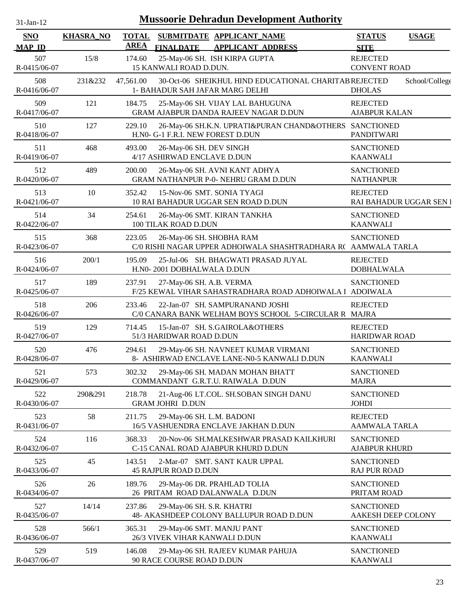| $31$ -Jan-12                |                  |                             | <b>Mussoorie Dehradun Development Authority</b>                                             |                                            |                |
|-----------------------------|------------------|-----------------------------|---------------------------------------------------------------------------------------------|--------------------------------------------|----------------|
| <b>SNO</b><br><b>MAP ID</b> | <b>KHASRA_NO</b> | <b>TOTAL</b><br><b>AREA</b> | SUBMITDATE APPLICANT_NAME<br><b>FINALDATE</b><br><b>APPLICANT ADDRESS</b>                   | <b>STATUS</b><br><b>SITE</b>               | <b>USAGE</b>   |
| 507<br>R-0415/06-07         | 15/8             | 174.60                      | 25-May-06 SH. ISH KIRPA GUPTA<br>15 KANWALI ROAD D.DUN.                                     | <b>REJECTED</b><br><b>CONVENT ROAD</b>     |                |
| 508<br>R-0416/06-07         | 231&232          | 47,561.00                   | 30-Oct-06 SHEIKHUL HIND EDUCATIONAL CHARITAB REJECTED<br>1- BAHADUR SAH JAFAR MARG DELHI    | <b>DHOLAS</b>                              | School/College |
| 509<br>R-0417/06-07         | 121              | 184.75                      | 25-May-06 SH. VIJAY LAL BAHUGUNA<br><b>GRAM AJABPUR DANDA RAJEEV NAGAR D.DUN</b>            | <b>REJECTED</b><br><b>AJABPUR KALAN</b>    |                |
| 510<br>R-0418/06-07         | 127              | 229.10                      | 26-May-06 SH.K.N. UPRATI&PURAN CHAND&OTHERS SANCTIONED<br>H.N0- G-1 F.R.I. NEW FOREST D.DUN | <b>PANDITWARI</b>                          |                |
| 511<br>R-0419/06-07         | 468              | 493.00                      | 26-May-06 SH. DEV SINGH<br>4/17 ASHIRWAD ENCLAVE D.DUN                                      | <b>SANCTIONED</b><br><b>KAANWALI</b>       |                |
| 512<br>R-0420/06-07         | 489              | 200.00                      | 26-May-06 SH. AVNI KANT ADHYA<br><b>GRAM NATHANPUR P-0- NEHRU GRAM D.DUN</b>                | <b>SANCTIONED</b><br><b>NATHANPUR</b>      |                |
| 513<br>R-0421/06-07         | 10               | 352.42                      | 15-Nov-06 SMT. SONIA TYAGI<br>10 RAI BAHADUR UGGAR SEN ROAD D.DUN                           | <b>REJECTED</b><br>RAI BAHADUR UGGAR SEN I |                |
| 514<br>R-0422/06-07         | 34               | 254.61                      | 26-May-06 SMT. KIRAN TANKHA<br>100 TILAK ROAD D.DUN                                         | <b>SANCTIONED</b><br><b>KAANWALI</b>       |                |
| 515<br>R-0423/06-07         | 368              | 223.05                      | 26-May-06 SH. SHOBHA RAM<br>C/0 RISHI NAGAR UPPER ADHOIWALA SHASHTRADHARA R( AAMWALA TARLA  | <b>SANCTIONED</b>                          |                |
| 516<br>R-0424/06-07         | 200/1            | 195.09                      | 25-Jul-06 SH. BHAGWATI PRASAD JUYAL<br>H.N0-2001 DOBHALWALA D.DUN                           | <b>REJECTED</b><br><b>DOBHALWALA</b>       |                |
| 517<br>R-0425/06-07         | 189              | 237.91                      | 27-May-06 SH. A.B. VERMA<br>F/25 KEWAL VIHAR SAHASTRADHARA ROAD ADHOIWALA 1 ADOIWALA        | <b>SANCTIONED</b>                          |                |
| 518<br>R-0426/06-07         | 206              | 233.46                      | 22-Jan-07 SH. SAMPURANAND JOSHI<br>C/0 CANARA BANK WELHAM BOYS SCHOOL 5-CIRCULAR R MAJRA    | <b>REJECTED</b>                            |                |
| 519<br>R-0427/06-07         | 129              | 714.45                      | 15-Jan-07 SH. S.GAIROLA&OTHERS<br>51/3 HARIDWAR ROAD D.DUN                                  | <b>REJECTED</b><br><b>HARIDWAR ROAD</b>    |                |
| 520<br>R-0428/06-07         | 476              | 294.61                      | 29-May-06 SH. NAVNEET KUMAR VIRMANI<br>8- ASHIRWAD ENCLAVE LANE-N0-5 KANWALI D.DUN          | <b>SANCTIONED</b><br><b>KAANWALI</b>       |                |
| 521<br>R-0429/06-07         | 573              | 302.32                      | 29-May-06 SH. MADAN MOHAN BHATT<br>COMMANDANT G.R.T.U. RAIWALA D.DUN                        | <b>SANCTIONED</b><br><b>MAJRA</b>          |                |
| 522<br>R-0430/06-07         | 290&291          | 218.78                      | 21-Aug-06 LT.COL. SH.SOBAN SINGH DANU<br><b>GRAM JOHRI D.DUN</b>                            | <b>SANCTIONED</b><br><b>JOHDI</b>          |                |
| 523<br>R-0431/06-07         | 58               | 211.75                      | 29-May-06 SH. L.M. BADONI<br>16/5 VASHUENDRA ENCLAVE JAKHAN D.DUN                           | <b>REJECTED</b><br>AAMWALA TARLA           |                |
| 524<br>R-0432/06-07         | 116              | 368.33                      | 20-Nov-06 SH.MALKESHWAR PRASAD KAILKHURI<br>C-15 CANAL ROAD AJABPUR KHURD D.DUN             | <b>SANCTIONED</b><br><b>AJABPUR KHURD</b>  |                |
| 525<br>R-0433/06-07         | 45               | 143.51                      | 2-Mar-07 SMT. SANT KAUR UPPAL<br><b>45 RAJPUR ROAD D.DUN</b>                                | <b>SANCTIONED</b><br><b>RAJ PUR ROAD</b>   |                |
| 526<br>R-0434/06-07         | 26               | 189.76                      | 29-May-06 DR. PRAHLAD TOLIA<br>26 PRITAM ROAD DALANWALA D.DUN                               | <b>SANCTIONED</b><br>PRITAM ROAD           |                |
| 527<br>R-0435/06-07         | 14/14            | 237.86                      | 29-May-06 SH. S.R. KHATRI<br>48- AKASHDEEP COLONY BALLUPUR ROAD D.DUN                       | <b>SANCTIONED</b><br>AAKESH DEEP COLONY    |                |
| 528<br>R-0436/06-07         | 566/1            | 365.31                      | 29-May-06 SMT. MANJU PANT<br>26/3 VIVEK VIHAR KANWALI D.DUN                                 | <b>SANCTIONED</b><br><b>KAANWALI</b>       |                |
| 529<br>R-0437/06-07         | 519              | 146.08                      | 29-May-06 SH. RAJEEV KUMAR PAHUJA<br>90 RACE COURSE ROAD D.DUN                              | <b>SANCTIONED</b><br><b>KAANWALI</b>       |                |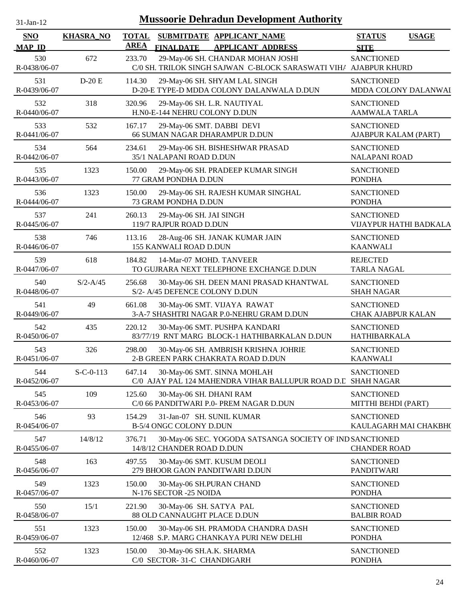| $31$ -Jan-12                |                  |                             | <b>Mussoorie Dehradun Development Authority</b>                                                       |                                                |              |
|-----------------------------|------------------|-----------------------------|-------------------------------------------------------------------------------------------------------|------------------------------------------------|--------------|
| <b>SNO</b><br><b>MAP ID</b> | <b>KHASRA_NO</b> | <b>TOTAL</b><br><b>AREA</b> | SUBMITDATE APPLICANT_NAME<br><b>FINALDATE</b><br><b>APPLICANT ADDRESS</b>                             | <b>STATUS</b><br><b>SITE</b>                   | <b>USAGE</b> |
| 530<br>R-0438/06-07         | 672              | 233.70                      | 29-May-06 SH. CHANDAR MOHAN JOSHI<br>C/0 SH. TRILOK SINGH SAJWAN C-BLOCK SARASWATI VIH/ AJABPUR KHURD | <b>SANCTIONED</b>                              |              |
| 531<br>R-0439/06-07         | $D-20E$          | 114.30                      | 29-May-06 SH. SHYAM LAL SINGH<br>D-20-E TYPE-D MDDA COLONY DALANWALA D.DUN                            | <b>SANCTIONED</b><br>MDDA COLONY DALANWAI      |              |
| 532<br>R-0440/06-07         | 318              | 320.96                      | 29-May-06 SH. L.R. NAUTIYAL<br>H.NO-E-144 NEHRU COLONY D.DUN                                          | <b>SANCTIONED</b><br><b>AAMWALA TARLA</b>      |              |
| 533<br>R-0441/06-07         | 532              | 167.17                      | 29-May-06 SMT. DABBI DEVI<br>66 SUMAN NAGAR DHARAMPUR D.DUN                                           | <b>SANCTIONED</b><br>AJABPUR KALAM (PART)      |              |
| 534<br>R-0442/06-07         | 564              | 234.61                      | 29-May-06 SH. BISHESHWAR PRASAD<br>35/1 NALAPANI ROAD D.DUN                                           | <b>SANCTIONED</b><br><b>NALAPANI ROAD</b>      |              |
| 535<br>R-0443/06-07         | 1323             | 150.00                      | 29-May-06 SH. PRADEEP KUMAR SINGH<br>77 GRAM PONDHA D.DUN                                             | <b>SANCTIONED</b><br><b>PONDHA</b>             |              |
| 536<br>R-0444/06-07         | 1323             | 150.00                      | 29-May-06 SH. RAJESH KUMAR SINGHAL<br>73 GRAM PONDHA D.DUN                                            | <b>SANCTIONED</b><br><b>PONDHA</b>             |              |
| 537<br>R-0445/06-07         | 241              | 260.13                      | 29-May-06 SH. JAI SINGH<br>119/7 RAJPUR ROAD D.DUN                                                    | <b>SANCTIONED</b><br>VIJAYPUR HATHI BADKALA    |              |
| 538<br>R-0446/06-07         | 746              | 113.16                      | 28-Aug-06 SH. JANAK KUMAR JAIN<br>155 KANWALI ROAD D.DUN                                              | <b>SANCTIONED</b><br><b>KAANWALI</b>           |              |
| 539<br>R-0447/06-07         | 618              | 184.82                      | 14-Mar-07 MOHD. TANVEER<br>TO GUIRARA NEXT TELEPHONE EXCHANGE D.DUN                                   | <b>REJECTED</b><br><b>TARLA NAGAL</b>          |              |
| 540<br>R-0448/06-07         | $S/2 - A/45$     | 256.68                      | 30-May-06 SH. DEEN MANI PRASAD KHANTWAL<br>S/2- A/45 DEFENCE COLONY D.DUN                             | <b>SANCTIONED</b><br><b>SHAH NAGAR</b>         |              |
| 541<br>R-0449/06-07         | 49               | 661.08                      | 30-May-06 SMT. VIJAYA RAWAT<br>3-A-7 SHASHTRI NAGAR P.0-NEHRU GRAM D.DUN                              | <b>SANCTIONED</b><br><b>CHAK AJABPUR KALAN</b> |              |
| 542<br>R-0450/06-07         | 435              | 220.12                      | 30-May-06 SMT. PUSHPA KANDARI<br>83/77/19 RNT MARG BLOCK-1 HATHIBARKALAN D.DUN                        | <b>SANCTIONED</b><br><b>HATHIBARKALA</b>       |              |
| 543<br>R-0451/06-07         | 326              | 298.00                      | 30-May-06 SH. AMBRISH KRISHNA JOHRIE<br>2-B GREEN PARK CHAKRATA ROAD D.DUN                            | <b>SANCTIONED</b><br><b>KAANWALI</b>           |              |
| 544<br>R-0452/06-07         | $S-C-0-113$      | 647.14                      | 30-May-06 SMT. SINNA MOHLAH<br>C/0 AJAY PAL 124 MAHENDRA VIHAR BALLUPUR ROAD D.C SHAH NAGAR           | <b>SANCTIONED</b>                              |              |
| 545<br>R-0453/06-07         | 109              | 125.60                      | 30-May-06 SH. DHANI RAM<br>C/0 66 PANDITWARI P.0- PREM NAGAR D.DUN                                    | <b>SANCTIONED</b><br>MITTHI BEHDI (PART)       |              |
| 546<br>R-0454/06-07         | 93               | 154.29                      | 31-Jan-07 SH. SUNIL KUMAR<br>B-5/4 ONGC COLONY D.DUN                                                  | <b>SANCTIONED</b><br>KAULAGARH MAI CHAKBH(     |              |
| 547<br>R-0455/06-07         | 14/8/12          | 376.71                      | 30-May-06 SEC. YOGODA SATSANGA SOCIETY OF IND SANCTIONED<br>14/8/12 CHANDER ROAD D.DUN                | <b>CHANDER ROAD</b>                            |              |
| 548<br>R-0456/06-07         | 163              | 497.55                      | 30-May-06 SMT. KUSUM DEOLI<br>279 BHOOR GAON PANDITWARI D.DUN                                         | <b>SANCTIONED</b><br><b>PANDITWARI</b>         |              |
| 549<br>R-0457/06-07         | 1323             | 150.00                      | 30-May-06 SH.PURAN CHAND<br>N-176 SECTOR -25 NOIDA                                                    | <b>SANCTIONED</b><br><b>PONDHA</b>             |              |
| 550<br>R-0458/06-07         | 15/1             | 221.90                      | 30-May-06 SH. SATYA PAL<br>88 OLD CANNAUGHT PLACE D.DUN                                               | <b>SANCTIONED</b><br><b>BALBIR ROAD</b>        |              |
| 551<br>R-0459/06-07         | 1323             | 150.00                      | 30-May-06 SH. PRAMODA CHANDRA DASH<br>12/468 S.P. MARG CHANKAYA PURI NEW DELHI                        | <b>SANCTIONED</b><br><b>PONDHA</b>             |              |
| 552<br>R-0460/06-07         | 1323             | 150.00                      | 30-May-06 SH.A.K. SHARMA<br>C/0 SECTOR- 31-C CHANDIGARH                                               | <b>SANCTIONED</b><br><b>PONDHA</b>             |              |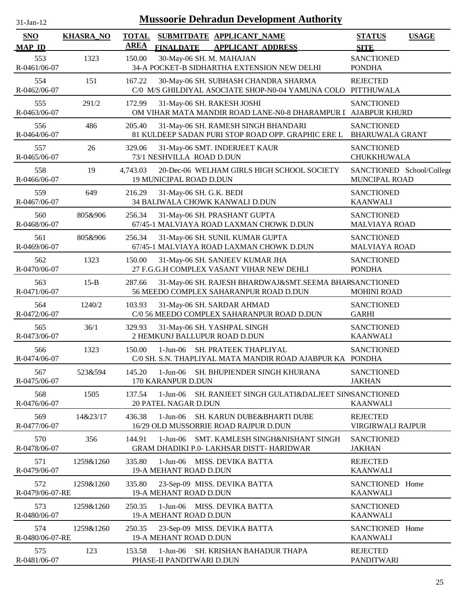| $31-Jan-12$                 |                  |                             | <b>Mussoorie Dehradun Development Authority</b>                                                      |                                             |              |
|-----------------------------|------------------|-----------------------------|------------------------------------------------------------------------------------------------------|---------------------------------------------|--------------|
| <b>SNO</b><br><b>MAP ID</b> | <b>KHASRA_NO</b> | <b>TOTAL</b><br><b>AREA</b> | SUBMITDATE APPLICANT_NAME<br><b>APPLICANT ADDRESS</b><br><b>FINALDATE</b>                            | <b>STATUS</b><br><b>SITE</b>                | <b>USAGE</b> |
| 553<br>R-0461/06-07         | 1323             | 150.00                      | 30-May-06 SH. M. MAHAJAN<br>34-A POCKET-B SIDHARTHA EXTENSION NEW DELHI                              | <b>SANCTIONED</b><br><b>PONDHA</b>          |              |
| 554<br>R-0462/06-07         | 151              | 167.22                      | 30-May-06 SH. SUBHASH CHANDRA SHARMA<br>C/0 M/S GHILDIYAL ASOCIATE SHOP-N0-04 YAMUNA COLO PITTHUWALA | <b>REJECTED</b>                             |              |
| 555<br>R-0463/06-07         | 291/2            | 172.99                      | 31-May-06 SH. RAKESH JOSHI<br>OM VIHAR MATA MANDIR ROAD LANE-N0-8 DHARAMPUR I AJABPUR KHURD          | <b>SANCTIONED</b>                           |              |
| 556<br>R-0464/06-07         | 486              | 205.40                      | 31-May-06 SH. RAMESH SINGH BHANDARI<br>81 KULDEEP SADAN PURI STOP ROAD OPP. GRAPHIC ERE L            | <b>SANCTIONED</b><br><b>BHARUWALA GRANT</b> |              |
| 557<br>R-0465/06-07         | 26               | 329.06                      | 31-May-06 SMT. INDERJEET KAUR<br>73/1 NESHVILLA ROAD D.DUN                                           | <b>SANCTIONED</b><br>CHUKKHUWALA            |              |
| 558<br>R-0466/06-07         | 19               | 4,743.03                    | 20-Dec-06 WELHAM GIRLS HIGH SCHOOL SOCIETY<br><b>19 MUNICIPAL ROAD D.DUN</b>                         | SANCTIONED School/College<br>MUNCIPAL ROAD  |              |
| 559<br>R-0467/06-07         | 649              | 216.29                      | 31-May-06 SH. G.K. BEDI<br>34 BALIWALA CHOWK KANWALI D.DUN                                           | <b>SANCTIONED</b><br><b>KAANWALI</b>        |              |
| 560<br>R-0468/06-07         | 805&906          | 256.34                      | 31-May-06 SH. PRASHANT GUPTA<br>67/45-1 MALVIAYA ROAD LAXMAN CHOWK D.DUN                             | <b>SANCTIONED</b><br><b>MALVIAYA ROAD</b>   |              |
| 561<br>R-0469/06-07         | 805&906          | 256.34                      | 31-May-06 SH. SUNIL KUMAR GUPTA<br>67/45-1 MALVIAYA ROAD LAXMAN CHOWK D.DUN                          | <b>SANCTIONED</b><br><b>MALVIAYA ROAD</b>   |              |
| 562<br>R-0470/06-07         | 1323             | 150.00                      | 31-May-06 SH. SANJEEV KUMAR JHA<br>27 F.G.G.H COMPLEX VASANT VIHAR NEW DEHLI                         | <b>SANCTIONED</b><br><b>PONDHA</b>          |              |
| 563<br>R-0471/06-07         | $15-B$           | 287.66                      | 31-May-06 SH. RAJESH BHARDWAJ&SMT.SEEMA BHARSANCTIONED<br>56 MEEDO COMPLEX SAHARANPUR ROAD D.DUN     | <b>MOHINI ROAD</b>                          |              |
| 564<br>R-0472/06-07         | 1240/2           | 103.93                      | 31-May-06 SH. SARDAR AHMAD<br>C/0 56 MEEDO COMPLEX SAHARANPUR ROAD D.DUN                             | <b>SANCTIONED</b><br><b>GARHI</b>           |              |
| 565<br>R-0473/06-07         | 36/1             | 329.93                      | 31-May-06 SH. YASHPAL SINGH<br>2 HEMKUNJ BALLUPUR ROAD D.DUN                                         | <b>SANCTIONED</b><br><b>KAANWALI</b>        |              |
| 566<br>R-0474/06-07         | 1323             | 150.00                      | 1-Jun-06 SH. PRATEEK THAPLIYAL<br>C/0 SH. S.N. THAPLIYAL MATA MANDIR ROAD AJABPUR KA PONDHA          | <b>SANCTIONED</b>                           |              |
| 567<br>R-0475/06-07         | 523&594          | 145.20                      | 1-Jun-06 SH. BHUPIENDER SINGH KHURANA<br>170 KARANPUR D.DUN                                          | <b>SANCTIONED</b><br><b>JAKHAN</b>          |              |
| 568<br>R-0476/06-07         | 1505             | 137.54                      | $1-Jun-06$<br>SH. RANJEET SINGH GULATI&DALJEET SIN(SANCTIONED<br>20 PATEL NAGAR D.DUN                | <b>KAANWALI</b>                             |              |
| 569<br>R-0477/06-07         | 14&23/17         | 436.38                      | SH. KARUN DUBE&BHARTI DUBE<br>$1-Jun-06$<br>16/29 OLD MUSSORRIE ROAD RAJPUR D.DUN                    | <b>REJECTED</b><br>VIRGIRWALI RAJPUR        |              |
| 570<br>R-0478/06-07         | 356              | 144.91                      | $1-Jun-06$<br>SMT. KAMLESH SINGH&NISHANT SINGH<br><b>GRAM DHADIKI P.0- LAKHSAR DISTT- HARIDWAR</b>   | <b>SANCTIONED</b><br><b>JAKHAN</b>          |              |
| 571<br>R-0479/06-07         | 1259&1260        | 335.80                      | 1-Jun-06 MISS. DEVIKA BATTA<br>19-A MEHANT ROAD D.DUN                                                | <b>REJECTED</b><br><b>KAANWALI</b>          |              |
| 572<br>R-0479/06-07-RE      | 1259&1260        | 335.80                      | 23-Sep-09 MISS. DEVIKA BATTA<br>19-A MEHANT ROAD D.DUN                                               | SANCTIONED Home<br><b>KAANWALI</b>          |              |
| 573<br>R-0480/06-07         | 1259&1260        | 250.35                      | 1-Jun-06 MISS. DEVIKA BATTA<br>19-A MEHANT ROAD D.DUN                                                | <b>SANCTIONED</b><br><b>KAANWALI</b>        |              |
| 574<br>R-0480/06-07-RE      | 1259&1260        | 250.35                      | 23-Sep-09 MISS. DEVIKA BATTA<br>19-A MEHANT ROAD D.DUN                                               | SANCTIONED Home<br><b>KAANWALI</b>          |              |
| 575<br>R-0481/06-07         | 123              | 153.58                      | 1-Jun-06 SH. KRISHAN BAHADUR THAPA<br>PHASE-II PANDITWARI D.DUN                                      | <b>REJECTED</b><br>PANDITWARI               |              |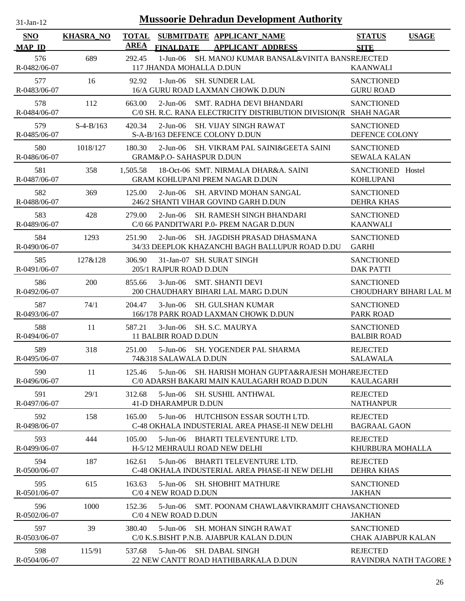| $31$ -Jan-12                |                  |             | <b>Mussoorie Dehradun Development Authority</b>                                                       |                                                |              |
|-----------------------------|------------------|-------------|-------------------------------------------------------------------------------------------------------|------------------------------------------------|--------------|
| <b>SNO</b><br><b>MAP ID</b> | <b>KHASRA_NO</b> | <b>AREA</b> | TOTAL SUBMITDATE APPLICANT NAME<br><b>FINALDATE</b><br><b>APPLICANT ADDRESS</b>                       | <b>STATUS</b><br><b>SITE</b>                   | <b>USAGE</b> |
| 576<br>R-0482/06-07         | 689              | 292.45      | SH. MANOJ KUMAR BANSAL&VINITA BANSREJECTED<br>1-Jun-06<br>117 JHANDA MOHALLA D.DUN                    | <b>KAANWALI</b>                                |              |
| 577<br>R-0483/06-07         | 16               | 92.92       | $1-Jun-06$<br><b>SH. SUNDER LAL</b><br>16/A GURU ROAD LAXMAN CHOWK D.DUN                              | <b>SANCTIONED</b><br><b>GURU ROAD</b>          |              |
| 578<br>R-0484/06-07         | 112              | 663.00      | 2-Jun-06 SMT. RADHA DEVI BHANDARI<br>C/0 SH. R.C. RANA ELECTRICITY DISTRIBUTION DIVISION(R SHAH NAGAR | <b>SANCTIONED</b>                              |              |
| 579<br>R-0485/06-07         | $S-4-B/163$      | 420.34      | $2$ -Jun-06<br>SH. VIJAY SINGH RAWAT<br>S-A-B/163 DEFENCE COLONY D.DUN                                | <b>SANCTIONED</b><br>DEFENCE COLONY            |              |
| 580<br>R-0486/06-07         | 1018/127         | 180.30      | 2-Jun-06 SH. VIKRAM PAL SAINI&GEETA SAINI<br><b>GRAM&amp;P.O- SAHASPUR D.DUN</b>                      | <b>SANCTIONED</b><br><b>SEWALA KALAN</b>       |              |
| 581<br>R-0487/06-07         | 358              | 1,505.58    | 18-Oct-06 SMT, NIRMALA DHAR&A, SAINI<br><b>GRAM KOHLUPANI PREM NAGAR D.DUN</b>                        | SANCTIONED Hostel<br><b>KOHLUPANI</b>          |              |
| 582<br>R-0488/06-07         | 369              | 125.00      | 2-Jun-06 SH. ARVIND MOHAN SANGAL<br>246/2 SHANTI VIHAR GOVIND GARH D.DUN                              | <b>SANCTIONED</b><br><b>DEHRA KHAS</b>         |              |
| 583<br>R-0489/06-07         | 428              | 279.00      | $2-Jun-06$<br>SH. RAMESH SINGH BHANDARI<br>C/0 66 PANDITWARI P.0- PREM NAGAR D.DUN                    | <b>SANCTIONED</b><br><b>KAANWALI</b>           |              |
| 584<br>R-0490/06-07         | 1293             | 251.90      | 2-Jun-06 SH. JAGDISH PRASAD DHASMANA<br>34/33 DEEPLOK KHAZANCHI BAGH BALLUPUR ROAD D.DU               | <b>SANCTIONED</b><br><b>GARHI</b>              |              |
| 585<br>R-0491/06-07         | 127&128          | 306.90      | 31-Jan-07 SH. SURAT SINGH<br>205/1 RAJPUR ROAD D.DUN                                                  | <b>SANCTIONED</b><br><b>DAK PATTI</b>          |              |
| 586<br>R-0492/06-07         | 200              | 855.66      | $3-Jun-06$<br><b>SMT. SHANTI DEVI</b><br>200 CHAUDHARY BIHARI LAL MARG D.DUN                          | <b>SANCTIONED</b><br>CHOUDHARY BIHARI LAL M    |              |
| 587<br>R-0493/06-07         | 74/1             | 204.47      | 3-Jun-06<br><b>SH. GULSHAN KUMAR</b><br>166/178 PARK ROAD LAXMAN CHOWK D.DUN                          | <b>SANCTIONED</b><br><b>PARK ROAD</b>          |              |
| 588<br>R-0494/06-07         | 11               | 587.21      | 3-Jun-06 SH. S.C. MAURYA<br>11 BALBIR ROAD D.DUN                                                      | <b>SANCTIONED</b><br><b>BALBIR ROAD</b>        |              |
| 589<br>R-0495/06-07         | 318              | 251.00      | 5-Jun-06 SH. YOGENDER PAL SHARMA<br>74&318 SALAWALA D.DUN                                             | <b>REJECTED</b><br><b>SALAWALA</b>             |              |
| 590<br>R-0496/06-07         | 11               | 125.46      | 5-Jun-06<br>SH. HARISH MOHAN GUPTA&RAJESH MOHAREJECTED<br>C/0 ADARSH BAKARI MAIN KAULAGARH ROAD D.DUN | <b>KAULAGARH</b>                               |              |
| 591<br>R-0497/06-07         | 29/1             | 312.68      | 5-Jun-06 SH, SUSHIL ANTHWAL<br><b>41-D DHARAMPUR D.DUN</b>                                            | <b>REJECTED</b><br><b>NATHANPUR</b>            |              |
| 592<br>R-0498/06-07         | 158              | 165.00      | 5-Jun-06 HUTCHISON ESSAR SOUTH LTD.<br>C-48 OKHALA INDUSTERIAL AREA PHASE-II NEW DELHI                | <b>REJECTED</b><br><b>BAGRAAL GAON</b>         |              |
| 593<br>R-0499/06-07         | 444              | 105.00      | 5-Jun-06 BHARTI TELEVENTURE LTD.<br>H-5/12 MEHRAULI ROAD NEW DELHI                                    | <b>REJECTED</b><br><b>KHURBURA MOHALLA</b>     |              |
| 594<br>R-0500/06-07         | 187              | 162.61      | 5-Jun-06 BHARTI TELEVENTURE LTD.<br>C-48 OKHALA INDUSTERIAL AREA PHASE-II NEW DELHI                   | <b>REJECTED</b><br><b>DEHRA KHAS</b>           |              |
| 595<br>R-0501/06-07         | 615              | 163.63      | 5-Jun-06<br><b>SH. SHOBHIT MATHURE</b><br>C/0 4 NEW ROAD D.DUN                                        | <b>SANCTIONED</b><br><b>JAKHAN</b>             |              |
| 596<br>R-0502/06-07         | 1000             | 152.36      | 5-Jun-06<br>SMT. POONAM CHAWLA&VIKRAMJIT CHAVSANCTIONED<br>C/0 4 NEW ROAD D.DUN                       | <b>JAKHAN</b>                                  |              |
| 597<br>R-0503/06-07         | 39               | 380.40      | 5-Jun-06<br><b>SH. MOHAN SINGH RAWAT</b><br>C/0 K.S.BISHT P.N.B. AJABPUR KALAN D.DUN                  | <b>SANCTIONED</b><br><b>CHAK AJABPUR KALAN</b> |              |
| 598<br>R-0504/06-07         | 115/91           | 537.68      | 5-Jun-06<br><b>SH. DABAL SINGH</b><br>22 NEW CANTT ROAD HATHIBARKALA D.DUN                            | <b>REJECTED</b><br>RAVINDRA NATH TAGORE N      |              |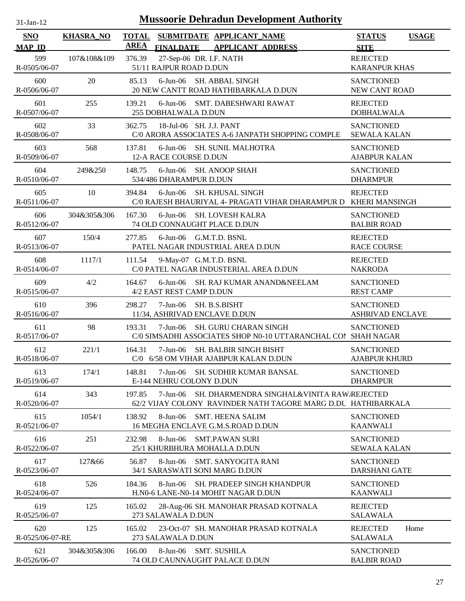| $31$ -Jan-12                |                  | <b>Mussoorie Dehradun Development Authority</b>                                                                                     |                                              |
|-----------------------------|------------------|-------------------------------------------------------------------------------------------------------------------------------------|----------------------------------------------|
| <b>SNO</b><br><b>MAP ID</b> | <b>KHASRA_NO</b> | <b>TOTAL</b><br>SUBMITDATE APPLICANT_NAME<br><b>AREA</b><br><b>FINALDATE</b><br><b>APPLICANT ADDRESS</b>                            | <b>USAGE</b><br><b>STATUS</b><br><b>SITE</b> |
| 599<br>R-0505/06-07         | 107&108&109      | 376.39<br>27-Sep-06 DR. I.F. NATH<br>51/11 RAJPUR ROAD D.DUN                                                                        | <b>REJECTED</b><br><b>KARANPUR KHAS</b>      |
| 600<br>R-0506/06-07         | 20               | 85.13<br>6-Jun-06 SH. ABBAL SINGH<br>20 NEW CANTT ROAD HATHIBARKALA D.DUN                                                           | <b>SANCTIONED</b><br>NEW CANT ROAD           |
| 601<br>R-0507/06-07         | 255              | 6-Jun-06 SMT. DABESHWARI RAWAT<br>139.21<br>255 DOBHALWALA D.DUN                                                                    | <b>REJECTED</b><br><b>DOBHALWALA</b>         |
| 602<br>R-0508/06-07         | 33               | 362.75<br>18-Jul-06 SH. J.J. PANT<br>C/0 ARORA ASSOCIATES A-6 JANPATH SHOPPING COMPLE                                               | <b>SANCTIONED</b><br><b>SEWALA KALAN</b>     |
| 603<br>R-0509/06-07         | 568              | 6-Jun-06 SH. SUNIL MALHOTRA<br>137.81<br>12-A RACE COURSE D.DUN                                                                     | <b>SANCTIONED</b><br><b>AJABPUR KALAN</b>    |
| 604<br>R-0510/06-07         | 249&250          | $6$ -Jun-06<br>148.75<br><b>SH. ANOOP SHAH</b><br>534/486 DHARAMPUR D.DUN                                                           | <b>SANCTIONED</b><br><b>DHARMPUR</b>         |
| 605<br>R-0511/06-07         | 10               | 394.84<br>6-Jun-06<br><b>SH. KHUSAL SINGH</b><br>C/0 RAJESH BHAURIYAL 4- PRAGATI VIHAR DHARAMPUR D KHERI MANSINGH                   | <b>REJECTED</b>                              |
| 606<br>R-0512/06-07         | 304&305&306      | $6$ -Jun-06<br>SH. LOVESH KALRA<br>167.30<br>74 OLD CONNAUGHT PLACE D.DUN                                                           | <b>SANCTIONED</b><br><b>BALBIR ROAD</b>      |
| 607<br>R-0513/06-07         | 150/4            | 277.85<br>$6$ -Jun-06 $G.M.T.D. BSNL$<br>PATEL NAGAR INDUSTRIAL AREA D.DUN                                                          | <b>REJECTED</b><br><b>RACE COURSE</b>        |
| 608<br>R-0514/06-07         | 1117/1           | 9-May-07 G.M.T.D. BSNL<br>111.54<br>C/0 PATEL NAGAR INDUSTERIAL AREA D.DUN                                                          | <b>REJECTED</b><br><b>NAKRODA</b>            |
| 609<br>R-0515/06-07         | 4/2              | 164.67<br>$6$ -Jun- $06$<br>SH. RAJ KUMAR ANAND&NEELAM<br>4/2 EAST REST CAMP D.DUN                                                  | <b>SANCTIONED</b><br><b>REST CAMP</b>        |
| 610<br>R-0516/06-07         | 396              | 298.27<br>$7-Jun-06$<br>SH. B.S.BISHT<br>11/34, ASHRIVAD ENCLAVE D.DUN                                                              | <b>SANCTIONED</b><br>ASHRIVAD ENCLAVE        |
| 611<br>R-0517/06-07         | 98               | $7-Jun-06$<br>SH. GURU CHARAN SINGH<br>193.31<br>C/0 SIMSADHI ASSOCIATES SHOP N0-10 UTTARANCHAL COl SHAH NAGAR                      | <b>SANCTIONED</b>                            |
| 612<br>R-0518/06-07         | 221/1            | 164.31<br>7-Jun-06 SH. BALBIR SINGH BISHT<br>C/0 6/58 OM VIHAR AJABPUR KALAN D.DUN                                                  | <b>SANCTIONED</b><br><b>AJABPUR KHURD</b>    |
| 613<br>R-0519/06-07         | 174/1            | SH. SUDHIR KUMAR BANSAL<br>148.81<br>$7-Jun-06$<br>E-144 NEHRU COLONY D.DUN                                                         | <b>SANCTIONED</b><br><b>DHARMPUR</b>         |
| 614<br>R-0520/06-07         | 343              | SH. DHARMENDRA SINGHAL&VINITA RAW/REJECTED<br>197.85<br>$7-Jun-06$<br>62/2 VIJAY COLONY RAVINDER NATH TAGORE MARG D.DU HATHIBARKALA |                                              |
| 615<br>R-0521/06-07         | 1054/1           | <b>SMT. HEENA SALIM</b><br>138.92<br>$8-Jun-06$<br>16 MEGHA ENCLAVE G.M.S.ROAD D.DUN                                                | <b>SANCTIONED</b><br><b>KAANWALI</b>         |
| 616<br>R-0522/06-07         | 251              | 232.98<br>8-Jun-06<br><b>SMT.PAWAN SURI</b><br>25/1 KHURBHURA MOHALLA D.DUN                                                         | <b>SANCTIONED</b><br><b>SEWALA KALAN</b>     |
| 617<br>R-0523/06-07         | 127&66           | 56.87<br>$8$ -Jun-06<br><b>SMT. SANYOGITA RANI</b><br>34/1 SARASWATI SONI MARG D.DUN                                                | <b>SANCTIONED</b><br>DARSHANI GATE           |
| 618<br>R-0524/06-07         | 526              | 184.36<br>8-Jun-06<br>SH. PRADEEP SINGH KHANDPUR<br>H.N0-6 LANE-N0-14 MOHIT NAGAR D.DUN                                             | <b>SANCTIONED</b><br><b>KAANWALI</b>         |
| 619<br>R-0525/06-07         | 125              | 165.02<br>28-Aug-06 SH. MANOHAR PRASAD KOTNALA<br>273 SALAWALA D.DUN                                                                | <b>REJECTED</b><br><b>SALAWALA</b>           |
| 620<br>R-0525/06-07-RE      | 125              | 165.02<br>23-Oct-07 SH. MANOHAR PRASAD KOTNALA<br>273 SALAWALA D.DUN                                                                | <b>REJECTED</b><br>Home<br><b>SALAWALA</b>   |
| 621<br>R-0526/06-07         | 304&305&306      | 166.00<br>$8-Jun-06$<br><b>SMT. SUSHILA</b><br>74 OLD CAUNNAUGHT PALACE D.DUN                                                       | <b>SANCTIONED</b><br><b>BALBIR ROAD</b>      |

 $\overline{a}$ 

 $\overline{\phantom{a}}$ 

 $\overline{\phantom{0}}$ 

L.

 $\overline{\phantom{a}}$ 

 $\overline{\phantom{a}}$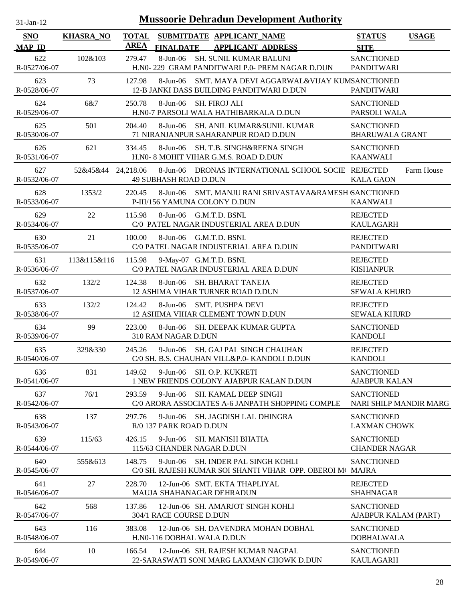| -.ian- |
|--------|
|        |

| <b>SNO</b><br><b>MAP ID</b> | <b>KHASRA_NO</b>   | <b>TOTAL</b><br><b>AREA</b> | <b>FINALDATE</b>                          | SUBMITDATE APPLICANT NAME<br><b>APPLICANT ADDRESS</b>                                             | <b>STATUS</b><br><b>SITE</b>                       | <b>USAGE</b> |
|-----------------------------|--------------------|-----------------------------|-------------------------------------------|---------------------------------------------------------------------------------------------------|----------------------------------------------------|--------------|
| 622<br>R-0527/06-07         | 102&103            | 279.47                      |                                           | 8-Jun-06 SH. SUNIL KUMAR BALUNI<br>H.NO-229 GRAM PANDITWARI P.O- PREM NAGAR D.DUN                 | <b>SANCTIONED</b><br><b>PANDITWARI</b>             |              |
| 623<br>R-0528/06-07         | 73                 | 127.98                      |                                           | 8-Jun-06 SMT. MAYA DEVI AGGARWAL&VIJAY KUMSANCTIONED<br>12-B JANKI DASS BUILDING PANDITWARI D.DUN | PANDITWARI                                         |              |
| 624<br>R-0529/06-07         | 6&7                | 250.78                      | 8-Jun-06 SH. FIROJ ALI                    | H.N0-7 PARSOLI WALA HATHIBARKALA D.DUN                                                            | <b>SANCTIONED</b><br>PARSOLI WALA                  |              |
| 625<br>R-0530/06-07         | 501                | 204.40                      |                                           | 8-Jun-06 SH. ANIL KUMAR&SUNIL KUMAR<br>71 NIRANJANPUR SAHARANPUR ROAD D.DUN                       | <b>SANCTIONED</b><br><b>BHARUWALA GRANT</b>        |              |
| 626<br>R-0531/06-07         | 621                | 334.45                      |                                           | 8-Jun-06 SH. T.B. SINGH&REENA SINGH<br>H.N0- 8 MOHIT VIHAR G.M.S. ROAD D.DUN                      | <b>SANCTIONED</b><br><b>KAANWALI</b>               |              |
| 627<br>R-0532/06-07         | 52&45&44 24,218.06 |                             | <b>49 SUBHASH ROAD D.DUN</b>              | 8-Jun-06 DRONAS INTERNATIONAL SCHOOL SOCIE REJECTED                                               | <b>KALA GAON</b>                                   | Farm House   |
| 628<br>R-0533/06-07         | 1353/2             | 220.45                      |                                           | 8-Jun-06 SMT. MANJU RANI SRIVASTAVA&RAMESH SANCTIONED<br>P-III/156 YAMUNA COLONY D.DUN            | <b>KAANWALI</b>                                    |              |
| 629<br>R-0534/06-07         | 22                 | 115.98                      |                                           | 8-Jun-06 G.M.T.D. BSNL<br>C/0 PATEL NAGAR INDUSTERIAL AREA D.DUN                                  | <b>REJECTED</b><br><b>KAULAGARH</b>                |              |
| 630<br>R-0535/06-07         | 21                 | 100.00                      |                                           | 8-Jun-06 G.M.T.D. BSNL<br>C/0 PATEL NAGAR INDUSTERIAL AREA D.DUN                                  | <b>REJECTED</b><br><b>PANDITWARI</b>               |              |
| 631<br>R-0536/06-07         | 113&115&116        | 115.98                      |                                           | 9-May-07 G.M.T.D. BSNL<br>C/0 PATEL NAGAR INDUSTERIAL AREA D.DUN                                  | <b>REJECTED</b><br><b>KISHANPUR</b>                |              |
| 632<br>R-0537/06-07         | 132/2              | 124.38                      |                                           | 8-Jun-06 SH. BHARAT TANEJA<br>12 ASHIMA VIHAR TURNER ROAD D.DUN                                   | <b>REJECTED</b><br><b>SEWALA KHURD</b>             |              |
| 633<br>R-0538/06-07         | 132/2              | 124.42                      |                                           | 8-Jun-06 SMT. PUSHPA DEVI<br>12 ASHIMA VIHAR CLEMENT TOWN D.DUN                                   | <b>REJECTED</b><br><b>SEWALA KHURD</b>             |              |
| 634<br>R-0539/06-07         | 99                 | 223.00                      | 310 RAM NAGAR D.DUN                       | 8-Jun-06 SH. DEEPAK KUMAR GUPTA                                                                   | <b>SANCTIONED</b><br><b>KANDOLI</b>                |              |
| 635<br>R-0540/06-07         | 329&330            | 245.26                      |                                           | 9-Jun-06 SH. GAJ PAL SINGH CHAUHAN<br>C/0 SH. B.S. CHAUHAN VILL&P.0- KANDOLI D.DUN                | <b>REJECTED</b><br><b>KANDOLI</b>                  |              |
| 636<br>R-0541/06-07         | 831                | 149.62                      | $9$ -Jun-06                               | SH. O.P. KUKRETI<br>1 NEW FRIENDS COLONY AJABPUR KALAN D.DUN                                      | <b>SANCTIONED</b><br><b>AJABPUR KALAN</b>          |              |
| 637<br>R-0542/06-07         | 76/1               | 293.59                      | $9$ -Jun-06                               | <b>SH. KAMAL DEEP SINGH</b><br>C/0 ARORA ASSOCIATES A-6 JANPATH SHOPPING COMPLE                   | <b>SANCTIONED</b><br><b>NARI SHILP MANDIR MARG</b> |              |
| 638<br>R-0543/06-07         | 137                | 297.76                      | $9 - Jun-06$<br>R/0 137 PARK ROAD D.DUN   | <b>SH. JAGDISH LAL DHINGRA</b>                                                                    | <b>SANCTIONED</b><br><b>LAXMAN CHOWK</b>           |              |
| 639<br>R-0544/06-07         | 115/63             | 426.15                      | $9$ -Jun-06<br>115/63 CHANDER NAGAR D.DUN | <b>SH. MANISH BHATIA</b>                                                                          | <b>SANCTIONED</b><br><b>CHANDER NAGAR</b>          |              |
| 640<br>R-0545/06-07         | 555&613            | 148.75                      | $9$ -Jun-06                               | SH. INDER PAL SINGH KOHLI<br>C/0 SH. RAJESH KUMAR SOI SHANTI VIHAR OPP. OBEROI MO                 | <b>SANCTIONED</b><br><b>MAJRA</b>                  |              |
| 641<br>R-0546/06-07         | 27                 | 228.70                      |                                           | 12-Jun-06 SMT. EKTA THAPLIYAL<br><b>MAUJA SHAHANAGAR DEHRADUN</b>                                 | <b>REJECTED</b><br><b>SHAHNAGAR</b>                |              |
| 642<br>R-0547/06-07         | 568                | 137.86                      | 304/1 RACE COURSE D.DUN                   | 12-Jun-06 SH. AMARJOT SINGH KOHLI                                                                 | <b>SANCTIONED</b><br>AJABPUR KALAM (PART)          |              |
| 643<br>R-0548/06-07         | 116                | 383.08                      | H.N0-116 DOBHAL WALA D.DUN                | 12-Jun-06 SH. DAVENDRA MOHAN DOBHAL                                                               | <b>SANCTIONED</b><br><b>DOBHALWALA</b>             |              |
| 644<br>R-0549/06-07         | 10                 | 166.54                      |                                           | 12-Jun-06 SH. RAJESH KUMAR NAGPAL<br>22-SARASWATI SONI MARG LAXMAN CHOWK D.DUN                    | <b>SANCTIONED</b><br><b>KAULAGARH</b>              |              |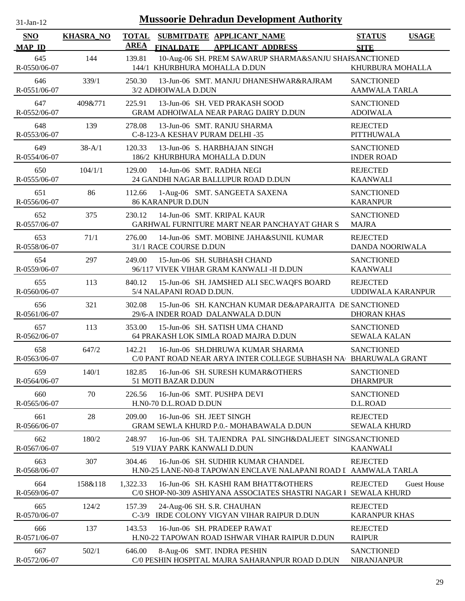| <b>Mussoorie Dehradun Development Authority</b><br>$31$ -Jan-12 |                  |                                                                                                                 |                                                              |  |  |  |
|-----------------------------------------------------------------|------------------|-----------------------------------------------------------------------------------------------------------------|--------------------------------------------------------------|--|--|--|
| <b>SNO</b><br><b>MAP ID</b>                                     | <b>KHASRA_NO</b> | <b>TOTAL</b><br>SUBMITDATE APPLICANT_NAME<br><b>AREA</b><br><b>FINALDATE</b><br><b>APPLICANT ADDRESS</b>        | <b>STATUS</b><br><b>USAGE</b><br><b>SITE</b>                 |  |  |  |
| 645<br>R-0550/06-07                                             | 144              | 10-Aug-06 SH. PREM SAWARUP SHARMA&SANJU SHAFSANCTIONED<br>139.81<br>144/1 KHURBHURA MOHALLA D.DUN               | KHURBURA MOHALLA                                             |  |  |  |
| 646<br>R-0551/06-07                                             | 339/1            | 250.30<br>13-Jun-06 SMT. MANJU DHANESHWAR&RAJRAM<br>3/2 ADHOIWALA D.DUN                                         | <b>SANCTIONED</b><br><b>AAMWALA TARLA</b>                    |  |  |  |
| 647<br>R-0552/06-07                                             | 409&771          | 13-Jun-06 SH. VED PRAKASH SOOD<br>225.91<br>GRAM ADHOIWALA NEAR PARAG DAIRY D.DUN                               | <b>SANCTIONED</b><br><b>ADOIWALA</b>                         |  |  |  |
| 648<br>R-0553/06-07                                             | 139              | 278.08<br>13-Jun-06 SMT. RANJU SHARMA<br>C-8-123-A KESHAV PURAM DELHI -35                                       | <b>REJECTED</b><br><b>PITTHUWALA</b>                         |  |  |  |
| 649<br>R-0554/06-07                                             | $38 - A/1$       | 13-Jun-06 S. HARBHAJAN SINGH<br>120.33<br>186/2 KHURBHURA MOHALLA D.DUN                                         | <b>SANCTIONED</b><br><b>INDER ROAD</b>                       |  |  |  |
| 650<br>R-0555/06-07                                             | 104/1/1          | 129.00<br>14-Jun-06 SMT. RADHA NEGI<br>24 GANDHI NAGAR BALLUPUR ROAD D.DUN                                      | <b>REJECTED</b><br><b>KAANWALI</b>                           |  |  |  |
| 651<br>R-0556/06-07                                             | 86               | 1-Aug-06 SMT. SANGEETA SAXENA<br>112.66<br><b>86 KARANPUR D.DUN</b>                                             | <b>SANCTIONED</b><br><b>KARANPUR</b>                         |  |  |  |
| 652<br>R-0557/06-07                                             | 375              | 14-Jun-06 SMT. KRIPAL KAUR<br>230.12<br>GARHWAL FURNITURE MART NEAR PANCHAYAT GHAR S                            | <b>SANCTIONED</b><br><b>MAJRA</b>                            |  |  |  |
| 653<br>R-0558/06-07                                             | 71/1             | 276.00<br>14-Jun-06 SMT. MOBINE JAHA&SUNIL KUMAR<br>31/1 RACE COURSE D.DUN                                      | <b>REJECTED</b><br>DANDA NOORIWALA                           |  |  |  |
| 654<br>R-0559/06-07                                             | 297              | 15-Jun-06 SH. SUBHASH CHAND<br>249.00<br>96/117 VIVEK VIHAR GRAM KANWALI -II D.DUN                              | <b>SANCTIONED</b><br><b>KAANWALI</b>                         |  |  |  |
| 655<br>R-0560/06-07                                             | 113              | 840.12<br>15-Jun-06 SH. JAMSHED ALI SEC. WAQFS BOARD<br>5/4 NALAPANI ROAD D.DUN.                                | <b>REJECTED</b><br>UDDIWALA KARANPUR                         |  |  |  |
| 656<br>R-0561/06-07                                             | 321              | 15-Jun-06 SH. KANCHAN KUMAR DE&APARAJITA DE SANCTIONED<br>302.08<br>29/6-A INDER ROAD DALANWALA D.DUN           | <b>DHORAN KHAS</b>                                           |  |  |  |
| 657<br>R-0562/06-07                                             | 113              | 15-Jun-06 SH. SATISH UMA CHAND<br>353.00<br>64 PRAKASH LOK SIMLA ROAD MAJRA D.DUN                               | <b>SANCTIONED</b><br><b>SEWALA KALAN</b>                     |  |  |  |
| 658<br>R-0563/06-07                                             | 647/2            | 142.21<br>16-Jun-06 SH.DHRUWA KUMAR SHARMA<br>C/0 PANT ROAD NEAR ARYA INTER COLLEGE SUBHASH NA BHARUWALA GRANT  | <b>SANCTIONED</b>                                            |  |  |  |
| 659<br>R-0564/06-07                                             | 140/1            | 182.85<br>16-Jun-06 SH. SURESH KUMAR&OTHERS<br>51 MOTI BAZAR D.DUN                                              | <b>SANCTIONED</b><br><b>DHARMPUR</b>                         |  |  |  |
| 660<br>R-0565/06-07                                             | 70               | 226.56<br>16-Jun-06 SMT. PUSHPA DEVI<br>H.N0-70 D.L.ROAD D.DUN                                                  | <b>SANCTIONED</b><br>D.L.ROAD                                |  |  |  |
| 661<br>R-0566/06-07                                             | 28               | 16-Jun-06 SH. JEET SINGH<br>209.00<br>GRAM SEWLA KHURD P.O.- MOHABAWALA D.DUN                                   | <b>REJECTED</b><br><b>SEWALA KHURD</b>                       |  |  |  |
| 662<br>R-0567/06-07                                             | 180/2            | 248.97<br>16-Jun-06 SH. TAJENDRA PAL SINGH&DALJEET SINGSANCTIONED<br>519 VIJAY PARK KANWALI D.DUN               | <b>KAANWALI</b>                                              |  |  |  |
| 663<br>R-0568/06-07                                             | 307              | 16-Jun-06 SH. SUDHIR KUMAR CHANDEL<br>304.46<br>H.N0-25 LANE-N0-8 TAPOWAN ENCLAVE NALAPANI ROAD I AAMWALA TARLA | <b>REJECTED</b>                                              |  |  |  |
| 664<br>R-0569/06-07                                             | 158&118          | 1,322.33<br>16-Jun-06 SH. KASHI RAM BHATT&OTHERS<br>C/0 SHOP-N0-309 ASHIYANA ASSOCIATES SHASTRI NAGAR I         | <b>REJECTED</b><br><b>Guest House</b><br><b>SEWALA KHURD</b> |  |  |  |
| 665<br>R-0570/06-07                                             | 124/2            | 157.39<br>24-Aug-06 SH. S.R. CHAUHAN<br>$C-3/9$<br>IRDE COLONY VIGYAN VIHAR RAIPUR D.DUN                        | <b>REJECTED</b><br><b>KARANPUR KHAS</b>                      |  |  |  |
| 666<br>R-0571/06-07                                             | 137              | 143.53<br>16-Jun-06 SH. PRADEEP RAWAT<br>H.N0-22 TAPOWAN ROAD ISHWAR VIHAR RAIPUR D.DUN                         | <b>REJECTED</b><br><b>RAIPUR</b>                             |  |  |  |
| 667<br>R-0572/06-07                                             | 502/1            | 646.00<br>8-Aug-06 SMT. INDRA PESHIN<br>C/0 PESHIN HOSPITAL MAJRA SAHARANPUR ROAD D.DUN                         | <b>SANCTIONED</b><br><b>NIRANJANPUR</b>                      |  |  |  |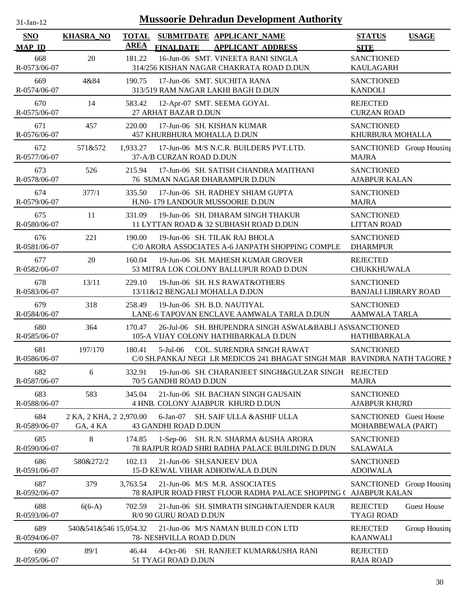| 31-Jan-12 |  |
|-----------|--|

| <b>SNO</b><br><b>MAP ID</b> | <b>KHASRA_NO</b>                    | <b>TOTAL</b><br><b>AREA</b> | <b>FINALDATE</b>                    | SUBMITDATE APPLICANT_NAME<br><b>APPLICANT ADDRESS</b>                                                         | <b>STATUS</b><br><b>SITE</b>                     | <b>USAGE</b>       |
|-----------------------------|-------------------------------------|-----------------------------|-------------------------------------|---------------------------------------------------------------------------------------------------------------|--------------------------------------------------|--------------------|
| 668<br>R-0573/06-07         | 20                                  | 181.22                      |                                     | 16-Jun-06 SMT. VINEETA RANI SINGLA<br>314/256 KISHAN NAGAR CHAKRATA ROAD D.DUN                                | <b>SANCTIONED</b><br><b>KAULAGARH</b>            |                    |
| 669<br>R-0574/06-07         | 4&84                                | 190.75                      |                                     | 17-Jun-06 SMT. SUCHITA RANA<br>313/519 RAM NAGAR LAKHI BAGH D.DUN                                             | <b>SANCTIONED</b><br><b>KANDOLI</b>              |                    |
| 670<br>R-0575/06-07         | 14                                  | 583.42                      | 27 ARHAT BAZAR D.DUN                | 12-Apr-07 SMT. SEEMA GOYAL                                                                                    | <b>REJECTED</b><br><b>CURZAN ROAD</b>            |                    |
| 671<br>R-0576/06-07         | 457                                 | 220.00                      | 457 KHURBHURA MOHALLA D.DUN         | 17-Jun-06 SH. KISHAN KUMAR                                                                                    | <b>SANCTIONED</b><br>KHURBURA MOHALLA            |                    |
| 672<br>R-0577/06-07         | 571&572                             | 1,933.27                    | 37-A/B CURZAN ROAD D.DUN            | 17-Jun-06 M/S N.C.R. BUILDERS PVT.LTD.                                                                        | SANCTIONED Group Housing<br><b>MAJRA</b>         |                    |
| 673<br>R-0578/06-07         | 526                                 | 215.94                      |                                     | 17-Jun-06 SH. SATISH CHANDRA MAITHANI<br>76 SUMAN NAGAR DHARAMPUR D.DUN                                       | <b>SANCTIONED</b><br><b>AJABPUR KALAN</b>        |                    |
| 674<br>R-0579/06-07         | 377/1                               | 335.50                      |                                     | 17-Jun-06 SH. RADHEY SHIAM GUPTA<br>H.N0-179 LANDOUR MUSSOORIE D.DUN                                          | <b>SANCTIONED</b><br><b>MAJRA</b>                |                    |
| 675<br>R-0580/06-07         | 11                                  | 331.09                      |                                     | 19-Jun-06 SH. DHARAM SINGH THAKUR<br>11 LYTTAN ROAD & 32 SUBHASH ROAD D.DUN                                   | <b>SANCTIONED</b><br><b>LITTAN ROAD</b>          |                    |
| 676<br>R-0581/06-07         | 221                                 | 190.00                      |                                     | 19-Jun-06 SH. TILAK RAJ BHOLA<br>C/0 ARORA ASSOCIATES A-6 JANPATH SHOPPING COMPLE                             | <b>SANCTIONED</b><br><b>DHARMPUR</b>             |                    |
| 677<br>R-0582/06-07         | 20                                  | 160.04                      |                                     | 19-Jun-06 SH. MAHESH KUMAR GROVER<br>53 MITRA LOK COLONY BALLUPUR ROAD D.DUN                                  | <b>REJECTED</b><br>CHUKKHUWALA                   |                    |
| 678<br>R-0583/06-07         | 13/11                               | 229.10                      | 13/11&12 BENGALI MOHALLA D.DUN      | 19-Jun-06 SH. H.S RAWAT&OTHERS                                                                                | <b>SANCTIONED</b><br><b>BANJALI LIBRARY ROAD</b> |                    |
| 679<br>R-0584/06-07         | 318                                 | 258.49                      | 19-Jun-06 SH. B.D. NAUTIYAL         | LANE-6 TAPOVAN ENCLAVE AAMWALA TARLA D.DUN                                                                    | <b>SANCTIONED</b><br><b>AAMWALA TARLA</b>        |                    |
| 680<br>R-0585/06-07         | 364                                 | 170.47                      |                                     | 26-Jul-06 SH. BHUPENDRA SINGH ASWAL&BABLI ASVSANCTIONED<br>105-A VIJAY COLONY HATHIBARKALA D.DUN              | HATHIBARKALA                                     |                    |
| 681<br>R-0586/06-07         | 197/170                             | 180.41                      | $5$ -Jul-06                         | <b>COL. SURENDRA SINGH RAWAT</b><br>C/0 SH.PANKAJ NEGI LR MEDICOS 241 BHAGAT SINGH MAR RAVINDRA NATH TAGORE N | <b>SANCTIONED</b>                                |                    |
| 682<br>R-0587/06-07         | 6                                   | 332.91                      | 70/5 GANDHI ROAD D.DUN              | 19-Jun-06 SH. CHARANJEET SINGH&GULZAR SINGH REJECTED                                                          | <b>MAJRA</b>                                     |                    |
| 683<br>R-0588/06-07         | 583                                 | 345.04                      |                                     | 21-Jun-06 SH. BACHAN SINGH GAUSAIN<br>4 HNB. COLONY AJABPUR KHURD D.DUN                                       | <b>SANCTIONED</b><br><b>AJABPUR KHURD</b>        |                    |
| 684<br>R-0589/06-07         | 2 KA, 2 KHA, 2 2,970.00<br>GA, 4 KA |                             | $6$ -Jan-07<br>43 GANDHI ROAD D.DUN | SH. SAIF ULLA & ASHIF ULLA                                                                                    | SANCTIONED Guest House<br>MOHABBEWALA (PART)     |                    |
| 685<br>R-0590/06-07         | 8                                   | 174.85                      |                                     | 1-Sep-06 SH. R.N. SHARMA &USHA ARORA<br>78 RAJPUR ROAD SHRI RADHA PALACE BUILDING D.DUN                       | <b>SANCTIONED</b><br><b>SALAWALA</b>             |                    |
| 686<br>R-0591/06-07         | 580&272/2                           | 102.13                      | 21-Jun-06 SH.SANJEEV DUA            | 15-D KEWAL VIHAR ADHOIWALA D.DUN                                                                              | <b>SANCTIONED</b><br><b>ADOIWALA</b>             |                    |
| 687<br>R-0592/06-07         | 379                                 | 3,763.54                    |                                     | 21-Jun-06 M/S M.R. ASSOCIATES<br>78 RAJPUR ROAD FIRST FLOOR RADHA PALACE SHOPPING ( AJABPUR KALAN             | SANCTIONED Group Housing                         |                    |
| 688<br>R-0593/06-07         | $6(6-A)$                            | 702.59                      | R/0 90 GURU ROAD D.DUN              | 21-Jun-06 SH. SIMRATH SINGH&TAJENDER KAUR                                                                     | <b>REJECTED</b><br><b>TYAGI ROAD</b>             | <b>Guest House</b> |
| 689<br>R-0594/06-07         | 540&541&546 15,054.32               |                             | 78- NESHVILLA ROAD D.DUN            | 21-Jun-06 M/S NAMAN BUILD CON LTD                                                                             | <b>REJECTED</b><br><b>KAANWALI</b>               | Group Housing      |
| 690<br>R-0595/06-07         | 89/1                                | 46.44                       | 51 TYAGI ROAD D.DUN                 | 4-Oct-06 SH. RANJEET KUMAR&USHA RANI                                                                          | <b>REJECTED</b><br><b>RAJA ROAD</b>              |                    |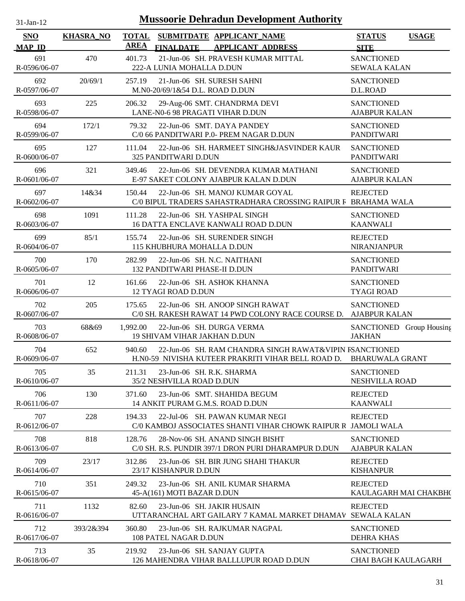| -.ian- |  |
|--------|--|

| <b>SNO</b><br><b>MAP ID</b> | <b>KHASRA_NO</b> | <b>TOTAL</b><br><b>AREA</b> | SUBMITDATE APPLICANT_NAME<br><b>FINALDATE</b><br><b>APPLICANT ADDRESS</b>                                                     | <b>STATUS</b><br><b>SITE</b>                    | <b>USAGE</b> |
|-----------------------------|------------------|-----------------------------|-------------------------------------------------------------------------------------------------------------------------------|-------------------------------------------------|--------------|
| 691<br>R-0596/06-07         | 470              | 401.73                      | 21-Jun-06 SH. PRAVESH KUMAR MITTAL<br>222-A LUNIA MOHALLA D.DUN                                                               | <b>SANCTIONED</b><br><b>SEWALA KALAN</b>        |              |
| 692<br>R-0597/06-07         | 20/69/1          | 257.19                      | 21-Jun-06 SH. SURESH SAHNI<br>M.N0-20/69/1&54 D.L. ROAD D.DUN                                                                 | <b>SANCTIONED</b><br>D.L.ROAD                   |              |
| 693<br>R-0598/06-07         | 225              | 206.32                      | 29-Aug-06 SMT. CHANDRMA DEVI<br>LANE-N0-6 98 PRAGATI VIHAR D.DUN                                                              | <b>SANCTIONED</b><br><b>AJABPUR KALAN</b>       |              |
| 694<br>R-0599/06-07         | 172/1            | 79.32                       | 22-Jun-06 SMT. DAYA PANDEY<br>C/0 66 PANDITWARI P.0- PREM NAGAR D.DUN                                                         | <b>SANCTIONED</b><br><b>PANDITWARI</b>          |              |
| 695<br>R-0600/06-07         | 127              | 111.04                      | 22-Jun-06 SH. HARMEET SINGH&JASVINDER KAUR<br>325 PANDITWARI D.DUN                                                            | <b>SANCTIONED</b><br>PANDITWARI                 |              |
| 696<br>R-0601/06-07         | 321              | 349.46                      | 22-Jun-06 SH. DEVENDRA KUMAR MATHANI<br>E-97 SAKET COLONY AJABPUR KALAN D.DUN                                                 | <b>SANCTIONED</b><br><b>AJABPUR KALAN</b>       |              |
| 697<br>R-0602/06-07         | 14&34            | 150.44                      | 22-Jun-06 SH. MANOJ KUMAR GOYAL<br>C/0 BIPUL TRADERS SAHASTRADHARA CROSSING RAIPUR F BRAHAMA WALA                             | <b>REJECTED</b>                                 |              |
| 698<br>R-0603/06-07         | 1091             | 111.28                      | 22-Jun-06 SH. YASHPAL SINGH<br>16 DATTA ENCLAVE KANWALI ROAD D.DUN                                                            | <b>SANCTIONED</b><br><b>KAANWALI</b>            |              |
| 699<br>R-0604/06-07         | 85/1             | 155.74                      | 22-Jun-06 SH. SURENDER SINGH<br>115 KHUBHURA MOHALLA D.DUN                                                                    | <b>REJECTED</b><br><b>NIRANJANPUR</b>           |              |
| 700<br>R-0605/06-07         | 170              | 282.99                      | 22-Jun-06 SH. N.C. NAITHANI<br>132 PANDITWARI PHASE-II D.DUN                                                                  | <b>SANCTIONED</b><br><b>PANDITWARI</b>          |              |
| 701<br>R-0606/06-07         | 12               | 161.66                      | 22-Jun-06 SH. ASHOK KHANNA<br>12 TYAGI ROAD D.DUN                                                                             | <b>SANCTIONED</b><br><b>TYAGI ROAD</b>          |              |
| 702<br>R-0607/06-07         | 205              | 175.65                      | 22-Jun-06 SH. ANOOP SINGH RAWAT<br>C/0 SH. RAKESH RAWAT 14 PWD COLONY RACE COURSE D.                                          | <b>SANCTIONED</b><br><b>AJABPUR KALAN</b>       |              |
| 703<br>R-0608/06-07         | 68&69            | 1,992.00                    | 22-Jun-06 SH. DURGA VERMA<br><b>19 SHIVAM VIHAR JAKHAN D.DUN</b>                                                              | SANCTIONED Group Housing<br><b>JAKHAN</b>       |              |
| 704<br>R-0609/06-07         | 652              | 940.60                      | 22-Jun-06 SH. RAM CHANDRA SINGH RAWAT&VIPIN FSANCTIONED<br>H.NO-59 NIVISHA KUTEER PRAKRITI VIHAR BELL ROAD D. BHARUWALA GRANT |                                                 |              |
| 705<br>R-0610/06-07         | 35               | 211.31                      | 23-Jun-06 SH. R.K. SHARMA<br>35/2 NESHVILLA ROAD D.DUN                                                                        | <b>SANCTIONED</b><br>NESHVILLA ROAD             |              |
| 706<br>R-0611/06-07         | 130              | 371.60                      | 23-Jun-06 SMT. SHAHIDA BEGUM<br>14 ANKIT PURAM G.M.S. ROAD D.DUN                                                              | <b>REJECTED</b><br><b>KAANWALI</b>              |              |
| 707<br>$R - 0612/06 - 07$   | 228              | 194.33                      | 22-Jul-06 SH. PAWAN KUMAR NEGI<br>C/0 KAMBOJ ASSOCIATES SHANTI VIHAR CHOWK RAIPUR R                                           | <b>REJECTED</b><br>JAMOLI WALA                  |              |
| 708<br>R-0613/06-07         | 818              | 128.76                      | 28-Nov-06 SH. ANAND SINGH BISHT<br>C/0 SH. R.S. PUNDIR 397/1 DRON PURI DHARAMPUR D.DUN                                        | <b>SANCTIONED</b><br><b>AJABPUR KALAN</b>       |              |
| 709<br>R-0614/06-07         | 23/17            | 312.86                      | 23-Jun-06 SH, BIR JUNG SHAHI THAKUR<br>23/17 KISHANPUR D.DUN                                                                  | <b>REJECTED</b><br><b>KISHANPUR</b>             |              |
| 710<br>R-0615/06-07         | 351              | 249.32                      | 23-Jun-06 SH. ANIL KUMAR SHARMA<br>45-A(161) MOTI BAZAR D.DUN                                                                 | <b>REJECTED</b><br>KAULAGARH MAI CHAKBH(        |              |
| 711<br>$R-0616/06-07$       | 1132             | 82.60                       | 23-Jun-06 SH. JAKIR HUSAIN<br>UTTARANCHAL ART GAILARY 7 KAMAL MARKET DHAMAV                                                   | <b>REJECTED</b><br><b>SEWALA KALAN</b>          |              |
| 712<br>R-0617/06-07         | 393/2&394        | 360.80                      | 23-Jun-06 SH. RAJKUMAR NAGPAL<br>108 PATEL NAGAR D.DUN                                                                        | <b>SANCTIONED</b><br><b>DEHRA KHAS</b>          |              |
| 713<br>R-0618/06-07         | 35               | 219.92                      | 23-Jun-06 SH. SANJAY GUPTA<br>126 MAHENDRA VIHAR BALLLUPUR ROAD D.DUN                                                         | <b>SANCTIONED</b><br><b>CHAI BAGH KAULAGARH</b> |              |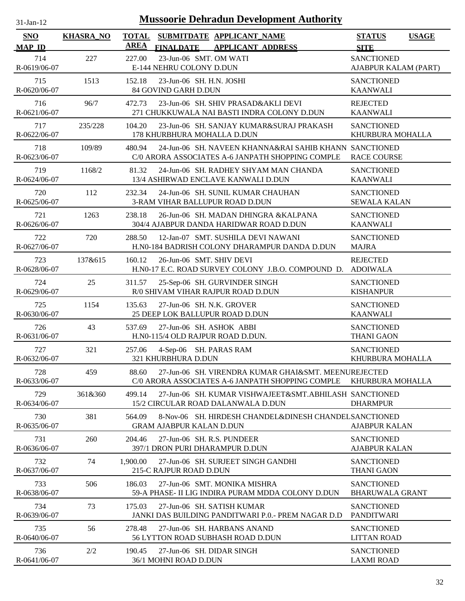| $31$ -Jan-12         |                  | <b>Mussoorie Dehradun Development Authority</b>                                                                      |                                              |
|----------------------|------------------|----------------------------------------------------------------------------------------------------------------------|----------------------------------------------|
| SNO<br><b>MAP ID</b> | <b>KHASRA_NO</b> | <b>TOTAL</b><br>SUBMITDATE APPLICANT_NAME<br><b>AREA</b><br><b>FINALDATE</b><br><b>APPLICANT ADDRESS</b>             | <b>STATUS</b><br><b>USAGE</b><br><b>SITE</b> |
| 714<br>R-0619/06-07  | 227              | 23-Jun-06 SMT. OM WATI<br>227.00<br>E-144 NEHRU COLONY D.DUN                                                         | <b>SANCTIONED</b><br>AJABPUR KALAM (PART)    |
| 715<br>R-0620/06-07  | 1513             | 152.18<br>23-Jun-06 SH. H.N. JOSHI<br>84 GOVIND GARH D.DUN                                                           | <b>SANCTIONED</b><br><b>KAANWALI</b>         |
| 716<br>R-0621/06-07  | 96/7             | 23-Jun-06 SH. SHIV PRASAD&AKLI DEVI<br>472.73<br>271 CHUKKUWALA NAI BASTI INDRA COLONY D.DUN                         | <b>REJECTED</b><br><b>KAANWALI</b>           |
| 717<br>R-0622/06-07  | 235/228          | 104.20<br>23-Jun-06 SH. SANJAY KUMAR&SURAJ PRAKASH<br>178 KHURBHURA MOHALLA D.DUN                                    | <b>SANCTIONED</b><br>KHURBURA MOHALLA        |
| 718<br>R-0623/06-07  | 109/89           | 24-Jun-06 SH. NAVEEN KHANNA&RAI SAHIB KHANN SANCTIONED<br>480.94<br>C/0 ARORA ASSOCIATES A-6 JANPATH SHOPPING COMPLE | <b>RACE COURSE</b>                           |
| 719<br>R-0624/06-07  | 1168/2           | 81.32<br>24-Jun-06 SH. RADHEY SHYAM MAN CHANDA<br>13/4 ASHIRWAD ENCLAVE KANWALI D.DUN                                | <b>SANCTIONED</b><br><b>KAANWALI</b>         |
| 720<br>R-0625/06-07  | 112              | 24-Jun-06 SH. SUNIL KUMAR CHAUHAN<br>232.34<br>3-RAM VIHAR BALLUPUR ROAD D.DUN                                       | <b>SANCTIONED</b><br><b>SEWALA KALAN</b>     |
| 721<br>R-0626/06-07  | 1263             | 238.18<br>26-Jun-06 SH. MADAN DHINGRA & KALPANA<br>304/4 AJABPUR DANDA HARIDWAR ROAD D.DUN                           | <b>SANCTIONED</b><br><b>KAANWALI</b>         |
| 722<br>R-0627/06-07  | 720              | 288.50<br>12-Jan-07 SMT, SUSHILA DEVI NAWANI<br>H.NO-184 BADRISH COLONY DHARAMPUR DANDA D.DUN                        | <b>SANCTIONED</b><br><b>MAJRA</b>            |
| 723<br>R-0628/06-07  | 137&615          | 26-Jun-06 SMT. SHIV DEVI<br>160.12<br>H.NO-17 E.C. ROAD SURVEY COLONY J.B.O. COMPOUND D.                             | <b>REJECTED</b><br><b>ADOIWALA</b>           |
| 724<br>R-0629/06-07  | 25               | 311.57<br>25-Sep-06 SH. GURVINDER SINGH<br>R/0 SHIVAM VIHAR RAJPUR ROAD D.DUN                                        | <b>SANCTIONED</b><br><b>KISHANPUR</b>        |
| 725<br>R-0630/06-07  | 1154             | 135.63<br>27-Jun-06 SH. N.K. GROVER<br>25 DEEP LOK BALLUPUR ROAD D.DUN                                               | <b>SANCTIONED</b><br><b>KAANWALI</b>         |
| 726<br>R-0631/06-07  | 43               | 537.69<br>27-Jun-06 SH, ASHOK ABBI<br>H.N0-115/4 OLD RAJPUR ROAD D.DUN.                                              | <b>SANCTIONED</b><br><b>THANI GAON</b>       |
| 727<br>R-0632/06-07  | 321              | 257.06<br>4-Sep-06 SH. PARAS RAM<br><b>321 KHURBHURA D.DUN</b>                                                       | <b>SANCTIONED</b><br>KHURBURA MOHALLA        |
| 728<br>R-0633/06-07  | 459              | 27-Jun-06 SH. VIRENDRA KUMAR GHAI&SMT. MEENUREJECTED<br>88.60<br>C/0 ARORA ASSOCIATES A-6 JANPATH SHOPPING COMPLE    | KHURBURA MOHALLA                             |
| 729<br>R-0634/06-07  | 361&360          | 499.14<br>27-Jun-06 SH. KUMAR VISHWAJEET&SMT.ABHILASH SANCTIONED<br>15/2 CIRCULAR ROAD DALANWALA D.DUN               | <b>DHARMPUR</b>                              |
| 730<br>R-0635/06-07  | 381              | 564.09<br>8-Nov-06 SH. HIRDESH CHANDEL&DINESH CHANDELSANCTIONED<br><b>GRAM AJABPUR KALAN D.DUN</b>                   | <b>AJABPUR KALAN</b>                         |
| 731<br>R-0636/06-07  | 260              | 204.46<br>27-Jun-06 SH. R.S. PUNDEER<br>397/1 DRON PURI DHARAMPUR D.DUN                                              | <b>SANCTIONED</b><br><b>AJABPUR KALAN</b>    |
| 732<br>R-0637/06-07  | 74               | 27-Jun-06 SH. SURJEET SINGH GANDHI<br>1.900.00<br>215-C RAJPUR ROAD D.DUN                                            | <b>SANCTIONED</b><br><b>THANI GAON</b>       |
| 733<br>R-0638/06-07  | 506              | 186.03<br>27-Jun-06 SMT. MONIKA MISHRA<br>59-A PHASE- II LIG INDIRA PURAM MDDA COLONY D.DUN                          | <b>SANCTIONED</b><br><b>BHARUWALA GRANT</b>  |
| 734<br>R-0639/06-07  | 73               | 175.03<br>27-Jun-06 SH, SATISH KUMAR<br>JANKI DAS BUILDING PANDITWARI P.O. - PREM NAGAR D.D                          | <b>SANCTIONED</b><br>PANDITWARI              |
| 735<br>R-0640/06-07  | 56               | 278.48<br>27-Jun-06 SH. HARBANS ANAND<br><b>56 LYTTON ROAD SUBHASH ROAD D.DUN</b>                                    | <b>SANCTIONED</b><br><b>LITTAN ROAD</b>      |
| 736<br>R-0641/06-07  | 2/2              | 190.45<br>27-Jun-06 SH. DIDAR SINGH<br>36/1 MOHNI ROAD D.DUN                                                         | <b>SANCTIONED</b><br><b>LAXMI ROAD</b>       |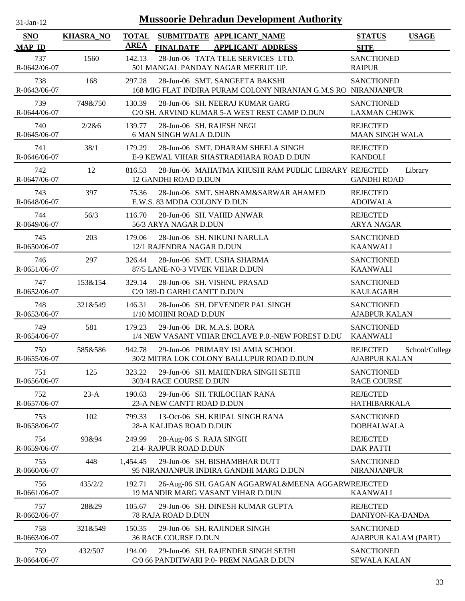| <b>Mussoorie Dehradun Development Authority</b><br>$31-Jan-12$ |                  |              |                                                            |                                                                                                  |                                           |                |  |  |  |
|----------------------------------------------------------------|------------------|--------------|------------------------------------------------------------|--------------------------------------------------------------------------------------------------|-------------------------------------------|----------------|--|--|--|
| <b>SNO</b>                                                     | <b>KHASRA_NO</b> | <b>TOTAL</b> |                                                            | SUBMITDATE APPLICANT NAME                                                                        | <b>STATUS</b>                             | <b>USAGE</b>   |  |  |  |
| <b>MAP ID</b>                                                  |                  | <b>AREA</b>  | <b>FINALDATE</b>                                           | <b>APPLICANT ADDRESS</b>                                                                         | <b>SITE</b>                               |                |  |  |  |
| 737<br>R-0642/06-07                                            | 1560             | 142.13       |                                                            | 28-Jun-06 TATA TELE SERVICES LTD.<br>501 MANGAL PANDAY NAGAR MEERUT UP.                          | <b>SANCTIONED</b><br><b>RAIPUR</b>        |                |  |  |  |
| 738<br>R-0643/06-07                                            | 168              | 297.28       |                                                            | 28-Jun-06 SMT. SANGEETA BAKSHI<br>168 MIG FLAT INDIRA PURAM COLONY NIRANJAN G.M.S RC NIRANJANPUR | <b>SANCTIONED</b>                         |                |  |  |  |
| 739<br>R-0644/06-07                                            | 749&750          | 130.39       |                                                            | 28-Jun-06 SH, NEERAJ KUMAR GARG<br>C/0 SH. ARVIND KUMAR 5-A WEST REST CAMP D.DUN                 | <b>SANCTIONED</b><br><b>LAXMAN CHOWK</b>  |                |  |  |  |
| 740<br>R-0645/06-07                                            | 2/2&6            | 139.77       | 28-Jun-06 SH. RAJESH NEGI<br><b>6 MAN SINGH WALA D.DUN</b> |                                                                                                  | <b>REJECTED</b><br><b>MAAN SINGH WALA</b> |                |  |  |  |
| 741<br>R-0646/06-07                                            | 38/1             | 179.29       |                                                            | 28-Jun-06 SMT. DHARAM SHEELA SINGH<br>E-9 KEWAL VIHAR SHASTRADHARA ROAD D.DUN                    | <b>REJECTED</b><br><b>KANDOLI</b>         |                |  |  |  |
| 742<br>R-0647/06-07                                            | 12               | 816.53       | 12 GANDHI ROAD D.DUN                                       | 28-Jun-06 MAHATMA KHUSHI RAM PUBLIC LIBRARY REJECTED                                             | <b>GANDHI ROAD</b>                        | Library        |  |  |  |
| 743<br>R-0648/06-07                                            | 397              | 75.36        | E.W.S. 83 MDDA COLONY D.DUN                                | 28-Jun-06 SMT. SHABNAM&SARWAR AHAMED                                                             | <b>REJECTED</b><br><b>ADOIWALA</b>        |                |  |  |  |
| 744<br>R-0649/06-07                                            | 56/3             | 116.70       | 28-Jun-06 SH. VAHID ANWAR<br>56/3 ARYA NAGAR D.DUN         |                                                                                                  | <b>REJECTED</b><br><b>ARYA NAGAR</b>      |                |  |  |  |
| 745<br>R-0650/06-07                                            | 203              | 179.06       | 12/1 RAJENDRA NAGAR D.DUN                                  | 28-Jun-06 SH. NIKUNJ NARULA                                                                      | <b>SANCTIONED</b><br><b>KAANWALI</b>      |                |  |  |  |
| 746<br>R-0651/06-07                                            | 297              | 326.44       | 87/5 LANE-N0-3 VIVEK VIHAR D.DUN                           | 28-Jun-06 SMT. USHA SHARMA                                                                       | <b>SANCTIONED</b><br><b>KAANWALI</b>      |                |  |  |  |
| 747<br>R-0652/06-07                                            | 153&154          | 329.14       | C/0 189-D GARHI CANTT D.DUN                                | 28-Jun-06 SH. VISHNU PRASAD                                                                      | <b>SANCTIONED</b><br><b>KAULAGARH</b>     |                |  |  |  |
| 748<br>R-0653/06-07                                            | 321&549          | 146.31       | 1/10 MOHINI ROAD D.DUN                                     | 28-Jun-06 SH. DEVENDER PAL SINGH                                                                 | <b>SANCTIONED</b><br><b>AJABPUR KALAN</b> |                |  |  |  |
| 749<br>R-0654/06-07                                            | 581              | 179.23       | 29-Jun-06 DR. M.A.S. BORA                                  | 1/4 NEW VASANT VIHAR ENCLAVE P.O.-NEW FOREST D.DU                                                | <b>SANCTIONED</b><br><b>KAANWALI</b>      |                |  |  |  |
| 750<br>R-0655/06-07                                            | 585&586          | 942.78       |                                                            | 29-Jun-06 PRIMARY ISLAMIA SCHOOL<br>30/2 MITRA LOK COLONY BALLUPUR ROAD D.DUN                    | <b>REJECTED</b><br><b>AJABPUR KALAN</b>   | School/College |  |  |  |
| 751<br>R-0656/06-07                                            | 125              | 323.22       | 303/4 RACE COURSE D.DUN                                    | 29-Jun-06 SH. MAHENDRA SINGH SETHI                                                               | <b>SANCTIONED</b><br><b>RACE COURSE</b>   |                |  |  |  |
| 752<br>R-0657/06-07                                            | $23-A$           | 190.63       | 23-A NEW CANTT ROAD D.DUN                                  | 29-Jun-06 SH. TRILOCHAN RANA                                                                     | <b>REJECTED</b><br><b>HATHIBARKALA</b>    |                |  |  |  |
| 753<br>R-0658/06-07                                            | 102              | 799.33       | 28-A KALIDAS ROAD D.DUN                                    | 13-Oct-06 SH. KRIPAL SINGH RANA                                                                  | <b>SANCTIONED</b><br><b>DOBHALWALA</b>    |                |  |  |  |
| 754<br>R-0659/06-07                                            | 93&94            | 249.99       | 28-Aug-06 S. RAJA SINGH<br>214- RAJPUR ROAD D.DUN          |                                                                                                  | <b>REJECTED</b><br><b>DAK PATTI</b>       |                |  |  |  |
| 755<br>R-0660/06-07                                            | 448              | 1,454.45     |                                                            | 29-Jun-06 SH. BISHAMBHAR DUTT<br>95 NIRANJANPUR INDIRA GANDHI MARG D.DUN                         | <b>SANCTIONED</b><br><b>NIRANJANPUR</b>   |                |  |  |  |
| 756<br>R-0661/06-07                                            | 435/2/2          | 192.71       |                                                            | 26-Aug-06 SH. GAGAN AGGARWAL&MEENA AGGARWREJECTED<br>19 MANDIR MARG VASANT VIHAR D.DUN           | <b>KAANWALI</b>                           |                |  |  |  |
| 757<br>R-0662/06-07                                            | 28&29            | 105.67       | 78 RAJA ROAD D.DUN                                         | 29-Jun-06 SH. DINESH KUMAR GUPTA                                                                 | <b>REJECTED</b><br>DANIYON-KA-DANDA       |                |  |  |  |
| 758<br>R-0663/06-07                                            | 321&549          | 150.35       | 36 RACE COURSE D.DUN                                       | 29-Jun-06 SH. RAJINDER SINGH                                                                     | <b>SANCTIONED</b><br>AJABPUR KALAM (PART) |                |  |  |  |
| 759<br>R-0664/06-07                                            | 432/507          | 194.00       |                                                            | 29-Jun-06 SH. RAJENDER SINGH SETHI<br>C/0 66 PANDITWARI P.0- PREM NAGAR D.DUN                    | <b>SANCTIONED</b><br><b>SEWALA KALAN</b>  |                |  |  |  |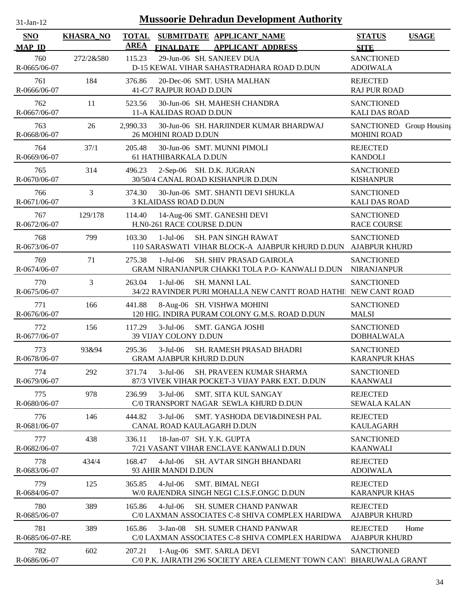| $31$ -Jan-12                |                  | <b>Mussoorie Dehradun Development Authority</b> |                                                                                                           |                                                |              |
|-----------------------------|------------------|-------------------------------------------------|-----------------------------------------------------------------------------------------------------------|------------------------------------------------|--------------|
| <b>SNO</b><br><b>MAP ID</b> | <b>KHASRA_NO</b> | <b>TOTAL</b><br><b>AREA</b>                     | SUBMITDATE APPLICANT_NAME<br><b>FINALDATE</b><br><b>APPLICANT ADDRESS</b>                                 | <b>STATUS</b><br><b>SITE</b>                   | <b>USAGE</b> |
| 760<br>R-0665/06-07         | 272/2&580        | 115.23                                          | 29-Jun-06 SH. SANJEEV DUA<br>D-15 KEWAL VIHAR SAHASTRADHARA ROAD D.DUN                                    | <b>SANCTIONED</b><br><b>ADOIWALA</b>           |              |
| 761<br>R-0666/06-07         | 184              | 376.86                                          | 20-Dec-06 SMT. USHA MALHAN<br>41-C/7 RAJPUR ROAD D.DUN                                                    | <b>REJECTED</b><br><b>RAJ PUR ROAD</b>         |              |
| 762<br>R-0667/06-07         | 11               | 523.56                                          | 30-Jun-06 SH. MAHESH CHANDRA<br>11-A KALIDAS ROAD D.DUN                                                   | <b>SANCTIONED</b><br><b>KALI DAS ROAD</b>      |              |
| 763<br>R-0668/06-07         | 26               | 2,990.33                                        | 30-Jun-06 SH. HARJINDER KUMAR BHARDWAJ<br>26 MOHINI ROAD D.DUN                                            | SANCTIONED Group Housing<br><b>MOHINI ROAD</b> |              |
| 764<br>R-0669/06-07         | 37/1             | 205.48                                          | 30-Jun-06 SMT. MUNNI PIMOLI<br>61 HATHIBARKALA D.DUN                                                      | <b>REJECTED</b><br><b>KANDOLI</b>              |              |
| 765<br>R-0670/06-07         | 314              | 496.23                                          | 2-Sep-06 SH. D.K. JUGRAN<br>30/50/4 CANAL ROAD KISHANPUR D.DUN                                            | <b>SANCTIONED</b><br><b>KISHANPUR</b>          |              |
| 766<br>R-0671/06-07         | 3                | 374.30                                          | 30-Jun-06 SMT. SHANTI DEVI SHUKLA<br><b>3 KLAIDASS ROAD D.DUN</b>                                         | <b>SANCTIONED</b><br><b>KALI DAS ROAD</b>      |              |
| 767<br>R-0672/06-07         | 129/178          | 114.40                                          | 14-Aug-06 SMT. GANESHI DEVI<br>H.N0-261 RACE COURSE D.DUN                                                 | <b>SANCTIONED</b><br><b>RACE COURSE</b>        |              |
| 768<br>R-0673/06-07         | 799              | 103.30                                          | $1-Jul-06$<br><b>SH. PAN SINGH RAWAT</b><br>110 SARASWATI VIHAR BLOCK-A AJABPUR KHURD D.DUN AJABPUR KHURD | <b>SANCTIONED</b>                              |              |
| 769<br>R-0674/06-07         | 71               | 275.38                                          | $1-Jul-06$<br><b>SH. SHIV PRASAD GAIROLA</b><br>GRAM NIRANJANPUR CHAKKI TOLA P.O- KANWALI D.DUN           | <b>SANCTIONED</b><br>NIRANJANPUR               |              |
| 770<br>R-0675/06-07         | 3                | 263.04                                          | $1-Jul-06$<br><b>SH. MANNI LAL</b><br>34/22 RAVINDER PURI MOHALLA NEW CANTT ROAD HATHI NEW CANT ROAD      | <b>SANCTIONED</b>                              |              |
| 771<br>R-0676/06-07         | 166              | 441.88                                          | 8-Aug-06 SH. VISHWA MOHINI<br>120 HIG. INDIRA PURAM COLONY G.M.S. ROAD D.DUN                              | <b>SANCTIONED</b><br><b>MALSI</b>              |              |
| 772<br>R-0677/06-07         | 156              | 117.29                                          | $3-Jul-06$<br><b>SMT. GANGA JOSHI</b><br>39 VIJAY COLONY D.DUN                                            | <b>SANCTIONED</b><br><b>DOBHALWALA</b>         |              |
| 773<br>R-0678/06-07         | 93&94            | 295.36                                          | $3-Jul-06$<br><b>SH. RAMESH PRASAD BHADRI</b><br><b>GRAM AJABPUR KHURD D.DUN</b>                          | <b>SANCTIONED</b><br><b>KARANPUR KHAS</b>      |              |
| 774<br>R-0679/06-07         | 292              | 371.74                                          | $3-Jul-06$<br>SH. PRAVEEN KUMAR SHARMA<br>87/3 VIVEK VIHAR POCKET-3 VIJAY PARK EXT. D.DUN                 | <b>SANCTIONED</b><br><b>KAANWALI</b>           |              |
| 775<br>R-0680/06-07         | 978              | 236.99                                          | $3-Jul-06$<br>SMT. SITA KUL SANGAY<br>C/0 TRANSPORT NAGAR SEWLA KHURD D.DUN                               | <b>REJECTED</b><br><b>SEWALA KALAN</b>         |              |
| 776<br>R-0681/06-07         | 146              | 444.82                                          | $3-Jul-06$<br>SMT. YASHODA DEVI&DINESH PAL<br>CANAL ROAD KAULAGARH D.DUN                                  | <b>REJECTED</b><br><b>KAULAGARH</b>            |              |
| 777<br>R-0682/06-07         | 438              | 336.11                                          | 18-Jan-07 SH. Y.K. GUPTA<br>7/21 VASANT VIHAR ENCLAVE KANWALI D.DUN                                       | <b>SANCTIONED</b><br><b>KAANWALI</b>           |              |
| 778<br>R-0683/06-07         | 434/4            | 168.47                                          | $4-Jul-06$<br><b>SH. AVTAR SINGH BHANDARI</b><br>93 AHIR MANDI D.DUN                                      | <b>REJECTED</b><br><b>ADOIWALA</b>             |              |
| 779<br>R-0684/06-07         | 125              | 365.85                                          | <b>SMT. BIMAL NEGI</b><br>$4-Jul-06$<br>W/0 RAJENDRA SINGH NEGI C.I.S.F.ONGC D.DUN                        | <b>REJECTED</b><br><b>KARANPUR KHAS</b>        |              |
| 780<br>R-0685/06-07         | 389              | 165.86                                          | $4-Jul-06$<br><b>SH. SUMER CHAND PANWAR</b><br>C/0 LAXMAN ASSOCIATES C-8 SHIVA COMPLEX HARIDWA            | <b>REJECTED</b><br><b>AJABPUR KHURD</b>        |              |
| 781<br>R-0685/06-07-RE      | 389              | 165.86                                          | <b>SH. SUMER CHAND PANWAR</b><br>$3-Jan-08$<br>C/0 LAXMAN ASSOCIATES C-8 SHIVA COMPLEX HARIDWA            | <b>REJECTED</b><br><b>AJABPUR KHURD</b>        | Home         |
| 782<br>R-0686/06-07         | 602              | 207.21                                          | 1-Aug-06 SMT. SARLA DEVI<br>C/0 P.K. JAIRATH 296 SOCIETY AREA CLEMENT TOWN CAN! BHARUWALA GRANT           | <b>SANCTIONED</b>                              |              |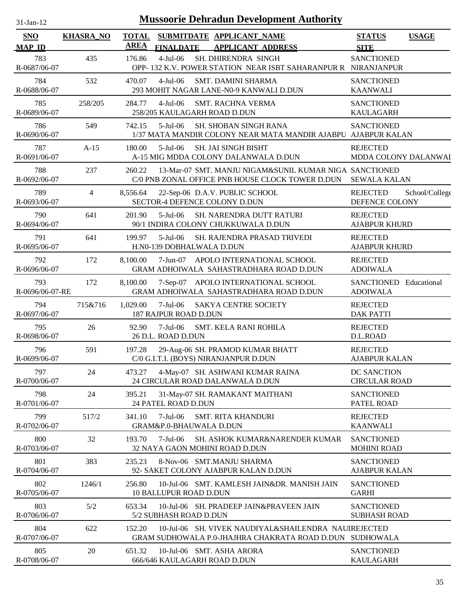| $31-Jan-12$                 |                  |                             |                                           | <b>Mussoorie Dehradun Development Authority</b>                                                                  |                                           |                |
|-----------------------------|------------------|-----------------------------|-------------------------------------------|------------------------------------------------------------------------------------------------------------------|-------------------------------------------|----------------|
| <b>SNO</b><br><b>MAP ID</b> | <b>KHASRA_NO</b> | <b>TOTAL</b><br><b>AREA</b> | <b>FINALDATE</b>                          | SUBMITDATE APPLICANT_NAME<br><b>APPLICANT ADDRESS</b>                                                            | <b>STATUS</b><br><b>SITE</b>              | <b>USAGE</b>   |
| 783<br>R-0687/06-07         | 435              | 176.86                      | $4$ -Jul $-06$                            | SH. DHIRENDRA SINGH<br>OPP-132 K.V. POWER STATION NEAR ISBT SAHARANPUR R NIRANJANPUR                             | <b>SANCTIONED</b>                         |                |
| 784<br>R-0688/06-07         | 532              | 470.07                      | $4$ -Jul $-06$                            | <b>SMT. DAMINI SHARMA</b><br>293 MOHIT NAGAR LANE-N0-9 KANWALI D.DUN                                             | <b>SANCTIONED</b><br><b>KAANWALI</b>      |                |
| 785<br>R-0689/06-07         | 258/205          | 284.77                      | $4$ -Jul $-06$                            | <b>SMT. RACHNA VERMA</b><br>258/205 KAULAGARH ROAD D.DUN                                                         | <b>SANCTIONED</b><br><b>KAULAGARH</b>     |                |
| 786<br>R-0690/06-07         | 549              | 742.15                      | $5$ -Jul $-06$                            | <b>SH. SHOBAN SINGH RANA</b><br>1/37 MATA MANDIR COLONY NEAR MATA MANDIR AJABPU AJABPUR KALAN                    | <b>SANCTIONED</b>                         |                |
| 787<br>R-0691/06-07         | $A-15$           | 180.00                      | $5$ -Jul-06                               | SH. JAI SINGH BISHT<br>A-15 MIG MDDA COLONY DALANWALA D.DUN                                                      | <b>REJECTED</b><br>MDDA COLONY DALANWAI   |                |
| 788<br>R-0692/06-07         | 237              | 260.22                      |                                           | 13-Mar-07 SMT. MANJU NIGAM&SUNIL KUMAR NIGA SANCTIONED<br>C/0 PNB ZONAL OFFICE PNB HOUSE CLOCK TOWER D.DUN       | <b>SEWALA KALAN</b>                       |                |
| 789<br>R-0693/06-07         | $\overline{4}$   | 8,556.64                    |                                           | 22-Sep-06 D.A.V. PUBLIC SCHOOL<br>SECTOR-4 DEFENCE COLONY D.DUN                                                  | <b>REJECTED</b><br>DEFENCE COLONY         | School/College |
| 790<br>R-0694/06-07         | 641              | 201.90                      | $5-Jul-06$                                | SH. NARENDRA DUTT RATURI<br>90/1 INDIRA COLONY CHUKKUWALA D.DUN                                                  | <b>REJECTED</b><br><b>AJABPUR KHURD</b>   |                |
| 791<br>R-0695/06-07         | 641              | 199.97                      | $5-Jul-06$<br>H.N0-139 DOBHALWALA D.DUN   | SH. RAJENDRA PRASAD TRIVEDI                                                                                      | <b>REJECTED</b><br><b>AJABPUR KHURD</b>   |                |
| 792<br>R-0696/06-07         | 172              | 8,100.00                    | 7-Jun-07                                  | APOLO INTERNATIONAL SCHOOL<br>GRAM ADHOIWALA SAHASTRADHARA ROAD D.DUN                                            | <b>REJECTED</b><br><b>ADOIWALA</b>        |                |
| 793<br>R-0696/06-07-RE      | 172              | 8,100.00                    |                                           | 7-Sep-07 APOLO INTERNATIONAL SCHOOL<br>GRAM ADHOIWALA SAHASTRADHARA ROAD D.DUN                                   | SANCTIONED Educational<br><b>ADOIWALA</b> |                |
| 794<br>R-0697/06-07         | 715&716          | 1,029.00                    | 7-Jul-06<br>187 RAJPUR ROAD D.DUN         | <b>SAKYA CENTRE SOCIETY</b>                                                                                      | <b>REJECTED</b><br><b>DAK PATTI</b>       |                |
| 795<br>R-0698/06-07         | 26               | 92.90                       | $7-Jul-06$<br>26 D.L. ROAD D.DUN          | SMT. KELA RANI ROHILA                                                                                            | <b>REJECTED</b><br>D.L.ROAD               |                |
| 796<br>R-0699/06-07         | 591              | 197.28                      |                                           | 29-Aug-06 SH. PRAMOD KUMAR BHATT<br>C/0 G.I.T.I. (BOYS) NIRANJANPUR D.DUN                                        | <b>REJECTED</b><br><b>AJABPUR KALAN</b>   |                |
| 797<br>R-0700/06-07         | 24               | 473.27                      |                                           | 4-May-07 SH. ASHWANI KUMAR RAINA<br>24 CIRCULAR ROAD DALANWALA D.DUN                                             | DC SANCTION<br><b>CIRCULAR ROAD</b>       |                |
| 798<br>R-0701/06-07         | 24               | 395.21                      | 24 PATEL ROAD D.DUN                       | 31-May-07 SH. RAMAKANT MAITHANI                                                                                  | <b>SANCTIONED</b><br>PATEL ROAD           |                |
| 799<br>R-0702/06-07         | 517/2            | 341.10                      | $7$ -Jul $-06$<br>GRAM&P.0-BHAUWALA D.DUN | <b>SMT. RITA KHANDURI</b>                                                                                        | <b>REJECTED</b><br><b>KAANWALI</b>        |                |
| 800<br>R-0703/06-07         | 32               | 193.70                      | $7-Jul-06$                                | SH. ASHOK KUMAR&NARENDER KUMAR<br>32 NAYA GAON MOHINI ROAD D.DUN                                                 | <b>SANCTIONED</b><br><b>MOHINI ROAD</b>   |                |
| 801<br>R-0704/06-07         | 383              | 235.23                      |                                           | 8-Nov-06 SMT.MANJU SHARMA<br>92- SAKET COLONY AJABPUR KALAN D.DUN                                                | <b>SANCTIONED</b><br><b>AJABPUR KALAN</b> |                |
| 802<br>R-0705/06-07         | 1246/1           | 256.80                      | <b>10 BALLUPUR ROAD D.DUN</b>             | 10-Jul-06 SMT. KAMLESH JAIN&DR. MANISH JAIN                                                                      | <b>SANCTIONED</b><br><b>GARHI</b>         |                |
| 803<br>R-0706/06-07         | 5/2              | 653.34                      | 5/2 SUBHASH ROAD D.DUN                    | 10-Jul-06 SH. PRADEEP JAIN&PRAVEEN JAIN                                                                          | <b>SANCTIONED</b><br><b>SUBHASH ROAD</b>  |                |
| 804<br>R-0707/06-07         | 622              | 152.20                      |                                           | 10-Jul-06 SH. VIVEK NAUDIYAL&SHAILENDRA NAUIREJECTED<br>GRAM SUDHOWALA P.0-JHAJHRA CHAKRATA ROAD D.DUN SUDHOWALA |                                           |                |
| 805<br>R-0708/06-07         | 20               | 651.32                      |                                           | 10-Jul-06 SMT. ASHA ARORA<br>666/646 KAULAGARH ROAD D.DUN                                                        | <b>SANCTIONED</b><br><b>KAULAGARH</b>     |                |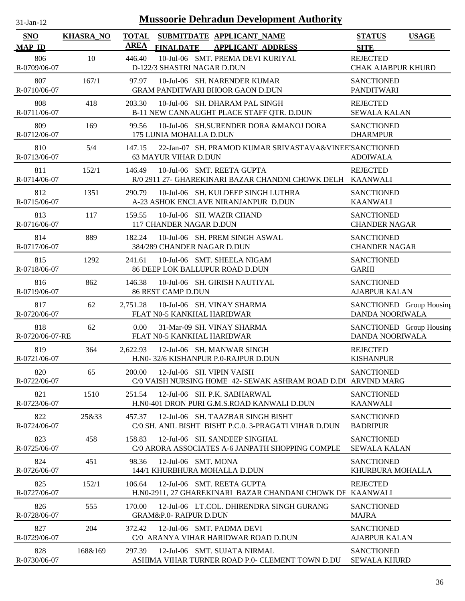| --Jan- |  |
|--------|--|

| SNO<br><b>MAP ID</b>   | <b>KHASRA_NO</b> | <b>TOTAL</b><br><b>AREA</b> | <b>FINALDATE</b>                  | SUBMITDATE APPLICANT_NAME<br><b>APPLICANT ADDRESS</b>                                      | <b>STATUS</b><br><b>SITE</b>                 | <b>USAGE</b> |
|------------------------|------------------|-----------------------------|-----------------------------------|--------------------------------------------------------------------------------------------|----------------------------------------------|--------------|
| 806<br>R-0709/06-07    | 10               | 446.40                      | D-122/3 SHASTRI NAGAR D.DUN       | 10-Jul-06 SMT. PREMA DEVI KURIYAL                                                          | <b>REJECTED</b><br><b>CHAK AJABPUR KHURD</b> |              |
| 807<br>R-0710/06-07    | 167/1            | 97.97                       |                                   | 10-Jul-06 SH. NARENDER KUMAR<br><b>GRAM PANDITWARI BHOOR GAON D.DUN</b>                    | <b>SANCTIONED</b><br><b>PANDITWARI</b>       |              |
| 808<br>R-0711/06-07    | 418              | 203.30                      |                                   | 10-Jul-06 SH. DHARAM PAL SINGH<br>B-11 NEW CANNAUGHT PLACE STAFF QTR. D.DUN                | <b>REJECTED</b><br><b>SEWALA KALAN</b>       |              |
| 809<br>R-0712/06-07    | 169              | 99.56                       | 175 LUNIA MOHALLA D.DUN           | 10-Jul-06 SH.SURENDER DORA &MANOJ DORA                                                     | <b>SANCTIONED</b><br><b>DHARMPUR</b>         |              |
| 810<br>R-0713/06-07    | 5/4              | 147.15                      | <b>63 MAYUR VIHAR D.DUN</b>       | 22-Jan-07 SH. PRAMOD KUMAR SRIVASTAVA&VINEE'SANCTIONED                                     | <b>ADOIWALA</b>                              |              |
| 811<br>R-0714/06-07    | 152/1            | 146.49                      |                                   | 10-Jul-06 SMT. REETA GUPTA<br>R/0 2911 27- GHAREKINARI BAZAR CHANDNI CHOWK DELH KAANWALI   | <b>REJECTED</b>                              |              |
| 812<br>R-0715/06-07    | 1351             | 290.79                      |                                   | 10-Jul-06 SH. KULDEEP SINGH LUTHRA<br>A-23 ASHOK ENCLAVE NIRANJANPUR D.DUN                 | <b>SANCTIONED</b><br><b>KAANWALI</b>         |              |
| 813<br>R-0716/06-07    | 117              | 159.55                      | 117 CHANDER NAGAR D.DUN           | 10-Jul-06 SH. WAZIR CHAND                                                                  | <b>SANCTIONED</b><br><b>CHANDER NAGAR</b>    |              |
| 814<br>R-0717/06-07    | 889              | 182.24                      | 384/289 CHANDER NAGAR D.DUN       | 10-Jul-06 SH. PREM SINGH ASWAL                                                             | <b>SANCTIONED</b><br><b>CHANDER NAGAR</b>    |              |
| 815<br>R-0718/06-07    | 1292             | 241.61                      |                                   | 10-Jul-06 SMT. SHEELA NIGAM<br>86 DEEP LOK BALLUPUR ROAD D.DUN                             | <b>SANCTIONED</b><br><b>GARHI</b>            |              |
| 816<br>R-0719/06-07    | 862              | 146.38                      | <b>86 REST CAMP D.DUN</b>         | 10-Jul-06 SH. GIRISH NAUTIYAL                                                              | <b>SANCTIONED</b><br><b>AJABPUR KALAN</b>    |              |
| 817<br>R-0720/06-07    | 62               | 2,751.28                    | FLAT N0-5 KANKHAL HARIDWAR        | 10-Jul-06 SH. VINAY SHARMA                                                                 | SANCTIONED Group Housing<br>DANDA NOORIWALA  |              |
| 818<br>R-0720/06-07-RE | 62               | 0.00                        | FLAT N0-5 KANKHAL HARIDWAR        | 31-Mar-09 SH. VINAY SHARMA                                                                 | SANCTIONED Group Housing<br>DANDA NOORIWALA  |              |
| 819<br>R-0721/06-07    | 364              | 2,622.93                    |                                   | 12-Jul-06 SH, MANWAR SINGH<br>H.N0-32/6 KISHANPUR P.0-RAJPUR D.DUN                         | <b>REJECTED</b><br><b>KISHANPUR</b>          |              |
| 820<br>R-0722/06-07    | 65               | 200.00                      |                                   | 12-Jul-06 SH. VIPIN VAISH<br>C/0 VAISH NURSING HOME 42- SEWAK ASHRAM ROAD D.DU ARVIND MARG | <b>SANCTIONED</b>                            |              |
| 821<br>R-0723/06-07    | 1510             | 251.54                      |                                   | 12-Jul-06 SH. P.K. SABHARWAL<br>H.N0-401 DRON PURI G.M.S.ROAD KANWALI D.DUN                | <b>SANCTIONED</b><br><b>KAANWALI</b>         |              |
| 822<br>R-0724/06-07    | 25&33            | 457.37                      |                                   | 12-Jul-06 SH. TAAZBAR SINGH BISHT<br>C/0 SH. ANIL BISHT BISHT P.C.0. 3-PRAGATI VIHAR D.DUN | <b>SANCTIONED</b><br><b>BADRIPUR</b>         |              |
| 823<br>R-0725/06-07    | 458              | 158.83                      |                                   | 12-Jul-06 SH, SANDEEP SINGHAL<br>C/0 ARORA ASSOCIATES A-6 JANPATH SHOPPING COMPLE          | <b>SANCTIONED</b><br><b>SEWALA KALAN</b>     |              |
| 824<br>R-0726/06-07    | 451              | 98.36                       | 12-Jul-06 SMT. MONA               | 144/1 KHURBHURA MOHALLA D.DUN                                                              | <b>SANCTIONED</b><br>KHURBURA MOHALLA        |              |
| 825<br>R-0727/06-07    | 152/1            | 106.64                      |                                   | 12-Jul-06 SMT. REETA GUPTA<br>H.NO-2911, 27 GHAREKINARI BAZAR CHANDANI CHOWK DE KAANWALI   | <b>REJECTED</b>                              |              |
| 826<br>R-0728/06-07    | 555              | 170.00                      | <b>GRAM&amp;P.0- RAIPUR D.DUN</b> | 12-Jul-06 LT.COL. DHIRENDRA SINGH GURANG                                                   | <b>SANCTIONED</b><br><b>MAJRA</b>            |              |
| 827<br>R-0729/06-07    | 204              | 372.42                      |                                   | 12-Jul-06 SMT. PADMA DEVI<br>C/0 ARANYA VIHAR HARIDWAR ROAD D.DUN                          | <b>SANCTIONED</b><br><b>AJABPUR KALAN</b>    |              |
| 828<br>R-0730/06-07    | 168&169          | 297.39                      |                                   | 12-Jul-06 SMT. SUJATA NIRMAL<br>ASHIMA VIHAR TURNER ROAD P.0- CLEMENT TOWN D.DU            | <b>SANCTIONED</b><br><b>SEWALA KHURD</b>     |              |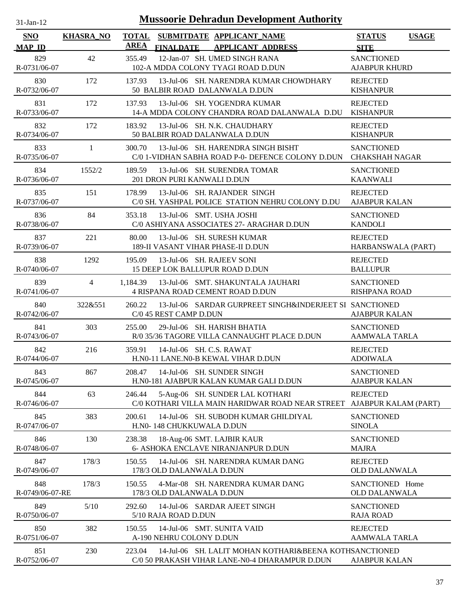| .1-Jan-1 |  |
|----------|--|
|          |  |

| <b>SNO</b>                           | <b>KHASRA_NO</b> | <b>TOTAL</b><br>AREA |                             | SUBMITDATE APPLICANT_NAME<br><b>APPLICANT ADDRESS</b>                                                    | <b>STATUS</b>                                            | <b>USAGE</b> |
|--------------------------------------|------------------|----------------------|-----------------------------|----------------------------------------------------------------------------------------------------------|----------------------------------------------------------|--------------|
| <b>MAP ID</b><br>829<br>R-0731/06-07 | 42               | 355.49               | <b>FINALDATE</b>            | 12-Jan-07 SH. UMED SINGH RANA<br>102-A MDDA COLONY TYAGI ROAD D.DUN                                      | <b>SITE</b><br><b>SANCTIONED</b><br><b>AJABPUR KHURD</b> |              |
| 830<br>R-0732/06-07                  | 172              | 137.93               |                             | 13-Jul-06 SH. NARENDRA KUMAR CHOWDHARY<br>50 BALBIR ROAD DALANWALA D.DUN                                 | <b>REJECTED</b><br><b>KISHANPUR</b>                      |              |
| 831<br>R-0733/06-07                  | 172              | 137.93               |                             | 13-Jul-06 SH. YOGENDRA KUMAR<br>14-A MDDA COLONY CHANDRA ROAD DALANWALA D.DU                             | <b>REJECTED</b><br><b>KISHANPUR</b>                      |              |
| 832<br>R-0734/06-07                  | 172              | 183.92               |                             | 13-Jul-06 SH. N.K. CHAUDHARY<br>50 BALBIR ROAD DALANWALA D.DUN                                           | <b>REJECTED</b><br><b>KISHANPUR</b>                      |              |
| 833<br>R-0735/06-07                  | 1                | 300.70               |                             | 13-Jul-06 SH. HARENDRA SINGH BISHT<br>C/0 1-VIDHAN SABHA ROAD P-0- DEFENCE COLONY D.DUN                  | <b>SANCTIONED</b><br><b>CHAKSHAH NAGAR</b>               |              |
| 834<br>R-0736/06-07                  | 1552/2           | 189.59               | 201 DRON PURI KANWALI D.DUN | 13-Jul-06 SH. SURENDRA TOMAR                                                                             | <b>SANCTIONED</b><br><b>KAANWALI</b>                     |              |
| 835<br>R-0737/06-07                  | 151              | 178.99               |                             | 13-Jul-06 SH. RAJANDER SINGH<br>C/0 SH. YASHPAL POLICE STATION NEHRU COLONY D.DU                         | <b>REJECTED</b><br><b>AJABPUR KALAN</b>                  |              |
| 836<br>R-0738/06-07                  | 84               | 353.18               |                             | 13-Jul-06 SMT. USHA JOSHI<br>C/0 ASHIYANA ASSOCIATES 27- ARAGHAR D.DUN                                   | <b>SANCTIONED</b><br><b>KANDOLI</b>                      |              |
| 837<br>R-0739/06-07                  | 221              | 80.00                |                             | 13-Jul-06 SH. SURESH KUMAR<br>189-II VASANT VIHAR PHASE-II D.DUN                                         | <b>REJECTED</b><br>HARBANSWALA (PART)                    |              |
| 838<br>R-0740/06-07                  | 1292             | 195.09               |                             | 13-Jul-06 SH. RAJEEV SONI<br>15 DEEP LOK BALLUPUR ROAD D.DUN                                             | <b>REJECTED</b><br><b>BALLUPUR</b>                       |              |
| 839<br>R-0741/06-07                  | $\overline{4}$   | 1.184.39             |                             | 13-Jul-06 SMT. SHAKUNTALA JAUHARI<br>4 RISPANA ROAD CEMENT ROAD D.DUN                                    | <b>SANCTIONED</b><br><b>RISHPANA ROAD</b>                |              |
| 840<br>R-0742/06-07                  | 322&551          | 260.22               | C/0 45 REST CAMP D.DUN      | 13-Jul-06 SARDAR GURPREET SINGH&INDERJEET SI SANCTIONED                                                  | <b>AJABPUR KALAN</b>                                     |              |
| 841<br>R-0743/06-07                  | 303              | 255.00               |                             | 29-Jul-06 SH, HARISH BHATIA<br>R/0 35/36 TAGORE VILLA CANNAUGHT PLACE D.DUN                              | <b>SANCTIONED</b><br><b>AAMWALA TARLA</b>                |              |
| 842<br>R-0744/06-07                  | 216              | 359.91               |                             | $14$ -Jul-06 SH, C.S. RAWAT<br>H.NO-11 LANE.NO-B KEWAL VIHAR D.DUN                                       | <b>REJECTED</b><br><b>ADOIWALA</b>                       |              |
| 843<br>R-0745/06-07                  | 867              | 208.47               |                             | 14-Jul-06 SH. SUNDER SINGH<br>H.N0-181 AJABPUR KALAN KUMAR GALI D.DUN                                    | <b>SANCTIONED</b><br><b>AJABPUR KALAN</b>                |              |
| 844<br>R-0746/06-07                  | 63               | 246.44               |                             | 5-Aug-06 SH. SUNDER LAL KOTHARI<br>C/0 KOTHARI VILLA MAIN HARIDWAR ROAD NEAR STREET                      | <b>REJECTED</b><br>AJABPUR KALAM (PART)                  |              |
| 845<br>R-0747/06-07                  | 383              | 200.61               | H.N0-148 CHUKKUWALA D.DUN   | 14-Jul-06 SH. SUBODH KUMAR GHILDIYAL                                                                     | <b>SANCTIONED</b><br><b>SINOLA</b>                       |              |
| 846<br>R-0748/06-07                  | 130              | 238.38               |                             | 18-Aug-06 SMT. LAJBIR KAUR<br>6- ASHOKA ENCLAVE NIRANJANPUR D.DUN                                        | <b>SANCTIONED</b><br><b>MAJRA</b>                        |              |
| 847<br>R-0749/06-07                  | 178/3            | 150.55               | 178/3 OLD DALANWALA D.DUN   | 14-Jul-06 SH. NARENDRA KUMAR DANG                                                                        | <b>REJECTED</b><br><b>OLD DALANWALA</b>                  |              |
| 848<br>R-0749/06-07-RE               | 178/3            | 150.55               | 178/3 OLD DALANWALA D.DUN   | 4-Mar-08 SH. NARENDRA KUMAR DANG                                                                         | SANCTIONED Home<br><b>OLD DALANWALA</b>                  |              |
| 849<br>R-0750/06-07                  | 5/10             | 292.60               | 5/10 RAJA ROAD D.DUN        | 14-Jul-06 SARDAR AJEET SINGH                                                                             | <b>SANCTIONED</b><br><b>RAJA ROAD</b>                    |              |
| 850<br>R-0751/06-07                  | 382              | 150.55               | A-190 NEHRU COLONY D.DUN    | 14-Jul-06 SMT. SUNITA VAID                                                                               | <b>REJECTED</b><br><b>AAMWALA TARLA</b>                  |              |
| 851<br>R-0752/06-07                  | 230              | 223.04               |                             | 14-Jul-06 SH. LALIT MOHAN KOTHARI&BEENA KOTHSANCTIONED<br>C/0 50 PRAKASH VIHAR LANE-N0-4 DHARAMPUR D.DUN | <b>AJABPUR KALAN</b>                                     |              |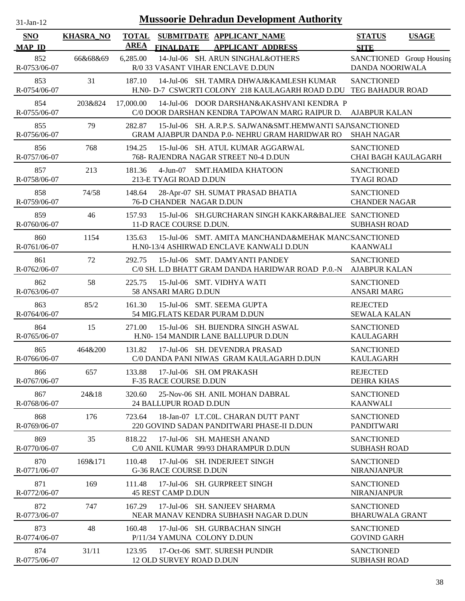| -Jan- |  |
|-------|--|
|       |  |

| <b>SNO</b><br><b>MAP ID</b> | <b>KHASRA_NO</b> | <b>TOTAL</b><br><b>AREA</b> | <b>FINALDATE</b>              | SUBMITDATE APPLICANT_NAME<br><b>APPLICANT ADDRESS</b>                                                        | <b>STATUS</b><br><b>SITE</b>                    | <b>USAGE</b>             |
|-----------------------------|------------------|-----------------------------|-------------------------------|--------------------------------------------------------------------------------------------------------------|-------------------------------------------------|--------------------------|
| 852<br>R-0753/06-07         | 66&68&69         | 6,285.00                    |                               | 14-Jul-06 SH. ARUN SINGHAL&OTHERS<br>R/0 33 VASANT VIHAR ENCLAVE D.DUN                                       | DANDA NOORIWALA                                 | SANCTIONED Group Housing |
| 853<br>R-0754/06-07         | 31               | 187.10                      |                               | 14-Jul-06 SH. TAMRA DHWAJ&KAMLESH KUMAR<br>H.N0- D-7 CSWCRTI COLONY 218 KAULAGARH ROAD D.DU TEG BAHADUR ROAD | <b>SANCTIONED</b>                               |                          |
| 854<br>R-0755/06-07         | 203&824          | 17,000.00                   |                               | 14-Jul-06 DOOR DARSHAN&AKASHVANI KENDRA P<br>C/0 DOOR DARSHAN KENDRA TAPOWAN MARG RAIPUR D.                  | <b>AJABPUR KALAN</b>                            |                          |
| 855<br>R-0756/06-07         | 79               | 282.87                      |                               | 15-Jul-06 SH. A.R.P.S. SAJWAN&SMT.HEMWANTI SAJ\SANCTIONED<br>GRAM AJABPUR DANDA P.0- NEHRU GRAM HARIDWAR RO  | <b>SHAH NAGAR</b>                               |                          |
| 856<br>R-0757/06-07         | 768              | 194.25                      |                               | 15-Jul-06 SH. ATUL KUMAR AGGARWAL<br>768- RAJENDRA NAGAR STREET N0-4 D.DUN                                   | <b>SANCTIONED</b><br><b>CHAI BAGH KAULAGARH</b> |                          |
| 857<br>R-0758/06-07         | 213              | 181.36                      | 213-E TYAGI ROAD D.DUN        | 4-Jun-07 SMT.HAMIDA KHATOON                                                                                  | <b>SANCTIONED</b><br><b>TYAGI ROAD</b>          |                          |
| 858<br>R-0759/06-07         | 74/58            | 148.64                      | 76-D CHANDER NAGAR D.DUN      | 28-Apr-07 SH. SUMAT PRASAD BHATIA                                                                            | <b>SANCTIONED</b><br><b>CHANDER NAGAR</b>       |                          |
| 859<br>R-0760/06-07         | 46               | 157.93                      | 11-D RACE COURSE D.DUN.       | 15-Jul-06 SH.GURCHARAN SINGH KAKKAR&BALJEE SANCTIONED                                                        | <b>SUBHASH ROAD</b>                             |                          |
| 860<br>R-0761/06-07         | 1154             | 135.63                      |                               | 15-Jul-06 SMT. AMITA MANCHANDA&MEHAK MANCISANCTIONED<br>H.N0-13/4 ASHIRWAD ENCLAVE KANWALI D.DUN             | <b>KAANWALI</b>                                 |                          |
| 861<br>R-0762/06-07         | 72               | 292.75                      |                               | 15-Jul-06 SMT. DAMYANTI PANDEY<br>C/0 SH. L.D BHATT GRAM DANDA HARIDWAR ROAD P.0.-N                          | <b>SANCTIONED</b><br><b>AJABPUR KALAN</b>       |                          |
| 862<br>R-0763/06-07         | 58               | 225.75                      | 58 ANSARI MARG D.DUN          | 15-Jul-06 SMT. VIDHYA WATI                                                                                   | <b>SANCTIONED</b><br><b>ANSARI MARG</b>         |                          |
| 863<br>R-0764/06-07         | 85/2             | 161.30                      |                               | 15-Jul-06 SMT. SEEMA GUPTA<br>54 MIG.FLATS KEDAR PURAM D.DUN                                                 | <b>REJECTED</b><br><b>SEWALA KALAN</b>          |                          |
| 864<br>R-0765/06-07         | 15               | 271.00                      |                               | 15-Jul-06 SH. BIJENDRA SINGH ASWAL<br>H.N0- 154 MANDIR LANE BALLUPUR D.DUN                                   | <b>SANCTIONED</b><br><b>KAULAGARH</b>           |                          |
| 865<br>R-0766/06-07         | 464&200          | 131.82                      |                               | 17-Jul-06 SH. DEVENDRA PRASAD<br>C/0 DANDA PANI NIWAS GRAM KAULAGARH D.DUN                                   | <b>SANCTIONED</b><br><b>KAULAGARH</b>           |                          |
| 866<br>R-0767/06-07         | 657              | 133.88                      | <b>F-35 RACE COURSE D.DUN</b> | 17-Jul-06 SH. OM PRAKASH                                                                                     | <b>REJECTED</b><br><b>DEHRA KHAS</b>            |                          |
| 867<br>R-0768/06-07         | 24&18            | 320.60                      | <b>24 BALLUPUR ROAD D.DUN</b> | 25-Nov-06 SH. ANIL MOHAN DABRAL                                                                              | <b>SANCTIONED</b><br><b>KAANWALI</b>            |                          |
| 868<br>R-0769/06-07         | 176              | 723.64                      |                               | 18-Jan-07 LT.COL. CHARAN DUTT PANT<br>220 GOVIND SADAN PANDITWARI PHASE-II D.DUN                             | <b>SANCTIONED</b><br><b>PANDITWARI</b>          |                          |
| 869<br>R-0770/06-07         | 35               | 818.22                      |                               | 17-Jul-06 SH. MAHESH ANAND<br>C/0 ANIL KUMAR 99/93 DHARAMPUR D.DUN                                           | <b>SANCTIONED</b><br><b>SUBHASH ROAD</b>        |                          |
| 870<br>R-0771/06-07         | 169&171          | 110.48                      | <b>G-36 RACE COURSE D.DUN</b> | 17-Jul-06 SH. INDERJEET SINGH                                                                                | <b>SANCTIONED</b><br><b>NIRANJANPUR</b>         |                          |
| 871<br>R-0772/06-07         | 169              | 111.48                      | <b>45 REST CAMP D.DUN</b>     | 17-Jul-06 SH. GURPREET SINGH                                                                                 | <b>SANCTIONED</b><br><b>NIRANJANPUR</b>         |                          |
| 872<br>R-0773/06-07         | 747              | 167.29                      |                               | 17-Jul-06 SH, SANJEEV SHARMA<br>NEAR MANAV KENDRA SUBHASH NAGAR D.DUN                                        | <b>SANCTIONED</b><br><b>BHARUWALA GRANT</b>     |                          |
| 873<br>R-0774/06-07         | 48               | 160.48                      |                               | 17-Jul-06 SH. GURBACHAN SINGH<br>P/11/34 YAMUNA COLONY D.DUN                                                 | <b>SANCTIONED</b><br><b>GOVIND GARH</b>         |                          |
| 874<br>R-0775/06-07         | 31/11            | 123.95                      | 12 OLD SURVEY ROAD D.DUN      | 17-Oct-06 SMT. SURESH PUNDIR                                                                                 | <b>SANCTIONED</b><br><b>SUBHASH ROAD</b>        |                          |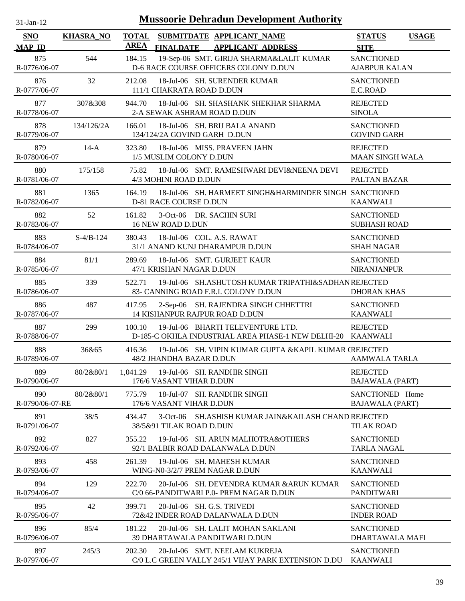| $31-Ian-12$                 |                  | <b>Mussoorie Dehradun Development Authority</b>                                                            |                                              |
|-----------------------------|------------------|------------------------------------------------------------------------------------------------------------|----------------------------------------------|
| <b>SNO</b><br><b>MAP ID</b> | <b>KHASRA_NO</b> | <b>TOTAL</b><br>SUBMITDATE APPLICANT NAME<br><b>AREA</b><br><b>FINALDATE</b><br><b>APPLICANT ADDRESS</b>   | <b>STATUS</b><br><b>USAGE</b><br><b>SITE</b> |
| 875<br>R-0776/06-07         | 544              | 19-Sep-06 SMT. GIRIJA SHARMA&LALIT KUMAR<br>184.15<br>D-6 RACE COURSE OFFICERS COLONY D.DUN                | <b>SANCTIONED</b><br><b>AJABPUR KALAN</b>    |
| 876<br>R-0777/06-07         | 32               | 212.08<br>18-Jul-06 SH. SURENDER KUMAR<br>111/1 CHAKRATA ROAD D.DUN                                        | <b>SANCTIONED</b><br>E.C.ROAD                |
| 877<br>R-0778/06-07         | 307&308          | 944.70<br>18-Jul-06 SH. SHASHANK SHEKHAR SHARMA<br>2-A SEWAK ASHRAM ROAD D.DUN                             | <b>REJECTED</b><br><b>SINOLA</b>             |
| 878<br>R-0779/06-07         | 134/126/2A       | 166.01<br>18-Jul-06 SH. BRIJ BALA ANAND<br>134/124/2A GOVIND GARH D.DUN                                    | <b>SANCTIONED</b><br><b>GOVIND GARH</b>      |
| 879<br>R-0780/06-07         | $14-A$           | 18-Jul-06 MISS. PRAVEEN JAHN<br>323.80<br>1/5 MUSLIM COLONY D.DUN                                          | <b>REJECTED</b><br><b>MAAN SINGH WALA</b>    |
| 880<br>R-0781/06-07         | 175/158          | 75.82<br>18-Jul-06 SMT. RAMESHWARI DEVI&NEENA DEVI<br>4/3 MOHINI ROAD D.DUN                                | <b>REJECTED</b><br>PALTAN BAZAR              |
| 881<br>R-0782/06-07         | 1365             | 18-Jul-06 SH. HARMEET SINGH&HARMINDER SINGH SANCTIONED<br>164.19<br><b>D-81 RACE COURSE D.DUN</b>          | <b>KAANWALI</b>                              |
| 882<br>R-0783/06-07         | 52               | 3-Oct-06 DR. SACHIN SURI<br>161.82<br>16 NEW ROAD D.DUN                                                    | <b>SANCTIONED</b><br><b>SUBHASH ROAD</b>     |
| 883<br>R-0784/06-07         | $S-4/B-124$      | 380.43<br>18-Jul-06 COL. A.S. RAWAT<br>31/1 ANAND KUNJ DHARAMPUR D.DUN                                     | <b>SANCTIONED</b><br><b>SHAH NAGAR</b>       |
| 884<br>R-0785/06-07         | 81/1             | 289.69<br>18-Jul-06 SMT. GURJEET KAUR<br>47/1 KRISHAN NAGAR D.DUN                                          | <b>SANCTIONED</b><br><b>NIRANJANPUR</b>      |
| 885<br>R-0786/06-07         | 339              | 522.71<br>19-Jul-06 SH.ASHUTOSH KUMAR TRIPATHI&SADHAN REJECTED<br>83- CANNING ROAD F.R.I. COLONY D.DUN     | <b>DHORAN KHAS</b>                           |
| 886<br>R-0787/06-07         | 487              | 2-Sep-06 SH. RAJENDRA SINGH CHHETTRI<br>417.95<br>14 KISHANPUR RAJPUR ROAD D.DUN                           | <b>SANCTIONED</b><br><b>KAANWALI</b>         |
| 887<br>R-0788/06-07         | 299              | 19-Jul-06 BHARTI TELEVENTURE LTD.<br>100.10<br>D-185-C OKHLA INDUSTRIAL AREA PHASE-1 NEW DELHI-20 KAANWALI | <b>REJECTED</b>                              |
| 888<br>R-0789/06-07         | 36&65            | 416.36<br>19-Jul-06 SH. VIPIN KUMAR GUPTA & KAPIL KUMAR (REJECTED<br>48/2 JHANDHA BAZAR D.DUN              | <b>AAMWALA TARLA</b>                         |
| 889<br>R-0790/06-07         | 80/2&80/1        | 19-Jul-06 SH. RANDHIR SINGH<br>1,041.29<br>176/6 VASANT VIHAR D.DUN                                        | <b>REJECTED</b><br><b>BAJAWALA (PART)</b>    |
| 890<br>R-0790/06-07-RE      | 80/2&80/1        | 775.79<br>18-Jul-07 SH. RANDHIR SINGH<br>176/6 VASANT VIHAR D.DUN                                          | SANCTIONED Home<br><b>BAJAWALA (PART)</b>    |
| 891<br>R-0791/06-07         | 38/5             | SH. ASHISH KUMAR JAIN&KAILASH CHAND REJECTED<br>434.47<br>$3-Oct-06$<br>38/5&91 TILAK ROAD D.DUN           | <b>TILAK ROAD</b>                            |
| 892<br>R-0792/06-07         | 827              | 355.22<br>19-Jul-06 SH. ARUN MALHOTRA&OTHERS<br>92/1 BALBIR ROAD DALANWALA D.DUN                           | <b>SANCTIONED</b><br><b>TARLA NAGAL</b>      |
| 893<br>R-0793/06-07         | 458              | 261.39<br>19-Jul-06 SH. MAHESH KUMAR<br>WING-N0-3/2/7 PREM NAGAR D.DUN                                     | <b>SANCTIONED</b><br><b>KAANWALI</b>         |
| 894<br>R-0794/06-07         | 129              | 222.70<br>20-Jul-06 SH. DEVENDRA KUMAR & ARUN KUMAR<br>C/0 66-PANDITWARI P.0- PREM NAGAR D.DUN             | <b>SANCTIONED</b><br><b>PANDITWARI</b>       |
| 895<br>R-0795/06-07         | 42               | 399.71<br>20-Jul-06 SH, G.S. TRIVEDI<br>72&42 INDER ROAD DALANWALA D.DUN                                   | <b>SANCTIONED</b><br><b>INDER ROAD</b>       |
| 896<br>R-0796/06-07         | 85/4             | 181.22<br>20-Jul-06 SH. LALIT MOHAN SAKLANI<br>39 DHARTAWALA PANDITWARI D.DUN                              | <b>SANCTIONED</b><br>DHARTAWALA MAFI         |
| 897<br>R-0797/06-07         | 245/3            | 202.30<br>20-Jul-06 SMT. NEELAM KUKREJA<br>C/0 L.C GREEN VALLY 245/1 VIJAY PARK EXTENSION D.DU             | <b>SANCTIONED</b><br><b>KAANWALI</b>         |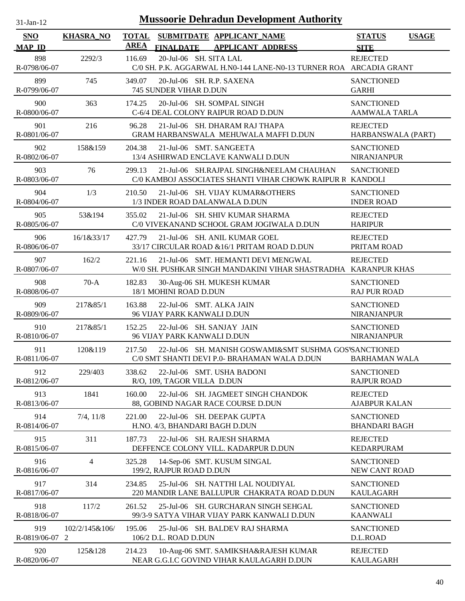| $31$ -Jan-12                |                     |                             | <b>Mussoorie Dehradun Development Authority</b>                                                        |                                              |
|-----------------------------|---------------------|-----------------------------|--------------------------------------------------------------------------------------------------------|----------------------------------------------|
| <b>SNO</b><br><b>MAP ID</b> | <b>KHASRA NO</b>    | <b>TOTAL</b><br><b>AREA</b> | SUBMITDATE APPLICANT_NAME<br><b>APPLICANT ADDRESS</b><br><b>FINALDATE</b>                              | <b>STATUS</b><br><b>USAGE</b><br><b>SITE</b> |
| 898<br>R-0798/06-07         | 2292/3              | 116.69                      | 20-Jul-06 SH. SITA LAL<br>C/0 SH. P.K. AGGARWAL H.N0-144 LANE-N0-13 TURNER ROA ARCADIA GRANT           | <b>REJECTED</b>                              |
| 899<br>R-0799/06-07         | 745                 | 349.07                      | 20-Jul-06 SH. R.P. SAXENA<br>745 SUNDER VIHAR D.DUN                                                    | <b>SANCTIONED</b><br><b>GARHI</b>            |
| 900<br>R-0800/06-07         | 363                 | 174.25                      | 20-Jul-06 SH, SOMPAL SINGH<br>C-6/4 DEAL COLONY RAIPUR ROAD D.DUN                                      | <b>SANCTIONED</b><br>AAMWALA TARLA           |
| 901<br>R-0801/06-07         | 216                 | 96.28                       | 21-Jul-06 SH. DHARAM RAJ THAPA<br>GRAM HARBANSWALA MEHUWALA MAFFI D.DUN                                | <b>REJECTED</b><br>HARBANSWALA (PART)        |
| 902<br>R-0802/06-07         | 158&159             | 204.38                      | 21-Jul-06 SMT. SANGEETA<br>13/4 ASHIRWAD ENCLAVE KANWALI D.DUN                                         | <b>SANCTIONED</b><br>NIRANJANPUR             |
| 903<br>R-0803/06-07         | 76                  | 299.13                      | 21-Jul-06 SH.RAJPAL SINGH&NEELAM CHAUHAN<br>C/0 KAMBOJ ASSOCIATES SHANTI VIHAR CHOWK RAIPUR R          | <b>SANCTIONED</b><br>KANDOLI                 |
| 904<br>R-0804/06-07         | 1/3                 | 210.50                      | 21-Jul-06 SH. VIJAY KUMAR&OTHERS<br>1/3 INDER ROAD DALANWALA D.DUN                                     | <b>SANCTIONED</b><br><b>INDER ROAD</b>       |
| 905<br>R-0805/06-07         | 53&194              | 355.02                      | 21-Jul-06 SH. SHIV KUMAR SHARMA<br>C/0 VIVEKANAND SCHOOL GRAM JOGIWALA D.DUN                           | <b>REJECTED</b><br><b>HARIPUR</b>            |
| 906<br>R-0806/06-07         | 16/1&33/17          | 427.79                      | 21-Jul-06 SH. ANIL KUMAR GOEL<br>33/17 CIRCULAR ROAD & 16/1 PRITAM ROAD D.DUN                          | <b>REJECTED</b><br>PRITAM ROAD               |
| 907<br>R-0807/06-07         | 162/2               | 221.16                      | 21-Jul-06 SMT. HEMANTI DEVI MENGWAL<br>W/0 SH. PUSHKAR SINGH MANDAKINI VIHAR SHASTRADHA KARANPUR KHAS  | <b>REJECTED</b>                              |
| 908<br>R-0808/06-07         | $70-A$              | 182.83                      | 30-Aug-06 SH. MUKESH KUMAR<br>18/1 MOHINI ROAD D.DUN                                                   | <b>SANCTIONED</b><br><b>RAJ PUR ROAD</b>     |
| 909<br>R-0809/06-07         | 217&85/1            | 163.88                      | 22-Jul-06 SMT. ALKA JAIN<br>96 VIJAY PARK KANWALI D.DUN                                                | <b>SANCTIONED</b><br>NIRANJANPUR             |
| 910<br>R-0810/06-07         | 217&85/1            | 152.25                      | 22-Jul-06 SH. SANJAY JAIN<br>96 VIJAY PARK KANWALI D.DUN                                               | <b>SANCTIONED</b><br>NIRANJANPUR             |
| 911<br>R-0811/06-07         | 120&119             | 217.50                      | 22-Jul-06 SH. MANISH GOSWAMI&SMT SUSHMA GOS'SANCTIONED<br>C/0 SMT SHANTI DEVI P.0- BRAHAMAN WALA D.DUN | <b>BARHAMAN WALA</b>                         |
| 912<br>R-0812/06-07         | 229/403             | 338.62                      | 22-Jul-06 SMT. USHA BADONI<br>R/O, 109, TAGOR VILLA D.DUN                                              | <b>SANCTIONED</b><br><b>RAJPUR ROAD</b>      |
| 913<br>R-0813/06-07         | 1841                | 160.00                      | 22-Jul-06 SH. JAGMEET SINGH CHANDOK<br>88, GOBIND NAGAR RACE COURSE D.DUN                              | <b>REJECTED</b><br><b>AJABPUR KALAN</b>      |
| 914<br>R-0814/06-07         | 7/4, 11/8           | 221.00                      | 22-Jul-06 SH. DEEPAK GUPTA<br>H.NO. 4/3, BHANDARI BAGH D.DUN                                           | <b>SANCTIONED</b><br><b>BHANDARI BAGH</b>    |
| 915<br>R-0815/06-07         | 311                 | 187.73                      | 22-Jul-06 SH. RAJESH SHARMA<br>DEFFENCE COLONY VILL. KADARPUR D.DUN                                    | <b>REJECTED</b><br><b>KEDARPURAM</b>         |
| 916<br>R-0816/06-07         | $\overline{4}$      | 325.28                      | 14-Sep-06 SMT. KUSUM SINGAL<br>199/2, RAJPUR ROAD D.DUN                                                | <b>SANCTIONED</b><br>NEW CANT ROAD           |
| 917<br>R-0817/06-07         | 314                 | 234.85                      | 25-Jul-06 SH. NATTHI LAL NOUDIYAL<br>220 MANDIR LANE BALLUPUR CHAKRATA ROAD D.DUN                      | <b>SANCTIONED</b><br><b>KAULAGARH</b>        |
| 918<br>R-0818/06-07         | 117/2               | 261.52                      | 25-Jul-06 SH. GURCHARAN SINGH SEHGAL<br>99/3-9 SATYA VIHAR VIJAY PARK KANWALI D.DUN                    | <b>SANCTIONED</b><br><b>KAANWALI</b>         |
| 919<br>R-0819/06-07         | 102/2/145&106/<br>2 | 195.06                      | 25-Jul-06 SH. BALDEV RAJ SHARMA<br>106/2 D.L. ROAD D.DUN                                               | <b>SANCTIONED</b><br>D.L.ROAD                |
| 920<br>R-0820/06-07         | 125&128             | 214.23                      | 10-Aug-06 SMT. SAMIKSHA&RAJESH KUMAR<br>NEAR G.G.I.C GOVIND VIHAR KAULAGARH D.DUN                      | <b>REJECTED</b><br><b>KAULAGARH</b>          |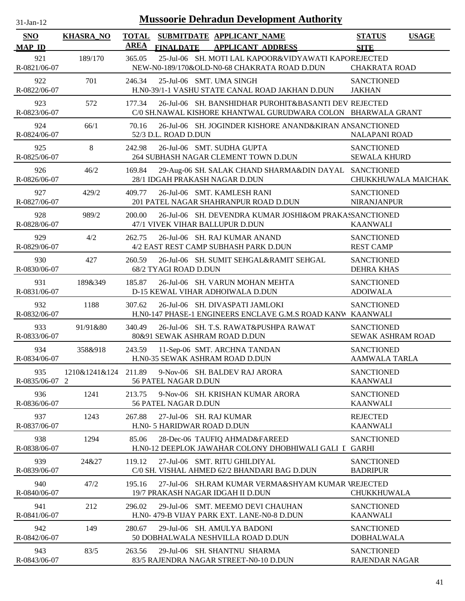| $31-Jan-12$                          |                  |                             |                             | <b>Mussoorie Dehradun Development Authority</b>                                                                                  |                                            |              |
|--------------------------------------|------------------|-----------------------------|-----------------------------|----------------------------------------------------------------------------------------------------------------------------------|--------------------------------------------|--------------|
| <b>SNO</b>                           | <b>KHASRA_NO</b> | <b>TOTAL</b><br><b>AREA</b> |                             | SUBMITDATE APPLICANT_NAME                                                                                                        | <b>STATUS</b>                              | <b>USAGE</b> |
| <b>MAP ID</b><br>921<br>R-0821/06-07 | 189/170          | 365.05                      | <b>FINALDATE</b>            | <b>APPLICANT ADDRESS</b><br>25-Jul-06 SH. MOTI LAL KAPOOR&VIDYAWATI KAPOREJECTED<br>NEW-N0-189/170&OLD-N0-68 CHAKRATA ROAD D.DUN | <b>SITE</b><br><b>CHAKRATA ROAD</b>        |              |
| 922<br>R-0822/06-07                  | 701              | 246.34                      |                             | 25-Jul-06 SMT. UMA SINGH<br>H.N0-39/1-1 VASHU STATE CANAL ROAD JAKHAN D.DUN                                                      | <b>SANCTIONED</b><br><b>JAKHAN</b>         |              |
| 923<br>R-0823/06-07                  | 572              | 177.34                      |                             | 26-Jul-06 SH. BANSHIDHAR PUROHIT&BASANTI DEV REJECTED<br>C/0 SH.NAWAL KISHORE KHANTWAL GURUDWARA COLON BHARWALA GRANT            |                                            |              |
| 924<br>R-0824/06-07                  | 66/1             | 70.16                       | 52/3 D.L. ROAD D.DUN        | 26-Jul-06 SH. JOGINDER KISHORE ANAND&KIRAN ANSANCTIONED                                                                          | <b>NALAPANI ROAD</b>                       |              |
| 925<br>R-0825/06-07                  | 8                | 242.98                      |                             | 26-Jul-06 SMT. SUDHA GUPTA<br>264 SUBHASH NAGAR CLEMENT TOWN D.DUN                                                               | <b>SANCTIONED</b><br><b>SEWALA KHURD</b>   |              |
| 926<br>R-0826/06-07                  | 46/2             | 169.84                      |                             | 29-Aug-06 SH. SALAK CHAND SHARMA&DIN DAYAL SANCTIONED<br>28/1 IDGAH PRAKASH NAGAR D.DUN                                          | CHUKKHUWALA MAICHAK                        |              |
| 927<br>R-0827/06-07                  | 429/2            | 409.77                      |                             | 26-Jul-06 SMT. KAMLESH RANI<br>201 PATEL NAGAR SHAHRANPUR ROAD D.DUN                                                             | <b>SANCTIONED</b><br>NIRANJANPUR           |              |
| 928<br>R-0828/06-07                  | 989/2            | 200.00                      |                             | 26-Jul-06 SH. DEVENDRA KUMAR JOSHI&OM PRAKASSANCTIONED<br>47/1 VIVEK VIHAR BALLUPUR D.DUN                                        | <b>KAANWALI</b>                            |              |
| 929<br>R-0829/06-07                  | 4/2              | 262.75                      |                             | 26-Jul-06 SH. RAJ KUMAR ANAND<br>4/2 EAST REST CAMP SUBHASH PARK D.DUN                                                           | <b>SANCTIONED</b><br><b>REST CAMP</b>      |              |
| 930<br>R-0830/06-07                  | 427              | 260.59                      | 68/2 TYAGI ROAD D.DUN       | 26-Jul-06 SH. SUMIT SEHGAL&RAMIT SEHGAL                                                                                          | <b>SANCTIONED</b><br><b>DEHRA KHAS</b>     |              |
| 931<br>R-0831/06-07                  | 189&349          | 185.87                      |                             | 26-Jul-06 SH. VARUN MOHAN MEHTA<br>D-15 KEWAL VIHAR ADHOIWALA D.DUN                                                              | <b>SANCTIONED</b><br><b>ADOIWALA</b>       |              |
| 932<br>R-0832/06-07                  | 1188             | 307.62                      |                             | 26-Jul-06 SH. DIVASPATI JAMLOKI<br>H.N0-147 PHASE-1 ENGINEERS ENCLAVE G.M.S ROAD KANW KAANWALI                                   | <b>SANCTIONED</b>                          |              |
| 933<br>R-0833/06-07                  | 91/91&80         | 340.49                      |                             | 26-Jul-06 SH. T.S. RAWAT&PUSHPA RAWAT<br>80&91 SEWAK ASHRAM ROAD D.DUN                                                           | <b>SANCTIONED</b><br>SEWAK ASHRAM ROAD     |              |
| 934<br>R-0834/06-07                  | 358&918          | 243.59                      |                             | 11-Sep-06 SMT. ARCHNA TANDAN<br>H.N0-35 SEWAK ASHRAM ROAD D.DUN                                                                  | <b>SANCTIONED</b><br><b>AAMWALA TARLA</b>  |              |
| 935<br>R-0835/06-07 2                | 1210&1241&124    | 211.89                      | 56 PATEL NAGAR D.DUN        | 9-Nov-06 SH, BALDEV RAJ ARORA                                                                                                    | <b>SANCTIONED</b><br><b>KAANWALI</b>       |              |
| 936<br>R-0836/06-07                  | 1241             | 213.75                      | 56 PATEL NAGAR D.DUN        | 9-Nov-06 SH. KRISHAN KUMAR ARORA                                                                                                 | <b>SANCTIONED</b><br><b>KAANWALI</b>       |              |
| 937<br>R-0837/06-07                  | 1243             | 267.88                      | H.NO- 5 HARIDWAR ROAD D.DUN | 27-Jul-06 SH. RAJ KUMAR                                                                                                          | <b>REJECTED</b><br><b>KAANWALI</b>         |              |
| 938<br>R-0838/06-07                  | 1294             | 85.06                       |                             | 28-Dec-06 TAUFIQ AHMAD&FAREED<br>H.N0-12 DEEPLOK JAWAHAR COLONY DHOBHIWALI GALI I GARHI                                          | <b>SANCTIONED</b>                          |              |
| 939<br>R-0839/06-07                  | 24&27            | 119.12                      |                             | 27-Jul-06 SMT. RITU GHILDIYAL<br>C/0 SH. VISHAL AHMED 62/2 BHANDARI BAG D.DUN                                                    | <b>SANCTIONED</b><br><b>BADRIPUR</b>       |              |
| 940<br>R-0840/06-07                  | 47/2             | 195.16                      |                             | 27-Jul-06 SH.RAM KUMAR VERMA&SHYAM KUMAR VREJECTED<br>19/7 PRAKASH NAGAR IDGAH II D.DUN                                          | CHUKKHUWALA                                |              |
| 941<br>R-0841/06-07                  | 212              | 296.02                      |                             | 29-Jul-06 SMT. MEEMO DEVI CHAUHAN<br>H.NO- 479-B VIJAY PARK EXT. LANE-NO-8 D.DUN                                                 | <b>SANCTIONED</b><br><b>KAANWALI</b>       |              |
| 942<br>R-0842/06-07                  | 149              | 280.67                      |                             | 29-Jul-06 SH. AMULYA BADONI<br>50 DOBHALWALA NESHVILLA ROAD D.DUN                                                                | <b>SANCTIONED</b><br><b>DOBHALWALA</b>     |              |
| 943<br>R-0843/06-07                  | 83/5             | 263.56                      |                             | 29-Jul-06 SH. SHANTNU SHARMA<br>83/5 RAJENDRA NAGAR STREET-N0-10 D.DUN                                                           | <b>SANCTIONED</b><br><b>RAJENDAR NAGAR</b> |              |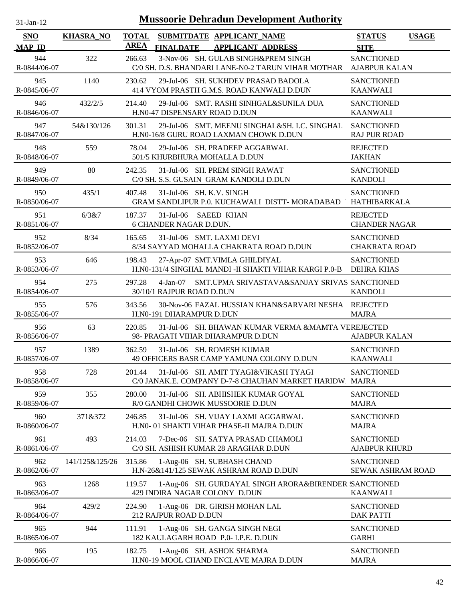| $31$ -Jan-12 |  |
|--------------|--|
|              |  |

| <b>SNO</b><br><b>MAP ID</b> | <b>KHASRA_NO</b> | <b>TOTAL</b><br><b>AREA</b> | <b>FINALDATE</b>                                      | SUBMITDATE APPLICANT_NAME<br><b>APPLICANT ADDRESS</b>                                             | <b>STATUS</b><br><b>USAGE</b><br><b>SITE</b> |
|-----------------------------|------------------|-----------------------------|-------------------------------------------------------|---------------------------------------------------------------------------------------------------|----------------------------------------------|
| 944                         | 322              | 266.63                      |                                                       | 3-Nov-06 SH. GULAB SINGH&PREM SINGH                                                               | <b>SANCTIONED</b>                            |
| R-0844/06-07                |                  |                             |                                                       | C/0 SH. D.S. BHANDARI LANE-N0-2 TARUN VIHAR MOTHAR                                                | <b>AJABPUR KALAN</b>                         |
| 945<br>R-0845/06-07         | 1140             | 230.62                      |                                                       | 29-Jul-06 SH. SUKHDEV PRASAD BADOLA<br>414 VYOM PRASTH G.M.S. ROAD KANWALI D.DUN                  | <b>SANCTIONED</b><br><b>KAANWALI</b>         |
| 946<br>R-0846/06-07         | 432/2/5          | 214.40                      |                                                       | 29-Jul-06 SMT. RASHI SINHGAL&SUNILA DUA<br>H.N0-47 DISPENSARY ROAD D.DUN                          | <b>SANCTIONED</b><br><b>KAANWALI</b>         |
| 947<br>R-0847/06-07         | 54&130/126       | 301.31                      |                                                       | 29-Jul-06 SMT. MEENU SINGHAL&SH. I.C. SINGHAL<br>H.N0-16/8 GURU ROAD LAXMAN CHOWK D.DUN           | <b>SANCTIONED</b><br><b>RAJ PUR ROAD</b>     |
| 948<br>R-0848/06-07         | 559              | 78.04                       |                                                       | 29-Jul-06 SH. PRADEEP AGGARWAL<br>501/5 KHURBHURA MOHALLA D.DUN                                   | <b>REJECTED</b><br><b>JAKHAN</b>             |
| 949<br>R-0849/06-07         | 80               | 242.35                      |                                                       | 31-Jul-06 SH. PREM SINGH RAWAT<br>C/0 SH. S.S. GUSAIN GRAM KANDOLI D.DUN                          | <b>SANCTIONED</b><br><b>KANDOLI</b>          |
| 950<br>R-0850/06-07         | 435/1            | 407.48                      |                                                       | 31-Jul-06 SH. K.V. SINGH<br><b>GRAM SANDLIPUR P.0. KUCHAWALI DISTT-MORADABAD</b>                  | <b>SANCTIONED</b><br>HATHIBARKALA            |
| 951<br>R-0851/06-07         | 6/3&7            | 187.37                      | 31-Jul-06 SAEED KHAN<br><b>6 CHANDER NAGAR D.DUN.</b> |                                                                                                   | <b>REJECTED</b><br><b>CHANDER NAGAR</b>      |
| 952<br>R-0852/06-07         | 8/34             | 165.65                      |                                                       | 31-Jul-06 SMT. LAXMI DEVI<br>8/34 SAYYAD MOHALLA CHAKRATA ROAD D.DUN                              | <b>SANCTIONED</b><br><b>CHAKRATA ROAD</b>    |
| 953<br>R-0853/06-07         | 646              | 198.43                      |                                                       | 27-Apr-07 SMT.VIMLA GHILDIYAL<br>H.N0-131/4 SINGHAL MANDI -II SHAKTI VIHAR KARGI P.0-B DEHRA KHAS | <b>SANCTIONED</b>                            |
| 954<br>R-0854/06-07         | 275              | 297.28                      | 30/10/1 RAJPUR ROAD D.DUN                             | 4-Jan-07 SMT.UPMA SRIVASTAVA&SANJAY SRIVAS SANCTIONED                                             | <b>KANDOLI</b>                               |
| 955<br>R-0855/06-07         | 576              | 343.56                      | H.N0-191 DHARAMPUR D.DUN                              | 30-Nov-06 FAZAL HUSSIAN KHAN&SARVARI NESHA REJECTED                                               | <b>MAJRA</b>                                 |
| 956<br>R-0856/06-07         | 63               | 220.85                      |                                                       | 31-Jul-06 SH. BHAWAN KUMAR VERMA &MAMTA VEREJECTED<br>98- PRAGATI VIHAR DHARAMPUR D.DUN           | <b>AJABPUR KALAN</b>                         |
| 957<br>R-0857/06-07         | 1389             | 362.59                      |                                                       | 31-Jul-06 SH. ROMESH KUMAR<br>49 OFFICERS BASR CAMP YAMUNA COLONY D.DUN                           | <b>SANCTIONED</b><br><b>KAANWALI</b>         |
| 958<br>R-0858/06-07         | 728              | 201.44                      |                                                       | 31-Jul-06 SH. AMIT TYAGI&VIKASH TYAGI<br>C/0 JANAK.E. COMPANY D-7-8 CHAUHAN MARKET HARIDW         | <b>SANCTIONED</b><br><b>MAJRA</b>            |
| 959<br>R-0859/06-07         | 355              | 280.00                      |                                                       | 31-Jul-06 SH. ABHISHEK KUMAR GOYAL<br>R/0 GANDHI CHOWK MUSSOORIE D.DUN                            | <b>SANCTIONED</b><br><b>MAJRA</b>            |
| 960<br>R-0860/06-07         | 371&372          | 246.85                      |                                                       | 31-Jul-06 SH. VIJAY LAXMI AGGARWAL<br>H.NO- 01 SHAKTI VIHAR PHASE-II MAJRA D.DUN                  | <b>SANCTIONED</b><br><b>MAJRA</b>            |
| 961<br>R-0861/06-07         | 493              | 214.03                      |                                                       | 7-Dec-06 SH. SATYA PRASAD CHAMOLI<br>C/0 SH. ASHISH KUMAR 28 ARAGHAR D.DUN                        | <b>SANCTIONED</b><br><b>AJABPUR KHURD</b>    |
| 962<br>R-0862/06-07         | 141/125&125/26   | 315.86                      |                                                       | 1-Aug-06 SH. SUBHASH CHAND<br>H.N-26&141/125 SEWAK ASHRAM ROAD D.DUN                              | <b>SANCTIONED</b><br>SEWAK ASHRAM ROAD       |
| 963<br>R-0863/06-07         | 1268             | 119.57                      |                                                       | 1-Aug-06 SH. GURDAYAL SINGH ARORA&BIRENDER SANCTIONED<br>429 INDIRA NAGAR COLONY D.DUN            | <b>KAANWALI</b>                              |
| 964<br>R-0864/06-07         | 429/2            | 224.90                      | 212 RAJPUR ROAD D.DUN                                 | 1-Aug-06 DR. GIRISH MOHAN LAL                                                                     | <b>SANCTIONED</b><br><b>DAK PATTI</b>        |
| 965<br>R-0865/06-07         | 944              | 111.91                      |                                                       | 1-Aug-06 SH. GANGA SINGH NEGI<br>182 KAULAGARH ROAD P.0- I.P.E. D.DUN                             | <b>SANCTIONED</b><br><b>GARHI</b>            |
| 966<br>R-0866/06-07         | 195              | 182.75                      |                                                       | 1-Aug-06 SH. ASHOK SHARMA<br>H.N0-19 MOOL CHAND ENCLAVE MAJRA D.DUN                               | <b>SANCTIONED</b><br><b>MAJRA</b>            |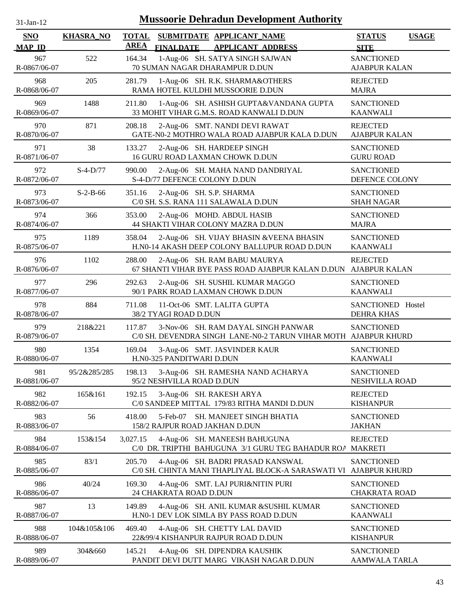| $31$ -Jan-12 |
|--------------|
|              |

| SNO                  | <b>KHASRA_NO</b> | <b>TOTAL</b><br><b>AREA</b> |                           | SUBMITDATE APPLICANT_NAME                                                                              | <b>STATUS</b>                             | <b>USAGE</b> |
|----------------------|------------------|-----------------------------|---------------------------|--------------------------------------------------------------------------------------------------------|-------------------------------------------|--------------|
| <b>MAP ID</b><br>967 | 522              | 164.34                      | <b>FINALDATE</b>          | <b>APPLICANT ADDRESS</b><br>1-Aug-06 SH. SATYA SINGH SAJWAN                                            | <b>SITE</b><br><b>SANCTIONED</b>          |              |
| R-0867/06-07         |                  |                             |                           | 70 SUMAN NAGAR DHARAMPUR D.DUN                                                                         | <b>AJABPUR KALAN</b>                      |              |
| 968                  | 205              | 281.79                      |                           | 1-Aug-06 SH. R.K. SHARMA&OTHERS                                                                        | <b>REJECTED</b>                           |              |
| R-0868/06-07         |                  |                             |                           | RAMA HOTEL KULDHI MUSSOORIE D.DUN                                                                      | <b>MAJRA</b>                              |              |
| 969<br>R-0869/06-07  | 1488             | 211.80                      |                           | 1-Aug-06 SH. ASHISH GUPTA&VANDANA GUPTA<br>33 MOHIT VIHAR G.M.S. ROAD KANWALI D.DUN                    | <b>SANCTIONED</b><br><b>KAANWALI</b>      |              |
| 970<br>R-0870/06-07  | 871              | 208.18                      |                           | 2-Aug-06 SMT. NANDI DEVI RAWAT<br>GATE-N0-2 MOTHRO WALA ROAD AJABPUR KALA D.DUN                        | <b>REJECTED</b><br><b>AJABPUR KALAN</b>   |              |
| 971<br>R-0871/06-07  | 38               | 133.27                      |                           | 2-Aug-06 SH. HARDEEP SINGH<br>16 GURU ROAD LAXMAN CHOWK D.DUN                                          | <b>SANCTIONED</b><br><b>GURU ROAD</b>     |              |
| 972<br>R-0872/06-07  | $S-4-D/77$       | 990.00                      |                           | 2-Aug-06 SH. MAHA NAND DANDRIYAL<br>S-4-D/77 DEFENCE COLONY D.DUN                                      | <b>SANCTIONED</b><br>DEFENCE COLONY       |              |
| 973<br>R-0873/06-07  | $S-2-B-66$       | 351.16                      |                           | 2-Aug-06 SH. S.P. SHARMA<br>C/0 SH. S.S. RANA 111 SALAWALA D.DUN                                       | <b>SANCTIONED</b><br><b>SHAH NAGAR</b>    |              |
| 974<br>R-0874/06-07  | 366              | 353.00                      |                           | 2-Aug-06 MOHD. ABDUL HASIB<br>44 SHAKTI VIHAR COLONY MAZRA D.DUN                                       | <b>SANCTIONED</b><br><b>MAJRA</b>         |              |
| 975<br>R-0875/06-07  | 1189             | 358.04                      |                           | 2-Aug-06 SH. VIJAY BHASIN & VEENA BHASIN<br>H.N0-14 AKASH DEEP COLONY BALLUPUR ROAD D.DUN              | <b>SANCTIONED</b><br><b>KAANWALI</b>      |              |
| 976<br>R-0876/06-07  | 1102             | 288.00                      |                           | 2-Aug-06 SH. RAM BABU MAURYA<br>67 SHANTI VIHAR BYE PASS ROAD AJABPUR KALAN D.DUN AJABPUR KALAN        | <b>REJECTED</b>                           |              |
| 977<br>R-0877/06-07  | 296              | 292.63                      |                           | 2-Aug-06 SH. SUSHIL KUMAR MAGGO<br>90/1 PARK ROAD LAXMAN CHOWK D.DUN                                   | <b>SANCTIONED</b><br><b>KAANWALI</b>      |              |
| 978<br>R-0878/06-07  | 884              | 711.08                      | 38/2 TYAGI ROAD D.DUN     | 11-Oct-06 SMT. LALITA GUPTA                                                                            | SANCTIONED Hostel<br><b>DEHRA KHAS</b>    |              |
| 979<br>R-0879/06-07  | 218&221          | 117.87                      |                           | 3-Nov-06 SH. RAM DAYAL SINGH PANWAR<br>C/0 SH. DEVENDRA SINGH LANE-N0-2 TARUN VIHAR MOTH AJABPUR KHURD | <b>SANCTIONED</b>                         |              |
| 980<br>R-0880/06-07  | 1354             | 169.04                      | H.N0-325 PANDITWARI D.DUN | 3-Aug-06 SMT. JASVINDER KAUR                                                                           | <b>SANCTIONED</b><br><b>KAANWALI</b>      |              |
| 981<br>R-0881/06-07  | 95/2&285/285     | 198.13                      | 95/2 NESHVILLA ROAD D.DUN | 3-Aug-06 SH. RAMESHA NAND ACHARYA                                                                      | <b>SANCTIONED</b><br>NESHVILLA ROAD       |              |
| 982<br>R-0882/06-07  | 165&161          | 192.15                      |                           | 3-Aug-06 SH. RAKESH ARYA<br>C/0 SANDEEP MITTAL 179/83 RITHA MANDI D.DUN                                | <b>REJECTED</b><br><b>KISHANPUR</b>       |              |
| 983<br>R-0883/06-07  | 56               | 418.00                      | 5-Feb-07                  | SH. MANJEET SINGH BHATIA<br>158/2 RAJPUR ROAD JAKHAN D.DUN                                             | <b>SANCTIONED</b><br><b>JAKHAN</b>        |              |
| 984<br>R-0884/06-07  | 153&154          | 3,027.15                    |                           | 4-Aug-06 SH. MANEESH BAHUGUNA<br>C/0 DR. TRIPTHI BAHUGUNA 3/1 GURU TEG BAHADUR ROA                     | <b>REJECTED</b><br><b>MAKRETI</b>         |              |
| 985<br>R-0885/06-07  | 83/1             | 205.70                      |                           | 4-Aug-06 SH. BADRI PRASAD KANSWAL<br>C/0 SH. CHINTA MANI THAPLIYAL BLOCK-A SARASWATI VI                | <b>SANCTIONED</b><br><b>AJABPUR KHURD</b> |              |
| 986<br>R-0886/06-07  | 40/24            | 169.30                      | 24 CHAKRATA ROAD D.DUN    | 4-Aug-06 SMT. LAJ PURI&NITIN PURI                                                                      | <b>SANCTIONED</b><br><b>CHAKRATA ROAD</b> |              |
| 987<br>R-0887/06-07  | 13               | 149.89                      |                           | 4-Aug-06 SH. ANIL KUMAR &SUSHIL KUMAR<br>H.NO-1 DEV LOK SIMLA BY PASS ROAD D.DUN                       | <b>SANCTIONED</b><br><b>KAANWALI</b>      |              |
| 988<br>R-0888/06-07  | 104&105&106      | 469.40                      |                           | 4-Aug-06 SH. CHETTY LAL DAVID<br>22&99/4 KISHANPUR RAJPUR ROAD D.DUN                                   | <b>SANCTIONED</b><br><b>KISHANPUR</b>     |              |
| 989<br>R-0889/06-07  | 304&660          | 145.21                      |                           | 4-Aug-06 SH. DIPENDRA KAUSHIK<br>PANDIT DEVI DUTT MARG VIKASH NAGAR D.DUN                              | <b>SANCTIONED</b><br>AAMWALA TARLA        |              |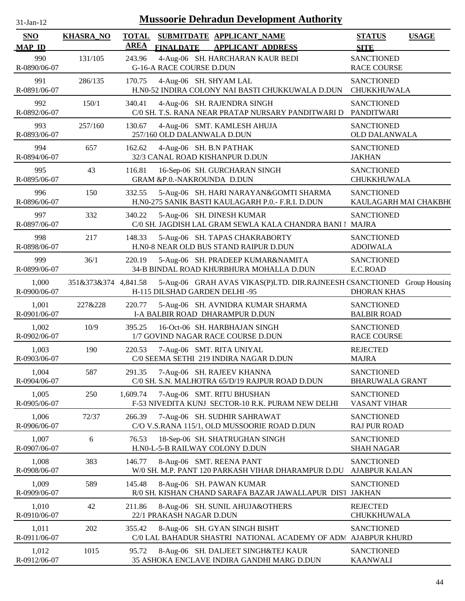| $31$ -Jan-12                |                      |                             | <b>Mussoorie Dehradun Development Authority</b>                                                          |                                             |              |
|-----------------------------|----------------------|-----------------------------|----------------------------------------------------------------------------------------------------------|---------------------------------------------|--------------|
| <b>SNO</b><br><b>MAP ID</b> | <b>KHASRA_NO</b>     | <b>TOTAL</b><br><b>AREA</b> | SUBMITDATE APPLICANT_NAME<br><b>FINALDATE</b><br><b>APPLICANT ADDRESS</b>                                | <b>STATUS</b><br><b>SITE</b>                | <b>USAGE</b> |
| 990<br>R-0890/06-07         | 131/105              | 243.96                      | 4-Aug-06 SH. HARCHARAN KAUR BEDI<br><b>G-16-A RACE COURSE D.DUN</b>                                      | <b>SANCTIONED</b><br><b>RACE COURSE</b>     |              |
| 991<br>R-0891/06-07         | 286/135              | 170.75                      | 4-Aug-06 SH. SHYAM LAL<br>H.N0-52 INDIRA COLONY NAI BASTI CHUKKUWALA D.DUN                               | <b>SANCTIONED</b><br><b>CHUKKHUWALA</b>     |              |
| 992<br>R-0892/06-07         | 150/1                | 340.41                      | 4-Aug-06 SH. RAJENDRA SINGH<br>C/0 SH. T.S. RANA NEAR PRATAP NURSARY PANDITWARI D                        | <b>SANCTIONED</b><br>PANDITWARI             |              |
| 993<br>R-0893/06-07         | 257/160              | 130.67                      | 4-Aug-06 SMT. KAMLESH AHUJA<br>257/160 OLD DALANWALA D.DUN                                               | <b>SANCTIONED</b><br><b>OLD DALANWALA</b>   |              |
| 994<br>R-0894/06-07         | 657                  | 162.62                      | 4-Aug-06 SH. B.N PATHAK<br>32/3 CANAL ROAD KISHANPUR D.DUN                                               | <b>SANCTIONED</b><br><b>JAKHAN</b>          |              |
| 995<br>R-0895/06-07         | 43                   | 116.81                      | 16-Sep-06 SH. GURCHARAN SINGH<br>GRAM &P.0.-NAKROUNDA D.DUN                                              | <b>SANCTIONED</b><br>CHUKKHUWALA            |              |
| 996<br>R-0896/06-07         | 150                  | 332.55                      | 5-Aug-06 SH. HARI NARAYAN&GOMTI SHARMA<br>H.N0-275 SANIK BASTI KAULAGARH P.0.- F.R.I. D.DUN              | <b>SANCTIONED</b><br>KAULAGARH MAI CHAKBH(  |              |
| 997<br>R-0897/06-07         | 332                  | 340.22                      | 5-Aug-06 SH. DINESH KUMAR<br>C/0 SH. JAGDISH LAL GRAM SEWLA KALA CHANDRA BANI I                          | <b>SANCTIONED</b><br>MAJRA                  |              |
| 998<br>R-0898/06-07         | 217                  | 148.33                      | 5-Aug-06 SH. TAPAS CHAKRABORTY<br>H.N0-8 NEAR OLD BUS STAND RAIPUR D.DUN                                 | <b>SANCTIONED</b><br><b>ADOIWALA</b>        |              |
| 999<br>R-0899/06-07         | 36/1                 | 220.19                      | 5-Aug-06 SH. PRADEEP KUMAR&NAMITA<br>34-B BINDAL ROAD KHURBHURA MOHALLA D.DUN                            | <b>SANCTIONED</b><br>E.C.ROAD               |              |
| 1,000<br>R-0900/06-07       | 351&373&374 4,841.58 |                             | 5-Aug-06 GRAH AVAS VIKAS(P)LTD. DIR.RAJNEESH CSANCTIONED Group Housing<br>H-115 DILSHAD GARDEN DELHI -95 | <b>DHORAN KHAS</b>                          |              |
| 1,001<br>R-0901/06-07       | 227&228              | 220.77                      | 5-Aug-06 SH. AVNIDRA KUMAR SHARMA<br>I-A BALBIR ROAD DHARAMPUR D.DUN                                     | <b>SANCTIONED</b><br><b>BALBIR ROAD</b>     |              |
| 1,002<br>R-0902/06-07       | 10/9                 | 395.25                      | 16-Oct-06 SH. HARBHAJAN SINGH<br>1/7 GOVIND NAGAR RACE COURSE D.DUN                                      | <b>SANCTIONED</b><br><b>RACE COURSE</b>     |              |
| 1,003<br>R-0903/06-07       | 190                  | 220.53                      | 7-Aug-06 SMT. RITA UNIYAL<br>C/0 SEEMA SETHI 219 INDIRA NAGAR D.DUN                                      | <b>REJECTED</b><br><b>MAJRA</b>             |              |
| 1,004<br>R-0904/06-07       | 587                  | 291.35                      | 7-Aug-06 SH. RAJEEV KHANNA<br>C/0 SH. S.N. MALHOTRA 65/D/19 RAJPUR ROAD D.DUN                            | <b>SANCTIONED</b><br><b>BHARUWALA GRANT</b> |              |
| 1,005<br>R-0905/06-07       | 250                  | 1,609.74                    | 7-Aug-06 SMT. RITU BHUSHAN<br>F-53 NIVEDITA KUNJ SECTOR-10 R.K. PURAM NEW DELHI                          | <b>SANCTIONED</b><br><b>VASANT VIHAR</b>    |              |
| 1,006<br>R-0906/06-07       | 72/37                | 266.39                      | 7-Aug-06 SH. SUDHIR SAHRAWAT<br>C/O V.S.RANA 115/1, OLD MUSSOORIE ROAD D.DUN                             | <b>SANCTIONED</b><br><b>RAJ PUR ROAD</b>    |              |
| 1,007<br>R-0907/06-07       | 6                    | 76.53                       | 18-Sep-06 SH. SHATRUGHAN SINGH<br>H.N0-L-5-B RAILWAY COLONY D.DUN                                        | <b>SANCTIONED</b><br><b>SHAH NAGAR</b>      |              |
| 1,008<br>R-0908/06-07       | 383                  | 146.77                      | 8-Aug-06 SMT. REENA PANT<br>W/0 SH. M.P. PANT 120 PARKASH VIHAR DHARAMPUR D.DU                           | <b>SANCTIONED</b><br><b>AJABPUR KALAN</b>   |              |
| 1,009<br>R-0909/06-07       | 589                  | 145.48                      | 8-Aug-06 SH. PAWAN KUMAR<br>R/0 SH. KISHAN CHAND SARAFA BAZAR JAWALLAPUR DIST                            | <b>SANCTIONED</b><br><b>JAKHAN</b>          |              |
| 1,010<br>R-0910/06-07       | 42                   | 211.86                      | 8-Aug-06 SH. SUNIL AHUJA&OTHERS<br>22/1 PRAKASH NAGAR D.DUN                                              | <b>REJECTED</b><br>CHUKKHUWALA              |              |
| 1,011<br>R-0911/06-07       | 202                  | 355.42                      | 8-Aug-06 SH. GYAN SINGH BISHT<br>C/0 LAL BAHADUR SHASTRI NATIONAL ACADEMY OF ADM AJABPUR KHURD           | <b>SANCTIONED</b>                           |              |
| 1,012<br>R-0912/06-07       | 1015                 | 95.72                       | 8-Aug-06 SH. DALJEET SINGH&TEJ KAUR<br>35 ASHOKA ENCLAVE INDIRA GANDHI MARG D.DUN                        | <b>SANCTIONED</b><br><b>KAANWALI</b>        |              |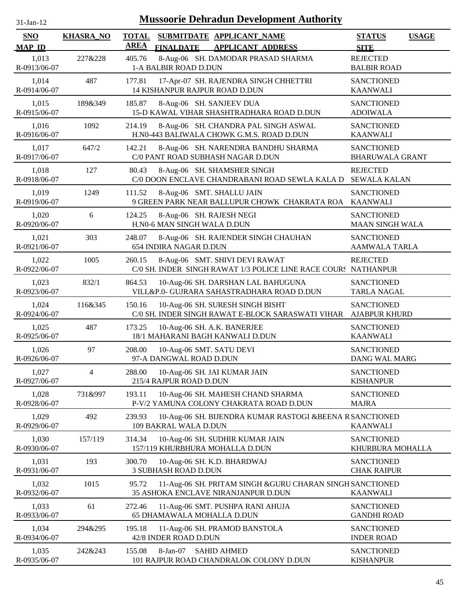| $31$ -Jan-12 |
|--------------|
|              |

| <b>SNO</b>            | <b>KHASRA_NO</b> | <b>TOTAL</b> |                                                         | SUBMITDATE APPLICANT_NAME                                                                           | <b>STATUS</b><br><b>USAGE</b>               |
|-----------------------|------------------|--------------|---------------------------------------------------------|-----------------------------------------------------------------------------------------------------|---------------------------------------------|
| <b>MAP ID</b>         |                  | <b>AREA</b>  | <b>FINALDATE</b>                                        | <b>APPLICANT ADDRESS</b>                                                                            | <b>SITE</b>                                 |
| 1,013<br>R-0913/06-07 | 227&228          | 405.76       | 1-A BALBIR ROAD D.DUN                                   | 8-Aug-06 SH. DAMODAR PRASAD SHARMA                                                                  | <b>REJECTED</b><br><b>BALBIR ROAD</b>       |
| 1,014<br>R-0914/06-07 | 487              | 177.81       | 14 KISHANPUR RAJPUR ROAD D.DUN                          | 17-Apr-07 SH. RAJENDRA SINGH CHHETTRI                                                               | <b>SANCTIONED</b><br><b>KAANWALI</b>        |
| 1,015<br>R-0915/06-07 | 189&349          | 185.87       | 8-Aug-06 SH. SANJEEV DUA                                | 15-D KAWAL VIHAR SHASHTRADHARA ROAD D.DUN                                                           | <b>SANCTIONED</b><br><b>ADOIWALA</b>        |
| 1,016<br>R-0916/06-07 | 1092             | 214.19       |                                                         | 8-Aug-06 SH. CHANDRA PAL SINGH ASWAL<br>H.N0-443 BALIWALA CHOWK G.M.S. ROAD D.DUN                   | <b>SANCTIONED</b><br><b>KAANWALI</b>        |
| 1,017<br>R-0917/06-07 | 647/2            | 142.21       |                                                         | 8-Aug-06 SH. NARENDRA BANDHU SHARMA<br>C/0 PANT ROAD SUBHASH NAGAR D.DUN                            | <b>SANCTIONED</b><br><b>BHARUWALA GRANT</b> |
| 1,018<br>R-0918/06-07 | 127              | 80.43        |                                                         | 8-Aug-06 SH. SHAMSHER SINGH<br>C/0 DOON ENCLAVE CHANDRABANI ROAD SEWLA KALA D                       | <b>REJECTED</b><br><b>SEWALA KALAN</b>      |
| 1,019<br>R-0919/06-07 | 1249             | 111.52       | 8-Aug-06 SMT. SHALLU JAIN                               | 9 GREEN PARK NEAR BALLUPUR CHOWK CHAKRATA ROA                                                       | <b>SANCTIONED</b><br><b>KAANWALI</b>        |
| 1,020<br>R-0920/06-07 | 6                | 124.25       | 8-Aug-06 SH. RAJESH NEGI<br>H.N0-6 MAN SINGH WALA D.DUN |                                                                                                     | <b>SANCTIONED</b><br><b>MAAN SINGH WALA</b> |
| 1,021<br>R-0921/06-07 | 303              | 248.07       | 654 INDIRA NAGAR D.DUN                                  | 8-Aug-06 SH. RAJENDER SINGH CHAUHAN                                                                 | <b>SANCTIONED</b><br><b>AAMWALA TARLA</b>   |
| 1,022<br>R-0922/06-07 | 1005             | 260.15       |                                                         | 8-Aug-06 SMT. SHIVI DEVI RAWAT<br>C/0 SH. INDER SINGH RAWAT 1/3 POLICE LINE RACE COURS NATHANPUR    | <b>REJECTED</b>                             |
| 1,023<br>R-0923/06-07 | 832/1            | 864.53       |                                                         | 10-Aug-06 SH. DARSHAN LAL BAHUGUNA<br>VILL&P.0- GUJRARA SAHASTRADHARA ROAD D.DUN                    | <b>SANCTIONED</b><br><b>TARLA NAGAL</b>     |
| 1,024<br>R-0924/06-07 | 116&345          | 150.16       |                                                         | 10-Aug-06 SH. SURESH SINGH BISHT<br>C/0 SH. INDER SINGH RAWAT E-BLOCK SARASWATI VIHAR AJABPUR KHURD | <b>SANCTIONED</b>                           |
| 1,025<br>R-0925/06-07 | 487              | 173.25       |                                                         | 10-Aug-06 SH. A.K. BANERJEE<br>18/1 MAHARANI BAGH KANWALI D.DUN                                     | <b>SANCTIONED</b><br><b>KAANWALI</b>        |
| 1,026<br>R-0926/06-07 | 97               | 208.00       | 10-Aug-06 SMT. SATU DEVI<br>97-A DANGWAL ROAD D.DUN     |                                                                                                     | <b>SANCTIONED</b><br>DANG WAL MARG          |
| 1,027<br>R-0927/06-07 | 4                | 288.00       | 215/4 RAJPUR ROAD D.DUN                                 | 10-Aug-06 SH. JAI KUMAR JAIN                                                                        | <b>SANCTIONED</b><br><b>KISHANPUR</b>       |
| 1,028<br>R-0928/06-07 | 731&997          | 193.11       |                                                         | 10-Aug-06 SH. MAHESH CHAND SHARMA<br>P-V/2 YAMUNA COLONY CHAKRATA ROAD D.DUN                        | <b>SANCTIONED</b><br><b>MAJRA</b>           |
| 1,029<br>R-0929/06-07 | 492              | 239.93       | 109 BAKRAL WALA D.DUN                                   | 10-Aug-06 SH. BIJENDRA KUMAR RASTOGI &BEENA R SANCTIONED                                            | <b>KAANWALI</b>                             |
| 1,030<br>R-0930/06-07 | 157/119          | 314.34       |                                                         | 10-Aug-06 SH. SUDHIR KUMAR JAIN<br>157/119 KHURBHURA MOHALLA D.DUN                                  | <b>SANCTIONED</b><br>KHURBURA MOHALLA       |
| 1,031<br>R-0931/06-07 | 193              | 300.70       | <b>3 SUBHASH ROAD D.DUN</b>                             | 10-Aug-06 SH. K.D. BHARDWAJ                                                                         | <b>SANCTIONED</b><br><b>CHAK RAIPUR</b>     |
| 1,032<br>R-0932/06-07 | 1015             | 95.72        |                                                         | 11-Aug-06 SH. PRITAM SINGH & GURU CHARAN SINGH SANCTIONED<br>35 ASHOKA ENCLAVE NIRANJANPUR D.DUN    | <b>KAANWALI</b>                             |
| 1,033<br>R-0933/06-07 | 61               | 272.46       | 65 DHAMAWALA MOHALLA D.DUN                              | 11-Aug-06 SMT. PUSHPA RANI AHUJA                                                                    | <b>SANCTIONED</b><br><b>GANDHI ROAD</b>     |
| 1,034<br>R-0934/06-07 | 294&295          | 195.18       | 42/8 INDER ROAD D.DUN                                   | 11-Aug-06 SH. PRAMOD BANSTOLA                                                                       | <b>SANCTIONED</b><br><b>INDER ROAD</b>      |
| 1,035<br>R-0935/06-07 | 242&243          | 155.08       | 8-Jan-07                                                | <b>SAHID AHMED</b><br>101 RAJPUR ROAD CHANDRALOK COLONY D.DUN                                       | <b>SANCTIONED</b><br><b>KISHANPUR</b>       |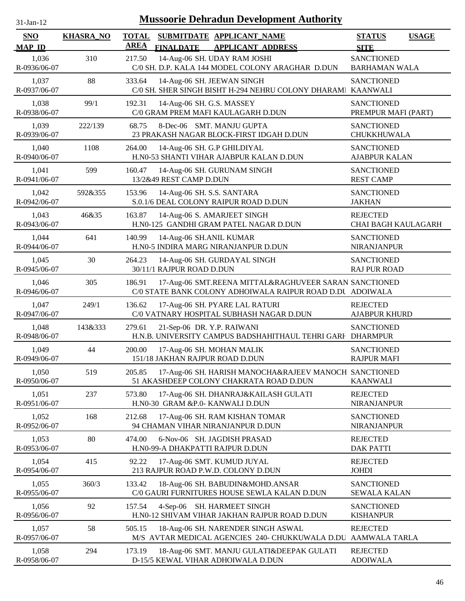| $31-Jan-12$                 |                  | <b>Mussoorie Dehradun Development Authority</b>                                                                              |                                               |
|-----------------------------|------------------|------------------------------------------------------------------------------------------------------------------------------|-----------------------------------------------|
| <b>SNO</b><br><b>MAP ID</b> | <b>KHASRA_NO</b> | <b>TOTAL</b><br>SUBMITDATE APPLICANT_NAME<br><b>AREA</b><br><b>FINALDATE</b><br><b>APPLICANT ADDRESS</b>                     | <b>STATUS</b><br><b>USAGE</b><br><b>SITE</b>  |
| 1,036<br>R-0936/06-07       | 310              | 14-Aug-06 SH. UDAY RAM JOSHI<br>217.50<br>C/0 SH. D.P. KALA 144 MODEL COLONY ARAGHAR D.DUN                                   | <b>SANCTIONED</b><br><b>BARHAMAN WALA</b>     |
| 1,037<br>R-0937/06-07       | 88               | 333.64<br>14-Aug-06 SH. JEEWAN SINGH<br>C/0 SH. SHER SINGH BISHT H-294 NEHRU COLONY DHARAMI KAANWALI                         | <b>SANCTIONED</b>                             |
| 1,038<br>R-0938/06-07       | 99/1             | 14-Aug-06 SH. G.S. MASSEY<br>192.31<br>C/0 GRAM PREM MAFI KAULAGARH D.DUN                                                    | <b>SANCTIONED</b><br>PREMPUR MAFI (PART)      |
| 1,039<br>R-0939/06-07       | 222/139          | 68.75<br>8-Dec-06 SMT. MANJU GUPTA<br>23 PRAKASH NAGAR BLOCK-FIRST IDGAH D.DUN                                               | <b>SANCTIONED</b><br>CHUKKHUWALA              |
| 1,040<br>R-0940/06-07       | 1108             | 264.00<br>14-Aug-06 SH. G.P GHILDIYAL<br>H.N0-53 SHANTI VIHAR AJABPUR KALAN D.DUN                                            | <b>SANCTIONED</b><br><b>AJABPUR KALAN</b>     |
| 1,041<br>R-0941/06-07       | 599              | 160.47<br>14-Aug-06 SH. GURUNAM SINGH<br>13/2&49 REST CAMP D.DUN                                                             | <b>SANCTIONED</b><br><b>REST CAMP</b>         |
| 1,042<br>R-0942/06-07       | 592&355          | 14-Aug-06 SH. S.S. SANTARA<br>153.96<br>S.0.1/6 DEAL COLONY RAIPUR ROAD D.DUN                                                | <b>SANCTIONED</b><br><b>JAKHAN</b>            |
| 1,043<br>R-0943/06-07       | 46&35            | 163.87<br>14-Aug-06 S. AMARJEET SINGH<br>H.N0-125 GANDHI GRAM PATEL NAGAR D.DUN                                              | <b>REJECTED</b><br><b>CHAI BAGH KAULAGARH</b> |
| 1,044<br>R-0944/06-07       | 641              | 140.99<br>14-Aug-06 SH.ANIL KUMAR<br>H.N0-5 INDIRA MARG NIRANJANPUR D.DUN                                                    | <b>SANCTIONED</b><br><b>NIRANJANPUR</b>       |
| 1,045<br>R-0945/06-07       | 30               | 264.23<br>14-Aug-06 SH. GURDAYAL SINGH<br>30/11/1 RAJPUR ROAD D.DUN                                                          | <b>SANCTIONED</b><br><b>RAJ PUR ROAD</b>      |
| 1,046<br>R-0946/06-07       | 305              | 17-Aug-06 SMT.REENA MITTAL&RAGHUVEER SARAN SANCTIONED<br>186.91<br>C/0 STATE BANK COLONY ADHOIWALA RAIPUR ROAD D.DU ADOIWALA |                                               |
| 1,047<br>R-0947/06-07       | 249/1            | 136.62<br>17-Aug-06 SH. PYARE LAL RATURI<br>C/0 VATNARY HOSPITAL SUBHASH NAGAR D.DUN                                         | <b>REJECTED</b><br><b>AJABPUR KHURD</b>       |
| 1,048<br>R-0948/06-07       | 143&333          | 279.61<br>21-Sep-06 DR. Y.P. RAIWANI<br>H.N.B. UNIVERSITY CAMPUS BADSHAHITHAUL TEHRI GARI DHARMPUR                           | <b>SANCTIONED</b>                             |
| 1,049<br>R-0949/06-07       | 44               | 200.00<br>17-Aug-06 SH. MOHAN MALIK<br>151/18 JAKHAN RAJPUR ROAD D.DUN                                                       | <b>SANCTIONED</b><br><b>RAJPUR MAFI</b>       |
| 1,050<br>R-0950/06-07       | 519              | 17-Aug-06 SH. HARISH MANOCHA&RAJEEV MANOCH SANCTIONED<br>205.85<br>51 AKASHDEEP COLONY CHAKRATA ROAD D.DUN                   | <b>KAANWALI</b>                               |
| 1,051<br>R-0951/06-07       | 237              | 573.80<br>17-Aug-06 SH. DHANRAJ&KAILASH GULATI<br>H.N0-30 GRAM &P.0- KANWALI D.DUN                                           | <b>REJECTED</b><br><b>NIRANJANPUR</b>         |
| 1,052<br>R-0952/06-07       | 168              | 212.68<br>17-Aug-06 SH. RAM KISHAN TOMAR<br>94 CHAMAN VIHAR NIRANJANPUR D.DUN                                                | <b>SANCTIONED</b><br><b>NIRANJANPUR</b>       |
| 1,053<br>R-0953/06-07       | 80               | 474.00<br>6-Nov-06 SH. JAGDISH PRASAD<br>H.N0-99-A DHAKPATTI RAJPUR D.DUN                                                    | <b>REJECTED</b><br><b>DAK PATTI</b>           |
| 1,054<br>R-0954/06-07       | 415              | 92.22<br>17-Aug-06 SMT. KUMUD JUYAL<br>213 RAJPUR ROAD P.W.D. COLONY D.DUN                                                   | <b>REJECTED</b><br><b>JOHDI</b>               |
| 1,055<br>R-0955/06-07       | 360/3            | 133.42<br>18-Aug-06 SH. BABUDIN&MOHD.ANSAR<br>C/0 GAURI FURNITURES HOUSE SEWLA KALAN D.DUN                                   | <b>SANCTIONED</b><br><b>SEWALA KALAN</b>      |
| 1,056<br>R-0956/06-07       | 92               | 157.54<br>SH. HARMEET SINGH<br>$4-Sep-06$<br>H.N0-12 SHIVAM VIHAR JAKHAN RAJPUR ROAD D.DUN                                   | <b>SANCTIONED</b><br><b>KISHANPUR</b>         |
| 1,057<br>R-0957/06-07       | 58               | 505.15<br>18-Aug-06 SH. NARENDER SINGH ASWAL<br>M/S AVTAR MEDICAL AGENCIES 240- CHUKKUWALA D.DU                              | <b>REJECTED</b><br>AAMWALA TARLA              |
| 1,058<br>R-0958/06-07       | 294              | 173.19<br>18-Aug-06 SMT. MANJU GULATI&DEEPAK GULATI<br>D-15/5 KEWAL VIHAR ADHOIWALA D.DUN                                    | <b>REJECTED</b><br><b>ADOIWALA</b>            |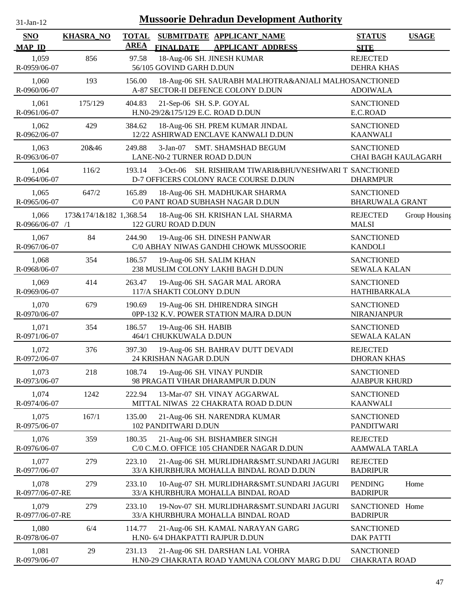| $31$ -Jan-12 |  |
|--------------|--|
|              |  |

| <b>SNO</b><br><b>MAP ID</b> | <b>KHASRA_NO</b>       | <b>TOTAL</b><br><b>AREA</b> | SUBMITDATE APPLICANT NAME<br><b>FINALDATE</b><br><b>APPLICANT ADDRESS</b>                            | <b>STATUS</b><br><b>SITE</b>                    | <b>USAGE</b>  |
|-----------------------------|------------------------|-----------------------------|------------------------------------------------------------------------------------------------------|-------------------------------------------------|---------------|
| 1,059<br>R-0959/06-07       | 856                    | 97.58                       | 18-Aug-06 SH. JINESH KUMAR<br>56/105 GOVIND GARH D.DUN                                               | <b>REJECTED</b><br><b>DEHRA KHAS</b>            |               |
| 1,060<br>R-0960/06-07       | 193                    | 156.00                      | 18-Aug-06 SH. SAURABH MALHOTRA&ANJALI MALHOSANCTIONED<br>A-87 SECTOR-II DEFENCE COLONY D.DUN         | <b>ADOIWALA</b>                                 |               |
| 1,061<br>R-0961/06-07       | 175/129                | 404.83                      | 21-Sep-06 SH. S.P. GOYAL<br>H.N0-29/2&175/129 E.C. ROAD D.DUN                                        | <b>SANCTIONED</b><br>E.C.ROAD                   |               |
| 1,062<br>R-0962/06-07       | 429                    | 384.62                      | 18-Aug-06 SH. PREM KUMAR JINDAL<br>12/22 ASHIRWAD ENCLAVE KANWALI D.DUN                              | <b>SANCTIONED</b><br><b>KAANWALI</b>            |               |
| 1,063<br>R-0963/06-07       | 20&46                  | 249.88                      | SMT. SHAMSHAD BEGUM<br>$3-Jan-07$<br>LANE-N0-2 TURNER ROAD D.DUN                                     | <b>SANCTIONED</b><br><b>CHAI BAGH KAULAGARH</b> |               |
| 1,064<br>R-0964/06-07       | 116/2                  | 193.14                      | SH. RISHIRAM TIWARI&BHUVNESHWARI T SANCTIONED<br>$3-Oct-06$<br>D-7 OFFICERS COLONY RACE COURSE D.DUN | <b>DHARMPUR</b>                                 |               |
| 1,065<br>R-0965/06-07       | 647/2                  | 165.89                      | 18-Aug-06 SH. MADHUKAR SHARMA<br>C/0 PANT ROAD SUBHASH NAGAR D.DUN                                   | <b>SANCTIONED</b><br><b>BHARUWALA GRANT</b>     |               |
| 1,066<br>R-0966/06-07 /1    | 173&174/1&182 1,368.54 |                             | 18-Aug-06 SH. KRISHAN LAL SHARMA<br>122 GURU ROAD D.DUN                                              | <b>REJECTED</b><br><b>MALSI</b>                 | Group Housing |
| 1,067<br>R-0967/06-07       | 84                     | 244.90                      | 19-Aug-06 SH. DINESH PANWAR<br>C/0 ABHAY NIWAS GANDHI CHOWK MUSSOORIE                                | <b>SANCTIONED</b><br><b>KANDOLI</b>             |               |
| 1,068<br>R-0968/06-07       | 354                    | 186.57                      | 19-Aug-06 SH. SALIM KHAN<br>238 MUSLIM COLONY LAKHI BAGH D.DUN                                       | <b>SANCTIONED</b><br><b>SEWALA KALAN</b>        |               |
| 1,069<br>R-0969/06-07       | 414                    | 263.47                      | 19-Aug-06 SH. SAGAR MAL ARORA<br>117/A SHAKTI COLONY D.DUN                                           | <b>SANCTIONED</b><br>HATHIBARKALA               |               |
| 1,070<br>R-0970/06-07       | 679                    | 190.69                      | 19-Aug-06 SH. DHIRENDRA SINGH<br>0PP-132 K.V. POWER STATION MAJRA D.DUN                              | <b>SANCTIONED</b><br>NIRANJANPUR                |               |
| 1,071<br>R-0971/06-07       | 354                    | 186.57                      | 19-Aug-06 SH. HABIB<br>464/1 CHUKKUWALA D.DUN                                                        | <b>SANCTIONED</b><br><b>SEWALA KALAN</b>        |               |
| 1,072<br>R-0972/06-07       | 376                    | 397.30                      | 19-Aug-06 SH. BAHRAV DUTT DEVADI<br>24 KRISHAN NAGAR D.DUN                                           | <b>REJECTED</b><br><b>DHORAN KHAS</b>           |               |
| 1,073<br>R-0973/06-07       | 218                    | 108.74                      | 19-Aug-06 SH. VINAY PUNDIR<br>98 PRAGATI VIHAR DHARAMPUR D.DUN                                       | <b>SANCTIONED</b><br><b>AJABPUR KHURD</b>       |               |
| 1,074<br>R-0974/06-07       | 1242                   | 222.94                      | 13-Mar-07 SH. VINAY AGGARWAL<br>MITTAL NIWAS 22 CHAKRATA ROAD D.DUN                                  | <b>SANCTIONED</b><br><b>KAANWALI</b>            |               |
| 1,075<br>R-0975/06-07       | 167/1                  | 135.00                      | 21-Aug-06 SH. NARENDRA KUMAR<br>102 PANDITWARI D.DUN                                                 | <b>SANCTIONED</b><br><b>PANDITWARI</b>          |               |
| 1,076<br>R-0976/06-07       | 359                    | 180.35                      | 21-Aug-06 SH. BISHAMBER SINGH<br>C/0 C.M.O. OFFICE 105 CHANDER NAGAR D.DUN                           | <b>REJECTED</b><br>AAMWALA TARLA                |               |
| 1,077<br>R-0977/06-07       | 279                    | 223.10                      | 21-Aug-06 SH. MURLIDHAR&SMT.SUNDARI JAGURI<br>33/A KHURBHURA MOHALLA BINDAL ROAD D.DUN               | <b>REJECTED</b><br><b>BADRIPUR</b>              |               |
| 1,078<br>R-0977/06-07-RE    | 279                    | 233.10                      | 10-Aug-07 SH. MURLIDHAR&SMT.SUNDARI JAGURI<br>33/A KHURBHURA MOHALLA BINDAL ROAD                     | <b>PENDING</b><br><b>BADRIPUR</b>               | Home          |
| 1,079<br>R-0977/06-07-RE    | 279                    | 233.10                      | 19-Nov-07 SH. MURLIDHAR&SMT.SUNDARI JAGURI<br>33/A KHURBHURA MOHALLA BINDAL ROAD                     | SANCTIONED Home<br><b>BADRIPUR</b>              |               |
| 1,080<br>R-0978/06-07       | 6/4                    | 114.77                      | 21-Aug-06 SH. KAMAL NARAYAN GARG<br>H.N0- 6/4 DHAKPATTI RAJPUR D.DUN                                 | <b>SANCTIONED</b><br><b>DAK PATTI</b>           |               |
| 1,081<br>R-0979/06-07       | 29                     | 231.13                      | 21-Aug-06 SH. DARSHAN LAL VOHRA<br>H.N0-29 CHAKRATA ROAD YAMUNA COLONY MARG D.DU                     | <b>SANCTIONED</b><br><b>CHAKRATA ROAD</b>       |               |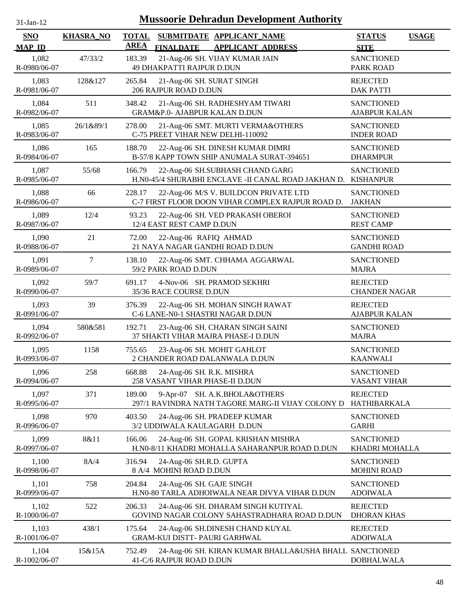| $31$ -Jan-12 |  |
|--------------|--|
|              |  |

| <b>SNO</b><br><b>MAP ID</b> | <b>KHASRA_NO</b> | <b>TOTAL</b><br><b>AREA</b> | <b>FINALDATE</b>                                             | SUBMITDATE APPLICANT NAME<br><b>APPLICANT ADDRESS</b>                                            | <b>STATUS</b><br><b>SITE</b>              | <b>USAGE</b> |
|-----------------------------|------------------|-----------------------------|--------------------------------------------------------------|--------------------------------------------------------------------------------------------------|-------------------------------------------|--------------|
| 1,082<br>R-0980/06-07       | 47/33/2          | 183.39                      | 49 DHAKPATTI RAJPUR D.DUN                                    | 21-Aug-06 SH. VIJAY KUMAR JAIN                                                                   | <b>SANCTIONED</b><br><b>PARK ROAD</b>     |              |
| 1,083<br>R-0981/06-07       | 128&127          | 265.84                      | 21-Aug-06 SH. SURAT SINGH<br>206 RAJPUR ROAD D.DUN           |                                                                                                  | <b>REJECTED</b><br><b>DAK PATTI</b>       |              |
| 1,084<br>R-0982/06-07       | 511              | 348.42                      | GRAM&P.0- AJABPUR KALAN D.DUN                                | 21-Aug-06 SH. RADHESHYAM TIWARI                                                                  | <b>SANCTIONED</b><br><b>AJABPUR KALAN</b> |              |
| 1,085<br>R-0983/06-07       | 26/1&89/1        | 278.00                      | C-75 PREET VIHAR NEW DELHI-110092                            | 21-Aug-06 SMT. MURTI VERMA&OTHERS                                                                | <b>SANCTIONED</b><br><b>INDER ROAD</b>    |              |
| 1,086<br>R-0984/06-07       | 165              | 188.70                      |                                                              | 22-Aug-06 SH. DINESH KUMAR DIMRI<br>B-57/8 KAPP TOWN SHIP ANUMALA SURAT-394651                   | <b>SANCTIONED</b><br><b>DHARMPUR</b>      |              |
| 1,087<br>R-0985/06-07       | 55/68            | 166.79                      |                                                              | 22-Aug-06 SH.SUBHASH CHAND GARG<br>H.N0-45/4 SHURABHI ENCLAVE -II CANAL ROAD JAKHAN D. KISHANPUR | <b>SANCTIONED</b>                         |              |
| 1,088<br>R-0986/06-07       | 66               | 228.17                      |                                                              | 22-Aug-06 M/S V. BUILDCON PRIVATE LTD<br>C-7 FIRST FLOOR DOON VIHAR COMPLEX RAJPUR ROAD D.       | <b>SANCTIONED</b><br><b>JAKHAN</b>        |              |
| 1,089<br>R-0987/06-07       | 12/4             | 93.23                       | 12/4 EAST REST CAMP D.DUN                                    | 22-Aug-06 SH. VED PRAKASH OBEROI                                                                 | <b>SANCTIONED</b><br><b>REST CAMP</b>     |              |
| 1,090<br>R-0988/06-07       | 21               | 72.00                       | 22-Aug-06 RAFIQ AHMAD                                        | 21 NAYA NAGAR GANDHI ROAD D.DUN                                                                  | <b>SANCTIONED</b><br><b>GANDHI ROAD</b>   |              |
| 1,091<br>R-0989/06-07       | 7                | 138.10                      | 59/2 PARK ROAD D.DUN                                         | 22-Aug-06 SMT. CHHAMA AGGARWAL                                                                   | <b>SANCTIONED</b><br><b>MAJRA</b>         |              |
| 1,092<br>R-0990/06-07       | 59/7             | 691.17                      | 35/36 RACE COURSE D.DUN                                      | 4-Nov-06 SH. PRAMOD SEKHRI                                                                       | <b>REJECTED</b><br><b>CHANDER NAGAR</b>   |              |
| 1,093<br>R-0991/06-07       | 39               | 376.39                      |                                                              | 22-Aug-06 SH. MOHAN SINGH RAWAT<br>C-6 LANE-N0-1 SHASTRI NAGAR D.DUN                             | <b>REJECTED</b><br><b>AJABPUR KALAN</b>   |              |
| 1,094<br>R-0992/06-07       | 580&581          | 192.71                      |                                                              | 23-Aug-06 SH. CHARAN SINGH SAINI<br>37 SHAKTI VIHAR MAJRA PHASE-I D.DUN                          | <b>SANCTIONED</b><br><b>MAJRA</b>         |              |
| 1,095<br>R-0993/06-07       | 1158             | 755.65                      |                                                              | 23-Aug-06 SH. MOHIT GAHLOT<br>2 CHANDER ROAD DALANWALA D.DUN                                     | <b>SANCTIONED</b><br><b>KAANWALI</b>      |              |
| 1,096<br>R-0994/06-07       | 258              | 668.88                      | 24-Aug-06 SH. R.K. MISHRA<br>258 VASANT VIHAR PHASE-II D.DUN |                                                                                                  | <b>SANCTIONED</b><br><b>VASANT VIHAR</b>  |              |
| 1,097<br>R-0995/06-07       | 371              | 189.00                      |                                                              | 9-Apr-07 SH. A.K.BHOLA&OTHERS<br>297/1 RAVINDRA NATH TAGORE MARG-II VIJAY COLONY D               | <b>REJECTED</b><br>HATHIBARKALA           |              |
| 1,098<br>R-0996/06-07       | 970              | 403.50                      | 3/2 UDDIWALA KAULAGARH D.DUN                                 | 24-Aug-06 SH. PRADEEP KUMAR                                                                      | <b>SANCTIONED</b><br><b>GARHI</b>         |              |
| 1,099<br>R-0997/06-07       | 8&11             | 166.06                      |                                                              | 24-Aug-06 SH. GOPAL KRISHAN MISHRA<br>H.N0-8/11 KHADRI MOHALLA SAHARANPUR ROAD D.DUN             | <b>SANCTIONED</b><br>KHADRI MOHALLA       |              |
| 1,100<br>R-0998/06-07       | 8A/4             | 316.94                      | 24-Aug-06 SH.R.D. GUPTA<br>8 A/4 MOHINI ROAD D.DUN           |                                                                                                  | <b>SANCTIONED</b><br><b>MOHINI ROAD</b>   |              |
| 1,101<br>R-0999/06-07       | 758              | 204.84                      | 24-Aug-06 SH. GAJE SINGH                                     | H.N0-80 TARLA ADHOIWALA NEAR DIVYA VIHAR D.DUN                                                   | <b>SANCTIONED</b><br><b>ADOIWALA</b>      |              |
| 1,102<br>R-1000/06-07       | 522              | 206.33                      |                                                              | 24-Aug-06 SH. DHARAM SINGH KUTIYAL<br>GOVIND NAGAR COLONY SAHASTRADHARA ROAD D.DUN               | <b>REJECTED</b><br><b>DHORAN KHAS</b>     |              |
| 1,103<br>R-1001/06-07       | 438/1            | 175.64                      | <b>GRAM-KUI DISTT- PAURI GARHWAL</b>                         | 24-Aug-06 SH.DINESH CHAND KUYAL                                                                  | <b>REJECTED</b><br><b>ADOIWALA</b>        |              |
| 1,104<br>R-1002/06-07       | 15&15A           | 752.49                      | 41-C/6 RAJPUR ROAD D.DUN                                     | 24-Aug-06 SH. KIRAN KUMAR BHALLA&USHA BHALL SANCTIONED                                           | <b>DOBHALWALA</b>                         |              |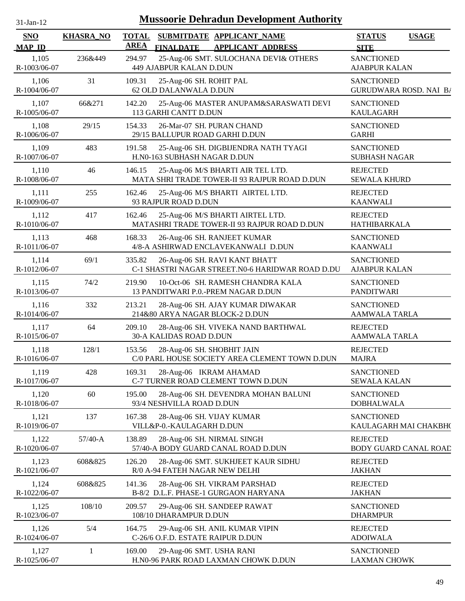| $31$ -Jan-12                | <b>Mussoorie Dehradun Development Authority</b> |                                                                                                          |                                                    |  |  |  |  |  |
|-----------------------------|-------------------------------------------------|----------------------------------------------------------------------------------------------------------|----------------------------------------------------|--|--|--|--|--|
| <b>SNO</b><br><b>MAP ID</b> | <b>KHASRA_NO</b>                                | <b>TOTAL</b><br>SUBMITDATE APPLICANT_NAME<br><b>AREA</b><br><b>FINALDATE</b><br><b>APPLICANT ADDRESS</b> | <b>STATUS</b><br><b>USAGE</b><br><b>SITE</b>       |  |  |  |  |  |
| 1,105<br>R-1003/06-07       | 236&449                                         | 25-Aug-06 SMT. SULOCHANA DEVI& OTHERS<br>294.97<br>449 AJABPUR KALAN D.DUN                               | <b>SANCTIONED</b><br><b>AJABPUR KALAN</b>          |  |  |  |  |  |
| 1,106<br>R-1004/06-07       | 31                                              | 109.31<br>25-Aug-06 SH. ROHIT PAL<br>62 OLD DALANWALA D.DUN                                              | <b>SANCTIONED</b><br><b>GURUDWARA ROSD. NAI B/</b> |  |  |  |  |  |
| 1,107<br>R-1005/06-07       | 66&271                                          | 25-Aug-06 MASTER ANUPAM&SARASWATI DEVI<br>142.20<br>113 GARHI CANTT D.DUN                                | <b>SANCTIONED</b><br><b>KAULAGARH</b>              |  |  |  |  |  |
| 1,108<br>R-1006/06-07       | 29/15                                           | 154.33<br>26-Mar-07 SH. PURAN CHAND<br>29/15 BALLUPUR ROAD GARHI D.DUN                                   | <b>SANCTIONED</b><br><b>GARHI</b>                  |  |  |  |  |  |
| 1,109<br>R-1007/06-07       | 483                                             | 191.58<br>25-Aug-06 SH. DIGBIJENDRA NATH TYAGI<br>H.N0-163 SUBHASH NAGAR D.DUN                           | <b>SANCTIONED</b><br><b>SUBHASH NAGAR</b>          |  |  |  |  |  |
| 1,110<br>R-1008/06-07       | 46                                              | 146.15<br>25-Aug-06 M/S BHARTI AIR TEL LTD.<br>MATA SHRI TRADE TOWER-II 93 RAJPUR ROAD D.DUN             | <b>REJECTED</b><br><b>SEWALA KHURD</b>             |  |  |  |  |  |
| 1,111<br>R-1009/06-07       | 255                                             | 25-Aug-06 M/S BHARTI AIRTEL LTD.<br>162.46<br>93 RAJPUR ROAD D.DUN                                       | <b>REJECTED</b><br><b>KAANWALI</b>                 |  |  |  |  |  |
| 1,112<br>R-1010/06-07       | 417                                             | 25-Aug-06 M/S BHARTI AIRTEL LTD.<br>162.46<br>MATASHRI TRADE TOWER-II 93 RAJPUR ROAD D.DUN               | <b>REJECTED</b><br>HATHIBARKALA                    |  |  |  |  |  |
| 1,113<br>R-1011/06-07       | 468                                             | 168.33<br>26-Aug-06 SH. RANJEET KUMAR<br>4/8-A ASHIRWAD ENCLAVEKANWALI D.DUN                             | <b>SANCTIONED</b><br><b>KAANWALI</b>               |  |  |  |  |  |
| 1,114<br>R-1012/06-07       | 69/1                                            | 335.82<br>26-Aug-06 SH. RAVI KANT BHATT<br>C-1 SHASTRI NAGAR STREET.N0-6 HARIDWAR ROAD D.DU              | <b>SANCTIONED</b><br><b>AJABPUR KALAN</b>          |  |  |  |  |  |
| 1,115<br>R-1013/06-07       | 74/2                                            | 219.90<br>10-Oct-06 SH. RAMESH CHANDRA KALA<br>13 PANDITWARI P.O.-PREM NAGAR D.DUN                       | <b>SANCTIONED</b><br><b>PANDITWARI</b>             |  |  |  |  |  |
| 1,116<br>R-1014/06-07       | 332                                             | 213.21<br>28-Aug-06 SH. AJAY KUMAR DIWAKAR<br>214&80 ARYA NAGAR BLOCK-2 D.DUN                            | <b>SANCTIONED</b><br>AAMWALA TARLA                 |  |  |  |  |  |
| 1,117<br>R-1015/06-07       | 64                                              | 209.10<br>28-Aug-06 SH. VIVEKA NAND BARTHWAL<br>30-A KALIDAS ROAD D.DUN                                  | <b>REJECTED</b><br><b>AAMWALA TARLA</b>            |  |  |  |  |  |
| 1,118<br>R-1016/06-07       | 128/1                                           | 153.56<br>28-Aug-06 SH. SHOBHIT JAIN<br>C/0 PARL HOUSE SOCIETY AREA CLEMENT TOWN D.DUN                   | <b>REJECTED</b><br><b>MAJRA</b>                    |  |  |  |  |  |
| 1,119<br>R-1017/06-07       | 428                                             | 28-Aug-06 IKRAM AHAMAD<br>169.31<br>C-7 TURNER ROAD CLEMENT TOWN D.DUN                                   | <b>SANCTIONED</b><br><b>SEWALA KALAN</b>           |  |  |  |  |  |
| 1,120<br>R-1018/06-07       | 60                                              | 195.00<br>28-Aug-06 SH. DEVENDRA MOHAN BALUNI<br>93/4 NESHVILLA ROAD D.DUN                               | <b>SANCTIONED</b><br><b>DOBHALWALA</b>             |  |  |  |  |  |
| 1,121<br>R-1019/06-07       | 137                                             | 167.38<br>28-Aug-06 SH. VIJAY KUMAR<br>VILL&P-0.-KAULAGARH D.DUN                                         | <b>SANCTIONED</b><br>KAULAGARH MAI CHAKBH(         |  |  |  |  |  |
| 1,122<br>R-1020/06-07       | $57/40-A$                                       | 138.89<br>28-Aug-06 SH. NIRMAL SINGH<br>57/40-A BODY GUARD CANAL ROAD D.DUN                              | <b>REJECTED</b><br>BODY GUARD CANAL ROAD           |  |  |  |  |  |
| 1,123<br>R-1021/06-07       | 608&825                                         | 126.20<br>28-Aug-06 SMT. SUKHJEET KAUR SIDHU<br>R/0 A-94 FATEH NAGAR NEW DELHI                           | <b>REJECTED</b><br><b>JAKHAN</b>                   |  |  |  |  |  |
| 1,124<br>R-1022/06-07       | 608&825                                         | 141.36<br>28-Aug-06 SH. VIKRAM PARSHAD<br>B-8/2 D.L.F. PHASE-1 GURGAON HARYANA                           | <b>REJECTED</b><br><b>JAKHAN</b>                   |  |  |  |  |  |
| 1,125<br>R-1023/06-07       | 108/10                                          | 209.57<br>29-Aug-06 SH. SANDEEP RAWAT<br>108/10 DHARAMPUR D.DUN                                          | <b>SANCTIONED</b><br><b>DHARMPUR</b>               |  |  |  |  |  |
| 1,126<br>R-1024/06-07       | 5/4                                             | 164.75<br>29-Aug-06 SH. ANIL KUMAR VIPIN<br>C-26/6 O.F.D. ESTATE RAIPUR D.DUN                            | <b>REJECTED</b><br><b>ADOIWALA</b>                 |  |  |  |  |  |
| 1,127<br>R-1025/06-07       | 1                                               | 169.00<br>29-Aug-06 SMT. USHA RANI<br>H.N0-96 PARK ROAD LAXMAN CHOWK D.DUN                               | <b>SANCTIONED</b><br><b>LAXMAN CHOWK</b>           |  |  |  |  |  |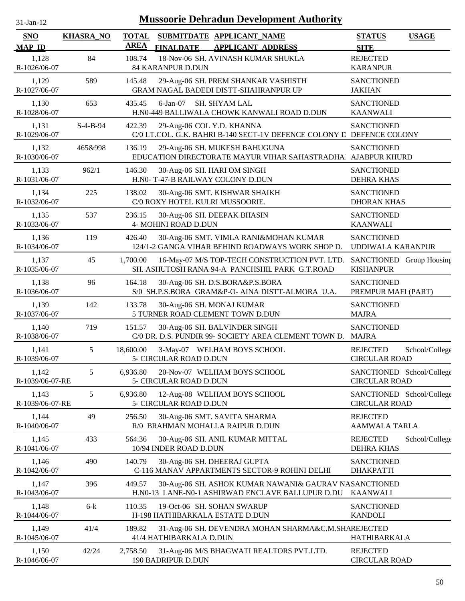| 31-Jan-12                |                  |              | <b>Mussoorie Dehradun Development Authority</b>                                                           |                                                   |                |
|--------------------------|------------------|--------------|-----------------------------------------------------------------------------------------------------------|---------------------------------------------------|----------------|
| <b>SNO</b>               | <b>KHASRA_NO</b> | <b>TOTAL</b> | SUBMITDATE APPLICANT NAME                                                                                 | <b>STATUS</b>                                     | <b>USAGE</b>   |
| <b>MAP ID</b>            |                  | <b>AREA</b>  | <b>FINALDATE</b><br><b>APPLICANT ADDRESS</b>                                                              | <b>SITE</b>                                       |                |
| 1,128<br>R-1026/06-07    | 84               | 108.74       | 18-Nov-06 SH. AVINASH KUMAR SHUKLA<br>84 KARANPUR D.DUN                                                   | <b>REJECTED</b><br><b>KARANPUR</b>                |                |
| 1,129<br>R-1027/06-07    | 589              | 145.48       | 29-Aug-06 SH. PREM SHANKAR VASHISTH<br>GRAM NAGAL BADEDI DISTT-SHAHRANPUR UP                              | <b>SANCTIONED</b><br><b>JAKHAN</b>                |                |
| 1,130<br>R-1028/06-07    | 653              | 435.45       | $6$ -Jan- $07$<br>SH. SHYAM LAL<br>H.N0-449 BALLIWALA CHOWK KANWALI ROAD D.DUN                            | <b>SANCTIONED</b><br><b>KAANWALI</b>              |                |
| 1,131<br>R-1029/06-07    | $S-4-B-94$       | 422.39       | 29-Aug-06 COL Y.D. KHANNA<br>C/0 LT.COL. G.K. BAHRI B-140 SECT-1V DEFENCE COLONY L DEFENCE COLONY         | <b>SANCTIONED</b>                                 |                |
| 1,132<br>R-1030/06-07    | 465&998          | 136.19       | 29-Aug-06 SH. MUKESH BAHUGUNA<br>EDUCATION DIRECTORATE MAYUR VIHAR SAHASTRADHA AJABPUR KHURD              | <b>SANCTIONED</b>                                 |                |
| 1,133<br>R-1031/06-07    | 962/1            | 146.30       | 30-Aug-06 SH. HARI OM SINGH<br>H.N0- T-47-B RAILWAY COLONY D.DUN                                          | <b>SANCTIONED</b><br><b>DEHRA KHAS</b>            |                |
| 1,134<br>R-1032/06-07    | 225              | 138.02       | 30-Aug-06 SMT. KISHWAR SHAIKH<br>C/0 ROXY HOTEL KULRI MUSSOORIE.                                          | <b>SANCTIONED</b><br><b>DHORAN KHAS</b>           |                |
| 1,135<br>R-1033/06-07    | 537              | 236.15       | 30-Aug-06 SH. DEEPAK BHASIN<br>4- MOHINI ROAD D.DUN                                                       | <b>SANCTIONED</b><br><b>KAANWALI</b>              |                |
| 1,136<br>R-1034/06-07    | 119              | 426.40       | 30-Aug-06 SMT. VIMLA RANI&MOHAN KUMAR<br>124/1-2 GANGA VIHAR BEHIND ROADWAYS WORK SHOP D.                 | <b>SANCTIONED</b><br>UDDIWALA KARANPUR            |                |
| 1,137<br>R-1035/06-07    | 45               | 1,700.00     | 16-May-07 M/S TOP-TECH CONSTRUCTION PVT. LTD.<br>SH. ASHUTOSH RANA 94-A PANCHSHIL PARK G.T.ROAD           | SANCTIONED Group Housing<br><b>KISHANPUR</b>      |                |
| 1,138<br>R-1036/06-07    | 96               | 164.18       | 30-Aug-06 SH. D.S.BORA&P.S.BORA<br>S/0 SH.P.S.BORA GRAM&P-O- AINA DISTT-ALMORA U.A.                       | <b>SANCTIONED</b><br>PREMPUR MAFI (PART)          |                |
| 1,139<br>R-1037/06-07    | 142              | 133.78       | 30-Aug-06 SH. MONAJ KUMAR<br>5 TURNER ROAD CLEMENT TOWN D.DUN                                             | <b>SANCTIONED</b><br><b>MAJRA</b>                 |                |
| 1,140<br>R-1038/06-07    | 719              | 151.57       | 30-Aug-06 SH. BALVINDER SINGH<br>C/0 DR. D.S. PUNDIR 99- SOCIETY AREA CLEMENT TOWN D. MAJRA               | <b>SANCTIONED</b>                                 |                |
| 1,141<br>R-1039/06-07    | 5                | 18,600.00    | 3-May-07 WELHAM BOYS SCHOOL<br>5- CIRCULAR ROAD D.DUN                                                     | <b>REJECTED</b><br><b>CIRCULAR ROAD</b>           | School/College |
| 1,142<br>R-1039/06-07-RE | 5                | 6,936.80     | 20-Nov-07 WELHAM BOYS SCHOOL<br>5- CIRCULAR ROAD D.DUN                                                    | SANCTIONED School/College<br><b>CIRCULAR ROAD</b> |                |
| 1,143<br>R-1039/06-07-RE | 5                | 6,936.80     | 12-Aug-08 WELHAM BOYS SCHOOL<br>5- CIRCULAR ROAD D.DUN                                                    | SANCTIONED School/College<br><b>CIRCULAR ROAD</b> |                |
| 1,144<br>R-1040/06-07    | 49               | 256.50       | 30-Aug-06 SMT. SAVITA SHARMA<br>R/0 BRAHMAN MOHALLA RAIPUR D.DUN                                          | <b>REJECTED</b><br><b>AAMWALA TARLA</b>           |                |
| 1,145<br>R-1041/06-07    | 433              | 564.36       | 30-Aug-06 SH. ANIL KUMAR MITTAL<br>10/94 INDER ROAD D.DUN                                                 | <b>REJECTED</b><br><b>DEHRA KHAS</b>              | School/College |
| 1,146<br>R-1042/06-07    | 490              | 140.79       | 30-Aug-06 SH. DHEERAJ GUPTA<br>C-116 MANAV APPARTMENTS SECTOR-9 ROHINI DELHI                              | <b>SANCTIONED</b><br><b>DHAKPATTI</b>             |                |
| 1,147<br>R-1043/06-07    | 396              | 449.57       | 30-Aug-06 SH. ASHOK KUMAR NAWANI& GAURAV NASANCTIONED<br>H.NO-13 LANE-NO-1 ASHIRWAD ENCLAVE BALLUPUR D.DU | <b>KAANWALI</b>                                   |                |
| 1,148<br>R-1044/06-07    | $6-k$            | 110.35       | 19-Oct-06 SH. SOHAN SWARUP<br>H-198 HATHIBARKALA ESTATE D.DUN                                             | <b>SANCTIONED</b><br><b>KANDOLI</b>               |                |
| 1,149<br>R-1045/06-07    | 41/4             | 189.82       | 31-Aug-06 SH. DEVENDRA MOHAN SHARMA&C.M.SHAREJECTED<br>41/4 HATHIBARKALA D.DUN                            | HATHIBARKALA                                      |                |
| 1,150<br>R-1046/06-07    | 42/24            | 2,758.50     | 31-Aug-06 M/S BHAGWATI REALTORS PVT.LTD.<br>190 BADRIPUR D.DUN                                            | <b>REJECTED</b><br><b>CIRCULAR ROAD</b>           |                |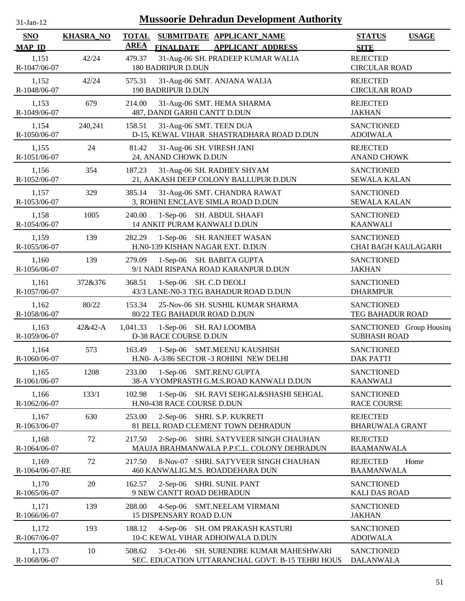| $31$ -Jan-12                | <b>Mussoorie Dehradun Development Authority</b> |                             |                                                                                                 |                                                 |              |  |  |  |  |
|-----------------------------|-------------------------------------------------|-----------------------------|-------------------------------------------------------------------------------------------------|-------------------------------------------------|--------------|--|--|--|--|
| <b>SNO</b><br><b>MAP ID</b> | <b>KHASRA_NO</b>                                | <b>TOTAL</b><br><b>AREA</b> | SUBMITDATE APPLICANT_NAME<br><b>FINALDATE</b><br><b>APPLICANT ADDRESS</b>                       | <b>STATUS</b><br><b>SITE</b>                    | <b>USAGE</b> |  |  |  |  |
| 1,151<br>R-1047/06-07       | 42/24                                           | 479.37                      | 31-Aug-06 SH. PRADEEP KUMAR WALIA<br><b>180 BADRIPUR D.DUN</b>                                  | <b>REJECTED</b><br><b>CIRCULAR ROAD</b>         |              |  |  |  |  |
| 1,152<br>R-1048/06-07       | 42/24                                           | 575.31                      | 31-Aug-06 SMT. ANJANA WALIA<br>190 BADRIPUR D.DUN                                               | <b>REJECTED</b><br><b>CIRCULAR ROAD</b>         |              |  |  |  |  |
| 1,153<br>R-1049/06-07       | 679                                             | 214.00                      | 31-Aug-06 SMT. HEMA SHARMA<br>487, DANDI GARHI CANTT D.DUN                                      | <b>REJECTED</b><br><b>JAKHAN</b>                |              |  |  |  |  |
| 1,154<br>R-1050/06-07       | 240,241                                         | 158.51                      | 31-Aug-06 SMT. TEEN DUA<br>D-15, KEWAL VIHAR SHASTRADHARA ROAD D.DUN                            | <b>SANCTIONED</b><br><b>ADOIWALA</b>            |              |  |  |  |  |
| 1,155<br>R-1051/06-07       | 24                                              | 81.42                       | 31-Aug-06 SH. VIRESH JANI<br>24, ANAND CHOWK D.DUN                                              | <b>REJECTED</b><br><b>ANAND CHOWK</b>           |              |  |  |  |  |
| 1,156<br>R-1052/06-07       | 354                                             | 187.23                      | 31-Aug-06 SH. RADHEY SHYAM<br>21, AAKASH DEEP COLONY BALLUPUR D.DUN                             | <b>SANCTIONED</b><br><b>SEWALA KALAN</b>        |              |  |  |  |  |
| 1,157<br>R-1053/06-07       | 329                                             | 385.14                      | 31-Aug-06 SMT. CHANDRA RAWAT<br>3, ROHINI ENCLAVE SIMLA ROAD D.DUN                              | <b>SANCTIONED</b><br><b>SEWALA KALAN</b>        |              |  |  |  |  |
| 1,158<br>R-1054/06-07       | 1005                                            | 240.00                      | 1-Sep-06 SH. ABDUL SHAAFI<br>14 ANKIT PURAM KANWALI D.DUN                                       | <b>SANCTIONED</b><br><b>KAANWALI</b>            |              |  |  |  |  |
| 1,159<br>R-1055/06-07       | 139                                             | 282.29                      | 1-Sep-06 SH. RANJEET WASAN<br>H.N0-139 KISHAN NAGAR EXT. D.DUN                                  | <b>SANCTIONED</b><br>CHAI BAGH KAULAGARH        |              |  |  |  |  |
| 1,160<br>R-1056/06-07       | 139                                             | 279.09                      | 1-Sep-06 SH. BABITA GUPTA<br>9/1 NADI RISPANA ROAD KARANPUR D.DUN                               | <b>SANCTIONED</b><br><b>JAKHAN</b>              |              |  |  |  |  |
| 1,161<br>R-1057/06-07       | 372&376                                         | 368.51                      | 1-Sep-06 SH. C.D DEOLI<br>43/3 LANE-N0-3 TEG BAHADUR ROAD D.DUN                                 | <b>SANCTIONED</b><br><b>DHARMPUR</b>            |              |  |  |  |  |
| 1,162<br>R-1058/06-07       | 80/22                                           | 153.34                      | 25-Nov-06 SH. SUSHIL KUMAR SHARMA<br>80/22 TEG BAHADUR ROAD D.DUN                               | <b>SANCTIONED</b><br>TEG BAHADUR ROAD           |              |  |  |  |  |
| 1,163<br>R-1059/06-07       | 42&42-A                                         | 1,041.33                    | 1-Sep-06 SH. RAJ LOOMBA<br><b>D-38 RACE COURSE D.DUN</b>                                        | SANCTIONED Group Housing<br><b>SUBHASH ROAD</b> |              |  |  |  |  |
| 1,164<br>R-1060/06-07       | 573                                             | 163.49                      | 1-Sep-06 SMT.MEENU KAUSHISH<br>H.N0- A-3/86 SECTOR -3 ROHINI NEW DELHI                          | <b>SANCTIONED</b><br><b>DAK PATTI</b>           |              |  |  |  |  |
| 1,165<br>R-1061/06-07       | 1208                                            | 233.00                      | 1-Sep-06 SMT.RENU GUPTA<br>38-A VYOMPRASTH G.M.S.ROAD KANWALI D.DUN                             | <b>SANCTIONED</b><br><b>KAANWALI</b>            |              |  |  |  |  |
| 1,166<br>R-1062/06-07       | 133/1                                           | 102.98                      | $1-Sep-06$<br>SH. RAVI SEHGAL&SHASHI SEHGAL<br>H.N0-438 RACE COURSE D.DUN                       | <b>SANCTIONED</b><br><b>RACE COURSE</b>         |              |  |  |  |  |
| 1,167<br>R-1063/06-07       | 630                                             | 253.00                      | 2-Sep-06 SHRI. S.P. KUKRETI<br>81 BELL ROAD CLEMENT TOWN DEHRADUN                               | <b>REJECTED</b><br><b>BHARUWALA GRANT</b>       |              |  |  |  |  |
| 1,168<br>R-1064/06-07       | 72                                              | 217.50                      | 2-Sep-06 SHRI. SATYVEER SINGH CHAUHAN<br>MAUJA BRAHMANWALA P.P.C.L. COLONY DEHRADUN             | <b>REJECTED</b><br><b>BAAMANWALA</b>            |              |  |  |  |  |
| 1,169<br>R-1064/06-07-RE    | 72                                              | 217.50                      | 8-Nov-07 SHRI. SATYVEER SINGH CHAUHAN<br>460 KANWALIG.M.S. ROADDEHARA DUN                       | <b>REJECTED</b><br><b>BAAMANWALA</b>            | Home         |  |  |  |  |
| 1,170<br>R-1065/06-07       | 20                                              | 162.57                      | 2-Sep-06 SHRI. SUNIL PANT<br>9 NEW CANTT ROAD DEHRADUN                                          | <b>SANCTIONED</b><br><b>KALI DAS ROAD</b>       |              |  |  |  |  |
| 1,171<br>R-1066/06-07       | 139                                             | 288.00                      | <b>SMT.NEELAM VIRMANI</b><br>$4-Sep-06$<br>15 DISPENSARY ROAD D.UN                              | <b>SANCTIONED</b><br><b>JAKHAN</b>              |              |  |  |  |  |
| 1,172<br>R-1067/06-07       | 193                                             | 188.12                      | 4-Sep-06 SH. OM PRAKASH KASTURI<br>10-C KEWAL VIHAR ADHOIWALA D.DUN                             | <b>SANCTIONED</b><br><b>ADOIWALA</b>            |              |  |  |  |  |
| 1,173<br>R-1068/06-07       | 10                                              | 508.62                      | SH. SURENDRE KUMAR MAHESHWARI<br>$3-Oct-06$<br>SEC. EDUCATION UTTARANCHAL GOVT. B-15 TEHRI HOUS | <b>SANCTIONED</b><br><b>DALANWALA</b>           |              |  |  |  |  |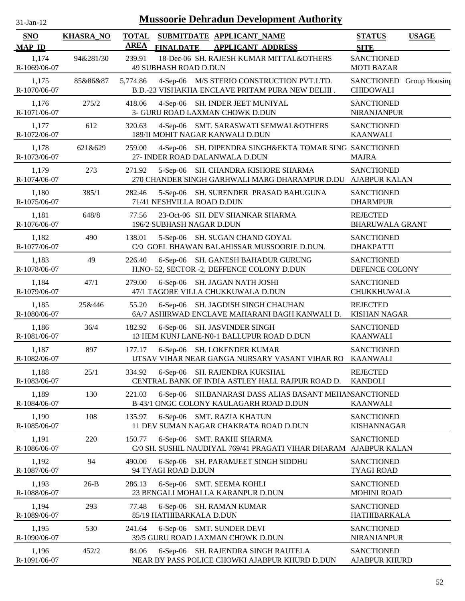| $31$ -Jan-12 |
|--------------|
|              |

| <b>SNO</b><br><b>MAP ID</b> | <b>KHASRA_NO</b> | <b>TOTAL</b><br><b>AREA</b> | <b>FINALDATE</b>                  | SUBMITDATE APPLICANT NAME<br><b>APPLICANT ADDRESS</b>                                               | <b>STATUS</b><br><b>SITE</b>                 | <b>USAGE</b> |
|-----------------------------|------------------|-----------------------------|-----------------------------------|-----------------------------------------------------------------------------------------------------|----------------------------------------------|--------------|
| 1,174<br>R-1069/06-07       | 94&281/30        | 239.91                      | <b>49 SUBHASH ROAD D.DUN</b>      | 18-Dec-06 SH. RAJESH KUMAR MITTAL&OTHERS                                                            | <b>SANCTIONED</b><br><b>MOTI BAZAR</b>       |              |
| 1,175<br>R-1070/06-07       | 85&86&87         | 5,774.86                    |                                   | 4-Sep-06 M/S STERIO CONSTRUCTION PVT.LTD.<br>B.D.-23 VISHAKHA ENCLAVE PRITAM PURA NEW DELHI.        | SANCTIONED Group Housing<br><b>CHIDOWALI</b> |              |
| 1,176<br>R-1071/06-07       | 275/2            | 418.06                      |                                   | 4-Sep-06 SH. INDER JEET MUNIYAL<br>3- GURU ROAD LAXMAN CHOWK D.DUN                                  | <b>SANCTIONED</b><br>NIRANJANPUR             |              |
| 1,177<br>R-1072/06-07       | 612              | 320.63                      |                                   | 4-Sep-06 SMT. SARASWATI SEMWAL&OTHERS<br>189/II MOHIT NAGAR KANWALI D.DUN                           | <b>SANCTIONED</b><br><b>KAANWALI</b>         |              |
| 1,178<br>R-1073/06-07       | 621&629          | 259.00                      |                                   | 4-Sep-06 SH. DIPENDRA SINGH&EKTA TOMAR SING SANCTIONED<br>27- INDER ROAD DALANWALA D.DUN            | <b>MAJRA</b>                                 |              |
| 1,179<br>R-1074/06-07       | 273              | 271.92                      |                                   | 5-Sep-06 SH. CHANDRA KISHORE SHARMA<br>270 CHANDER SINGH GARHWALI MARG DHARAMPUR D.DU AJABPUR KALAN | <b>SANCTIONED</b>                            |              |
| 1,180<br>R-1075/06-07       | 385/1            | 282.46                      | 71/41 NESHVILLA ROAD D.DUN        | 5-Sep-06 SH. SURENDER PRASAD BAHUGUNA                                                               | <b>SANCTIONED</b><br><b>DHARMPUR</b>         |              |
| 1,181<br>R-1076/06-07       | 648/8            | 77.56                       | 196/2 SUBHASH NAGAR D.DUN         | 23-Oct-06 SH. DEV SHANKAR SHARMA                                                                    | <b>REJECTED</b><br><b>BHARUWALA GRANT</b>    |              |
| 1,182<br>R-1077/06-07       | 490              | 138.01                      |                                   | 5-Sep-06 SH. SUGAN CHAND GOYAL<br>C/0 GOEL BHAWAN BALAHISSAR MUSSOORIE D.DUN.                       | <b>SANCTIONED</b><br><b>DHAKPATTI</b>        |              |
| 1,183<br>R-1078/06-07       | 49               | 226.40                      |                                   | 6-Sep-06 SH. GANESH BAHADUR GURUNG<br>H.NO- 52, SECTOR -2, DEFFENCE COLONY D.DUN                    | <b>SANCTIONED</b><br>DEFENCE COLONY          |              |
| 1,184<br>R-1079/06-07       | 47/1             | 279.00                      |                                   | 6-Sep-06 SH. JAGAN NATH JOSHI<br>47/1 TAGORE VILLA CHUKKUWALA D.DUN                                 | <b>SANCTIONED</b><br>CHUKKHUWALA             |              |
| 1,185<br>R-1080/06-07       | 25&446           | 55.20                       |                                   | 6-Sep-06 SH. JAGDISH SINGH CHAUHAN<br>6A/7 ASHIRWAD ENCLAVE MAHARANI BAGH KANWALI D.                | <b>REJECTED</b><br><b>KISHAN NAGAR</b>       |              |
| 1,186<br>R-1081/06-07       | 36/4             | 182.92                      |                                   | 6-Sep-06 SH. JASVINDER SINGH<br>13 HEM KUNJ LANE-N0-1 BALLUPUR ROAD D.DUN                           | <b>SANCTIONED</b><br><b>KAANWALI</b>         |              |
| 1,187<br>R-1082/06-07       | 897              | 177.17                      |                                   | 6-Sep-06 SH. LOKENDER KUMAR<br>UTSAV VIHAR NEAR GANGA NURSARY VASANT VIHAR RO KAANWALI              | <b>SANCTIONED</b>                            |              |
| 1,188<br>R-1083/06-07       | 25/1             | 334.92                      |                                   | 6-Sep-06 SH. RAJENDRA KUKSHAL<br>CENTRAL BANK OF INDIA ASTLEY HALL RAJPUR ROAD D.                   | <b>REJECTED</b><br><b>KANDOLI</b>            |              |
| 1,189<br>R-1084/06-07       | 130              | 221.03                      | $6-Sep-06$                        | SH.BANARASI DASS ALIAS BASANT MEHANSANCTIONED<br>B-43/1 ONGC COLONY KAULAGARH ROAD D.DUN            | <b>KAANWALI</b>                              |              |
| 1,190<br>R-1085/06-07       | 108              | 135.97                      | $6-Sep-06$                        | <b>SMT. RAZIA KHATUN</b><br>11 DEV SUMAN NAGAR CHAKRATA ROAD D.DUN                                  | <b>SANCTIONED</b><br><b>KISHANNAGAR</b>      |              |
| 1,191<br>R-1086/06-07       | 220              | 150.77                      | $6-Sep-06$                        | SMT. RAKHI SHARMA<br>C/0 SH. SUSHIL NAUDIYAL 769/41 PRAGATI VIHAR DHARAM AJABPUR KALAN              | <b>SANCTIONED</b>                            |              |
| 1,192<br>R-1087/06-07       | 94               | 490.00                      | $6-Sep-06$<br>94 TYAGI ROAD D.DUN | SH. PARAMJEET SINGH SIDDHU                                                                          | <b>SANCTIONED</b><br><b>TYAGI ROAD</b>       |              |
| 1,193<br>R-1088/06-07       | $26-B$           | 286.13                      |                                   | 6-Sep-06 SMT. SEEMA KOHLI<br>23 BENGALI MOHALLA KARANPUR D.DUN                                      | <b>SANCTIONED</b><br><b>MOHINI ROAD</b>      |              |
| 1,194<br>R-1089/06-07       | 293              | 77.48                       | 85/19 HATHIBARKALA D.DUN          | 6-Sep-06 SH. RAMAN KUMAR                                                                            | <b>SANCTIONED</b><br>HATHIBARKALA            |              |
| 1,195<br>R-1090/06-07       | 530              | 241.64                      |                                   | 6-Sep-06 SMT. SUNDER DEVI<br>39/5 GURU ROAD LAXMAN CHOWK D.DUN                                      | <b>SANCTIONED</b><br><b>NIRANJANPUR</b>      |              |
| 1,196<br>R-1091/06-07       | 452/2            | 84.06                       |                                   | 6-Sep-06 SH. RAJENDRA SINGH RAUTELA<br>NEAR BY PASS POLICE CHOWKI AJABPUR KHURD D.DUN               | <b>SANCTIONED</b><br><b>AJABPUR KHURD</b>    |              |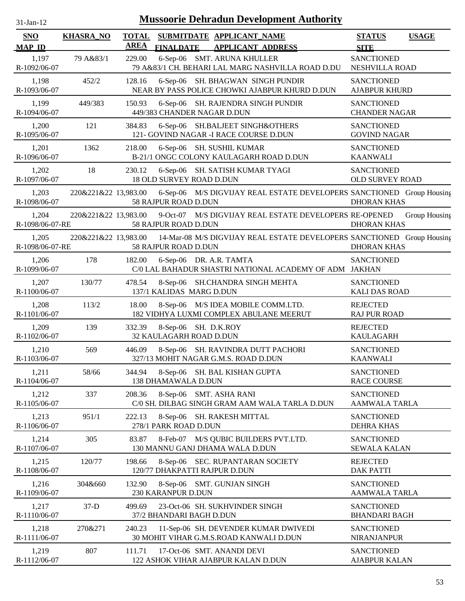| -Jan- |  |
|-------|--|
|       |  |

| SNO                      | <b>KHASRA_NO</b>     | <b>TOTAL</b><br><b>AREA</b> |                                                 | SUBMITDATE APPLICANT_NAME                                                           | <b>STATUS</b>                             | <b>USAGE</b>  |
|--------------------------|----------------------|-----------------------------|-------------------------------------------------|-------------------------------------------------------------------------------------|-------------------------------------------|---------------|
| <b>MAP ID</b><br>1,197   | 79 A&83/1            | 229.00                      | <b>FINALDATE</b>                                | <b>APPLICANT ADDRESS</b><br>6-Sep-06 SMT. ARUNA KHULLER                             | <b>SITE</b><br><b>SANCTIONED</b>          |               |
| R-1092/06-07             |                      |                             |                                                 | 79 A&83/1 CH. BEHARI LAL MARG NASHVILLA ROAD D.DU                                   | NESHVILLA ROAD                            |               |
| 1,198<br>R-1093/06-07    | 452/2                | 128.16                      |                                                 | 6-Sep-06 SH. BHAGWAN SINGH PUNDIR<br>NEAR BY PASS POLICE CHOWKI AJABPUR KHURD D.DUN | <b>SANCTIONED</b><br><b>AJABPUR KHURD</b> |               |
| 1,199<br>R-1094/06-07    | 449/383              | 150.93                      |                                                 | 6-Sep-06 SH. RAJENDRA SINGH PUNDIR<br>449/383 CHANDER NAGAR D.DUN                   | <b>SANCTIONED</b><br><b>CHANDER NAGAR</b> |               |
| 1,200<br>R-1095/06-07    | 121                  | 384.83                      |                                                 | 6-Sep-06 SH.BALJEET SINGH&OTHERS<br>121- GOVIND NAGAR -I RACE COURSE D.DUN          | <b>SANCTIONED</b><br><b>GOVIND NAGAR</b>  |               |
| 1,201<br>R-1096/06-07    | 1362                 | 218.00                      |                                                 | 6-Sep-06 SH. SUSHIL KUMAR<br>B-21/1 ONGC COLONY KAULAGARH ROAD D.DUN                | <b>SANCTIONED</b><br><b>KAANWALI</b>      |               |
| 1,202<br>R-1097/06-07    | 18                   | 230.12                      | <b>18 OLD SURVEY ROAD D.DUN</b>                 | 6-Sep-06 SH. SATISH KUMAR TYAGI                                                     | <b>SANCTIONED</b><br>OLD SURVEY ROAD      |               |
| 1,203<br>R-1098/06-07    | 220&221&22 13,983.00 |                             | 58 RAJPUR ROAD D.DUN                            | 6-Sep-06 M/S DIGVIJAY REAL ESTATE DEVELOPERS SANCTIONED Group Housing               | <b>DHORAN KHAS</b>                        |               |
| 1,204<br>R-1098/06-07-RE | 220&221&22 13,983.00 |                             | 58 RAJPUR ROAD D.DUN                            | 9-Oct-07 M/S DIGVIJAY REAL ESTATE DEVELOPERS RE-OPENED                              | <b>DHORAN KHAS</b>                        | Group Housing |
| 1,205<br>R-1098/06-07-RE | 220&221&22 13,983.00 |                             | 58 RAJPUR ROAD D.DUN                            | 14-Mar-08 M/S DIGVIJAY REAL ESTATE DEVELOPERS SANCTIONED Group Housing              | <b>DHORAN KHAS</b>                        |               |
| 1,206<br>R-1099/06-07    | 178                  | 182.00                      |                                                 | 6-Sep-06 DR. A.R. TAMTA<br>C/0 LAL BAHADUR SHASTRI NATIONAL ACADEMY OF ADM JAKHAN   | <b>SANCTIONED</b>                         |               |
| 1,207<br>R-1100/06-07    | 130/77               | 478.54                      | 137/1 KALIDAS MARG D.DUN                        | 8-Sep-06 SH.CHANDRA SINGH MEHTA                                                     | <b>SANCTIONED</b><br><b>KALI DAS ROAD</b> |               |
| 1,208<br>R-1101/06-07    | 113/2                | 18.00                       |                                                 | 8-Sep-06 M/S IDEA MOBILE COMM.LTD.<br>182 VIDHYA LUXMI COMPLEX ABULANE MEERUT       | <b>REJECTED</b><br><b>RAJ PUR ROAD</b>    |               |
| 1,209<br>R-1102/06-07    | 139                  | 332.39                      | 8-Sep-06 SH. D.K.ROY<br>32 KAULAGARH ROAD D.DUN |                                                                                     | <b>REJECTED</b><br><b>KAULAGARH</b>       |               |
| 1,210<br>R-1103/06-07    | 569                  | 446.09                      |                                                 | 8-Sep-06 SH. RAVINDRA DUTT PACHORI<br>327/13 MOHIT NAGAR G.M.S. ROAD D.DUN          | <b>SANCTIONED</b><br><b>KAANWALI</b>      |               |
| 1,211<br>R-1104/06-07    | 58/66                | 344.94                      | 138 DHAMAWALA D.DUN                             | 8-Sep-06 SH. BAL KISHAN GUPTA                                                       | <b>SANCTIONED</b><br><b>RACE COURSE</b>   |               |
| 1,212<br>R-1105/06-07    | 337                  | 208.36                      |                                                 | 8-Sep-06 SMT. ASHA RANI<br>C/0 SH. DILBAG SINGH GRAM AAM WALA TARLA D.DUN           | <b>SANCTIONED</b><br><b>AAMWALA TARLA</b> |               |
| 1,213<br>R-1106/06-07    | 951/1                | 222.13                      | 278/1 PARK ROAD D.DUN                           | 8-Sep-06 SH. RAKESH MITTAL                                                          | <b>SANCTIONED</b><br><b>DEHRA KHAS</b>    |               |
| 1,214<br>R-1107/06-07    | 305                  | 83.87                       |                                                 | 8-Feb-07 M/S QUBIC BUILDERS PVT.LTD.<br>130 MANNU GANJ DHAMA WALA D.DUN             | <b>SANCTIONED</b><br><b>SEWALA KALAN</b>  |               |
| 1,215<br>R-1108/06-07    | 120/77               | 198.66                      |                                                 | 8-Sep-06 SEC. RUPANTARAN SOCIETY<br>120/77 DHAKPATTI RAJPUR D.DUN                   | <b>REJECTED</b><br><b>DAK PATTI</b>       |               |
| 1,216<br>R-1109/06-07    | 304&660              | 132.90                      | 230 KARANPUR D.DUN                              | 8-Sep-06 SMT. GUNJAN SINGH                                                          | <b>SANCTIONED</b><br>AAMWALA TARLA        |               |
| 1,217<br>R-1110/06-07    | $37-D$               | 499.69                      | 37/2 BHANDARI BAGH D.DUN                        | 23-Oct-06 SH. SUKHVINDER SINGH                                                      | <b>SANCTIONED</b><br><b>BHANDARI BAGH</b> |               |
| 1,218<br>R-1111/06-07    | 270&271              | 240.23                      |                                                 | 11-Sep-06 SH. DEVENDER KUMAR DWIVEDI<br>30 MOHIT VIHAR G.M.S.ROAD KANWALI D.DUN     | <b>SANCTIONED</b><br>NIRANJANPUR          |               |
| 1,219<br>R-1112/06-07    | 807                  | 111.71                      |                                                 | 17-Oct-06 SMT. ANANDI DEVI<br>122 ASHOK VIHAR AJABPUR KALAN D.DUN                   | <b>SANCTIONED</b><br><b>AJABPUR KALAN</b> |               |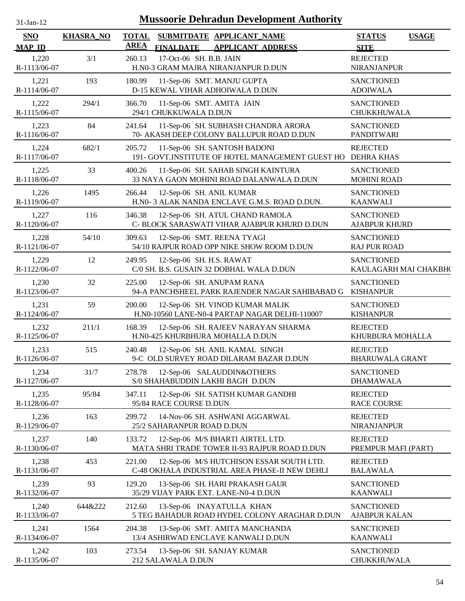| $31-Jan-12$                 | <b>Mussoorie Dehradun Development Authority</b> |                             |                                                                                            |                                              |  |  |  |  |
|-----------------------------|-------------------------------------------------|-----------------------------|--------------------------------------------------------------------------------------------|----------------------------------------------|--|--|--|--|
| <b>SNO</b><br><b>MAP ID</b> | <b>KHASRA_NO</b>                                | <b>TOTAL</b><br><b>AREA</b> | <b>SUBMITDATE APPLICANT_NAME</b><br><b>APPLICANT ADDRESS</b><br><b>FINALDATE</b>           | <b>STATUS</b><br><b>USAGE</b><br><b>SITE</b> |  |  |  |  |
| 1,220<br>R-1113/06-07       | 3/1                                             | 260.13                      | 17-Oct-06 SH. B.B. JAIN<br>H.N0-3 GRAM MAJRA NIRANJANPUR D.DUN                             | <b>REJECTED</b><br><b>NIRANJANPUR</b>        |  |  |  |  |
| 1,221<br>R-1114/06-07       | 193                                             | 180.99                      | 11-Sep-06 SMT. MANJU GUPTA<br>D-15 KEWAL VIHAR ADHOIWALA D.DUN                             | <b>SANCTIONED</b><br><b>ADOIWALA</b>         |  |  |  |  |
| 1,222<br>R-1115/06-07       | 294/1                                           | 366.70                      | 11-Sep-06 SMT. AMITA JAIN<br>294/1 CHUKKUWALA D.DUN                                        | <b>SANCTIONED</b><br>CHUKKHUWALA             |  |  |  |  |
| 1,223<br>R-1116/06-07       | 84                                              | 241.64                      | 11-Sep-06 SH. SUBHASH CHANDRA ARORA<br>70- AKASH DEEP COLONY BALLUPUR ROAD D.DUN           | <b>SANCTIONED</b><br>PANDITWARI              |  |  |  |  |
| 1,224<br>R-1117/06-07       | 682/1                                           | 205.72                      | 11-Sep-06 SH. SANTOSH BADONI<br>191- GOVT.INSTITUTE OF HOTEL MANAGEMENT GUEST HO           | <b>REJECTED</b><br><b>DEHRA KHAS</b>         |  |  |  |  |
| 1,225<br>R-1118/06-07       | 33                                              | 400.26                      | 11-Sep-06 SH. SAHAB SINGH KAINTURA<br>33 NAYA GAON MOHINI ROAD DALANWALA D.DUN             | <b>SANCTIONED</b><br><b>MOHINI ROAD</b>      |  |  |  |  |
| 1,226<br>R-1119/06-07       | 1495                                            | 266.44                      | 12-Sep-06 SH. ANIL KUMAR<br>H.N0- 3 ALAK NANDA ENCLAVE G.M.S. ROAD D.DUN.                  | <b>SANCTIONED</b><br><b>KAANWALI</b>         |  |  |  |  |
| 1,227<br>R-1120/06-07       | 116                                             | 346.38                      | 12-Sep-06 SH. ATUL CHAND RAMOLA<br>C- BLOCK SARASWATI VIHAR AJABPUR KHURD D.DUN            | <b>SANCTIONED</b><br><b>AJABPUR KHURD</b>    |  |  |  |  |
| 1,228<br>R-1121/06-07       | 54/10                                           | 309.63                      | 12-Sep-06 SMT. REENA TYAGI<br>54/10 RAJPUR ROAD OPP NIKE SHOW ROOM D.DUN                   | <b>SANCTIONED</b><br><b>RAJ PUR ROAD</b>     |  |  |  |  |
| 1,229<br>R-1122/06-07       | 12                                              | 249.95                      | 12-Sep-06 SH. H.S. RAWAT<br>C/0 SH. B.S. GUSAIN 32 DOBHAL WALA D.DUN                       | <b>SANCTIONED</b><br>KAULAGARH MAI CHAKBH(   |  |  |  |  |
| 1,230<br>R-1123/06-07       | 32                                              | 225.00                      | 12-Sep-06 SH. ANUPAM RANA<br>94-A PANCHSHEEL PARK RAJENDER NAGAR SAHIBABAD G               | <b>SANCTIONED</b><br><b>KISHANPUR</b>        |  |  |  |  |
| 1,231<br>R-1124/06-07       | 59                                              | 200.00                      | 12-Sep-06 SH. VINOD KUMAR MALIK<br>H.N0-10560 LANE-N0-4 PARTAP NAGAR DELHI-110007          | <b>SANCTIONED</b><br><b>KISHANPUR</b>        |  |  |  |  |
| 1,232<br>R-1125/06-07       | 211/1                                           | 168.39                      | 12-Sep-06 SH. RAJEEV NARAYAN SHARMA<br>H.N0-425 KHURBHURA MOHALLA D.DUN                    | <b>REJECTED</b><br>KHURBURA MOHALLA          |  |  |  |  |
| 1,233<br>R-1126/06-07       | 515                                             | 240.48                      | 12-Sep-06 SH. ANIL KAMAL SINGH<br>9-C OLD SURVEY ROAD DILARAM BAZAR D.DUN                  | <b>REJECTED</b><br><b>BHARUWALA GRANT</b>    |  |  |  |  |
| 1,234<br>R-1127/06-07       | 31/7                                            | 278.78                      | 12-Sep-06 SALAUDDIN&OTHERS<br>S/0 SHAHABUDDIN LAKHI BAGH D.DUN                             | <b>SANCTIONED</b><br><b>DHAMAWALA</b>        |  |  |  |  |
| 1,235<br>R-1128/06-07       | 95/84                                           | 347.11                      | 12-Sep-06 SH. SATISH KUMAR GANDHI<br>95/84 RACE COURSE D.DUN                               | <b>REJECTED</b><br><b>RACE COURSE</b>        |  |  |  |  |
| 1,236<br>R-1129/06-07       | 163                                             | 299.72                      | 14-Nov-06 SH. ASHWANI AGGARWAL<br>25/2 SAHARANPUR ROAD D.DUN                               | <b>REJECTED</b><br>NIRANJANPUR               |  |  |  |  |
| 1,237<br>R-1130/06-07       | 140                                             | 133.72                      | 12-Sep-06 M/S BHARTI AIRTEL LTD.<br>MATA SHRI TRADE TOWER II-93 RAJPUR ROAD D.DUN          | <b>REJECTED</b><br>PREMPUR MAFI (PART)       |  |  |  |  |
| 1,238<br>R-1131/06-07       | 453                                             | 221.00                      | 12-Sep-06 M/S HUTCHISON ESSAR SOUTH LTD.<br>C-48 OKHALA INDUSTRIAL AREA PHASE-II NEW DEHLI | <b>REJECTED</b><br><b>BALAWALA</b>           |  |  |  |  |
| 1,239<br>R-1132/06-07       | 93                                              | 129.20                      | 13-Sep-06 SH. HARI PRAKASH GAUR<br>35/29 VIJAY PARK EXT. LANE-N0-4 D.DUN                   | <b>SANCTIONED</b><br><b>KAANWALI</b>         |  |  |  |  |
| 1,240<br>R-1133/06-07       | 644&222                                         | 212.60                      | 13-Sep-06 INAYATULLA KHAN<br>5 TEG BAHADUR ROAD HYDEL COLONY ARAGHAR D.DUN                 | <b>SANCTIONED</b><br><b>AJABPUR KALAN</b>    |  |  |  |  |
| 1,241<br>R-1134/06-07       | 1564                                            | 204.38                      | 13-Sep-06 SMT. AMITA MANCHANDA<br>13/4 ASHIRWAD ENCLAVE KANWALI D.DUN                      | <b>SANCTIONED</b><br><b>KAANWALI</b>         |  |  |  |  |
| 1,242<br>R-1135/06-07       | 103                                             | 273.54                      | 13-Sep-06 SH. SANJAY KUMAR<br>212 SALAWALA D.DUN                                           | <b>SANCTIONED</b><br>CHUKKHUWALA             |  |  |  |  |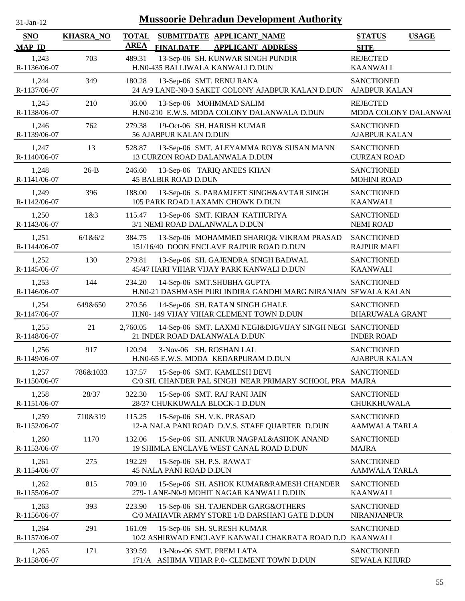| <b>Mussoorie Dehradun Development Authority</b><br>$31-Jan-12$ |                  |                             |                                                                                              |                                              |  |  |  |  |
|----------------------------------------------------------------|------------------|-----------------------------|----------------------------------------------------------------------------------------------|----------------------------------------------|--|--|--|--|
| <b>SNO</b><br><b>MAP ID</b>                                    | <b>KHASRA_NO</b> | <b>TOTAL</b><br><b>AREA</b> | SUBMITDATE APPLICANT NAME<br><b>FINALDATE</b><br><b>APPLICANT ADDRESS</b>                    | <b>STATUS</b><br><b>USAGE</b><br><b>SITE</b> |  |  |  |  |
| 1,243<br>R-1136/06-07                                          | 703              | 489.31                      | 13-Sep-06 SH. KUNWAR SINGH PUNDIR<br>H.N0-435 BALLIWALA KANWALI D.DUN                        | <b>REJECTED</b><br><b>KAANWALI</b>           |  |  |  |  |
| 1,244<br>R-1137/06-07                                          | 349              | 180.28                      | 13-Sep-06 SMT. RENU RANA<br>24 A/9 LANE-N0-3 SAKET COLONY AJABPUR KALAN D.DUN                | <b>SANCTIONED</b><br><b>AJABPUR KALAN</b>    |  |  |  |  |
| 1,245<br>R-1138/06-07                                          | 210              | 36.00                       | 13-Sep-06 MOHMMAD SALIM<br>H.N0-210 E.W.S. MDDA COLONY DALANWALA D.DUN                       | <b>REJECTED</b><br>MDDA COLONY DALANWAI      |  |  |  |  |
| 1,246<br>R-1139/06-07                                          | 762              | 279.38                      | 19-Oct-06 SH. HARISH KUMAR<br>56 AJABPUR KALAN D.DUN                                         | <b>SANCTIONED</b><br><b>AJABPUR KALAN</b>    |  |  |  |  |
| 1,247<br>R-1140/06-07                                          | 13               | 528.87                      | 13-Sep-06 SMT. ALEYAMMA ROY& SUSAN MANN<br>13 CURZON ROAD DALANWALA D.DUN                    | <b>SANCTIONED</b><br><b>CURZAN ROAD</b>      |  |  |  |  |
| 1,248<br>R-1141/06-07                                          | $26-B$           | 246.60                      | 13-Sep-06 TARIQ ANEES KHAN<br><b>45 BALBIR ROAD D.DUN</b>                                    | <b>SANCTIONED</b><br><b>MOHINI ROAD</b>      |  |  |  |  |
| 1,249<br>R-1142/06-07                                          | 396              | 188.00                      | 13-Sep-06 S. PARAMJEET SINGH&AVTAR SINGH<br>105 PARK ROAD LAXAMN CHOWK D.DUN                 | <b>SANCTIONED</b><br><b>KAANWALI</b>         |  |  |  |  |
| 1,250<br>R-1143/06-07                                          | 1&8:3            | 115.47                      | 13-Sep-06 SMT. KIRAN KATHURIYA<br>3/1 NEMI ROAD DALANWALA D.DUN                              | <b>SANCTIONED</b><br><b>NEMI ROAD</b>        |  |  |  |  |
| 1,251<br>R-1144/06-07                                          | 6/1&6/2          | 384.75                      | 13-Sep-06 MOHAMMED SHARIQ& VIKRAM PRASAD<br>151/16/40 DOON ENCLAVE RAJPUR ROAD D.DUN         | <b>SANCTIONED</b><br><b>RAJPUR MAFI</b>      |  |  |  |  |
| 1,252<br>R-1145/06-07                                          | 130              | 279.81                      | 13-Sep-06 SH. GAJENDRA SINGH BADWAL<br>45/47 HARI VIHAR VIJAY PARK KANWALI D.DUN             | <b>SANCTIONED</b><br><b>KAANWALI</b>         |  |  |  |  |
| 1,253<br>R-1146/06-07                                          | 144              | 234.20                      | 14-Sep-06 SMT.SHUBHA GUPTA<br>H.N0-21 DASHMASH PURI INDIRA GANDHI MARG NIRANJAN SEWALA KALAN | <b>SANCTIONED</b>                            |  |  |  |  |
| 1,254<br>R-1147/06-07                                          | 649&650          | 270.56                      | 14-Sep-06 SH. RATAN SINGH GHALE<br>H.N0- 149 VIJAY VIHAR CLEMENT TOWN D.DUN                  | <b>SANCTIONED</b><br><b>BHARUWALA GRANT</b>  |  |  |  |  |
| 1,255<br>R-1148/06-07                                          | 21               | 2,760.05                    | 14-Sep-06 SMT. LAXMI NEGI&DIGVIJAY SINGH NEGI SANCTIONED<br>21 INDER ROAD DALANWALA D.DUN    | <b>INDER ROAD</b>                            |  |  |  |  |
| 1,256<br>R-1149/06-07                                          | 917              | 120.94                      | 3-Nov-06 SH. ROSHAN LAL<br>H.N0-65 E.W.S. MDDA KEDARPURAM D.DUN                              | <b>SANCTIONED</b><br><b>AJABPUR KALAN</b>    |  |  |  |  |
| 1,257<br>R-1150/06-07                                          | 786&1033         | 137.57                      | 15-Sep-06 SMT. KAMLESH DEVI<br>C/0 SH. CHANDER PAL SINGH NEAR PRIMARY SCHOOL PRA             | <b>SANCTIONED</b><br>MAJRA                   |  |  |  |  |
| 1,258<br>R-1151/06-07                                          | 28/37            | 322.30                      | 15-Sep-06 SMT. RAJ RANI JAIN<br>28/37 CHUKKUWALA BLOCK-1 D.DUN                               | <b>SANCTIONED</b><br><b>CHUKKHUWALA</b>      |  |  |  |  |
| 1,259<br>R-1152/06-07                                          | 710&319          | 115.25                      | 15-Sep-06 SH. V.K. PRASAD<br>12-A NALA PANI ROAD D.V.S. STAFF QUARTER D.DUN                  | <b>SANCTIONED</b><br><b>AAMWALA TARLA</b>    |  |  |  |  |
| 1,260<br>R-1153/06-07                                          | 1170             | 132.06                      | 15-Sep-06 SH. ANKUR NAGPAL&ASHOK ANAND<br>19 SHIMLA ENCLAVE WEST CANAL ROAD D.DUN            | <b>SANCTIONED</b><br><b>MAJRA</b>            |  |  |  |  |
| 1,261<br>R-1154/06-07                                          | 275              | 192.29                      | 15-Sep-06 SH. P.S. RAWAT<br>45 NALA PANI ROAD D.DUN                                          | <b>SANCTIONED</b><br><b>AAMWALA TARLA</b>    |  |  |  |  |
| 1,262<br>R-1155/06-07                                          | 815              | 709.10                      | 15-Sep-06 SH. ASHOK KUMAR&RAMESH CHANDER<br>279- LANE-N0-9 MOHIT NAGAR KANWALI D.DUN         | <b>SANCTIONED</b><br><b>KAANWALI</b>         |  |  |  |  |
| 1,263<br>R-1156/06-07                                          | 393              | 223.90                      | 15-Sep-06 SH. TAJENDER GARG&OTHERS<br>C/0 MAHAVIR ARMY STORE 1/B DARSHANI GATE D.DUN         | <b>SANCTIONED</b><br><b>NIRANJANPUR</b>      |  |  |  |  |
| 1,264<br>R-1157/06-07                                          | 291              | 161.09                      | 15-Sep-06 SH. SURESH KUMAR<br>10/2 ASHIRWAD ENCLAVE KANWALI CHAKRATA ROAD D.D                | <b>SANCTIONED</b><br><b>KAANWALI</b>         |  |  |  |  |
| 1,265<br>R-1158/06-07                                          | 171              | 339.59                      | 13-Nov-06 SMT. PREM LATA<br>171/A ASHIMA VIHAR P.0- CLEMENT TOWN D.DUN                       | <b>SANCTIONED</b><br><b>SEWALA KHURD</b>     |  |  |  |  |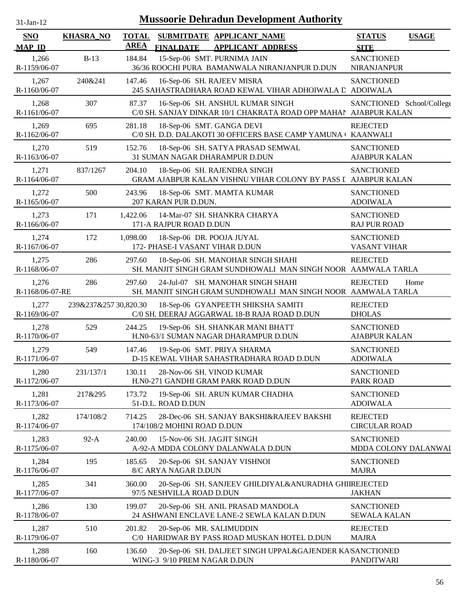| $31$ -Jan-12                |                       |                             |                                                              | <b>Mussoorie Dehradun Development Authority</b>                                                      |                                           |              |
|-----------------------------|-----------------------|-----------------------------|--------------------------------------------------------------|------------------------------------------------------------------------------------------------------|-------------------------------------------|--------------|
| <b>SNO</b><br><b>MAP ID</b> | <b>KHASRA_NO</b>      | <b>TOTAL</b><br><b>AREA</b> | <b>FINALDATE</b>                                             | SUBMITDATE APPLICANT_NAME<br><b>APPLICANT ADDRESS</b>                                                | <b>STATUS</b><br><b>SITE</b>              | <b>USAGE</b> |
| 1,266<br>R-1159/06-07       | $B-13$                | 184.84                      |                                                              | 15-Sep-06 SMT. PURNIMA JAIN<br>36/36 ROOCHI PURA BAMANWALA NIRANJANPUR D.DUN                         | <b>SANCTIONED</b><br>NIRANJANPUR          |              |
| 1,267<br>R-1160/06-07       | 240&241               | 147.46                      | 16-Sep-06 SH. RAJEEV MISRA                                   | 245 SAHASTRADHARA ROAD KEWAL VIHAR ADHOIWALA L ADOIWALA                                              | <b>SANCTIONED</b>                         |              |
| 1,268<br>R-1161/06-07       | 307                   | 87.37                       |                                                              | 16-Sep-06 SH. ANSHUL KUMAR SINGH<br>C/0 SH. SANJAY DINKAR 10/1 CHAKRATA ROAD OPP MAHAN AJABPUR KALAN | SANCTIONED School/College                 |              |
| 1,269<br>R-1162/06-07       | 695                   | 281.18                      | 18-Sep-06 SMT. GANGA DEVI                                    | C/0 SH. D.D. DALAKOTI 30 OFFICERS BASE CAMP YAMUNA ( KAANWALI                                        | <b>REJECTED</b>                           |              |
| 1,270<br>R-1163/06-07       | 519                   | 152.76                      |                                                              | 18-Sep-06 SH. SATYA PRASAD SEMWAL<br>31 SUMAN NAGAR DHARAMPUR D.DUN                                  | <b>SANCTIONED</b><br><b>AJABPUR KALAN</b> |              |
| 1,271<br>R-1164/06-07       | 837/1267              | 204.10                      |                                                              | 18-Sep-06 SH. RAJENDRA SINGH<br>GRAM AJABPUR KALAN VISHNU VIHAR COLONY BY PASS I AJABPUR KALAN       | <b>SANCTIONED</b>                         |              |
| 1,272<br>R-1165/06-07       | 500                   | 243.96                      | 207 KARAN PUR D.DUN.                                         | 18-Sep-06 SMT. MAMTA KUMAR                                                                           | <b>SANCTIONED</b><br><b>ADOIWALA</b>      |              |
| 1,273<br>R-1166/06-07       | 171                   | 1,422.06                    | 171-A RAJPUR ROAD D.DUN                                      | 14-Mar-07 SH. SHANKRA CHARYA                                                                         | <b>SANCTIONED</b><br><b>RAJ PUR ROAD</b>  |              |
| 1,274<br>R-1167/06-07       | 172                   | 1,098.00                    | 18-Sep-06 DR. POOJA JUYAL<br>172- PHASE-I VASANT VIHAR D.DUN |                                                                                                      | <b>SANCTIONED</b><br><b>VASANT VIHAR</b>  |              |
| 1,275<br>R-1168/06-07       | 286                   | 297.60                      |                                                              | 18-Sep-06 SH. MANOHAR SINGH SHAHI<br>SH. MANJIT SINGH GRAM SUNDHOWALI MAN SINGH NOOR AAMWALA TARLA   | <b>REJECTED</b>                           |              |
| 1,276<br>R-1168/06-07-RE    | 286                   | 297.60                      |                                                              | 24-Jul-07 SH. MANOHAR SINGH SHAHI<br>SH. MANJIT SINGH GRAM SUNDHOWALI MAN SINGH NOOR AAMWALA TARLA   | <b>REJECTED</b>                           | Home         |
| 1,277<br>R-1169/06-07       | 239&237&257 30,820.30 |                             |                                                              | 18-Sep-06 GYANPEETH SHIKSHA SAMITI<br>C/0 SH. DEERAJ AGGARWAL 18-B RAJA ROAD D.DUN                   | <b>REJECTED</b><br><b>DHOLAS</b>          |              |
| 1,278<br>R-1170/06-07       | 529                   | 244.25                      |                                                              | 19-Sep-06 SH. SHANKAR MANI BHATT<br>H.N0-63/1 SUMAN NAGAR DHARAMPUR D.DUN                            | <b>SANCTIONED</b><br><b>AJABPUR KALAN</b> |              |
| 1,279<br>R-1171/06-07       | 549                   | 147.46                      |                                                              | 19-Sep-06 SMT. PRIYA SHARMA<br>D-15 KEWAL VIHAR SAHASTRADHARA ROAD D.DUN                             | <b>SANCTIONED</b><br><b>ADOIWALA</b>      |              |
| 1,280<br>R-1172/06-07       | 231/137/1             | 130.11                      | 28-Nov-06 SH. VINOD KUMAR                                    | H.N0-271 GANDHI GRAM PARK ROAD D.DUN                                                                 | <b>SANCTIONED</b><br><b>PARK ROAD</b>     |              |
| 1,281<br>R-1173/06-07       | 217&295               | 173.72                      | 51-D.L. ROAD D.DUN                                           | 19-Sep-06 SH. ARUN KUMAR CHADHA                                                                      | <b>SANCTIONED</b><br><b>ADOIWALA</b>      |              |
| 1,282<br>R-1174/06-07       | 174/108/2             | 714.25                      | 174/108/2 MOHINI ROAD D.DUN                                  | 28-Dec-06 SH. SANJAY BAKSHI&RAJEEV BAKSHI                                                            | <b>REJECTED</b><br><b>CIRCULAR ROAD</b>   |              |
| 1,283<br>R-1175/06-07       | $92-A$                | 240.00                      | 15-Nov-06 SH. JAGJIT SINGH                                   | A-92-A MDDA COLONY DALANWALA D.DUN                                                                   | <b>SANCTIONED</b><br>MDDA COLONY DALANWAI |              |
| 1,284<br>R-1176/06-07       | 195                   | 185.65                      | 8/C ARYA NAGAR D.DUN                                         | 20-Sep-06 SH. SANJAY VISHNOI                                                                         | <b>SANCTIONED</b><br><b>MAJRA</b>         |              |
| 1,285<br>R-1177/06-07       | 341                   | 360.00                      | 97/5 NESHVILLA ROAD D.DUN                                    | 20-Sep-06 SH. SANJEEV GHILDIYAL&ANURADHA GHIIREJECTED                                                | <b>JAKHAN</b>                             |              |
| 1,286<br>R-1178/06-07       | 130                   | 199.07                      |                                                              | 20-Sep-06 SH. ANIL PRASAD MANDOLA<br>24 ASHWANI ENCLAVE LANE-2 SEWLA KALAN D.DUN                     | <b>SANCTIONED</b><br><b>SEWALA KALAN</b>  |              |
| 1,287<br>R-1179/06-07       | 510                   | 201.82                      | 20-Sep-06 MR. SALIMUDDIN                                     | C/0 HARIDWAR BY PASS ROAD MUSKAN HOTEL D.DUN                                                         | <b>REJECTED</b><br><b>MAJRA</b>           |              |
| 1,288<br>R-1180/06-07       | 160                   | 136.60                      | WING-3 9/10 PREM NAGAR D.DUN                                 | 20-Sep-06 SH. DALJEET SINGH UPPAL&GAJENDER KA\SANCTIONED                                             | <b>PANDITWARI</b>                         |              |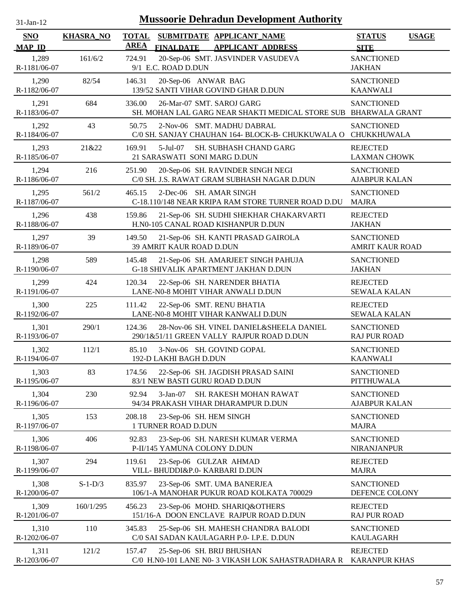| 31-Jan-12                   |                  | <b>Mussoorie Dehradun Development Authority</b>                                                          |                                              |
|-----------------------------|------------------|----------------------------------------------------------------------------------------------------------|----------------------------------------------|
| <b>SNO</b><br><b>MAP ID</b> | <b>KHASRA_NO</b> | <b>TOTAL</b><br>SUBMITDATE APPLICANT_NAME<br><b>AREA</b><br><b>APPLICANT ADDRESS</b><br><b>FINALDATE</b> | <b>STATUS</b><br><b>USAGE</b><br><b>SITE</b> |
| 1,289<br>R-1181/06-07       | 161/6/2          | 20-Sep-06 SMT. JASVINDER VASUDEVA<br>724.91<br>9/1 E.C. ROAD D.DUN                                       | <b>SANCTIONED</b><br><b>JAKHAN</b>           |
| 1,290<br>R-1182/06-07       | 82/54            | 146.31<br>20-Sep-06 ANWAR BAG<br>139/52 SANTI VIHAR GOVIND GHAR D.DUN                                    | <b>SANCTIONED</b><br><b>KAANWALI</b>         |
| 1,291<br>R-1183/06-07       | 684              | 336.00<br>26-Mar-07 SMT. SAROJ GARG<br>SH. MOHAN LAL GARG NEAR SHAKTI MEDICAL STORE SUB                  | <b>SANCTIONED</b><br><b>BHARWALA GRANT</b>   |
| 1,292<br>R-1184/06-07       | 43               | 50.75<br>2-Nov-06 SMT. MADHU DABRAL<br>C/0 SH. SANJAY CHAUHAN 164- BLOCK-B- CHUKKUWALA O CHUKKHUWALA     | <b>SANCTIONED</b>                            |
| 1,293<br>R-1185/06-07       | 21&22            | $5-Jul-07$<br>SH. SUBHASH CHAND GARG<br>169.91<br>21 SARASWATI SONI MARG D.DUN                           | <b>REJECTED</b><br><b>LAXMAN CHOWK</b>       |
| 1,294<br>R-1186/06-07       | 216              | 251.90<br>20-Sep-06 SH. RAVINDER SINGH NEGI<br>C/0 SH. J.S. RAWAT GRAM SUBHASH NAGAR D.DUN               | <b>SANCTIONED</b><br><b>AJABPUR KALAN</b>    |
| 1,295<br>R-1187/06-07       | 561/2            | 2-Dec-06 SH. AMAR SINGH<br>465.15<br>C-18.110/148 NEAR KRIPA RAM STORE TURNER ROAD D.DU                  | <b>SANCTIONED</b><br><b>MAJRA</b>            |
| 1,296<br>R-1188/06-07       | 438              | 159.86<br>21-Sep-06 SH. SUDHI SHEKHAR CHAKARVARTI<br>H.N0-105 CANAL ROAD KISHANPUR D.DUN                 | <b>REJECTED</b><br><b>JAKHAN</b>             |
| 1,297<br>R-1189/06-07       | 39               | 149.50<br>21-Sep-06 SH. KANTI PRASAD GAIROLA<br>39 AMRIT KAUR ROAD D.DUN                                 | <b>SANCTIONED</b><br><b>AMRIT KAUR ROAD</b>  |
| 1,298<br>R-1190/06-07       | 589              | 21-Sep-06 SH. AMARJEET SINGH PAHUJA<br>145.48<br>G-18 SHIVALIK APARTMENT JAKHAN D.DUN                    | <b>SANCTIONED</b><br><b>JAKHAN</b>           |
| 1,299<br>R-1191/06-07       | 424              | 120.34<br>22-Sep-06 SH. NARENDER BHATIA<br>LANE-N0-8 MOHIT VIHAR ANWALI D.DUN                            | <b>REJECTED</b><br><b>SEWALA KALAN</b>       |
| 1,300<br>R-1192/06-07       | 225              | 22-Sep-06 SMT. RENU BHATIA<br>111.42<br>LANE-N0-8 MOHIT VIHAR KANWALI D.DUN                              | <b>REJECTED</b><br><b>SEWALA KALAN</b>       |
| 1,301<br>R-1193/06-07       | 290/1            | 124.36<br>28-Nov-06 SH. VINEL DANIEL&SHEELA DANIEL<br>290/1&51/11 GREEN VALLY RAJPUR ROAD D.DUN          | <b>SANCTIONED</b><br><b>RAJ PUR ROAD</b>     |
| 1,302<br>R-1194/06-07       | 112/1            | 85.10<br>3-Nov-06 SH. GOVIND GOPAL<br>192-D LAKHI BAGH D.DUN                                             | <b>SANCTIONED</b><br><b>KAANWALI</b>         |
| 1,303<br>R-1195/06-07       | 83               | 22-Sep-06 SH. JAGDISH PRASAD SAINI<br>174.56<br>83/1 NEW BASTI GURU ROAD D.DUN                           | <b>SANCTIONED</b><br><b>PITTHUWALA</b>       |
| 1,304<br>R-1196/06-07       | 230              | 92.94<br>$3-Jan-07$<br>SH. RAKESH MOHAN RAWAT<br>94/34 PRAKASH VIHAR DHARAMPUR D.DUN                     | <b>SANCTIONED</b><br><b>AJABPUR KALAN</b>    |
| 1,305<br>R-1197/06-07       | 153              | 208.18<br>23-Sep-06 SH. HEM SINGH<br>1 TURNER ROAD D.DUN                                                 | <b>SANCTIONED</b><br><b>MAJRA</b>            |
| 1,306<br>R-1198/06-07       | 406              | 92.83<br>23-Sep-06 SH. NARESH KUMAR VERMA<br>P-II/145 YAMUNA COLONY D.DUN                                | <b>SANCTIONED</b><br><b>NIRANJANPUR</b>      |
| 1,307<br>R-1199/06-07       | 294              | 119.61<br>23-Sep-06 GULZAR AHMAD<br>VILL- BHUDDI&P.0- KARBARI D.DUN                                      | <b>REJECTED</b><br><b>MAJRA</b>              |
| 1,308<br>R-1200/06-07       | $S-1-D/3$        | 23-Sep-06 SMT. UMA BANERJEA<br>835.97<br>106/1-A MANOHAR PUKUR ROAD KOLKATA 700029                       | <b>SANCTIONED</b><br>DEFENCE COLONY          |
| 1,309<br>R-1201/06-07       | 160/1/295        | 456.23<br>23-Sep-06 MOHD. SHARIQ&OTHERS<br>151/16-A DOON ENCLAVE RAJPUR ROAD D.DUN                       | <b>REJECTED</b><br><b>RAJ PUR ROAD</b>       |
| 1,310<br>R-1202/06-07       | 110              | 345.83<br>25-Sep-06 SH. MAHESH CHANDRA BALODI<br>C/0 SAI SADAN KAULAGARH P.0- I.P.E. D.DUN               | <b>SANCTIONED</b><br><b>KAULAGARH</b>        |
| 1,311<br>R-1203/06-07       | 121/2            | 157.47<br>25-Sep-06 SH. BRIJ BHUSHAN<br>C/0 H.N0-101 LANE N0- 3 VIKASH LOK SAHASTRADHARA R               | <b>REJECTED</b><br><b>KARANPUR KHAS</b>      |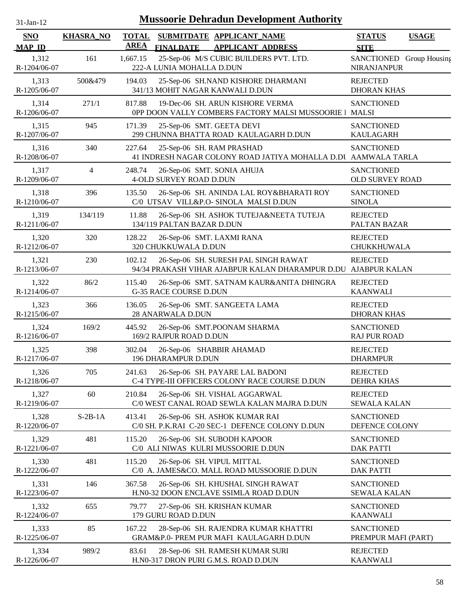| $31$ -Jan-12                |                  |                             |                                                   | <b>Mussoorie Dehradun Development Authority</b>                                                        |                                                |              |
|-----------------------------|------------------|-----------------------------|---------------------------------------------------|--------------------------------------------------------------------------------------------------------|------------------------------------------------|--------------|
| <b>SNO</b><br><b>MAP ID</b> | <b>KHASRA_NO</b> | <b>TOTAL</b><br><b>AREA</b> | <b>FINALDATE</b>                                  | SUBMITDATE APPLICANT_NAME<br><b>APPLICANT ADDRESS</b>                                                  | <b>STATUS</b><br><b>SITE</b>                   | <b>USAGE</b> |
| 1,312<br>R-1204/06-07       | 161              | 1,667.15                    | 222-A LUNIA MOHALLA D.DUN                         | 25-Sep-06 M/S CUBIC BUILDERS PVT. LTD.                                                                 | SANCTIONED Group Housing<br><b>NIRANJANPUR</b> |              |
| 1,313<br>R-1205/06-07       | 500&479          | 194.03                      |                                                   | 25-Sep-06 SH.NAND KISHORE DHARMANI<br>341/13 MOHIT NAGAR KANWALI D.DUN                                 | <b>REJECTED</b><br><b>DHORAN KHAS</b>          |              |
| 1,314<br>R-1206/06-07       | 271/1            | 817.88                      |                                                   | 19-Dec-06 SH. ARUN KISHORE VERMA<br>0PP DOON VALLY COMBERS FACTORY MALSI MUSSOORIE   MALSI             | <b>SANCTIONED</b>                              |              |
| 1,315<br>R-1207/06-07       | 945              | 171.39                      | 25-Sep-06 SMT. GEETA DEVI                         | 299 CHUNNA BHATTA ROAD KAULAGARH D.DUN                                                                 | <b>SANCTIONED</b><br><b>KAULAGARH</b>          |              |
| 1,316<br>R-1208/06-07       | 340              | 227.64                      | 25-Sep-06 SH. RAM PRASHAD                         | 41 INDRESH NAGAR COLONY ROAD JATIYA MOHALLA D.DU AAMWALA TARLA                                         | <b>SANCTIONED</b>                              |              |
| 1,317<br>R-1209/06-07       | $\overline{4}$   | 248.74                      | 4-OLD SURVEY ROAD D.DUN                           | 26-Sep-06 SMT. SONIA AHUJA                                                                             | <b>SANCTIONED</b><br>OLD SURVEY ROAD           |              |
| 1,318<br>R-1210/06-07       | 396              | 135.50                      |                                                   | 26-Sep-06 SH. ANINDA LAL ROY&BHARATI ROY<br>C/0 UTSAV VILL&P.O- SINOLA MALSI D.DUN                     | <b>SANCTIONED</b><br><b>SINOLA</b>             |              |
| 1,319<br>R-1211/06-07       | 134/119          | 11.88                       | 134/119 PALTAN BAZAR D.DUN                        | 26-Sep-06 SH. ASHOK TUTEJA&NEETA TUTEJA                                                                | <b>REJECTED</b><br>PALTAN BAZAR                |              |
| 1,320<br>R-1212/06-07       | 320              | 128.22                      | 26-Sep-06 SMT. LAXMI RANA<br>320 CHUKKUWALA D.DUN |                                                                                                        | <b>REJECTED</b><br>CHUKKHUWALA                 |              |
| 1,321<br>R-1213/06-07       | 230              | 102.12                      |                                                   | 26-Sep-06 SH. SURESH PAL SINGH RAWAT<br>94/34 PRAKASH VIHAR AJABPUR KALAN DHARAMPUR D.DU AJABPUR KALAN | <b>REJECTED</b>                                |              |
| 1,322<br>R-1214/06-07       | 86/2             | 115.40                      | <b>G-35 RACE COURSE D.DUN</b>                     | 26-Sep-06 SMT. SATNAM KAUR&ANITA DHINGRA                                                               | <b>REJECTED</b><br><b>KAANWALI</b>             |              |
| 1,323<br>R-1215/06-07       | 366              | 136.05                      | <b>28 ANARWALA D.DUN</b>                          | 26-Sep-06 SMT. SANGEETA LAMA                                                                           | <b>REJECTED</b><br><b>DHORAN KHAS</b>          |              |
| 1,324<br>R-1216/06-07       | 169/2            | 445.92                      | 169/2 RAJPUR ROAD D.DUN                           | 26-Sep-06 SMT.POONAM SHARMA                                                                            | <b>SANCTIONED</b><br><b>RAJ PUR ROAD</b>       |              |
| 1,325<br>R-1217/06-07       | 398              | 302.04                      | 196 DHARAMPUR D.DUN                               | 26-Sep-06 SHABBIR AHAMAD                                                                               | <b>REJECTED</b><br><b>DHARMPUR</b>             |              |
| 1,326<br>R-1218/06-07       | 705              | 241.63                      |                                                   | 26-Sep-06 SH. PAYARE LAL BADONI<br>C-4 TYPE-III OFFICERS COLONY RACE COURSE D.DUN                      | <b>REJECTED</b><br><b>DEHRA KHAS</b>           |              |
| 1,327<br>R-1219/06-07       | 60               | 210.84                      |                                                   | 26-Sep-06 SH. VISHAL AGGARWAL<br>C/0 WEST CANAL ROAD SEWLA KALAN MAJRA D.DUN                           | <b>REJECTED</b><br><b>SEWALA KALAN</b>         |              |
| 1,328<br>R-1220/06-07       | $S-2B-1A$        | 413.41                      |                                                   | 26-Sep-06 SH. ASHOK KUMAR RAI<br>C/0 SH. P.K.RAI C-20 SEC-1 DEFENCE COLONY D.DUN                       | <b>SANCTIONED</b><br>DEFENCE COLONY            |              |
| 1,329<br>R-1221/06-07       | 481              | 115.20                      |                                                   | 26-Sep-06 SH. SUBODH KAPOOR<br>C/0 ALI NIWAS KULRI MUSSOORIE D.DUN                                     | <b>SANCTIONED</b><br><b>DAK PATTI</b>          |              |
| 1,330<br>R-1222/06-07       | 481              | 115.20                      | 26-Sep-06 SH. VIPUL MITTAL                        | C/0 A. JAMES&CO. MALL ROAD MUSSOORIE D.DUN                                                             | <b>SANCTIONED</b><br><b>DAK PATTI</b>          |              |
| 1,331<br>R-1223/06-07       | 146              | 367.58                      |                                                   | 26-Sep-06 SH. KHUSHAL SINGH RAWAT<br>H.N0-32 DOON ENCLAVE SSIMLA ROAD D.DUN                            | <b>SANCTIONED</b><br><b>SEWALA KALAN</b>       |              |
| 1,332<br>R-1224/06-07       | 655              | 79.77                       | 179 GURU ROAD D.DUN                               | 27-Sep-06 SH. KRISHAN KUMAR                                                                            | <b>SANCTIONED</b><br><b>KAANWALI</b>           |              |
| 1,333<br>R-1225/06-07       | 85               | 167.22                      |                                                   | 28-Sep-06 SH. RAJENDRA KUMAR KHATTRI<br>GRAM&P.0- PREM PUR MAFI KAULAGARH D.DUN                        | <b>SANCTIONED</b><br>PREMPUR MAFI (PART)       |              |
| 1,334<br>R-1226/06-07       | 989/2            | 83.61                       |                                                   | 28-Sep-06 SH. RAMESH KUMAR SURI<br>H.N0-317 DRON PURI G.M.S. ROAD D.DUN                                | <b>REJECTED</b><br><b>KAANWALI</b>             |              |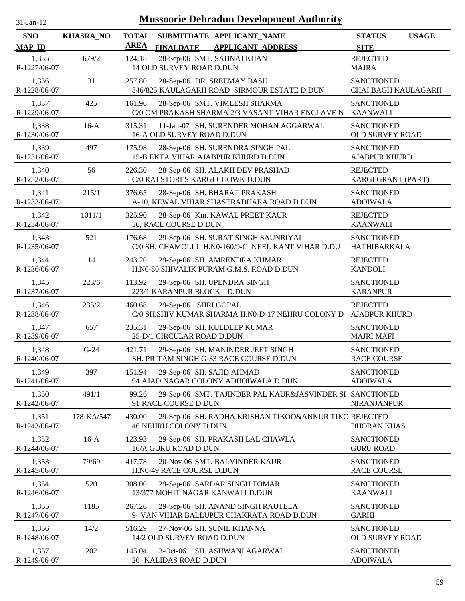| $31$ -Jan-12                |                  | <b>Mussoorie Dehradun Development Authority</b>                                                          |                                              |
|-----------------------------|------------------|----------------------------------------------------------------------------------------------------------|----------------------------------------------|
| <b>SNO</b><br><b>MAP ID</b> | <b>KHASRA_NO</b> | <b>TOTAL</b><br>SUBMITDATE APPLICANT_NAME<br><b>AREA</b><br><b>FINALDATE</b><br><b>APPLICANT ADDRESS</b> | <b>STATUS</b><br><b>USAGE</b><br><b>SITE</b> |
| 1,335<br>R-1227/06-07       | 679/2            | 28-Sep-06 SMT. SAHNAJ KHAN<br>124.18<br>14 OLD SURVEY ROAD D.DUN                                         | <b>REJECTED</b><br><b>MAJRA</b>              |
| 1,336<br>R-1228/06-07       | 31               | 257.80<br>28-Sep-06 DR. SREEMAY BASU<br>846/825 KAULAGARH ROAD SIRMOUR ESTATE D.DUN                      | <b>SANCTIONED</b><br>CHAI BAGH KAULAGARH     |
| 1,337<br>R-1229/06-07       | 425              | 28-Sep-06 SMT. VIMLESH SHARMA<br>161.96<br>C/0 OM PRAKASH SHARMA 2/3 VASANT VIHAR ENCLAVE N              | <b>SANCTIONED</b><br><b>KAANWALI</b>         |
| 1,338<br>R-1230/06-07       | $16-A$           | 11-Jan-07 SH. SURENDER MOHAN AGGARWAL<br>315.31<br>16-A OLD SURVEY ROAD D.DUN                            | <b>SANCTIONED</b><br>OLD SURVEY ROAD         |
| 1,339<br>R-1231/06-07       | 497              | 28-Sep-06 SH. SURENDRA SINGH PAL<br>175.98<br>15-B EKTA VIHAR AJABPUR KHURD D.DUN                        | <b>SANCTIONED</b><br><b>AJABPUR KHURD</b>    |
| 1,340<br>R-1232/06-07       | 56               | 28-Sep-06 SH. ALAKH DEV PRASHAD<br>226.30<br>C/0 RAJ STORES KARGI CHOWK D.DUN                            | <b>REJECTED</b><br>KARGI GRANT (PART)        |
| 1,341<br>R-1233/06-07       | 215/1            | 376.65<br>28-Sep-06 SH. BHARAT PRAKASH<br>A-10, KEWAL VIHAR SHASTRADHARA ROAD D.DUN                      | <b>SANCTIONED</b><br><b>ADOIWALA</b>         |
| 1,342<br>R-1234/06-07       | 1011/1           | 325.90<br>28-Sep-06 Km. KAWAL PREET KAUR<br>36, RACE COURSE D.DUN                                        | <b>REJECTED</b><br><b>KAANWALI</b>           |
| 1,343<br>R-1235/06-07       | 521              | 29-Sep-06 SH. SURAT SINGH SAUNRIYAL<br>176.68<br>C/0 SH. CHAMOLI JI H.N0-160/9-C NEEL KANT VIHAR D.DU    | <b>SANCTIONED</b><br>HATHIBARKALA            |
| 1,344<br>R-1236/06-07       | 14               | 243.20<br>29-Sep-06 SH. AMRENDRA KUMAR<br>H.N0-80 SHIVALIK PURAM G.M.S. ROAD D.DUN                       | <b>REJECTED</b><br><b>KANDOLI</b>            |
| 1,345<br>R-1237/06-07       | 223/6            | 113.92<br>29-Sep-06 SH. UPENDRA SINGH<br>223/1 KARANPUR BLOCK-I D.DUN                                    | <b>SANCTIONED</b><br><b>KARANPUR</b>         |
| 1,346<br>R-1238/06-07       | 235/2            | 29-Sep-06 SHRI GOPAL<br>460.68<br>C/0 SH.SHIV KUMAR SHARMA H.N0-D-17 NEHRU COLONY D                      | <b>REJECTED</b><br><b>AJABPUR KHURD</b>      |
| 1,347<br>R-1239/06-07       | 657              | 235.31<br>29-Sep-06 SH. KULDEEP KUMAR<br>25-D/1 CIRCULAR ROAD D.DUN                                      | <b>SANCTIONED</b><br><b>MAJRI MAFI</b>       |
| 1,348<br>R-1240/06-07       | $G-24$           | 421.71<br>29-Sep-06 SH. MANINDER JEET SINGH<br>SH. PRITAM SINGH G-33 RACE COURSE D.DUN                   | <b>SANCTIONED</b><br><b>RACE COURSE</b>      |
| 1,349<br>R-1241/06-07       | 397              | 29-Sep-06 SH. SAJID AHMAD<br>151.94<br>94 AJAD NAGAR COLONY ADHOIWALA D.DUN                              | <b>SANCTIONED</b><br><b>ADOIWALA</b>         |
| 1,350<br>R-1242/06-07       | 491/1            | 99.26<br>29-Sep-06 SMT. TAJINDER PAL KAUR&JASVINDER SI SANCTIONED<br>91 RACE COURSE D.DUN                | NIRANJANPUR                                  |
| 1,351<br>R-1243/06-07       | 178-KA/547       | 430.00<br>29-Sep-06 SH. RADHA KRISHAN TIKOO&ANKUR TIKO REJECTED<br>46 NEHRU COLONY D.DUN                 | <b>DHORAN KHAS</b>                           |
| 1,352<br>R-1244/06-07       | $16-A$           | 123.93<br>29-Sep-06 SH. PRAKASH LAL CHAWLA<br>16/A GURU ROAD D.DUN                                       | <b>SANCTIONED</b><br><b>GURU ROAD</b>        |
| 1,353<br>R-1245/06-07       | 79/69            | 417.78<br>20-Nov-06 SMT. BALVINDER KAUR<br>H.N0-49 RACE COURSE D.DUN                                     | <b>SANCTIONED</b><br><b>RACE COURSE</b>      |
| 1,354<br>R-1246/06-07       | 520              | 308.00<br>29-Sep-06 SARDAR SINGH TOMAR<br>13/377 MOHIT NAGAR KANWALI D.DUN                               | <b>SANCTIONED</b><br><b>KAANWALI</b>         |
| 1,355<br>R-1247/06-07       | 1185             | 267.26<br>29-Sep-06 SH. ANAND SINGH RAUTELA<br>9- VAN VIHAR BALLUPUR CHAKRATA ROAD D.DUN                 | <b>SANCTIONED</b><br><b>GARHI</b>            |
| 1,356<br>R-1248/06-07       | 14/2             | 27-Nov-06 SH. SUNIL KHANNA<br>516.29<br>14/2 OLD SURVEY ROAD D.DUN                                       | <b>SANCTIONED</b><br>OLD SURVEY ROAD         |
| 1,357<br>R-1249/06-07       | 202              | 145.04<br>$3-Oct-06$<br>SH. ASHWANI AGARWAL<br>20- KALIDAS ROAD D.DUN                                    | <b>SANCTIONED</b><br><b>ADOIWALA</b>         |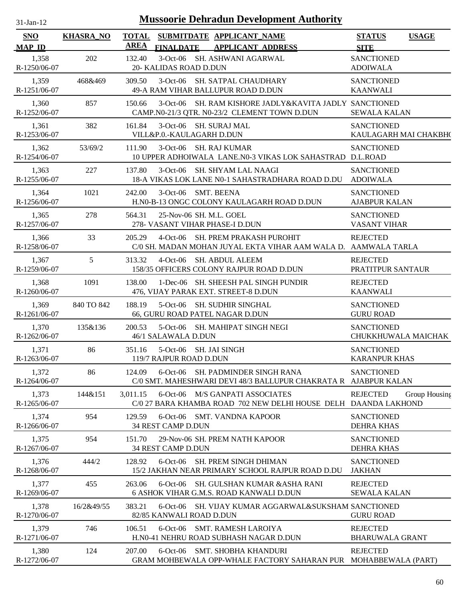| 1-Jan-1 |  |
|---------|--|
|         |  |

| SNO<br><b>MAP ID</b>  | <b>KHASRA_NO</b> | <b>TOTAL</b><br><b>AREA</b> | <b>FINALDATE</b>                                           | SUBMITDATE APPLICANT_NAME<br><b>APPLICANT ADDRESS</b>                                                  | <b>STATUS</b><br><b>SITE</b>               | <b>USAGE</b>  |
|-----------------------|------------------|-----------------------------|------------------------------------------------------------|--------------------------------------------------------------------------------------------------------|--------------------------------------------|---------------|
| 1,358<br>R-1250/06-07 | 202              | 132.40                      | 20- KALIDAS ROAD D.DUN                                     | 3-Oct-06 SH. ASHWANI AGARWAL                                                                           | <b>SANCTIONED</b><br><b>ADOIWALA</b>       |               |
| 1,359<br>R-1251/06-07 | 468&469          | 309.50                      |                                                            | 3-Oct-06 SH. SATPAL CHAUDHARY<br>49-A RAM VIHAR BALLUPUR ROAD D.DUN                                    | <b>SANCTIONED</b><br><b>KAANWALI</b>       |               |
| 1,360<br>R-1252/06-07 | 857              | 150.66                      |                                                            | 3-Oct-06 SH. RAM KISHORE JADLY&KAVITA JADLY SANCTIONED<br>CAMP.N0-21/3 QTR. N0-23/2 CLEMENT TOWN D.DUN | <b>SEWALA KALAN</b>                        |               |
| 1,361<br>R-1253/06-07 | 382              | 161.84                      | 3-Oct-06 SH. SURAJ MAL<br>VILL&P.0.-KAULAGARH D.DUN        |                                                                                                        | <b>SANCTIONED</b><br>KAULAGARH MAI CHAKBH( |               |
| 1,362<br>R-1254/06-07 | 53/69/2          | 111.90                      | 3-Oct-06 SH. RAJ KUMAR                                     | 10 UPPER ADHOIWALA LANE.N0-3 VIKAS LOK SAHASTRAD D.L.ROAD                                              | <b>SANCTIONED</b>                          |               |
| 1,363<br>R-1255/06-07 | 227              | 137.80                      |                                                            | 3-Oct-06 SH. SHYAM LAL NAAGI<br>18-A VIKAS LOK LANE N0-1 SAHASTRADHARA ROAD D.DU ADOIWALA              | <b>SANCTIONED</b>                          |               |
| 1,364<br>R-1256/06-07 | 1021             | 242.00                      | 3-Oct-06 SMT, BEENA                                        | H.N0-B-13 ONGC COLONY KAULAGARH ROAD D.DUN                                                             | <b>SANCTIONED</b><br><b>AJABPUR KALAN</b>  |               |
| 1,365<br>R-1257/06-07 | 278              | 564.31                      | 25-Nov-06 SH. M.L. GOEL<br>278- VASANT VIHAR PHASE-I D.DUN |                                                                                                        | <b>SANCTIONED</b><br><b>VASANT VIHAR</b>   |               |
| 1,366<br>R-1258/06-07 | 33               | 205.29                      | $4$ -Oct-06                                                | SH. PREM PRAKASH PUROHIT<br>C/0 SH. MADAN MOHAN JUYAL EKTA VIHAR AAM WALA D. AAMWALA TARLA             | <b>REJECTED</b>                            |               |
| 1,367<br>R-1259/06-07 | 5                | 313.32                      |                                                            | 4-Oct-06 SH. ABDUL ALEEM<br>158/35 OFFICERS COLONY RAJPUR ROAD D.DUN                                   | <b>REJECTED</b><br>PRATITPUR SANTAUR       |               |
| 1,368<br>R-1260/06-07 | 1091             | 138.00                      |                                                            | 1-Dec-06 SH. SHEESH PAL SINGH PUNDIR<br>476, VIJAY PARAK EXT. STREET-8 D.DUN                           | <b>REJECTED</b><br><b>KAANWALI</b>         |               |
| 1,369<br>R-1261/06-07 | 840 TO 842       | 188.19                      |                                                            | 5-Oct-06 SH. SUDHIR SINGHAL<br>66, GURU ROAD PATEL NAGAR D.DUN                                         | <b>SANCTIONED</b><br><b>GURU ROAD</b>      |               |
| 1,370<br>R-1262/06-07 | 135&136          | 200.53                      | 46/1 SALAWALA D.DUN                                        | 5-Oct-06 SH. MAHIPAT SINGH NEGI                                                                        | <b>SANCTIONED</b><br>CHUKKHUWALA MAICHAK   |               |
| 1,371<br>R-1263/06-07 | 86               | 351.16                      | 5-Oct-06 SH. JAI SINGH<br>119/7 RAJPUR ROAD D.DUN          |                                                                                                        | <b>SANCTIONED</b><br><b>KARANPUR KHAS</b>  |               |
| 1,372<br>R-1264/06-07 | 86               | 124.09                      |                                                            | 6-Oct-06 SH. PADMINDER SINGH RANA<br>C/0 SMT. MAHESHWARI DEVI 48/3 BALLUPUR CHAKRATA R AJABPUR KALAN   | <b>SANCTIONED</b>                          |               |
| 1,373<br>R-1265/06-07 | 144&151          | 3,011.15                    |                                                            | 6-Oct-06 M/S GANPATI ASSOCIATES<br>C/0 27 BARA KHAMBA ROAD 702 NEW DELHI HOUSE DELH DAANDA LAKHOND     | <b>REJECTED</b>                            | Group Housing |
| 1,374<br>R-1266/06-07 | 954              | 129.59                      | 34 REST CAMP D.DUN                                         | 6-Oct-06 SMT. VANDNA KAPOOR                                                                            | <b>SANCTIONED</b><br><b>DEHRA KHAS</b>     |               |
| 1,375<br>R-1267/06-07 | 954              | 151.70                      | 34 REST CAMP D.DUN                                         | 29-Nov-06 SH. PREM NATH KAPOOR                                                                         | <b>SANCTIONED</b><br><b>DEHRA KHAS</b>     |               |
| 1,376<br>R-1268/06-07 | 444/2            | 128.92                      |                                                            | 6-Oct-06 SH. PREM SINGH DHIMAN<br>15/2 JAKHAN NEAR PRIMARY SCHOOL RAJPUR ROAD D.DU                     | <b>SANCTIONED</b><br><b>JAKHAN</b>         |               |
| 1,377<br>R-1269/06-07 | 455              | 263.06                      | $6$ -Oct-06                                                | SH. GULSHAN KUMAR &ASHA RANI<br>6 ASHOK VIHAR G.M.S. ROAD KANWALI D.DUN                                | <b>REJECTED</b><br><b>SEWALA KALAN</b>     |               |
| 1,378<br>R-1270/06-07 | 16/2&49/55       | 383.21                      | 82/85 KANWALI ROAD D.DUN                                   | 6-Oct-06 SH. VIJAY KUMAR AGGARWAL&SUKSHAM SANCTIONED                                                   | <b>GURU ROAD</b>                           |               |
| 1,379<br>R-1271/06-07 | 746              | 106.51                      |                                                            | 6-Oct-06 SMT. RAMESH LAROIYA<br>H.N0-41 NEHRU ROAD SUBHASH NAGAR D.DUN                                 | <b>REJECTED</b><br><b>BHARUWALA GRANT</b>  |               |
| 1,380<br>R-1272/06-07 | 124              | 207.00                      |                                                            | 6-Oct-06 SMT. SHOBHA KHANDURI<br>GRAM MOHBEWALA OPP-WHALE FACTORY SAHARAN PUR MOHABBEWALA (PART)       | <b>REJECTED</b>                            |               |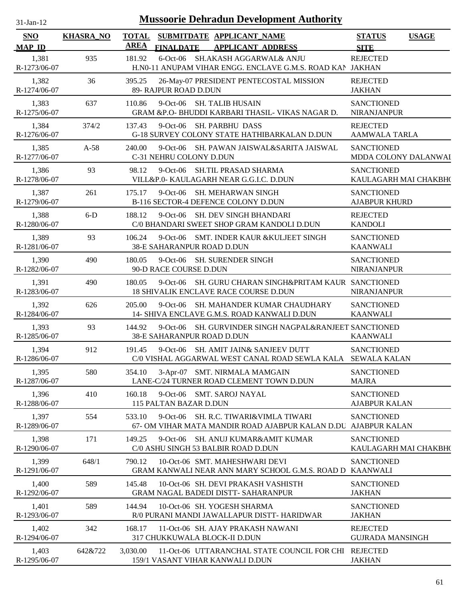| $31-Jan-12$                 | <b>Mussoorie Dehradun Development Authority</b> |             |                                                                                                         |                                              |  |  |  |  |  |
|-----------------------------|-------------------------------------------------|-------------|---------------------------------------------------------------------------------------------------------|----------------------------------------------|--|--|--|--|--|
| <b>SNO</b><br><b>MAP ID</b> | <b>KHASRA_NO</b>                                | <b>AREA</b> | TOTAL SUBMITDATE APPLICANT_NAME<br><b>FINALDATE</b><br><b>APPLICANT ADDRESS</b>                         | <b>STATUS</b><br><b>USAGE</b><br><b>SITE</b> |  |  |  |  |  |
| 1,381<br>R-1273/06-07       | 935                                             | 181.92      | 6-Oct-06 SH.AKASH AGGARWAL& ANJU<br>H.N0-11 ANUPAM VIHAR ENGG. ENCLAVE G.M.S. ROAD KAN JAKHAN           | <b>REJECTED</b>                              |  |  |  |  |  |
| 1,382<br>R-1274/06-07       | 36                                              | 395.25      | 26-May-07 PRESIDENT PENTECOSTAL MISSION<br>89- RAJPUR ROAD D.DUN                                        | <b>REJECTED</b><br><b>JAKHAN</b>             |  |  |  |  |  |
| 1,383<br>R-1275/06-07       | 637                                             | 110.86      | 9-Oct-06 SH. TALIB HUSAIN<br>GRAM &P.O- BHUDDI KARBARI THASIL- VIKAS NAGAR D.                           | <b>SANCTIONED</b><br><b>NIRANJANPUR</b>      |  |  |  |  |  |
| 1,384<br>R-1276/06-07       | 374/2                                           | 137.43      | 9-Oct-06 SH. PARBHU DASS<br>G-18 SURVEY COLONY STATE HATHIBARKALAN D.DUN                                | <b>REJECTED</b><br><b>AAMWALA TARLA</b>      |  |  |  |  |  |
| 1,385<br>R-1277/06-07       | $A-58$                                          | 240.00      | 9-Oct-06 SH. PAWAN JAISWAL&SARITA JAISWAL<br>C-31 NEHRU COLONY D.DUN                                    | <b>SANCTIONED</b><br>MDDA COLONY DALANWAI    |  |  |  |  |  |
| 1,386<br>R-1278/06-07       | 93                                              | 98.12       | $9$ -Oct-06<br>SH.TIL PRASAD SHARMA<br>VILL&P.0- KAULAGARH NEAR G.G.I.C. D.DUN                          | <b>SANCTIONED</b><br>KAULAGARH MAI CHAKBH(   |  |  |  |  |  |
| 1,387<br>R-1279/06-07       | 261                                             | 175.17      | 9-Oct-06 SH. MEHARWAN SINGH<br>B-116 SECTOR-4 DEFENCE COLONY D.DUN                                      | <b>SANCTIONED</b><br><b>AJABPUR KHURD</b>    |  |  |  |  |  |
| 1,388<br>R-1280/06-07       | $6-D$                                           | 188.12      | 9-Oct-06 SH. DEV SINGH BHANDARI<br>C/0 BHANDARI SWEET SHOP GRAM KANDOLI D.DUN                           | <b>REJECTED</b><br><b>KANDOLI</b>            |  |  |  |  |  |
| 1,389<br>R-1281/06-07       | 93                                              | 106.24      | 9-Oct-06 SMT. INDER KAUR & KULJEET SINGH<br>38-E SAHARANPUR ROAD D.DUN                                  | <b>SANCTIONED</b><br><b>KAANWALI</b>         |  |  |  |  |  |
| 1,390<br>R-1282/06-07       | 490                                             | 180.05      | 9-Oct-06 SH. SURENDER SINGH<br>90-D RACE COURSE D.DUN                                                   | <b>SANCTIONED</b><br><b>NIRANJANPUR</b>      |  |  |  |  |  |
| 1,391<br>R-1283/06-07       | 490                                             | 180.05      | SH. GURU CHARAN SINGH&PRITAM KAUR SANCTIONED<br>$9$ -Oct-06<br>18 SHIVALIK ENCLAVE RACE COURSE D.DUN    | <b>NIRANJANPUR</b>                           |  |  |  |  |  |
| 1,392<br>R-1284/06-07       | 626                                             | 205.00      | $9$ -Oct-06<br><b>SH. MAHANDER KUMAR CHAUDHARY</b><br>14- SHIVA ENCLAVE G.M.S. ROAD KANWALI D.DUN       | <b>SANCTIONED</b><br><b>KAANWALI</b>         |  |  |  |  |  |
| 1,393<br>R-1285/06-07       | 93                                              | 144.92      | $9$ -Oct-06<br>SH. GURVINDER SINGH NAGPAL&RANJEET SANCTIONED<br>38-E SAHARANPUR ROAD D.DUN              | <b>KAANWALI</b>                              |  |  |  |  |  |
| 1,394<br>R-1286/06-07       | 912                                             | 191.45      | 9-Oct-06 SH. AMIT JAIN& SANJEEV DUTT<br>C/0 VISHAL AGGARWAL WEST CANAL ROAD SEWLA KALA SEWALA KALAN     | <b>SANCTIONED</b>                            |  |  |  |  |  |
| 1,395<br>R-1287/06-07       | 580                                             | 354.10      | 3-Apr-07 SMT. NIRMALA MAMGAIN<br>LANE-C/24 TURNER ROAD CLEMENT TOWN D.DUN                               | <b>SANCTIONED</b><br><b>MAJRA</b>            |  |  |  |  |  |
| 1,396<br>R-1288/06-07       | 410                                             | 160.18      | 9-Oct-06 SMT. SAROJ NAYAL<br>115 PALTAN BAZAR D.DUN                                                     | <b>SANCTIONED</b><br><b>AJABPUR KALAN</b>    |  |  |  |  |  |
| 1,397<br>R-1289/06-07       | 554                                             | 533.10      | 9-Oct-06 SH. R.C. TIWARI&VIMLA TIWARI<br>67- OM VIHAR MATA MANDIR ROAD AJABPUR KALAN D.DU AJABPUR KALAN | <b>SANCTIONED</b>                            |  |  |  |  |  |
| 1,398<br>R-1290/06-07       | 171                                             | 149.25      | 9-Oct-06 SH. ANUJ KUMAR&AMIT KUMAR<br>C/0 ASHU SINGH 53 BALBIR ROAD D.DUN                               | <b>SANCTIONED</b><br>KAULAGARH MAI CHAKBH(   |  |  |  |  |  |
| 1,399<br>R-1291/06-07       | 648/1                                           | 790.12      | 10-Oct-06 SMT. MAHESHWARI DEVI<br>GRAM KANWALI NEAR ANN MARY SCHOOL G.M.S. ROAD D KAANWALI              | <b>SANCTIONED</b>                            |  |  |  |  |  |
| 1,400<br>R-1292/06-07       | 589                                             | 145.48      | 10-Oct-06 SH. DEVI PRAKASH VASHISTH<br><b>GRAM NAGAL BADEDI DISTT- SAHARANPUR</b>                       | <b>SANCTIONED</b><br><b>JAKHAN</b>           |  |  |  |  |  |
| 1,401<br>R-1293/06-07       | 589                                             | 144.94      | 10-Oct-06 SH. YOGESH SHARMA<br>R/0 PURANI MANDI JAWALLAPUR DISTT- HARIDWAR                              | <b>SANCTIONED</b><br><b>JAKHAN</b>           |  |  |  |  |  |
| 1,402<br>R-1294/06-07       | 342                                             | 168.17      | 11-Oct-06 SH. AJAY PRAKASH NAWANI<br>317 CHUKKUWALA BLOCK-II D.DUN                                      | <b>REJECTED</b><br><b>GUJRADA MANSINGH</b>   |  |  |  |  |  |
| 1,403<br>R-1295/06-07       | 642&722                                         | 3,030.00    | 11-Oct-06 UTTARANCHAL STATE COUNCIL FOR CHI REJECTED<br>159/1 VASANT VIHAR KANWALI D.DUN                | <b>JAKHAN</b>                                |  |  |  |  |  |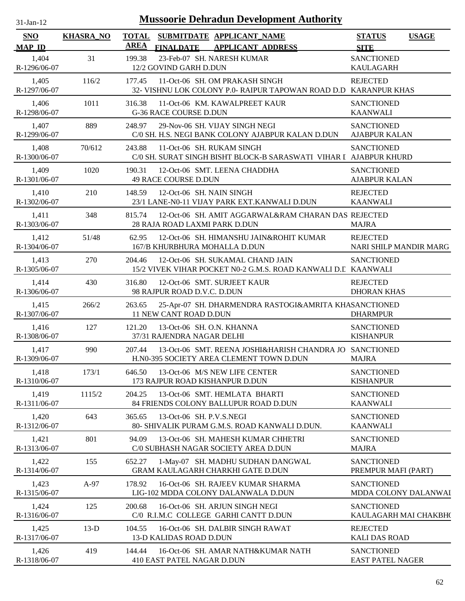| $31-Jan-12$                 | <b>Mussoorie Dehradun Development Authority</b> |             |                                                                                                     |                                              |              |  |  |  |  |
|-----------------------------|-------------------------------------------------|-------------|-----------------------------------------------------------------------------------------------------|----------------------------------------------|--------------|--|--|--|--|
| <b>SNO</b><br><b>MAP ID</b> | <b>KHASRA_NO</b>                                | <b>AREA</b> | TOTAL SUBMITDATE APPLICANT NAME<br><b>APPLICANT ADDRESS</b><br><b>FINALDATE</b>                     | <b>STATUS</b><br><b>SITE</b>                 | <b>USAGE</b> |  |  |  |  |
| 1,404<br>R-1296/06-07       | 31                                              | 199.38      | 23-Feb-07 SH. NARESH KUMAR<br>12/2 GOVIND GARH D.DUN                                                | <b>SANCTIONED</b><br><b>KAULAGARH</b>        |              |  |  |  |  |
| 1,405<br>R-1297/06-07       | 116/2                                           | 177.45      | 11-Oct-06 SH. OM PRAKASH SINGH<br>32- VISHNU LOK COLONY P.0- RAIPUR TAPOWAN ROAD D.D KARANPUR KHAS  | <b>REJECTED</b>                              |              |  |  |  |  |
| 1,406<br>R-1298/06-07       | 1011                                            | 316.38      | 11-Oct-06 KM. KAWALPREET KAUR<br><b>G-36 RACE COURSE D.DUN</b>                                      | <b>SANCTIONED</b><br><b>KAANWALI</b>         |              |  |  |  |  |
| 1,407<br>R-1299/06-07       | 889                                             | 248.97      | 29-Nov-06 SH. VIJAY SINGH NEGI<br>C/0 SH. H.S. NEGI BANK COLONY AJABPUR KALAN D.DUN                 | <b>SANCTIONED</b><br><b>AJABPUR KALAN</b>    |              |  |  |  |  |
| 1,408<br>R-1300/06-07       | 70/612                                          | 243.88      | 11-Oct-06 SH. RUKAM SINGH<br>C/0 SH. SURAT SINGH BISHT BLOCK-B SARASWATI VIHAR I AJABPUR KHURD      | <b>SANCTIONED</b>                            |              |  |  |  |  |
| 1,409<br>R-1301/06-07       | 1020                                            | 190.31      | 12-Oct-06 SMT. LEENA CHADDHA<br>49 RACE COURSE D.DUN                                                | <b>SANCTIONED</b><br><b>AJABPUR KALAN</b>    |              |  |  |  |  |
| 1,410<br>R-1302/06-07       | 210                                             | 148.59      | 12-Oct-06 SH. NAIN SINGH<br>23/1 LANE-N0-11 VIJAY PARK EXT.KANWALI D.DUN                            | <b>REJECTED</b><br><b>KAANWALI</b>           |              |  |  |  |  |
| 1,411<br>R-1303/06-07       | 348                                             | 815.74      | 12-Oct-06 SH. AMIT AGGARWAL&RAM CHARAN DAS REJECTED<br>28 RAJA ROAD LAXMI PARK D.DUN                | <b>MAJRA</b>                                 |              |  |  |  |  |
| 1,412<br>R-1304/06-07       | 51/48                                           | 62.95       | 12-Oct-06 SH. HIMANSHU JAIN&ROHIT KUMAR<br>167/B KHURBHURA MOHALLA D.DUN                            | <b>REJECTED</b><br>NARI SHILP MANDIR MARG    |              |  |  |  |  |
| 1,413<br>R-1305/06-07       | 270                                             | 204.46      | 12-Oct-06 SH. SUKAMAL CHAND JAIN<br>15/2 VIVEK VIHAR POCKET N0-2 G.M.S. ROAD KANWALI D.I KAANWALI   | <b>SANCTIONED</b>                            |              |  |  |  |  |
| 1,414<br>R-1306/06-07       | 430                                             | 316.80      | 12-Oct-06 SMT. SURJEET KAUR<br>98 RAJPUR ROAD D.V.C. D.DUN                                          | <b>REJECTED</b><br><b>DHORAN KHAS</b>        |              |  |  |  |  |
| 1,415<br>R-1307/06-07       | 266/2                                           | 263.65      | 25-Apr-07 SH. DHARMENDRA RASTOGI&AMRITA KHASANCTIONED<br>11 NEW CANT ROAD D.DUN                     | <b>DHARMPUR</b>                              |              |  |  |  |  |
| 1,416<br>R-1308/06-07       | 127                                             | 121.20      | 13-Oct-06 SH. O.N. KHANNA<br>37/31 RAJENDRA NAGAR DELHI                                             | <b>SANCTIONED</b><br><b>KISHANPUR</b>        |              |  |  |  |  |
| 1,417<br>R-1309/06-07       | 990                                             | 207.44      | 13-Oct-06 SMT. REENA JOSHI&HARISH CHANDRA JO SANCTIONED<br>H.N0-395 SOCIETY AREA CLEMENT TOWN D.DUN | <b>MAJRA</b>                                 |              |  |  |  |  |
| 1,418<br>R-1310/06-07       | 173/1                                           | 646.50      | 13-Oct-06 M/S NEW LIFE CENTER<br>173 RAJPUR ROAD KISHANPUR D.DUN                                    | <b>SANCTIONED</b><br><b>KISHANPUR</b>        |              |  |  |  |  |
| 1,419<br>R-1311/06-07       | 1115/2                                          | 204.25      | 13-Oct-06 SMT. HEMLATA BHARTI<br>84 FRIENDS COLONY BALLUPUR ROAD D.DUN                              | <b>SANCTIONED</b><br><b>KAANWALI</b>         |              |  |  |  |  |
| 1,420<br>R-1312/06-07       | 643                                             | 365.65      | 13-Oct-06 SH. P.V.S.NEGI<br>80- SHIVALIK PURAM G.M.S. ROAD KANWALI D.DUN.                           | <b>SANCTIONED</b><br><b>KAANWALI</b>         |              |  |  |  |  |
| 1,421<br>R-1313/06-07       | 801                                             | 94.09       | 13-Oct-06 SH. MAHESH KUMAR CHHETRI<br>C/0 SUBHASH NAGAR SOCIETY AREA D.DUN                          | <b>SANCTIONED</b><br><b>MAJRA</b>            |              |  |  |  |  |
| 1,422<br>R-1314/06-07       | 155                                             | 652.27      | 1-May-07 SH. MADHU SUDHAN DANGWAL<br>GRAM KAULAGARH CHARKHI GATE D.DUN                              | <b>SANCTIONED</b><br>PREMPUR MAFI (PART)     |              |  |  |  |  |
| 1,423<br>R-1315/06-07       | A-97                                            | 178.92      | 16-Oct-06 SH. RAJEEV KUMAR SHARMA<br>LIG-102 MDDA COLONY DALANWALA D.DUN                            | <b>SANCTIONED</b><br>MDDA COLONY DALANWAI    |              |  |  |  |  |
| 1,424<br>R-1316/06-07       | 125                                             | 200.68      | 16-Oct-06 SH. ARJUN SINGH NEGI<br>C/0 R.I.M.C COLLEGE GARHI CANTT D.DUN                             | <b>SANCTIONED</b><br>KAULAGARH MAI CHAKBH(   |              |  |  |  |  |
| 1,425<br>R-1317/06-07       | $13-D$                                          | 104.55      | 16-Oct-06 SH. DALBIR SINGH RAWAT<br>13-D KALIDAS ROAD D.DUN                                         | <b>REJECTED</b><br><b>KALI DAS ROAD</b>      |              |  |  |  |  |
| 1,426<br>R-1318/06-07       | 419                                             | 144.44      | 16-Oct-06 SH. AMAR NATH&KUMAR NATH<br>410 EAST PATEL NAGAR D.DUN                                    | <b>SANCTIONED</b><br><b>EAST PATEL NAGER</b> |              |  |  |  |  |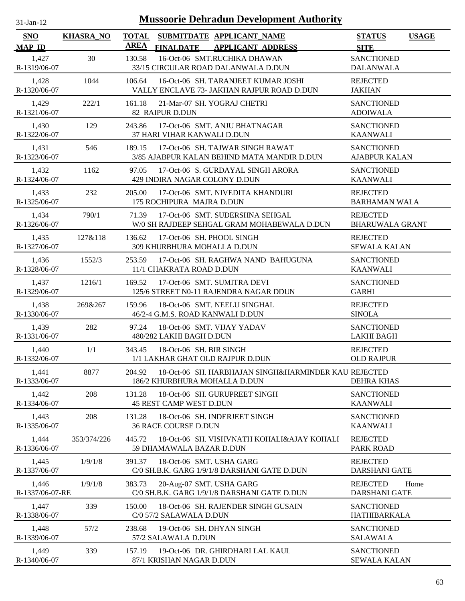| $31-Jan-12$                 |                  | <b>Mussoorie Dehradun Development Authority</b>                                                          |                                                 |
|-----------------------------|------------------|----------------------------------------------------------------------------------------------------------|-------------------------------------------------|
| <b>SNO</b><br><b>MAP ID</b> | <b>KHASRA_NO</b> | <b>TOTAL</b><br>SUBMITDATE APPLICANT NAME<br><b>AREA</b><br><b>FINALDATE</b><br><b>APPLICANT ADDRESS</b> | <b>STATUS</b><br><b>USAGE</b><br><b>SITE</b>    |
| 1,427<br>R-1319/06-07       | 30               | 16-Oct-06 SMT.RUCHIKA DHAWAN<br>130.58<br>33/15 CIRCULAR ROAD DALANWALA D.DUN                            | <b>SANCTIONED</b><br><b>DALANWALA</b>           |
| 1,428<br>R-1320/06-07       | 1044             | 16-Oct-06 SH. TARANJEET KUMAR JOSHI<br>106.64<br>VALLY ENCLAVE 73- JAKHAN RAJPUR ROAD D.DUN              | <b>REJECTED</b><br><b>JAKHAN</b>                |
| 1,429<br>R-1321/06-07       | 222/1            | 161.18<br>21-Mar-07 SH. YOGRAJ CHETRI<br>82 RAIPUR D.DUN                                                 | <b>SANCTIONED</b><br><b>ADOIWALA</b>            |
| 1,430<br>R-1322/06-07       | 129              | 243.86<br>17-Oct-06 SMT. ANJU BHATNAGAR<br>37 HARI VIHAR KANWALI D.DUN                                   | <b>SANCTIONED</b><br><b>KAANWALI</b>            |
| 1,431<br>R-1323/06-07       | 546              | 17-Oct-06 SH. TAJWAR SINGH RAWAT<br>189.15<br>3/85 AJABPUR KALAN BEHIND MATA MANDIR D.DUN                | <b>SANCTIONED</b><br><b>AJABPUR KALAN</b>       |
| 1,432<br>R-1324/06-07       | 1162             | 97.05<br>17-Oct-06 S. GURDAYAL SINGH ARORA<br>429 INDIRA NAGAR COLONY D.DUN                              | <b>SANCTIONED</b><br><b>KAANWALI</b>            |
| 1,433<br>R-1325/06-07       | 232              | 17-Oct-06 SMT. NIVEDITA KHANDURI<br>205.00<br>175 ROCHIPURA MAJRA D.DUN                                  | <b>REJECTED</b><br><b>BARHAMAN WALA</b>         |
| 1,434<br>R-1326/06-07       | 790/1            | 17-Oct-06 SMT. SUDERSHNA SEHGAL<br>71.39<br>W/0 SH RAJDEEP SEHGAL GRAM MOHABEWALA D.DUN                  | <b>REJECTED</b><br><b>BHARUWALA GRANT</b>       |
| 1,435<br>R-1327/06-07       | 127&118          | 136.62<br>17-Oct-06 SH. PHOOL SINGH<br>309 KHURBHURA MOHALLA D.DUN                                       | <b>REJECTED</b><br><b>SEWALA KALAN</b>          |
| 1,436<br>R-1328/06-07       | 1552/3           | 253.59<br>17-Oct-06 SH. RAGHWA NAND BAHUGUNA<br>11/1 CHAKRATA ROAD D.DUN                                 | <b>SANCTIONED</b><br><b>KAANWALI</b>            |
| 1,437<br>R-1329/06-07       | 1216/1           | 17-Oct-06 SMT. SUMITRA DEVI<br>169.52<br>125/6 STREET N0-11 RAJENDRA NAGAR DDUN                          | <b>SANCTIONED</b><br><b>GARHI</b>               |
| 1,438<br>R-1330/06-07       | 269&267          | 159.96<br>18-Oct-06 SMT. NEELU SINGHAL<br>46/2-4 G.M.S. ROAD KANWALI D.DUN                               | <b>REJECTED</b><br><b>SINOLA</b>                |
| 1,439<br>R-1331/06-07       | 282              | 97.24<br>18-Oct-06 SMT. VIJAY YADAV<br>480/282 LAKHI BAGH D.DUN                                          | <b>SANCTIONED</b><br><b>LAKHI BAGH</b>          |
| 1,440<br>R-1332/06-07       | 1/1              | 343.45<br>18-Oct-06 SH, BIR SINGH<br>1/1 LAKHAR GHAT OLD RAJPUR D.DUN                                    | <b>REJECTED</b><br><b>OLD RAJPUR</b>            |
| 1,441<br>R-1333/06-07       | 8877             | 18-Oct-06 SH. HARBHAJAN SINGH&HARMINDER KAU REJECTED<br>204.92<br>186/2 KHURBHURA MOHALLA D.DUN          | <b>DEHRA KHAS</b>                               |
| 1,442<br>R-1334/06-07       | 208              | 18-Oct-06 SH. GURUPREET SINGH<br>131.28<br>45 REST CAMP WEST D.DUN                                       | <b>SANCTIONED</b><br><b>KAANWALI</b>            |
| 1,443<br>R-1335/06-07       | 208              | 18-Oct-06 SH. INDERJEET SINGH<br>131.28<br>36 RACE COURSE D.DUN                                          | <b>SANCTIONED</b><br><b>KAANWALI</b>            |
| 1,444<br>R-1336/06-07       | 353/374/226      | 445.72<br>18-Oct-06 SH. VISHVNATH KOHALI&AJAY KOHALI<br>59 DHAMAWALA BAZAR D.DUN                         | <b>REJECTED</b><br><b>PARK ROAD</b>             |
| 1,445<br>R-1337/06-07       | 1/9/1/8          | 18-Oct-06 SMT. USHA GARG<br>391.37<br>C/0 SH.B.K. GARG 1/9/1/8 DARSHANI GATE D.DUN                       | <b>REJECTED</b><br><b>DARSHANI GATE</b>         |
| 1,446<br>R-1337/06-07-RE    | 1/9/1/8          | 383.73<br>20-Aug-07 SMT. USHA GARG<br>C/0 SH.B.K. GARG 1/9/1/8 DARSHANI GATE D.DUN                       | <b>REJECTED</b><br>Home<br><b>DARSHANI GATE</b> |
| 1,447<br>R-1338/06-07       | 339              | 150.00<br>18-Oct-06 SH. RAJENDER SINGH GUSAIN<br>C/0 57/2 SALAWALA D.DUN                                 | <b>SANCTIONED</b><br>HATHIBARKALA               |
| 1,448<br>R-1339/06-07       | 57/2             | 238.68<br>19-Oct-06 SH. DHYAN SINGH<br>57/2 SALAWALA D.DUN                                               | <b>SANCTIONED</b><br><b>SALAWALA</b>            |
| 1,449<br>R-1340/06-07       | 339              | 157.19<br>19-Oct-06 DR. GHIRDHARI LAL KAUL<br>87/1 KRISHAN NAGAR D.DUN                                   | <b>SANCTIONED</b><br><b>SEWALA KALAN</b>        |

 $\overline{\phantom{0}}$ 

 $\overline{\phantom{a}}$ 

 $\overline{\phantom{a}}$ 

J.

J.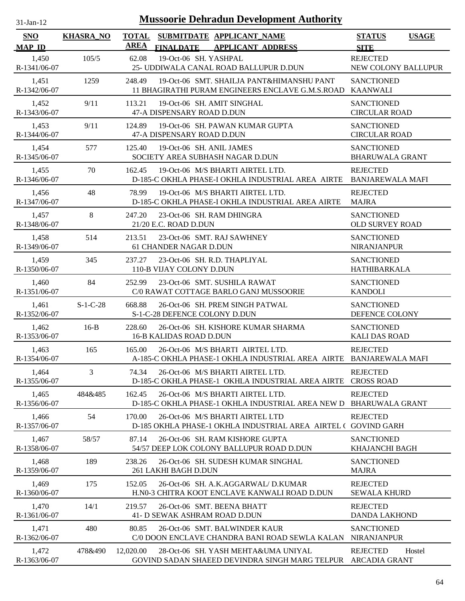| $31$ -Jan-12                |                  |                             | <b>Mussoorie Dehradun Development Authority</b>                                                        |                                                   |  |
|-----------------------------|------------------|-----------------------------|--------------------------------------------------------------------------------------------------------|---------------------------------------------------|--|
| <b>SNO</b><br><b>MAP ID</b> | <b>KHASRA_NO</b> | <b>TOTAL</b><br><b>AREA</b> | SUBMITDATE APPLICANT NAME<br><b>APPLICANT ADDRESS</b><br><b>FINALDATE</b>                              | <b>STATUS</b><br><b>USAGE</b><br><b>SITE</b>      |  |
| 1,450<br>R-1341/06-07       | 105/5            | 62.08                       | 19-Oct-06 SH. YASHPAL<br>25- UDDIWALA CANAL ROAD BALLUPUR D.DUN                                        | <b>REJECTED</b><br>NEW COLONY BALLUPUR            |  |
| 1,451<br>R-1342/06-07       | 1259             | 248.49                      | 19-Oct-06 SMT. SHAILJA PANT&HIMANSHU PANT<br>11 BHAGIRATHI PURAM ENGINEERS ENCLAVE G.M.S.ROAD          | <b>SANCTIONED</b><br><b>KAANWALI</b>              |  |
| 1,452<br>R-1343/06-07       | 9/11             | 113.21                      | 19-Oct-06 SH. AMIT SINGHAL<br>47-A DISPENSARY ROAD D.DUN                                               | <b>SANCTIONED</b><br><b>CIRCULAR ROAD</b>         |  |
| 1,453<br>R-1344/06-07       | 9/11             | 124.89                      | 19-Oct-06 SH. PAWAN KUMAR GUPTA<br>47-A DISPENSARY ROAD D.DUN                                          | <b>SANCTIONED</b><br><b>CIRCULAR ROAD</b>         |  |
| 1,454<br>R-1345/06-07       | 577              | 125.40                      | 19-Oct-06 SH. ANIL JAMES<br>SOCIETY AREA SUBHASH NAGAR D.DUN                                           | <b>SANCTIONED</b><br><b>BHARUWALA GRANT</b>       |  |
| 1,455<br>R-1346/06-07       | 70               | 162.45                      | 19-Oct-06 M/S BHARTI AIRTEL LTD.<br>D-185-C OKHLA PHASE-I OKHLA INDUSTRIAL AREA AIRTE                  | <b>REJECTED</b><br><b>BANJAREWALA MAFI</b>        |  |
| 1,456<br>R-1347/06-07       | 48               | 78.99                       | 19-Oct-06 M/S BHARTI AIRTEL LTD.<br>D-185-C OKHLA PHASE-I OKHLA INDUSTRIAL AREA AIRTE                  | <b>REJECTED</b><br><b>MAJRA</b>                   |  |
| 1,457<br>R-1348/06-07       | $8\,$            | 247.20                      | 23-Oct-06 SH. RAM DHINGRA<br>21/20 E.C. ROAD D.DUN                                                     | <b>SANCTIONED</b><br><b>OLD SURVEY ROAD</b>       |  |
| 1,458<br>R-1349/06-07       | 514              | 213.51                      | 23-Oct-06 SMT. RAJ SAWHNEY<br>61 CHANDER NAGAR D.DUN                                                   | <b>SANCTIONED</b><br>NIRANJANPUR                  |  |
| 1,459<br>R-1350/06-07       | 345              | 237.27                      | 23-Oct-06 SH. R.D. THAPLIYAL<br>110-B VIJAY COLONY D.DUN                                               | <b>SANCTIONED</b><br>HATHIBARKALA                 |  |
| 1,460<br>R-1351/06-07       | 84               | 252.99                      | 23-Oct-06 SMT. SUSHILA RAWAT<br>C/0 RAWAT COTTAGE BARLO GANJ MUSSOORIE                                 | <b>SANCTIONED</b><br><b>KANDOLI</b>               |  |
| 1,461<br>R-1352/06-07       | $S-1-C-28$       | 668.88                      | 26-Oct-06 SH. PREM SINGH PATWAL<br>S-1-C-28 DEFENCE COLONY D.DUN                                       | <b>SANCTIONED</b><br>DEFENCE COLONY               |  |
| 1,462<br>R-1353/06-07       | $16-B$           | 228.60                      | 26-Oct-06 SH. KISHORE KUMAR SHARMA<br><b>16-B KALIDAS ROAD D.DUN</b>                                   | <b>SANCTIONED</b><br><b>KALI DAS ROAD</b>         |  |
| 1,463<br>R-1354/06-07       | 165              | 165.00                      | 26-Oct-06 M/S BHARTI AIRTEL LTD.<br>A-185-C OKHLA PHASE-1 OKHLA INDUSTRIAL AREA AIRTE BANJAREWALA MAFI | <b>REJECTED</b>                                   |  |
| 1,464<br>R-1355/06-07       | 3                | 74.34                       | 26-Oct-06 M/S BHARTI AIRTEL LTD.<br>D-185-C OKHLA PHASE-1 OKHLA INDUSTRIAL AREA AIRTE                  | <b>REJECTED</b><br><b>CROSS ROAD</b>              |  |
| 1,465<br>R-1356/06-07       | 484&485          | 162.45                      | 26-Oct-06 M/S BHARTI AIRTEL LTD.<br>D-185-C OKHLA PHASE-1 OKHLA INDUSTRIAL AREA NEW D                  | <b>REJECTED</b><br><b>BHARUWALA GRANT</b>         |  |
| 1,466<br>R-1357/06-07       | 54               | 170.00                      | 26-Oct-06 M/S BHARTI AIRTEL LTD<br>D-185 OKHLA PHASE-1 OKHLA INDUSTRIAL AREA AIRTEL (GOVIND GARH       | <b>REJECTED</b>                                   |  |
| 1,467<br>R-1358/06-07       | 58/57            | 87.14                       | 26-Oct-06 SH. RAM KISHORE GUPTA<br>54/57 DEEP LOK COLONY BALLUPUR ROAD D.DUN                           | <b>SANCTIONED</b><br>KHAJANCHI BAGH               |  |
| 1,468<br>R-1359/06-07       | 189              | 238.26                      | 26-Oct-06 SH. SUDESH KUMAR SINGHAL<br>261 LAKHI BAGH D.DUN                                             | <b>SANCTIONED</b><br><b>MAJRA</b>                 |  |
| 1,469<br>R-1360/06-07       | 175              | 152.05                      | 26-Oct-06 SH. A.K.AGGARWAL/ D.KUMAR<br>H.NO-3 CHITRA KOOT ENCLAVE KANWALI ROAD D.DUN                   | <b>REJECTED</b><br><b>SEWALA KHURD</b>            |  |
| 1,470<br>R-1361/06-07       | 14/1             | 219.57                      | 26-Oct-06 SMT. BEENA BHATT<br>41- D SEWAK ASHRAM ROAD D.DUN                                            | <b>REJECTED</b><br><b>DANDA LAKHOND</b>           |  |
| 1,471<br>R-1362/06-07       | 480              | 80.85                       | 26-Oct-06 SMT. BALWINDER KAUR<br>C/0 DOON ENCLAVE CHANDRA BANI ROAD SEWLA KALAN                        | <b>SANCTIONED</b><br><b>NIRANJANPUR</b>           |  |
| 1,472<br>R-1363/06-07       | 478&490          | 12,020.00                   | 28-Oct-06 SH. YASH MEHTA&UMA UNIYAL<br>GOVIND SADAN SHAEED DEVINDRA SINGH MARG TELPUR                  | <b>REJECTED</b><br>Hostel<br><b>ARCADIA GRANT</b> |  |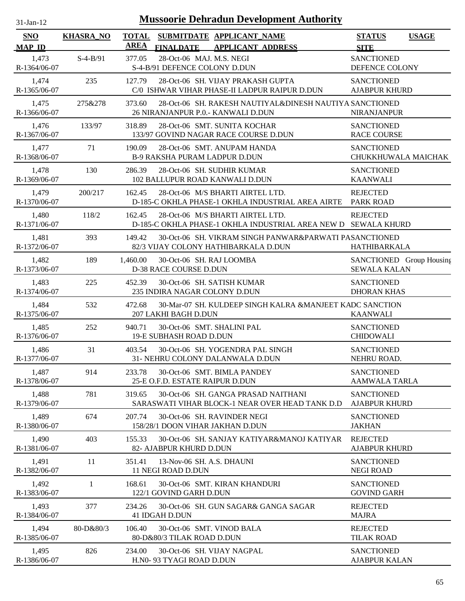| $31$ -Jan-12                |                  |                             |                                                           | <b>Mussoorie Dehradun Development Authority</b>                                                    |                                                 |              |
|-----------------------------|------------------|-----------------------------|-----------------------------------------------------------|----------------------------------------------------------------------------------------------------|-------------------------------------------------|--------------|
| <b>SNO</b><br><b>MAP ID</b> | <b>KHASRA_NO</b> | <b>TOTAL</b><br><b>AREA</b> | <b>FINALDATE</b>                                          | SUBMITDATE APPLICANT_NAME<br><b>APPLICANT ADDRESS</b>                                              | <b>STATUS</b><br><b>SITE</b>                    | <b>USAGE</b> |
| 1,473<br>R-1364/06-07       | $S-4-B/91$       | 377.05                      | 28-Oct-06 MAJ. M.S. NEGI<br>S-4-B/91 DEFENCE COLONY D.DUN |                                                                                                    | <b>SANCTIONED</b><br>DEFENCE COLONY             |              |
| 1,474<br>R-1365/06-07       | 235              | 127.79                      |                                                           | 28-Oct-06 SH. VIJAY PRAKASH GUPTA<br>C/0 ISHWAR VIHAR PHASE-II LADPUR RAIPUR D.DUN                 | <b>SANCTIONED</b><br><b>AJABPUR KHURD</b>       |              |
| 1,475<br>R-1366/06-07       | 275&278          | 373.60                      |                                                           | 28-Oct-06 SH. RAKESH NAUTIYAL&DINESH NAUTIYA SANCTIONED<br>26 NIRANJANPUR P.O. - KANWALI D.DUN     | <b>NIRANJANPUR</b>                              |              |
| 1,476<br>R-1367/06-07       | 133/97           | 318.89                      |                                                           | 28-Oct-06 SMT. SUNITA KOCHAR<br>133/97 GOVIND NAGAR RACE COURSE D.DUN                              | <b>SANCTIONED</b><br><b>RACE COURSE</b>         |              |
| 1,477<br>R-1368/06-07       | 71               | 190.09                      |                                                           | 28-Oct-06 SMT. ANUPAM HANDA<br>B-9 RAKSHA PURAM LADPUR D.DUN                                       | <b>SANCTIONED</b><br>CHUKKHUWALA MAICHAK        |              |
| 1,478<br>R-1369/06-07       | 130              | 286.39                      |                                                           | 28-Oct-06 SH. SUDHIR KUMAR<br>102 BALLUPUR ROAD KANWALI D.DUN                                      | <b>SANCTIONED</b><br><b>KAANWALI</b>            |              |
| 1,479<br>R-1370/06-07       | 200/217          | 162.45                      |                                                           | 28-Oct-06 M/S BHARTI AIRTEL LTD.<br>D-185-C OKHLA PHASE-1 OKHLA INDUSTRIAL AREA AIRTE PARK ROAD    | <b>REJECTED</b>                                 |              |
| 1,480<br>R-1371/06-07       | 118/2            | 162.45                      |                                                           | 28-Oct-06 M/S BHARTI AIRTEL LTD.<br>D-185-C OKHLA PHASE-1 OKHLA INDUSTRIAL AREA NEW D SEWALA KHURD | <b>REJECTED</b>                                 |              |
| 1,481<br>R-1372/06-07       | 393              | 149.42                      |                                                           | 30-Oct-06 SH. VIKRAM SINGH PANWAR&PARWATI PASANCTIONED<br>82/3 VIJAY COLONY HATHIBARKALA D.DUN     | HATHIBARKALA                                    |              |
| 1,482<br>R-1373/06-07       | 189              | 1,460.00                    | D-38 RACE COURSE D.DUN                                    | 30-Oct-06 SH. RAJ LOOMBA                                                                           | SANCTIONED Group Housing<br><b>SEWALA KALAN</b> |              |
| 1,483<br>R-1374/06-07       | 225              | 452.39                      | 235 INDIRA NAGAR COLONY D.DUN                             | 30-Oct-06 SH. SATISH KUMAR                                                                         | <b>SANCTIONED</b><br><b>DHORAN KHAS</b>         |              |
| 1,484<br>R-1375/06-07       | 532              | 472.68                      | 207 LAKHI BAGH D.DUN                                      | 30-Mar-07 SH. KULDEEP SINGH KALRA &MANJEET KADC SANCTION                                           | <b>KAANWALI</b>                                 |              |
| 1,485<br>R-1376/06-07       | 252              | 940.71                      | 19-E SUBHASH ROAD D.DUN                                   | 30-Oct-06 SMT. SHALINI PAL                                                                         | <b>SANCTIONED</b><br><b>CHIDOWALI</b>           |              |
| 1,486<br>R-1377/06-07       | 31               | 403.54                      |                                                           | 30-Oct-06 SH. YOGENDRA PAL SINGH<br>31- NEHRU COLONY DALANWALA D.DUN                               | <b>SANCTIONED</b><br>NEHRU ROAD.                |              |
| 1,487<br>R-1378/06-07       | 914              | 233.78                      | 25-E O.F.D. ESTATE RAIPUR D.DUN                           | 30-Oct-06 SMT. BIMLA PANDEY                                                                        | <b>SANCTIONED</b><br><b>AAMWALA TARLA</b>       |              |
| 1,488<br>R-1379/06-07       | 781              | 319.65                      |                                                           | 30-Oct-06 SH. GANGA PRASAD NAITHANI<br>SARASWATI VIHAR BLOCK-1 NEAR OVER HEAD TANK D.D             | <b>SANCTIONED</b><br><b>AJABPUR KHURD</b>       |              |
| 1,489<br>R-1380/06-07       | 674              | 207.74                      |                                                           | 30-Oct-06 SH. RAVINDER NEGI<br>158/28/1 DOON VIHAR JAKHAN D.DUN                                    | <b>SANCTIONED</b><br><b>JAKHAN</b>              |              |
| 1,490<br>R-1381/06-07       | 403              | 155.33                      | 82- AJABPUR KHURD D.DUN                                   | 30-Oct-06 SH. SANJAY KATIYAR&MANOJ KATIYAR                                                         | <b>REJECTED</b><br><b>AJABPUR KHURD</b>         |              |
| 1,491<br>R-1382/06-07       | 11               | 351.41                      | 13-Nov-06 SH. A.S. DHAUNI<br>11 NEGI ROAD D.DUN           |                                                                                                    | <b>SANCTIONED</b><br><b>NEGI ROAD</b>           |              |
| 1,492<br>R-1383/06-07       | 1                | 168.61                      | 122/1 GOVIND GARH D.DUN                                   | 30-Oct-06 SMT. KIRAN KHANDURI                                                                      | <b>SANCTIONED</b><br><b>GOVIND GARH</b>         |              |
| 1,493<br>R-1384/06-07       | 377              | 234.26                      | 41 IDGAH D.DUN                                            | 30-Oct-06 SH. GUN SAGAR& GANGA SAGAR                                                               | <b>REJECTED</b><br><b>MAJRA</b>                 |              |
| 1,494<br>R-1385/06-07       | 80-D&80/3        | 106.40                      | 80-D&80/3 TILAK ROAD D.DUN                                | 30-Oct-06 SMT. VINOD BALA                                                                          | <b>REJECTED</b><br><b>TILAK ROAD</b>            |              |
| 1,495<br>R-1386/06-07       | 826              | 234.00                      | H.N0-93 TYAGI ROAD D.DUN                                  | 30-Oct-06 SH. VIJAY NAGPAL                                                                         | <b>SANCTIONED</b><br><b>AJABPUR KALAN</b>       |              |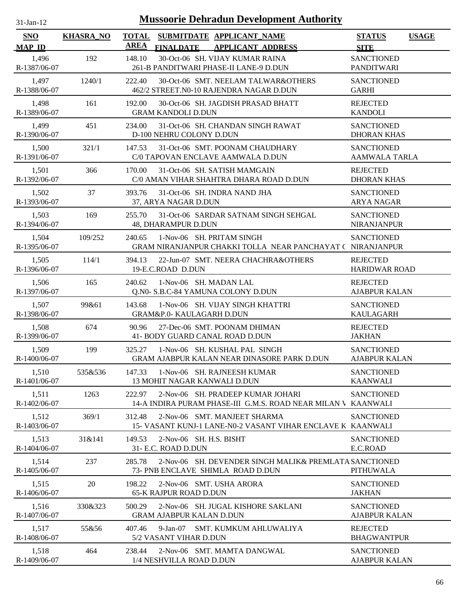| -Jan- |  |
|-------|--|
|       |  |

| <b>SNO</b><br><b>MAP ID</b> | <b>KHASRA_NO</b> | <b>TOTAL</b><br><b>AREA</b> | <b>FINALDATE</b>                               | SUBMITDATE APPLICANT NAME<br><b>APPLICANT ADDRESS</b>                                              | <b>STATUS</b><br><b>SITE</b>              | <b>USAGE</b> |
|-----------------------------|------------------|-----------------------------|------------------------------------------------|----------------------------------------------------------------------------------------------------|-------------------------------------------|--------------|
| 1,496<br>R-1387/06-07       | 192              | 148.10                      |                                                | 30-Oct-06 SH. VIJAY KUMAR RAINA<br>261-B PANDITWARI PHASE-II LANE-9 D.DUN                          | <b>SANCTIONED</b><br><b>PANDITWARI</b>    |              |
| 1,497<br>R-1388/06-07       | 1240/1           | 222.40                      |                                                | 30-Oct-06 SMT. NEELAM TALWAR&OTHERS<br>462/2 STREET.N0-10 RAJENDRA NAGAR D.DUN                     | <b>SANCTIONED</b><br><b>GARHI</b>         |              |
| 1,498<br>R-1389/06-07       | 161              | 192.00                      | <b>GRAM KANDOLI D.DUN</b>                      | 30-Oct-06 SH. JAGDISH PRASAD BHATT                                                                 | <b>REJECTED</b><br><b>KANDOLI</b>         |              |
| 1,499<br>R-1390/06-07       | 451              | 234.00                      | D-100 NEHRU COLONY D.DUN                       | 31-Oct-06 SH. CHANDAN SINGH RAWAT                                                                  | <b>SANCTIONED</b><br><b>DHORAN KHAS</b>   |              |
| 1,500<br>R-1391/06-07       | 321/1            | 147.53                      |                                                | 31-Oct-06 SMT. POONAM CHAUDHARY<br>C/0 TAPOVAN ENCLAVE AAMWALA D.DUN                               | <b>SANCTIONED</b><br><b>AAMWALA TARLA</b> |              |
| 1,501<br>R-1392/06-07       | 366              | 170.00                      |                                                | 31-Oct-06 SH. SATISH MAMGAIN<br>C/0 AMAN VIHAR SHAHTRA DHARA ROAD D.DUN                            | <b>REJECTED</b><br><b>DHORAN KHAS</b>     |              |
| 1,502<br>R-1393/06-07       | 37               | 393.76                      | 37, ARYA NAGAR D.DUN                           | 31-Oct-06 SH. INDRA NAND JHA                                                                       | <b>SANCTIONED</b><br><b>ARYA NAGAR</b>    |              |
| 1,503<br>R-1394/06-07       | 169              | 255.70                      | 48, DHARAMPUR D.DUN                            | 31-Oct-06 SARDAR SATNAM SINGH SEHGAL                                                               | <b>SANCTIONED</b><br><b>NIRANJANPUR</b>   |              |
| 1,504<br>R-1395/06-07       | 109/252          | 240.65                      |                                                | 1-Nov-06 SH. PRITAM SINGH<br>GRAM NIRANJANPUR CHAKKI TOLLA NEAR PANCHAYAT ( NIRANJANPUR            | <b>SANCTIONED</b>                         |              |
| 1,505<br>R-1396/06-07       | 114/1            | 394.13                      | 19-E.C.ROAD D.DUN                              | 22-Jun-07 SMT. NEERA CHACHRA&OTHERS                                                                | <b>REJECTED</b><br><b>HARIDWAR ROAD</b>   |              |
| 1,506<br>R-1397/06-07       | 165              | 240.62                      | 1-Nov-06 SH. MADAN LAL                         | Q.N0- S.B.C-84 YAMUNA COLONY D.DUN                                                                 | <b>REJECTED</b><br><b>AJABPUR KALAN</b>   |              |
| 1,507<br>R-1398/06-07       | 99&61            | 143.68                      | <b>GRAM&amp;P.0- KAULAGARH D.DUN</b>           | 1-Nov-06 SH. VIJAY SINGH KHATTRI                                                                   | <b>SANCTIONED</b><br><b>KAULAGARH</b>     |              |
| 1,508<br>R-1399/06-07       | 674              | 90.96                       |                                                | 27-Dec-06 SMT, POONAM DHIMAN<br>41- BODY GUARD CANAL ROAD D.DUN                                    | <b>REJECTED</b><br><b>JAKHAN</b>          |              |
| 1,509<br>R-1400/06-07       | 199              | 325.27                      |                                                | 1-Nov-06 SH. KUSHAL PAL SINGH<br>GRAM AJABPUR KALAN NEAR DINASORE PARK D.DUN                       | <b>SANCTIONED</b><br><b>AJABPUR KALAN</b> |              |
| 1,510<br>R-1401/06-07       | 535&536          | 147.33                      | <b>13 MOHIT NAGAR KANWALI D.DUN</b>            | 1-Nov-06 SH. RAJNEESH KUMAR                                                                        | <b>SANCTIONED</b><br><b>KAANWALI</b>      |              |
| 1,511<br>R-1402/06-07       | 1263             | 222.97                      |                                                | 2-Nov-06 SH. PRADEEP KUMAR JOHARI<br>14-A INDIRA PURAM PHASE-III G.M.S. ROAD NEAR MILAN V KAANWALI | <b>SANCTIONED</b>                         |              |
| 1,512<br>R-1403/06-07       | 369/1            | 312.48                      |                                                | 2-Nov-06 SMT. MANJEET SHARMA<br>15- VASANT KUNJ-1 LANE-N0-2 VASANT VIHAR ENCLAVE K KAANWALI        | <b>SANCTIONED</b>                         |              |
| 1,513<br>R-1404/06-07       | 31&141           | 149.53                      | 2-Nov-06 SH. H.S. BISHT<br>31- E.C. ROAD D.DUN |                                                                                                    | <b>SANCTIONED</b><br>E.C.ROAD             |              |
| 1,514<br>R-1405/06-07       | 237              | 285.78                      |                                                | 2-Nov-06 SH. DEVENDER SINGH MALIK& PREMLATA SANCTIONED<br>73- PNB ENCLAVE SHIMLA ROAD D.DUN        | <b>PITHUWALA</b>                          |              |
| 1,515<br>R-1406/06-07       | 20               | 198.22                      | <b>65-K RAJPUR ROAD D.DUN</b>                  | 2-Nov-06 SMT. USHA ARORA                                                                           | <b>SANCTIONED</b><br><b>JAKHAN</b>        |              |
| 1,516<br>R-1407/06-07       | 330&323          | 500.29                      | <b>GRAM AJABPUR KALAN D.DUN</b>                | 2-Nov-06 SH. JUGAL KISHORE SAKLANI                                                                 | <b>SANCTIONED</b><br><b>AJABPUR KALAN</b> |              |
| 1,517<br>R-1408/06-07       | 55&56            | 407.46                      | $9-Jan-07$<br>5/2 VASANT VIHAR D.DUN           | SMT. KUMKUM AHLUWALIYA                                                                             | <b>REJECTED</b><br><b>BHAGWANTPUR</b>     |              |
| 1,518<br>R-1409/06-07       | 464              | 238.44                      | 1/4 NESHVILLA ROAD D.DUN                       | 2-Nov-06 SMT. MAMTA DANGWAL                                                                        | <b>SANCTIONED</b><br><b>AJABPUR KALAN</b> |              |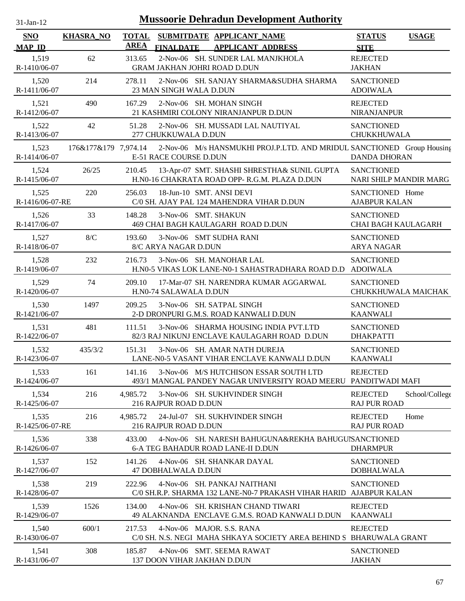| $31$ -Jan-12             |                      |              |                         | <b>Mussoorie Dehradun Development Authority</b>                                                           |                                                 |                |
|--------------------------|----------------------|--------------|-------------------------|-----------------------------------------------------------------------------------------------------------|-------------------------------------------------|----------------|
| <b>SNO</b>               | <b>KHASRA_NO</b>     | <b>TOTAL</b> |                         | SUBMITDATE APPLICANT_NAME                                                                                 | <b>STATUS</b>                                   | <b>USAGE</b>   |
| <b>MAP ID</b>            |                      | <b>AREA</b>  | <b>FINALDATE</b>        | <b>APPLICANT ADDRESS</b>                                                                                  | <b>SITE</b>                                     |                |
| 1,519<br>R-1410/06-07    | 62                   | 313.65       |                         | 2-Nov-06 SH. SUNDER LAL MANJKHOLA<br>GRAM JAKHAN JOHRI ROAD D.DUN                                         | <b>REJECTED</b><br><b>JAKHAN</b>                |                |
| 1,520<br>R-1411/06-07    | 214                  | 278.11       | 23 MAN SINGH WALA D.DUN | 2-Nov-06 SH. SANJAY SHARMA&SUDHA SHARMA                                                                   | <b>SANCTIONED</b><br><b>ADOIWALA</b>            |                |
| 1,521<br>R-1412/06-07    | 490                  | 167.29       |                         | 2-Nov-06 SH, MOHAN SINGH<br>21 KASHMIRI COLONY NIRANJANPUR D.DUN                                          | <b>REJECTED</b><br>NIRANJANPUR                  |                |
| 1,522<br>R-1413/06-07    | 42                   | 51.28        | 277 CHUKKUWALA D.DUN    | 2-Nov-06 SH. MUSSADI LAL NAUTIYAL                                                                         | <b>SANCTIONED</b><br>CHUKKHUWALA                |                |
| 1,523<br>R-1414/06-07    | 176&177&179 7,974.14 |              | E-51 RACE COURSE D.DUN  | 2-Nov-06 M/s HANSMUKHI PROJ.P.LTD. AND MRIDUL SANCTIONED Group Housing                                    | <b>DANDA DHORAN</b>                             |                |
| 1,524<br>R-1415/06-07    | 26/25                | 210.45       |                         | 13-Apr-07 SMT. SHASHI SHRESTHA& SUNIL GUPTA<br>H.N0-16 CHAKRATA ROAD OPP-R.G.M. PLAZA D.DUN               | <b>SANCTIONED</b><br>NARI SHILP MANDIR MARG     |                |
| 1,525<br>R-1416/06-07-RE | 220                  | 256.03       |                         | 18-Jun-10 SMT. ANSI DEVI<br>C/0 SH. AJAY PAL 124 MAHENDRA VIHAR D.DUN                                     | SANCTIONED Home<br><b>AJABPUR KALAN</b>         |                |
| 1,526<br>R-1417/06-07    | 33                   | 148.28       |                         | 3-Nov-06 SMT. SHAKUN<br>469 CHAI BAGH KAULAGARH ROAD D.DUN                                                | <b>SANCTIONED</b><br><b>CHAI BAGH KAULAGARH</b> |                |
| 1,527<br>R-1418/06-07    | 8/C                  | 193.60       | 8/C ARYA NAGAR D.DUN    | 3-Nov-06 SMT SUDHA RANI                                                                                   | <b>SANCTIONED</b><br><b>ARYA NAGAR</b>          |                |
| 1,528<br>R-1419/06-07    | 232                  | 216.73       |                         | 3-Nov-06 SH. MANOHAR LAL<br>H.N0-5 VIKAS LOK LANE-N0-1 SAHASTRADHARA ROAD D.D                             | <b>SANCTIONED</b><br><b>ADOIWALA</b>            |                |
| 1,529<br>R-1420/06-07    | 74                   | 209.10       | H.N0-74 SALAWALA D.DUN  | 17-Mar-07 SH. NARENDRA KUMAR AGGARWAL                                                                     | <b>SANCTIONED</b><br>CHUKKHUWALA MAICHAK        |                |
| 1,530<br>R-1421/06-07    | 1497                 | 209.25       |                         | 3-Nov-06 SH. SATPAL SINGH<br>2-D DRONPURI G.M.S. ROAD KANWALI D.DUN                                       | <b>SANCTIONED</b><br><b>KAANWALI</b>            |                |
| 1,531<br>R-1422/06-07    | 481                  | 111.51       |                         | 3-Nov-06 SHARMA HOUSING INDIA PVT.LTD<br>82/3 RAJ NIKUNJ ENCLAVE KAULAGARH ROAD D.DUN                     | <b>SANCTIONED</b><br><b>DHAKPATTI</b>           |                |
| 1,532<br>R-1423/06-07    | 435/3/2              | 151.31       |                         | 3-Nov-06 SH, AMAR NATH DUREJA<br>LANE-N0-5 VASANT VIHAR ENCLAVE KANWALI D.DUN                             | <b>SANCTIONED</b><br><b>KAANWALI</b>            |                |
| 1,533<br>R-1424/06-07    | 161                  | 141.16       |                         | 3-Nov-06 M/S HUTCHISON ESSAR SOUTH LTD<br>493/1 MANGAL PANDEY NAGAR UNIVERSITY ROAD MEERU PANDITWADI MAFI | <b>REJECTED</b>                                 |                |
| 1,534<br>R-1425/06-07    | 216                  | 4,985.72     | 216 RAJPUR ROAD D.DUN   | 3-Nov-06 SH. SUKHVINDER SINGH                                                                             | <b>REJECTED</b><br><b>RAJ PUR ROAD</b>          | School/College |
| 1,535<br>R-1425/06-07-RE | 216                  | 4,985.72     | 216 RAJPUR ROAD D.DUN   | 24-Jul-07 SH. SUKHVINDER SINGH                                                                            | <b>REJECTED</b><br><b>RAJ PUR ROAD</b>          | Home           |
| 1,536<br>R-1426/06-07    | 338                  | 433.00       |                         | 4-Nov-06 SH. NARESH BAHUGUNA&REKHA BAHUGUISANCTIONED<br>6-A TEG BAHADUR ROAD LANE-II D.DUN                | <b>DHARMPUR</b>                                 |                |
| 1,537<br>R-1427/06-07    | 152                  | 141.26       | 47 DOBHALWALA D.DUN     | 4-Nov-06 SH. SHANKAR DAYAL                                                                                | <b>SANCTIONED</b><br><b>DOBHALWALA</b>          |                |
| 1,538<br>R-1428/06-07    | 219                  | 222.96       |                         | 4-Nov-06 SH. PANKAJ NAITHANI<br>C/0 SH.R.P. SHARMA 132 LANE-N0-7 PRAKASH VIHAR HARID AJABPUR KALAN        | <b>SANCTIONED</b>                               |                |
| 1,539<br>R-1429/06-07    | 1526                 | 134.00       |                         | 4-Nov-06 SH. KRISHAN CHAND TIWARI<br>49 ALAKNANDA ENCLAVE G.M.S. ROAD KANWALI D.DUN                       | <b>REJECTED</b><br><b>KAANWALI</b>              |                |
| 1,540<br>R-1430/06-07    | 600/1                | 217.53       |                         | 4-Nov-06 MAJOR. S.S. RANA<br>C/0 SH. N.S. NEGI MAHA SHKAYA SOCIETY AREA BEHIND S BHARUWALA GRANT          | <b>REJECTED</b>                                 |                |
| 1,541<br>R-1431/06-07    | 308                  | 185.87       |                         | 4-Nov-06 SMT. SEEMA RAWAT<br>137 DOON VIHAR JAKHAN D.DUN                                                  | <b>SANCTIONED</b><br><b>JAKHAN</b>              |                |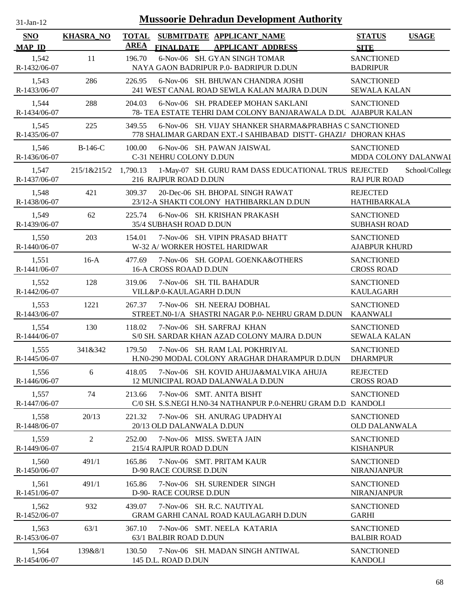| -.ian- |
|--------|
|        |

| <b>SNO</b><br><b>MAP ID</b> | <b>KHASRA_NO</b> | <b>TOTAL</b><br>SUBMITDATE APPLICANT_NAME<br><b>AREA</b><br><b>FINALDATE</b><br><b>APPLICANT ADDRESS</b>                           | <b>STATUS</b><br><b>USAGE</b><br><b>SITE</b> |
|-----------------------------|------------------|------------------------------------------------------------------------------------------------------------------------------------|----------------------------------------------|
| 1,542<br>R-1432/06-07       | 11               | 6-Nov-06 SH. GYAN SINGH TOMAR<br>196.70<br>NAYA GAON BADRIPUR P.0- BADRIPUR D.DUN                                                  | <b>SANCTIONED</b><br><b>BADRIPUR</b>         |
| 1,543<br>R-1433/06-07       | 286              | 6-Nov-06 SH. BHUWAN CHANDRA JOSHI<br>226.95<br>241 WEST CANAL ROAD SEWLA KALAN MAJRA D.DUN                                         | <b>SANCTIONED</b><br><b>SEWALA KALAN</b>     |
| 1,544<br>R-1434/06-07       | 288              | 6-Nov-06 SH. PRADEEP MOHAN SAKLANI<br>204.03<br>78- TEA ESTATE TEHRI DAM COLONY BANJARAWALA D.DU AJABPUR KALAN                     | <b>SANCTIONED</b>                            |
| 1,545<br>R-1435/06-07       | 225              | 6-Nov-06 SH. VIJAY SHANKER SHARMA&PRABHAS C SANCTIONED<br>349.55<br>778 SHALIMAR GARDAN EXT.-I SAHIBABAD DISTT- GHAZIA DHORAN KHAS |                                              |
| 1,546<br>R-1436/06-07       | B-146-C          | 6-Nov-06 SH. PAWAN JAISWAL<br>100.00<br>C-31 NEHRU COLONY D.DUN                                                                    | <b>SANCTIONED</b><br>MDDA COLONY DALANWAI    |
| 1,547<br>R-1437/06-07       | 215/1&215/2      | 1,790.13<br>1-May-07 SH. GURU RAM DASS EDUCATIONAL TRUS REJECTED<br>216 RAJPUR ROAD D.DUN                                          | School/College<br><b>RAJ PUR ROAD</b>        |
| 1,548<br>R-1438/06-07       | 421              | 20-Dec-06 SH. BHOPAL SINGH RAWAT<br>309.37<br>23/12-A SHAKTI COLONY HATHIBARKLAN D.DUN                                             | <b>REJECTED</b><br><b>HATHIBARKALA</b>       |
| 1,549<br>R-1439/06-07       | 62               | 225.74<br>6-Nov-06 SH. KRISHAN PRAKASH<br>35/4 SUBHASH ROAD D.DUN                                                                  | <b>SANCTIONED</b><br><b>SUBHASH ROAD</b>     |
| 1,550<br>R-1440/06-07       | 203              | 7-Nov-06 SH. VIPIN PRASAD BHATT<br>154.01<br>W-32 A/ WORKER HOSTEL HARIDWAR                                                        | <b>SANCTIONED</b><br><b>AJABPUR KHURD</b>    |
| 1,551<br>R-1441/06-07       | $16-A$           | 477.69<br>7-Nov-06 SH. GOPAL GOENKA&OTHERS<br><b>16-A CROSS ROAAD D.DUN</b>                                                        | <b>SANCTIONED</b><br><b>CROSS ROAD</b>       |
| 1,552<br>R-1442/06-07       | 128              | 7-Nov-06 SH. TIL BAHADUR<br>319.06<br>VILL&P.0-KAULAGARH D.DUN                                                                     | <b>SANCTIONED</b><br><b>KAULAGARH</b>        |
| 1,553<br>R-1443/06-07       | 1221             | 7-Nov-06 SH. NEERAJ DOBHAL<br>267.37<br>STREET.N0-1/A SHASTRI NAGAR P.0- NEHRU GRAM D.DUN                                          | <b>SANCTIONED</b><br>KAANWALI                |
| 1,554<br>R-1444/06-07       | 130              | 118.02<br>7-Nov-06 SH. SARFRAJ KHAN<br>S/0 SH. SARDAR KHAN AZAD COLONY MAJRA D.DUN                                                 | <b>SANCTIONED</b><br><b>SEWALA KALAN</b>     |
| 1,555<br>R-1445/06-07       | 341&342          | 7-Nov-06 SH. RAM LAL POKHRIYAL<br>179.50<br>H.N0-290 MODAL COLONY ARAGHAR DHARAMPUR D.DUN                                          | <b>SANCTIONED</b><br><b>DHARMPUR</b>         |
| 1,556<br>R-1446/06-07       | 6                | 7-Nov-06 SH. KOVID AHUJA&MALVIKA AHUJA<br>418.05<br>12 MUNICIPAL ROAD DALANWALA D.DUN                                              | <b>REJECTED</b><br><b>CROSS ROAD</b>         |
| 1,557<br>R-1447/06-07       | 74               | 213.66<br>7-Nov-06 SMT. ANITA BISHT<br>C/0 SH. S.S.NEGI H.N0-34 NATHANPUR P.0-NEHRU GRAM D.D KANDOLI                               | <b>SANCTIONED</b>                            |
| 1,558<br>R-1448/06-07       | 20/13            | 7-Nov-06 SH. ANURAG UPADHYAI<br>221.32<br>20/13 OLD DALANWALA D.DUN                                                                | <b>SANCTIONED</b><br><b>OLD DALANWALA</b>    |
| 1,559<br>R-1449/06-07       | 2                | 252.00<br>7-Nov-06 MISS, SWETA JAIN<br>215/4 RAJPUR ROAD D.DUN                                                                     | <b>SANCTIONED</b><br><b>KISHANPUR</b>        |
| 1,560<br>R-1450/06-07       | 491/1            | 7-Nov-06 SMT. PRITAM KAUR<br>165.86<br>D-90 RACE COURSE D.DUN                                                                      | <b>SANCTIONED</b><br><b>NIRANJANPUR</b>      |
| 1,561<br>R-1451/06-07       | 491/1            | 165.86<br>7-Nov-06 SH. SURENDER SINGH<br>D-90- RACE COURSE D.DUN                                                                   | <b>SANCTIONED</b><br><b>NIRANJANPUR</b>      |
| 1,562<br>R-1452/06-07       | 932              | 7-Nov-06 SH. R.C. NAUTIYAL<br>439.07<br><b>GRAM GARHI CANAL ROAD KAULAGARH D.DUN</b>                                               | <b>SANCTIONED</b><br><b>GARHI</b>            |
| 1,563<br>R-1453/06-07       | 63/1             | 367.10<br>7-Nov-06 SMT. NEELA KATARIA<br>63/1 BALBIR ROAD D.DUN                                                                    | <b>SANCTIONED</b><br><b>BALBIR ROAD</b>      |
| 1,564<br>R-1454/06-07       | 139&8/1          | 130.50<br>7-Nov-06 SH. MADAN SINGH ANTIWAL<br>145 D.L. ROAD D.DUN                                                                  | <b>SANCTIONED</b><br><b>KANDOLI</b>          |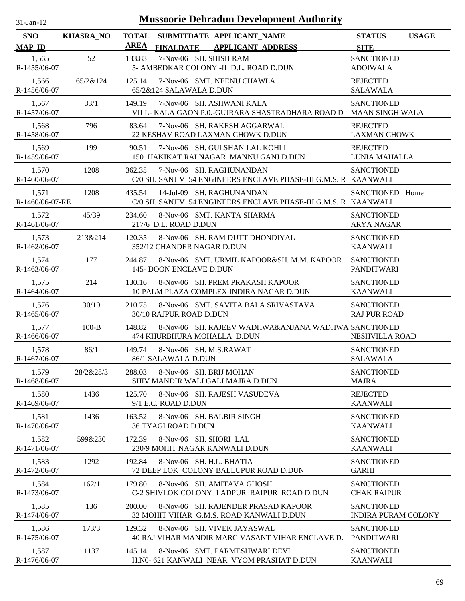| $31-Jan-12$                 |                  | <b>Mussoorie Dehradun Development Authority</b>                                                          |                                                 |
|-----------------------------|------------------|----------------------------------------------------------------------------------------------------------|-------------------------------------------------|
| <b>SNO</b><br><b>MAP ID</b> | <b>KHASRA_NO</b> | <b>TOTAL</b><br>SUBMITDATE APPLICANT_NAME<br><b>AREA</b><br><b>FINALDATE</b><br><b>APPLICANT ADDRESS</b> | <b>STATUS</b><br><b>USAGE</b><br><b>SITE</b>    |
| 1,565<br>R-1455/06-07       | 52               | 7-Nov-06 SH. SHISH RAM<br>133.83<br>5- AMBEDKAR COLONY -II D.L. ROAD D.DUN                               | <b>SANCTIONED</b><br><b>ADOIWALA</b>            |
| 1,566<br>R-1456/06-07       | 65/2&124         | 7-Nov-06 SMT. NEENU CHAWLA<br>125.14<br>65/2&124 SALAWALA D.DUN                                          | <b>REJECTED</b><br><b>SALAWALA</b>              |
| 1,567<br>R-1457/06-07       | 33/1             | 7-Nov-06 SH. ASHWANI KALA<br>149.19<br>VILL- KALA GAON P.O.-GUJRARA SHASTRADHARA ROAD D                  | <b>SANCTIONED</b><br><b>MAAN SINGH WALA</b>     |
| 1,568<br>R-1458/06-07       | 796              | 7-Nov-06 SH. RAKESH AGGARWAL<br>83.64<br>22 KESHAV ROAD LAXMAN CHOWK D.DUN                               | <b>REJECTED</b><br><b>LAXMAN CHOWK</b>          |
| 1,569<br>R-1459/06-07       | 199              | 7-Nov-06 SH. GULSHAN LAL KOHLI<br>90.51<br>150 HAKIKAT RAI NAGAR MANNU GANJ D.DUN                        | <b>REJECTED</b><br>LUNIA MAHALLA                |
| 1,570<br>R-1460/06-07       | 1208             | 362.35<br>7-Nov-06 SH. RAGHUNANDAN<br>C/0 SH. SANJIV 54 ENGINEERS ENCLAVE PHASE-III G.M.S. R KAANWALI    | <b>SANCTIONED</b>                               |
| 1,571<br>R-1460/06-07-RE    | 1208             | 14-Jul-09 SH. RAGHUNANDAN<br>435.54<br>C/0 SH. SANJIV 54 ENGINEERS ENCLAVE PHASE-III G.M.S. R KAANWALI   | SANCTIONED Home                                 |
| 1,572<br>R-1461/06-07       | 45/39            | 8-Nov-06 SMT. KANTA SHARMA<br>234.60<br>217/6 D.L. ROAD D.DUN                                            | <b>SANCTIONED</b><br><b>ARYA NAGAR</b>          |
| 1,573<br>R-1462/06-07       | 213&214          | 120.35<br>8-Nov-06 SH. RAM DUTT DHONDIYAL<br>352/12 CHANDER NAGAR D.DUN                                  | <b>SANCTIONED</b><br><b>KAANWALI</b>            |
| 1,574<br>R-1463/06-07       | 177              | 244.87<br>8-Nov-06 SMT. URMIL KAPOOR&SH. M.M. KAPOOR<br>145-DOON ENCLAVE D.DUN                           | <b>SANCTIONED</b><br><b>PANDITWARI</b>          |
| 1,575<br>R-1464/06-07       | 214              | 130.16<br>8-Nov-06 SH. PREM PRAKASH KAPOOR<br>10 PALM PLAZA COMPLEX INDIRA NAGAR D.DUN                   | <b>SANCTIONED</b><br><b>KAANWALI</b>            |
| 1,576<br>R-1465/06-07       | 30/10            | 210.75<br>8-Nov-06 SMT. SAVITA BALA SRIVASTAVA<br>30/10 RAJPUR ROAD D.DUN                                | <b>SANCTIONED</b><br><b>RAJ PUR ROAD</b>        |
| 1,577<br>R-1466/06-07       | $100 - B$        | 8-Nov-06 SH. RAJEEV WADHWA&ANJANA WADHWA SANCTIONED<br>148.82<br>474 KHURBHURA MOHALLA D.DUN             | NESHVILLA ROAD                                  |
| 1,578<br>R-1467/06-07       | 86/1             | 149.74<br>8-Nov-06 SH. M.S.RAWAT<br>86/1 SALAWALA D.DUN                                                  | <b>SANCTIONED</b><br><b>SALAWALA</b>            |
| 1,579<br>R-1468/06-07       | 28/2&28/3        | 8-Nov-06 SH. BRIJ MOHAN<br>288.03<br>SHIV MANDIR WALI GALI MAJRA D.DUN                                   | <b>SANCTIONED</b><br><b>MAJRA</b>               |
| 1,580<br>R-1469/06-07       | 1436             | 125.70<br>8-Nov-06 SH. RAJESH VASUDEVA<br>9/1 E.C. ROAD D.DUN                                            | <b>REJECTED</b><br><b>KAANWALI</b>              |
| 1,581<br>R-1470/06-07       | 1436             | 8-Nov-06 SH. BALBIR SINGH<br>163.52<br><b>36 TYAGI ROAD D.DUN</b>                                        | <b>SANCTIONED</b><br><b>KAANWALI</b>            |
| 1,582<br>R-1471/06-07       | 599&230          | 172.39<br>8-Nov-06 SH. SHORI LAL<br>230/9 MOHIT NAGAR KANWALI D.DUN                                      | <b>SANCTIONED</b><br><b>KAANWALI</b>            |
| 1,583<br>R-1472/06-07       | 1292             | 8-Nov-06 SH. H.L. BHATIA<br>192.84<br>72 DEEP LOK COLONY BALLUPUR ROAD D.DUN                             | <b>SANCTIONED</b><br><b>GARHI</b>               |
| 1,584<br>R-1473/06-07       | 162/1            | 179.80<br>8-Nov-06 SH. AMITAVA GHOSH<br>C-2 SHIVLOK COLONY LADPUR RAIPUR ROAD D.DUN                      | <b>SANCTIONED</b><br><b>CHAK RAIPUR</b>         |
| 1,585<br>R-1474/06-07       | 136              | 200.00<br>8-Nov-06 SH. RAJENDER PRASAD KAPOOR<br>32 MOHIT VIHAR G.M.S. ROAD KANWALI D.DUN                | <b>SANCTIONED</b><br><b>INDIRA PURAM COLONY</b> |
| 1,586<br>R-1475/06-07       | 173/3            | 129.32<br>8-Nov-06 SH. VIVEK JAYASWAL<br>40 RAJ VIHAR MANDIR MARG VASANT VIHAR ENCLAVE D.                | <b>SANCTIONED</b><br><b>PANDITWARI</b>          |
| 1,587<br>R-1476/06-07       | 1137             | 145.14<br>8-Nov-06 SMT. PARMESHWARI DEVI<br>H.N0- 621 KANWALI NEAR VYOM PRASHAT D.DUN                    | <b>SANCTIONED</b><br><b>KAANWALI</b>            |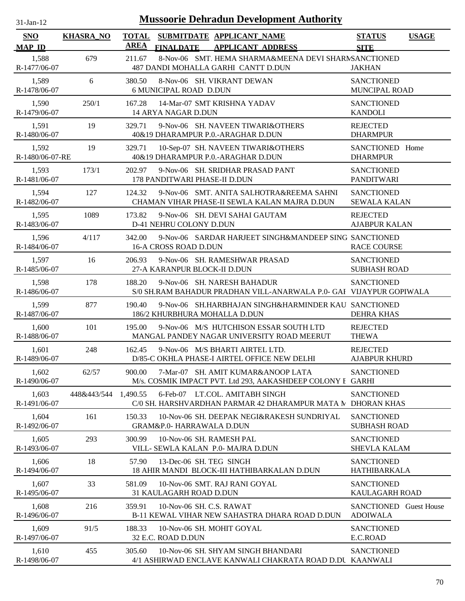| $31$ -Jan-12                | <b>Mussoorie Dehradun Development Authority</b> |                             |                                                 |                                                                                                    |                                            |              |  |  |
|-----------------------------|-------------------------------------------------|-----------------------------|-------------------------------------------------|----------------------------------------------------------------------------------------------------|--------------------------------------------|--------------|--|--|
| <b>SNO</b><br><b>MAP ID</b> | <b>KHASRA_NO</b>                                | <b>TOTAL</b><br><b>AREA</b> | <b>FINALDATE</b>                                | SUBMITDATE APPLICANT_NAME<br><b>APPLICANT ADDRESS</b>                                              | <b>STATUS</b><br><b>SITE</b>               | <b>USAGE</b> |  |  |
| 1,588<br>R-1477/06-07       | 679                                             | 211.67                      |                                                 | 8-Nov-06 SMT. HEMA SHARMA&MEENA DEVI SHARNSANCTIONED<br>487 DANDI MOHALLA GARHI CANTT D.DUN        | <b>JAKHAN</b>                              |              |  |  |
| 1,589<br>R-1478/06-07       | 6                                               | 380.50                      | <b>6 MUNICIPAL ROAD D.DUN</b>                   | 8-Nov-06 SH. VIKRANT DEWAN                                                                         | <b>SANCTIONED</b><br>MUNCIPAL ROAD         |              |  |  |
| 1,590<br>R-1479/06-07       | 250/1                                           | 167.28                      | 14 ARYA NAGAR D.DUN                             | 14-Mar-07 SMT KRISHNA YADAV                                                                        | <b>SANCTIONED</b><br><b>KANDOLI</b>        |              |  |  |
| 1,591<br>R-1480/06-07       | 19                                              | 329.71                      |                                                 | 9-Nov-06 SH. NAVEEN TIWARI&OTHERS<br>40&19 DHARAMPUR P.O.-ARAGHAR D.DUN                            | <b>REJECTED</b><br><b>DHARMPUR</b>         |              |  |  |
| 1,592<br>R-1480/06-07-RE    | 19                                              | 329.71                      |                                                 | 10-Sep-07 SH. NAVEEN TIWARI&OTHERS<br>40&19 DHARAMPUR P.O.-ARAGHAR D.DUN                           | SANCTIONED Home<br><b>DHARMPUR</b>         |              |  |  |
| 1,593<br>R-1481/06-07       | 173/1                                           | 202.97                      | 178 PANDITWARI PHASE-II D.DUN                   | 9-Nov-06 SH. SRIDHAR PRASAD PANT                                                                   | <b>SANCTIONED</b><br><b>PANDITWARI</b>     |              |  |  |
| 1,594<br>R-1482/06-07       | 127                                             | 124.32                      |                                                 | 9-Nov-06 SMT. ANITA SALHOTRA&REEMA SAHNI<br>CHAMAN VIHAR PHASE-II SEWLA KALAN MAJRA D.DUN          | <b>SANCTIONED</b><br><b>SEWALA KALAN</b>   |              |  |  |
| 1,595<br>R-1483/06-07       | 1089                                            | 173.82                      | D-41 NEHRU COLONY D.DUN                         | 9-Nov-06 SH. DEVI SAHAI GAUTAM                                                                     | <b>REJECTED</b><br><b>AJABPUR KALAN</b>    |              |  |  |
| 1,596<br>R-1484/06-07       | 4/117                                           | 342.00                      | 16-A CROSS ROAD D.DUN                           | 9-Nov-06 SARDAR HARJEET SINGH&MANDEEP SING SANCTIONED                                              | <b>RACE COURSE</b>                         |              |  |  |
| 1,597<br>R-1485/06-07       | 16                                              | 206.93                      | 27-A KARANPUR BLOCK-II D.DUN                    | 9-Nov-06 SH. RAMESHWAR PRASAD                                                                      | <b>SANCTIONED</b><br><b>SUBHASH ROAD</b>   |              |  |  |
| 1,598<br>R-1486/06-07       | 178                                             | 188.20                      |                                                 | 9-Nov-06 SH. NARESH BAHADUR<br>S/0 SH.RAM BAHADUR PRADHAN VILL-ANARWALA P.0- GAI VIJAYPUR GOPIWALA | <b>SANCTIONED</b>                          |              |  |  |
| 1,599<br>R-1487/06-07       | 877                                             | 190.40                      | 186/2 KHURBHURA MOHALLA D.DUN                   | 9-Nov-06 SH.HARBHAJAN SINGH&HARMINDER KAU SANCTIONED                                               | <b>DEHRA KHAS</b>                          |              |  |  |
| 1,600<br>R-1488/06-07       | 101                                             | 195.00                      |                                                 | 9-Nov-06 M/S HUTCHISON ESSAR SOUTH LTD<br>MANGAL PANDEY NAGAR UNIVERSITY ROAD MEERUT               | <b>REJECTED</b><br><b>THEWA</b>            |              |  |  |
| 1,601<br>R-1489/06-07       | 248                                             | 162.45                      |                                                 | 9-Nov-06 M/S BHARTI AIRTEL LTD.<br>D/85-C OKHLA PHASE-I AIRTEL OFFICE NEW DELHI                    | <b>REJECTED</b><br><b>AJABPUR KHURD</b>    |              |  |  |
| 1,602<br>R-1490/06-07       | 62/57                                           | 900.00                      |                                                 | 7-Mar-07 SH, AMIT KUMAR&ANOOP LATA<br>M/s. COSMIK IMPACT PVT. Ltd 293, AAKASHDEEP COLONY I GARHI   | <b>SANCTIONED</b>                          |              |  |  |
| 1,603<br>R-1491/06-07       | 448&443/544                                     | 1,490.55                    |                                                 | 6-Feb-07 LT.COL. AMITABH SINGH<br>C/0 SH. HARSHVARDHAN PARMAR 42 DHARAMPUR MATA N DHORAN KHAS      | <b>SANCTIONED</b>                          |              |  |  |
| 1,604<br>R-1492/06-07       | 161                                             | 150.33                      | <b>GRAM&amp;P.0- HARRAWALA D.DUN</b>            | 10-Nov-06 SH. DEEPAK NEGI&RAKESH SUNDRIYAL                                                         | <b>SANCTIONED</b><br><b>SUBHASH ROAD</b>   |              |  |  |
| 1,605<br>R-1493/06-07       | 293                                             | 300.99                      | 10-Nov-06 SH. RAMESH PAL                        | VILL- SEWLA KALAN P.0- MAJRA D.DUN                                                                 | <b>SANCTIONED</b><br><b>SHEVLA KALAM</b>   |              |  |  |
| 1,606<br>R-1494/06-07       | 18                                              | 57.90                       | 13-Dec-06 SH. TEG SINGH                         | 18 AHIR MANDI BLOCK-III HATHIBARKALAN D.DUN                                                        | <b>SANCTIONED</b><br>HATHIBARKALA          |              |  |  |
| 1,607<br>R-1495/06-07       | 33                                              | 581.09                      | 31 KAULAGARH ROAD D.DUN                         | 10-Nov-06 SMT. RAJ RANI GOYAL                                                                      | <b>SANCTIONED</b><br><b>KAULAGARH ROAD</b> |              |  |  |
| 1,608<br>R-1496/06-07       | 216                                             | 359.91                      | 10-Nov-06 SH. C.S. RAWAT                        | B-11 KEWAL VIHAR NEW SAHASTRA DHARA ROAD D.DUN                                                     | SANCTIONED Guest House<br><b>ADOIWALA</b>  |              |  |  |
| 1,609<br>R-1497/06-07       | 91/5                                            | 188.33                      | 10-Nov-06 SH. MOHIT GOYAL<br>32 E.C. ROAD D.DUN |                                                                                                    | <b>SANCTIONED</b><br>E.C.ROAD              |              |  |  |
| 1,610<br>R-1498/06-07       | 455                                             | 305.60                      |                                                 | 10-Nov-06 SH. SHYAM SINGH BHANDARI<br>4/1 ASHIRWAD ENCLAVE KANWALI CHAKRATA ROAD D.DU KAANWALI     | <b>SANCTIONED</b>                          |              |  |  |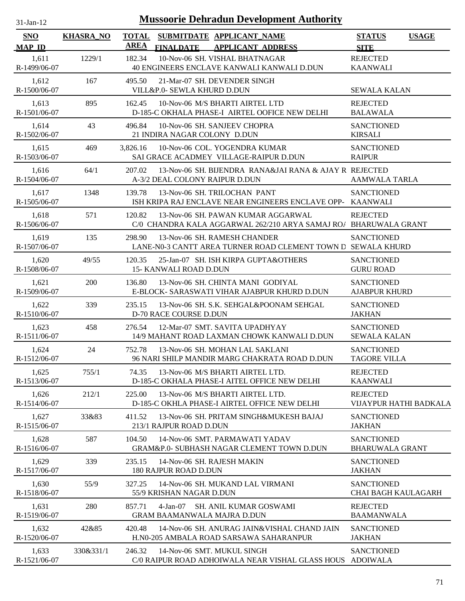| $31$ -Jan-12                |                  |                             | <b>Mussoorie Dehradun Development Authority</b>                                                        |                                                 |              |
|-----------------------------|------------------|-----------------------------|--------------------------------------------------------------------------------------------------------|-------------------------------------------------|--------------|
| <b>SNO</b><br><b>MAP ID</b> | <b>KHASRA_NO</b> | <b>TOTAL</b><br><b>AREA</b> | SUBMITDATE APPLICANT_NAME<br><b>FINALDATE</b><br><b>APPLICANT ADDRESS</b>                              | <b>STATUS</b><br><b>SITE</b>                    | <b>USAGE</b> |
| 1,611<br>R-1499/06-07       | 1229/1           | 182.34                      | 10-Nov-06 SH. VISHAL BHATNAGAR<br>40 ENGINEERS ENCLAVE KANWALI KANWALI D.DUN                           | <b>REJECTED</b><br><b>KAANWALI</b>              |              |
| 1,612<br>R-1500/06-07       | 167              | 495.50                      | 21-Mar-07 SH. DEVENDER SINGH<br>VILL&P.0- SEWLA KHURD D.DUN                                            | <b>SEWALA KALAN</b>                             |              |
| 1,613<br>R-1501/06-07       | 895              | 162.45                      | 10-Nov-06 M/S BHARTI AIRTEL LTD<br>D-185-C OKHALA PHASE-I AIRTEL OOFICE NEW DELHI                      | <b>REJECTED</b><br><b>BALAWALA</b>              |              |
| 1,614<br>R-1502/06-07       | 43               | 496.84                      | 10-Nov-06 SH. SANJEEV CHOPRA<br>21 INDIRA NAGAR COLONY D.DUN                                           | <b>SANCTIONED</b><br><b>KIRSALI</b>             |              |
| 1,615<br>R-1503/06-07       | 469              | 3,826.16                    | 10-Nov-06 COL. YOGENDRA KUMAR<br>SAI GRACE ACADMEY VILLAGE-RAIPUR D.DUN                                | <b>SANCTIONED</b><br><b>RAIPUR</b>              |              |
| 1,616<br>R-1504/06-07       | 64/1             | 207.02                      | 13-Nov-06 SH. BIJENDRA RANA&JAI RANA & AJAY R REJECTED<br>A-3/2 DEAL COLONY RAIPUR D.DUN               | <b>AAMWALA TARLA</b>                            |              |
| 1,617<br>R-1505/06-07       | 1348             | 139.78                      | 13-Nov-06 SH. TRILOCHAN PANT<br>ISH KRIPA RAJ ENCLAVE NEAR ENGINEERS ENCLAVE OPP- KAANWALI             | <b>SANCTIONED</b>                               |              |
| 1,618<br>R-1506/06-07       | 571              | 120.82                      | 13-Nov-06 SH, PAWAN KUMAR AGGARWAL<br>C/0 CHANDRA KALA AGGARWAL 262/210 ARYA SAMAJ RO/ BHARUWALA GRANT | <b>REJECTED</b>                                 |              |
| 1,619<br>R-1507/06-07       | 135              | 298.90                      | 13-Nov-06 SH. RAMESH CHANDER<br>LANE-N0-3 CANTT AREA TURNER ROAD CLEMENT TOWN D SEWALA KHURD           | <b>SANCTIONED</b>                               |              |
| 1,620<br>R-1508/06-07       | 49/55            | 120.35                      | 25-Jan-07 SH. ISH KIRPA GUPTA&OTHERS<br>15- KANWALI ROAD D.DUN                                         | <b>SANCTIONED</b><br><b>GURU ROAD</b>           |              |
| 1,621<br>R-1509/06-07       | 200              | 136.80                      | 13-Nov-06 SH. CHINTA MANI GODIYAL<br>E-BLOCK- SARASWATI VIHAR AJABPUR KHURD D.DUN                      | <b>SANCTIONED</b><br><b>AJABPUR KHURD</b>       |              |
| 1,622<br>R-1510/06-07       | 339              | 235.15                      | 13-Nov-06 SH. S.K. SEHGAL&POONAM SEHGAL<br>D-70 RACE COURSE D.DUN                                      | <b>SANCTIONED</b><br><b>JAKHAN</b>              |              |
| 1,623<br>R-1511/06-07       | 458              | 276.54                      | 12-Mar-07 SMT, SAVITA UPADHYAY<br>14/9 MAHANT ROAD LAXMAN CHOWK KANWALI D.DUN                          | <b>SANCTIONED</b><br><b>SEWALA KALAN</b>        |              |
| 1,624<br>R-1512/06-07       | 24               | 752.78                      | 13-Nov-06 SH. MOHAN LAL SAKLANI<br>96 NARI SHILP MANDIR MARG CHAKRATA ROAD D.DUN                       | <b>SANCTIONED</b><br><b>TAGORE VILLA</b>        |              |
| 1,625<br>R-1513/06-07       | 755/1            | 74.35                       | 13-Nov-06 M/S BHARTI AIRTEL LTD.<br>D-185-C OKHALA PHASE-I AITEL OFFICE NEW DELHI                      | <b>REJECTED</b><br><b>KAANWALI</b>              |              |
| 1,626<br>R-1514/06-07       | 212/1            | 225.00                      | 13-Nov-06 M/S BHARTI AIRTEL LTD.<br>D-185-C OKHLA PHASE-I AIRTEL OFFICE NEW DELHI                      | <b>REJECTED</b><br>VIJAYPUR HATHI BADKALA       |              |
| 1,627<br>R-1515/06-07       | 33&83            | 411.52                      | 13-Nov-06 SH. PRITAM SINGH&MUKESH BAJAJ<br>213/1 RAJPUR ROAD D.DUN                                     | <b>SANCTIONED</b><br><b>JAKHAN</b>              |              |
| 1,628<br>R-1516/06-07       | 587              | 104.50                      | 14-Nov-06 SMT. PARMAWATI YADAV<br>GRAM&P.0- SUBHASH NAGAR CLEMENT TOWN D.DUN                           | <b>SANCTIONED</b><br><b>BHARUWALA GRANT</b>     |              |
| 1,629<br>R-1517/06-07       | 339              | 235.15                      | 14-Nov-06 SH. RAJESH MAKIN<br>180 RAJPUR ROAD D.DUN                                                    | <b>SANCTIONED</b><br><b>JAKHAN</b>              |              |
| 1,630<br>R-1518/06-07       | 55/9             | 327.25                      | 14-Nov-06 SH. MUKAND LAL VIRMANI<br>55/9 KRISHAN NAGAR D.DUN                                           | <b>SANCTIONED</b><br><b>CHAI BAGH KAULAGARH</b> |              |
| 1,631<br>R-1519/06-07       | 280              | 857.71                      | $4-Jan-07$<br><b>SH. ANIL KUMAR GOSWAMI</b><br><b>GRAM BAAMANWALA MAJRA D.DUN</b>                      | <b>REJECTED</b><br><b>BAAMANWALA</b>            |              |
| 1,632<br>R-1520/06-07       | 42&85            | 420.48                      | 14-Nov-06 SH. ANURAG JAIN&VISHAL CHAND JAIN<br>H.N0-205 AMBALA ROAD SARSAWA SAHARANPUR                 | <b>SANCTIONED</b><br><b>JAKHAN</b>              |              |
| 1,633<br>R-1521/06-07       | 330&331/1        | 246.32                      | 14-Nov-06 SMT. MUKUL SINGH<br>C/0 RAIPUR ROAD ADHOIWALA NEAR VISHAL GLASS HOUS ADOIWALA                | <b>SANCTIONED</b>                               |              |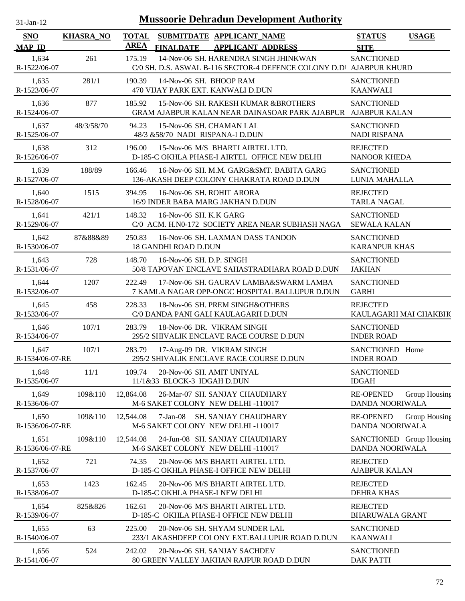| $31$ -Jan-12                | <b>Mussoorie Dehradun Development Authority</b> |             |                                                                                                             |                                                      |  |  |  |  |
|-----------------------------|-------------------------------------------------|-------------|-------------------------------------------------------------------------------------------------------------|------------------------------------------------------|--|--|--|--|
| <b>SNO</b><br><b>MAP ID</b> | <b>KHASRA_NO</b>                                | <b>AREA</b> | TOTAL SUBMITDATE APPLICANT NAME<br><b>FINALDATE</b><br><b>APPLICANT ADDRESS</b>                             | <b>STATUS</b><br><b>USAGE</b><br><b>SITE</b>         |  |  |  |  |
| 1,634<br>R-1522/06-07       | 261                                             | 175.19      | 14-Nov-06 SH. HARENDRA SINGH JHINKWAN<br>C/0 SH. D.S. ASWAL B-116 SECTOR-4 DEFENCE COLONY D.D AJABPUR KHURD | <b>SANCTIONED</b>                                    |  |  |  |  |
| 1,635<br>R-1523/06-07       | 281/1                                           | 190.39      | 14-Nov-06 SH. BHOOP RAM<br>470 VIJAY PARK EXT. KANWALI D.DUN                                                | <b>SANCTIONED</b><br><b>KAANWALI</b>                 |  |  |  |  |
| 1,636<br>R-1524/06-07       | 877                                             | 185.92      | 15-Nov-06 SH. RAKESH KUMAR &BROTHERS<br>GRAM AJABPUR KALAN NEAR DAINASOAR PARK AJABPUR AJABPUR KALAN        | <b>SANCTIONED</b>                                    |  |  |  |  |
| 1,637<br>R-1525/06-07       | 48/3/58/70                                      | 94.23       | 15-Nov-06 SH. CHAMAN LAL<br>48/3 & 58/70 NADI RISPANA-I D.DUN                                               | <b>SANCTIONED</b><br><b>NADI RISPANA</b>             |  |  |  |  |
| 1,638<br>R-1526/06-07       | 312                                             | 196.00      | 15-Nov-06 M/S BHARTI AIRTEL LTD.<br>D-185-C OKHLA PHASE-I AIRTEL OFFICE NEW DELHI                           | <b>REJECTED</b><br><b>NANOOR KHEDA</b>               |  |  |  |  |
| 1,639<br>R-1527/06-07       | 188/89                                          | 166.46      | 16-Nov-06 SH. M.M. GARG&SMT. BABITA GARG<br>136-AKASH DEEP COLONY CHAKRATA ROAD D.DUN                       | <b>SANCTIONED</b><br>LUNIA MAHALLA                   |  |  |  |  |
| 1,640<br>R-1528/06-07       | 1515                                            | 394.95      | 16-Nov-06 SH. ROHIT ARORA<br>16/9 INDER BABA MARG JAKHAN D.DUN                                              | <b>REJECTED</b><br><b>TARLA NAGAL</b>                |  |  |  |  |
| 1,641<br>R-1529/06-07       | 421/1                                           | 148.32      | 16-Nov-06 SH. K.K GARG<br>C/0 ACM. H.N0-172 SOCIETY AREA NEAR SUBHASH NAGA                                  | <b>SANCTIONED</b><br><b>SEWALA KALAN</b>             |  |  |  |  |
| 1,642<br>R-1530/06-07       | 87&88&89                                        | 250.83      | 16-Nov-06 SH. LAXMAN DASS TANDON<br><b>18 GANDHI ROAD D.DUN</b>                                             | <b>SANCTIONED</b><br><b>KARANPUR KHAS</b>            |  |  |  |  |
| 1,643<br>R-1531/06-07       | 728                                             | 148.70      | 16-Nov-06 SH. D.P. SINGH<br>50/8 TAPOVAN ENCLAVE SAHASTRADHARA ROAD D.DUN                                   | <b>SANCTIONED</b><br><b>JAKHAN</b>                   |  |  |  |  |
| 1,644<br>R-1532/06-07       | 1207                                            | 222.49      | 17-Nov-06 SH. GAURAV LAMBA&SWARM LAMBA<br>7 KAMLA NAGAR OPP-ONGC HOSPITAL BALLUPUR D.DUN                    | <b>SANCTIONED</b><br><b>GARHI</b>                    |  |  |  |  |
| 1,645<br>R-1533/06-07       | 458                                             | 228.33      | 18-Nov-06 SH. PREM SINGH&OTHERS<br>C/0 DANDA PANI GALI KAULAGARH D.DUN                                      | <b>REJECTED</b><br>KAULAGARH MAI CHAKBH(             |  |  |  |  |
| 1,646<br>R-1534/06-07       | 107/1                                           | 283.79      | 18-Nov-06 DR. VIKRAM SINGH<br>295/2 SHIVALIK ENCLAVE RACE COURSE D.DUN                                      | <b>SANCTIONED</b><br><b>INDER ROAD</b>               |  |  |  |  |
| 1,647<br>R-1534/06-07-RE    | 107/1                                           | 283.79      | 17-Aug-09 DR. VIKRAM SINGH<br>295/2 SHIVALIK ENCLAVE RACE COURSE D.DUN                                      | SANCTIONED Home<br><b>INDER ROAD</b>                 |  |  |  |  |
| 1,648<br>R-1535/06-07       | 11/1                                            | 109.74      | 20-Nov-06 SH. AMIT UNIYAL<br>11/1&33 BLOCK-3 IDGAH D.DUN                                                    | <b>SANCTIONED</b><br><b>IDGAH</b>                    |  |  |  |  |
| 1,649<br>R-1536/06-07       | 109&110                                         | 12,864.08   | 26-Mar-07 SH. SANJAY CHAUDHARY<br>M-6 SAKET COLONY NEW DELHI -110017                                        | <b>RE-OPENED</b><br>Group Housing<br>DANDA NOORIWALA |  |  |  |  |
| 1,650<br>R-1536/06-07-RE    | 109&110                                         | 12,544.08   | $7-Jan-08$<br><b>SH. SANJAY CHAUDHARY</b><br>M-6 SAKET COLONY NEW DELHI -110017                             | <b>RE-OPENED</b><br>Group Housing<br>DANDA NOORIWALA |  |  |  |  |
| 1,651<br>R-1536/06-07-RE    | 109&110                                         | 12,544.08   | 24-Jun-08 SH. SANJAY CHAUDHARY<br>M-6 SAKET COLONY NEW DELHI -110017                                        | SANCTIONED Group Housing<br>DANDA NOORIWALA          |  |  |  |  |
| 1,652<br>R-1537/06-07       | 721                                             | 74.35       | 20-Nov-06 M/S BHARTI AIRTEL LTD.<br>D-185-C OKHLA PHASE-I OFFICE NEW DELHI                                  | <b>REJECTED</b><br><b>AJABPUR KALAN</b>              |  |  |  |  |
| 1,653<br>R-1538/06-07       | 1423                                            | 162.45      | 20-Nov-06 M/S BHARTI AIRTEL LTD.<br>D-185-C OKHLA PHASE-I NEW DELHI                                         | <b>REJECTED</b><br><b>DEHRA KHAS</b>                 |  |  |  |  |
| 1,654<br>R-1539/06-07       | 825&826                                         | 162.61      | 20-Nov-06 M/S BHARTI AIRTEL LTD.<br>D-185-C OKHLA PHASE-I OFFICE NEW DELHI                                  | <b>REJECTED</b><br><b>BHARUWALA GRANT</b>            |  |  |  |  |
| 1,655<br>R-1540/06-07       | 63                                              | 225.00      | 20-Nov-06 SH. SHYAM SUNDER LAL<br>233/1 AKASHDEEP COLONY EXT.BALLUPUR ROAD D.DUN                            | <b>SANCTIONED</b><br><b>KAANWALI</b>                 |  |  |  |  |
| 1,656<br>R-1541/06-07       | 524                                             | 242.02      | 20-Nov-06 SH. SANJAY SACHDEV<br>80 GREEN VALLEY JAKHAN RAJPUR ROAD D.DUN                                    | <b>SANCTIONED</b><br><b>DAK PATTI</b>                |  |  |  |  |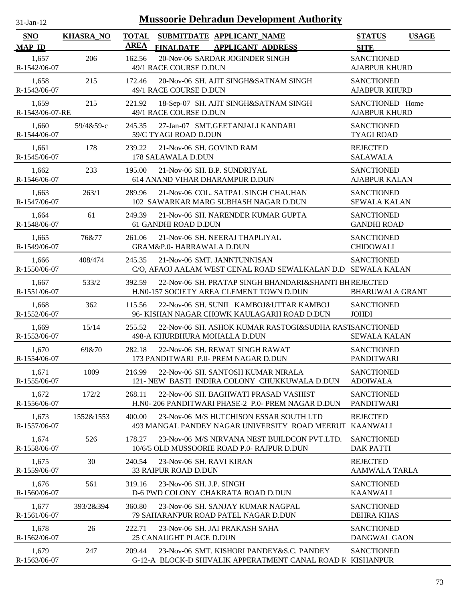| $31$ -Jan-12                |                  | <b>Mussoorie Dehradun Development Authority</b>                                                                     |                                              |
|-----------------------------|------------------|---------------------------------------------------------------------------------------------------------------------|----------------------------------------------|
| <b>SNO</b><br><b>MAP ID</b> | <b>KHASRA_NO</b> | <b>TOTAL</b><br>SUBMITDATE APPLICANT_NAME<br><b>AREA</b><br><b>FINALDATE</b><br><b>APPLICANT ADDRESS</b>            | <b>STATUS</b><br><b>USAGE</b><br><b>SITE</b> |
| 1,657<br>R-1542/06-07       | 206              | 20-Nov-06 SARDAR JOGINDER SINGH<br>162.56<br>49/1 RACE COURSE D.DUN                                                 | <b>SANCTIONED</b><br><b>AJABPUR KHURD</b>    |
| 1,658<br>R-1543/06-07       | 215              | 20-Nov-06 SH. AJIT SINGH&SATNAM SINGH<br>172.46<br>49/1 RACE COURSE D.DUN                                           | <b>SANCTIONED</b><br><b>AJABPUR KHURD</b>    |
| 1,659<br>R-1543/06-07-RE    | 215              | 18-Sep-07 SH. AJIT SINGH&SATNAM SINGH<br>221.92<br>49/1 RACE COURSE D.DUN                                           | SANCTIONED Home<br><b>AJABPUR KHURD</b>      |
| 1,660<br>R-1544/06-07       | 59/4&59-с        | 245.35<br>27-Jan-07 SMT.GEETANJALI KANDARI<br>59/C TYAGI ROAD D.DUN                                                 | <b>SANCTIONED</b><br><b>TYAGI ROAD</b>       |
| 1,661<br>R-1545/06-07       | 178              | 21-Nov-06 SH. GOVIND RAM<br>239.22<br>178 SALAWALA D.DUN                                                            | <b>REJECTED</b><br><b>SALAWALA</b>           |
| 1,662<br>R-1546/06-07       | 233              | 195.00<br>21-Nov-06 SH, B.P. SUNDRIYAL<br>614 ANAND VIHAR DHARAMPUR D.DUN                                           | <b>SANCTIONED</b><br><b>AJABPUR KALAN</b>    |
| 1,663<br>R-1547/06-07       | 263/1            | 21-Nov-06 COL, SATPAL SINGH CHAUHAN<br>289.96<br>102 SAWARKAR MARG SUBHASH NAGAR D.DUN                              | <b>SANCTIONED</b><br><b>SEWALA KALAN</b>     |
| 1,664<br>R-1548/06-07       | 61               | 249.39<br>21-Nov-06 SH. NARENDER KUMAR GUPTA<br>61 GANDHI ROAD D.DUN                                                | <b>SANCTIONED</b><br><b>GANDHI ROAD</b>      |
| 1,665<br>R-1549/06-07       | 76&77            | 261.06<br>21-Nov-06 SH. NEERAJ THAPLIYAL<br><b>GRAM&amp;P.0- HARRAWALA D.DUN</b>                                    | <b>SANCTIONED</b><br><b>CHIDOWALI</b>        |
| 1,666<br>R-1550/06-07       | 408/474          | 245.35<br>21-Nov-06 SMT. JANNTUNNISAN<br>C/O, AFAOJ AALAM WEST CENAL ROAD SEWALKALAN D.D SEWALA KALAN               | <b>SANCTIONED</b>                            |
| 1,667<br>R-1551/06-07       | 533/2            | 22-Nov-06 SH. PRATAP SINGH BHANDARI&SHANTI BHREJECTED<br>392.59<br>H.N0-157 SOCIETY AREA CLEMENT TOWN D.DUN         | <b>BHARUWALA GRANT</b>                       |
| 1,668<br>R-1552/06-07       | 362              | 22-Nov-06 SH. SUNIL KAMBOJ&UTTAR KAMBOJ<br>115.56<br>96- KISHAN NAGAR CHOWK KAULAGARH ROAD D.DUN                    | <b>SANCTIONED</b><br><b>JOHDI</b>            |
| 1,669<br>R-1553/06-07       | 15/14            | 22-Nov-06 SH. ASHOK KUMAR RASTOGI&SUDHA RASTSANCTIONED<br>255.52<br>498-A KHURBHURA MOHALLA D.DUN                   | <b>SEWALA KALAN</b>                          |
| 1,670<br>R-1554/06-07       | 69&70            | 282.18<br>22-Nov-06 SH. REWAT SINGH RAWAT<br>173 PANDITWARI P.0- PREM NAGAR D.DUN                                   | <b>SANCTIONED</b><br><b>PANDITWARI</b>       |
| 1,671<br>R-1555/06-07       | 1009             | 22-Nov-06 SH. SANTOSH KUMAR NIRALA<br>216.99<br>121- NEW BASTI INDIRA COLONY CHUKKUWALA D.DUN                       | <b>SANCTIONED</b><br><b>ADOIWALA</b>         |
| 1,672<br>R-1556/06-07       | 172/2            | 268.11<br>22-Nov-06 SH. BAGHWATI PRASAD VASHIST<br>H.NO-206 PANDITWARI PHASE-2 P.O-PREM NAGAR D.DUN                 | <b>SANCTIONED</b><br><b>PANDITWARI</b>       |
| 1,673<br>R-1557/06-07       | 1552&1553        | 23-Nov-06 M/S HUTCHISON ESSAR SOUTH LTD<br>400.00<br>493 MANGAL PANDEY NAGAR UNIVERSITY ROAD MEERUT                 | <b>REJECTED</b><br><b>KAANWALI</b>           |
| 1,674<br>R-1558/06-07       | 526              | 178.27<br>23-Nov-06 M/S NIRVANA NEST BUILDCON PVT.LTD.<br>10/6/5 OLD MUSSOORIE ROAD P.0- RAJPUR D.DUN               | <b>SANCTIONED</b><br><b>DAK PATTI</b>        |
| 1,675<br>R-1559/06-07       | 30               | 240.54<br>23-Nov-06 SH, RAVI KIRAN<br><b>33 RAIPUR ROAD D.DUN</b>                                                   | <b>REJECTED</b><br><b>AAMWALA TARLA</b>      |
| 1,676<br>R-1560/06-07       | 561              | 319.16<br>23-Nov-06 SH. J.P. SINGH<br>D-6 PWD COLONY CHAKRATA ROAD D.DUN                                            | <b>SANCTIONED</b><br><b>KAANWALI</b>         |
| 1,677<br>R-1561/06-07       | 393/2&394        | 360.80<br>23-Nov-06 SH, SANJAY KUMAR NAGPAL<br>79 SAHARANPUR ROAD PATEL NAGAR D.DUN                                 | <b>SANCTIONED</b><br><b>DEHRA KHAS</b>       |
| 1,678<br>R-1562/06-07       | 26               | 222.71<br>23-Nov-06 SH. JAI PRAKASH SAHA<br>25 CANAUGHT PLACE D.DUN                                                 | <b>SANCTIONED</b><br>DANGWAL GAON            |
| 1,679<br>R-1563/06-07       | 247              | 209.44<br>23-Nov-06 SMT. KISHORI PANDEY & S.C. PANDEY<br>G-12-A BLOCK-D SHIVALIK APPERATMENT CANAL ROAD K KISHANPUR | <b>SANCTIONED</b>                            |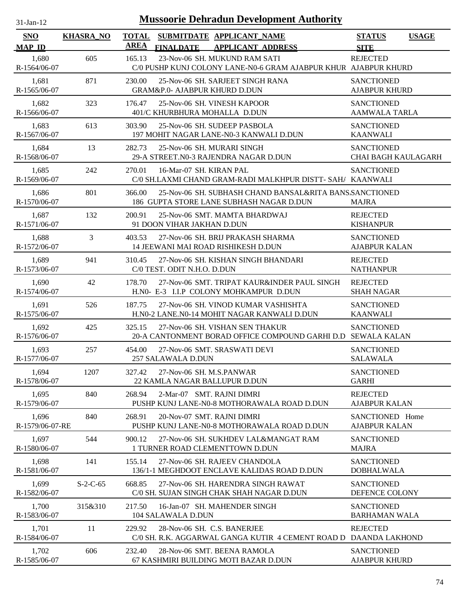| 31-Jan-12 |  |
|-----------|--|

| <b>SNO</b>               | <b>KHASRA_NO</b> | <b>TOTAL</b><br>AREA |                             | SUBMITDATE APPLICANT NAME                                                                           | <b>STATUS</b>                                   | <b>USAGE</b> |
|--------------------------|------------------|----------------------|-----------------------------|-----------------------------------------------------------------------------------------------------|-------------------------------------------------|--------------|
| <b>MAP ID</b>            |                  |                      | <b>FINALDATE</b>            | <b>APPLICANT ADDRESS</b>                                                                            | <b>SITE</b>                                     |              |
| 1,680<br>R-1564/06-07    | 605              | 165.13               |                             | 23-Nov-06 SH. MUKUND RAM SATI<br>C/0 PUSHP KUNJ COLONY LANE-N0-6 GRAM AJABPUR KHUR AJABPUR KHURD    | <b>REJECTED</b>                                 |              |
| 1,681<br>R-1565/06-07    | 871              | 230.00               |                             | 25-Nov-06 SH. SARJEET SINGH RANA<br>GRAM&P.0- AJABPUR KHURD D.DUN                                   | <b>SANCTIONED</b><br><b>AJABPUR KHURD</b>       |              |
| 1,682<br>R-1566/06-07    | 323              | 176.47               |                             | 25-Nov-06 SH. VINESH KAPOOR<br>401/C KHURBHURA MOHALLA D.DUN                                        | <b>SANCTIONED</b><br><b>AAMWALA TARLA</b>       |              |
| 1,683<br>R-1567/06-07    | 613              | 303.90               |                             | 25-Nov-06 SH. SUDEEP PASBOLA<br>197 MOHIT NAGAR LANE-N0-3 KANWALI D.DUN                             | <b>SANCTIONED</b><br><b>KAANWALI</b>            |              |
| 1,684<br>R-1568/06-07    | 13               | 282.73               |                             | 25-Nov-06 SH. MURARI SINGH<br>29-A STREET.N0-3 RAJENDRA NAGAR D.DUN                                 | <b>SANCTIONED</b><br><b>CHAI BAGH KAULAGARH</b> |              |
| 1.685<br>R-1569/06-07    | 242              | 270.01               | 16-Mar-07 SH. KIRAN PAL     | C/0 SH.LAXMI CHAND GRAM-RADI MALKHPUR DISTT- SAH/ KAANWALI                                          | <b>SANCTIONED</b>                               |              |
| 1,686<br>R-1570/06-07    | 801              | 366.00               |                             | 25-Nov-06 SH. SUBHASH CHAND BANSAL&RITA BANS SANCTIONED<br>186 GUPTA STORE LANE SUBHASH NAGAR D.DUN | <b>MAJRA</b>                                    |              |
| 1,687<br>R-1571/06-07    | 132              | 200.91               | 91 DOON VIHAR JAKHAN D.DUN  | 25-Nov-06 SMT. MAMTA BHARDWAJ                                                                       | <b>REJECTED</b><br><b>KISHANPUR</b>             |              |
| 1,688<br>R-1572/06-07    | 3                | 403.53               |                             | 27-Nov-06 SH. BRIJ PRAKASH SHARMA<br><b>14 JEEWANI MAI ROAD RISHIKESH D.DUN</b>                     | <b>SANCTIONED</b><br><b>AJABPUR KALAN</b>       |              |
| 1,689<br>R-1573/06-07    | 941              | 310.45               | C/0 TEST. ODIT N.H.O. D.DUN | 27-Nov-06 SH. KISHAN SINGH BHANDARI                                                                 | <b>REJECTED</b><br><b>NATHANPUR</b>             |              |
| 1,690<br>R-1574/06-07    | 42               | 178.70               |                             | 27-Nov-06 SMT. TRIPAT KAUR&INDER PAUL SINGH<br>H.NO- E-3 I.I.P COLONY MOHKAMPUR D.DUN               | <b>REJECTED</b><br><b>SHAH NAGAR</b>            |              |
| 1,691<br>R-1575/06-07    | 526              | 187.75               |                             | 27-Nov-06 SH. VINOD KUMAR VASHISHTA<br>H.N0-2 LANE.N0-14 MOHIT NAGAR KANWALI D.DUN                  | <b>SANCTIONED</b><br><b>KAANWALI</b>            |              |
| 1,692<br>R-1576/06-07    | 425              | 325.15               |                             | 27-Nov-06 SH. VISHAN SEN THAKUR<br>20-A CANTONMENT BORAD OFFICE COMPOUND GARHI D.D SEWALA KALAN     | <b>SANCTIONED</b>                               |              |
| 1,693<br>R-1577/06-07    | 257              | 454.00               | 257 SALAWALA D.DUN          | 27-Nov-06 SMT. SRASWATI DEVI                                                                        | <b>SANCTIONED</b><br><b>SALAWALA</b>            |              |
| 1,694<br>R-1578/06-07    | 1207             | 327.42               | 27-Nov-06 SH. M.S.PANWAR    | 22 KAMLA NAGAR BALLUPUR D.DUN                                                                       | <b>SANCTIONED</b><br><b>GARHI</b>               |              |
| 1,695<br>R-1579/06-07    | 840              | 268.94               |                             | 2-Mar-07 SMT. RAJNI DIMRI<br>PUSHP KUNJ LANE-N0-8 MOTHORAWALA ROAD D.DUN                            | <b>REJECTED</b><br><b>AJABPUR KALAN</b>         |              |
| 1,696<br>R-1579/06-07-RE | 840              | 268.91               |                             | 20-Nov-07 SMT. RAJNI DIMRI<br>PUSHP KUNJ LANE-N0-8 MOTHORAWALA ROAD D.DUN                           | SANCTIONED Home<br><b>AJABPUR KALAN</b>         |              |
| 1,697<br>R-1580/06-07    | 544              | 900.12               |                             | 27-Nov-06 SH. SUKHDEV LAL&MANGAT RAM<br>1 TURNER ROAD CLEMENTTOWN D.DUN                             | <b>SANCTIONED</b><br><b>MAJRA</b>               |              |
| 1,698<br>R-1581/06-07    | 141              | 155.14               |                             | 27-Nov-06 SH. RAJEEV CHANDOLA<br>136/1-1 MEGHDOOT ENCLAVE KALIDAS ROAD D.DUN                        | <b>SANCTIONED</b><br><b>DOBHALWALA</b>          |              |
| 1,699<br>R-1582/06-07    | $S-2-C-65$       | 668.85               |                             | 27-Nov-06 SH. HARENDRA SINGH RAWAT<br>C/0 SH. SUJAN SINGH CHAK SHAH NAGAR D.DUN                     | <b>SANCTIONED</b><br>DEFENCE COLONY             |              |
| 1,700<br>R-1583/06-07    | 315&310          | 217.50               | 104 SALAWALA D.DUN          | 16-Jan-07 SH. MAHENDER SINGH                                                                        | <b>SANCTIONED</b><br><b>BARHAMAN WALA</b>       |              |
| 1,701<br>R-1584/06-07    | 11               | 229.92               |                             | 28-Nov-06 SH. C.S. BANERJEE<br>C/0 SH. R.K. AGGARWAL GANGA KUTIR 4 CEMENT ROAD D                    | <b>REJECTED</b><br><b>DAANDA LAKHOND</b>        |              |
| 1,702<br>R-1585/06-07    | 606              | 232.40               |                             | 28-Nov-06 SMT. BEENA RAMOLA<br>67 KASHMIRI BUILDING MOTI BAZAR D.DUN                                | <b>SANCTIONED</b><br><b>AJABPUR KHURD</b>       |              |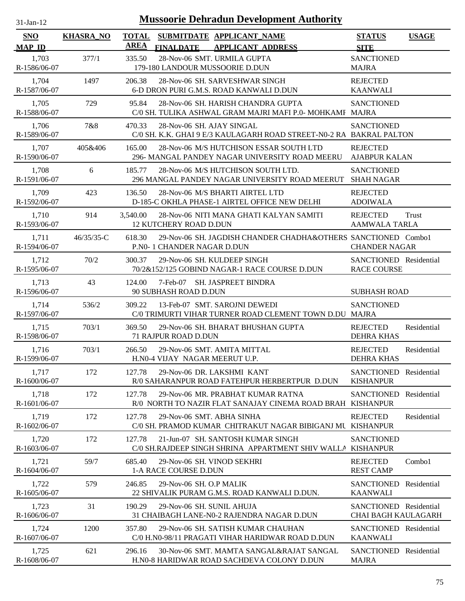| $31-Jan-12$                 |                  | <b>Mussoorie Dehradun Development Authority</b>                                                            |                                                      |              |
|-----------------------------|------------------|------------------------------------------------------------------------------------------------------------|------------------------------------------------------|--------------|
| <b>SNO</b><br><b>MAP ID</b> | <b>KHASRA_NO</b> | <b>TOTAL</b><br>SUBMITDATE APPLICANT_NAME<br><b>AREA</b><br><b>FINALDATE</b><br><b>APPLICANT ADDRESS</b>   | <b>STATUS</b><br><b>SITE</b>                         | <b>USAGE</b> |
| 1,703<br>R-1586/06-07       | 377/1            | 28-Nov-06 SMT. URMILA GUPTA<br>335.50<br>179-180 LANDOUR MUSSOORIE D.DUN                                   | <b>SANCTIONED</b><br><b>MAJRA</b>                    |              |
| 1,704<br>R-1587/06-07       | 1497             | 206.38<br>28-Nov-06 SH. SARVESHWAR SINGH<br>6-D DRON PURI G.M.S. ROAD KANWALI D.DUN                        | <b>REJECTED</b><br><b>KAANWALI</b>                   |              |
| 1,705<br>R-1588/06-07       | 729              | 28-Nov-06 SH. HARISH CHANDRA GUPTA<br>95.84<br>C/0 SH. TULIKA ASHWAL GRAM MAJRI MAFI P.0- MOHKAMF MAJRA    | <b>SANCTIONED</b>                                    |              |
| 1,706<br>R-1589/06-07       | 7&8              | 28-Nov-06 SH. AJAY SINGAL<br>470.33<br>C/0 SH. K.K. GHAI 9 E/3 KAULAGARH ROAD STREET-N0-2 RA BAKRAL PALTON | <b>SANCTIONED</b>                                    |              |
| 1,707<br>R-1590/06-07       | 405&406          | 165.00<br>28-Nov-06 M/S HUTCHISON ESSAR SOUTH LTD<br>296- MANGAL PANDEY NAGAR UNIVERSITY ROAD MEERU        | <b>REJECTED</b><br><b>AJABPUR KALAN</b>              |              |
| 1,708<br>R-1591/06-07       | 6                | 28-Nov-06 M/S HUTCHISON SOUTH LTD.<br>185.77<br>296 MANGAL PANDEY NAGAR UNIVERSITY ROAD MEERUT             | <b>SANCTIONED</b><br><b>SHAH NAGAR</b>               |              |
| 1.709<br>R-1592/06-07       | 423              | 28-Nov-06 M/S BHARTI AIRTEL LTD<br>136.50<br>D-185-C OKHLA PHASE-1 AIRTEL OFFICE NEW DELHI                 | <b>REJECTED</b><br><b>ADOIWALA</b>                   |              |
| 1,710<br>R-1593/06-07       | 914              | 3,540.00<br>28-Nov-06 NITI MANA GHATI KALYAN SAMITI<br><b>12 KUTCHERY ROAD D.DUN</b>                       | <b>REJECTED</b><br><b>AAMWALA TARLA</b>              | Trust        |
| 1,711<br>R-1594/06-07       | 46/35/35-C       | 618.30<br>29-Nov-06 SH. JAGDISH CHANDER CHADHA&OTHERS SANCTIONED Combo1<br>P.NO- 1 CHANDER NAGAR D.DUN     | <b>CHANDER NAGAR</b>                                 |              |
| 1.712<br>R-1595/06-07       | 70/2             | 29-Nov-06 SH. KULDEEP SINGH<br>300.37<br>70/2&152/125 GOBIND NAGAR-1 RACE COURSE D.DUN                     | SANCTIONED Residential<br><b>RACE COURSE</b>         |              |
| 1,713<br>R-1596/06-07       | 43               | 124.00<br>$7$ -Feb-07<br>SH. JASPREET BINDRA<br>90 SUBHASH ROAD D.DUN                                      | <b>SUBHASH ROAD</b>                                  |              |
| 1,714<br>R-1597/06-07       | 536/2            | 309.22<br>13-Feb-07 SMT. SAROJNI DEWEDI<br>C/0 TRIMURTI VIHAR TURNER ROAD CLEMENT TOWN D.DU MAJRA          | <b>SANCTIONED</b>                                    |              |
| 1,715<br>R-1598/06-07       | 703/1            | 369.50<br>29-Nov-06 SH. BHARAT BHUSHAN GUPTA<br><b>71 RAJPUR ROAD D.DUN</b>                                | <b>REJECTED</b><br><b>DEHRA KHAS</b>                 | Residential  |
| 1,716<br>R-1599/06-07       | 703/1            | 266.50<br>29-Nov-06 SMT. AMITA MITTAL<br>H.N0-4 VIJAY NAGAR MEERUT U.P.                                    | <b>REJECTED</b><br><b>DEHRA KHAS</b>                 | Residential  |
| 1,717<br>R-1600/06-07       | 172              | 29-Nov-06 DR. LAKSHMI KANT<br>127.78<br>R/0 SAHARANPUR ROAD FATEHPUR HERBERTPUR D.DUN                      | SANCTIONED Residential<br><b>KISHANPUR</b>           |              |
| 1,718<br>R-1601/06-07       | 172              | 127.78<br>29-Nov-06 MR. PRABHAT KUMAR RATNA<br>R/0 NORTH TO NAZIR FLAT SANAJAY CINEMA ROAD BRAH KISHANPUR  | SANCTIONED                                           | Residential  |
| 1,719<br>R-1602/06-07       | 172              | 29-Nov-06 SMT. ABHA SINHA<br>127.78<br>C/0 SH. PRAMOD KUMAR CHITRAKUT NAGAR BIBIGANJ MU KISHANPUR          | <b>REJECTED</b>                                      | Residential  |
| 1,720<br>R-1603/06-07       | 172              | 127.78<br>21-Jun-07 SH. SANTOSH KUMAR SINGH<br>C/0 SH.RAJDEEP SINGH SHRINA APPARTMENT SHIV WALLA KISHANPUR | <b>SANCTIONED</b>                                    |              |
| 1,721<br>R-1604/06-07       | 59/7             | 29-Nov-06 SH. VINOD SEKHRI<br>685.40<br>1-A RACE COURSE D.DUN                                              | <b>REJECTED</b><br><b>REST CAMP</b>                  | Combo1       |
| 1,722<br>R-1605/06-07       | 579              | 246.85<br>29-Nov-06 SH, O.P MALIK<br>22 SHIVALIK PURAM G.M.S. ROAD KANWALI D.DUN.                          | <b>SANCTIONED</b><br><b>KAANWALI</b>                 | Residential  |
| 1,723<br>R-1606/06-07       | 31               | 190.29<br>29-Nov-06 SH. SUNIL AHUJA<br>31 CHAIBAGH LANE-N0-2 RAJENDRA NAGAR D.DUN                          | SANCTIONED Residential<br><b>CHAI BAGH KAULAGARH</b> |              |
| 1,724<br>R-1607/06-07       | 1200             | 357.80<br>29-Nov-06 SH. SATISH KUMAR CHAUHAN<br>C/0 H.N0-98/11 PRAGATI VIHAR HARIDWAR ROAD D.DUN           | SANCTIONED Residential<br><b>KAANWALI</b>            |              |
| 1,725<br>R-1608/06-07       | 621              | 30-Nov-06 SMT. MAMTA SANGAL&RAJAT SANGAL<br>296.16<br>H.N0-8 HARIDWAR ROAD SACHDEVA COLONY D.DUN           | SANCTIONED Residential<br><b>MAJRA</b>               |              |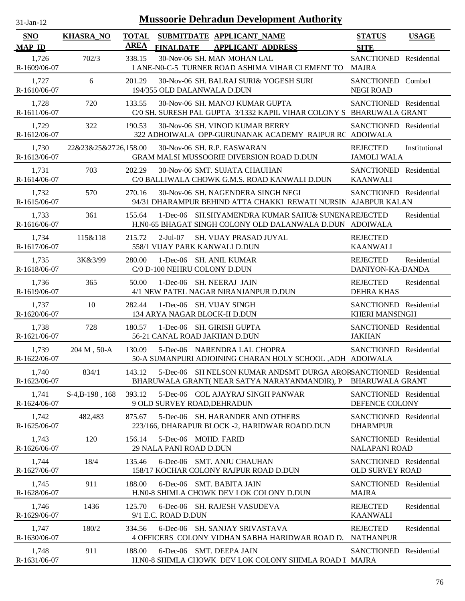| $31$ -Jan-12                |                      |                             | <b>Mussoorie Dehradun Development Authority</b>                                                                  |                                                  |               |
|-----------------------------|----------------------|-----------------------------|------------------------------------------------------------------------------------------------------------------|--------------------------------------------------|---------------|
| <b>SNO</b><br><b>MAP ID</b> | <b>KHASRA_NO</b>     | <b>TOTAL</b><br><b>AREA</b> | SUBMITDATE APPLICANT_NAME<br><b>FINALDATE</b><br><b>APPLICANT ADDRESS</b>                                        | <b>STATUS</b><br><b>SITE</b>                     | <b>USAGE</b>  |
| 1,726<br>R-1609/06-07       | 702/3                | 338.15                      | 30-Nov-06 SH. MAN MOHAN LAL<br>LANE-N0-C-5 TURNER ROAD ASHIMA VIHAR CLEMENT TO                                   | SANCTIONED Residential<br><b>MAJRA</b>           |               |
| 1,727<br>R-1610/06-07       | 6                    | 201.29                      | 30-Nov-06 SH. BALRAJ SURI& YOGESH SURI<br>194/355 OLD DALANWALA D.DUN                                            | SANCTIONED Combo1<br><b>NEGI ROAD</b>            |               |
| 1,728<br>R-1611/06-07       | 720                  | 133.55                      | 30-Nov-06 SH. MANOJ KUMAR GUPTA<br>C/0 SH. SURESH PAL GUPTA 3/1332 KAPIL VIHAR COLONY S BHARUWALA GRANT          | SANCTIONED Residential                           |               |
| 1,729<br>R-1612/06-07       | 322                  | 190.53                      | 30-Nov-06 SH. VINOD KUMAR BERRY<br>322 ADHOIWALA OPP-GURUNANAK ACADEMY RAIPUR RC ADOIWALA                        | SANCTIONED Residential                           |               |
| 1,730<br>R-1613/06-07       | 22&23&25&2726,158.00 |                             | 30-Nov-06 SH. R.P. EASWARAN<br><b>GRAM MALSI MUSSOORIE DIVERSION ROAD D.DUN</b>                                  | <b>REJECTED</b><br><b>JAMOLI WALA</b>            | Institutional |
| 1,731<br>R-1614/06-07       | 703                  | 202.29                      | 30-Nov-06 SMT. SUJATA CHAUHAN<br>C/0 BALLIWALA CHOWK G.M.S. ROAD KANWALI D.DUN                                   | SANCTIONED Residential<br><b>KAANWALI</b>        |               |
| 1,732<br>R-1615/06-07       | 570                  | 270.16                      | 30-Nov-06 SH. NAGENDERA SINGH NEGI<br>94/31 DHARAMPUR BEHIND ATTA CHAKKI REWATI NURSIN AJABPUR KALAN             | SANCTIONED Residential                           |               |
| 1,733<br>R-1616/06-07       | 361                  | 155.64                      | 1-Dec-06 SH.SHYAMENDRA KUMAR SAHU& SUNENAREJECTED<br>H.N0-65 BHAGAT SINGH COLONY OLD DALANWALA D.DUN ADOIWALA    |                                                  | Residential   |
| 1,734<br>R-1617/06-07       | 115&118              | 215.72                      | $2-Jul-07$<br><b>SH. VIJAY PRASAD JUYAL</b><br>558/1 VIJAY PARK KANWALI D.DUN                                    | <b>REJECTED</b><br><b>KAANWALI</b>               |               |
| 1,735<br>R-1618/06-07       | 3K&3/99              | 280.00                      | 1-Dec-06 SH. ANIL KUMAR<br>C/0 D-100 NEHRU COLONY D.DUN                                                          | <b>REJECTED</b><br>DANIYON-KA-DANDA              | Residential   |
| 1,736<br>R-1619/06-07       | 365                  | 50.00                       | 1-Dec-06 SH. NEERAJ JAIN<br>4/1 NEW PATEL NAGAR NIRANJANPUR D.DUN                                                | <b>REJECTED</b><br><b>DEHRA KHAS</b>             | Residential   |
| 1,737<br>R-1620/06-07       | 10                   | 282.44                      | 1-Dec-06 SH. VIJAY SINGH<br>134 ARYA NAGAR BLOCK-II D.DUN                                                        | SANCTIONED Residential<br><b>KHERI MANSINGH</b>  |               |
| 1,738<br>R-1621/06-07       | 728                  | 180.57                      | 1-Dec-06 SH. GIRISH GUPTA<br>56-21 CANAL ROAD JAKHAN D.DUN                                                       | SANCTIONED Residential<br><b>JAKHAN</b>          |               |
| 1,739<br>R-1622/06-07       | 204 M, 50-A          | 130.09                      | 5-Dec-06 NARENDRA LAL CHOPRA<br>50-A SUMANPURI ADJOINING CHARAN HOLY SCHOOL , ADH ADOIWALA                       | SANCTIONED Residential                           |               |
| 1,740<br>R-1623/06-07       | 834/1                | 143.12                      | 5-Dec-06 SH NELSON KUMAR ANDSMT DURGA ARORSANCTIONED Residential<br>BHARUWALA GRANT(NEAR SATYA NARAYANMANDIR), P | <b>BHARUWALA GRANT</b>                           |               |
| 1,741<br>R-1624/06-07       | $S-4,B-198$ , 168    | 393.12                      | 5-Dec-06 COL AJAYRAJ SINGH PANWAR<br>9 OLD SURVEY ROAD, DEHRADUN                                                 | SANCTIONED Residential<br>DEFENCE COLONY         |               |
| 1,742<br>R-1625/06-07       | 482,483              | 875.67                      | 5-Dec-06 SH. HARANDER AND OTHERS<br>223/166, DHARAPUR BLOCK -2, HARIDWAR ROADD.DUN                               | SANCTIONED Residential<br><b>DHARMPUR</b>        |               |
| 1,743<br>R-1626/06-07       | 120                  | 156.14                      | 5-Dec-06 MOHD. FARID<br>29 NALA PANI ROAD D.DUN                                                                  | SANCTIONED Residential<br><b>NALAPANI ROAD</b>   |               |
| 1,744<br>R-1627/06-07       | 18/4                 | 135.46                      | 6-Dec-06 SMT. ANJU CHAUHAN<br>158/17 KOCHAR COLONY RAJPUR ROAD D.DUN                                             | SANCTIONED Residential<br><b>OLD SURVEY ROAD</b> |               |
| 1,745<br>R-1628/06-07       | 911                  | 188.00                      | 6-Dec-06 SMT. BABITA JAIN<br>H.NO-8 SHIMLA CHOWK DEV LOK COLONY D.DUN                                            | SANCTIONED Residential<br><b>MAJRA</b>           |               |
| 1,746<br>R-1629/06-07       | 1436                 | 125.70                      | 6-Dec-06 SH. RAJESH VASUDEVA<br>9/1 E.C. ROAD D.DUN                                                              | <b>REJECTED</b><br><b>KAANWALI</b>               | Residential   |
| 1,747<br>R-1630/06-07       | 180/2                | 334.56                      | 6-Dec-06 SH. SANJAY SRIVASTAVA<br>4 OFFICERS COLONY VIDHAN SABHA HARIDWAR ROAD D.                                | <b>REJECTED</b><br><b>NATHANPUR</b>              | Residential   |
| 1,748<br>R-1631/06-07       | 911                  | 188.00                      | 6-Dec-06 SMT. DEEPA JAIN<br>H.N0-8 SHIMLA CHOWK DEV LOK COLONY SHIMLA ROAD I MAJRA                               | SANCTIONED Residential                           |               |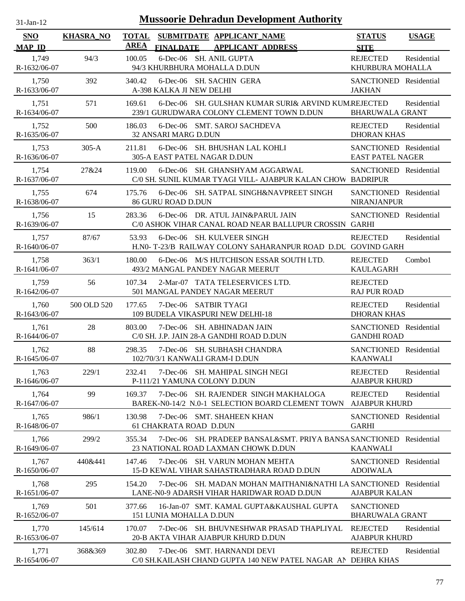| $31$ -Jan-12                |                  |                             | <b>Mussoorie Dehradun Development Authority</b>                                                                 |                                                   |              |
|-----------------------------|------------------|-----------------------------|-----------------------------------------------------------------------------------------------------------------|---------------------------------------------------|--------------|
| <b>SNO</b><br><b>MAP ID</b> | <b>KHASRA_NO</b> | <b>TOTAL</b><br><b>AREA</b> | SUBMITDATE APPLICANT_NAME<br><b>APPLICANT ADDRESS</b><br><b>FINALDATE</b>                                       | <b>STATUS</b><br><b>SITE</b>                      | <b>USAGE</b> |
| 1,749<br>R-1632/06-07       | 94/3             | 100.05                      | 6-Dec-06 SH. ANIL GUPTA<br>94/3 KHURBHURA MOHALLA D.DUN                                                         | <b>REJECTED</b><br>KHURBURA MOHALLA               | Residential  |
| 1,750<br>R-1633/06-07       | 392              | 340.42                      | 6-Dec-06 SH. SACHIN GERA<br>A-398 KALKA JI NEW DELHI                                                            | SANCTIONED Residential<br><b>JAKHAN</b>           |              |
| 1,751<br>R-1634/06-07       | 571              | 169.61                      | 6-Dec-06 SH. GULSHAN KUMAR SURI& ARVIND KUMREJECTED<br>239/1 GURUDWARA COLONY CLEMENT TOWN D.DUN                | <b>BHARUWALA GRANT</b>                            | Residential  |
| 1,752<br>R-1635/06-07       | 500              | 186.03                      | 6-Dec-06 SMT. SAROJ SACHDEVA<br>32 ANSARI MARG D.DUN                                                            | <b>REJECTED</b><br><b>DHORAN KHAS</b>             | Residential  |
| 1,753<br>R-1636/06-07       | $305-A$          | 211.81                      | 6-Dec-06 SH. BHUSHAN LAL KOHLI<br>305-A EAST PATEL NAGAR D.DUN                                                  | SANCTIONED Residential<br><b>EAST PATEL NAGER</b> |              |
| 1,754<br>R-1637/06-07       | 27&24            | 119.00                      | 6-Dec-06 SH. GHANSHYAM AGGARWAL<br>C/0 SH. SUNIL KUMAR TYAGI VILL- AJABPUR KALAN CHOW                           | SANCTIONED Residential<br><b>BADRIPUR</b>         |              |
| 1,755<br>R-1638/06-07       | 674              | 175.76                      | 6-Dec-06 SH. SATPAL SINGH&NAVPREET SINGH<br><b>86 GURU ROAD D.DUN</b>                                           | SANCTIONED Residential<br>NIRANJANPUR             |              |
| 1,756<br>R-1639/06-07       | 15               | 283.36                      | 6-Dec-06 DR. ATUL JAIN&PARUL JAIN<br>C/0 ASHOK VIHAR CANAL ROAD NEAR BALLUPUR CROSSIN GARHI                     | SANCTIONED Residential                            |              |
| 1,757<br>R-1640/06-07       | 87/67            | 53.93                       | 6-Dec-06 SH. KULVEER SINGH<br>H.N0-T-23/B RAILWAY COLONY SAHARANPUR ROAD D.DU GOVIND GARH                       | <b>REJECTED</b>                                   | Residential  |
| 1,758<br>R-1641/06-07       | 363/1            | 180.00                      | 6-Dec-06 M/S HUTCHISON ESSAR SOUTH LTD.<br>493/2 MANGAL PANDEY NAGAR MEERUT                                     | <b>REJECTED</b><br><b>KAULAGARH</b>               | Combo1       |
| 1,759<br>R-1642/06-07       | 56               | 107.34                      | 2-Mar-07 TATA TELESERVICES LTD.<br>501 MANGAL PANDEY NAGAR MEERUT                                               | <b>REJECTED</b><br><b>RAJ PUR ROAD</b>            |              |
| 1,760<br>R-1643/06-07       | 500 OLD 520      | 177.65                      | 7-Dec-06 SATBIR TYAGI<br>109 BUDELA VIKASPURI NEW DELHI-18                                                      | <b>REJECTED</b><br><b>DHORAN KHAS</b>             | Residential  |
| 1,761<br>R-1644/06-07       | 28               | 803.00                      | 7-Dec-06 SH. ABHINADAN JAIN<br>C/0 SH. J.P. JAIN 28-A GANDHI ROAD D.DUN                                         | SANCTIONED Residential<br><b>GANDHI ROAD</b>      |              |
| 1,762<br>R-1645/06-07       | 88               | 298.35                      | 7-Dec-06 SH. SUBHASH CHANDRA<br>102/70/3/1 KANWALI GRAM-I D.DUN                                                 | SANCTIONED Residential<br><b>KAANWALI</b>         |              |
| 1,763<br>R-1646/06-07       | 229/1            | 232.41                      | 7-Dec-06 SH. MAHIPAL SINGH NEGI<br>P-111/21 YAMUNA COLONY D.DUN                                                 | <b>REJECTED</b><br><b>AJABPUR KHURD</b>           | Residential  |
| 1,764<br>R-1647/06-07       | 99               | 169.37                      | 7-Dec-06 SH. RAJENDER SINGH MAKHALOGA<br>BAREK-N0-14/2 N.0-1 SELECTION BOARD CLEMENT TOWN                       | <b>REJECTED</b><br><b>AJABPUR KHURD</b>           | Residential  |
| 1,765<br>R-1648/06-07       | 986/1            | 130.98                      | 7-Dec-06 SMT. SHAHEEN KHAN<br><b>61 CHAKRATA ROAD D.DUN</b>                                                     | SANCTIONED Residential<br><b>GARHI</b>            |              |
| 1,766<br>R-1649/06-07       | 299/2            | 355.34                      | 7-Dec-06 SH, PRADEEP BANSAL&SMT, PRIYA BANSA SANCTIONED Residential<br>23 NATIONAL ROAD LAXMAN CHOWK D.DUN      | <b>KAANWALI</b>                                   |              |
| 1,767<br>R-1650/06-07       | 440&441          | 147.46                      | 7-Dec-06 SH. VARUN MOHAN MEHTA<br>15-D KEWAL VIHAR SAHASTRADHARA ROAD D.DUN                                     | SANCTIONED Residential<br><b>ADOIWALA</b>         |              |
| 1,768<br>R-1651/06-07       | 295              | 154.20                      | 7-Dec-06 SH, MADAN MOHAN MAITHANI&NATHI LA SANCTIONED Residential<br>LANE-N0-9 ADARSH VIHAR HARIDWAR ROAD D.DUN | <b>AJABPUR KALAN</b>                              |              |
| 1,769<br>R-1652/06-07       | 501              | 377.66                      | 16-Jan-07 SMT. KAMAL GUPTA&KAUSHAL GUPTA<br>151 LUNIA MOHALLA D.DUN                                             | <b>SANCTIONED</b><br><b>BHARUWALA GRANT</b>       |              |
| 1,770<br>R-1653/06-07       | 145/614          | 170.07                      | 7-Dec-06 SH. BHUVNESHWAR PRASAD THAPLIYAL<br>20-B AKTA VIHAR AJABPUR KHURD D.DUN                                | <b>REJECTED</b><br><b>AJABPUR KHURD</b>           | Residential  |
| 1,771<br>R-1654/06-07       | 368&369          | 302.80                      | 7-Dec-06 SMT. HARNANDI DEVI<br>C/0 SH.KAILASH CHAND GUPTA 140 NEW PATEL NAGAR AN DEHRA KHAS                     | <b>REJECTED</b>                                   | Residential  |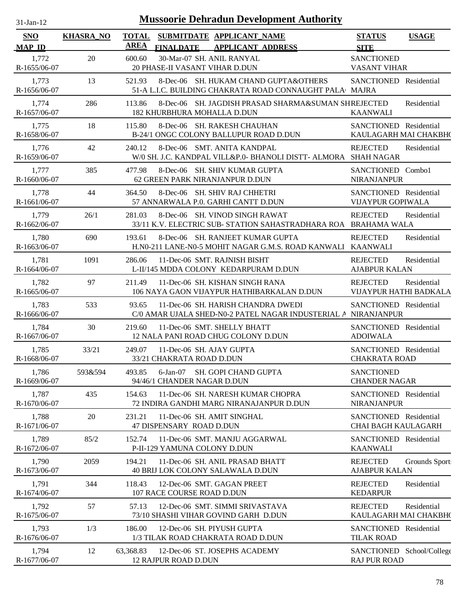| $31-Jan-12$           |                  |              | <b>Mussoorie Dehradun Development Authority</b>                                                      |                                                    |               |
|-----------------------|------------------|--------------|------------------------------------------------------------------------------------------------------|----------------------------------------------------|---------------|
| <b>SNO</b>            | <b>KHASRA_NO</b> | <b>TOTAL</b> | SUBMITDATE APPLICANT_NAME                                                                            | <b>STATUS</b>                                      | <b>USAGE</b>  |
| <b>MAP ID</b>         |                  | <b>AREA</b>  | <b>APPLICANT ADDRESS</b><br><b>FINALDATE</b>                                                         | <b>SITE</b>                                        |               |
| 1,772<br>R-1655/06-07 | 20               | 600.60       | 30-Mar-07 SH. ANIL RANYAL<br>20 PHASE-II VASANT VIHAR D.DUN                                          | <b>SANCTIONED</b><br><b>VASANT VIHAR</b>           |               |
| 1,773<br>R-1656/06-07 | 13               | 521.93       | 8-Dec-06 SH. HUKAM CHAND GUPTA&OTHERS<br>51-A L.I.C. BUILDING CHAKRATA ROAD CONNAUGHT PALA MAJRA     | SANCTIONED Residential                             |               |
| 1,774<br>R-1657/06-07 | 286              | 113.86       | 8-Dec-06 SH. JAGDISH PRASAD SHARMA&SUMAN SHREJECTED<br>182 KHURBHURA MOHALLA D.DUN                   | <b>KAANWALI</b>                                    | Residential   |
| 1,775<br>R-1658/06-07 | 18               | 115.80       | 8-Dec-06 SH. RAKESH CHAUHAN<br>B-24/1 ONGC COLONY BALLUPUR ROAD D.DUN                                | SANCTIONED Residential<br>KAULAGARH MAI CHAKBH(    |               |
| 1,776<br>R-1659/06-07 | 42               | 240.12       | 8-Dec-06 SMT. ANITA KANDPAL<br>W/0 SH. J.C. KANDPAL VILL&P.0- BHANOLI DISTT- ALMORA SHAH NAGAR       | <b>REJECTED</b>                                    | Residential   |
| 1,777<br>R-1660/06-07 | 385              | 477.98       | 8-Dec-06 SH. SHIV KUMAR GUPTA<br>62 GREEN PARK NIRANJANPUR D.DUN                                     | SANCTIONED Combo1<br><b>NIRANJANPUR</b>            |               |
| 1,778<br>R-1661/06-07 | 44               | 364.50       | 8-Dec-06 SH. SHIV RAJ CHHETRI<br>57 ANNARWALA P.0. GARHI CANTT D.DUN                                 | SANCTIONED Residential<br><b>VIJAYPUR GOPIWALA</b> |               |
| 1,779<br>R-1662/06-07 | 26/1             | 281.03       | 8-Dec-06 SH. VINOD SINGH RAWAT<br>33/11 K.V. ELECTRIC SUB- STATION SAHASTRADHARA ROA BRAHAMA WALA    | <b>REJECTED</b>                                    | Residential   |
| 1,780<br>R-1663/06-07 | 690              | 193.61       | 8-Dec-06 SH. RANJEET KUMAR GUPTA<br>H.N0-211 LANE-N0-5 MOHIT NAGAR G.M.S. ROAD KANWALI KAANWALI      | <b>REJECTED</b>                                    | Residential   |
| 1,781<br>R-1664/06-07 | 1091             | 286.06       | 11-Dec-06 SMT. RAJNISH BISHT<br>L-II/145 MDDA COLONY KEDARPURAM D.DUN                                | <b>REJECTED</b><br><b>AJABPUR KALAN</b>            | Residential   |
| 1,782<br>R-1665/06-07 | 97               | 211.49       | 11-Dec-06 SH. KISHAN SINGH RANA<br>106 NAYA GAON VIJAYPUR HATHIBARKALAN D.DUN                        | <b>REJECTED</b><br>VIJAYPUR HATHI BADKALA          | Residential   |
| 1,783<br>R-1666/06-07 | 533              | 93.65        | 11-Dec-06 SH. HARISH CHANDRA DWEDI<br>C/0 AMAR UJALA SHED-N0-2 PATEL NAGAR INDUSTERIAL A NIRANJANPUR | SANCTIONED Residential                             |               |
| 1,784<br>R-1667/06-07 | 30               | 219.60       | 11-Dec-06 SMT. SHELLY BHATT<br>12 NALA PANI ROAD CHUG COLONY D.DUN                                   | SANCTIONED Residential<br><b>ADOIWALA</b>          |               |
| 1,785<br>R-1668/06-07 | 33/21            | 249.07       | 11-Dec-06 SH. AJAY GUPTA<br>33/21 CHAKRATA ROAD D.DUN                                                | SANCTIONED Residential<br><b>CHAKRATA ROAD</b>     |               |
| 1,786<br>R-1669/06-07 | 593&594          | 493.85       | $6$ -Jan- $07$<br><b>SH. GOPI CHAND GUPTA</b><br>94/46/1 CHANDER NAGAR D.DUN                         | <b>SANCTIONED</b><br><b>CHANDER NAGAR</b>          |               |
| 1,787<br>R-1670/06-07 | 435              | 154.63       | 11-Dec-06 SH. NARESH KUMAR CHOPRA<br>72 INDIRA GANDHI MARG NIRANAJANPUR D.DUN                        | SANCTIONED Residential<br><b>NIRANJANPUR</b>       |               |
| 1,788<br>R-1671/06-07 | 20               | 231.21       | 11-Dec-06 SH. AMIT SINGHAL<br>47 DISPENSARY ROAD D.DUN                                               | SANCTIONED Residential<br>CHAI BAGH KAULAGARH      |               |
| 1,789<br>R-1672/06-07 | 85/2             | 152.74       | 11-Dec-06 SMT. MANJU AGGARWAL<br>P-II-129 YAMUNA COLONY D.DUN                                        | SANCTIONED Residential<br><b>KAANWALI</b>          |               |
| 1,790<br>R-1673/06-07 | 2059             | 194.21       | 11-Dec-06 SH. ANIL PRASAD BHATT<br>40 BRIJ LOK COLONY SALAWALA D.DUN                                 | <b>REJECTED</b><br><b>AJABPUR KALAN</b>            | Grounds Sport |
| 1,791<br>R-1674/06-07 | 344              | 118.43       | 12-Dec-06 SMT. GAGAN PREET<br>107 RACE COURSE ROAD D.DUN                                             | <b>REJECTED</b><br><b>KEDARPUR</b>                 | Residential   |
| 1,792<br>R-1675/06-07 | 57               | 57.13        | 12-Dec-06 SMT. SIMMI SRIVASTAVA<br>73/10 SHASHI VIHAR GOVIND GARH D.DUN                              | <b>REJECTED</b><br>KAULAGARH MAI CHAKBH(           | Residential   |
| 1,793<br>R-1676/06-07 | 1/3              | 186.00       | 12-Dec-06 SH. PIYUSH GUPTA<br>1/3 TILAK ROAD CHAKRATA ROAD D.DUN                                     | SANCTIONED Residential<br><b>TILAK ROAD</b>        |               |
| 1,794<br>R-1677/06-07 | 12               | 63,368.83    | 12-Dec-06 ST. JOSEPHS ACADEMY<br><b>12 RAJPUR ROAD D.DUN</b>                                         | SANCTIONED School/College<br><b>RAJ PUR ROAD</b>   |               |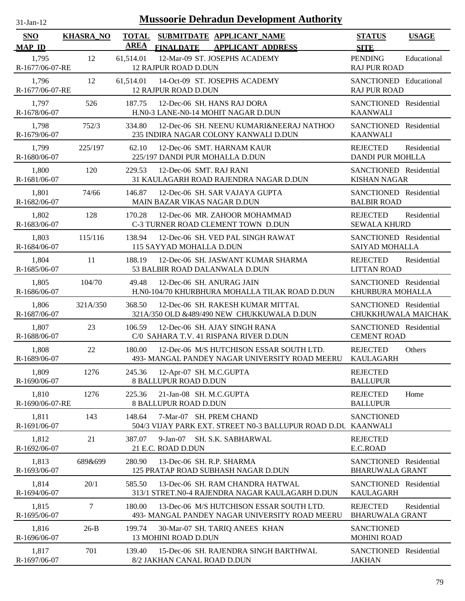| $31$ -Jan-12                |                  |                             | <b>Mussoorie Dehradun Development Authority</b>                                            |                                                  |              |
|-----------------------------|------------------|-----------------------------|--------------------------------------------------------------------------------------------|--------------------------------------------------|--------------|
| <b>SNO</b><br><b>MAP ID</b> | <b>KHASRA_NO</b> | <b>TOTAL</b><br><b>AREA</b> | SUBMITDATE APPLICANT_NAME<br><b>FINALDATE</b><br><b>APPLICANT ADDRESS</b>                  | <b>STATUS</b><br><b>SITE</b>                     | <b>USAGE</b> |
| 1,795<br>R-1677/06-07-RE    | 12               | 61,514.01                   | 12-Mar-09 ST. JOSEPHS ACADEMY<br><b>12 RAJPUR ROAD D.DUN</b>                               | <b>PENDING</b><br><b>RAJ PUR ROAD</b>            | Educational  |
| 1,796<br>R-1677/06-07-RE    | 12               | 61,514.01                   | 14-Oct-09 ST. JOSEPHS ACADEMY<br><b>12 RAJPUR ROAD D.DUN</b>                               | SANCTIONED Educational<br><b>RAJ PUR ROAD</b>    |              |
| 1,797<br>R-1678/06-07       | 526              | 187.75                      | 12-Dec-06 SH. HANS RAJ DORA<br>H.N0-3 LANE-N0-14 MOHIT NAGAR D.DUN                         | SANCTIONED Residential<br><b>KAANWALI</b>        |              |
| 1,798<br>R-1679/06-07       | 752/3            | 334.80                      | 12-Dec-06 SH. NEENU KUMARI&NEERAJ NATHOO<br>235 INDIRA NAGAR COLONY KANWALI D.DUN          | SANCTIONED Residential<br><b>KAANWALI</b>        |              |
| 1,799<br>R-1680/06-07       | 225/197          | 62.10                       | 12-Dec-06 SMT. HARNAM KAUR<br>225/197 DANDI PUR MOHALLA D.DUN                              | <b>REJECTED</b><br><b>DANDI PUR MOHLLA</b>       | Residential  |
| 1,800<br>R-1681/06-07       | 120              | 229.53                      | 12-Dec-06 SMT. RAJ RANI<br>31 KAULAGARH ROAD RAJENDRA NAGAR D.DUN                          | SANCTIONED Residential<br><b>KISHAN NAGAR</b>    |              |
| 1,801<br>R-1682/06-07       | 74/66            | 146.87                      | 12-Dec-06 SH. SAR VAJAYA GUPTA<br>MAIN BAZAR VIKAS NAGAR D.DUN                             | SANCTIONED Residential<br><b>BALBIR ROAD</b>     |              |
| 1,802<br>R-1683/06-07       | 128              | 170.28                      | 12-Dec-06 MR. ZAHOOR MOHAMMAD<br>C-3 TURNER ROAD CLEMENT TOWN D.DUN                        | <b>REJECTED</b><br><b>SEWALA KHURD</b>           | Residential  |
| 1,803<br>R-1684/06-07       | 115/116          | 138.94                      | 12-Dec-06 SH. VED PAL SINGH RAWAT<br>115 SAYYAD MOHALLA D.DUN                              | SANCTIONED Residential<br>SAIYAD MOHALLA         |              |
| 1,804<br>R-1685/06-07       | 11               | 188.19                      | 12-Dec-06 SH. JASWANT KUMAR SHARMA<br>53 BALBIR ROAD DALANWALA D.DUN                       | <b>REJECTED</b><br><b>LITTAN ROAD</b>            | Residential  |
| 1,805<br>R-1686/06-07       | 104/70           | 49.48                       | 12-Dec-06 SH. ANURAG JAIN<br>H.N0-104/70 KHURBHURA MOHALLA TILAK ROAD D.DUN                | SANCTIONED Residential<br>KHURBURA MOHALLA       |              |
| 1,806<br>R-1687/06-07       | 321A/350         | 368.50                      | 12-Dec-06 SH. RAKESH KUMAR MITTAL<br>321A/350 OLD &489/490 NEW CHUKKUWALA D.DUN            | SANCTIONED Residential<br>CHUKKHUWALA MAICHAK    |              |
| 1,807<br>R-1688/06-07       | 23               | 106.59                      | 12-Dec-06 SH, AJAY SINGH RANA<br>C/0 SAHARA T.V. 41 RISPANA RIVER D.DUN                    | SANCTIONED Residential<br><b>CEMENT ROAD</b>     |              |
| 1,808<br>R-1689/06-07       | 22               | 180.00                      | 12-Dec-06 M/S HUTCHISON ESSAR SOUTH LTD.<br>493- MANGAL PANDEY NAGAR UNIVERSITY ROAD MEERU | <b>REJECTED</b><br><b>KAULAGARH</b>              | Others       |
| 1,809<br>R-1690/06-07       | 1276             | 245.36                      | 12-Apr-07 SH. M.C.GUPTA<br>8 BALLUPUR ROAD D.DUN                                           | <b>REJECTED</b><br><b>BALLUPUR</b>               |              |
| 1,810<br>R-1690/06-07-RE    | 1276             | 225.36                      | 21-Jan-08 SH. M.C.GUPTA<br><b>8 BALLUPUR ROAD D.DUN</b>                                    | <b>REJECTED</b><br><b>BALLUPUR</b>               | Home         |
| 1,811<br>R-1691/06-07       | 143              | 148.64                      | 7-Mar-07 SH. PREM CHAND<br>504/3 VIJAY PARK EXT. STREET N0-3 BALLUPUR ROAD D.DU KAANWALI   | <b>SANCTIONED</b>                                |              |
| 1,812<br>R-1692/06-07       | 21               | 387.07                      | $9-Jan-07$<br>SH. S.K. SABHARWAL<br>21 E.C. ROAD D.DUN                                     | <b>REJECTED</b><br>E.C.ROAD                      |              |
| 1,813<br>R-1693/06-07       | 689&699          | 280.90                      | 13-Dec-06 SH. R.P. SHARMA<br>125 PRATAP ROAD SUBHASH NAGAR D.DUN                           | SANCTIONED Residential<br><b>BHARUWALA GRANT</b> |              |
| 1,814<br>R-1694/06-07       | 20/1             | 585.50                      | 13-Dec-06 SH. RAM CHANDRA HATWAL<br>313/1 STRET.N0-4 RAJENDRA NAGAR KAULAGARH D.DUN        | SANCTIONED Residential<br><b>KAULAGARH</b>       |              |
| 1,815<br>R-1695/06-07       | 7                | 180.00                      | 13-Dec-06 M/S HUTCHISON ESSAR SOUTH LTD.<br>493- MANGAL PANDEY NAGAR UNIVERSITY ROAD MEERU | <b>REJECTED</b><br><b>BHARUWALA GRANT</b>        | Residential  |
| 1,816<br>R-1696/06-07       | $26-B$           | 199.74                      | 30-Mar-07 SH. TARIQ ANEES KHAN<br>13 MOHINI ROAD D.DUN                                     | <b>SANCTIONED</b><br><b>MOHINI ROAD</b>          |              |
| 1,817<br>R-1697/06-07       | 701              | 139.40                      | 15-Dec-06 SH. RAJENDRA SINGH BARTHWAL<br>8/2 JAKHAN CANAL ROAD D.DUN                       | SANCTIONED Residential<br><b>JAKHAN</b>          |              |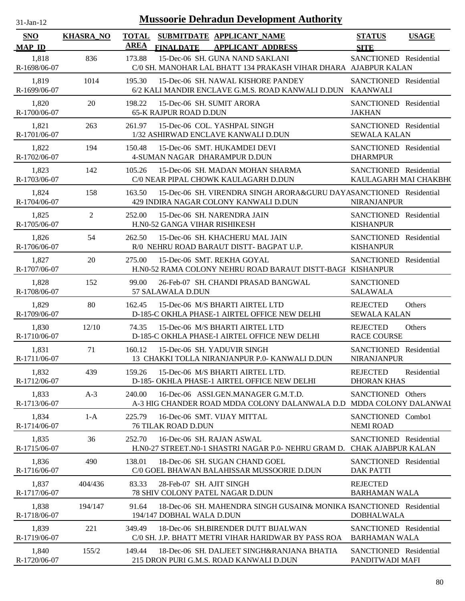| $31-Jan-12$                 |                  |                                                                       | <b>Mussoorie Dehradun Development Authority</b>                                                             |                                                     |              |
|-----------------------------|------------------|-----------------------------------------------------------------------|-------------------------------------------------------------------------------------------------------------|-----------------------------------------------------|--------------|
| <b>SNO</b><br><b>MAP ID</b> | <b>KHASRA_NO</b> | <b>TOTAL</b><br><b>AREA</b><br><b>FINALDATE</b>                       | SUBMITDATE APPLICANT_NAME<br><b>APPLICANT ADDRESS</b>                                                       | <b>STATUS</b><br><b>SITE</b>                        | <b>USAGE</b> |
| 1,818<br>R-1698/06-07       | 836              | 173.88                                                                | 15-Dec-06 SH. GUNA NAND SAKLANI<br>C/0 SH. MANOHAR LAL BHATT 134 PRAKASH VIHAR DHARA AJABPUR KALAN          | SANCTIONED Residential                              |              |
| 1,819<br>R-1699/06-07       | 1014             | 195.30                                                                | 15-Dec-06 SH. NAWAL KISHORE PANDEY<br>6/2 KALI MANDIR ENCLAVE G.M.S. ROAD KANWALI D.DUN                     | SANCTIONED Residential<br><b>KAANWALI</b>           |              |
| 1,820<br>R-1700/06-07       | 20               | 198.22<br><b>65-K RAJPUR ROAD D.DUN</b>                               | 15-Dec-06 SH. SUMIT ARORA                                                                                   | SANCTIONED Residential<br><b>JAKHAN</b>             |              |
| 1,821<br>R-1701/06-07       | 263              | 261.97                                                                | 15-Dec-06 COL. YASHPAL SINGH<br>1/32 ASHIRWAD ENCLAVE KANWALI D.DUN                                         | SANCTIONED Residential<br><b>SEWALA KALAN</b>       |              |
| 1,822<br>R-1702/06-07       | 194              | 150.48<br>4-SUMAN NAGAR DHARAMPUR D.DUN                               | 15-Dec-06 SMT. HUKAMDEI DEVI                                                                                | SANCTIONED Residential<br><b>DHARMPUR</b>           |              |
| 1,823<br>R-1703/06-07       | 142              | 105.26                                                                | 15-Dec-06 SH. MADAN MOHAN SHARMA<br>C/0 NEAR PIPAL CHOWK KAULAGARH D.DUN                                    | SANCTIONED Residential<br>KAULAGARH MAI CHAKBH(     |              |
| 1,824<br>R-1704/06-07       | 158              | 163.50                                                                | 15-Dec-06 SH. VIRENDRA SINGH ARORA&GURU DAYASANCTIONED Residential<br>429 INDIRA NAGAR COLONY KANWALI D.DUN | <b>NIRANJANPUR</b>                                  |              |
| 1,825<br>R-1705/06-07       | 2                | 252.00<br>H.N0-52 GANGA VIHAR RISHIKESH                               | 15-Dec-06 SH. NARENDRA JAIN                                                                                 | SANCTIONED Residential<br><b>KISHANPUR</b>          |              |
| 1,826<br>R-1706/06-07       | 54               | 262.50                                                                | 15-Dec-06 SH. KHACHERU MAL JAIN<br>R/0 NEHRU ROAD BARAUT DISTT-BAGPAT U.P.                                  | SANCTIONED Residential<br><b>KISHANPUR</b>          |              |
| 1,827<br>R-1707/06-07       | 20               | 275.00                                                                | 15-Dec-06 SMT. REKHA GOYAL<br>H.N0-52 RAMA COLONY NEHRU ROAD BARAUT DISTT-BAGI KISHANPUR                    | SANCTIONED Residential                              |              |
| 1,828<br>R-1708/06-07       | 152              | 99.00<br>57 SALAWALA D.DUN                                            | 26-Feb-07 SH. CHANDI PRASAD BANGWAL                                                                         | <b>SANCTIONED</b><br><b>SALAWALA</b>                |              |
| 1,829<br>R-1709/06-07       | 80               | 162.45                                                                | 15-Dec-06 M/S BHARTI AIRTEL LTD<br>D-185-C OKHLA PHASE-1 AIRTEL OFFICE NEW DELHI                            | <b>REJECTED</b><br><b>SEWALA KALAN</b>              | Others       |
| 1,830<br>R-1710/06-07       | 12/10            | 74.35                                                                 | 15-Dec-06 M/S BHARTI AIRTEL LTD<br>D-185-C OKHLA PHASE-I AIRTEL OFFICE NEW DELHI                            | <b>REJECTED</b><br><b>RACE COURSE</b>               | Others       |
| 1.831<br>R-1711/06-07       | 71               | 160.12                                                                | 15-Dec-06 SH. YADUVIR SINGH<br>13 CHAKKI TOLLA NIRANJANPUR P.0- KANWALI D.DUN                               | SANCTIONED Residential<br><b>NIRANJANPUR</b>        |              |
| 1,832<br>R-1712/06-07       | 439              | 159.26                                                                | 15-Dec-06 M/S BHARTI AIRTEL LTD.<br>D-185- OKHLA PHASE-1 AIRTEL OFFICE NEW DELHI                            | <b>REJECTED</b><br><b>DHORAN KHAS</b>               | Residential  |
| 1,833<br>R-1713/06-07       | $A-3$            | 240.00                                                                | 16-Dec-06 ASSI.GEN.MANAGER G.M.T.D.<br>A-3 HIG CHANDER ROAD MDDA COLONY DALANWALA D.D MDDA COLONY DALANWAI  | SANCTIONED Others                                   |              |
| 1,834<br>R-1714/06-07       | $1-A$            | 225.79<br>76 TILAK ROAD D.DUN                                         | 16-Dec-06 SMT. VIJAY MITTAL                                                                                 | SANCTIONED Combo1<br><b>NEMI ROAD</b>               |              |
| 1,835<br>R-1715/06-07       | 36               | 252.70                                                                | 16-Dec-06 SH. RAJAN ASWAL<br>H.NO-27 STREET.NO-1 SHASTRI NAGAR P.O- NEHRU GRAM D.                           | SANCTIONED Residential<br><b>CHAK AJABPUR KALAN</b> |              |
| 1,836<br>R-1716/06-07       | 490              | 138.01                                                                | 18-Dec-06 SH. SUGAN CHAND GOEL<br>C/0 GOEL BHAWAN BALAHISSAR MUSSOORIE D.DUN                                | SANCTIONED Residential<br><b>DAK PATTI</b>          |              |
| 1,837<br>R-1717/06-07       | 404/436          | 83.33<br>28-Feb-07 SH, AJIT SINGH<br>78 SHIV COLONY PATEL NAGAR D.DUN |                                                                                                             | <b>REJECTED</b><br><b>BARHAMAN WALA</b>             |              |
| 1,838<br>R-1718/06-07       | 194/147          | 91.64<br>194/147 DOBHAL WALA D.DUN                                    | 18-Dec-06 SH, MAHENDRA SINGH GUSAIN& MONIKA ISANCTIONED Residential                                         | <b>DOBHALWALA</b>                                   |              |
| 1,839<br>R-1719/06-07       | 221              | 349.49                                                                | 18-Dec-06 SH.BIRENDER DUTT BIJALWAN<br>C/0 SH. J.P. BHATT METRI VIHAR HARIDWAR BY PASS ROA                  | SANCTIONED Residential<br><b>BARHAMAN WALA</b>      |              |
| 1,840<br>R-1720/06-07       | 155/2            | 149.44                                                                | 18-Dec-06 SH. DALJEET SINGH&RANJANA BHATIA<br>215 DRON PURI G.M.S. ROAD KANWALI D.DUN                       | SANCTIONED Residential<br>PANDITWADI MAFI           |              |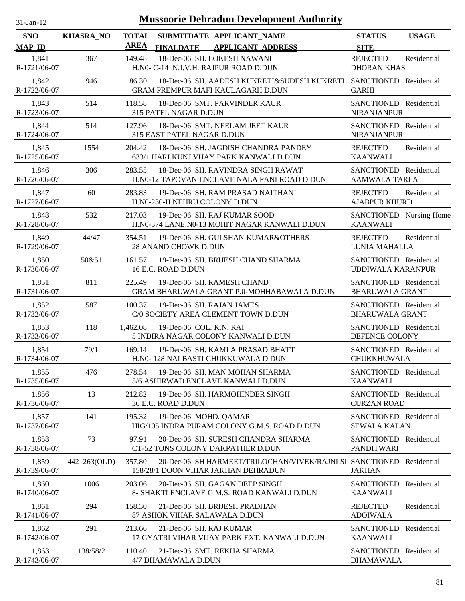| $-Jan-1$ |  |
|----------|--|
|          |  |

| <b>SNO</b>            | <b>KHASRA_NO</b> | <b>TOTAL</b> |                               | SUBMITDATE APPLICANT NAME                                                                               | <b>STATUS</b>                                      | <b>USAGE</b> |
|-----------------------|------------------|--------------|-------------------------------|---------------------------------------------------------------------------------------------------------|----------------------------------------------------|--------------|
| <b>MAP ID</b>         |                  | <b>AREA</b>  | <b>FINALDATE</b>              | <b>APPLICANT ADDRESS</b>                                                                                | <b>SITE</b>                                        |              |
| 1,841<br>R-1721/06-07 | 367              | 149.48       |                               | 18-Dec-06 SH. LOKESH NAWANI<br>H.NO- C-14 N.I.V.H. RAJPUR ROAD D.DUN                                    | <b>REJECTED</b><br><b>DHORAN KHAS</b>              | Residential  |
| 1,842<br>R-1722/06-07 | 946              | 86.30        |                               | 18-Dec-06 SH. AADESH KUKRETI&SUDESH KUKRETI SANCTIONED Residential<br>GRAM PREMPUR MAFI KAULAGARH D.DUN | <b>GARHI</b>                                       |              |
| 1,843<br>R-1723/06-07 | 514              | 118.58       | 315 PATEL NAGAR D.DUN         | 18-Dec-06 SMT. PARVINDER KAUR                                                                           | SANCTIONED Residential<br><b>NIRANJANPUR</b>       |              |
| 1,844<br>R-1724/06-07 | 514              | 127.96       | 315 EAST PATEL NAGAR D.DUN    | 18-Dec-06 SMT. NEELAM JEET KAUR                                                                         | SANCTIONED Residential<br><b>NIRANJANPUR</b>       |              |
| 1,845<br>R-1725/06-07 | 1554             | 204.42       |                               | 18-Dec-06 SH. JAGDISH CHANDRA PANDEY<br>633/1 HARI KUNJ VIJAY PARK KANWALI D.DUN                        | <b>REJECTED</b><br><b>KAANWALI</b>                 | Residential  |
| 1,846<br>R-1726/06-07 | 306              | 283.55       |                               | 18-Dec-06 SH. RAVINDRA SINGH RAWAT<br>H.N0-12 TAPOVAN ENCLAVE NALA PANI ROAD D.DUN                      | SANCTIONED Residential<br><b>AAMWALA TARLA</b>     |              |
| 1,847<br>R-1727/06-07 | 60               | 283.83       | H.N0-230-H NEHRU COLONY D.DUN | 19-Dec-06 SH. RAM PRASAD NAITHANI                                                                       | <b>REJECTED</b><br><b>AJABPUR KHURD</b>            | Residential  |
| 1,848<br>R-1728/06-07 | 532              | 217.03       |                               | 19-Dec-06 SH. RAJ KUMAR SOOD<br>H.N0-374 LANE.N0-13 MOHIT NAGAR KANWALI D.DUN                           | SANCTIONED Nursing Home<br><b>KAANWALI</b>         |              |
| 1,849<br>R-1729/06-07 | 44/47            | 354.51       | <b>28 ANAND CHOWK D.DUN</b>   | 19-Dec-06 SH. GULSHAN KUMAR&OTHERS                                                                      | <b>REJECTED</b><br>LUNIA MAHALLA                   | Residential  |
| 1,850<br>R-1730/06-07 | 50&51            | 161.57       | 16 E.C. ROAD D.DUN            | 19-Dec-06 SH. BRIJESH CHAND SHARMA                                                                      | SANCTIONED Residential<br><b>UDDIWALA KARANPUR</b> |              |
| 1,851<br>R-1731/06-07 | 811              | 225.49       |                               | 19-Dec-06 SH. RAMESH CHAND<br>GRAM BHARUWALA GRANT P.0-MOHHABAWALA D.DUN                                | SANCTIONED Residential<br><b>BHARUWALA GRANT</b>   |              |
| 1,852<br>R-1732/06-07 | 587              | 100.37       | 19-Dec-06 SH. RAJAN JAMES     | C/0 SOCIETY AREA CLEMENT TOWN D.DUN                                                                     | SANCTIONED Residential<br><b>BHARUWALA GRANT</b>   |              |
| 1,853<br>R-1733/06-07 | 118              | 1,462.08     | 19-Dec-06 COL. K.N. RAI       | 5 INDIRA NAGAR COLONY KANWALI D.DUN                                                                     | SANCTIONED Residential<br>DEFENCE COLONY           |              |
| 1,854<br>R-1734/06-07 | 79/1             | 169.14       |                               | 19-Dec-06 SH. KAMLA PRASAD BHATT<br>H.N0- 128 NAI BASTI CHUKKUWALA D.DUN                                | SANCTIONED Residential<br>CHUKKHUWALA              |              |
| 1,855<br>R-1735/06-07 | 476              | 278.54       |                               | 19-Dec-06 SH. MAN MOHAN SHARMA<br>5/6 ASHIRWAD ENCLAVE KANWALI D.DUN                                    | SANCTIONED Residential<br><b>KAANWALI</b>          |              |
| 1,856<br>R-1736/06-07 | 13               | 212.82       | 36 E.C. ROAD D.DUN            | 19-Dec-06 SH. HARMOHINDER SINGH                                                                         | SANCTIONED Residential<br><b>CURZAN ROAD</b>       |              |
| 1,857<br>R-1737/06-07 | 141              | 195.32       | 19-Dec-06 MOHD. QAMAR         | HIG/105 INDRA PURAM COLONY G.M.S. ROAD D.DUN                                                            | SANCTIONED Residential<br><b>SEWALA KALAN</b>      |              |
| 1,858<br>R-1738/06-07 | 73               | 97.91        |                               | 20-Dec-06 SH. SURESH CHANDRA SHARMA<br>CT-52 TONS COLONY DAKPATHER D.DUN                                | SANCTIONED Residential<br><b>PANDITWARI</b>        |              |
| 1,859<br>R-1739/06-07 | 442 263(OLD)     | 357.80       |                               | 20-Dec-06 SH HARMEET/TRILOCHAN/VIVEK/RAJNI SI SANCTIONED<br>158/28/1 DOON VIHAR JAKHAN DEHRADUN         | <b>JAKHAN</b>                                      | Residential  |
| 1,860<br>R-1740/06-07 | 1006             | 203.06       |                               | 20-Dec-06 SH. GAGAN DEEP SINGH<br>8- SHAKTI ENCLAVE G.M.S. ROAD KANWALI D.DUN                           | <b>SANCTIONED</b><br><b>KAANWALI</b>               | Residential  |
| 1,861<br>R-1741/06-07 | 294              | 158.30       | 87 ASHOK VIHAR SALAWALA D.DUN | 21-Dec-06 SH. BRIJESH PRADHAN                                                                           | <b>REJECTED</b><br><b>ADOIWALA</b>                 | Residential  |
| 1,862<br>R-1742/06-07 | 291              | 213.66       | 21-Dec-06 SH. RAJ KUMAR       | 17 GYATRI VIHAR VIJAY PARK EXT. KANWALI D.DUN                                                           | <b>SANCTIONED</b><br><b>KAANWALI</b>               | Residential  |
| 1,863<br>R-1743/06-07 | 138/58/2         | 110.40       | 4/7 DHAMAWALA D.DUN           | 21-Dec-06 SMT. REKHA SHARMA                                                                             | SANCTIONED<br><b>DHAMAWALA</b>                     | Residential  |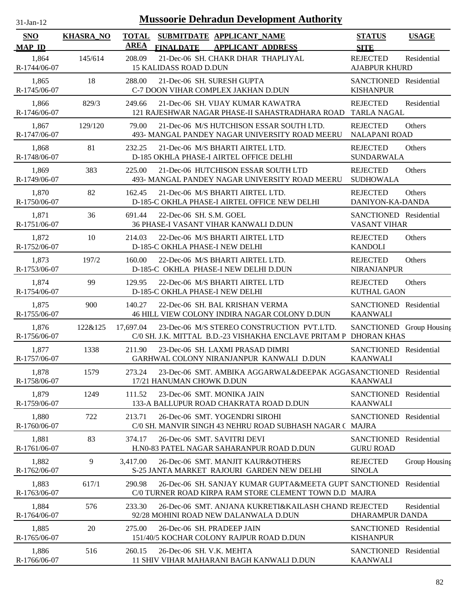| $31-Jan-12$                 |                  |                      | <b>Mussoorie Dehradun Development Authority</b>                                                                              |                                               |               |
|-----------------------------|------------------|----------------------|------------------------------------------------------------------------------------------------------------------------------|-----------------------------------------------|---------------|
| <b>SNO</b><br><b>MAP ID</b> | <b>KHASRA_NO</b> | <b>TOTAL</b><br>AREA | SUBMITDATE APPLICANT_NAME<br><b>FINALDATE</b><br><b>APPLICANT ADDRESS</b>                                                    | <b>STATUS</b><br><b>SITE</b>                  | <b>USAGE</b>  |
| 1,864<br>R-1744/06-07       | 145/614          | 208.09               | 21-Dec-06 SH. CHAKR DHAR THAPLIYAL<br>15 KALIDASS ROAD D.DUN                                                                 | <b>REJECTED</b><br><b>AJABPUR KHURD</b>       | Residential   |
| 1,865<br>R-1745/06-07       | 18               | 288.00               | 21-Dec-06 SH. SURESH GUPTA<br>C-7 DOON VIHAR COMPLEX JAKHAN D.DUN                                                            | SANCTIONED Residential<br><b>KISHANPUR</b>    |               |
| 1,866<br>R-1746/06-07       | 829/3            | 249.66               | 21-Dec-06 SH. VIJAY KUMAR KAWATRA<br>121 RAJESHWAR NAGAR PHASE-II SAHASTRADHARA ROAD                                         | <b>REJECTED</b><br><b>TARLA NAGAL</b>         | Residential   |
| 1,867<br>R-1747/06-07       | 129/120          | 79.00                | 21-Dec-06 M/S HUTCHISON ESSAR SOUTH LTD.<br>493- MANGAL PANDEY NAGAR UNIVERSITY ROAD MEERU                                   | <b>REJECTED</b><br><b>NALAPANI ROAD</b>       | Others        |
| 1,868<br>R-1748/06-07       | 81               | 232.25               | 21-Dec-06 M/S BHARTI AIRTEL LTD.<br>D-185 OKHLA PHASE-I AIRTEL OFFICE DELHI                                                  | <b>REJECTED</b><br><b>SUNDARWALA</b>          | Others        |
| 1,869<br>R-1749/06-07       | 383              | 225.00               | 21-Dec-06 HUTCHISON ESSAR SOUTH LTD<br>493- MANGAL PANDEY NAGAR UNIVERSITY ROAD MEERU                                        | <b>REJECTED</b><br><b>SUDHOWALA</b>           | Others        |
| 1,870<br>R-1750/06-07       | 82               | 162.45               | 21-Dec-06 M/S BHARTI AIRTEL LTD.<br>D-185-C OKHLA PHASE-I AIRTEL OFFICE NEW DELHI                                            | <b>REJECTED</b><br>DANIYON-KA-DANDA           | Others        |
| 1,871<br>R-1751/06-07       | 36               | 691.44               | 22-Dec-06 SH. S.M. GOEL<br>36 PHASE-I VASANT VIHAR KANWALI D.DUN                                                             | SANCTIONED Residential<br><b>VASANT VIHAR</b> |               |
| 1,872<br>R-1752/06-07       | 10               | 214.03               | 22-Dec-06 M/S BHARTI AIRTEL LTD<br>D-185-C OKHLA PHASE-I NEW DELHI                                                           | <b>REJECTED</b><br><b>KANDOLI</b>             | Others        |
| 1,873<br>R-1753/06-07       | 197/2            | 160.00               | 22-Dec-06 M/S BHARTI AIRTEL LTD.<br>D-185-C OKHLA PHASE-I NEW DELHI D.DUN                                                    | <b>REJECTED</b><br><b>NIRANJANPUR</b>         | Others        |
| 1,874<br>R-1754/06-07       | 99               | 129.95               | 22-Dec-06 M/S BHARTI AIRTEL LTD<br>D-185-C OKHLA PHASE-I NEW DELHI                                                           | <b>REJECTED</b><br><b>KUTHAL GAON</b>         | Others        |
| 1,875<br>R-1755/06-07       | 900              | 140.27               | 22-Dec-06 SH. BAL KRISHAN VERMA<br>46 HILL VIEW COLONY INDIRA NAGAR COLONY D.DUN                                             | SANCTIONED Residential<br><b>KAANWALI</b>     |               |
| 1,876<br>R-1756/06-07       | 122&125          | 17,697.04            | 23-Dec-06 M/S STEREO CONSTRUCTION PVT.LTD.<br>C/0 SH. J.K. MITTAL B.D.-23 VISHAKHA ENCLAVE PRITAM P DHORAN KHAS              | SANCTIONED Group Housing                      |               |
| 1,877<br>R-1757/06-07       | 1338             | 211.90               | 23-Dec-06 SH. LAXMI PRASAD DIMRI<br>GARHWAL COLONY NIRANJANPUR KANWALI D.DUN                                                 | SANCTIONED Residential<br><b>KAANWALI</b>     |               |
| 1,878<br>R-1758/06-07       | 1579             | 273.24               | 23-Dec-06 SMT. AMBIKA AGGARWAL&DEEPAK AGGASANCTIONED Residential<br>17/21 HANUMAN CHOWK D.DUN                                | <b>KAANWALI</b>                               |               |
| 1,879<br>R-1759/06-07       | 1249             | 111.52               | 23-Dec-06 SMT. MONIKA JAIN<br>133-A BALLUPUR ROAD CHAKRATA ROAD D.DUN                                                        | SANCTIONED Residential<br><b>KAANWALI</b>     |               |
| 1,880<br>R-1760/06-07       | 722              | 213.71               | 26-Dec-06 SMT. YOGENDRI SIROHI<br>C/0 SH. MANVIR SINGH 43 NEHRU ROAD SUBHASH NAGAR ( MAJRA                                   | <b>SANCTIONED</b>                             | Residential   |
| 1,881<br>R-1761/06-07       | 83               | 374.17               | 26-Dec-06 SMT. SAVITRI DEVI<br>H.NO-83 PATEL NAGAR SAHARANPUR ROAD D.DUN                                                     | <b>SANCTIONED</b><br><b>GURU ROAD</b>         | Residential   |
| 1,882<br>R-1762/06-07       | 9                | 3,417.00             | 26-Dec-06 SMT. MANJIT KAUR&OTHERS<br>S-25 JANTA MARKET RAJOURI GARDEN NEW DELHI                                              | <b>REJECTED</b><br><b>SINOLA</b>              | Group Housing |
| 1,883<br>R-1763/06-07       | 617/1            | 290.98               | 26-Dec-06 SH. SANJAY KUMAR GUPTA&MEETA GUPT SANCTIONED Residential<br>C/0 TURNER ROAD KIRPA RAM STORE CLEMENT TOWN D.D MAJRA |                                               |               |
| 1,884<br>R-1764/06-07       | 576              | 233.30               | 26-Dec-06 SMT. ANJANA KUKRETI&KAILASH CHAND REJECTED<br>92/28 MOHINI ROAD NEW DALANWALA D.DUN                                | DHARAMPUR DANDA                               | Residential   |
| 1,885<br>R-1765/06-07       | 20               | 275.00               | 26-Dec-06 SH. PRADEEP JAIN<br>151/40/5 KOCHAR COLONY RAJPUR ROAD D.DUN                                                       | SANCTIONED Residential<br><b>KISHANPUR</b>    |               |
| 1,886<br>R-1766/06-07       | 516              | 260.15               | 26-Dec-06 SH. V.K. MEHTA<br>11 SHIV VIHAR MAHARANI BAGH KANWALI D.DUN                                                        | SANCTIONED Residential<br><b>KAANWALI</b>     |               |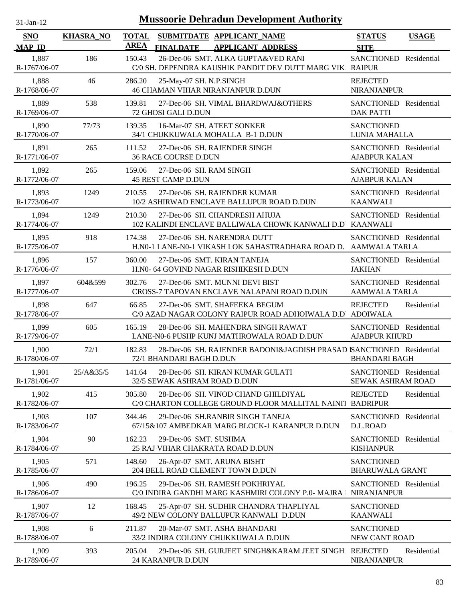| $31-Jan-12$                 | <b>Mussoorie Dehradun Development Authority</b> |                             |                                                      |                                                                                                 |                                                    |              |
|-----------------------------|-------------------------------------------------|-----------------------------|------------------------------------------------------|-------------------------------------------------------------------------------------------------|----------------------------------------------------|--------------|
| <b>SNO</b><br><b>MAP ID</b> | <b>KHASRA NO</b>                                | <b>TOTAL</b><br><b>AREA</b> | <b>FINALDATE</b>                                     | SUBMITDATE APPLICANT_NAME<br><b>APPLICANT ADDRESS</b>                                           | <b>STATUS</b><br><b>SITE</b>                       | <b>USAGE</b> |
| 1,887<br>R-1767/06-07       | 186                                             | 150.43                      |                                                      | 26-Dec-06 SMT. ALKA GUPTA&VED RANI<br>C/0 SH. DEPENDRA KAUSHIK PANDIT DEV DUTT MARG VIK. RAIPUR | SANCTIONED Residential                             |              |
| 1,888<br>R-1768/06-07       | 46                                              | 286.20                      | 25-May-07 SH. N.P.SINGH                              | <b>46 CHAMAN VIHAR NIRANJANPUR D.DUN</b>                                                        | <b>REJECTED</b><br><b>NIRANJANPUR</b>              |              |
| 1,889<br>R-1769/06-07       | 538                                             | 139.81                      | 72 GHOSI GALI D.DUN                                  | 27-Dec-06 SH. VIMAL BHARDWAJ&OTHERS                                                             | <b>SANCTIONED</b> Residential<br><b>DAK PATTI</b>  |              |
| 1,890<br>R-1770/06-07       | 77/73                                           | 139.35                      | 16-Mar-07 SH. ATEET SONKER                           | 34/1 CHUKKUWALA MOHALLA B-1 D.DUN                                                               | <b>SANCTIONED</b><br>LUNIA MAHALLA                 |              |
| 1,891<br>R-1771/06-07       | 265                                             | 111.52                      | <b>36 RACE COURSE D.DUN</b>                          | 27-Dec-06 SH. RAJENDER SINGH                                                                    | SANCTIONED Residential<br><b>AJABPUR KALAN</b>     |              |
| 1,892<br>R-1772/06-07       | 265                                             | 159.06                      | 27-Dec-06 SH, RAM SINGH<br><b>45 REST CAMP D.DUN</b> |                                                                                                 | SANCTIONED Residential<br><b>AJABPUR KALAN</b>     |              |
| 1,893<br>R-1773/06-07       | 1249                                            | 210.55                      |                                                      | 27-Dec-06 SH. RAJENDER KUMAR<br>10/2 ASHIRWAD ENCLAVE BALLUPUR ROAD D.DUN                       | SANCTIONED Residential<br><b>KAANWALI</b>          |              |
| 1,894<br>R-1774/06-07       | 1249                                            | 210.30                      |                                                      | 27-Dec-06 SH. CHANDRESH AHUJA<br>102 KALINDI ENCLAVE BALLIWALA CHOWK KANWALI D.D KAANWALI       | SANCTIONED Residential                             |              |
| 1,895<br>R-1775/06-07       | 918                                             | 174.38                      |                                                      | 27-Dec-06 SH. NARENDRA DUTT<br>H.N0-1 LANE-N0-1 VIKASH LOK SAHASTRADHARA ROAD D.                | SANCTIONED Residential<br><b>AAMWALA TARLA</b>     |              |
| 1,896<br>R-1776/06-07       | 157                                             | 360.00                      |                                                      | 27-Dec-06 SMT. KIRAN TANEJA<br>H.N0- 64 GOVIND NAGAR RISHIKESH D.DUN                            | SANCTIONED Residential<br><b>JAKHAN</b>            |              |
| 1,897<br>R-1777/06-07       | 604&599                                         | 302.76                      |                                                      | 27-Dec-06 SMT. MUNNI DEVI BIST<br>CROSS-7 TAPOVAN ENCLAVE NALAPANI ROAD D.DUN                   | SANCTIONED Residential<br><b>AAMWALA TARLA</b>     |              |
| 1,898<br>R-1778/06-07       | 647                                             | 66.85                       |                                                      | 27-Dec-06 SMT. SHAFEEKA BEGUM<br>C/0 AZAD NAGAR COLONY RAIPUR ROAD ADHOIWALA D.D ADOIWALA       | <b>REJECTED</b>                                    | Residential  |
| 1,899<br>R-1779/06-07       | 605                                             | 165.19                      |                                                      | 28-Dec-06 SH. MAHENDRA SINGH RAWAT<br>LANE-N0-6 PUSHP KUNJ MATHROWALA ROAD D.DUN                | SANCTIONED Residential<br><b>AJABPUR KHURD</b>     |              |
| 1,900<br>R-1780/06-07       | 72/1                                            | 182.83                      | 72/1 BHANDARI BAGH D.DUN                             | 28-Dec-06 SH, RAJENDER BADONI&JAGDISH PRASAD SANCTIONED Residential                             | <b>BHANDARI BAGH</b>                               |              |
| 1,901<br>R-1781/06-07       | 25/A&35/5                                       | 141.64                      | 32/5 SEWAK ASHRAM ROAD D.DUN                         | 28-Dec-06 SH. KIRAN KUMAR GULATI                                                                | SANCTIONED Residential<br><b>SEWAK ASHRAM ROAD</b> |              |
| 1,902<br>R-1782/06-07       | 415                                             | 305.80                      |                                                      | 28-Dec-06 SH. VINOD CHAND GHILDIYAL<br>C/0 CHARTON COLLEGE GROUND FLOOR MALLITAL NAINIT         | <b>REJECTED</b><br><b>BADRIPUR</b>                 | Residential  |
| 1,903<br>R-1783/06-07       | 107                                             | 344.46                      |                                                      | 29-Dec-06 SH.RANBIR SINGH TANEJA<br>67/15&107 AMBEDKAR MARG BLOCK-1 KARANPUR D.DUN              | SANCTIONED Residential<br>D.L.ROAD                 |              |
| 1,904<br>R-1784/06-07       | 90                                              | 162.23                      | 29-Dec-06 SMT. SUSHMA                                | 25 RAJ VIHAR CHAKRATA ROAD D.DUN                                                                | SANCTIONED Residential<br><b>KISHANPUR</b>         |              |
| 1,905<br>R-1785/06-07       | 571                                             | 148.60                      | 26-Apr-07 SMT. ARUNA BISHT                           | 204 BELL ROAD CLEMENT TOWN D.DUN                                                                | <b>SANCTIONED</b><br><b>BHARUWALA GRANT</b>        |              |
| 1,906<br>R-1786/06-07       | 490                                             | 196.25                      |                                                      | 29-Dec-06 SH. RAMESH POKHRIYAL<br>C/0 INDIRA GANDHI MARG KASHMIRI COLONY P.0- MAJRA T           | SANCTIONED Residential<br><b>NIRANJANPUR</b>       |              |
| 1,907<br>R-1787/06-07       | 12                                              | 168.45                      |                                                      | 25-Apr-07 SH. SUDHIR CHANDRA THAPLIYAL<br>49/2 NEW COLONY BALLUPUR KANWALI D.DUN                | <b>SANCTIONED</b><br><b>KAANWALI</b>               |              |
| 1,908<br>R-1788/06-07       | 6                                               | 211.87                      |                                                      | 20-Mar-07 SMT. ASHA BHANDARI<br>33/2 INDIRA COLONY CHUKKUWALA D.DUN                             | <b>SANCTIONED</b><br>NEW CANT ROAD                 |              |
| 1,909<br>R-1789/06-07       | 393                                             | 205.04                      | 24 KARANPUR D.DUN                                    | 29-Dec-06 SH. GURJEET SINGH&KARAM JEET SINGH                                                    | <b>REJECTED</b><br><b>NIRANJANPUR</b>              | Residential  |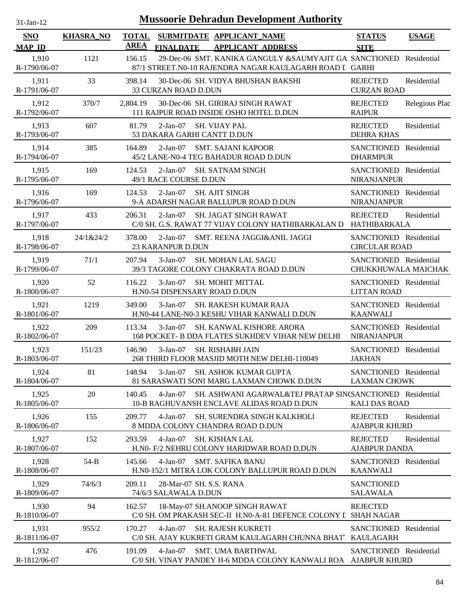| $31-Jan-12$                 |                  |                      |                                                  | <b>Mussoorie Dehradun Development Authority</b>                                                                   |                                                |                |
|-----------------------------|------------------|----------------------|--------------------------------------------------|-------------------------------------------------------------------------------------------------------------------|------------------------------------------------|----------------|
| <b>SNO</b><br><b>MAP ID</b> | <b>KHASRA_NO</b> | <b>TOTAL</b><br>AREA | <b>FINALDATE</b>                                 | SUBMITDATE APPLICANT_NAME<br><b>APPLICANT ADDRESS</b>                                                             | <b>STATUS</b><br><b>SITE</b>                   | <b>USAGE</b>   |
| 1,910<br>R-1790/06-07       | 1121             | 156.15               |                                                  | 29-Dec-06 SMT. KANIKA GANGULY &SAUMYAJIT GA SANCTIONED<br>87/1 STREET.NO-10 RAJENDRA NAGAR KAULAGARH ROAD I GARHI |                                                | Residential    |
| 1,911<br>R-1791/06-07       | 33               | 398.14               | 33 CURZAN ROAD D.DUN                             | 30-Dec-06 SH. VIDYA BHUSHAN BAKSHI                                                                                | <b>REJECTED</b><br><b>CURZAN ROAD</b>          | Residential    |
| 1,912<br>R-1792/06-07       | 370/7            | 2,804.19             |                                                  | 30-Dec-06 SH. GIRIRAJ SINGH RAWAT<br>111 RAJPUR ROAD INSIDE OSHO HOTEL D.DUN                                      | <b>REJECTED</b><br><b>RAIPUR</b>               | Relegious Plac |
| 1,913<br>R-1793/06-07       | 607              | 81.79                | $2-Jan-07$<br>53 DAKARA GARHI CANTT D.DUN        | <b>SH. VIJAY PAL</b>                                                                                              | <b>REJECTED</b><br><b>DEHRA KHAS</b>           | Residential    |
| 1,914<br>R-1794/06-07       | 385              | 164.89               | $2-Jan-07$                                       | <b>SMT. SAJANI KAPOOR</b><br>45/2 LANE-N0-4 TEG BAHADUR ROAD D.DUN                                                | SANCTIONED Residential<br><b>DHARMPUR</b>      |                |
| 1,915<br>R-1795/06-07       | 169              | 124.53               | $2-Jan-07$<br>49/1 RACE COURSE D.DUN             | <b>SH. SATNAM SINGH</b>                                                                                           | SANCTIONED Residential<br>NIRANJANPUR          |                |
| 1,916<br>R-1796/06-07       | 169              | 124.53               | $2-Jan-07$                                       | <b>SH. AJIT SINGH</b><br>9-A ADARSH NAGAR BALLUPUR ROAD D.DUN                                                     | SANCTIONED Residential<br>NIRANJANPUR          |                |
| 1,917<br>R-1797/06-07       | 433              | 206.31               | $2-Jan-07$                                       | SH. JAGAT SINGH RAWAT<br>C/0 SH. G.S. RAWAT 77 VIJAY COLONY HATHIBARKALAN D                                       | <b>REJECTED</b><br>HATHIBARKALA                | Residential    |
| 1,918<br>R-1798/06-07       | 24/1&24/2        | 378.00               | $2-Jan-07$<br>23 KARANPUR D.DUN                  | SMT. REENA JAGGI&ANIL JAGGI                                                                                       | SANCTIONED Residential<br><b>CIRCULAR ROAD</b> |                |
| 1,919<br>R-1799/06-07       | 71/1             | 207.94               | $3-Jan-07$                                       | SH. MOHAN LAL SAGU<br>39/3 TAGORE COLONY CHAKRATA ROAD D.DUN                                                      | SANCTIONED Residential<br>CHUKKHUWALA MAICHAK  |                |
| 1,920<br>R-1800/06-07       | 52               | 116.22               | $3-Jan-07$<br>H.N0-54 DISPENSARY ROAD D.DUN      | SH. MOHIT MITTAL                                                                                                  | SANCTIONED Residential<br><b>LITTAN ROAD</b>   |                |
| 1,921<br>R-1801/06-07       | 1219             | 349.00               | $3-Jan-07$                                       | <b>SH. RAKESH KUMAR RAJA</b><br>H.N0-44 LANE-N0-3 KESHU VIHAR KANWALI D.DUN                                       | SANCTIONED Residential<br><b>KAANWALI</b>      |                |
| 1,922<br>R-1802/06-07       | 209              | 113.34               | $3-Jan-07$                                       | SH. KANWAL KISHORE ARORA<br>168 POCKET- B DDA FLATES SUKHDEV VIHAR NEW DELHI                                      | SANCTIONED Residential<br><b>NIRANJANPUR</b>   |                |
| 1,923<br>R-1803/06-07       | 151/23           | 146.90               | $3-Jan-07$                                       | SH. RISHABH JAIN<br>268 THIRD FLOOR MASJID MOTH NEW DELHI-110049                                                  | SANCTIONED Residential<br><b>JAKHAN</b>        |                |
| 1,924<br>R-1804/06-07       | 81               | 148.94               | $3-Jan-07$                                       | <b>SH. ASHOK KUMAR GUPTA</b><br>81 SARASWATI SONI MARG LAXMAN CHOWK D.DUN                                         | SANCTIONED Residential<br><b>LAXMAN CHOWK</b>  |                |
| 1,925<br>R-1805/06-07       | 20               | 140.45               | $4-Jan-07$                                       | SH. ASHWANI AGARWAL&TEJ PRATAP SIN(SANCTIONED Residential<br>10-B RAGHUVANSH ENCLAVE ALIDAS ROAD D.DUN            | <b>KALI DAS ROAD</b>                           |                |
| 1,926<br>R-1806/06-07       | 155              | 209.77               | $4-Jan-07$                                       | SH. SURENDRA SINGH KALKHOLI<br>8 MDDA COLONY CHANDRA ROAD D.DUN                                                   | <b>REJECTED</b><br><b>AJABPUR KHURD</b>        | Residential    |
| 1,927<br>R-1807/06-07       | 152              | 293.59               | $4-Jan-07$                                       | <b>SH. KISHAN LAL</b><br>H.NO- F/2 NEHRU COLONY HARIDWAR ROAD D.DUN                                               | <b>REJECTED</b><br><b>AJABPUR DANDA</b>        | Residential    |
| 1,928<br>R-1808/06-07       | $54-B$           | 145.66               | $4-Jan-07$                                       | <b>SMT. SAFIKA BANU</b><br>H.N0-152/1 MITRA LOK COLONY BALLUPUR ROAD D.DUN                                        | SANCTIONED Residential<br><b>KAANWALI</b>      |                |
| 1,929<br>R-1809/06-07       | 74/6/3           | 209.11               | 28-Mar-07 SH. S.S. RANA<br>74/6/3 SALAWALA D.DUN |                                                                                                                   | <b>SANCTIONED</b><br><b>SALAWALA</b>           |                |
| 1,930<br>R-1810/06-07       | 94               | 162.57               |                                                  | 18-May-07 SH.ANOOP SINGH RAWAT<br>C/0 SH. OM PRAKASH SEC-II H.N0-A-81 DEFENCE COLONY I SHAH NAGAR                 | <b>REJECTED</b>                                |                |
| 1,931<br>R-1811/06-07       | 955/2            | 170.27               | 4-Jan-07                                         | SH. RAJESH KUKRETI<br>C/0 SH. AJAY KUKRETI GRAM KAULAGARH CHUNNA BHAT" KAULAGARH                                  | <b>SANCTIONED</b>                              | Residential    |
| 1,932<br>R-1812/06-07       | 476              | 191.09               | $4-Jan-07$                                       | <b>SMT. UMA BARTHWAL</b><br>C/0 SH. VINAY PANDEY H-6 MDDA COLONY KANWALI ROA AJABPUR KHURD                        | SANCTIONED Residential                         |                |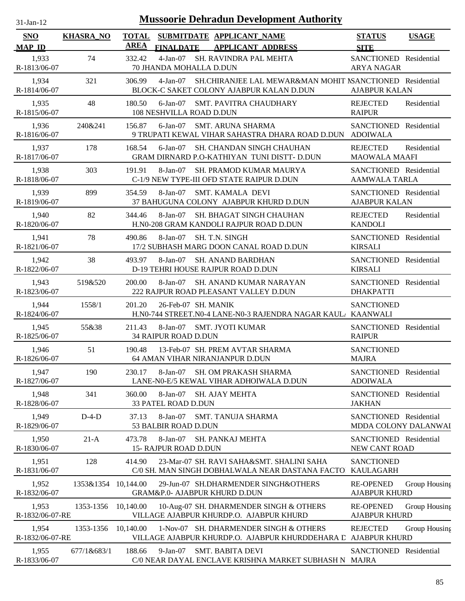| $31-Jan-12$                 |                  |                             | <b>Mussoorie Dehradun Development Authority</b>                                                                    |                                                |               |
|-----------------------------|------------------|-----------------------------|--------------------------------------------------------------------------------------------------------------------|------------------------------------------------|---------------|
| <b>SNO</b><br><b>MAP ID</b> | <b>KHASRA_NO</b> | <b>TOTAL</b><br><b>AREA</b> | SUBMITDATE APPLICANT_NAME<br><b>APPLICANT ADDRESS</b><br><b>FINALDATE</b>                                          | <b>STATUS</b><br><b>SITE</b>                   | <b>USAGE</b>  |
| 1,933<br>R-1813/06-07       | 74               | 332.42                      | $4-Jan-07$<br>SH. RAVINDRA PAL MEHTA<br>70 JHANDA MOHALLA D.DUN                                                    | SANCTIONED Residential<br><b>ARYA NAGAR</b>    |               |
| 1,934<br>R-1814/06-07       | 321              | 306.99                      | SH.CHIRANJEE LAL MEWAR&MAN MOHIT NSANCTIONED Residential<br>$4-Jan-07$<br>BLOCK-C SAKET COLONY AJABPUR KALAN D.DUN | <b>AJABPUR KALAN</b>                           |               |
| 1,935<br>R-1815/06-07       | 48               | 180.50                      | $6$ -Jan $-07$<br><b>SMT. PAVITRA CHAUDHARY</b><br>108 NESHVILLA ROAD D.DUN                                        | <b>REJECTED</b><br><b>RAIPUR</b>               | Residential   |
| 1,936<br>R-1816/06-07       | 240&241          | 156.87                      | $6$ -Jan $-07$<br><b>SMT. ARUNA SHARMA</b><br>9 TRUPATI KEWAL VIHAR SAHASTRA DHARA ROAD D.DUN                      | SANCTIONED Residential<br><b>ADOIWALA</b>      |               |
| 1,937<br>R-1817/06-07       | 178              | 168.54                      | $6$ -Jan $-07$<br>SH. CHANDAN SINGH CHAUHAN<br>GRAM DIRNARD P.O-KATHIYAN TUNI DISTT- D.DUN                         | <b>REJECTED</b><br><b>MAOWALA MAAFI</b>        | Residential   |
| 1,938<br>R-1818/06-07       | 303              | 191.91                      | $8-Jan-07$<br><b>SH. PRAMOD KUMAR MAURYA</b><br>C-1/9 NEW TYPE-III OFD STATE RAIPUR D.DUN                          | SANCTIONED Residential<br><b>AAMWALA TARLA</b> |               |
| 1,939<br>R-1819/06-07       | 899              | 354.59                      | $8 - Jan - 07$<br><b>SMT. KAMALA DEVI</b><br>37 BAHUGUNA COLONY AJABPUR KHURD D.DUN                                | SANCTIONED Residential<br><b>AJABPUR KALAN</b> |               |
| 1,940<br>R-1820/06-07       | 82               | 344.46                      | SH. BHAGAT SINGH CHAUHAN<br>$8-Jan-07$<br>H.N0-208 GRAM KANDOLI RAJPUR ROAD D.DUN                                  | <b>REJECTED</b><br><b>KANDOLI</b>              | Residential   |
| 1,941<br>R-1821/06-07       | 78               | 490.86                      | SH. T.N. SINGH<br>$8-Jan-07$<br>17/2 SUBHASH MARG DOON CANAL ROAD D.DUN                                            | SANCTIONED Residential<br><b>KIRSALI</b>       |               |
| 1,942<br>R-1822/06-07       | 38               | 493.97                      | $8-Jan-07$<br><b>SH. ANAND BARDHAN</b><br>D-19 TEHRI HOUSE RAJPUR ROAD D.DUN                                       | SANCTIONED Residential<br><b>KIRSALI</b>       |               |
| 1,943<br>R-1823/06-07       | 519&520          | 200.00                      | 8-Jan-07<br>SH. ANAND KUMAR NARAYAN<br>222 RAJPUR ROAD PLEASANT VALLEY D.DUN                                       | SANCTIONED Residential<br><b>DHAKPATTI</b>     |               |
| 1,944<br>R-1824/06-07       | 1558/1           | 201.20                      | 26-Feb-07 SH. MANIK<br>H.N0-744 STREET.N0-4 LANE-N0-3 RAJENDRA NAGAR KAUL KAANWALI                                 | <b>SANCTIONED</b>                              |               |
| 1,945<br>R-1825/06-07       | 55&38            | 211.43                      | <b>SMT. JYOTI KUMAR</b><br>$8-Jan-07$<br>34 RAIPUR ROAD D.DUN                                                      | SANCTIONED Residential<br><b>RAIPUR</b>        |               |
| 1,946<br>R-1826/06-07       | 51               | 190.48                      | 13-Feb-07 SH. PREM AVTAR SHARMA<br>64 AMAN VIHAR NIRANJANPUR D.DUN                                                 | <b>SANCTIONED</b><br><b>MAJRA</b>              |               |
| 1,947<br>R-1827/06-07       | 190              | 230.17                      | $8-Jan-07$<br>SH. OM PRAKASH SHARMA<br>LANE-N0-E/5 KEWAL VIHAR ADHOIWALA D.DUN                                     | SANCTIONED Residential<br><b>ADOIWALA</b>      |               |
| 1,948<br>R-1828/06-07       | 341              | 360.00                      | 8-Jan-07<br><b>SH. AJAY MEHTA</b><br>33 PATEL ROAD D.DUN                                                           | SANCTIONED Residential<br><b>JAKHAN</b>        |               |
| 1,949<br>R-1829/06-07       | $D-4-D$          | 37.13                       | 8-Jan-07<br><b>SMT. TANUJA SHARMA</b><br>53 BALBIR ROAD D.DUN                                                      | SANCTIONED Residential<br>MDDA COLONY DALANWAI |               |
| 1,950<br>R-1830/06-07       | $21-A$           | 473.78                      | 8-Jan-07<br>SH. PANKAJ MEHTA<br>15- RAJPUR ROAD D.DUN                                                              | SANCTIONED Residential<br>NEW CANT ROAD        |               |
| 1,951<br>R-1831/06-07       | 128              | 414.90                      | 23-Mar-07 SH. RAVI SAHA&SMT. SHALINI SAHA<br>C/0 SH. MAN SINGH DOBHALWALA NEAR DASTANA FACTO                       | <b>SANCTIONED</b><br><b>KAULAGARH</b>          |               |
| 1,952<br>R-1832/06-07       | 1353&1354        | 10,144.00                   | 29-Jun-07 SH.DHARMENDER SINGH&OTHERS<br>GRAM&P.0- AJABPUR KHURD D.DUN                                              | <b>RE-OPENED</b><br><b>AJABPUR KHURD</b>       | Group Housing |
| 1,953<br>R-1832/06-07-RE    | 1353-1356        | 10,140.00                   | 10-Aug-07 SH. DHARMENDER SINGH & OTHERS<br>VILLAGE AJABPUR KHURDP.O. AJABPUR KHURD                                 | <b>RE-OPENED</b><br><b>AJABPUR KHURD</b>       | Group Housing |
| 1,954<br>R-1832/06-07-RE    | 1353-1356        | 10,140.00                   | 1-Nov-07 SH. DHARMENDER SINGH & OTHERS<br>VILLAGE AJABPUR KHURDP.O. AJABPUR KHURDDEHARA L AJABPUR KHURD            | <b>REJECTED</b>                                | Group Housing |
| 1,955<br>R-1833/06-07       | 677/1&683/1      | 188.66                      | $9-Jan-07$<br><b>SMT. BABITA DEVI</b><br>C/0 NEAR DAYAL ENCLAVE KRISHNA MARKET SUBHASH N MAJRA                     | SANCTIONED Residential                         |               |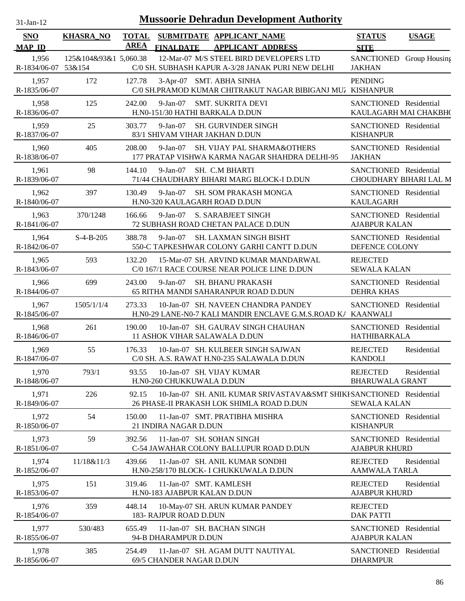| 31-Jan-12                    |                       |                             |                              |                                                                                                                   | <b>Mussoorie Dehradun Development Authority</b>  |              |  |  |  |
|------------------------------|-----------------------|-----------------------------|------------------------------|-------------------------------------------------------------------------------------------------------------------|--------------------------------------------------|--------------|--|--|--|
| <b>SNO</b><br><b>MAP ID</b>  | <b>KHASRA_NO</b>      | <b>TOTAL</b><br><b>AREA</b> | <b>FINALDATE</b>             | SUBMITDATE APPLICANT_NAME<br><b>APPLICANT ADDRESS</b>                                                             | <b>STATUS</b><br><b>SITE</b>                     | <b>USAGE</b> |  |  |  |
| 1,956<br>R-1834/06-07 53&154 | 125&104&93&1 5,060.38 |                             |                              | 12-Mar-07 M/S STEEL BIRD DEVELOPERS LTD<br>C/0 SH. SUBHASH KAPUR A-3/28 JANAK PURI NEW DELHI                      | SANCTIONED Group Housing<br><b>JAKHAN</b>        |              |  |  |  |
| 1,957<br>R-1835/06-07        | 172                   | 127.78                      |                              | 3-Apr-07 SMT. ABHA SINHA<br>C/0 SH.PRAMOD KUMAR CHITRAKUT NAGAR BIBIGANJ MUZ KISHANPUR                            | <b>PENDING</b>                                   |              |  |  |  |
| 1,958<br>R-1836/06-07        | 125                   | 242.00                      | $9-Jan-07$                   | <b>SMT. SUKRITA DEVI</b><br>H.N0-151/30 HATHI BARKALA D.DUN                                                       | SANCTIONED Residential<br>KAULAGARH MAI CHAKBH(  |              |  |  |  |
| 1,959<br>R-1837/06-07        | 25                    | 303.77                      | $9-Jan-07$                   | SH. GURVINDER SINGH<br>83/1 SHIVAM VIHAR JAKHAN D.DUN                                                             | SANCTIONED Residential<br><b>KISHANPUR</b>       |              |  |  |  |
| 1,960<br>R-1838/06-07        | 405                   | 208.00                      | $9-Jan-07$                   | SH. VIJAY PAL SHARMA&OTHERS<br>177 PRATAP VISHWA KARMA NAGAR SHAHDRA DELHI-95                                     | SANCTIONED Residential<br><b>JAKHAN</b>          |              |  |  |  |
| 1,961<br>R-1839/06-07        | 98                    | 144.10                      | $9-Jan-07$                   | SH. C.M BHARTI<br>71/44 CHAUDHARY BIHARI MARG BLOCK-I D.DUN                                                       | SANCTIONED Residential<br>CHOUDHARY BIHARI LAL M |              |  |  |  |
| 1,962<br>R-1840/06-07        | 397                   | 130.49                      | $9-Jan-07$                   | SH. SOM PRAKASH MONGA<br>H.N0-320 KAULAGARH ROAD D.DUN                                                            | SANCTIONED Residential<br><b>KAULAGARH</b>       |              |  |  |  |
| 1,963<br>R-1841/06-07        | 370/1248              | 166.66                      | $9-Jan-07$                   | <b>S. SARABJEET SINGH</b><br>72 SUBHASH ROAD CHETAN PALACE D.DUN                                                  | SANCTIONED Residential<br><b>AJABPUR KALAN</b>   |              |  |  |  |
| 1,964<br>R-1842/06-07        | $S-4-B-205$           | 388.78                      | $9-Jan-07$                   | <b>SH. LAXMAN SINGH BISHT</b><br>550-C TAPKESHWAR COLONY GARHI CANTT D.DUN                                        | SANCTIONED Residential<br>DEFENCE COLONY         |              |  |  |  |
| 1,965<br>R-1843/06-07        | 593                   | 132.20                      |                              | 15-Mar-07 SH. ARVIND KUMAR MANDARWAL<br>C/0 167/1 RACE COURSE NEAR POLICE LINE D.DUN                              | <b>REJECTED</b><br><b>SEWALA KALAN</b>           |              |  |  |  |
| 1,966<br>R-1844/06-07        | 699                   | 243.00                      | $9-Jan-07$                   | <b>SH. BHANU PRAKASH</b><br>65 RITHA MANDI SAHARANPUR ROAD D.DUN                                                  | SANCTIONED Residential<br><b>DEHRA KHAS</b>      |              |  |  |  |
| 1,967<br>R-1845/06-07        | 1505/1/1/4            | 273.33                      |                              | 10-Jan-07 SH. NAVEEN CHANDRA PANDEY<br>H.N0-29 LANE-N0-7 KALI MANDIR ENCLAVE G.M.S.ROAD K/                        | SANCTIONED Residential<br><b>KAANWALI</b>        |              |  |  |  |
| 1,968<br>R-1846/06-07        | 261                   | 190.00                      |                              | 10-Jan-07 SH. GAURAV SINGH CHAUHAN<br>11 ASHOK VIHAR SALAWALA D.DUN                                               | SANCTIONED Residential<br>HATHIBARKALA           |              |  |  |  |
| 1,969<br>R-1847/06-07        | 55                    | 176.33                      |                              | 10-Jan-07 SH. KULBEER SINGH SAJWAN<br>C/0 SH. A.S. RAWAT H.N0-235 SALAWALA D.DUN                                  | <b>REJECTED</b><br><b>KANDOLI</b>                | Residential  |  |  |  |
| 1,970<br>R-1848/06-07        | 793/1                 | 93.55                       | H.N0-260 CHUKKUWALA D.DUN    | 10-Jan-07 SH. VIJAY KUMAR                                                                                         | <b>REJECTED</b><br><b>BHARUWALA GRANT</b>        | Residential  |  |  |  |
| 1,971<br>R-1849/06-07        | 226                   | 92.15                       |                              | 10-Jan-07 SH. ANIL KUMAR SRIVASTAVA&SMT SHIKI-SANCTIONED Residential<br>26 PHASE-II PRAKASH LOK SHIMLA ROAD D.DUN | <b>SEWALA KALAN</b>                              |              |  |  |  |
| 1,972<br>R-1850/06-07        | 54                    | 150.00                      | 21 INDIRA NAGAR D.DUN        | 11-Jan-07 SMT. PRATIBHA MISHRA                                                                                    | SANCTIONED Residential<br><b>KISHANPUR</b>       |              |  |  |  |
| 1,973<br>R-1851/06-07        | 59                    | 392.56                      |                              | 11-Jan-07 SH. SOHAN SINGH<br>C-54 JAWAHAR COLONY BALLUPUR ROAD D.DUN                                              | SANCTIONED Residential<br><b>AJABPUR KHURD</b>   |              |  |  |  |
| 1,974<br>R-1852/06-07        | 11/18&11/3            | 439.66                      |                              | 11-Jan-07 SH. ANIL KUMAR SONDHI<br>H.N0-258/170 BLOCK- I CHUKKUWALA D.DUN                                         | <b>REJECTED</b><br><b>AAMWALA TARLA</b>          | Residential  |  |  |  |
| 1,975<br>R-1853/06-07        | 151                   | 319.46                      | H.N0-183 AJABPUR KALAN D.DUN | 11-Jan-07 SMT. KAMLESH                                                                                            | <b>REJECTED</b><br><b>AJABPUR KHURD</b>          | Residential  |  |  |  |
| 1,976<br>R-1854/06-07        | 359                   | 448.14                      | 183- RAJPUR ROAD D.DUN       | 10-May-07 SH. ARUN KUMAR PANDEY                                                                                   | <b>REJECTED</b><br><b>DAK PATTI</b>              |              |  |  |  |
| 1,977<br>R-1855/06-07        | 530/483               | 655.49                      | 94-B DHARAMPUR D.DUN         | 11-Jan-07 SH. BACHAN SINGH                                                                                        | SANCTIONED Residential<br><b>AJABPUR KALAN</b>   |              |  |  |  |
| 1,978<br>R-1856/06-07        | 385                   | 254.49                      | 69/5 CHANDER NAGAR D.DUN     | 11-Jan-07 SH. AGAM DUTT NAUTIYAL                                                                                  | SANCTIONED Residential<br><b>DHARMPUR</b>        |              |  |  |  |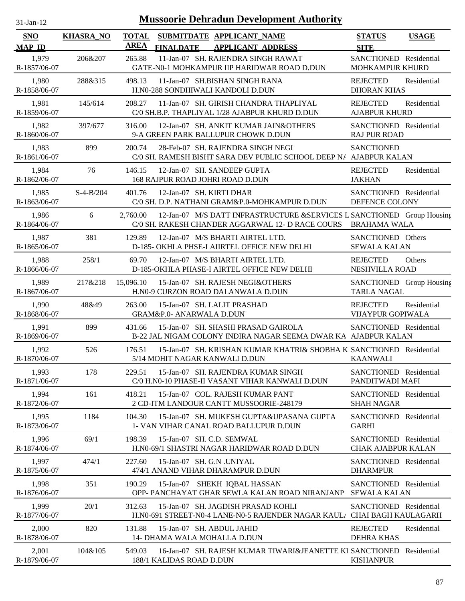| $31 - Jan - 12$ |  |
|-----------------|--|
|                 |  |

| <b>SNO</b><br><b>MAP ID</b> | <b>KHASRA_NO</b> | <b>TOTAL</b><br><b>AREA</b> | <b>FINALDATE</b>                                          | SUBMITDATE APPLICANT_NAME<br><b>APPLICANT ADDRESS</b>                                                                      | <b>STATUS</b><br><b>SITE</b>                         | <b>USAGE</b> |
|-----------------------------|------------------|-----------------------------|-----------------------------------------------------------|----------------------------------------------------------------------------------------------------------------------------|------------------------------------------------------|--------------|
| 1,979<br>R-1857/06-07       | 206&207          | 265.88                      |                                                           | 11-Jan-07 SH. RAJENDRA SINGH RAWAT<br>GATE-N0-1 MOHKAMPUR IIP HARIDWAR ROAD D.DUN                                          | SANCTIONED Residential<br>MOHKAMPUR KHURD            |              |
| 1,980<br>R-1858/06-07       | 288&315          | 498.13                      |                                                           | 11-Jan-07 SH.BISHAN SINGH RANA<br>H.N0-288 SONDHIWALI KANDOLI D.DUN                                                        | <b>REJECTED</b><br><b>DHORAN KHAS</b>                | Residential  |
| 1,981<br>R-1859/06-07       | 145/614          | 208.27                      |                                                           | 11-Jan-07 SH. GIRISH CHANDRA THAPLIYAL<br>C/0 SH.B.P. THAPLIYAL 1/28 AJABPUR KHURD D.DUN                                   | <b>REJECTED</b><br><b>AJABPUR KHURD</b>              | Residential  |
| 1,982<br>R-1860/06-07       | 397/677          | 316.00                      |                                                           | 12-Jan-07 SH. ANKIT KUMAR JAIN&OTHERS<br>9-A GREEN PARK BALLUPUR CHOWK D.DUN                                               | SANCTIONED Residential<br><b>RAJ PUR ROAD</b>        |              |
| 1,983<br>R-1861/06-07       | 899              | 200.74                      |                                                           | 28-Feb-07 SH. RAJENDRA SINGH NEGI<br>C/0 SH. RAMESH BISHT SARA DEV PUBLIC SCHOOL DEEP N/ AJABPUR KALAN                     | <b>SANCTIONED</b>                                    |              |
| 1,984<br>R-1862/06-07       | 76               | 146.15                      | 168 RAJPUR ROAD JOHRI ROAD D.DUN                          | 12-Jan-07 SH. SANDEEP GUPTA                                                                                                | <b>REJECTED</b><br><b>JAKHAN</b>                     | Residential  |
| 1,985<br>R-1863/06-07       | $S-4-B/204$      | 401.76                      | 12-Jan-07 SH. KIRTI DHAR                                  | C/0 SH. D.P. NATHANI GRAM&P.0-MOHKAMPUR D.DUN                                                                              | SANCTIONED Residential<br>DEFENCE COLONY             |              |
| 1,986<br>R-1864/06-07       | 6                | 2.760.00                    |                                                           | 12-Jan-07 M/S DATT INFRASTRUCTURE &SERVICES L SANCTIONED Group Housing<br>C/0 SH. RAKESH CHANDER AGGARWAL 12- D RACE COURS | <b>BRAHAMA WALA</b>                                  |              |
| 1,987<br>R-1865/06-07       | 381              | 129.89                      |                                                           | 12-Jan-07 M/S BHARTI AIRTEL LTD.<br>D-185- OKHLA PHSE-I AIIRTEL OFFICE NEW DELHI                                           | SANCTIONED Others<br><b>SEWALA KALAN</b>             |              |
| 1,988<br>R-1866/06-07       | 258/1            | 69.70                       |                                                           | 12-Jan-07 M/S BHARTI AIRTEL LTD.<br>D-185-OKHLA PHASE-I AIRTEL OFFICE NEW DELHI                                            | <b>REJECTED</b><br>NESHVILLA ROAD                    | Others       |
| 1,989<br>R-1867/06-07       | 217&218          | 15,096.10                   |                                                           | 15-Jan-07 SH. RAJESH NEGI&OTHERS<br>H.N0-9 CURZON ROAD DALANWALA D.DUN                                                     | SANCTIONED Group Housing<br><b>TARLA NAGAL</b>       |              |
| 1,990<br>R-1868/06-07       | 48&49            | 263.00                      | GRAM&P.0- ANARWALA D.DUN                                  | 15-Jan-07 SH. LALIT PRASHAD                                                                                                | <b>REJECTED</b><br><b>VIJAYPUR GOPIWALA</b>          | Residential  |
| 1,991<br>R-1869/06-07       | 899              | 431.66                      |                                                           | 15-Jan-07 SH. SHASHI PRASAD GAIROLA<br>B-22 JAL NIGAM COLONY INDIRA NAGAR SEEMA DWAR KA AJABPUR KALAN                      | SANCTIONED Residential                               |              |
| 1,992<br>R-1870/06-07       | 526              | 176.51                      | 5/14 MOHIT NAGAR KANWALI D.DUN                            | 15-Jan-07 SH. KRISHAN KUMAR KHATRI& SHOBHA K SANCTIONED Residential                                                        | <b>KAANWALI</b>                                      |              |
| 1,993<br>R-1871/06-07       | 178              | 229.51                      |                                                           | 15-Jan-07 SH. RAJENDRA KUMAR SINGH<br>C/0 H.N0-10 PHASE-II VASANT VIHAR KANWALI D.DUN                                      | SANCTIONED Residential<br>PANDITWADI MAFI            |              |
| 1,994<br>R-1872/06-07       | 161              | 418.21                      |                                                           | 15-Jan-07 COL. RAJESH KUMAR PANT<br>2 CD-ITM LANDOUR CANTT MUSSOORIE-248179                                                | SANCTIONED Residential<br><b>SHAH NAGAR</b>          |              |
| 1,995<br>R-1873/06-07       | 1184             | 104.30                      |                                                           | 15-Jan-07 SH. MUKESH GUPTA&UPASANA GUPTA<br>1- VAN VIHAR CANAL ROAD BALLUPUR D.DUN                                         | SANCTIONED Residential<br><b>GARHI</b>               |              |
| 1,996<br>R-1874/06-07       | 69/1             | 198.39                      | 15-Jan-07 SH. C.D. SEMWAL                                 | H.N0-69/1 SHASTRI NAGAR HARIDWAR ROAD D.DUN                                                                                | SANCTIONED Residential<br><b>CHAK AJABPUR KALAN</b>  |              |
| 1,997<br>R-1875/06-07       | 474/1            | 227.60                      | 15-Jan-07 SH. G.N. UNIYAL                                 | 474/1 ANAND VIHAR DHARAMPUR D.DUN                                                                                          | SANCTIONED Residential<br><b>DHARMPUR</b>            |              |
| 1,998<br>R-1876/06-07       | 351              | 190.29                      |                                                           | 15-Jan-07 SHEKH IQBAL HASSAN<br>OPP- PANCHAYAT GHAR SEWLA KALAN ROAD NIRANJANP                                             | SANCTIONED Residential<br><b>SEWALA KALAN</b>        |              |
| 1,999<br>R-1877/06-07       | 20/1             | 312.63                      |                                                           | 15-Jan-07 SH. JAGDISH PRASAD KOHLI<br>H.NO-691 STREET-NO-4 LANE-NO-5 RAJENDER NAGAR KAULA                                  | SANCTIONED Residential<br><b>CHAI BAGH KAULAGARH</b> |              |
| 2,000<br>R-1878/06-07       | 820              | 131.88                      | 15-Jan-07 SH. ABDUL JAHID<br>14- DHAMA WALA MOHALLA D.DUN |                                                                                                                            | <b>REJECTED</b><br><b>DEHRA KHAS</b>                 | Residential  |
| 2,001<br>R-1879/06-07       | 104&105          | 549.03                      | 188/1 KALIDAS ROAD D.DUN                                  | 16-Jan-07 SH. RAJESH KUMAR TIWARI&JEANETTE KI SANCTIONED Residential                                                       | <b>KISHANPUR</b>                                     |              |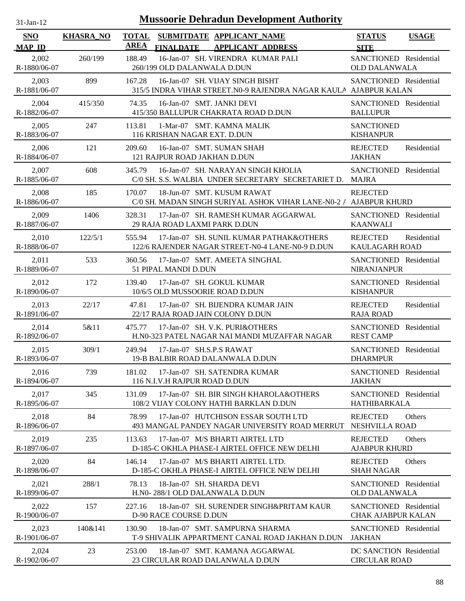| $31$ -Jan-12 |
|--------------|
|              |

| <b>SNO</b><br><b>MAP ID</b> | <b>KHASRA_NO</b> | <b>TOTAL</b><br><b>AREA</b> | SUBMITDATE APPLICANT_NAME<br><b>APPLICANT ADDRESS</b><br><b>FINALDATE</b>                           | <b>STATUS</b><br><b>SITE</b>                        | <b>USAGE</b> |
|-----------------------------|------------------|-----------------------------|-----------------------------------------------------------------------------------------------------|-----------------------------------------------------|--------------|
| 2,002<br>R-1880/06-07       | 260/199          | 188.49                      | 16-Jan-07 SH. VIRENDRA KUMAR PALI<br>260/199 OLD DALANWALA D.DUN                                    | SANCTIONED Residential<br><b>OLD DALANWALA</b>      |              |
| 2,003<br>R-1881/06-07       | 899              | 167.28                      | 16-Jan-07 SH. VIJAY SINGH BISHT<br>315/5 INDRA VIHAR STREET.NO-9 RAJENDRA NAGAR KAULA AJABPUR KALAN | SANCTIONED Residential                              |              |
| 2,004<br>R-1882/06-07       | 415/350          | 74.35                       | 16-Jan-07 SMT. JANKI DEVI<br>415/350 BALLUPUR CHAKRATA ROAD D.DUN                                   | SANCTIONED Residential<br><b>BALLUPUR</b>           |              |
| 2,005<br>R-1883/06-07       | 247              | 113.81                      | 1-Mar-07 SMT. KAMNA MALIK<br>116 KRISHAN NAGAR EXT. D.DUN                                           | <b>SANCTIONED</b><br><b>KISHANPUR</b>               |              |
| 2,006<br>R-1884/06-07       | 121              | 209.60                      | 16-Jan-07 SMT. SUMAN SHAH<br>121 RAJPUR ROAD JAKHAN D.DUN                                           | <b>REJECTED</b><br><b>JAKHAN</b>                    | Residential  |
| 2,007<br>R-1885/06-07       | 608              | 345.79                      | 16-Jan-07 SH. NARAYAN SINGH KHOLIA<br>C/0 SH. S.S. WALBIA UNDER SECRETARY SECRETARIET D. MAJRA      | SANCTIONED Residential                              |              |
| 2,008<br>R-1886/06-07       | 185              | 170.07                      | 18-Jun-07 SMT. KUSUM RAWAT<br>C/0 SH. MADAN SINGH SURIYAL ASHOK VIHAR LANE-N0-2 / AJABPUR KHURD     | <b>REJECTED</b>                                     |              |
| 2,009<br>R-1887/06-07       | 1406             | 328.31                      | 17-Jan-07 SH. RAMESH KUMAR AGGARWAL<br>29 RAJA ROAD LAXMI PARK D.DUN                                | <b>SANCTIONED</b> Residential<br><b>KAANWALI</b>    |              |
| 2,010<br>R-1888/06-07       | 122/5/1          | 555.94                      | 17-Jan-07 SH, SUNIL KUMAR PATHAK&OTHERS<br>122/6 RAJENDER NAGAR STREET-N0-4 LANE-N0-9 D.DUN         | <b>REJECTED</b><br><b>KAULAGARH ROAD</b>            | Residential  |
| 2,011<br>R-1889/06-07       | 533              | 360.56                      | 17-Jan-07 SMT. AMEETA SINGHAL<br>51 PIPAL MANDI D.DUN                                               | SANCTIONED Residential<br><b>NIRANJANPUR</b>        |              |
| 2,012<br>R-1890/06-07       | 172              | 139.40                      | 17-Jan-07 SH. GOKUL KUMAR<br>10/6/5 OLD MUSSOORIE ROAD D.DUN                                        | SANCTIONED Residential<br><b>KISHANPUR</b>          |              |
| 2,013<br>R-1891/06-07       | 22/17            | 47.81                       | 17-Jan-07 SH. BIJENDRA KUMAR JAIN<br>22/17 RAJA ROAD JAIN COLONY D.DUN                              | <b>REJECTED</b><br><b>RAJA ROAD</b>                 | Residential  |
| 2,014<br>R-1892/06-07       | 5&11             | 475.77                      | 17-Jan-07 SH. V.K. PURI&OTHERS<br>H.N0-323 PATEL NAGAR NAI MANDI MUZAFFAR NAGAR                     | SANCTIONED Residential<br><b>REST CAMP</b>          |              |
| 2,015<br>R-1893/06-07       | 309/1            | 249.94                      | 17-Jan-07 SH.S.P.S RAWAT<br>19-B BALBIR ROAD DALANWALA D.DUN                                        | SANCTIONED Residential<br><b>DHARMPUR</b>           |              |
| 2,016<br>R-1894/06-07       | 739              | 181.02                      | 17-Jan-07 SH. SATENDRA KUMAR<br>116 N.I.V.H RAJPUR ROAD D.DUN                                       | SANCTIONED Residential<br><b>JAKHAN</b>             |              |
| 2,017<br>R-1895/06-07       | 345              | 131.09                      | 17-Jan-07 SH. BIR SINGH KHAROLA&OTHERS<br>108/2 VIJAY COLONY HATHI BARKLAN D.DUN                    | SANCTIONED Residential<br>HATHIBARKALA              |              |
| 2,018<br>R-1896/06-07       | 84               | 78.99                       | 17-Jan-07 HUTCHISON ESSAR SOUTH LTD<br>493 MANGAL PANDEY NAGAR UNIVERSITY ROAD MERRUT               | <b>REJECTED</b><br>NESHVILLA ROAD                   | Others       |
| 2,019<br>R-1897/06-07       | 235              | 113.63                      | 17-Jan-07 M/S BHARTI AIRTEL LTD<br>D-185-C OKHLA PHASE-I AIRTEL OFFICE NEW DELHI                    | <b>REJECTED</b><br><b>AJABPUR KHURD</b>             | Others       |
| 2,020<br>R-1898/06-07       | 84               | 146.14                      | 17-Jan-07 M/S BHARTI AIRTEL LTD.<br>D-185-C OKHLA PHASE-I AIRTEL OFFICE NEW DELHI                   | <b>REJECTED</b><br><b>SHAH NAGAR</b>                | Others       |
| 2,021<br>R-1899/06-07       | 288/1            | 78.13                       | 18-Jan-07 SH. SHARDA DEVI<br>H.N0-288/1 OLD DALANWALA D.DUN                                         | SANCTIONED Residential<br><b>OLD DALANWALA</b>      |              |
| 2,022<br>R-1900/06-07       | 157              | 227.16                      | 18-Jan-07 SH. SURENDER SINGH&PRITAM KAUR<br><b>D-90 RACE COURSE D.DUN</b>                           | SANCTIONED Residential<br><b>CHAK AJABPUR KALAN</b> |              |
| 2,023<br>R-1901/06-07       | 140&141          | 130.90                      | 18-Jan-07 SMT. SAMPURNA SHARMA<br>T-9 SHIVALIK APPARTMENT CANAL ROAD JAKHAN D.DUN                   | SANCTIONED Residential<br><b>JAKHAN</b>             |              |
| 2,024<br>R-1902/06-07       | 23               | 253.00                      | 18-Jan-07 SMT. KAMANA AGGARWAL<br>23 CIRCULAR ROAD DALANWALA D.DUN                                  | DC SANCTION Residential<br><b>CIRCULAR ROAD</b>     |              |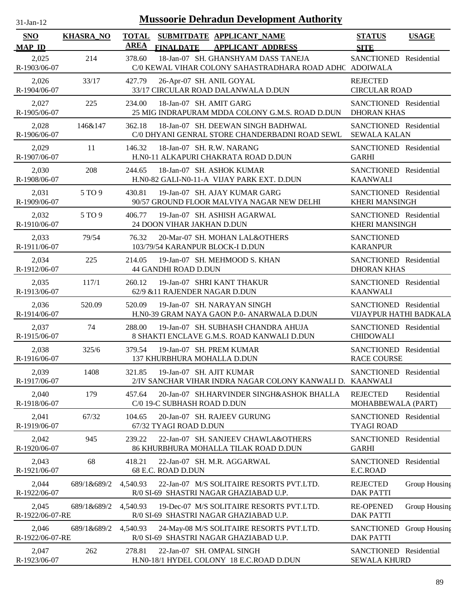| <b>Mussoorie Dehradun Development Authority</b><br>$31$ -Jan- $12$ |                  |                             |                                                                                                |                                                  |               |
|--------------------------------------------------------------------|------------------|-----------------------------|------------------------------------------------------------------------------------------------|--------------------------------------------------|---------------|
| <b>SNO</b><br><b>MAP ID</b>                                        | <b>KHASRA_NO</b> | <b>TOTAL</b><br><b>AREA</b> | SUBMITDATE APPLICANT_NAME<br><b>FINALDATE</b><br><b>APPLICANT ADDRESS</b>                      | <b>STATUS</b><br><b>SITE</b>                     | <b>USAGE</b>  |
| 2,025<br>R-1903/06-07                                              | 214              | 378.60                      | 18-Jan-07 SH. GHANSHYAM DASS TANEJA<br>C/0 KEWAL VIHAR COLONY SAHASTRADHARA ROAD ADHC ADOIWALA | SANCTIONED Residential                           |               |
| 2,026<br>R-1904/06-07                                              | 33/17            | 427.79                      | 26-Apr-07 SH. ANIL GOYAL<br>33/17 CIRCULAR ROAD DALANWALA D.DUN                                | <b>REJECTED</b><br><b>CIRCULAR ROAD</b>          |               |
| 2,027<br>R-1905/06-07                                              | 225              | 234.00                      | 18-Jan-07 SH. AMIT GARG<br>25 MIG INDRAPURAM MDDA COLONY G.M.S. ROAD D.DUN                     | SANCTIONED Residential<br><b>DHORAN KHAS</b>     |               |
| 2,028<br>R-1906/06-07                                              | 146&147          | 362.18                      | 18-Jan-07 SH. DEEWAN SINGH BADHWAL<br>C/0 DHYANI GENRAL STORE CHANDERBADNI ROAD SEWL           | SANCTIONED Residential<br><b>SEWALA KALAN</b>    |               |
| 2,029<br>R-1907/06-07                                              | 11               | 146.32                      | 18-Jan-07 SH. R.W. NARANG<br>H.N0-11 ALKAPURI CHAKRATA ROAD D.DUN                              | SANCTIONED Residential<br><b>GARHI</b>           |               |
| 2,030<br>R-1908/06-07                                              | 208              | 244.65                      | 18-Jan-07 SH. ASHOK KUMAR<br>H.N0-82 GALI-N0-11-A VIJAY PARK EXT. D.DUN                        | SANCTIONED Residential<br><b>KAANWALI</b>        |               |
| 2,031<br>R-1909/06-07                                              | 5 TO 9           | 430.81                      | 19-Jan-07 SH. AJAY KUMAR GARG<br>90/57 GROUND FLOOR MALVIYA NAGAR NEW DELHI                    | SANCTIONED Residential<br><b>KHERI MANSINGH</b>  |               |
| 2,032<br>R-1910/06-07                                              | 5 TO 9           | 406.77                      | 19-Jan-07 SH. ASHISH AGARWAL<br>24 DOON VIHAR JAKHAN D.DUN                                     | SANCTIONED Residential<br><b>KHERI MANSINGH</b>  |               |
| 2,033<br>R-1911/06-07                                              | 79/54            | 76.32                       | 20-Mar-07 SH. MOHAN LAL&OTHERS<br>103/79/54 KARANPUR BLOCK-I D.DUN                             | <b>SANCTIONED</b><br><b>KARANPUR</b>             |               |
| 2,034<br>R-1912/06-07                                              | 225              | 214.05                      | 19-Jan-07 SH. MEHMOOD S. KHAN<br><b>44 GANDHI ROAD D.DUN</b>                                   | SANCTIONED Residential<br><b>DHORAN KHAS</b>     |               |
| 2,035<br>R-1913/06-07                                              | 117/1            | 260.12                      | 19-Jan-07 SHRI KANT THAKUR<br>62/9 & 11 RAJENDER NAGAR D.DUN                                   | SANCTIONED Residential<br><b>KAANWALI</b>        |               |
| 2,036<br>R-1914/06-07                                              | 520.09           | 520.09                      | 19-Jan-07 SH. NARAYAN SINGH<br>H.NO-39 GRAM NAYA GAON P.O- ANARWALA D.DUN                      | SANCTIONED Residential<br>VIJAYPUR HATHI BADKALA |               |
| 2,037<br>R-1915/06-07                                              | 74               | 288.00                      | 19-Jan-07 SH, SUBHASH CHANDRA AHUJA<br>8 SHAKTI ENCLAVE G.M.S. ROAD KANWALI D.DUN              | SANCTIONED Residential<br><b>CHIDOWALI</b>       |               |
| 2.038<br>R-1916/06-07                                              | 325/6            | 379.54                      | 19-Jan-07 SH. PREM KUMAR<br>137 KHURBHURA MOHALLA D.DUN                                        | SANCTIONED Residential<br><b>RACE COURSE</b>     |               |
| 2,039<br>R-1917/06-07                                              | 1408             | 321.85                      | 19-Jan-07 SH. AJIT KUMAR<br>2/IV SANCHAR VIHAR INDRA NAGAR COLONY KANWALI D. KAANWALI          | SANCTIONED Residential                           |               |
| 2,040<br>R-1918/06-07                                              | 179              | 457.64                      | 20-Jan-07 SH.HARVINDER SINGH&ASHOK BHALLA<br>C/0 19-C SUBHASH ROAD D.DUN                       | <b>REJECTED</b><br>MOHABBEWALA (PART)            | Residential   |
| 2,041<br>R-1919/06-07                                              | 67/32            | 104.65                      | 20-Jan-07 SH. RAJEEV GURUNG<br>67/32 TYAGI ROAD D.DUN                                          | SANCTIONED Residential<br><b>TYAGI ROAD</b>      |               |
| 2,042<br>R-1920/06-07                                              | 945              | 239.22                      | 22-Jan-07 SH. SANJEEV CHAWLA&OTHERS<br>86 KHURBHURA MOHALLA TILAK ROAD D.DUN                   | SANCTIONED Residential<br><b>GARHI</b>           |               |
| 2,043<br>R-1921/06-07                                              | 68               | 418.21                      | 22-Jan-07 SH. M.R. AGGARWAL<br>68 E.C. ROAD D.DUN                                              | SANCTIONED Residential<br>E.C.ROAD               |               |
| 2,044<br>R-1922/06-07                                              | 689/1&689/2      | 4,540.93                    | 22-Jan-07 M/S SOLITAIRE RESORTS PVT.LTD.<br>R/0 SI-69 SHASTRI NAGAR GHAZIABAD U.P.             | <b>REJECTED</b><br><b>DAK PATTI</b>              | Group Housing |
| 2,045<br>R-1922/06-07-RE                                           | 689/1&689/2      | 4,540.93                    | 19-Dec-07 M/S SOLITAIRE RESORTS PVT.LTD.<br>R/0 SI-69 SHASTRI NAGAR GHAZIABAD U.P.             | <b>RE-OPENED</b><br><b>DAK PATTI</b>             | Group Housing |
| 2,046<br>R-1922/06-07-RE                                           | 689/1&689/2      | 4,540.93                    | 24-May-08 M/S SOLITAIRE RESORTS PVT.LTD.<br>R/0 SI-69 SHASTRI NAGAR GHAZIABAD U.P.             | SANCTIONED Group Housing<br><b>DAK PATTI</b>     |               |
| 2,047<br>R-1923/06-07                                              | 262              | 278.81                      | 22-Jan-07 SH. OMPAL SINGH<br>H.N0-18/1 HYDEL COLONY 18 E.C.ROAD D.DUN                          | SANCTIONED Residential<br><b>SEWALA KHURD</b>    |               |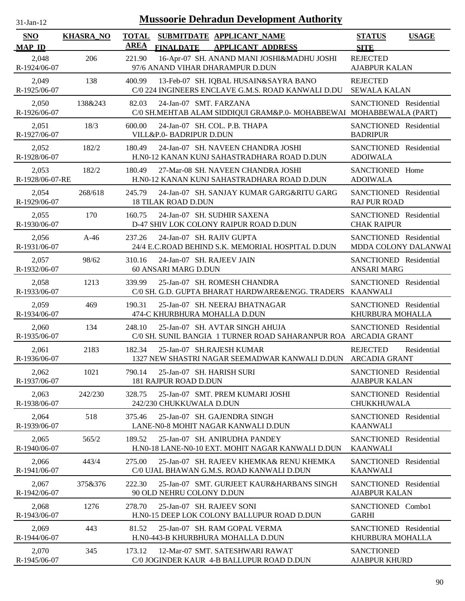| 1-Jan-1<br>n. |  |
|---------------|--|
|               |  |

| <b>SNO</b><br><b>MAP ID</b> | <b>KHASRA_NO</b> | <b>TOTAL</b><br>SUBMITDATE APPLICANT NAME<br><b>AREA</b><br><b>APPLICANT ADDRESS</b><br><b>FINALDATE</b>     | <b>STATUS</b><br><b>USAGE</b><br><b>SITE</b>           |
|-----------------------------|------------------|--------------------------------------------------------------------------------------------------------------|--------------------------------------------------------|
| 2,048<br>R-1924/06-07       | 206              | 221.90<br>16-Apr-07 SH. ANAND MANI JOSHI&MADHU JOSHI<br>97/6 ANAND VIHAR DHARAMPUR D.DUN                     | <b>REJECTED</b><br><b>AJABPUR KALAN</b>                |
| 2,049<br>R-1925/06-07       | 138              | 400.99<br>13-Feb-07 SH. IQBAL HUSAIN&SAYRA BANO<br>C/0 224 INGINEERS ENCLAVE G.M.S. ROAD KANWALI D.DU        | <b>REJECTED</b><br><b>SEWALA KALAN</b>                 |
| 2,050<br>R-1926/06-07       | 138&243          | 82.03<br>24-Jan-07 SMT. FARZANA<br>C/0 SH.MEHTAB ALAM SIDDIQUI GRAM&P.0- MOHABBEWAI MOHABBEWALA (PART)       | SANCTIONED Residential                                 |
| 2,051<br>R-1927/06-07       | 18/3             | 600.00<br>24-Jan-07 SH. COL. P.B. THAPA<br>VILL&P.0- BADRIPUR D.DUN                                          | SANCTIONED Residential<br><b>BADRIPUR</b>              |
| 2,052<br>R-1928/06-07       | 182/2            | 180.49<br>24-Jan-07 SH. NAVEEN CHANDRA JOSHI<br>H.N0-12 KANAN KUNJ SAHASTRADHARA ROAD D.DUN                  | SANCTIONED Residential<br><b>ADOIWALA</b>              |
| 2,053<br>R-1928/06-07-RE    | 182/2            | 180.49<br>27-Mar-08 SH. NAVEEN CHANDRA JOSHI<br>H.N0-12 KANAN KUNJ SAHASTRADHARA ROAD D.DUN                  | SANCTIONED Home<br><b>ADOIWALA</b>                     |
| 2,054<br>R-1929/06-07       | 268/618          | 24-Jan-07 SH. SANJAY KUMAR GARG&RITU GARG<br>245.79<br><b>18 TILAK ROAD D.DUN</b>                            | SANCTIONED Residential<br><b>RAJ PUR ROAD</b>          |
| 2,055<br>R-1930/06-07       | 170              | 160.75<br>24-Jan-07 SH. SUDHIR SAXENA<br>D-47 SHIV LOK COLONY RAIPUR ROAD D.DUN                              | SANCTIONED Residential<br><b>CHAK RAIPUR</b>           |
| 2,056<br>R-1931/06-07       | $A-46$           | 24-Jan-07 SH. RAJIV GUPTA<br>237.26<br>24/4 E.C.ROAD BEHIND S.K. MEMORIAL HOSPITAL D.DUN                     | SANCTIONED Residential<br>MDDA COLONY DALANWAI         |
| 2,057<br>R-1932/06-07       | 98/62            | 24-Jan-07 SH. RAJEEV JAIN<br>310.16<br>60 ANSARI MARG D.DUN                                                  | SANCTIONED Residential<br><b>ANSARI MARG</b>           |
| 2,058<br>R-1933/06-07       | 1213             | 25-Jan-07 SH. ROMESH CHANDRA<br>339.99<br>C/0 SH. G.D. GUPTA BHARAT HARDWARE&ENGG. TRADERS                   | SANCTIONED Residential<br><b>KAANWALI</b>              |
| 2,059<br>R-1934/06-07       | 469              | 190.31<br>25-Jan-07 SH. NEERAJ BHATNAGAR<br>474-C KHURBHURA MOHALLA D.DUN                                    | SANCTIONED Residential<br>KHURBURA MOHALLA             |
| 2,060<br>R-1935/06-07       | 134              | 25-Jan-07 SH. AVTAR SINGH AHUJA<br>248.10<br>C/0 SH. SUNIL BANGIA 1 TURNER ROAD SAHARANPUR ROA ARCADIA GRANT | SANCTIONED Residential                                 |
| 2,061<br>R-1936/06-07       | 2183             | 182.34<br>25-Jan-07 SH.RAJESH KUMAR<br>1327 NEW SHASTRI NAGAR SEEMADWAR KANWALI D.DUN                        | <b>REJECTED</b><br>Residential<br><b>ARCADIA GRANT</b> |
| 2,062<br>R-1937/06-07       | 1021             | 790.14<br>25-Jan-07 SH. HARISH SURI<br>181 RAJPUR ROAD D.DUN                                                 | SANCTIONED Residential<br><b>AJABPUR KALAN</b>         |
| 2,063<br>R-1938/06-07       | 242/230          | 25-Jan-07 SMT. PREM KUMARI JOSHI<br>328.75<br>242/230 CHUKKUWALA D.DUN                                       | SANCTIONED Residential<br>CHUKKHUWALA                  |
| 2,064<br>R-1939/06-07       | 518              | 25-Jan-07 SH. GAJENDRA SINGH<br>375.46<br>LANE-N0-8 MOHIT NAGAR KANWALI D.DUN                                | SANCTIONED Residential<br><b>KAANWALI</b>              |
| 2,065<br>R-1940/06-07       | 565/2            | 189.52<br>25-Jan-07 SH. ANIRUDHA PANDEY<br>H.NO-18 LANE-NO-10 EXT. MOHIT NAGAR KANWALI D.DUN                 | SANCTIONED Residential<br><b>KAANWALI</b>              |
| 2,066<br>R-1941/06-07       | 443/4            | 275.00<br>25-Jan-07 SH, RAJEEV KHEMKA& RENU KHEMKA<br>C/0 UJAL BHAWAN G.M.S. ROAD KANWALI D.DUN              | SANCTIONED Residential<br><b>KAANWALI</b>              |
| 2,067<br>R-1942/06-07       | 375&376          | 222.30<br>25-Jan-07 SMT. GURJEET KAUR&HARBANS SINGH<br>90 OLD NEHRU COLONY D.DUN                             | SANCTIONED Residential<br><b>AJABPUR KALAN</b>         |
| 2,068<br>R-1943/06-07       | 1276             | 278.70<br>25-Jan-07 SH. RAJEEV SONI<br>H.NO-15 DEEP LOK COLONY BALLUPUR ROAD D.DUN                           | SANCTIONED Combo1<br><b>GARHI</b>                      |
| 2,069<br>R-1944/06-07       | 443              | 25-Jan-07 SH. RAM GOPAL VERMA<br>81.52<br>H.N0-443-B KHURBHURA MOHALLA D.DUN                                 | SANCTIONED Residential<br>KHURBURA MOHALLA             |
| 2,070<br>R-1945/06-07       | 345              | 173.12<br>12-Mar-07 SMT, SATESHWARI RAWAT<br>C/0 JOGINDER KAUR 4-B BALLUPUR ROAD D.DUN                       | <b>SANCTIONED</b><br><b>AJABPUR KHURD</b>              |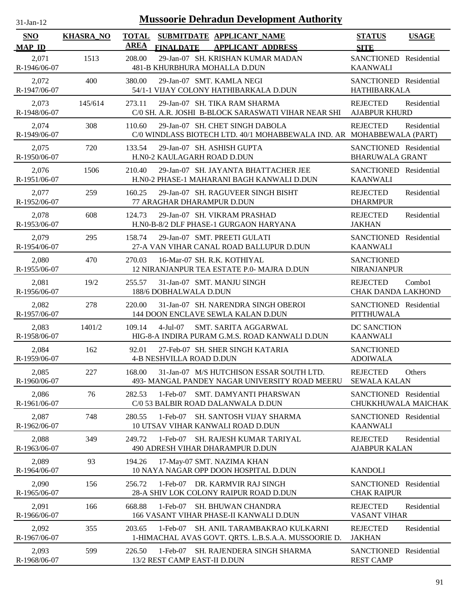| $31$ -Jan-12 |
|--------------|
|              |

| SNO                   | <b>KHASRA_NO</b> | <b>TOTAL</b><br>SUBMITDATE APPLICANT NAME                                                                          | <b>STATUS</b><br><b>USAGE</b>                          |
|-----------------------|------------------|--------------------------------------------------------------------------------------------------------------------|--------------------------------------------------------|
| <b>MAP ID</b>         |                  | <b>AREA</b><br><b>FINALDATE</b><br><b>APPLICANT ADDRESS</b>                                                        | <b>SITE</b>                                            |
| 2,071<br>R-1946/06-07 | 1513             | 208.00<br>29-Jan-07 SH. KRISHAN KUMAR MADAN<br>481-B KHURBHURA MOHALLA D.DUN                                       | SANCTIONED Residential<br><b>KAANWALI</b>              |
| 2,072<br>R-1947/06-07 | 400              | 29-Jan-07 SMT. KAMLA NEGI<br>380.00<br>54/1-1 VIJAY COLONY HATHIBARKALA D.DUN                                      | SANCTIONED Residential<br>HATHIBARKALA                 |
| 2,073<br>R-1948/06-07 | 145/614          | 273.11<br>29-Jan-07 SH. TIKA RAM SHARMA<br>C/0 SH. A.R. JOSHI B-BLOCK SARASWATI VIHAR NEAR SHI                     | <b>REJECTED</b><br>Residential<br><b>AJABPUR KHURD</b> |
| 2,074<br>R-1949/06-07 | 308              | 29-Jan-07 SH. CHET SINGH DABOLA<br>110.60<br>C/0 WINDLASS BIOTECH LTD. 40/1 MOHABBEWALA IND. AR MOHABBEWALA (PART) | <b>REJECTED</b><br>Residential                         |
| 2,075<br>R-1950/06-07 | 720              | 29-Jan-07 SH. ASHISH GUPTA<br>133.54<br>H.N0-2 KAULAGARH ROAD D.DUN                                                | SANCTIONED Residential<br><b>BHARUWALA GRANT</b>       |
| 2,076<br>R-1951/06-07 | 1506             | 29-Jan-07 SH. JAYANTA BHATTACHER JEE<br>210.40<br>H.N0-2 PHASE-1 MAHARANI BAGH KANWALI D.DUN                       | SANCTIONED Residential<br><b>KAANWALI</b>              |
| 2,077<br>R-1952/06-07 | 259              | 160.25<br>29-Jan-07 SH, RAGUVEER SINGH BISHT<br>77 ARAGHAR DHARAMPUR D.DUN                                         | <b>REJECTED</b><br>Residential<br><b>DHARMPUR</b>      |
| 2,078<br>R-1953/06-07 | 608              | 124.73<br>29-Jan-07 SH. VIKRAM PRASHAD<br>H.NO-B-8/2 DLF PHASE-1 GURGAON HARYANA                                   | <b>REJECTED</b><br>Residential<br><b>JAKHAN</b>        |
| 2,079<br>R-1954/06-07 | 295              | 29-Jan-07 SMT. PREETI GULATI<br>158.74<br>27-A VAN VIHAR CANAL ROAD BALLUPUR D.DUN                                 | <b>SANCTIONED</b><br>Residential<br><b>KAANWALI</b>    |
| 2,080<br>R-1955/06-07 | 470              | 270.03<br>16-Mar-07 SH. R.K. KOTHIYAL<br>12 NIRANJANPUR TEA ESTATE P.0- MAJRA D.DUN                                | <b>SANCTIONED</b><br><b>NIRANJANPUR</b>                |
| 2,081<br>R-1956/06-07 | 19/2             | 255.57<br>31-Jan-07 SMT. MANJU SINGH<br>188/6 DOBHALWALA D.DUN                                                     | Combo1<br><b>REJECTED</b><br><b>CHAK DANDA LAKHOND</b> |
| 2,082<br>R-1957/06-07 | 278              | 31-Jan-07 SH. NARENDRA SINGH OBEROI<br>220.00<br>144 DOON ENCLAVE SEWLA KALAN D.DUN                                | SANCTIONED Residential<br><b>PITTHUWALA</b>            |
| 2,083<br>R-1958/06-07 | 1401/2           | <b>SMT. SARITA AGGARWAL</b><br>109.14<br>$4-Jul-07$<br>HIG-8-A INDIRA PURAM G.M.S. ROAD KANWALI D.DUN              | DC SANCTION<br><b>KAANWALI</b>                         |
| 2,084<br>R-1959/06-07 | 162              | 92.01<br>27-Feb-07 SH, SHER SINGH KATARIA<br><b>4-B NESHVILLA ROAD D.DUN</b>                                       | <b>SANCTIONED</b><br><b>ADOIWALA</b>                   |
| 2,085<br>R-1960/06-07 | 227              | 31-Jan-07 M/S HUTCHISON ESSAR SOUTH LTD.<br>168.00<br>493- MANGAL PANDEY NAGAR UNIVERSITY ROAD MEERU               | <b>REJECTED</b><br>Others<br><b>SEWALA KALAN</b>       |
| 2,086<br>R-1961/06-07 | 76               | 282.53<br>1-Feb-07 SMT. DAMYANTI PHARSWAN<br>C/0 53 BALBIR ROAD DALANWALA D.DUN                                    | SANCTIONED Residential<br>CHUKKHUWALA MAICHAK          |
| 2,087<br>R-1962/06-07 | 748              | 280.55<br>1-Feb-07<br>SH. SANTOSH VIJAY SHARMA<br>10 UTSAV VIHAR KANWALI ROAD D.DUN                                | SANCTIONED Residential<br><b>KAANWALI</b>              |
| 2,088<br>R-1963/06-07 | 349              | <b>SH. RAJESH KUMAR TARIYAL</b><br>249.72<br>1-Feb-07<br>490 ADRESH VIHAR DHARAMPUR D.DUN                          | <b>REJECTED</b><br>Residential<br><b>AJABPUR KALAN</b> |
| 2,089<br>R-1964/06-07 | 93               | 194.26<br>17-May-07 SMT. NAZIMA KHAN<br>10 NAYA NAGAR OPP DOON HOSPITAL D.DUN                                      | <b>KANDOLI</b>                                         |
| 2,090<br>R-1965/06-07 | 156              | 256.72<br>1-Feb-07 DR. KARMVIR RAJ SINGH<br>28-A SHIV LOK COLONY RAIPUR ROAD D.DUN                                 | <b>SANCTIONED</b><br>Residential<br><b>CHAK RAIPUR</b> |
| 2,091<br>R-1966/06-07 | 166              | 668.88<br>1-Feb-07 SH. BHUWAN CHANDRA<br>166 VASANT VIHAR PHASE-II KANWALI D.DUN                                   | <b>REJECTED</b><br>Residential<br><b>VASANT VIHAR</b>  |
| 2,092<br>R-1967/06-07 | 355              | 203.65<br>1-Feb-07 SH. ANIL TARAMBAKRAO KULKARNI<br>1-HIMACHAL AVAS GOVT. QRTS. L.B.S.A.A. MUSSOORIE D.            | Residential<br><b>REJECTED</b><br><b>JAKHAN</b>        |
| 2,093<br>R-1968/06-07 | 599              | 1-Feb-07 SH. RAJENDERA SINGH SHARMA<br>226.50<br>13/2 REST CAMP EAST-II D.DUN                                      | Residential<br><b>SANCTIONED</b><br><b>REST CAMP</b>   |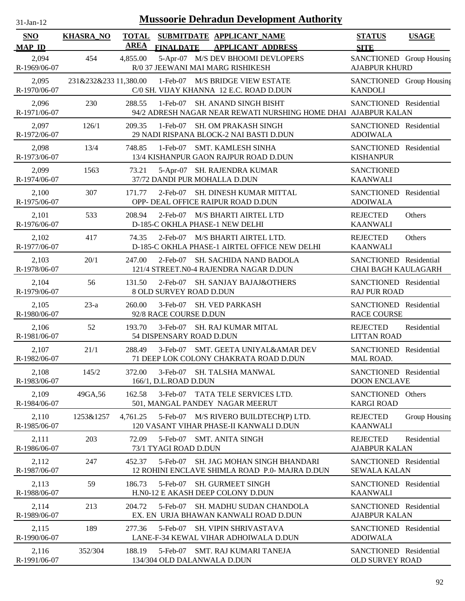| $31$ -Jan-12 |  |
|--------------|--|
|              |  |

| <b>SNO</b><br><b>MAP ID</b> | <b>KHASRA_NO</b>      | <b>TOTAL</b><br><b>AREA</b> | <b>FINALDATE</b>                        | SUBMITDATE APPLICANT_NAME<br><b>APPLICANT ADDRESS</b>                                   | <b>STATUS</b><br><b>SITE</b>                         | <b>USAGE</b>  |
|-----------------------------|-----------------------|-----------------------------|-----------------------------------------|-----------------------------------------------------------------------------------------|------------------------------------------------------|---------------|
| 2,094<br>R-1969/06-07       | 454                   | 4,855.00                    |                                         | 5-Apr-07 M/S DEV BHOOMI DEVLOPERS<br>R/0 37 JEEWANI MAI MARG RISHIKESH                  | SANCTIONED Group Housing<br><b>AJABPUR KHURD</b>     |               |
| 2,095<br>R-1970/06-07       | 231&232&233 11,380.00 |                             |                                         | 1-Feb-07 M/S BRIDGE VIEW ESTATE<br>C/0 SH. VIJAY KHANNA 12 E.C. ROAD D.DUN              | SANCTIONED Group Housing<br><b>KANDOLI</b>           |               |
| 2,096<br>R-1971/06-07       | 230                   | 288.55                      | $1-Feb-07$                              | SH. ANAND SINGH BISHT<br>94/2 ADRESH NAGAR NEAR REWATI NURSHING HOME DHAI AJABPUR KALAN | SANCTIONED Residential                               |               |
| 2,097<br>R-1972/06-07       | 126/1                 | 209.35                      | $1-Feb-07$                              | <b>SH. OM PRAKASH SINGH</b><br>29 NADI RISPANA BLOCK-2 NAI BASTI D.DUN                  | SANCTIONED Residential<br><b>ADOIWALA</b>            |               |
| 2,098<br>R-1973/06-07       | 13/4                  | 748.85                      | $1-Feb-07$                              | SMT. KAMLESH SINHA<br>13/4 KISHANPUR GAON RAJPUR ROAD D.DUN                             | SANCTIONED Residential<br><b>KISHANPUR</b>           |               |
| 2,099<br>R-1974/06-07       | 1563                  | 73.21                       |                                         | 5-Apr-07 SH. RAJENDRA KUMAR<br>37/72 DANDI PUR MOHALLA D.DUN                            | <b>SANCTIONED</b><br><b>KAANWALI</b>                 |               |
| 2,100<br>R-1975/06-07       | 307                   | 171.77                      | $2$ -Feb-07                             | SH. DINESH KUMAR MITTAL<br>OPP- DEAL OFFICE RAIPUR ROAD D.DUN                           | <b>SANCTIONED</b><br><b>ADOIWALA</b>                 | Residential   |
| 2,101<br>R-1976/06-07       | 533                   | 208.94                      | $2$ -Feb-07                             | <b>M/S BHARTI AIRTEL LTD</b><br>D-185-C OKHLA PHASE-1 NEW DELHI                         | <b>REJECTED</b><br><b>KAANWALI</b>                   | Others        |
| 2,102<br>R-1977/06-07       | 417                   | 74.35                       | $2$ -Feb-07                             | M/S BHARTI AIRTEL LTD.<br>D-185-C OKHLA PHASE-1 AIRTEL OFFICE NEW DELHI                 | <b>REJECTED</b><br><b>KAANWALI</b>                   | Others        |
| 2,103<br>R-1978/06-07       | 20/1                  | 247.00                      | $2$ -Feb-07                             | SH. SACHIDA NAND BADOLA<br>121/4 STREET.N0-4 RAJENDRA NAGAR D.DUN                       | SANCTIONED Residential<br><b>CHAI BAGH KAULAGARH</b> |               |
| 2,104<br>R-1979/06-07       | 56                    | 131.50                      | 2-Feb-07<br>8 OLD SURVEY ROAD D.DUN     | <b>SH. SANJAY BAJAJ&amp;OTHERS</b>                                                      | SANCTIONED Residential<br><b>RAJ PUR ROAD</b>        |               |
| 2,105<br>R-1980/06-07       | $23-a$                | 260.00                      | $3-Feb-07$<br>92/8 RACE COURSE D.DUN    | <b>SH. VED PARKASH</b>                                                                  | SANCTIONED Residential<br><b>RACE COURSE</b>         |               |
| 2,106<br>R-1981/06-07       | 52                    | 193.70                      | $3-Feb-07$<br>54 DISPENSARY ROAD D.DUN  | <b>SH. RAJ KUMAR MITAL</b>                                                              | <b>REJECTED</b><br><b>LITTAN ROAD</b>                | Residential   |
| 2,107<br>R-1982/06-07       | 21/1                  | 288.49                      | $3-Feb-07$                              | SMT. GEETA UNIYAL&AMAR DEV<br>71 DEEP LOK COLONY CHAKRATA ROAD D.DUN                    | SANCTIONED Residential<br>MAL ROAD.                  |               |
| 2,108<br>R-1983/06-07       | 145/2                 | 372.00                      | $3-Feb-07$<br>166/1, D.L.ROAD D.DUN     | SH. TALSHA MANWAL                                                                       | SANCTIONED Residential<br><b>DOON ENCLAVE</b>        |               |
| 2,109<br>R-1984/06-07       | 49GA, 56              | 162.58                      | $3-Feb-07$                              | TATA TELE SERVICES LTD.<br>501, MANGAL PANDEY NAGAR MEERUT                              | SANCTIONED Others<br><b>KARGI ROAD</b>               |               |
| 2,110<br>R-1985/06-07       | 1253&1257             | 4,761.25                    | 5-Feb-07                                | M/S RIVERO BUILDTECH(P) LTD.<br>120 VASANT VIHAR PHASE-II KANWALI D.DUN                 | <b>REJECTED</b><br><b>KAANWALI</b>                   | Group Housing |
| 2,111<br>R-1986/06-07       | 203                   | 72.09                       | 5-Feb-07<br>73/1 TYAGI ROAD D.DUN       | <b>SMT. ANITA SINGH</b>                                                                 | <b>REJECTED</b><br><b>AJABPUR KALAN</b>              | Residential   |
| 2,112<br>R-1987/06-07       | 247                   | 452.37                      | 5-Feb-07                                | SH. JAG MOHAN SINGH BHANDARI<br>12 ROHINI ENCLAVE SHIMLA ROAD P.0- MAJRA D.DUN          | SANCTIONED Residential<br><b>SEWALA KALAN</b>        |               |
| 2,113<br>R-1988/06-07       | 59                    | 186.73                      | 5-Feb-07                                | <b>SH. GURMEET SINGH</b><br>H.N0-12 E AKASH DEEP COLONY D.DUN                           | SANCTIONED Residential<br><b>KAANWALI</b>            |               |
| 2,114<br>R-1989/06-07       | 213                   | 204.72                      | 5-Feb-07                                | SH. MADHU SUDAN CHANDOLA<br>EX. EN URJA BHAWAN KANWALI ROAD D.DUN                       | SANCTIONED Residential<br><b>AJABPUR KALAN</b>       |               |
| 2,115<br>R-1990/06-07       | 189                   | 277.36                      | 5-Feb-07                                | <b>SH. VIPIN SHRIVASTAVA</b><br>LANE-F-34 KEWAL VIHAR ADHOIWALA D.DUN                   | SANCTIONED Residential<br><b>ADOIWALA</b>            |               |
| 2,116<br>R-1991/06-07       | 352/304               | 188.19                      | 5-Feb-07<br>134/304 OLD DALANWALA D.DUN | SMT. RAJ KUMARI TANEJA                                                                  | SANCTIONED Residential<br>OLD SURVEY ROAD            |               |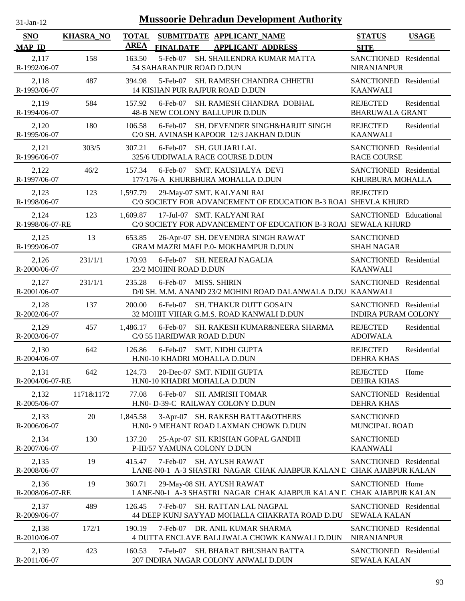| $31$ -Jan-12                |                  |                             | <b>Mussoorie Dehradun Development Authority</b>                                                  |                                                      |              |
|-----------------------------|------------------|-----------------------------|--------------------------------------------------------------------------------------------------|------------------------------------------------------|--------------|
| <b>SNO</b><br><b>MAP ID</b> | <b>KHASRA_NO</b> | <b>TOTAL</b><br><b>AREA</b> | SUBMITDATE APPLICANT_NAME<br><b>FINALDATE</b><br><b>APPLICANT ADDRESS</b>                        | <b>STATUS</b><br><b>SITE</b>                         | <b>USAGE</b> |
| 2,117<br>R-1992/06-07       | 158              | 163.50                      | 5-Feb-07 SH. SHAILENDRA KUMAR MATTA<br>54 SAHARANPUR ROAD D.DUN                                  | SANCTIONED Residential<br><b>NIRANJANPUR</b>         |              |
| 2,118<br>R-1993/06-07       | 487              | 394.98                      | 5-Feb-07<br>SH. RAMESH CHANDRA CHHETRI<br>14 KISHAN PUR RAJPUR ROAD D.DUN                        | SANCTIONED Residential<br><b>KAANWALI</b>            |              |
| 2,119<br>R-1994/06-07       | 584              | 157.92                      | SH. RAMESH CHANDRA DOBHAL<br>$6$ -Feb-07<br>48-B NEW COLONY BALLUPUR D.DUN                       | <b>REJECTED</b><br><b>BHARUWALA GRANT</b>            | Residential  |
| 2,120<br>R-1995/06-07       | 180              | 106.58                      | SH. DEVENDER SINGH&HARJIT SINGH<br>$6$ -Feb-07<br>C/0 SH. AVINASH KAPOOR 12/3 JAKHAN D.DUN       | <b>REJECTED</b><br><b>KAANWALI</b>                   | Residential  |
| 2,121<br>R-1996/06-07       | 303/5            | 307.21                      | $6$ -Feb-07<br><b>SH. GULJARI LAL</b><br>325/6 UDDIWALA RACE COURSE D.DUN                        | SANCTIONED Residential<br><b>RACE COURSE</b>         |              |
| 2,122<br>R-1997/06-07       | 46/2             | 157.34                      | SMT. KAUSHALYA DEVI<br>$6$ -Feb-07<br>177/176-A KHURBHURA MOHALLA D.DUN                          | SANCTIONED Residential<br>KHURBURA MOHALLA           |              |
| 2,123<br>R-1998/06-07       | 123              | 1,597.79                    | 29-May-07 SMT. KALYANI RAI<br>C/0 SOCIETY FOR ADVANCEMENT OF EDUCATION B-3 ROAl SHEVLA KHURD     | <b>REJECTED</b>                                      |              |
| 2,124<br>R-1998/06-07-RE    | 123              | 1,609.87                    | 17-Jul-07 SMT. KALYANI RAI<br>C/0 SOCIETY FOR ADVANCEMENT OF EDUCATION B-3 ROAL SEWALA KHURD     | SANCTIONED Educational                               |              |
| 2,125<br>R-1999/06-07       | 13               | 653.85                      | 26-Apr-07 SH. DEVENDRA SINGH RAWAT<br>GRAM MAZRI MAFI P.0- MOKHAMPUR D.DUN                       | <b>SANCTIONED</b><br><b>SHAH NAGAR</b>               |              |
| 2,126<br>R-2000/06-07       | 231/1/1          | 170.93                      | 6-Feb-07<br>SH. NEERAJ NAGALIA<br>23/2 MOHINI ROAD D.DUN                                         | SANCTIONED Residential<br><b>KAANWALI</b>            |              |
| 2,127<br>R-2001/06-07       | 231/1/1          | 235.28                      | $6$ -Feb-07<br>MISS. SHIRIN<br>D/0 SH. M.M. ANAND 23/2 MOHINI ROAD DALANWALA D.DU KAANWALI       | SANCTIONED Residential                               |              |
| 2,128<br>R-2002/06-07       | 137              | 200.00                      | <b>SH. THAKUR DUTT GOSAIN</b><br>$6$ -Feb-07<br>32 MOHIT VIHAR G.M.S. ROAD KANWALI D.DUN         | SANCTIONED Residential<br><b>INDIRA PURAM COLONY</b> |              |
| 2,129<br>R-2003/06-07       | 457              | 1,486.17                    | 6-Feb-07 SH. RAKESH KUMAR&NEERA SHARMA<br>C/0 55 HARIDWAR ROAD D.DUN                             | <b>REJECTED</b><br><b>ADOIWALA</b>                   | Residential  |
| 2,130<br>R-2004/06-07       | 642              | 126.86                      | 6-Feb-07 SMT. NIDHI GUPTA<br>H.N0-10 KHADRI MOHALLA D.DUN                                        | <b>REJECTED</b><br><b>DEHRA KHAS</b>                 | Residential  |
| 2,131<br>R-2004/06-07-RE    | 642              | 124.73                      | 20-Dec-07 SMT. NIDHI GUPTA<br>H.N0-10 KHADRI MOHALLA D.DUN                                       | <b>REJECTED</b><br><b>DEHRA KHAS</b>                 | Home         |
| 2,132<br>R-2005/06-07       | 1171&1172        | 77.08                       | $6$ -Feb-07<br><b>SH. AMRISH TOMAR</b><br>H.N0- D-39-C RAILWAY COLONY D.DUN                      | <b>SANCTIONED</b><br><b>DEHRA KHAS</b>               | Residential  |
| 2,133<br>R-2006/06-07       | 20               | 1,845.58                    | 3-Apr-07 SH. RAKESH BATTA&OTHERS<br>H.N0- 9 MEHANT ROAD LAXMAN CHOWK D.DUN                       | <b>SANCTIONED</b><br>MUNCIPAL ROAD                   |              |
| 2,134<br>R-2007/06-07       | 130              | 137.20                      | 25-Apr-07 SH. KRISHAN GOPAL GANDHI<br>P-III/57 YAMUNA COLONY D.DUN                               | <b>SANCTIONED</b><br><b>KAANWALI</b>                 |              |
| 2,135<br>R-2008/06-07       | 19               | 415.47                      | 7-Feb-07 SH. AYUSH RAWAT<br>LANE-N0-1 A-3 SHASTRI NAGAR CHAK AJABPUR KALAN L CHAK AJABPUR KALAN  | SANCTIONED Residential                               |              |
| 2,136<br>R-2008/06-07-RE    | 19               | 360.71                      | 29-May-08 SH. AYUSH RAWAT<br>LANE-N0-1 A-3 SHASTRI NAGAR CHAK AJABPUR KALAN L CHAK AJABPUR KALAN | SANCTIONED Home                                      |              |
| 2,137<br>R-2009/06-07       | 489              | 126.45                      | 7-Feb-07<br>SH. RATTAN LAL NAGPAL<br>44 DEEP KUNJ SAYYAD MOHALLA CHAKRATA ROAD D.DU              | SANCTIONED Residential<br><b>SEWALA KALAN</b>        |              |
| 2,138<br>R-2010/06-07       | 172/1            | 190.19                      | 7-Feb-07 DR. ANIL KUMAR SHARMA<br>4 DUTTA ENCLAVE BALLIWALA CHOWK KANWALI D.DUN                  | SANCTIONED Residential<br><b>NIRANJANPUR</b>         |              |
| 2,139<br>R-2011/06-07       | 423              | 160.53                      | 7-Feb-07 SH. BHARAT BHUSHAN BATTA<br>207 INDIRA NAGAR COLONY ANWALI D.DUN                        | SANCTIONED Residential<br><b>SEWALA KALAN</b>        |              |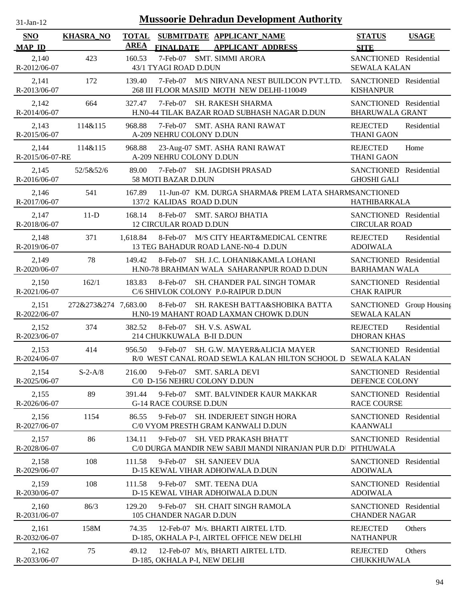| 31-Jan-12                   |                      |                             |                                                 | <b>Mussoorie Dehradun Development Authority</b>                                                        |                                                  |              |
|-----------------------------|----------------------|-----------------------------|-------------------------------------------------|--------------------------------------------------------------------------------------------------------|--------------------------------------------------|--------------|
| <b>SNO</b><br><b>MAP ID</b> | <b>KHASRA_NO</b>     | <b>TOTAL</b><br><b>AREA</b> | <b>FINALDATE</b>                                | SUBMITDATE APPLICANT_NAME<br><b>APPLICANT ADDRESS</b>                                                  | <b>STATUS</b><br><b>SITE</b>                     | <b>USAGE</b> |
| 2,140<br>R-2012/06-07       | 423                  | 160.53                      | 7-Feb-07<br>43/1 TYAGI ROAD D.DUN               | <b>SMT. SIMMI ARORA</b>                                                                                | SANCTIONED Residential<br><b>SEWALA KALAN</b>    |              |
| 2,141<br>R-2013/06-07       | 172                  | 139.40                      | 7-Feb-07                                        | M/S NIRVANA NEST BUILDCON PVT.LTD.<br>268 III FLOOR MASJID MOTH NEW DELHI-110049                       | SANCTIONED Residential<br><b>KISHANPUR</b>       |              |
| 2,142<br>R-2014/06-07       | 664                  | 327.47                      | 7-Feb-07                                        | <b>SH. RAKESH SHARMA</b><br>H.NO-44 TILAK BAZAR ROAD SUBHASH NAGAR D.DUN                               | SANCTIONED Residential<br><b>BHARUWALA GRANT</b> |              |
| 2,143<br>R-2015/06-07       | 114&115              | 968.88                      | 7-Feb-07<br>A-209 NEHRU COLONY D.DUN            | <b>SMT. ASHA RANI RAWAT</b>                                                                            | <b>REJECTED</b><br><b>THANI GAON</b>             | Residential  |
| 2,144<br>R-2015/06-07-RE    | 114&115              | 968.88                      | A-209 NEHRU COLONY D.DUN                        | 23-Aug-07 SMT. ASHA RANI RAWAT                                                                         | <b>REJECTED</b><br><b>THANI GAON</b>             | Home         |
| 2,145<br>R-2016/06-07       | 52/5&52/6            | 89.00                       | 58 MOTI BAZAR D.DUN                             | 7-Feb-07 SH. JAGDISH PRASAD                                                                            | SANCTIONED Residential<br><b>GHOSHI GALI</b>     |              |
| 2,146<br>R-2017/06-07       | 541                  | 167.89                      | 137/2 KALIDAS ROAD D.DUN                        | 11-Jun-07 KM. DURGA SHARMA& PREM LATA SHARMSANCTIONED                                                  | HATHIBARKALA                                     |              |
| 2,147<br>R-2018/06-07       | $11-D$               | 168.14                      | 8-Feb-07<br><b>12 CIRCULAR ROAD D.DUN</b>       | <b>SMT. SAROJ BHATIA</b>                                                                               | SANCTIONED Residential<br><b>CIRCULAR ROAD</b>   |              |
| 2,148<br>R-2019/06-07       | 371                  | 1,618.84                    |                                                 | 8-Feb-07 M/S CITY HEART&MEDICAL CENTRE<br>13 TEG BAHADUR ROAD LANE-N0-4 D.DUN                          | <b>REJECTED</b><br><b>ADOIWALA</b>               | Residential  |
| 2,149<br>R-2020/06-07       | 78                   | 149.42                      | 8-Feb-07                                        | SH. J.C. LOHANI&KAMLA LOHANI<br>H.N0-78 BRAHMAN WALA SAHARANPUR ROAD D.DUN                             | SANCTIONED Residential<br><b>BARHAMAN WALA</b>   |              |
| 2,150<br>R-2021/06-07       | 162/1                | 183.83                      | 8-Feb-07                                        | SH. CHANDER PAL SINGH TOMAR<br>C/6 SHIVLOK COLONY P.0-RAIPUR D.DUN                                     | SANCTIONED Residential<br><b>CHAK RAIPUR</b>     |              |
| 2,151<br>R-2022/06-07       | 272&273&274 7,683.00 |                             | 8-Feb-07                                        | SH. RAKESH BATTA&SHOBIKA BATTA<br>H.N0-19 MAHANT ROAD LAXMAN CHOWK D.DUN                               | SANCTIONED Group Housing<br><b>SEWALA KALAN</b>  |              |
| 2,152<br>R-2023/06-07       | 374                  | 382.52                      | 8-Feb-07<br>214 CHUKKUWALA B-II D.DUN           | SH. V.S. ASWAL                                                                                         | <b>REJECTED</b><br><b>DHORAN KHAS</b>            | Residential  |
| 2,153<br>R-2024/06-07       | 414                  | 956.50                      | $9$ -Feb-07                                     | <b>SH. G.W. MAYER&amp;ALICIA MAYER</b><br>R/0 WEST CANAL ROAD SEWLA KALAN HILTON SCHOOL D SEWALA KALAN | SANCTIONED Residential                           |              |
| 2,154<br>R-2025/06-07       | $S-2-A/8$            | 216.00                      | $9$ -Feb-07<br>C/0 D-156 NEHRU COLONY D.DUN     | <b>SMT. SARLA DEVI</b>                                                                                 | SANCTIONED Residential<br>DEFENCE COLONY         |              |
| 2,155<br>R-2026/06-07       | 89                   | 391.44                      | $9$ -Feb- $07$<br><b>G-14 RACE COURSE D.DUN</b> | <b>SMT. BALVINDER KAUR MAKKAR</b>                                                                      | SANCTIONED Residential<br><b>RACE COURSE</b>     |              |
| 2,156<br>R-2027/06-07       | 1154                 | 86.55                       | $9$ -Feb-07                                     | <b>SH. INDERJEET SINGH HORA</b><br>C/0 VYOM PRESTH GRAM KANWALI D.DUN                                  | SANCTIONED Residential<br><b>KAANWALI</b>        |              |
| 2,157<br>R-2028/06-07       | 86                   | 134.11                      | 9-Feb-07                                        | <b>SH. VED PRAKASH BHATT</b><br>C/0 DURGA MANDIR NEW SABJI MANDI NIRANJAN PUR D.D'                     | SANCTIONED Residential<br>PITHUWALA              |              |
| 2,158<br>R-2029/06-07       | 108                  | 111.58                      | 9-Feb-07                                        | <b>SH. SANJEEV DUA</b><br>D-15 KEWAL VIHAR ADHOIWALA D.DUN                                             | SANCTIONED Residential<br><b>ADOIWALA</b>        |              |
| 2,159<br>R-2030/06-07       | 108                  | 111.58                      | 9-Feb-07                                        | <b>SMT. TEENA DUA</b><br>D-15 KEWAL VIHAR ADHOIWALA D.DUN                                              | SANCTIONED Residential<br><b>ADOIWALA</b>        |              |
| 2,160<br>R-2031/06-07       | 86/3                 | 129.20                      | 9-Feb-07<br>105 CHANDER NAGAR D.DUN             | <b>SH. CHAIT SINGH RAMOLA</b>                                                                          | SANCTIONED Residential<br><b>CHANDER NAGAR</b>   |              |
| 2,161<br>R-2032/06-07       | 158M                 | 74.35                       |                                                 | 12-Feb-07 M/s. BHARTI AIRTEL LTD.<br>D-185, OKHALA P-I, AIRTEL OFFICE NEW DELHI                        | <b>REJECTED</b><br><b>NATHANPUR</b>              | Others       |
| 2,162<br>R-2033/06-07       | 75                   | 49.12                       | D-185, OKHALA P-I, NEW DELHI                    | 12-Feb-07 M/s, BHARTI AIRTEL LTD.                                                                      | <b>REJECTED</b><br>CHUKKHUWALA                   | Others       |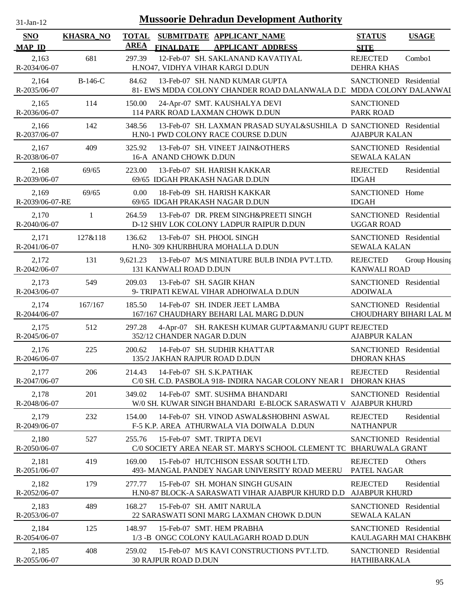| 31-Jan-12                   |                  |                             | <b>Mussoorie Dehradun Development Authority</b>                                                           |                                                  |               |
|-----------------------------|------------------|-----------------------------|-----------------------------------------------------------------------------------------------------------|--------------------------------------------------|---------------|
| <b>SNO</b><br><b>MAP ID</b> | <b>KHASRA_NO</b> | <b>TOTAL</b><br><b>AREA</b> | SUBMITDATE APPLICANT_NAME<br><b>APPLICANT ADDRESS</b><br><b>FINALDATE</b>                                 | <b>STATUS</b><br><b>SITE</b>                     | <b>USAGE</b>  |
| 2,163<br>R-2034/06-07       | 681              | 297.39                      | 12-Feb-07 SH. SAKLANAND KAVATIYAL<br>H.NO47, VIDHYA VIHAR KARGI D.DUN                                     | <b>REJECTED</b><br><b>DEHRA KHAS</b>             | Combo1        |
| 2,164<br>R-2035/06-07       | $B-146-C$        | 84.62                       | 13-Feb-07 SH. NAND KUMAR GUPTA<br>81- EWS MDDA COLONY CHANDER ROAD DALANWALA D.C MDDA COLONY DALANWAI     | SANCTIONED Residential                           |               |
| 2,165<br>R-2036/06-07       | 114              | 150.00                      | 24-Apr-07 SMT. KAUSHALYA DEVI<br>114 PARK ROAD LAXMAN CHOWK D.DUN                                         | <b>SANCTIONED</b><br><b>PARK ROAD</b>            |               |
| 2,166<br>R-2037/06-07       | 142              | 348.56                      | 13-Feb-07 SH. LAXMAN PRASAD SUYAL&SUSHILA D SANCTIONED Residential<br>H.N0-1 PWD COLONY RACE COURSE D.DUN | <b>AJABPUR KALAN</b>                             |               |
| 2,167<br>R-2038/06-07       | 409              | 325.92                      | 13-Feb-07 SH. VINEET JAIN&OTHERS<br>16-A ANAND CHOWK D.DUN                                                | SANCTIONED Residential<br><b>SEWALA KALAN</b>    |               |
| 2,168<br>R-2039/06-07       | 69/65            | 223.00                      | 13-Feb-07 SH. HARISH KAKKAR<br>69/65 IDGAH PRAKASH NAGAR D.DUN                                            | <b>REJECTED</b><br><b>IDGAH</b>                  | Residential   |
| 2,169<br>R-2039/06-07-RE    | 69/65            | 0.00                        | 18-Feb-09 SH. HARISH KAKKAR<br>69/65 IDGAH PRAKASH NAGAR D.DUN                                            | SANCTIONED Home<br><b>IDGAH</b>                  |               |
| 2,170<br>R-2040/06-07       | 1                | 264.59                      | 13-Feb-07 DR. PREM SINGH&PREETI SINGH<br>D-12 SHIV LOK COLONY LADPUR RAIPUR D.DUN                         | SANCTIONED Residential<br><b>UGGAR ROAD</b>      |               |
| 2,171<br>R-2041/06-07       | 127&118          | 136.62                      | 13-Feb-07 SH. PHOOL SINGH<br>H.N0- 309 KHURBHURA MOHALLA D.DUN                                            | SANCTIONED Residential<br><b>SEWALA KALAN</b>    |               |
| 2,172<br>R-2042/06-07       | 131              | 9,621.23                    | 13-Feb-07 M/S MINIATURE BULB INDIA PVT.LTD.<br>131 KANWALI ROAD D.DUN                                     | <b>REJECTED</b><br><b>KANWALI ROAD</b>           | Group Housing |
| 2,173<br>R-2043/06-07       | 549              | 209.03                      | 13-Feb-07 SH. SAGIR KHAN<br>9- TRIPATI KEWAL VIHAR ADHOIWALA D.DUN                                        | SANCTIONED Residential<br><b>ADOIWALA</b>        |               |
| 2,174<br>R-2044/06-07       | 167/167          | 185.50                      | 14-Feb-07 SH. INDER JEET LAMBA<br>167/167 CHAUDHARY BEHARI LAL MARG D.DUN                                 | SANCTIONED Residential<br>CHOUDHARY BIHARI LAL M |               |
| 2,175<br>R-2045/06-07       | 512              | 297.28                      | 4-Apr-07 SH. RAKESH KUMAR GUPTA&MANJU GUPT REJECTED<br>352/12 CHANDER NAGAR D.DUN                         | <b>AJABPUR KALAN</b>                             |               |
| 2,176<br>R-2046/06-07       | 225              | 200.62                      | 14-Feb-07 SH. SUDHIR KHATTAR<br>135/2 JAKHAN RAJPUR ROAD D.DUN                                            | SANCTIONED Residential<br><b>DHORAN KHAS</b>     |               |
| 2,177<br>R-2047/06-07       | 206              | 214.43                      | 14-Feb-07 SH. S.K.PATHAK<br>C/0 SH. C.D. PASBOLA 918- INDIRA NAGAR COLONY NEAR I                          | <b>REJECTED</b><br><b>DHORAN KHAS</b>            | Residential   |
| 2,178<br>R-2048/06-07       | 201              | 349.02                      | 14-Feb-07 SMT, SUSHMA BHANDARI<br>W/0 SH. KUWAR SINGH BHANDARI E-BLOCK SARASWATI V                        | SANCTIONED Residential<br><b>AJABPUR KHURD</b>   |               |
| 2,179<br>R-2049/06-07       | 232              | 154.00                      | 14-Feb-07 SH. VINOD ASWAL&SHOBHNI ASWAL<br>F-5 K.P. AREA ATHURWALA VIA DOIWALA D.DUN                      | <b>REJECTED</b><br><b>NATHANPUR</b>              | Residential   |
| 2,180<br>R-2050/06-07       | 527              | 255.76                      | 15-Feb-07 SMT. TRIPTA DEVI<br>C/0 SOCIETY AREA NEAR ST. MARYS SCHOOL CLEMENT TC BHARUWALA GRANT           | SANCTIONED Residential                           |               |
| 2,181<br>R-2051/06-07       | 419              | 169.00                      | 15-Feb-07 HUTCHISON ESSAR SOUTH LTD.<br>493- MANGAL PANDEY NAGAR UNIVERSITY ROAD MEERU                    | <b>REJECTED</b><br>PATEL NAGAR                   | Others        |
| 2,182<br>R-2052/06-07       | 179              | 277.77                      | 15-Feb-07 SH. MOHAN SINGH GUSAIN<br>H.NO-87 BLOCK-A SARASWATI VIHAR AJABPUR KHURD D.D                     | <b>REJECTED</b><br><b>AJABPUR KHURD</b>          | Residential   |
| 2,183<br>R-2053/06-07       | 489              | 168.27                      | 15-Feb-07 SH. AMIT NARULA<br>22 SARASWATI SONI MARG LAXMAN CHOWK D.DUN                                    | SANCTIONED Residential<br><b>SEWALA KALAN</b>    |               |
| 2,184<br>R-2054/06-07       | 125              | 148.97                      | 15-Feb-07 SMT. HEM PRABHA<br>1/3 -B ONGC COLONY KAULAGARH ROAD D.DUN                                      | SANCTIONED Residential<br>KAULAGARH MAI CHAKBH(  |               |
| 2,185<br>R-2055/06-07       | 408              | 259.02                      | 15-Feb-07 M/S KAVI CONSTRUCTIONS PVT.LTD.<br><b>30 RAJPUR ROAD D.DUN</b>                                  | SANCTIONED Residential<br>HATHIBARKALA           |               |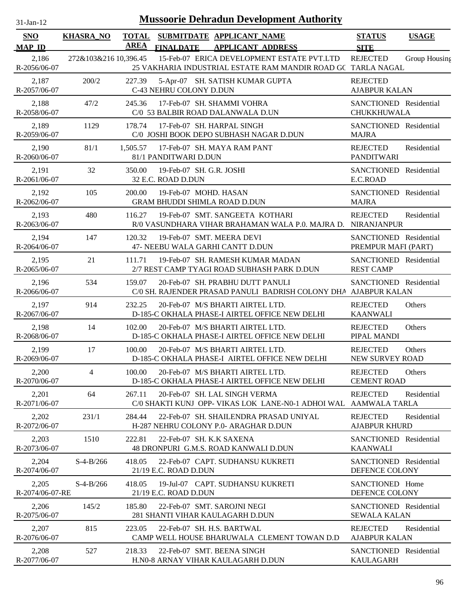| $31-Jan-12$                 |                       |                             | <b>Mussoorie Dehradun Development Authority</b>                                                            |                                               |               |
|-----------------------------|-----------------------|-----------------------------|------------------------------------------------------------------------------------------------------------|-----------------------------------------------|---------------|
| <b>SNO</b><br><b>MAP ID</b> | <b>KHASRA_NO</b>      | <b>TOTAL</b><br><b>AREA</b> | SUBMITDATE APPLICANT_NAME<br><b>FINALDATE</b><br><b>APPLICANT ADDRESS</b>                                  | <b>STATUS</b><br><b>SITE</b>                  | <b>USAGE</b>  |
| 2,186<br>R-2056/06-07       | 272&103&216 10,396.45 |                             | 15-Feb-07 ERICA DEVELOPMENT ESTATE PVT.LTD<br>25 VAKHARIA INDUSTRIAL ESTATE RAM MANDIR ROAD GC TARLA NAGAL | <b>REJECTED</b>                               | Group Housing |
| 2,187<br>R-2057/06-07       | 200/2                 | 227.39                      | 5-Apr-07 SH. SATISH KUMAR GUPTA<br>C-43 NEHRU COLONY D.DUN                                                 | <b>REJECTED</b><br><b>AJABPUR KALAN</b>       |               |
| 2,188<br>R-2058/06-07       | 47/2                  | 245.36                      | 17-Feb-07 SH. SHAMMI VOHRA<br>C/0 53 BALBIR ROAD DALANWALA D.UN                                            | SANCTIONED Residential<br><b>CHUKKHUWALA</b>  |               |
| 2,189<br>R-2059/06-07       | 1129                  | 178.74                      | 17-Feb-07 SH. HARPAL SINGH<br>C/0 JOSHI BOOK DEPO SUBHASH NAGAR D.DUN                                      | SANCTIONED Residential<br><b>MAJRA</b>        |               |
| 2,190<br>R-2060/06-07       | 81/1                  | 1,505.57                    | 17-Feb-07 SH. MAYA RAM PANT<br>81/1 PANDITWARI D.DUN                                                       | <b>REJECTED</b><br><b>PANDITWARI</b>          | Residential   |
| 2,191<br>R-2061/06-07       | 32                    | 350.00                      | 19-Feb-07 SH, G.R. JOSHI<br>32 E.C. ROAD D.DUN                                                             | SANCTIONED Residential<br>E.C.ROAD            |               |
| 2,192<br>R-2062/06-07       | 105                   | 200.00                      | 19-Feb-07 MOHD, HASAN<br><b>GRAM BHUDDI SHIMLA ROAD D.DUN</b>                                              | SANCTIONED Residential<br><b>MAJRA</b>        |               |
| 2,193<br>R-2063/06-07       | 480                   | 116.27                      | 19-Feb-07 SMT. SANGEETA KOTHARI<br>R/0 VASUNDHARA VIHAR BRAHAMAN WALA P.O. MAJRA D. NIRANJANPUR            | <b>REJECTED</b>                               | Residential   |
| 2,194<br>R-2064/06-07       | 147                   | 120.32                      | 19-Feb-07 SMT. MEERA DEVI<br>47- NEEBU WALA GARHI CANTT D.DUN                                              | SANCTIONED Residential<br>PREMPUR MAFI (PART) |               |
| 2,195<br>R-2065/06-07       | 21                    | 111.71                      | 19-Feb-07 SH. RAMESH KUMAR MADAN<br>2/7 REST CAMP TYAGI ROAD SUBHASH PARK D.DUN                            | SANCTIONED Residential<br><b>REST CAMP</b>    |               |
| 2,196<br>R-2066/06-07       | 534                   | 159.07                      | 20-Feb-07 SH. PRABHU DUTT PANULI<br>C/0 SH. RAJENDER PRASAD PANULI BADRISH COLONY DHA AJABPUR KALAN        | SANCTIONED Residential                        |               |
| 2,197<br>R-2067/06-07       | 914                   | 232.25                      | 20-Feb-07 M/S BHARTI AIRTEL LTD.<br>D-185-C OKHALA PHASE-I AIRTEL OFFICE NEW DELHI                         | <b>REJECTED</b><br><b>KAANWALI</b>            | Others        |
| 2,198<br>R-2068/06-07       | 14                    | 102.00                      | 20-Feb-07 M/S BHARTI AIRTEL LTD.<br>D-185-C OKHALA PHASE-I AIRTEL OFFICE NEW DELHI                         | <b>REJECTED</b><br>PIPAL MANDI                | Others        |
| 2,199<br>R-2069/06-07       | 17                    | 100.00                      | 20-Feb-07 M/S BHARTI AIRTEL LTD.<br>D-185-C OKHALA PHASE-I AIRTEL OFFICE NEW DELHI                         | <b>REJECTED</b><br>NEW SURVEY ROAD            | Others        |
| 2,200<br>R-2070/06-07       | 4                     | 100.00                      | 20-Feb-07 M/S BHARTI AIRTEL LTD.<br>D-185-C OKHALA PHASE-I AIRTEL OFFICE NEW DELHI                         | <b>REJECTED</b><br><b>CEMENT ROAD</b>         | Others        |
| 2,201<br>R-2071/06-07       | 64                    | 267.11                      | 20-Feb-07 SH. LAL SINGH VERMA<br>C/0 SHAKTI KUNJ OPP- VIKAS LOK LANE-N0-1 ADHOI WAL AAMWALA TARLA          | <b>REJECTED</b>                               | Residential   |
| 2,202<br>R-2072/06-07       | 231/1                 | 284.44                      | 22-Feb-07 SH. SHAILENDRA PRASAD UNIYAL<br>H-287 NEHRU COLONY P.0- ARAGHAR D.DUN                            | <b>REJECTED</b><br><b>AJABPUR KHURD</b>       | Residential   |
| 2,203<br>R-2073/06-07       | 1510                  | 222.81                      | 22-Feb-07 SH. K.K SAXENA<br>48 DRONPURI G.M.S. ROAD KANWALI D.DUN                                          | SANCTIONED Residential<br><b>KAANWALI</b>     |               |
| 2,204<br>R-2074/06-07       | $S-4-B/266$           | 418.05                      | 22-Feb-07 CAPT. SUDHANSU KUKRETI<br>21/19 E.C. ROAD D.DUN                                                  | SANCTIONED Residential<br>DEFENCE COLONY      |               |
| 2,205<br>R-2074/06-07-RE    | $S-4-B/266$           | 418.05                      | 19-Jul-07 CAPT. SUDHANSU KUKRETI<br>21/19 E.C. ROAD D.DUN                                                  | SANCTIONED Home<br>DEFENCE COLONY             |               |
| 2,206<br>R-2075/06-07       | 145/2                 | 185.80                      | 22-Feb-07 SMT. SAROJNI NEGI<br>281 SHANTI VIHAR KAULAGARH D.DUN                                            | SANCTIONED Residential<br><b>SEWALA KALAN</b> |               |
| 2,207<br>R-2076/06-07       | 815                   | 223.05                      | 22-Feb-07 SH. H.S. BARTWAL<br>CAMP WELL HOUSE BHARUWALA CLEMENT TOWAN D.D                                  | <b>REJECTED</b><br><b>AJABPUR KALAN</b>       | Residential   |
| 2,208<br>R-2077/06-07       | 527                   | 218.33                      | 22-Feb-07 SMT. BEENA SINGH<br>H.N0-8 ARNAY VIHAR KAULAGARH D.DUN                                           | SANCTIONED Residential<br><b>KAULAGARH</b>    |               |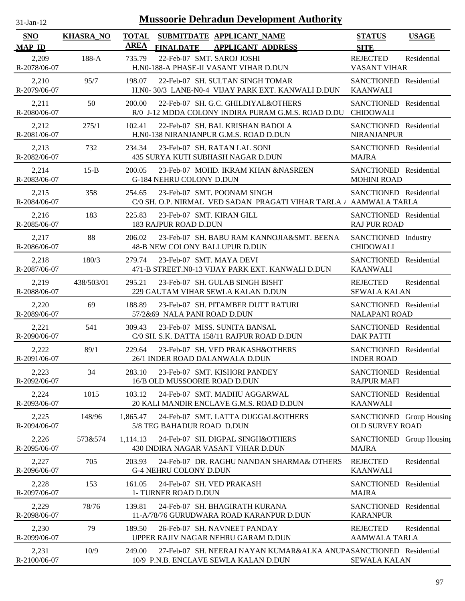| 31-Jan-12                   |                  |                             | <b>Mussoorie Dehradun Development Authority</b>                                                     |                                                |              |
|-----------------------------|------------------|-----------------------------|-----------------------------------------------------------------------------------------------------|------------------------------------------------|--------------|
| <b>SNO</b><br><b>MAP ID</b> | <b>KHASRA_NO</b> | <b>TOTAL</b><br><b>AREA</b> | SUBMITDATE APPLICANT_NAME<br><b>FINALDATE</b><br><b>APPLICANT ADDRESS</b>                           | <b>STATUS</b><br><b>SITE</b>                   | <b>USAGE</b> |
| 2,209<br>R-2078/06-07       | 188-A            | 735.79                      | 22-Feb-07 SMT. SAROJ JOSHI<br>H.N0-188-A PHASE-II VASANT VIHAR D.DUN                                | <b>REJECTED</b><br><b>VASANT VIHAR</b>         | Residential  |
| 2,210<br>R-2079/06-07       | 95/7             | 198.07                      | 22-Feb-07 SH. SULTAN SINGH TOMAR<br>H.NO-30/3 LANE-NO-4 VIJAY PARK EXT. KANWALI D.DUN               | SANCTIONED Residential<br><b>KAANWALI</b>      |              |
| 2,211<br>R-2080/06-07       | 50               | 200.00                      | 22-Feb-07 SH. G.C. GHILDIYAL&OTHERS<br>R/0 J-12 MDDA COLONY INDIRA PURAM G.M.S. ROAD D.DU CHIDOWALI | SANCTIONED Residential                         |              |
| 2,212<br>R-2081/06-07       | 275/1            | 102.41                      | 22-Feb-07 SH. BAL KRISHAN BADOLA<br>H.N0-138 NIRANJANPUR G.M.S. ROAD D.DUN                          | SANCTIONED Residential<br><b>NIRANJANPUR</b>   |              |
| 2,213<br>R-2082/06-07       | 732              | 234.34                      | 23-Feb-07 SH. RATAN LAL SONI<br>435 SURYA KUTI SUBHASH NAGAR D.DUN                                  | SANCTIONED Residential<br><b>MAJRA</b>         |              |
| 2,214<br>R-2083/06-07       | $15-B$           | 200.05                      | 23-Feb-07 MOHD. IKRAM KHAN &NASREEN<br>G-184 NEHRU COLONY D.DUN                                     | SANCTIONED Residential<br><b>MOHINI ROAD</b>   |              |
| 2,215<br>R-2084/06-07       | 358              | 254.65                      | 23-Feb-07 SMT. POONAM SINGH<br>C/0 SH. O.P. NIRMAL VED SADAN PRAGATI VIHAR TARLA / AAMWALA TARLA    | SANCTIONED Residential                         |              |
| 2,216<br>R-2085/06-07       | 183              | 225.83                      | 23-Feb-07 SMT. KIRAN GILL<br>183 RAJPUR ROAD D.DUN                                                  | SANCTIONED Residential<br><b>RAJ PUR ROAD</b>  |              |
| 2,217<br>R-2086/06-07       | 88               | 206.02                      | 23-Feb-07 SH. BABU RAM KANNOJIA&SMT. BEENA<br>48-B NEW COLONY BALLUPUR D.DUN                        | SANCTIONED Industry<br><b>CHIDOWALI</b>        |              |
| 2,218<br>R-2087/06-07       | 180/3            | 279.74                      | 23-Feb-07 SMT. MAYA DEVI<br>471-B STREET.N0-13 VIJAY PARK EXT. KANWALI D.DUN                        | SANCTIONED Residential<br><b>KAANWALI</b>      |              |
| 2,219<br>R-2088/06-07       | 438/503/01       | 295.21                      | 23-Feb-07 SH. GULAB SINGH BISHT<br>229 GAUTAM VIHAR SEWLA KALAN D.DUN                               | <b>REJECTED</b><br><b>SEWALA KALAN</b>         | Residential  |
| 2,220<br>R-2089/06-07       | 69               | 188.89                      | 23-Feb-07 SH. PITAMBER DUTT RATURI<br>57/2&69 NALA PANI ROAD D.DUN                                  | SANCTIONED Residential<br><b>NALAPANI ROAD</b> |              |
| 2,221<br>R-2090/06-07       | 541              | 309.43                      | 23-Feb-07 MISS. SUNITA BANSAL<br>C/0 SH. S.K. DATTA 158/11 RAJPUR ROAD D.DUN                        | SANCTIONED Residential<br><b>DAK PATTI</b>     |              |
| 2,222<br>R-2091/06-07       | 89/1             | 229.64                      | 23-Feb-07 SH. VED PRAKASH&OTHERS<br>26/1 INDER ROAD DALANWALA D.DUN                                 | SANCTIONED Residential<br><b>INDER ROAD</b>    |              |
| 2,223<br>R-2092/06-07       | 34               | 283.10                      | 23-Feb-07 SMT. KISHORI PANDEY<br>16/B OLD MUSSOORIE ROAD D.DUN                                      | SANCTIONED Residential<br><b>RAJPUR MAFI</b>   |              |
| 2,224<br>R-2093/06-07       | 1015             | 103.12                      | 24-Feb-07 SMT. MADHU AGGARWAL<br>20 KALI MANDIR ENCLAVE G.M.S. ROAD D.DUN                           | SANCTIONED Residential<br><b>KAANWALI</b>      |              |
| 2,225<br>R-2094/06-07       | 148/96           | 1,865.47                    | 24-Feb-07 SMT. LATTA DUGGAL&OTHERS<br>5/8 TEG BAHADUR ROAD D.DUN                                    | SANCTIONED Group Housing<br>OLD SURVEY ROAD    |              |
| 2,226<br>R-2095/06-07       | 573&574          | 1,114.13                    | 24-Feb-07 SH. DIGPAL SINGH&OTHERS<br>430 INDIRA NAGAR VASANT VIHAR D.DUN                            | SANCTIONED Group Housing<br><b>MAJRA</b>       |              |
| 2,227<br>R-2096/06-07       | 705              | 203.93                      | 24-Feb-07 DR. RAGHU NANDAN SHARMA& OTHERS<br>G-4 NEHRU COLONY D.DUN                                 | <b>REJECTED</b><br><b>KAANWALI</b>             | Residential  |
| 2,228<br>R-2097/06-07       | 153              | 161.05                      | 24-Feb-07 SH. VED PRAKASH<br>1- TURNER ROAD D.DUN                                                   | SANCTIONED Residential<br><b>MAJRA</b>         |              |
| 2,229<br>R-2098/06-07       | 78/76            | 139.81                      | 24-Feb-07 SH. BHAGIRATH KURANA<br>11-A/78/76 GURUDWARA ROAD KARANPUR D.DUN                          | SANCTIONED Residential<br><b>KARANPUR</b>      |              |
| 2,230<br>R-2099/06-07       | 79               | 189.50                      | 26-Feb-07 SH. NAVNEET PANDAY<br>UPPER RAJIV NAGAR NEHRU GARAM D.DUN                                 | <b>REJECTED</b><br><b>AAMWALA TARLA</b>        | Residential  |
| 2,231                       | 10/9             | 249.00                      | 27-Feb-07 SH. NEERAJ NAYAN KUMAR&ALKA ANUPASANCTIONED Residential                                   |                                                |              |

10/9 P.N.B. ENCLAVE SEWLA KALAN D.DUN

R-2100/06-07

SEWALA KALAN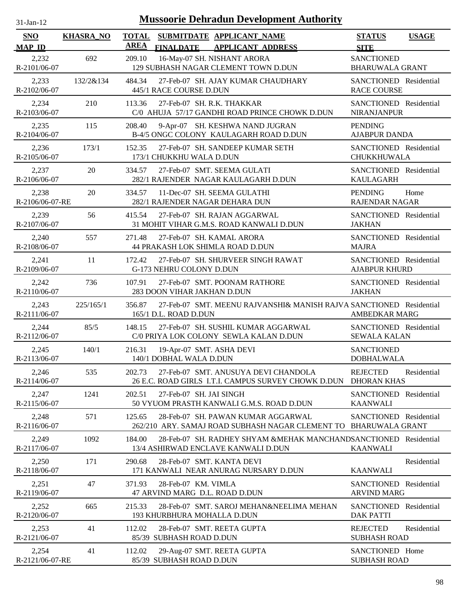| $31$ -Jan-12 |  |
|--------------|--|
|              |  |

| <b>SNO</b>               | <b>KHASRA_NO</b> | <b>TOTAL</b> | SUBMITDATE APPLICANT_NAME                                                                               | <b>STATUS</b>                                    | <b>USAGE</b> |
|--------------------------|------------------|--------------|---------------------------------------------------------------------------------------------------------|--------------------------------------------------|--------------|
| <b>MAP ID</b>            |                  | <b>AREA</b>  | <b>FINALDATE</b><br><b>APPLICANT ADDRESS</b>                                                            | <b>SITE</b>                                      |              |
| 2,232<br>R-2101/06-07    | 692              | 209.10       | 16-May-07 SH. NISHANT ARORA<br>129 SUBHASH NAGAR CLEMENT TOWN D.DUN                                     | <b>SANCTIONED</b><br><b>BHARUWALA GRANT</b>      |              |
| 2,233<br>R-2102/06-07    | 132/2&134        | 484.34       | 27-Feb-07 SH. AJAY KUMAR CHAUDHARY<br>445/1 RACE COURSE D.DUN                                           | SANCTIONED Residential<br><b>RACE COURSE</b>     |              |
| 2,234<br>R-2103/06-07    | 210              | 113.36       | 27-Feb-07 SH. R.K. THAKKAR<br>C/0 AHUJA 57/17 GANDHI ROAD PRINCE CHOWK D.DUN                            | SANCTIONED Residential<br>NIRANJANPUR            |              |
| 2,235<br>R-2104/06-07    | 115              | 208.40       | 9-Apr-07 SH. KESHWA NAND JUGRAN<br>B-4/5 ONGC COLONY KAULAGARH ROAD D.DUN                               | <b>PENDING</b><br><b>AJABPUR DANDA</b>           |              |
| 2,236<br>R-2105/06-07    | 173/1            | 152.35       | 27-Feb-07 SH. SANDEEP KUMAR SETH<br>173/1 CHUKKHU WALA D.DUN                                            | SANCTIONED Residential<br>CHUKKHUWALA            |              |
| 2,237<br>R-2106/06-07    | 20               | 334.57       | 27-Feb-07 SMT. SEEMA GULATI<br>282/1 RAJENDER NAGAR KAULAGARH D.DUN                                     | SANCTIONED Residential<br><b>KAULAGARH</b>       |              |
| 2,238<br>R-2106/06-07-RE | 20               | 334.57       | 11-Dec-07 SH. SEEMA GULATHI<br>282/1 RAJENDER NAGAR DEHARA DUN                                          | <b>PENDING</b><br><b>RAJENDAR NAGAR</b>          | Home         |
| 2,239<br>R-2107/06-07    | 56               | 415.54       | 27-Feb-07 SH. RAJAN AGGARWAL<br>31 MOHIT VIHAR G.M.S. ROAD KANWALI D.DUN                                | SANCTIONED Residential<br><b>JAKHAN</b>          |              |
| 2,240<br>R-2108/06-07    | 557              | 271.48       | 27-Feb-07 SH. KAMAL ARORA<br>44 PRAKASH LOK SHIMLA ROAD D.DUN                                           | SANCTIONED Residential<br><b>MAJRA</b>           |              |
| 2,241<br>R-2109/06-07    | 11               | 172.42       | 27-Feb-07 SH. SHURVEER SINGH RAWAT<br>G-173 NEHRU COLONY D.DUN                                          | SANCTIONED Residential<br><b>AJABPUR KHURD</b>   |              |
| 2,242<br>R-2110/06-07    | 736              | 107.91       | 27-Feb-07 SMT. POONAM RATHORE<br>283 DOON VIHAR JAKHAN D.DUN                                            | SANCTIONED Residential<br><b>JAKHAN</b>          |              |
| 2,243<br>R-2111/06-07    | 225/165/1        | 356.87       | 27-Feb-07 SMT. MEENU RAJVANSHI& MANISH RAJVA SANCTIONED Residential<br>165/1 D.L. ROAD D.DUN            | <b>AMBEDKAR MARG</b>                             |              |
| 2,244<br>R-2112/06-07    | 85/5             | 148.15       | 27-Feb-07 SH. SUSHIL KUMAR AGGARWAL<br>C/0 PRIYA LOK COLONY SEWLA KALAN D.DUN                           | SANCTIONED Residential<br><b>SEWALA KALAN</b>    |              |
| 2,245<br>R-2113/06-07    | 140/1            | 216.31       | 19-Apr-07 SMT. ASHA DEVI<br>140/1 DOBHAL WALA D.DUN                                                     | <b>SANCTIONED</b><br><b>DOBHALWALA</b>           |              |
| 2,246<br>R-2114/06-07    | 535              | 202.73       | 27-Feb-07 SMT. ANUSUYA DEVI CHANDOLA<br>26 E.C. ROAD GIRLS I.T.I. CAMPUS SURVEY CHOWK D.DUN             | <b>REJECTED</b><br><b>DHORAN KHAS</b>            | Residential  |
| 2,247<br>R-2115/06-07    | 1241             | 202.51       | 27-Feb-07 SH. JAI SINGH<br>50 VYUOM PRASTH KANWALI G.M.S. ROAD D.DUN                                    | SANCTIONED Residential<br><b>KAANWALI</b>        |              |
| 2,248<br>R-2116/06-07    | 571              | 125.65       | 28-Feb-07 SH. PAWAN KUMAR AGGARWAL<br>262/210 ARY. SAMAJ ROAD SUBHASH NAGAR CLEMENT TO                  | SANCTIONED Residential<br><b>BHARUWALA GRANT</b> |              |
| 2,249<br>R-2117/06-07    | 1092             | 184.00       | 28-Feb-07 SH. RADHEY SHYAM &MEHAK MANCHANDSANCTIONED Residential<br>13/4 ASHIRWAD ENCLAVE KANWALI D.DUN | <b>KAANWALI</b>                                  |              |
| 2,250<br>R-2118/06-07    | 171              | 290.68       | 28-Feb-07 SMT. KANTA DEVI<br>171 KANWALI NEAR ANURAG NURSARY D.DUN                                      | <b>KAANWALI</b>                                  | Residential  |
| 2,251<br>R-2119/06-07    | 47               | 371.93       | 28-Feb-07 KM. VIMLA<br>47 ARVIND MARG D.L. ROAD D.DUN                                                   | SANCTIONED Residential<br><b>ARVIND MARG</b>     |              |
| 2,252<br>R-2120/06-07    | 665              | 215.33       | 28-Feb-07 SMT. SAROJ MEHAN&NEELIMA MEHAN<br>193 KHURBHURA MOHALLA D.DUN                                 | SANCTIONED Residential<br><b>DAK PATTI</b>       |              |
| 2,253<br>R-2121/06-07    | 41               | 112.02       | 28-Feb-07 SMT. REETA GUPTA<br>85/39 SUBHASH ROAD D.DUN                                                  | <b>REJECTED</b><br><b>SUBHASH ROAD</b>           | Residential  |
| 2,254<br>R-2121/06-07-RE | 41               | 112.02       | 29-Aug-07 SMT. REETA GUPTA<br>85/39 SUBHASH ROAD D.DUN                                                  | SANCTIONED Home<br><b>SUBHASH ROAD</b>           |              |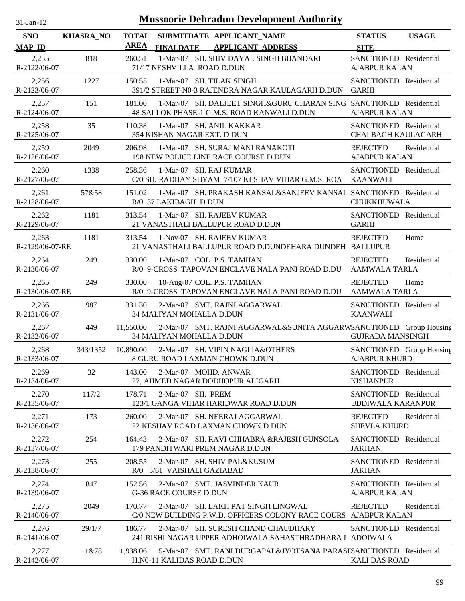| $31-Ian-12$                 |                  |                             |                             | <b>Mussoorie Dehradun Development Authority</b>                                                                    |                                                      |              |
|-----------------------------|------------------|-----------------------------|-----------------------------|--------------------------------------------------------------------------------------------------------------------|------------------------------------------------------|--------------|
| <b>SNO</b><br><b>MAP ID</b> | <b>KHASRA_NO</b> | <b>TOTAL</b><br><b>AREA</b> | <b>FINALDATE</b>            | SUBMITDATE APPLICANT_NAME<br><b>APPLICANT ADDRESS</b>                                                              | <b>STATUS</b><br><b>SITE</b>                         | <b>USAGE</b> |
| 2,255<br>R-2122/06-07       | 818              | 260.51                      | 71/17 NESHVILLA ROAD D.DUN  | 1-Mar-07 SH. SHIV DAYAL SINGH BHANDARI                                                                             | SANCTIONED Residential<br><b>AJABPUR KALAN</b>       |              |
| 2,256<br>R-2123/06-07       | 1227             | 150.55                      |                             | 1-Mar-07 SH. TILAK SINGH<br>391/2 STREET-N0-3 RAJENDRA NAGAR KAULAGARH D.DUN                                       | SANCTIONED Residential<br><b>GARHI</b>               |              |
| 2,257<br>R-2124/06-07       | 151              | 181.00                      |                             | 1-Mar-07 SH, DALJEET SINGH&GURU CHARAN SING SANCTIONED Residential<br>48 SAI LOK PHASE-1 G.M.S. ROAD KANWALI D.DUN | <b>AJABPUR KALAN</b>                                 |              |
| 2,258<br>R-2125/06-07       | 35               | 110.38                      | 354 KISHAN NAGAR EXT. D.DUN | 1-Mar-07 SH. ANIL KAKKAR                                                                                           | SANCTIONED Residential<br><b>CHAI BAGH KAULAGARH</b> |              |
| 2,259<br>R-2126/06-07       | 2049             | 206.98                      |                             | 1-Mar-07 SH. SURAJ MANI RANAKOTI<br>198 NEW POLICE LINE RACE COURSE D.DUN                                          | <b>REJECTED</b><br><b>AJABPUR KALAN</b>              | Residential  |
| 2,260<br>R-2127/06-07       | 1338             | 258.36                      |                             | 1-Mar-07 SH. RAJ KUMAR<br>C/0 SH. RADHAY SHYAM 7/107 KESHAV VIHAR G.M.S. ROA                                       | SANCTIONED Residential<br><b>KAANWALI</b>            |              |
| 2,261<br>R-2128/06-07       | 57&58            | 151.02                      | R/0 37 LAKIBAGH D.DUN       | 1-Mar-07 SH. PRAKASH KANSAL&SANJEEV KANSAL SANCTIONED Residential                                                  | CHUKKHUWALA                                          |              |
| 2,262<br>R-2129/06-07       | 1181             | 313.54                      |                             | 1-Mar-07 SH. RAJEEV KUMAR<br>21 VANASTHALI BALLUPUR ROAD D.DUN                                                     | SANCTIONED Residential<br><b>GARHI</b>               |              |
| 2,263<br>R-2129/06-07-RE    | 1181             | 313.54                      |                             | 1-Nov-07 SH. RAJEEV KUMAR<br>21 VANASTHALI BALLUPUR ROAD D.DUNDEHARA DUNDEH BALLUPUR                               | <b>REJECTED</b>                                      | Home         |
| 2,264<br>R-2130/06-07       | 249              | 330.00                      |                             | 1-Mar-07 COL. P.S. TAMHAN<br>R/0 9-CROSS TAPOVAN ENCLAVE NALA PANI ROAD D.DU                                       | <b>REJECTED</b><br><b>AAMWALA TARLA</b>              | Residential  |
| 2,265<br>R-2130/06-07-RE    | 249              | 330.00                      |                             | 10-Aug-07 COL. P.S. TAMHAN<br>R/0 9-CROSS TAPOVAN ENCLAVE NALA PANI ROAD D.DU                                      | <b>REJECTED</b><br><b>AAMWALA TARLA</b>              | Home         |
| 2,266<br>R-2131/06-07       | 987              | 331.30                      | 34 MALIYAN MOHALLA D.DUN    | 2-Mar-07 SMT. RAJNI AGGARWAL                                                                                       | SANCTIONED Residential<br><b>KAANWALI</b>            |              |
| 2,267<br>R-2132/06-07       | 449              | 11,550.00                   | 34 MALIYAN MOHALLA D.DUN    | 2-Mar-07 SMT. RAJNI AGGARWAL&SUNITA AGGARWSANCTIONED Group Housing                                                 | <b>GUJRADA MANSINGH</b>                              |              |
| 2,268<br>R-2133/06-07       | 343/1352         | 10,890.00                   |                             | 2-Mar-07 SH. VIPIN NAGLIA&OTHERS<br>8 GURU ROAD LAXMAN CHOWK D.DUN                                                 | SANCTIONED Group Housing<br><b>AJABPUR KHURD</b>     |              |
| 2,269<br>R-2134/06-07       | 32               | 143.00                      |                             | 2-Mar-07 MOHD. ANWAR<br>27, AHMED NAGAR DODHOPUR ALIGARH                                                           | SANCTIONED Residential<br><b>KISHANPUR</b>           |              |
| 2,270<br>R-2135/06-07       | 117/2            | 178.71                      | 2-Mar-07 SH. PREM           | 123/1 GANGA VIHAR HARIDWAR ROAD D.DUN                                                                              | SANCTIONED Residential<br>UDDIWALA KARANPUR          |              |
| 2,271<br>R-2136/06-07       | 173              | 260.00                      |                             | 2-Mar-07 SH. NEERAJ AGGARWAL<br>22 KESHAV ROAD LAXMAN CHOWK D.DUN                                                  | <b>REJECTED</b><br><b>SHEVLA KHURD</b>               | Residential  |
| 2,272<br>R-2137/06-07       | 254              | 164.43                      |                             | 2-Mar-07 SH. RAVI CHHABRA & RAJESH GUNSOLA<br>179 PANDITWARI PREM NAGAR D.DUN                                      | SANCTIONED Residential<br><b>JAKHAN</b>              |              |
| 2,273<br>R-2138/06-07       | 255              | 208.55                      | R/0 5/61 VAISHALI GAZIABAD  | 2-Mar-07 SH. SHIV PAL&KUSUM                                                                                        | SANCTIONED Residential<br><b>JAKHAN</b>              |              |
| 2,274<br>R-2139/06-07       | 847              | 152.56                      | G-36 RACE COURSE D.DUN      | 2-Mar-07 SMT. JASVINDER KAUR                                                                                       | SANCTIONED Residential<br><b>AJABPUR KALAN</b>       |              |
| 2,275<br>R-2140/06-07       | 2049             | 170.77                      |                             | 2-Mar-07 SH. LAKH PAT SINGH LINGWAL<br>C/0 NEW BUILDING P.W.D. OFFICERS COLONY RACE COURS AJABPUR KALAN            | <b>REJECTED</b>                                      | Residential  |
| 2,276<br>R-2141/06-07       | 29/1/7           | 186.77                      |                             | 2-Mar-07 SH. SURESH CHAND CHAUDHARY<br>241 RISHI NAGAR UPPER ADHOIWALA SAHASTHRADHARA 1 ADOIWALA                   | SANCTIONED Residential                               |              |
| 2,277<br>R-2142/06-07       | 11&78            | 1,938.06                    | H.N0-11 KALIDAS ROAD D.DUN  | 5-Mar-07 SMT. RANI DURGAPAL&JYOTSANA PARASHSANCTIONED Residential                                                  | <b>KALI DAS ROAD</b>                                 |              |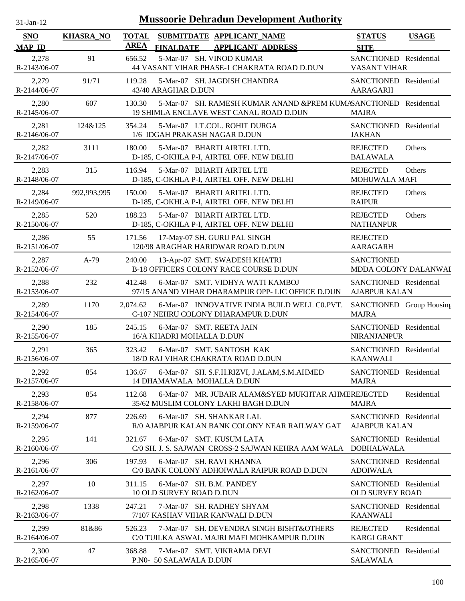| $31$ -Jan-12                |                  |                             | <b>Mussoorie Dehradun Development Authority</b>                                                              |                                                  |              |
|-----------------------------|------------------|-----------------------------|--------------------------------------------------------------------------------------------------------------|--------------------------------------------------|--------------|
| <b>SNO</b><br><b>MAP ID</b> | <b>KHASRA_NO</b> | <b>TOTAL</b><br><b>AREA</b> | SUBMITDATE APPLICANT_NAME<br><b>FINALDATE</b><br><b>APPLICANT ADDRESS</b>                                    | <b>STATUS</b><br><b>SITE</b>                     | <b>USAGE</b> |
| 2,278<br>R-2143/06-07       | 91               | 656.52                      | 5-Mar-07 SH. VINOD KUMAR<br>44 VASANT VIHAR PHASE-1 CHAKRATA ROAD D.DUN                                      | SANCTIONED Residential<br><b>VASANT VIHAR</b>    |              |
| 2,279<br>R-2144/06-07       | 91/71            | 119.28                      | 5-Mar-07 SH. JAGDISH CHANDRA<br>43/40 ARAGHAR D.DUN                                                          | SANCTIONED Residential<br><b>AARAGARH</b>        |              |
| 2,280<br>R-2145/06-07       | 607              | 130.30                      | 5-Mar-07 SH. RAMESH KUMAR ANAND & PREM KUMASANCTIONED Residential<br>19 SHIMLA ENCLAVE WEST CANAL ROAD D.DUN | <b>MAJRA</b>                                     |              |
| 2,281<br>R-2146/06-07       | 124&125          | 354.24                      | 5-Mar-07 LT.COL. ROHIT DURGA<br>1/6 IDGAH PRAKASH NAGAR D.DUN                                                | SANCTIONED Residential<br><b>JAKHAN</b>          |              |
| 2,282<br>R-2147/06-07       | 3111             | 180.00                      | 5-Mar-07 BHARTI AIRTEL LTD.<br>D-185, C-OKHLA P-I, AIRTEL OFF. NEW DELHI                                     | <b>REJECTED</b><br><b>BALAWALA</b>               | Others       |
| 2,283<br>R-2148/06-07       | 315              | 116.94                      | 5-Mar-07 BHARTI AIRTEL LTE<br>D-185, C-OKHLA P-I, AIRTEL OFF. NEW DELHI                                      | <b>REJECTED</b><br>MOHUWALA MAFI                 | Others       |
| 2,284<br>R-2149/06-07       | 992,993,995      | 150.00                      | 5-Mar-07 BHARTI ARITEL LTD.<br>D-185, C-OKHLA P-I, AIRTEL OFF. NEW DELHI                                     | <b>REJECTED</b><br><b>RAIPUR</b>                 | Others       |
| 2,285<br>R-2150/06-07       | 520              | 188.23                      | 5-Mar-07 BHARTI AIRTEL LTD.<br>D-185, C-OKHLA P-I, AIRTEL OFF. NEW DELHI                                     | <b>REJECTED</b><br><b>NATHANPUR</b>              | Others       |
| 2,286<br>R-2151/06-07       | 55               | 171.56                      | 17-May-07 SH. GURU PAL SINGH<br>120/98 ARAGHAR HARIDWAR ROAD D.DUN                                           | <b>REJECTED</b><br><b>AARAGARH</b>               |              |
| 2,287<br>R-2152/06-07       | $A-79$           | 240.00                      | 13-Apr-07 SMT. SWADESH KHATRI<br><b>B-18 OFFICERS COLONY RACE COURSE D.DUN</b>                               | <b>SANCTIONED</b><br>MDDA COLONY DALANWAI        |              |
| 2,288<br>R-2153/06-07       | 232              | 412.48                      | 6-Mar-07 SMT. VIDHYA WATI KAMBOJ<br>97/15 ANAND VIHAR DHARAMPUR OPP- LIC OFFICE D.DUN                        | SANCTIONED Residential<br><b>AJABPUR KALAN</b>   |              |
| 2,289<br>R-2154/06-07       | 1170             | 2,074.62                    | 6-Mar-07 INNOVATIVE INDIA BUILD WELL CO.PVT.<br>C-107 NEHRU COLONY DHARAMPUR D.DUN                           | SANCTIONED Group Housing<br><b>MAJRA</b>         |              |
| 2,290<br>R-2155/06-07       | 185              | 245.15                      | 6-Mar-07 SMT. REETA JAIN<br>16/A KHADRI MOHALLA D.DUN                                                        | SANCTIONED Residential<br><b>NIRANJANPUR</b>     |              |
| 2,291<br>R-2156/06-07       | 365              | 323.42                      | 6-Mar-07 SMT. SANTOSH KAK<br>18/D RAJ VIHAR CHAKRATA ROAD D.DUN                                              | SANCTIONED Residential<br><b>KAANWALI</b>        |              |
| 2,292<br>R-2157/06-07       | 854              | 136.67                      | 6-Mar-07 SH. S.F.H.RIZVI, J.ALAM,S.M.AHMED<br>14 DHAMAWALA MOHALLA D.DUN                                     | SANCTIONED Residential<br><b>MAJRA</b>           |              |
| 2,293<br>R-2158/06-07       | 854              | 112.68                      | 6-Mar-07 MR. JUBAIR ALAM&SYED MUKHTAR AHMEREJECTED<br>35/62 MUSLIM COLONY LAKHI BAGH D.DUN                   | <b>MAJRA</b>                                     | Residential  |
| 2,294<br>R-2159/06-07       | 877              | 226.69                      | 6-Mar-07 SH, SHANKAR LAL<br>R/0 AJABPUR KALAN BANK COLONY NEAR RAILWAY GAT                                   | SANCTIONED Residential<br><b>AJABPUR KALAN</b>   |              |
| 2,295<br>R-2160/06-07       | 141              | 321.67                      | 6-Mar-07 SMT. KUSUM LATA<br>C/0 SH. J. S. SAJWAN CROSS-2 SAJWAN KEHRA AAM WALA                               | SANCTIONED Residential<br><b>DOBHALWALA</b>      |              |
| 2,296<br>R-2161/06-07       | 306              | 197.93                      | 6-Mar-07 SH, RAVI KHANNA<br>C/0 BANK COLONY ADHOIWALA RAIPUR ROAD D.DUN                                      | SANCTIONED Residential<br><b>ADOIWALA</b>        |              |
| 2,297<br>R-2162/06-07       | 10               | 311.15                      | 6-Mar-07 SH. B.M. PANDEY<br>10 OLD SURVEY ROAD D.DUN                                                         | SANCTIONED Residential<br><b>OLD SURVEY ROAD</b> |              |
| 2,298<br>R-2163/06-07       | 1338             | 247.21                      | 7-Mar-07 SH. RADHEY SHYAM<br>7/107 KASHAV VIHAR KANWALI D.DUN                                                | SANCTIONED Residential<br><b>KAANWALI</b>        |              |
| 2,299<br>R-2164/06-07       | 81&86            | 526.23                      | 7-Mar-07 SH. DEVENDRA SINGH BISHT&OTHERS<br>C/0 TUILKA ASWAL MAJRI MAFI MOHKAMPUR D.DUN                      | <b>REJECTED</b><br><b>KARGI GRANT</b>            | Residential  |
| 2,300<br>R-2165/06-07       | 47               | 368.88                      | 7-Mar-07 SMT. VIKRAMA DEVI<br>P.N0- 50 SALAWALA D.DUN                                                        | SANCTIONED Residential<br><b>SALAWALA</b>        |              |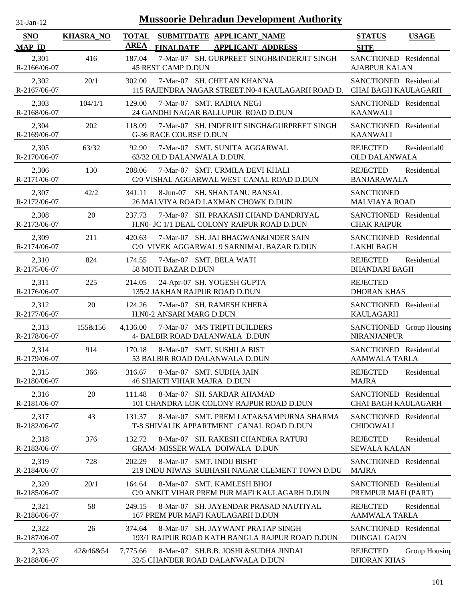| $31$ -Jan-12                |                  |                             | <b>Mussoorie Dehradun Development Authority</b>                                      |                                                      |               |
|-----------------------------|------------------|-----------------------------|--------------------------------------------------------------------------------------|------------------------------------------------------|---------------|
| <b>SNO</b><br><b>MAP ID</b> | <b>KHASRA_NO</b> | <b>TOTAL</b><br><b>AREA</b> | SUBMITDATE APPLICANT_NAME<br><b>FINALDATE</b><br><b>APPLICANT ADDRESS</b>            | <b>STATUS</b><br><b>SITE</b>                         | <b>USAGE</b>  |
| 2,301<br>R-2166/06-07       | 416              | 187.04                      | 7-Mar-07 SH. GURPREET SINGH&INDERJIT SINGH<br><b>45 REST CAMP D.DUN</b>              | SANCTIONED Residential<br><b>AJABPUR KALAN</b>       |               |
| 2,302<br>R-2167/06-07       | 20/1             | 302.00                      | 7-Mar-07 SH. CHETAN KHANNA<br>115 RAJENDRA NAGAR STREET.N0-4 KAULAGARH ROAD D.       | SANCTIONED Residential<br><b>CHAI BAGH KAULAGARH</b> |               |
| 2,303<br>R-2168/06-07       | 104/1/1          | 129.00                      | 7-Mar-07 SMT. RADHA NEGI<br>24 GANDHI NAGAR BALLUPUR ROAD D.DUN                      | SANCTIONED Residential<br><b>KAANWALI</b>            |               |
| 2,304<br>R-2169/06-07       | 202              | 118.09                      | 7-Mar-07 SH. INDERJIT SINGH&GURPREET SINGH<br><b>G-36 RACE COURSE D.DUN</b>          | SANCTIONED Residential<br><b>KAANWALI</b>            |               |
| 2,305<br>R-2170/06-07       | 63/32            | 92.90                       | 7-Mar-07 SMT. SUNITA AGGARWAL<br>63/32 OLD DALANWALA D.DUN.                          | <b>REJECTED</b><br><b>OLD DALANWALA</b>              | Residential0  |
| 2,306<br>R-2171/06-07       | 130              | 208.06                      | 7-Mar-07 SMT. URMILA DEVI KHALI<br>C/0 VISHAL AGGARWAL WEST CANAL ROAD D.DUN         | <b>REJECTED</b><br><b>BANJARAWALA</b>                | Residential   |
| 2,307<br>R-2172/06-07       | 42/2             | 341.11                      | 8-Jun-07<br><b>SH. SHANTANU BANSAL</b><br>26 MALVIYA ROAD LAXMAN CHOWK D.DUN         | <b>SANCTIONED</b><br><b>MALVIAYA ROAD</b>            |               |
| 2,308<br>R-2173/06-07       | 20               | 237.73                      | 7-Mar-07 SH. PRAKASH CHAND DANDRIYAL<br>H.N0- JC 1/1 DEAL COLONY RAIPUR ROAD D.DUN   | SANCTIONED Residential<br><b>CHAK RAIPUR</b>         |               |
| 2,309<br>R-2174/06-07       | 211              | 420.63                      | 7-Mar-07 SH. JAI BHAGWAN&INDER SAIN<br>C/0 VIVEK AGGARWAL 9 SARNIMAL BAZAR D.DUN     | SANCTIONED Residential<br><b>LAKHI BAGH</b>          |               |
| 2,310<br>R-2175/06-07       | 824              | 174.55                      | 7-Mar-07 SMT. BELA WATI<br>58 MOTI BAZAR D.DUN                                       | <b>REJECTED</b><br><b>BHANDARI BAGH</b>              | Residential   |
| 2,311<br>R-2176/06-07       | 225              | 214.05                      | 24-Apr-07 SH. YOGESH GUPTA<br>135/2 JAKHAN RAJPUR ROAD D.DUN                         | <b>REJECTED</b><br><b>DHORAN KHAS</b>                |               |
| 2,312<br>R-2177/06-07       | 20               | 124.26                      | 7-Mar-07 SH. RAMESH KHERA<br>H.N0-2 ANSARI MARG D.DUN                                | SANCTIONED Residential<br><b>KAULAGARH</b>           |               |
| 2,313<br>R-2178/06-07       | 155&156          | 4,136.00                    | 7-Mar-07 M/S TRIPTI BUILDERS<br>4- BALBIR ROAD DALANWALA D.DUN                       | SANCTIONED Group Housing<br>NIRANJANPUR              |               |
| 2,314<br>R-2179/06-07       | 914              | 170.18                      | 8-Mar-07 SMT. SUSHILA BIST<br>53 BALBIR ROAD DALANWALA D.DUN                         | SANCTIONED Residential<br>AAMWALA TARLA              |               |
| 2,315<br>R-2180/06-07       | 366              | 316.67                      | 8-Mar-07 SMT. SUDHA JAIN<br><b>46 SHAKTI VIHAR MAJRA D.DUN</b>                       | <b>REJECTED</b><br><b>MAJRA</b>                      | Residential   |
| 2,316<br>R-2181/06-07       | 20               | 111.48                      | 8-Mar-07 SH. SARDAR AHAMAD<br>101 CHANDRA LOK COLONY RAJPUR ROAD D.DUN               | SANCTIONED Residential<br><b>CHAI BAGH KAULAGARH</b> |               |
| 2,317<br>R-2182/06-07       | 43               | 131.37                      | 8-Mar-07 SMT. PREM LATA&SAMPURNA SHARMA<br>T-8 SHIVALIK APPARTMENT CANAL ROAD D.DUN  | SANCTIONED Residential<br><b>CHIDOWALI</b>           |               |
| 2,318<br>R-2183/06-07       | 376              | 132.72                      | 8-Mar-07 SH. RAKESH CHANDRA RATURI<br><b>GRAM- MISSER WALA DOIWALA D.DUN</b>         | <b>REJECTED</b><br><b>SEWALA KALAN</b>               | Residential   |
| 2,319<br>R-2184/06-07       | 728              | 202.29                      | 8-Mar-07 SMT. INDU BISHT<br>219 INDU NIWAS SUBHASH NAGAR CLEMENT TOWN D.DU           | SANCTIONED Residential<br><b>MAJRA</b>               |               |
| 2,320<br>R-2185/06-07       | 20/1             | 164.64                      | 8-Mar-07 SMT. KAMLESH BHOJ<br>C/0 ANKIT VIHAR PREM PUR MAFI KAULAGARH D.DUN          | SANCTIONED Residential<br>PREMPUR MAFI (PART)        |               |
| 2,321<br>R-2186/06-07       | 58               | 249.15                      | 8-Mar-07 SH. JAYENDAR PRASAD NAUTIYAL<br>167 PREM PUR MAFI KAULAGARH D.DUN           | <b>REJECTED</b><br>AAMWALA TARLA                     | Residential   |
| 2,322<br>R-2187/06-07       | 26               | 374.64                      | 8-Mar-07 SH. JAYWANT PRATAP SINGH<br>193/1 RAJPUR ROAD KATH BANGLA RAJPUR ROAD D.DUN | SANCTIONED Residential<br><b>DUNGAL GAON</b>         |               |
| 2,323<br>R-2188/06-07       | 42&46&54         | 7,775.66                    | 8-Mar-07 SH.B.B. JOSHI & SUDHA JINDAL<br>32/5 CHANDER ROAD DALANWALA D.DUN           | <b>REJECTED</b><br><b>DHORAN KHAS</b>                | Group Housing |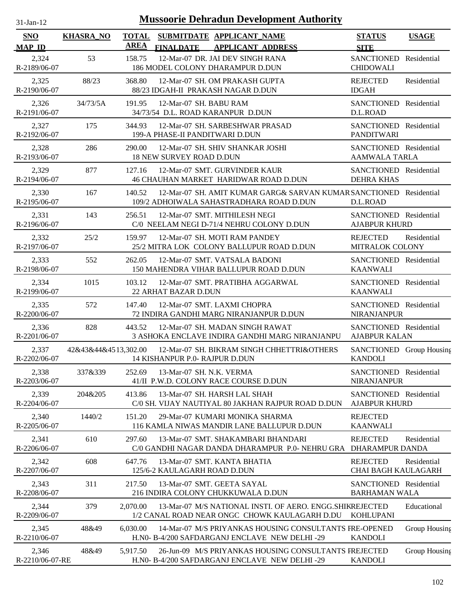| 31-Jan-12 |  |
|-----------|--|

| <b>SNO</b><br><b>MAP ID</b> | <b>KHASRA_NO</b>     | <b>TOTAL</b><br><b>AREA</b> | <b>FINALDATE</b>                | SUBMITDATE APPLICANT_NAME<br><b>APPLICANT ADDRESS</b>                                                          | <b>STATUS</b><br><b>SITE</b>                   | <b>USAGE</b>  |
|-----------------------------|----------------------|-----------------------------|---------------------------------|----------------------------------------------------------------------------------------------------------------|------------------------------------------------|---------------|
| 2,324<br>R-2189/06-07       | 53                   | 158.75                      |                                 | 12-Mar-07 DR. JAI DEV SINGH RANA<br>186 MODEL COLONY DHARAMPUR D.DUN                                           | SANCTIONED Residential<br><b>CHIDOWALI</b>     |               |
| 2,325<br>R-2190/06-07       | 88/23                | 368.80                      |                                 | 12-Mar-07 SH. OM PRAKASH GUPTA<br>88/23 IDGAH-II PRAKASH NAGAR D.DUN                                           | <b>REJECTED</b><br><b>IDGAH</b>                | Residential   |
| 2,326<br>R-2191/06-07       | 34/73/5A             | 191.95                      | 12-Mar-07 SH. BABU RAM          | 34/73/54 D.L. ROAD KARANPUR D.DUN                                                                              | SANCTIONED Residential<br>D.L.ROAD             |               |
| 2,327<br>R-2192/06-07       | 175                  | 344.93                      | 199-A PHASE-II PANDITWARI D.DUN | 12-Mar-07 SH. SARBESHWAR PRASAD                                                                                | SANCTIONED Residential<br><b>PANDITWARI</b>    |               |
| 2,328<br>R-2193/06-07       | 286                  | 290.00                      | <b>18 NEW SURVEY ROAD D.DUN</b> | 12-Mar-07 SH. SHIV SHANKAR JOSHI                                                                               | SANCTIONED Residential<br><b>AAMWALA TARLA</b> |               |
| 2,329<br>R-2194/06-07       | 877                  | 127.16                      |                                 | 12-Mar-07 SMT. GURVINDER KAUR<br>46 CHAUHAN MARKET HARIDWAR ROAD D.DUN                                         | SANCTIONED Residential<br><b>DEHRA KHAS</b>    |               |
| 2,330<br>R-2195/06-07       | 167                  | 140.52                      |                                 | 12-Mar-07 SH. AMIT KUMAR GARG& SARVAN KUMAR SANCTIONED Residential<br>109/2 ADHOIWALA SAHASTRADHARA ROAD D.DUN | D.L.ROAD                                       |               |
| 2,331<br>R-2196/06-07       | 143                  | 256.51                      |                                 | 12-Mar-07 SMT. MITHILESH NEGI<br>C/0 NEELAM NEGI D-71/4 NEHRU COLONY D.DUN                                     | SANCTIONED Residential<br><b>AJABPUR KHURD</b> |               |
| 2,332<br>R-2197/06-07       | 25/2                 | 159.97                      |                                 | 12-Mar-07 SH. MOTI RAM PANDEY<br>25/2 MITRA LOK COLONY BALLUPUR ROAD D.DUN                                     | <b>REJECTED</b><br>MITRALOK COLONY             | Residential   |
| 2,333<br>R-2198/06-07       | 552                  | 262.05                      |                                 | 12-Mar-07 SMT. VATSALA BADONI<br>150 MAHENDRA VIHAR BALLUPUR ROAD D.DUN                                        | SANCTIONED Residential<br><b>KAANWALI</b>      |               |
| 2,334<br>R-2199/06-07       | 1015                 | 103.12                      | 22 ARHAT BAZAR D.DUN            | 12-Mar-07 SMT. PRATIBHA AGGARWAL                                                                               | SANCTIONED Residential<br><b>KAANWALI</b>      |               |
| 2,335<br>R-2200/06-07       | 572                  | 147.40                      |                                 | 12-Mar-07 SMT. LAXMI CHOPRA<br>72 INDIRA GANDHI MARG NIRANJANPUR D.DUN                                         | SANCTIONED Residential<br><b>NIRANJANPUR</b>   |               |
| 2,336<br>R-2201/06-07       | 828                  | 443.52                      |                                 | 12-Mar-07 SH. MADAN SINGH RAWAT<br>3 ASHOKA ENCLAVE INDIRA GANDHI MARG NIRANJANPU                              | SANCTIONED Residential<br><b>AJABPUR KALAN</b> |               |
| 2,337<br>R-2202/06-07       | 42&43&44&4513,302.00 |                             | 14 KISHANPUR P.0- RAJPUR D.DUN  | 12-Mar-07 SH. BIKRAM SINGH CHHETTRI&OTHERS                                                                     | SANCTIONED Group Housing<br><b>KANDOLI</b>     |               |
| 2,338<br>R-2203/06-07       | 337&339              | 252.69                      | 13-Mar-07 SH. N.K. VERMA        | 41/II P.W.D. COLONY RACE COURSE D.DUN                                                                          | SANCTIONED Residential<br>NIRANJANPUR          |               |
| 2,339<br>R-2204/06-07       | 204&205              | 413.86                      |                                 | 13-Mar-07 SH. HARSH LAL SHAH<br>C/0 SH. VIJAY NAUTIYAL 80 JAKHAN RAJPUR ROAD D.DUN                             | SANCTIONED Residential<br><b>AJABPUR KHURD</b> |               |
| 2,340<br>R-2205/06-07       | 1440/2               | 151.20                      |                                 | 29-Mar-07 KUMARI MONIKA SHARMA<br>116 KAMLA NIWAS MANDIR LANE BALLUPUR D.DUN                                   | <b>REJECTED</b><br><b>KAANWALI</b>             |               |
| 2,341<br>R-2206/06-07       | 610                  | 297.60                      |                                 | 13-Mar-07 SMT, SHAKAMBARI BHANDARI<br>C/0 GANDHI NAGAR DANDA DHARAMPUR P.0-NEHRU GRA DHARAMPUR DANDA           | <b>REJECTED</b>                                | Residential   |
| 2,342<br>R-2207/06-07       | 608                  | 647.76                      | 125/6-2 KAULAGARH ROAD D.DUN    | 13-Mar-07 SMT. KANTA BHATIA                                                                                    | <b>REJECTED</b><br><b>CHAI BAGH KAULAGARH</b>  | Residential   |
| 2,343<br>R-2208/06-07       | 311                  | 217.50                      |                                 | 13-Mar-07 SMT. GEETA SAYAL<br>216 INDIRA COLONY CHUKKUWALA D.DUN                                               | SANCTIONED Residential<br><b>BARHAMAN WALA</b> |               |
| 2,344<br>R-2209/06-07       | 379                  | 2,070.00                    |                                 | 13-Mar-07 M/S NATIONAL INSTI. OF AERO. ENGG. SHIKREJECTED<br>1/2 CANAL ROAD NEAR ONGC CHOWK KAULAGARH D.DU     | <b>KOHLUPANI</b>                               | Educational   |
| 2,345<br>R-2210/06-07       | 48&49                | 6,030.00                    |                                 | 14-Mar-07 M/S PRIYANKAS HOUSING CONSULTANTS FRE-OPENED<br>H.NO- B-4/200 SAFDARGANJ ENCLAVE NEW DELHI -29       | <b>KANDOLI</b>                                 | Group Housing |
| 2,346<br>R-2210/06-07-RE    | 48&49                | 5,917.50                    |                                 | 26-Jun-09 M/S PRIYANKAS HOUSING CONSULTANTS FREJECTED<br>H.NO- B-4/200 SAFDARGANJ ENCLAVE NEW DELHI -29        | <b>KANDOLI</b>                                 | Group Housing |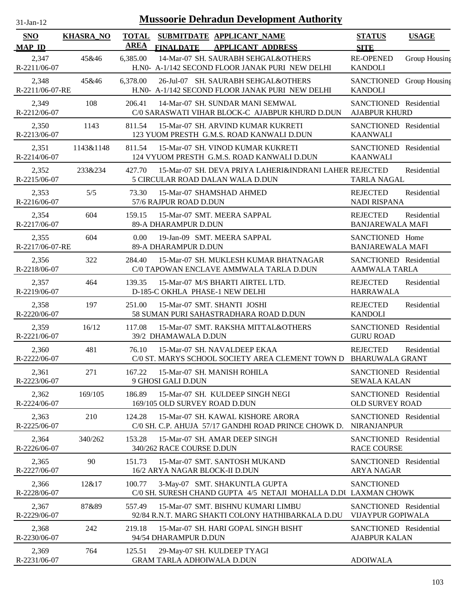| 31-Jan-12 |  |
|-----------|--|

| <b>SNO</b><br><b>MAP ID</b> | <b>KHASRA_NO</b> | <b>TOTAL</b><br><b>AREA</b> | <b>FINALDATE</b>                  | SUBMITDATE APPLICANT_NAME<br><b>APPLICANT ADDRESS</b>                                            | <b>STATUS</b><br><b>SITE</b>                       | <b>USAGE</b>  |
|-----------------------------|------------------|-----------------------------|-----------------------------------|--------------------------------------------------------------------------------------------------|----------------------------------------------------|---------------|
| 2,347<br>R-2211/06-07       | 45&46            | 6,385.00                    |                                   | 14-Mar-07 SH. SAURABH SEHGAL&OTHERS<br>H.N0- A-1/142 SECOND FLOOR JANAK PURI NEW DELHI           | <b>RE-OPENED</b><br><b>KANDOLI</b>                 | Group Housing |
| 2,348<br>R-2211/06-07-RE    | 45&46            | 6,378.00                    |                                   | 26-Jul-07 SH. SAURABH SEHGAL&OTHERS<br>H.N0- A-1/142 SECOND FLOOR JANAK PURI NEW DELHI           | <b>SANCTIONED</b><br><b>KANDOLI</b>                | Group Housing |
| 2,349<br>R-2212/06-07       | 108              | 206.41                      |                                   | 14-Mar-07 SH. SUNDAR MANI SEMWAL<br>C/0 SARASWATI VIHAR BLOCK-C AJABPUR KHURD D.DUN              | SANCTIONED Residential<br><b>AJABPUR KHURD</b>     |               |
| 2,350<br>R-2213/06-07       | 1143             | 811.54                      |                                   | 15-Mar-07 SH, ARVIND KUMAR KUKRETI<br>123 YUOM PRESTH G.M.S. ROAD KANWALI D.DUN                  | SANCTIONED Residential<br><b>KAANWALI</b>          |               |
| 2,351<br>R-2214/06-07       | 1143&1148        | 811.54                      |                                   | 15-Mar-07 SH. VINOD KUMAR KUKRETI<br>124 VYUOM PRESTH G.M.S. ROAD KANWALI D.DUN                  | <b>SANCTIONED</b><br><b>KAANWALI</b>               | Residential   |
| 2,352<br>R-2215/06-07       | 233&234          | 427.70                      |                                   | 15-Mar-07 SH. DEVA PRIYA LAHERI&INDRANI LAHER REJECTED<br>5 CIRCULAR ROAD DALAN WALA D.DUN       | <b>TARLA NAGAL</b>                                 | Residential   |
| 2,353<br>R-2216/06-07       | 5/5              | 73.30                       | 57/6 RAJPUR ROAD D.DUN            | 15-Mar-07 SHAMSHAD AHMED                                                                         | <b>REJECTED</b><br><b>NADI RISPANA</b>             | Residential   |
| 2,354<br>R-2217/06-07       | 604              | 159.15                      | 89-A DHARAMPUR D.DUN              | 15-Mar-07 SMT. MEERA SAPPAL                                                                      | <b>REJECTED</b><br><b>BANJAREWALA MAFI</b>         | Residential   |
| 2,355<br>R-2217/06-07-RE    | 604              | 0.00                        | 89-A DHARAMPUR D.DUN              | 19-Jan-09 SMT. MEERA SAPPAL                                                                      | SANCTIONED Home<br><b>BANJAREWALA MAFI</b>         |               |
| 2,356<br>R-2218/06-07       | 322              | 284.40                      |                                   | 15-Mar-07 SH. MUKLESH KUMAR BHATNAGAR<br>C/0 TAPOWAN ENCLAVE AMMWALA TARLA D.DUN                 | SANCTIONED Residential<br><b>AAMWALA TARLA</b>     |               |
| 2,357<br>R-2219/06-07       | 464              | 139.35                      | D-185-C OKHLA PHASE-1 NEW DELHI   | 15-Mar-07 M/S BHARTI AIRTEL LTD.                                                                 | <b>REJECTED</b><br><b>HARRAWALA</b>                | Residential   |
| 2,358<br>R-2220/06-07       | 197              | 251.00                      |                                   | 15-Mar-07 SMT. SHANTI JOSHI<br>58 SUMAN PURI SAHASTRADHARA ROAD D.DUN                            | <b>REJECTED</b><br><b>KANDOLI</b>                  | Residential   |
| 2,359<br>R-2221/06-07       | 16/12            | 117.08                      | 39/2 DHAMAWALA D.DUN              | 15-Mar-07 SMT. RAKSHA MITTAL&OTHERS                                                              | <b>SANCTIONED</b><br><b>GURU ROAD</b>              | Residential   |
| 2,360<br>R-2222/06-07       | 481              | 76.10                       |                                   | 15-Mar-07 SH. NAVALDEEP EKAA<br>C/0 ST. MARYS SCHOOL SOCIETY AREA CLEMENT TOWN D                 | <b>REJECTED</b><br><b>BHARUWALA GRANT</b>          | Residential   |
| 2,361<br>R-2223/06-07       | 271              | 167.22                      | 9 GHOSI GALI D.DUN                | 15-Mar-07 SH. MANISH ROHILA                                                                      | SANCTIONED Residential<br><b>SEWALA KALAN</b>      |               |
| 2,362<br>R-2224/06-07       | 169/105          | 186.89                      | 169/105 OLD SURVEY ROAD D.DUN     | 15-Mar-07 SH. KULDEEP SINGH NEGI                                                                 | SANCTIONED Residential<br>OLD SURVEY ROAD          |               |
| 2,363<br>R-2225/06-07       | 210              | 124.28                      |                                   | 15-Mar-07 SH, KAWAL KISHORE ARORA<br>C/0 SH. C.P. AHUJA 57/17 GANDHI ROAD PRINCE CHOWK D.        | SANCTIONED Residential<br><b>NIRANJANPUR</b>       |               |
| 2,364<br>R-2226/06-07       | 340/262          | 153.28                      | 340/262 RACE COURSE D.DUN         | 15-Mar-07 SH. AMAR DEEP SINGH                                                                    | SANCTIONED Residential<br><b>RACE COURSE</b>       |               |
| 2,365<br>R-2227/06-07       | 90               | 151.73                      | 16/2 ARYA NAGAR BLOCK-II D.DUN    | 15-Mar-07 SMT. SANTOSH MUKAND                                                                    | SANCTIONED Residential<br><b>ARYA NAGAR</b>        |               |
| 2,366<br>R-2228/06-07       | 12&17            | 100.77                      |                                   | 3-May-07 SMT. SHAKUNTLA GUPTA<br>C/0 SH. SURESH CHAND GUPTA 4/5 NETAJI MOHALLA D.DU LAXMAN CHOWK | <b>SANCTIONED</b>                                  |               |
| 2,367<br>R-2229/06-07       | 87&89            | 557.49                      |                                   | 15-Mar-07 SMT. BISHNU KUMARI LIMBU<br>92/84 R.N.T. MARG SHAKTI COLONY HATHIBARKALA D.DU          | SANCTIONED Residential<br><b>VIJAYPUR GOPIWALA</b> |               |
| 2,368<br>R-2230/06-07       | 242              | 219.18                      | 94/54 DHARAMPUR D.DUN             | 15-Mar-07 SH. HARI GOPAL SINGH BISHT                                                             | SANCTIONED Residential<br><b>AJABPUR KALAN</b>     |               |
| 2,369<br>R-2231/06-07       | 764              | 125.51                      | <b>GRAM TARLA ADHOIWALA D.DUN</b> | 29-May-07 SH. KULDEEP TYAGI                                                                      | <b>ADOIWALA</b>                                    |               |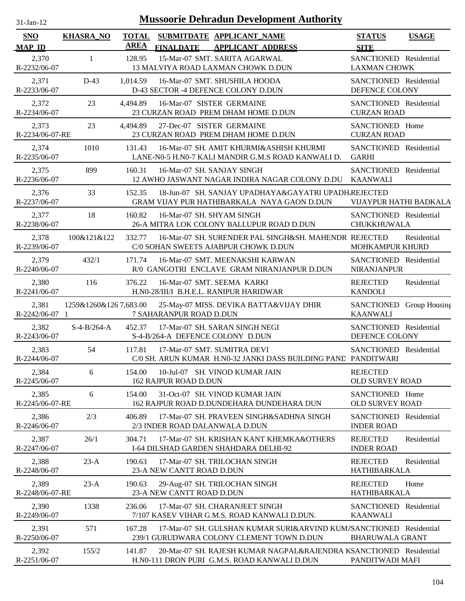| $31-Jan-12$                 |                       |                             | <b>Mussoorie Dehradun Development Authority</b>                                                                    |                                               |              |
|-----------------------------|-----------------------|-----------------------------|--------------------------------------------------------------------------------------------------------------------|-----------------------------------------------|--------------|
| <b>SNO</b><br><b>MAP ID</b> | <b>KHASRA NO</b>      | <b>TOTAL</b><br><b>AREA</b> | SUBMITDATE APPLICANT_NAME<br><b>FINALDATE</b><br><b>APPLICANT ADDRESS</b>                                          | <b>STATUS</b><br><b>SITE</b>                  | <b>USAGE</b> |
| 2,370<br>R-2232/06-07       | $\mathbf{1}$          | 128.95                      | 15-Mar-07 SMT. SARITA AGARWAL<br>13 MALVIYA ROAD LAXMAN CHOWK D.DUN                                                | SANCTIONED Residential<br><b>LAXMAN CHOWK</b> |              |
| 2,371<br>R-2233/06-07       | $D-43$                | 1,014.59                    | 16-Mar-07 SMT. SHUSHILA HOODA<br>D-43 SECTOR -4 DEFENCE COLONY D.DUN                                               | SANCTIONED Residential<br>DEFENCE COLONY      |              |
| 2,372<br>R-2234/06-07       | 23                    | 4,494.89                    | 16-Mar-07 SISTER GERMAINE<br>23 CURZAN ROAD PREM DHAM HOME D.DUN                                                   | SANCTIONED Residential<br><b>CURZAN ROAD</b>  |              |
| 2,373<br>R-2234/06-07-RE    | 23                    | 4,494.89                    | 27-Dec-07 SISTER GERMAINE<br>23 CURZAN ROAD PREM DHAM HOME D.DUN                                                   | SANCTIONED Home<br><b>CURZAN ROAD</b>         |              |
| 2,374<br>R-2235/06-07       | 1010                  | 131.43                      | 16-Mar-07 SH. AMIT KHURMI&ASHISH KHURMI<br>LANE-N0-5 H.N0-7 KALI MANDIR G.M.S ROAD KANWALI D.                      | SANCTIONED Residential<br><b>GARHI</b>        |              |
| 2,375<br>R-2236/06-07       | 899                   | 160.31                      | 16-Mar-07 SH. SANJAY SINGH<br>12 AWHO JASWANT NAGAR INDIRA NAGAR COLONY D.DU                                       | SANCTIONED Residential<br><b>KAANWALI</b>     |              |
| 2,376<br>R-2237/06-07       | 33                    | 152.35                      | 18-Jun-07 SH. SANJAY UPADHAYA&GAYATRI UPADH.REJECTED<br>GRAM VIJAY PUR HATHIBARKALA NAYA GAON D.DUN                | VIJAYPUR HATHI BADKALA                        |              |
| 2,377<br>R-2238/06-07       | 18                    | 160.82                      | 16-Mar-07 SH. SHYAM SINGH<br>26-A MITRA LOK COLONY BALLUPUR ROAD D.DUN                                             | SANCTIONED Residential<br><b>CHUKKHUWALA</b>  |              |
| 2,378<br>R-2239/06-07       | 100&121&122           | 332.77                      | 16-Mar-07 SH. SURENDER PAL SINGH&SH. MAHENDR REJECTED<br>C/0 SOHAN SWEETS AJABPUR CHOWK D.DUN                      | MOHKAMPUR KHURD                               | Residential  |
| 2,379<br>R-2240/06-07       | 432/1                 | 171.74                      | 16-Mar-07 SMT. MEENAKSHI KARWAN<br>R/0 GANGOTRI ENCLAVE GRAM NIRANJANPUR D.DUN                                     | SANCTIONED Residential<br>NIRANJANPUR         |              |
| 2,380<br>R-2241/06-07       | 116                   | 376.22                      | 16-Mar-07 SMT, SEEMA KARKI<br>H.N0-28/III/I B.H.E.L. RANIPUR HARIDWAR                                              | <b>REJECTED</b><br><b>KANDOLI</b>             | Residential  |
| 2,381<br>R-2242/06-07 1     | 1259&1260&1267,683.00 |                             | 25-May-07 MISS. DEVIKA BATTA&VIJAY DHIR<br>7 SAHARANPUR ROAD D.DUN                                                 | SANCTIONED Group Housing<br><b>KAANWALI</b>   |              |
| 2,382<br>R-2243/06-07       | $S-4-B/264-A$         | 452.37                      | 17-Mar-07 SH. SARAN SINGH NEGI<br>S-4-B/264-A DEFENCE COLONY D.DUN                                                 | SANCTIONED Residential<br>DEFENCE COLONY      |              |
| 2,383<br>R-2244/06-07       | 54                    | 117.81                      | 17-Mar-07 SMT. SUMITRA DEVI<br>C/0 SH. ARUN KUMAR H.N0-32 JANKI DASS BUILDING PAND PANDITWARI                      | SANCTIONED Residential                        |              |
| 2,384<br>R-2245/06-07       | 6                     | 154.00                      | 10-Jul-07 SH. VINOD KUMAR JAIN<br><b>162 RAJPUR ROAD D.DUN</b>                                                     | <b>REJECTED</b><br><b>OLD SURVEY ROAD</b>     |              |
| 2,385<br>R-2245/06-07-RE    | 6                     | 154.00                      | 31-Oct-07 SH. VINOD KUMAR JAIN<br>162 RAJPUR ROAD D.DUNDEHARA DUNDEHARA DUN                                        | SANCTIONED Home<br><b>OLD SURVEY ROAD</b>     |              |
| 2,386<br>R-2246/06-07       | 2/3                   | 406.89                      | 17-Mar-07 SH. PRAVEEN SINGH&SADHNA SINGH<br>2/3 INDER ROAD DALANWALA D.DUN                                         | SANCTIONED Residential<br><b>INDER ROAD</b>   |              |
| 2,387<br>R-2247/06-07       | 26/1                  | 304.71                      | 17-Mar-07 SH. KRISHAN KANT KHEMKA&OTHERS<br>I-64 DILSHAD GARDEN SHAHDARA DELHI-92                                  | <b>REJECTED</b><br><b>INDER ROAD</b>          | Residential  |
| 2,388<br>R-2248/06-07       | $23-A$                | 190.63                      | 17-Mar-07 SH. TRILOCHAN SINGH<br>23-A NEW CANTT ROAD D.DUN                                                         | <b>REJECTED</b><br>HATHIBARKALA               | Residential  |
| 2,389<br>R-2248/06-07-RE    | $23-A$                | 190.63                      | 29-Aug-07 SH. TRILOCHAN SINGH<br>23-A NEW CANTT ROAD D.DUN                                                         | <b>REJECTED</b><br>HATHIBARKALA               | Home         |
| 2,390<br>R-2249/06-07       | 1338                  | 236.06                      | 17-Mar-07 SH. CHARANJEET SINGH<br>7/107 KASEV VIHAR G.M.S. ROAD KANWALI D.DUN.                                     | SANCTIONED Residential<br><b>KAANWALI</b>     |              |
| 2,391<br>R-2250/06-07       | 571                   | 167.28                      | 17-Mar-07 SH. GULSHAN KUMAR SURI&ARVIND KUMASANCTIONED Residential<br>239/1 GURUDWARA COLONY CLEMENT TOWN D.DUN    | <b>BHARUWALA GRANT</b>                        |              |
| 2,392<br>R-2251/06-07       | 155/2                 | 141.87                      | 20-Mar-07 SH. RAJESH KUMAR NAGPAL&RAJENDRA KSANCTIONED Residential<br>H.N0-111 DRON PURI G.M.S. ROAD KANWALI D.DUN | PANDITWADI MAFI                               |              |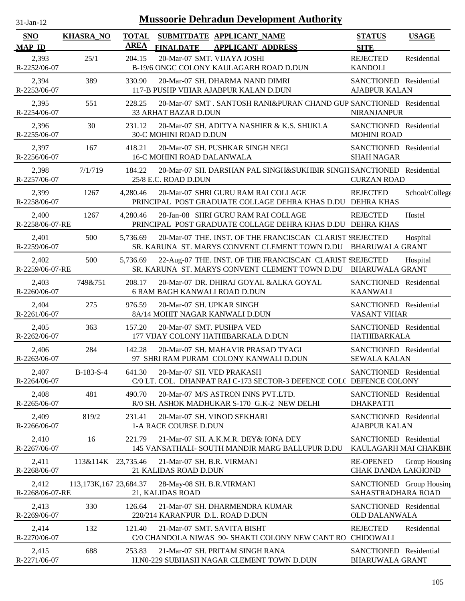| 1-Jan-1<br>n. |  |
|---------------|--|
|               |  |

| <b>SNO</b><br><b>MAP ID</b> | <b>KHASRA_NO</b>       | <b>TOTAL</b><br><b>AREA</b> | <b>FINALDATE</b>                                             | SUBMITDATE APPLICANT_NAME<br><b>APPLICANT ADDRESS</b>                                                      | <b>STATUS</b><br><b>SITE</b>                     | <b>USAGE</b>   |
|-----------------------------|------------------------|-----------------------------|--------------------------------------------------------------|------------------------------------------------------------------------------------------------------------|--------------------------------------------------|----------------|
| 2,393<br>R-2252/06-07       | 25/1                   | 204.15                      | 20-Mar-07 SMT. VIJAYA JOSHI                                  | B-19/6 ONGC COLONY KAULAGARH ROAD D.DUN                                                                    | <b>REJECTED</b><br><b>KANDOLI</b>                | Residential    |
| 2,394<br>R-2253/06-07       | 389                    | 330.90                      |                                                              | 20-Mar-07 SH. DHARMA NAND DIMRI<br>117-B PUSHP VIHAR AJABPUR KALAN D.DUN                                   | SANCTIONED Residential<br><b>AJABPUR KALAN</b>   |                |
| 2,395<br>R-2254/06-07       | 551                    | 228.25                      | 33 ARHAT BAZAR D.DUN                                         | 20-Mar-07 SMT. SANTOSH RANI&PURAN CHAND GUP SANCTIONED Residential                                         | NIRANJANPUR                                      |                |
| 2,396<br>R-2255/06-07       | 30                     | 231.12                      | 30-C MOHINI ROAD D.DUN                                       | 20-Mar-07 SH. ADITYA NASHIER & K.S. SHUKLA                                                                 | SANCTIONED Residential<br><b>MOHINI ROAD</b>     |                |
| 2,397<br>R-2256/06-07       | 167                    | 418.21                      | <b>16-C MOHINI ROAD DALANWALA</b>                            | 20-Mar-07 SH. PUSHKAR SINGH NEGI                                                                           | SANCTIONED Residential<br><b>SHAH NAGAR</b>      |                |
| 2,398<br>R-2257/06-07       | 7/1/719                | 184.22                      | 25/8 E.C. ROAD D.DUN                                         | 20-Mar-07 SH. DARSHAN PAL SINGH&SUKHBIR SINGH SANCTIONED Residential                                       | <b>CURZAN ROAD</b>                               |                |
| 2,399<br>R-2258/06-07       | 1267                   | 4,280.46                    |                                                              | 20-Mar-07 SHRI GURU RAM RAI COLLAGE<br>PRINCIPAL POST GRADUATE COLLAGE DEHRA KHAS D.DU DEHRA KHAS          | <b>REJECTED</b>                                  | School/College |
| 2,400<br>R-2258/06-07-RE    | 1267                   | 4,280.46                    |                                                              | 28-Jan-08 SHRI GURU RAM RAI COLLAGE<br>PRINCIPAL POST GRADUATE COLLAGE DEHRA KHAS D.DU DEHRA KHAS          | <b>REJECTED</b>                                  | Hostel         |
| 2,401<br>R-2259/06-07       | 500                    | 5,736.69                    |                                                              | 20-Mar-07 THE. INST. OF THE FRANCISCAN CLARIST SREJECTED<br>SR. KARUNA ST. MARYS CONVENT CLEMENT TOWN D.DU | <b>BHARUWALA GRANT</b>                           | Hospital       |
| 2,402<br>R-2259/06-07-RE    | 500                    | 5,736.69                    |                                                              | 22-Aug-07 THE. INST. OF THE FRANCISCAN CLARIST SREJECTED<br>SR. KARUNA ST. MARYS CONVENT CLEMENT TOWN D.DU | <b>BHARUWALA GRANT</b>                           | Hospital       |
| 2,403<br>R-2260/06-07       | 749&751                | 208.17                      | 6 RAM BAGH KANWALI ROAD D.DUN                                | 20-Mar-07 DR. DHIRAJ GOYAL &ALKA GOYAL                                                                     | SANCTIONED Residential<br><b>KAANWALI</b>        |                |
| 2,404<br>R-2261/06-07       | 275                    | 976.59                      | 20-Mar-07 SH. UPKAR SINGH<br>8A/14 MOHIT NAGAR KANWALI D.DUN |                                                                                                            | SANCTIONED Residential<br><b>VASANT VIHAR</b>    |                |
| 2,405<br>R-2262/06-07       | 363                    | 157.20                      | 20-Mar-07 SMT. PUSHPA VED                                    | 177 VIJAY COLONY HATHIBARKALA D.DUN                                                                        | SANCTIONED Residential<br><b>HATHIBARKALA</b>    |                |
| 2,406<br>R-2263/06-07       | 284                    | 142.28                      |                                                              | 20-Mar-07 SH. MAHAVIR PRASAD TYAGI<br>97 SHRI RAM PURAM COLONY KANWALI D.DUN                               | SANCTIONED Residential<br><b>SEWALA KALAN</b>    |                |
| 2,407<br>R-2264/06-07       | B-183-S-4              | 641.30                      | 20-Mar-07 SH. VED PRAKASH                                    | C/0 LT. COL. DHANPAT RAI C-173 SECTOR-3 DEFENCE COL( DEFENCE COLONY                                        | SANCTIONED Residential                           |                |
| 2,408<br>R-2265/06-07       | 481                    | 490.70                      |                                                              | 20-Mar-07 M/S ASTRON INNS PVT.LTD.<br>R/0 SH. ASHOK MADHUKAR S-170 G.K-2 NEW DELHI                         | SANCTIONED Residential<br><b>DHAKPATTI</b>       |                |
| 2,409<br>R-2266/06-07       | 819/2                  | 231.41                      | 1-A RACE COURSE D.DUN                                        | 20-Mar-07 SH. VINOD SEKHARI                                                                                | SANCTIONED Residential<br><b>AJABPUR KALAN</b>   |                |
| 2,410<br>R-2267/06-07       | 16                     | 221.79                      |                                                              | 21-Mar-07 SH. A.K.M.R. DEY& IONA DEY<br>145 VANSATHALI- SOUTH MANDIR MARG BALLUPUR D.DU                    | SANCTIONED Residential<br>KAULAGARH MAI CHAKBH(  |                |
| 2,411<br>R-2268/06-07       | 113&114K 23,735.46     |                             | 21-Mar-07 SH. B.R. VIRMANI<br>21 KALIDAS ROAD D.DUN          |                                                                                                            | <b>RE-OPENED</b><br><b>CHAK DANDA LAKHOND</b>    | Group Housing  |
| 2,412<br>R-2268/06-07-RE    | 113,173K,167 23,684.37 |                             | 28-May-08 SH. B.R.VIRMANI<br>21, KALIDAS ROAD                |                                                                                                            | SANCTIONED Group Housing<br>SAHASTRADHARA ROAD   |                |
| 2,413<br>R-2269/06-07       | 330                    | 126.64                      | 220/214 KARANPUR D.L. ROAD D.DUN                             | 21-Mar-07 SH. DHARMENDRA KUMAR                                                                             | SANCTIONED Residential<br><b>OLD DALANWALA</b>   |                |
| 2,414<br>R-2270/06-07       | 132                    | 121.40                      |                                                              | 21-Mar-07 SMT. SAVITA BISHT<br>C/0 CHANDOLA NIWAS 90- SHAKTI COLONY NEW CANT RO                            | <b>REJECTED</b><br><b>CHIDOWALI</b>              | Residential    |
| 2,415<br>R-2271/06-07       | 688                    | 253.83                      |                                                              | 21-Mar-07 SH. PRITAM SINGH RANA<br>H.N0-229 SUBHASH NAGAR CLEMENT TOWN D.DUN                               | SANCTIONED Residential<br><b>BHARUWALA GRANT</b> |                |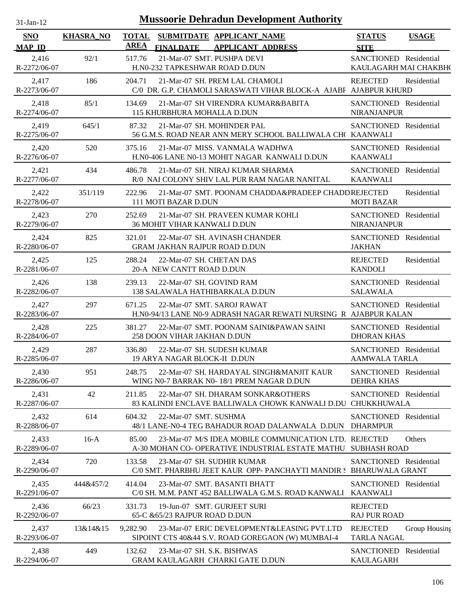| $31$ -Jan-12                |                  |                             |                                                                                                            |                                                 | <b>Mussoorie Dehradun Development Authority</b> |  |  |  |  |  |  |  |
|-----------------------------|------------------|-----------------------------|------------------------------------------------------------------------------------------------------------|-------------------------------------------------|-------------------------------------------------|--|--|--|--|--|--|--|
| <b>SNO</b><br><b>MAP ID</b> | <b>KHASRA_NO</b> | <b>TOTAL</b><br><b>AREA</b> | SUBMITDATE APPLICANT_NAME<br><b>FINALDATE</b><br><b>APPLICANT ADDRESS</b>                                  | <b>STATUS</b><br><b>SITE</b>                    | <b>USAGE</b>                                    |  |  |  |  |  |  |  |
| 2,416<br>R-2272/06-07       | 92/1             | 517.76                      | 21-Mar-07 SMT. PUSHPA DEVI<br>H.N0-232 TAPKESHWAR ROAD D.DUN                                               | SANCTIONED Residential<br>KAULAGARH MAI CHAKBH( |                                                 |  |  |  |  |  |  |  |
| 2,417<br>R-2273/06-07       | 186              | 204.71                      | 21-Mar-07 SH. PREM LAL CHAMOLI<br>C/0 DR. G.P. CHAMOLI SARASWATI VIHAR BLOCK-A AJABF AJABPUR KHURD         | <b>REJECTED</b>                                 | Residential                                     |  |  |  |  |  |  |  |
| 2,418<br>R-2274/06-07       | 85/1             | 134.69                      | 21-Mar-07 SH VIRENDRA KUMAR&BABITA<br>115 KHURBHURA MOHALLA D.DUN                                          | SANCTIONED Residential<br><b>NIRANJANPUR</b>    |                                                 |  |  |  |  |  |  |  |
| 2,419<br>R-2275/06-07       | 645/1            | 87.32                       | 21-Mar-07 SH. MOHINDER PAL<br>56 G.M.S. ROAD NEAR ANN MERY SCHOOL BALLIWALA CH(KAANWALI                    | SANCTIONED Residential                          |                                                 |  |  |  |  |  |  |  |
| 2,420<br>R-2276/06-07       | 520              | 375.16                      | 21-Mar-07 MISS, VANMALA WADHWA<br>H.N0-406 LANE N0-13 MOHIT NAGAR KANWALI D.DUN                            | SANCTIONED Residential<br><b>KAANWALI</b>       |                                                 |  |  |  |  |  |  |  |
| 2,421<br>R-2277/06-07       | 434              | 486.78                      | 21-Mar-07 SH, NIRAJ KUMAR SHARMA<br>R/0 NAI COLONY SHIV LAL PUR RAM NAGAR NANITAL                          | SANCTIONED Residential<br><b>KAANWALI</b>       |                                                 |  |  |  |  |  |  |  |
| 2,422<br>R-2278/06-07       | 351/119          | 222.96                      | 21-Mar-07 SMT. POONAM CHADDA&PRADEEP CHADDREJECTED<br>111 MOTI BAZAR D.DUN                                 | <b>MOTI BAZAR</b>                               | Residential                                     |  |  |  |  |  |  |  |
| 2,423<br>R-2279/06-07       | 270              | 252.69                      | 21-Mar-07 SH. PRAVEEN KUMAR KOHLI<br>36 MOHIT VIHAR KANWALI D.DUN                                          | SANCTIONED Residential<br><b>NIRANJANPUR</b>    |                                                 |  |  |  |  |  |  |  |
| 2,424<br>R-2280/06-07       | 825              | 321.01                      | 22-Mar-07 SH. AVINASH CHANDER<br><b>GRAM JAKHAN RAJPUR ROAD D.DUN</b>                                      | SANCTIONED Residential<br><b>JAKHAN</b>         |                                                 |  |  |  |  |  |  |  |
| 2,425<br>R-2281/06-07       | 125              | 288.24                      | 22-Mar-07 SH. CHETAN DAS<br>20-A NEW CANTT ROAD D.DUN                                                      | <b>REJECTED</b><br><b>KANDOLI</b>               | Residential                                     |  |  |  |  |  |  |  |
| 2,426<br>R-2282/06-07       | 138              | 239.13                      | 22-Mar-07 SH. GOVIND RAM<br>138 SALAWALA HATHIBARKALA D.DUN                                                | SANCTIONED Residential<br><b>SALAWALA</b>       |                                                 |  |  |  |  |  |  |  |
| 2,427<br>R-2283/06-07       | 297              | 671.25                      | 22-Mar-07 SMT, SAROJ RAWAT<br>H.NO-94/13 LANE NO-9 ADRASH NAGAR REWATI NURSING R AJABPUR KALAN             | SANCTIONED Residential                          |                                                 |  |  |  |  |  |  |  |
| 2,428<br>R-2284/06-07       | 225              | 381.27                      | 22-Mar-07 SMT. POONAM SAINI&PAWAN SAINI<br>258 DOON VIHAR JAKHAN D.DUN                                     | SANCTIONED Residential<br><b>DHORAN KHAS</b>    |                                                 |  |  |  |  |  |  |  |
| 2,429<br>R-2285/06-07       | 287              | 336.80                      | 22-Mar-07 SH. SUDESH KUMAR<br>19 ARYA NAGAR BLOCK-II D.DUN                                                 | SANCTIONED Residential<br><b>AAMWALA TARLA</b>  |                                                 |  |  |  |  |  |  |  |
| 2,430<br>R-2286/06-07       | 951              | 248.75                      | 22-Mar-07 SH. HARDAYAL SINGH&MANJIT KAUR<br>WING N0-7 BARRAK N0-18/1 PREM NAGAR D.DUN                      | SANCTIONED Residential<br>DEHRA KHAS            |                                                 |  |  |  |  |  |  |  |
| 2,431<br>R-2287/06-07       | 42               | 211.85                      | 22-Mar-07 SH. DHARAM SONKAR&OTHERS<br>83 KALINDI ENCLAVE BALLIWALA CHOWK KANWALI D.DU CHUKKHUWALA          | SANCTIONED Residential                          |                                                 |  |  |  |  |  |  |  |
| 2,432<br>R-2288/06-07       | 614              | 604.32                      | 22-Mar-07 SMT. SUSHMA<br>48/1 LANE-N0-4 TEG BAHADUR ROAD DALANWALA D.DUN                                   | SANCTIONED Residential<br><b>DHARMPUR</b>       |                                                 |  |  |  |  |  |  |  |
| 2,433<br>R-2289/06-07       | $16-A$           | 85.00                       | 23-Mar-07 M/S IDEA MOBILE COMMUNICATION LTD. REJECTED<br>A-30 MOHAN CO- OPERATIVE INDUSTRIAL ESTATE MATHU. | <b>SUBHASH ROAD</b>                             | Others                                          |  |  |  |  |  |  |  |
| 2,434<br>R-2290/06-07       | 720              | 133.58                      | 23-Mar-07 SH. SUDHIR KUMAR<br>C/0 SMT. PHARBHU JEET KAUR OPP- PANCHAYTI MANDIR S BHARUWALA GRANT           | SANCTIONED Residential                          |                                                 |  |  |  |  |  |  |  |
| 2,435<br>R-2291/06-07       | 444&457/2        | 414.04                      | 23-Mar-07 SMT. BASANTI BHATT<br>C/0 SH. M.M. PANT 452 BALLIWALA G.M.S. ROAD KANWALI                        | SANCTIONED Residential<br><b>KAANWALI</b>       |                                                 |  |  |  |  |  |  |  |
| 2,436<br>R-2292/06-07       | 66/23            | 331.73                      | 19-Jun-07 SMT. GURJEET SURI<br>65-C & 65/23 RAJPUR ROAD D.DUN                                              | <b>REJECTED</b><br><b>RAJ PUR ROAD</b>          |                                                 |  |  |  |  |  |  |  |
| 2,437<br>R-2293/06-07       | 13&14&15         | 9,282.90                    | 23-Mar-07 ERIC DEVELOPMENT&LEASING PVT.LTD<br>SIPOINT CTS 40&44 S.V. ROAD GOREGAON (W) MUMBAI-4            | <b>REJECTED</b><br><b>TARLA NAGAL</b>           | Group Housing                                   |  |  |  |  |  |  |  |
| 2,438<br>R-2294/06-07       | 449              | 132.62                      | 23-Mar-07 SH. S.K. BISHWAS<br>GRAM KAULAGARH CHARKI GATE D.DUN                                             | SANCTIONED<br><b>KAULAGARH</b>                  | Residential                                     |  |  |  |  |  |  |  |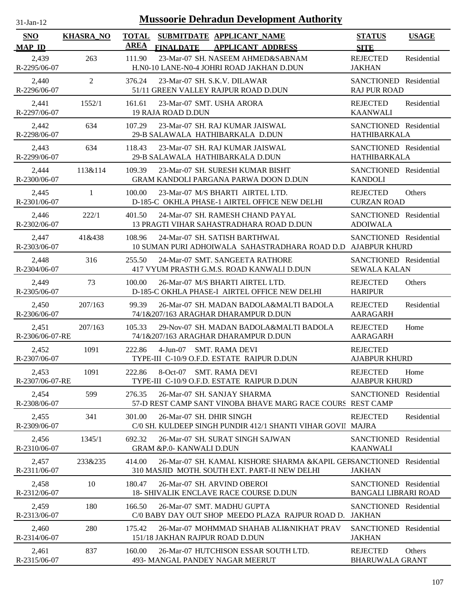| $31$ -Jan-12                |                  | <b>Mussoorie Dehradun Development Authority</b>                                                                                 |                                                       |              |
|-----------------------------|------------------|---------------------------------------------------------------------------------------------------------------------------------|-------------------------------------------------------|--------------|
| <b>SNO</b><br><b>MAP ID</b> | <b>KHASRA_NO</b> | <b>TOTAL</b><br>SUBMITDATE APPLICANT_NAME<br><b>AREA</b><br><b>FINALDATE</b><br><b>APPLICANT ADDRESS</b>                        | <b>STATUS</b><br><b>SITE</b>                          | <b>USAGE</b> |
| 2,439<br>R-2295/06-07       | 263              | 23-Mar-07 SH. NASEEM AHMED&SABNAM<br>111.90<br>H.N0-10 LANE-N0-4 JOHRI ROAD JAKHAN D.DUN                                        | <b>REJECTED</b><br><b>JAKHAN</b>                      | Residential  |
| 2,440<br>R-2296/06-07       | $\overline{2}$   | 376.24<br>23-Mar-07 SH. S.K.V. DILAWAR<br>51/11 GREEN VALLEY RAJPUR ROAD D.DUN                                                  | SANCTIONED Residential<br><b>RAJ PUR ROAD</b>         |              |
| 2,441<br>R-2297/06-07       | 1552/1           | 23-Mar-07 SMT. USHA ARORA<br>161.61<br>19 RAJA ROAD D.DUN                                                                       | <b>REJECTED</b><br><b>KAANWALI</b>                    | Residential  |
| 2,442<br>R-2298/06-07       | 634              | 107.29<br>23-Mar-07 SH. RAJ KUMAR JAISWAL<br>29-B SALAWALA HATHIBARKALA D.DUN                                                   | SANCTIONED Residential<br>HATHIBARKALA                |              |
| 2,443<br>R-2299/06-07       | 634              | 23-Mar-07 SH. RAJ KUMAR JAISWAL<br>118.43<br>29-B SALAWALA HATHIBARKALA D.DUN                                                   | SANCTIONED Residential<br>HATHIBARKALA                |              |
| 2,444<br>R-2300/06-07       | 113&114          | 23-Mar-07 SH. SURESH KUMAR BISHT<br>109.39<br>GRAM KANDOLI PARGANA PARWA DOON D.DUN                                             | SANCTIONED Residential<br><b>KANDOLI</b>              |              |
| 2,445<br>R-2301/06-07       | $\mathbf{1}$     | 100.00<br>23-Mar-07 M/S BHARTI AIRTEL LTD.<br>D-185-C OKHLA PHASE-1 AIRTEL OFFICE NEW DELHI                                     | <b>REJECTED</b><br><b>CURZAN ROAD</b>                 | Others       |
| 2,446<br>R-2302/06-07       | 222/1            | 24-Mar-07 SH. RAMESH CHAND PAYAL<br>401.50<br>13 PRAGTI VIHAR SAHASTRADHARA ROAD D.DUN                                          | SANCTIONED Residential<br><b>ADOIWALA</b>             |              |
| 2,447<br>R-2303/06-07       | 41&438           | 108.96<br>24-Mar-07 SH. SATISH BARTHWAL<br>10 SUMAN PURI ADHOIWALA SAHASTRADHARA ROAD D.D AJABPUR KHURD                         | SANCTIONED Residential                                |              |
| 2,448<br>R-2304/06-07       | 316              | 255.50<br>24-Mar-07 SMT, SANGEETA RATHORE<br>417 VYUM PRASTH G.M.S. ROAD KANWALI D.DUN                                          | SANCTIONED Residential<br><b>SEWALA KALAN</b>         |              |
| 2,449<br>R-2305/06-07       | 73               | 100.00<br>26-Mar-07 M/S BHARTI AIRTEL LTD.<br>D-185-C OKHLA PHASE-I AIRTEL OFFICE NEW DELHI                                     | <b>REJECTED</b><br><b>HARIPUR</b>                     | Others       |
| 2,450<br>R-2306/06-07       | 207/163          | 99.39<br>26-Mar-07 SH. MADAN BADOLA&MALTI BADOLA<br>74/1&207/163 ARAGHAR DHARAMPUR D.DUN                                        | <b>REJECTED</b><br><b>AARAGARH</b>                    | Residential  |
| 2,451<br>R-2306/06-07-RE    | 207/163          | 105.33<br>29-Nov-07 SH. MADAN BADOLA&MALTI BADOLA<br>74/1&207/163 ARAGHAR DHARAMPUR D.DUN                                       | <b>REJECTED</b><br>AARAGARH                           | Home         |
| 2.452<br>R-2307/06-07       | 1091             | 222.86<br>$4-Jun-07$<br><b>SMT. RAMA DEVI</b><br>TYPE-III C-10/9 O.F.D. ESTATE RAIPUR D.DUN                                     | <b>REJECTED</b><br><b>AJABPUR KHURD</b>               |              |
| 2,453<br>R-2307/06-07-RE    | 1091             | 8-Oct-07 SMT. RAMA DEVI<br>222.86<br>TYPE-III C-10/9 O.F.D. ESTATE RAIPUR D.DUN                                                 | <b>REJECTED</b><br><b>AJABPUR KHURD</b>               | Home         |
| 2,454<br>R-2308/06-07       | 599              | 276.35<br>26-Mar-07 SH. SANJAY SHARMA<br>57-D REST CAMP SANT VINOBA BHAVE MARG RACE COURS REST CAMP                             | SANCTIONED Residential                                |              |
| 2,455<br>R-2309/06-07       | 341              | 301.00<br>26-Mar-07 SH. DHIR SINGH<br>C/0 SH. KULDEEP SINGH PUNDIR 412/1 SHANTI VIHAR GOVII MAJRA                               | <b>REJECTED</b>                                       | Residential  |
| 2,456<br>R-2310/06-07       | 1345/1           | 692.32<br>26-Mar-07 SH. SURAT SINGH SAJWAN<br><b>GRAM &amp;P.0- KANWALI D.DUN</b>                                               | SANCTIONED Residential<br><b>KAANWALI</b>             |              |
| 2,457<br>R-2311/06-07       | 233&235          | 26-Mar-07 SH. KAMAL KISHORE SHARMA & KAPIL GERSANCTIONED Residential<br>414.00<br>310 MASJID MOTH. SOUTH EXT. PART-II NEW DELHI | <b>JAKHAN</b>                                         |              |
| 2,458<br>R-2312/06-07       | 10               | 180.47<br>26-Mar-07 SH. ARVIND OBEROI<br><b>18- SHIVALIK ENCLAVE RACE COURSE D.DUN</b>                                          | SANCTIONED Residential<br><b>BANGALI LIBRARI ROAD</b> |              |
| 2,459<br>R-2313/06-07       | 180              | 166.50<br>26-Mar-07 SMT. MADHU GUPTA<br>C/0 BABY DAY OUT SHOP MEEDO PLAZA RAJPUR ROAD D.                                        | SANCTIONED Residential<br>JAKHAN                      |              |
| 2,460<br>R-2314/06-07       | 280              | 175.42<br>26-Mar-07 MOHMMAD SHAHAB ALI&NIKHAT PRAV<br>151/18 JAKHAN RAJPUR ROAD D.DUN                                           | SANCTIONED Residential<br><b>JAKHAN</b>               |              |
| 2,461<br>R-2315/06-07       | 837              | 160.00<br>26-Mar-07 HUTCHISON ESSAR SOUTH LTD.<br>493- MANGAL PANDEY NAGAR MEERUT                                               | <b>REJECTED</b><br><b>BHARUWALA GRANT</b>             | Others       |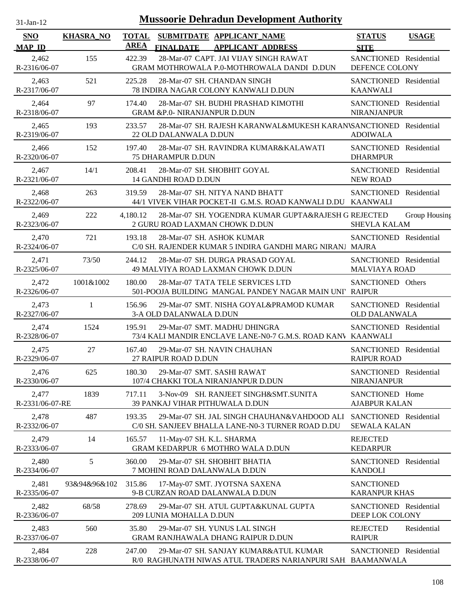| $31$ -Jan-12                |                  |                             |                                                                        | <b>Mussoorie Dehradun Development Authority</b>                                                     |                                                |               |
|-----------------------------|------------------|-----------------------------|------------------------------------------------------------------------|-----------------------------------------------------------------------------------------------------|------------------------------------------------|---------------|
| <b>SNO</b><br><b>MAP ID</b> | <b>KHASRA_NO</b> | <b>TOTAL</b><br><b>AREA</b> | SUBMITDATE APPLICANT_NAME<br><b>FINALDATE</b>                          | <b>APPLICANT ADDRESS</b>                                                                            | <b>STATUS</b><br><b>SITE</b>                   | <b>USAGE</b>  |
| 2,462<br>R-2316/06-07       | 155              | 422.39                      |                                                                        | 28-Mar-07 CAPT. JAI VIJAY SINGH RAWAT<br>GRAM MOTHROWALA P.0-MOTHROWALA DANDI D.DUN                 | SANCTIONED Residential<br>DEFENCE COLONY       |               |
| 2,463<br>R-2317/06-07       | 521              | 225.28                      | 28-Mar-07 SH. CHANDAN SINGH<br>78 INDIRA NAGAR COLONY KANWALI D.DUN    |                                                                                                     | SANCTIONED Residential<br><b>KAANWALI</b>      |               |
| 2,464<br>R-2318/06-07       | 97               | 174.40                      | <b>GRAM &amp;P.0- NIRANJANPUR D.DUN</b>                                | 28-Mar-07 SH. BUDHI PRASHAD KIMOTHI                                                                 | SANCTIONED Residential<br><b>NIRANJANPUR</b>   |               |
| 2,465<br>R-2319/06-07       | 193              | 233.57                      | 22 OLD DALANWALA D.DUN                                                 | 28-Mar-07 SH. RAJESH KARANWAL&MUKESH KARANVSANCTIONED Residential                                   | <b>ADOIWALA</b>                                |               |
| 2,466<br>R-2320/06-07       | 152              | 197.40                      | <b>75 DHARAMPUR D.DUN</b>                                              | 28-Mar-07 SH. RAVINDRA KUMAR&KALAWATI                                                               | SANCTIONED Residential<br><b>DHARMPUR</b>      |               |
| 2,467<br>R-2321/06-07       | 14/1             | 208.41                      | 28-Mar-07 SH. SHOBHIT GOYAL<br>14 GANDHI ROAD D.DUN                    |                                                                                                     | SANCTIONED Residential<br><b>NEW ROAD</b>      |               |
| 2,468<br>R-2322/06-07       | 263              | 319.59                      | 28-Mar-07 SH. NITYA NAND BHATT                                         | 44/1 VIVEK VIHAR POCKET-II G.M.S. ROAD KANWALI D.DU KAANWALI                                        | SANCTIONED Residential                         |               |
| 2,469<br>R-2323/06-07       | 222              | 4,180.12                    | 2 GURU ROAD LAXMAN CHOWK D.DUN                                         | 28-Mar-07 SH. YOGENDRA KUMAR GUPTA&RAJESH G REJECTED                                                | <b>SHEVLA KALAM</b>                            | Group Housing |
| 2,470<br>R-2324/06-07       | 721              | 193.18                      | 28-Mar-07 SH. ASHOK KUMAR                                              | C/0 SH. RAJENDER KUMAR 5 INDIRA GANDHI MARG NIRANJ MAJRA                                            | SANCTIONED Residential                         |               |
| 2,471<br>R-2325/06-07       | 73/50            | 244.12                      | 28-Mar-07 SH. DURGA PRASAD GOYAL<br>49 MALVIYA ROAD LAXMAN CHOWK D.DUN |                                                                                                     | SANCTIONED Residential<br><b>MALVIAYA ROAD</b> |               |
| 2,472<br>R-2326/06-07       | 1001&1002        | 180.00                      | 28-Mar-07 TATA TELE SERVICES LTD                                       | 501-POOJA BUILDING MANGAL PANDEY NAGAR MAIN UNI' RAIPUR                                             | SANCTIONED Others                              |               |
| 2,473<br>R-2327/06-07       | 1                | 156.96                      | 3-A OLD DALANWALA D.DUN                                                | 29-Mar-07 SMT. NISHA GOYAL&PRAMOD KUMAR                                                             | SANCTIONED Residential<br>OLD DALANWALA        |               |
| 2,474<br>R-2328/06-07       | 1524             | 195.91                      | 29-Mar-07 SMT. MADHU DHINGRA                                           | 73/4 KALI MANDIR ENCLAVE LANE-N0-7 G.M.S. ROAD KANV KAANWALI                                        | SANCTIONED Residential                         |               |
| 2,475<br>R-2329/06-07       | 27               | 167.40                      | 29-Mar-07 SH, NAVIN CHAUHAN<br>27 RAIPUR ROAD D.DUN                    |                                                                                                     | SANCTIONED Residential<br><b>RAIPUR ROAD</b>   |               |
| 2,476<br>R-2330/06-07       | 625              | 180.30                      | 29-Mar-07 SMT. SASHI RAWAT<br>107/4 CHAKKI TOLA NIRANJANPUR D.DUN      |                                                                                                     | SANCTIONED Residential<br><b>NIRANJANPUR</b>   |               |
| 2,477<br>R-2331/06-07-RE    | 1839             | 717.11                      | 39 PANKAJ VIHAR PITHUWALA D.DUN                                        | 3-Nov-09 SH. RANJEET SINGH&SMT.SUNITA                                                               | SANCTIONED Home<br><b>AJABPUR KALAN</b>        |               |
| 2,478<br>R-2332/06-07       | 487              | 193.35                      |                                                                        | 29-Mar-07 SH. JAL SINGH CHAUHAN&VAHDOOD ALI<br>C/0 SH. SANJEEV BHALLA LANE-N0-3 TURNER ROAD D.DU    | SANCTIONED Residential<br><b>SEWALA KALAN</b>  |               |
| 2,479<br>R-2333/06-07       | 14               | 165.57                      | 11-May-07 SH. K.L. SHARMA<br><b>GRAM KEDARPUR 6 MOTHRO WALA D.DUN</b>  |                                                                                                     | <b>REJECTED</b><br><b>KEDARPUR</b>             |               |
| 2,480<br>R-2334/06-07       | 5                | 360.00                      | 29-Mar-07 SH. SHOBHIT BHATIA<br>7 MOHINI ROAD DALANWALA D.DUN          |                                                                                                     | SANCTIONED Residential<br><b>KANDOLI</b>       |               |
| 2,481<br>R-2335/06-07       | 93&94&96&102     | 315.86                      | 17-May-07 SMT. JYOTSNA SAXENA<br>9-B CURZAN ROAD DALANWALA D.DUN       |                                                                                                     | <b>SANCTIONED</b><br><b>KARANPUR KHAS</b>      |               |
| 2,482<br>R-2336/06-07       | 68/58            | 278.69                      | 209 LUNIA MOHALLA D.DUN                                                | 29-Mar-07 SH. ATUL GUPTA&KUNAL GUPTA                                                                | SANCTIONED Residential<br>DEEP LOK COLONY      |               |
| 2,483<br>R-2337/06-07       | 560              | 35.80                       | 29-Mar-07 SH. YUNUS LAL SINGH<br>GRAM RANJHAWALA DHANG RAIPUR D.DUN    |                                                                                                     | <b>REJECTED</b><br><b>RAIPUR</b>               | Residential   |
| 2,484<br>R-2338/06-07       | 228              | 247.00                      |                                                                        | 29-Mar-07 SH. SANJAY KUMAR&ATUL KUMAR<br>R/0 RAGHUNATH NIWAS ATUL TRADERS NARIANPURI SAH BAAMANWALA | SANCTIONED Residential                         |               |